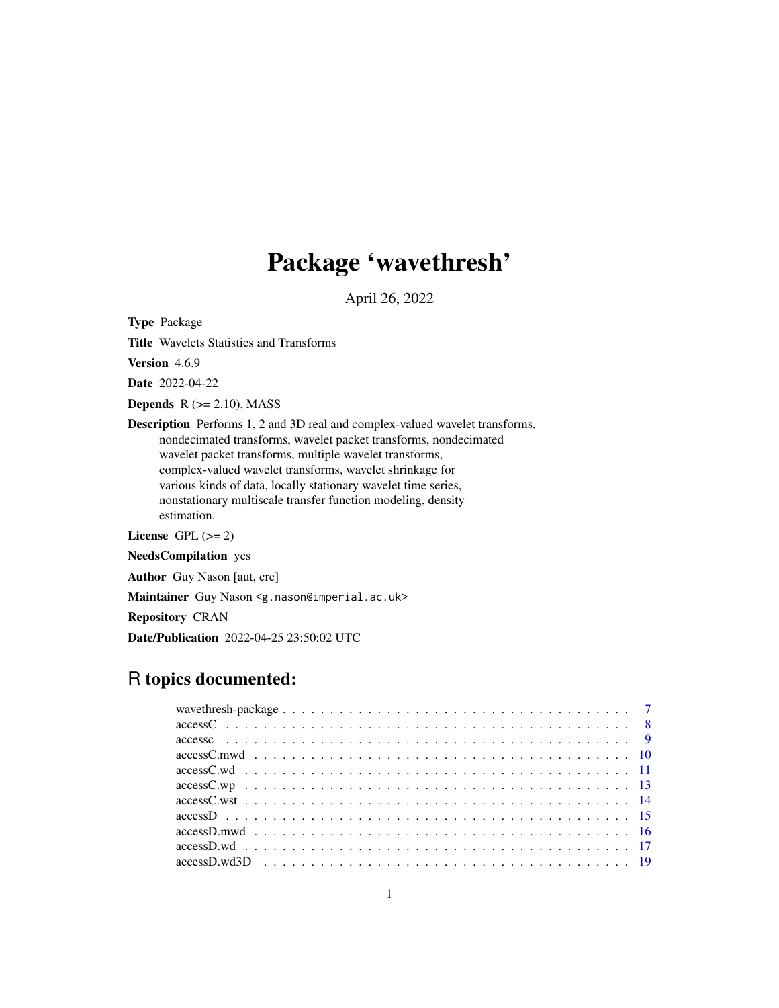# Package 'wavethresh'

April 26, 2022

Type Package

Title Wavelets Statistics and Transforms

Version 4.6.9

Date 2022-04-22

Depends  $R$  ( $>= 2.10$ ), MASS

Description Performs 1, 2 and 3D real and complex-valued wavelet transforms, nondecimated transforms, wavelet packet transforms, nondecimated wavelet packet transforms, multiple wavelet transforms, complex-valued wavelet transforms, wavelet shrinkage for various kinds of data, locally stationary wavelet time series, nonstationary multiscale transfer function modeling, density estimation.

License GPL  $(>= 2)$ 

NeedsCompilation yes

Author Guy Nason [aut, cre]

Maintainer Guy Nason <g.nason@imperial.ac.uk>

Repository CRAN

Date/Publication 2022-04-25 23:50:02 UTC

# R topics documented: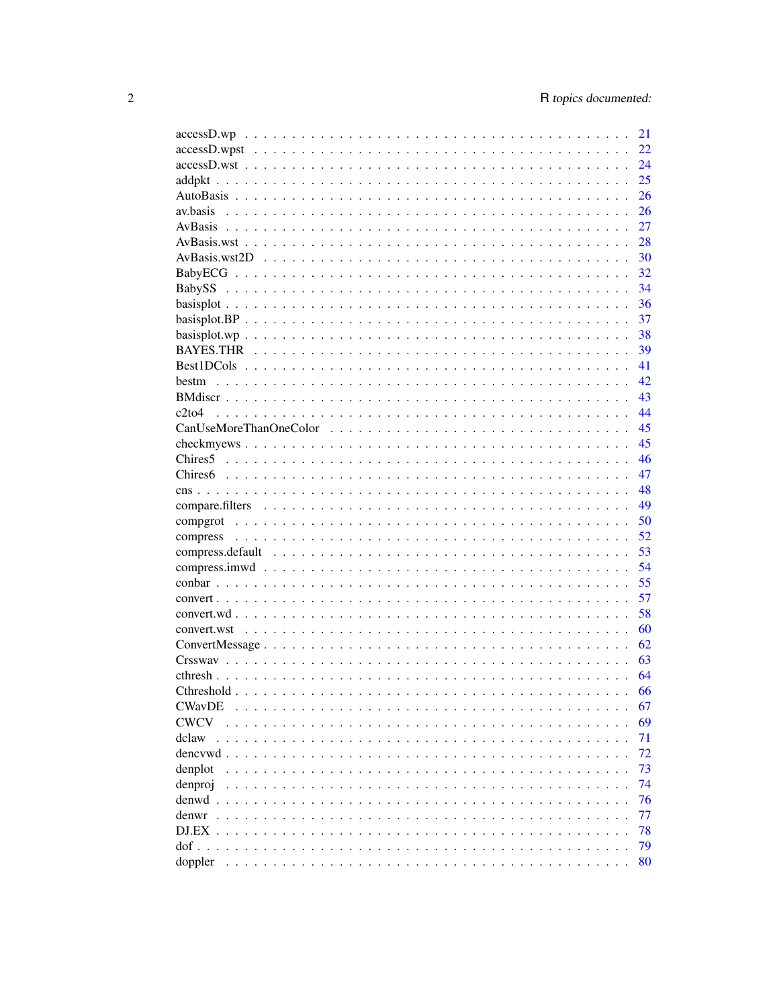|                                                                                                                               | 21 |
|-------------------------------------------------------------------------------------------------------------------------------|----|
|                                                                                                                               | 22 |
|                                                                                                                               | 24 |
|                                                                                                                               | 25 |
|                                                                                                                               | 26 |
| av.basis                                                                                                                      | 26 |
|                                                                                                                               | 27 |
|                                                                                                                               | 28 |
|                                                                                                                               | 30 |
|                                                                                                                               | 32 |
|                                                                                                                               | 34 |
|                                                                                                                               | 36 |
|                                                                                                                               | 37 |
|                                                                                                                               | 38 |
|                                                                                                                               | 39 |
|                                                                                                                               | 41 |
| bestm                                                                                                                         | 42 |
|                                                                                                                               | 43 |
| $c2$ to $4$                                                                                                                   | 44 |
|                                                                                                                               | 45 |
|                                                                                                                               | 45 |
|                                                                                                                               | 46 |
|                                                                                                                               | 47 |
|                                                                                                                               | 48 |
|                                                                                                                               | 49 |
|                                                                                                                               | 50 |
|                                                                                                                               | 52 |
|                                                                                                                               | 53 |
|                                                                                                                               | 54 |
|                                                                                                                               | 55 |
|                                                                                                                               | 57 |
|                                                                                                                               | 58 |
|                                                                                                                               | 60 |
|                                                                                                                               | 62 |
|                                                                                                                               | 63 |
|                                                                                                                               | 64 |
|                                                                                                                               | 66 |
| <b>CWavDE</b>                                                                                                                 | 67 |
| <b>CWCV</b>                                                                                                                   | 69 |
| dclaw                                                                                                                         | 71 |
| dencywd.                                                                                                                      | 72 |
| denplot                                                                                                                       | 73 |
| denproj                                                                                                                       | 74 |
| denwd                                                                                                                         | 76 |
|                                                                                                                               |    |
| denwr                                                                                                                         | 77 |
| $DJ.EX$ .<br>$\mathbf{L}$<br>$\ddot{\phantom{a}}$<br>$\ddot{\phantom{a}}$                                                     | 78 |
| $dof \ldots$<br>$\mathbf{r}$ . The set of $\mathbf{r}$<br>$\mathbf{r}$ . The state of the state $\mathbf{r}$<br>$\sim$ $\sim$ | 79 |
| doppler                                                                                                                       | 80 |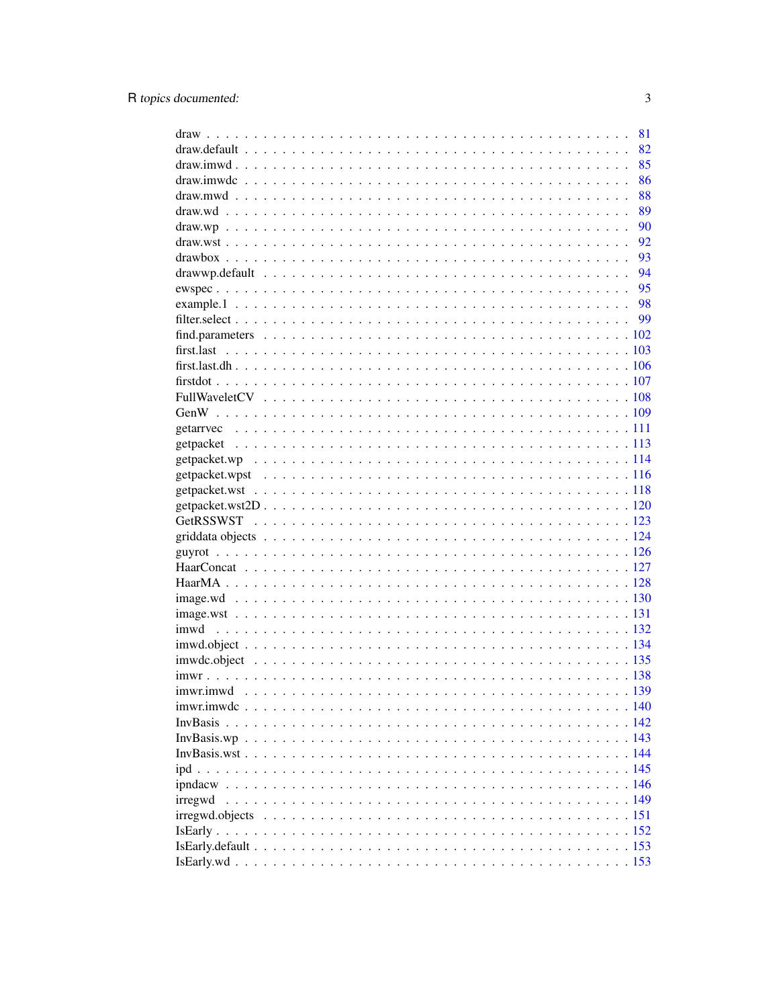|         | 81 |
|---------|----|
|         | 82 |
|         | 85 |
|         | 86 |
|         | 88 |
|         | 89 |
|         | 90 |
|         | 92 |
|         | 93 |
|         | 94 |
|         | 95 |
|         | 98 |
|         |    |
|         |    |
|         |    |
|         |    |
|         |    |
|         |    |
|         |    |
|         |    |
|         |    |
|         |    |
|         |    |
|         |    |
|         |    |
|         |    |
|         |    |
|         |    |
|         |    |
|         |    |
|         |    |
|         |    |
|         |    |
|         |    |
|         |    |
|         |    |
|         |    |
|         |    |
|         |    |
|         |    |
|         |    |
|         |    |
|         |    |
|         |    |
| irregwd |    |
|         |    |
|         |    |
|         |    |
|         |    |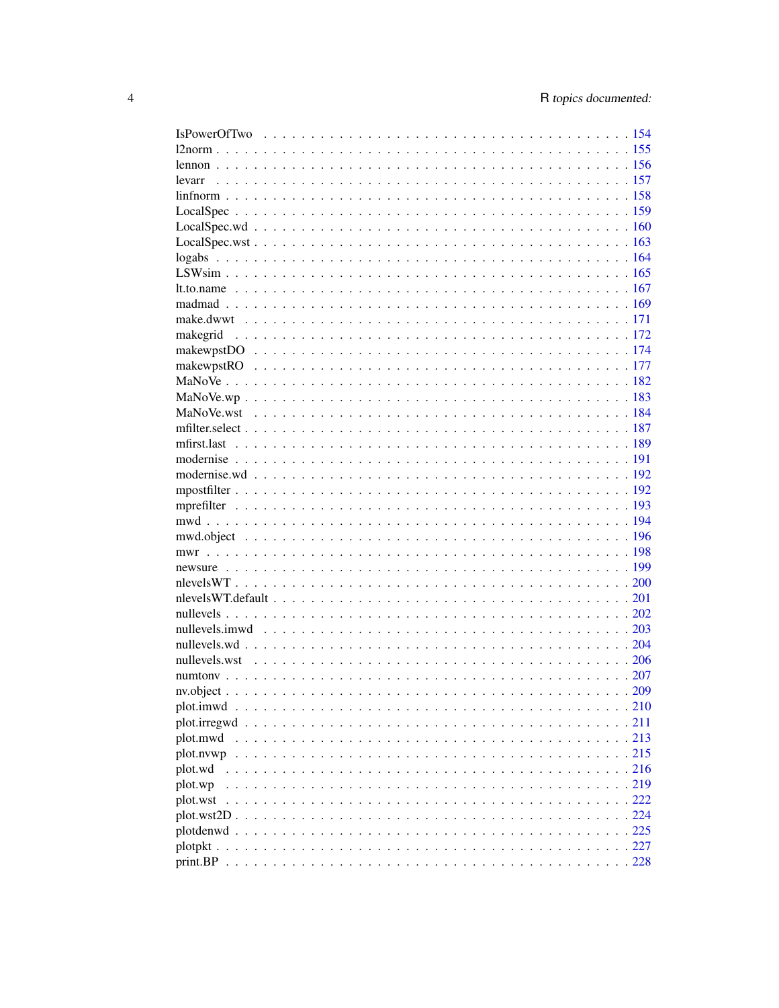| $nv. object                209$ |  |
|---------------------------------|--|
|                                 |  |
|                                 |  |
| plot.mwd                        |  |
| plot.nvwp                       |  |
| plot.wd                         |  |
| plot.wp                         |  |
| plot.wst                        |  |
|                                 |  |
|                                 |  |
|                                 |  |
|                                 |  |
|                                 |  |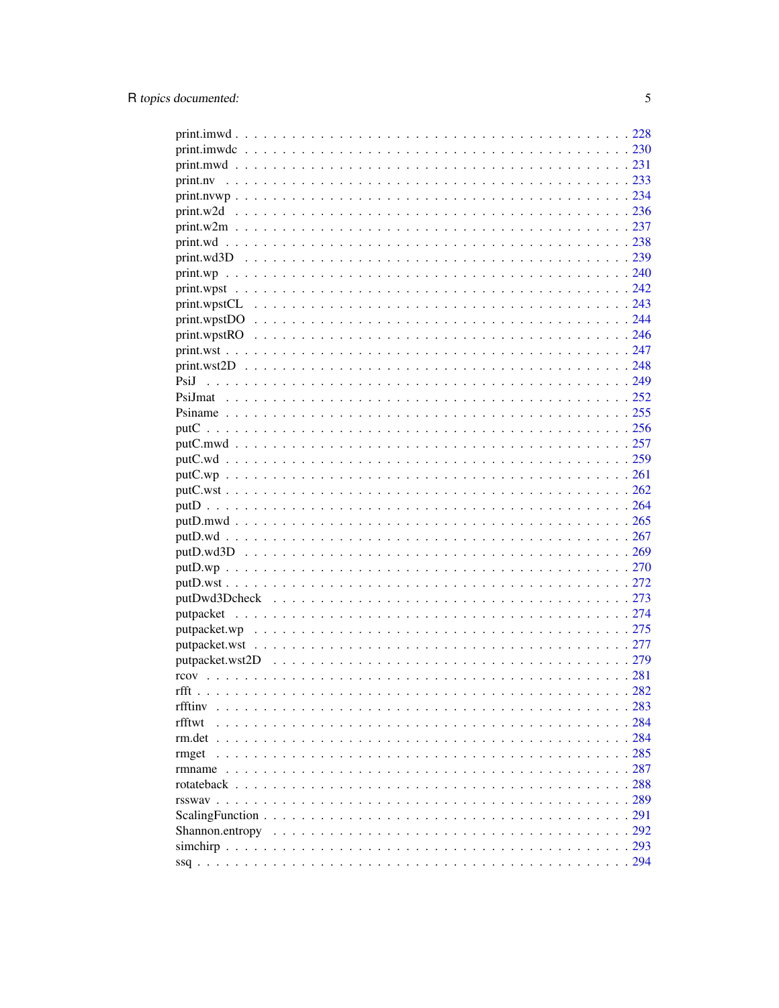| rfftiny                                                                                                                 |     |
|-------------------------------------------------------------------------------------------------------------------------|-----|
| $\ldots$<br>rfftwt                                                                                                      |     |
| $\ddot{\phantom{a}}$                                                                                                    |     |
|                                                                                                                         |     |
| rmget                                                                                                                   |     |
|                                                                                                                         |     |
|                                                                                                                         |     |
|                                                                                                                         | 289 |
| $ScalingFunction \dots \dots \dots \dots \dots \dots \dots \dots \dots \dots \dots \dots \dots \dots \dots \dots \dots$ | 291 |
|                                                                                                                         |     |
|                                                                                                                         |     |
|                                                                                                                         |     |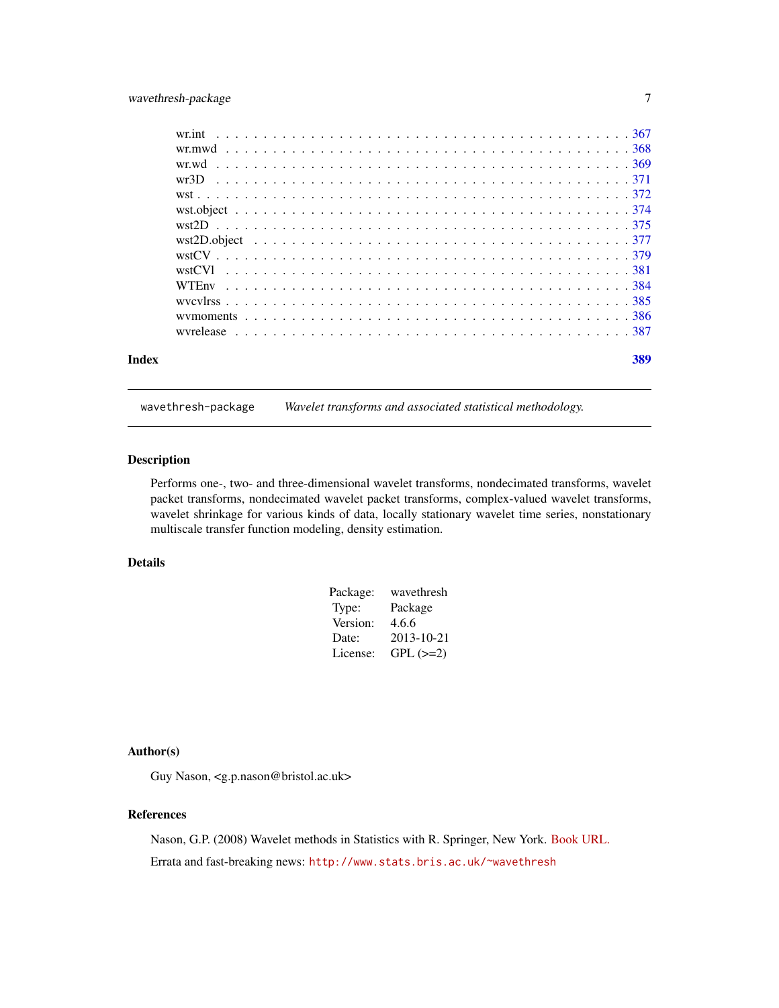# <span id="page-6-0"></span>wavethresh-package 7

|       | wyrelease experience in the contract of the contract of the contract of the contract of the state of the state of the state of the state of the state of the state of the state of the state of the state of the state of the |  |  |  |  |  |  |  |  |  |  |  |  |  |  |  |  |  |     |
|-------|-------------------------------------------------------------------------------------------------------------------------------------------------------------------------------------------------------------------------------|--|--|--|--|--|--|--|--|--|--|--|--|--|--|--|--|--|-----|
| Index |                                                                                                                                                                                                                               |  |  |  |  |  |  |  |  |  |  |  |  |  |  |  |  |  | 389 |

wavethresh-package *Wavelet transforms and associated statistical methodology.*

#### Description

Performs one-, two- and three-dimensional wavelet transforms, nondecimated transforms, wavelet packet transforms, nondecimated wavelet packet transforms, complex-valued wavelet transforms, wavelet shrinkage for various kinds of data, locally stationary wavelet time series, nonstationary multiscale transfer function modeling, density estimation.

# Details

| Package: | wavethresh    |
|----------|---------------|
| Type:    | Package       |
| Version: | 4.6.6         |
| Date:    | 2013-10-21    |
| License: | $GPL$ $(>=2)$ |

# Author(s)

Guy Nason, <g.p.nason@bristol.ac.uk>

#### References

Nason, G.P. (2008) Wavelet methods in Statistics with R. Springer, New York. [Book URL.](https://link.springer.com/statistics/statistical+theory+and+methods/book/978-0-387-75960-9) Errata and fast-breaking news: <http://www.stats.bris.ac.uk/~wavethresh>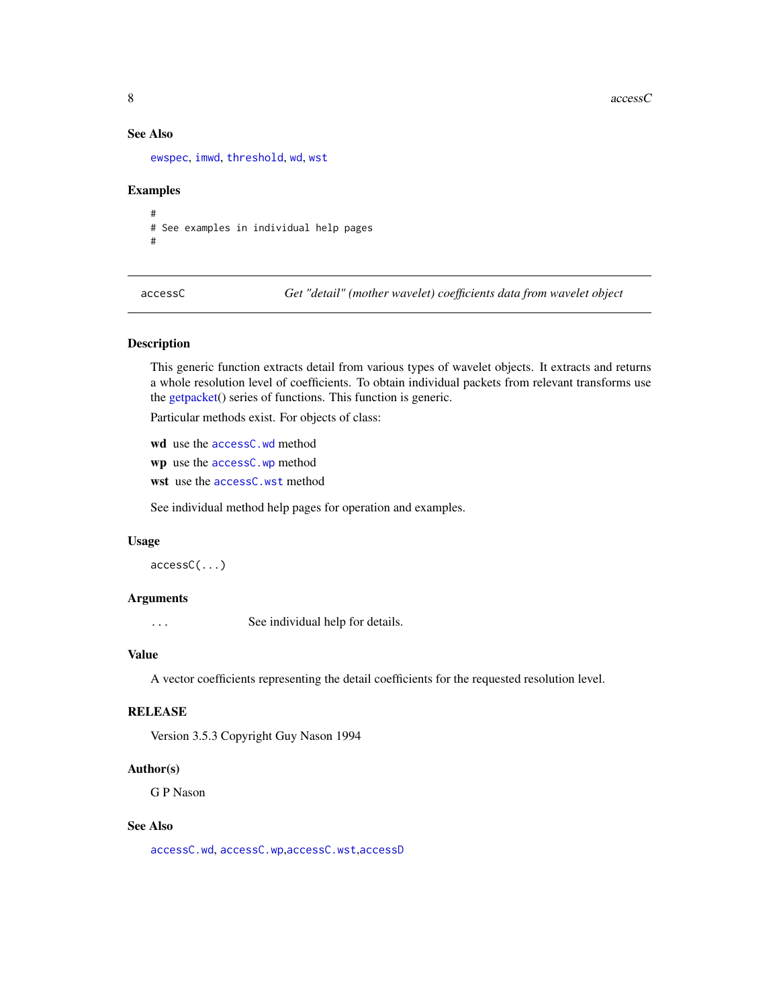<span id="page-7-0"></span>8 accessO

# See Also

[ewspec](#page-94-1), [imwd](#page-131-1), [threshold](#page-307-1), [wd](#page-344-1), [wst](#page-371-1)

#### Examples

# # See examples in individual help pages #

<span id="page-7-1"></span>accessC *Get "detail" (mother wavelet) coefficients data from wavelet object*

# Description

This generic function extracts detail from various types of wavelet objects. It extracts and returns a whole resolution level of coefficients. To obtain individual packets from relevant transforms use the [getpacket\(](#page-112-1)) series of functions. This function is generic.

Particular methods exist. For objects of class:

wd use the [accessC.wd](#page-10-1) method

wp use the [accessC.wp](#page-12-1) method

wst use the [accessC.wst](#page-13-1) method

See individual method help pages for operation and examples.

#### Usage

accessC(...)

#### Arguments

... See individual help for details.

#### Value

A vector coefficients representing the detail coefficients for the requested resolution level.

#### RELEASE

Version 3.5.3 Copyright Guy Nason 1994

#### Author(s)

G P Nason

# See Also

[accessC.wd](#page-10-1), [accessC.wp](#page-12-1),[accessC.wst](#page-13-1),[accessD](#page-14-1)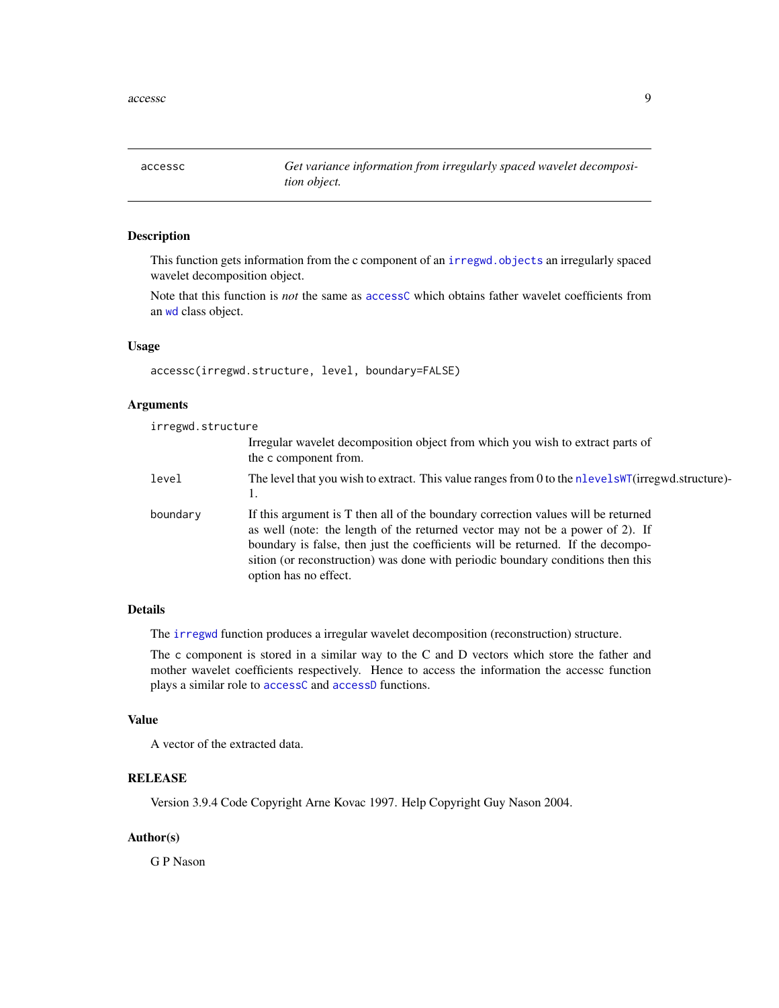<span id="page-8-0"></span>accessc *Get variance information from irregularly spaced wavelet decomposition object.*

#### Description

This function gets information from the c component of an [irregwd.objects](#page-150-1) an irregularly spaced wavelet decomposition object.

Note that this function is *not* the same as [accessC](#page-7-1) which obtains father wavelet coefficients from an [wd](#page-344-1) class object.

#### Usage

accessc(irregwd.structure, level, boundary=FALSE)

# Arguments

irregwd.structure

|          | Irregular wavelet decomposition object from which you wish to extract parts of<br>the c component from.                                                                                                                                                                                                                                                           |
|----------|-------------------------------------------------------------------------------------------------------------------------------------------------------------------------------------------------------------------------------------------------------------------------------------------------------------------------------------------------------------------|
| level    | The level that you wish to extract. This value ranges from 0 to the nlevels NT (irregwd.structure)-<br>1.                                                                                                                                                                                                                                                         |
| boundary | If this argument is T then all of the boundary correction values will be returned<br>as well (note: the length of the returned vector may not be a power of 2). If<br>boundary is false, then just the coefficients will be returned. If the decompo-<br>sition (or reconstruction) was done with periodic boundary conditions then this<br>option has no effect. |

# Details

The [irregwd](#page-148-1) function produces a irregular wavelet decomposition (reconstruction) structure.

The c component is stored in a similar way to the C and D vectors which store the father and mother wavelet coefficients respectively. Hence to access the information the accessc function plays a similar role to [accessC](#page-7-1) and [accessD](#page-14-1) functions.

#### Value

A vector of the extracted data.

# RELEASE

Version 3.9.4 Code Copyright Arne Kovac 1997. Help Copyright Guy Nason 2004.

# Author(s)

G P Nason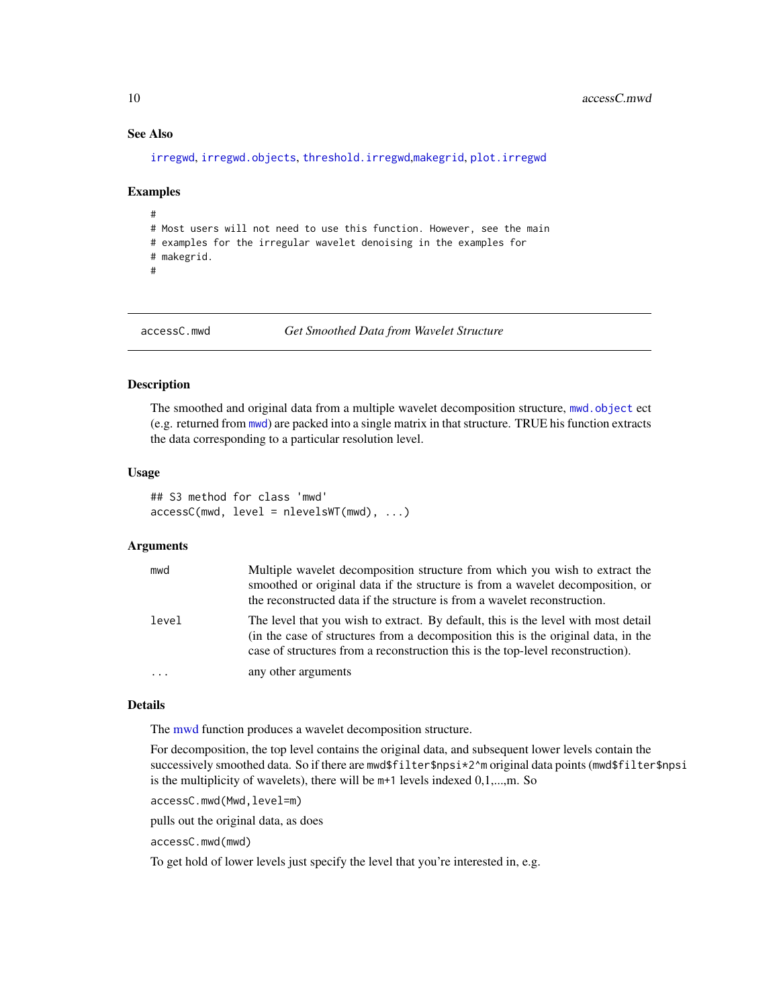# <span id="page-9-0"></span>See Also

[irregwd](#page-148-1), [irregwd.objects](#page-150-1), [threshold.irregwd](#page-313-1),[makegrid](#page-171-1), [plot.irregwd](#page-210-1)

#### Examples

```
#
# Most users will not need to use this function. However, see the main
# examples for the irregular wavelet denoising in the examples for
# makegrid.
#
```

```
accessC.mwd Get Smoothed Data from Wavelet Structure
```
#### Description

The smoothed and original data from a multiple wavelet decomposition structure, [mwd.object](#page-195-1) ect (e.g. returned from [mwd](#page-193-1)) are packed into a single matrix in that structure. TRUE his function extracts the data corresponding to a particular resolution level.

#### Usage

```
## S3 method for class 'mwd'
accessC(mwd, level = nlevelsWT(mwd), ...)
```
# Arguments

| mwd      | Multiple wavelet decomposition structure from which you wish to extract the<br>smoothed or original data if the structure is from a wavelet decomposition, or<br>the reconstructed data if the structure is from a wavelet reconstruction.                 |
|----------|------------------------------------------------------------------------------------------------------------------------------------------------------------------------------------------------------------------------------------------------------------|
| level    | The level that you wish to extract. By default, this is the level with most detail<br>(in the case of structures from a decomposition this is the original data, in the<br>case of structures from a reconstruction this is the top-level reconstruction). |
| $\cdots$ | any other arguments                                                                                                                                                                                                                                        |

#### Details

The [mwd](#page-193-1) function produces a wavelet decomposition structure.

For decomposition, the top level contains the original data, and subsequent lower levels contain the successively smoothed data. So if there are mwd\$filter\$npsi\*2^m original data points (mwd\$filter\$npsi is the multiplicity of wavelets), there will be m+1 levels indexed 0,1,...,m. So

accessC.mwd(Mwd,level=m)

pulls out the original data, as does

accessC.mwd(mwd)

To get hold of lower levels just specify the level that you're interested in, e.g.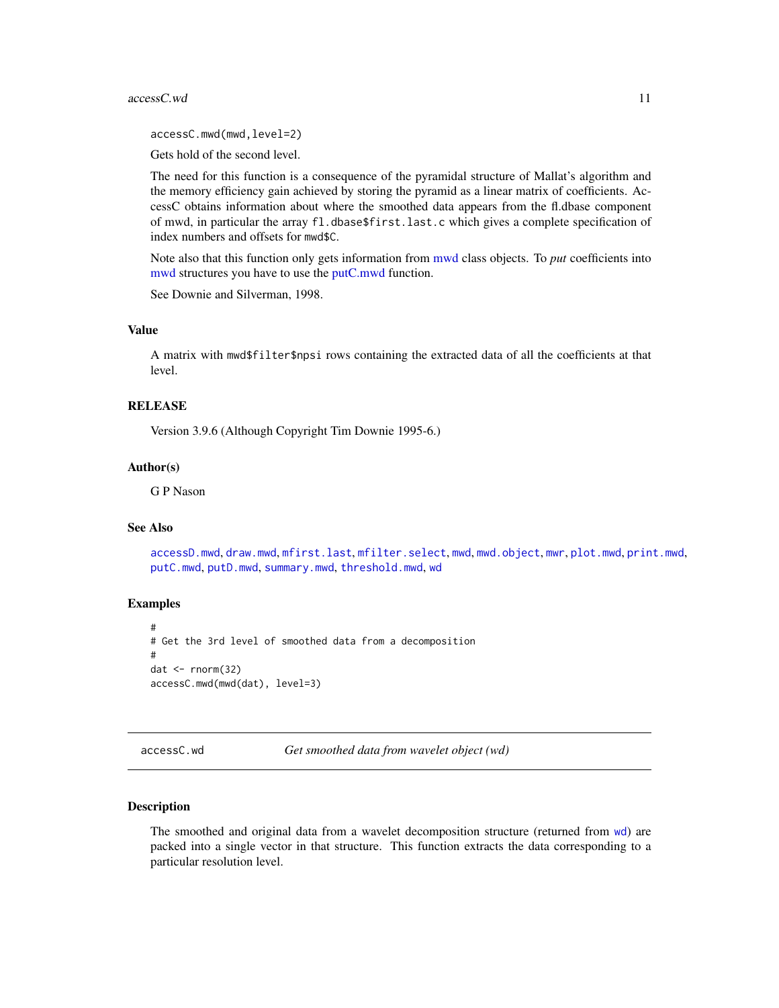#### <span id="page-10-0"></span>accessC.wd 11

accessC.mwd(mwd,level=2)

Gets hold of the second level.

The need for this function is a consequence of the pyramidal structure of Mallat's algorithm and the memory efficiency gain achieved by storing the pyramid as a linear matrix of coefficients. AccessC obtains information about where the smoothed data appears from the fl.dbase component of mwd, in particular the array fl.dbase\$first.last.c which gives a complete specification of index numbers and offsets for mwd\$C.

Note also that this function only gets information from [mwd](#page-193-1) class objects. To *put* coefficients into [mwd](#page-193-1) structures you have to use the [putC.mwd](#page-256-1) function.

See Downie and Silverman, 1998.

# Value

A matrix with mwd\$filter\$npsi rows containing the extracted data of all the coefficients at that level.

# RELEASE

Version 3.9.6 (Although Copyright Tim Downie 1995-6.)

#### Author(s)

G P Nason

#### See Also

[accessD.mwd](#page-15-1), [draw.mwd](#page-87-1), [mfirst.last](#page-188-1), [mfilter.select](#page-186-1), [mwd](#page-193-1), [mwd.object](#page-195-1), [mwr](#page-197-1), [plot.mwd](#page-212-1), [print.mwd](#page-230-1), [putC.mwd](#page-256-1), [putD.mwd](#page-264-1), [summary.mwd](#page-296-1), [threshold.mwd](#page-315-1), [wd](#page-344-1)

#### Examples

```
#
# Get the 3rd level of smoothed data from a decomposition
#
dat \leftarrow rnorm(32)accessC.mwd(mwd(dat), level=3)
```
<span id="page-10-1"></span>accessC.wd *Get smoothed data from wavelet object (wd)*

#### Description

The smoothed and original data from a wavelet decomposition structure (returned from [wd](#page-344-1)) are packed into a single vector in that structure. This function extracts the data corresponding to a particular resolution level.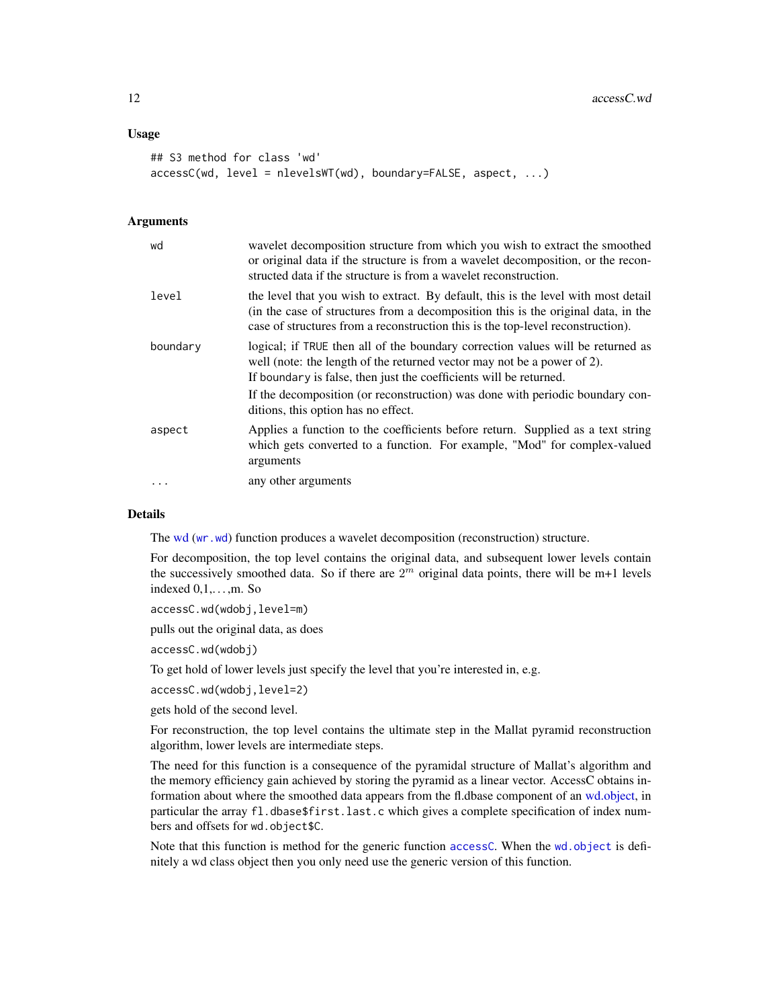# Usage

```
## S3 method for class 'wd'
accessC(wd, level = nlevelsWT(wd), boundary=False, aspect, ...)
```
#### Arguments

| wd       | wavelet decomposition structure from which you wish to extract the smoothed<br>or original data if the structure is from a wavelet decomposition, or the recon-<br>structed data if the structure is from a wavelet reconstruction.                        |
|----------|------------------------------------------------------------------------------------------------------------------------------------------------------------------------------------------------------------------------------------------------------------|
| level    | the level that you wish to extract. By default, this is the level with most detail<br>(in the case of structures from a decomposition this is the original data, in the<br>case of structures from a reconstruction this is the top-level reconstruction). |
| boundary | logical; if TRUE then all of the boundary correction values will be returned as<br>well (note: the length of the returned vector may not be a power of 2).<br>If boundary is false, then just the coefficients will be returned.                           |
|          | If the decomposition (or reconstruction) was done with periodic boundary con-<br>ditions, this option has no effect.                                                                                                                                       |
| aspect   | Applies a function to the coefficients before return. Supplied as a text string<br>which gets converted to a function. For example, "Mod" for complex-valued<br>arguments                                                                                  |
| .        | any other arguments                                                                                                                                                                                                                                        |

#### Details

The [wd](#page-344-1) ([wr.wd](#page-368-1)) function produces a wavelet decomposition (reconstruction) structure.

For decomposition, the top level contains the original data, and subsequent lower levels contain the successively smoothed data. So if there are  $2<sup>m</sup>$  original data points, there will be m+1 levels indexed  $0.1, \ldots$  .m. So

accessC.wd(wdobj,level=m)

pulls out the original data, as does

accessC.wd(wdobj)

To get hold of lower levels just specify the level that you're interested in, e.g.

accessC.wd(wdobj,level=2)

gets hold of the second level.

For reconstruction, the top level contains the ultimate step in the Mallat pyramid reconstruction algorithm, lower levels are intermediate steps.

The need for this function is a consequence of the pyramidal structure of Mallat's algorithm and the memory efficiency gain achieved by storing the pyramid as a linear vector. AccessC obtains information about where the smoothed data appears from the fl.dbase component of an [wd.object,](#page-351-1) in particular the array fl.dbase\$first.last.c which gives a complete specification of index numbers and offsets for wd.object\$C.

Note that this function is method for the generic function [accessC](#page-7-1). When the [wd.object](#page-351-1) is definitely a wd class object then you only need use the generic version of this function.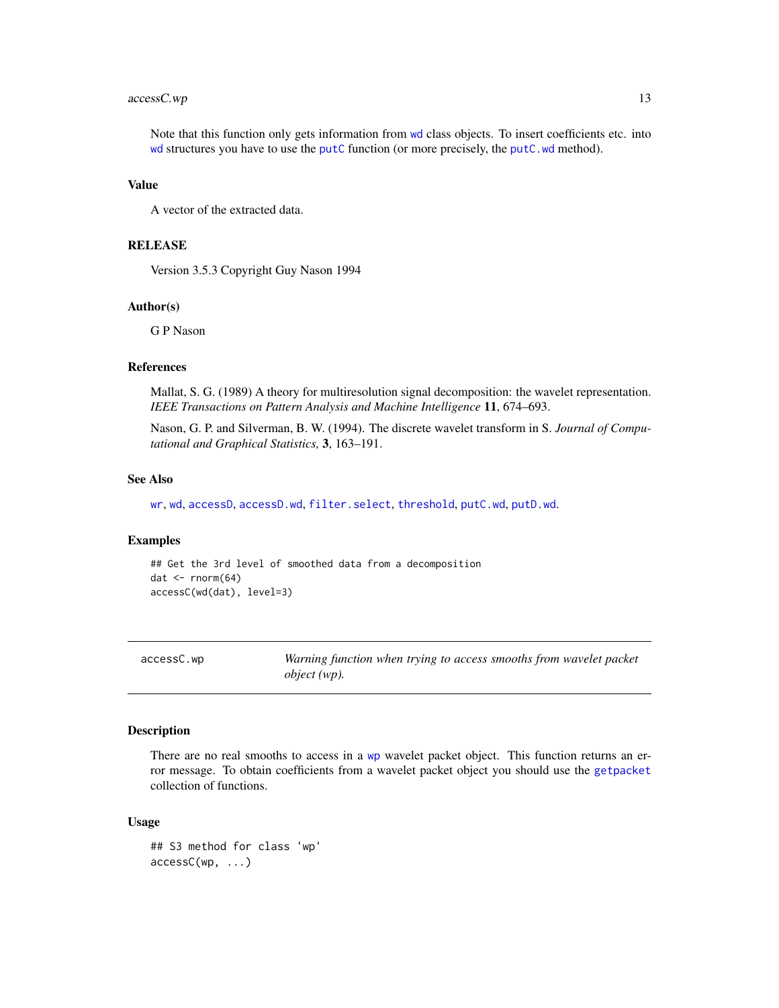# <span id="page-12-0"></span>accessC.wp 13

Note that this function only gets information from [wd](#page-344-1) class objects. To insert coefficients etc. into [wd](#page-344-1) structures you have to use the [putC](#page-255-1) function (or more precisely, the [putC.wd](#page-258-1) method).

#### Value

A vector of the extracted data.

# RELEASE

Version 3.5.3 Copyright Guy Nason 1994

#### Author(s)

G P Nason

#### References

Mallat, S. G. (1989) A theory for multiresolution signal decomposition: the wavelet representation. *IEEE Transactions on Pattern Analysis and Machine Intelligence* 11, 674–693.

Nason, G. P. and Silverman, B. W. (1994). The discrete wavelet transform in S. *Journal of Computational and Graphical Statistics,* 3, 163–191.

#### See Also

[wr](#page-365-1), [wd](#page-344-1), [accessD](#page-14-1), [accessD.wd](#page-16-1), [filter.select](#page-98-1), [threshold](#page-307-1), [putC.wd](#page-258-1), [putD.wd](#page-266-1).

# Examples

```
## Get the 3rd level of smoothed data from a decomposition
dat \leftarrow rnorm(64)
accessC(wd(dat), level=3)
```
<span id="page-12-1"></span>

| accessC.wp |
|------------|
|------------|

Warning function when trying to access smooths from wavelet packet *object (wp).*

#### Description

There are no real smooths to access in a [wp](#page-357-1) wavelet packet object. This function returns an error message. To obtain coefficients from a wavelet packet object you should use the [getpacket](#page-112-1) collection of functions.

#### Usage

```
## S3 method for class 'wp'
accessC(wp, ...)
```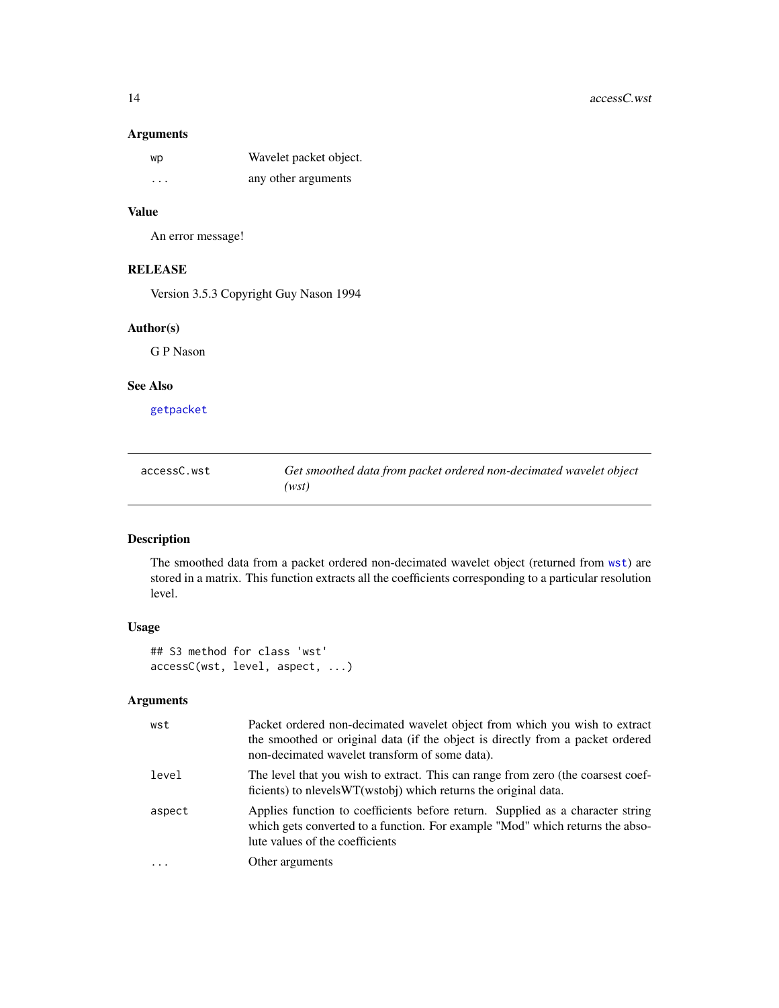# <span id="page-13-0"></span>Arguments

| wp                      | Wavelet packet object. |
|-------------------------|------------------------|
| $\cdot$ $\cdot$ $\cdot$ | any other arguments    |

# Value

An error message!

# RELEASE

Version 3.5.3 Copyright Guy Nason 1994

# Author(s)

G P Nason

# See Also

[getpacket](#page-112-1)

<span id="page-13-1"></span>

| accessC.wst | Get smoothed data from packet ordered non-decimated wavelet object |
|-------------|--------------------------------------------------------------------|
|             | (wst)                                                              |

# Description

The smoothed data from a packet ordered non-decimated wavelet object (returned from [wst](#page-371-1)) are stored in a matrix. This function extracts all the coefficients corresponding to a particular resolution level.

# Usage

## S3 method for class 'wst' accessC(wst, level, aspect, ...)

# Arguments

| wst     | Packet ordered non-decimated wavelet object from which you wish to extract<br>the smoothed or original data (if the object is directly from a packet ordered<br>non-decimated wavelet transform of some data). |
|---------|----------------------------------------------------------------------------------------------------------------------------------------------------------------------------------------------------------------|
| level   | The level that you wish to extract. This can range from zero (the coarsest coef-<br>ficients) to nevels WT(wstobi) which returns the original data.                                                            |
| aspect  | Applies function to coefficients before return. Supplied as a character string<br>which gets converted to a function. For example "Mod" which returns the abso-<br>lute values of the coefficients             |
| $\cdot$ | Other arguments                                                                                                                                                                                                |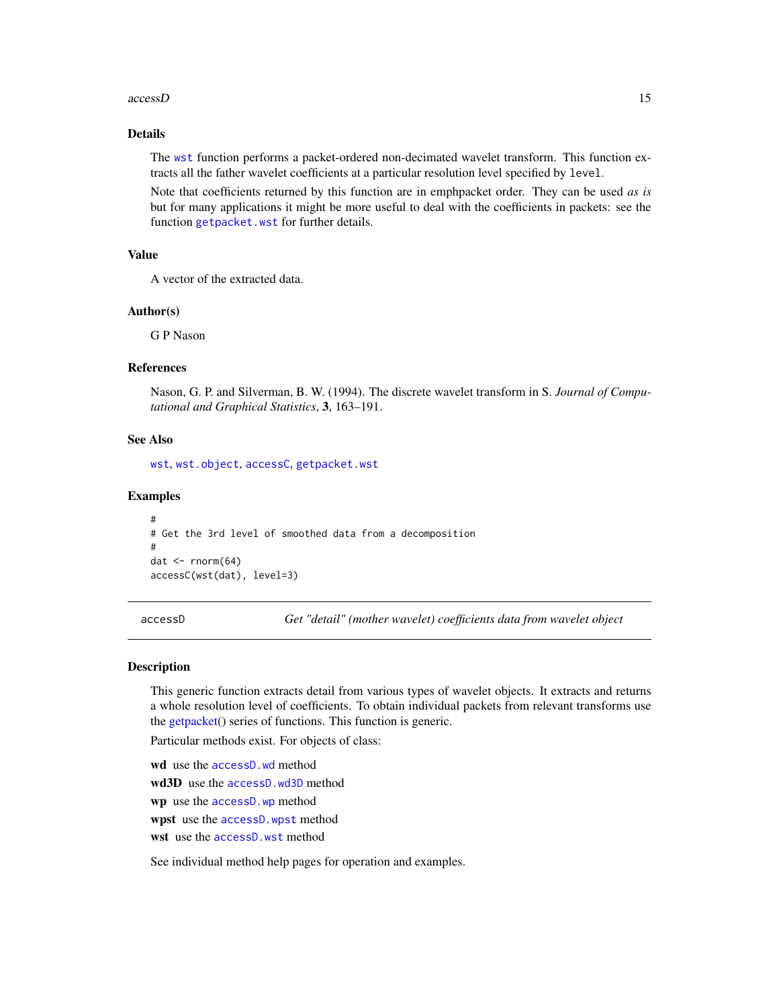#### <span id="page-14-0"></span>accessD 15

# Details

The [wst](#page-371-1) function performs a packet-ordered non-decimated wavelet transform. This function extracts all the father wavelet coefficients at a particular resolution level specified by level.

Note that coefficients returned by this function are in emphpacket order. They can be used *as is* but for many applications it might be more useful to deal with the coefficients in packets: see the function [getpacket.wst](#page-117-1) for further details.

#### Value

A vector of the extracted data.

#### Author(s)

G P Nason

# References

Nason, G. P. and Silverman, B. W. (1994). The discrete wavelet transform in S. *Journal of Computational and Graphical Statistics*, 3, 163–191.

# See Also

[wst](#page-371-1), [wst.object](#page-373-1), [accessC](#page-7-1), [getpacket.wst](#page-117-1)

#### Examples

```
#
# Get the 3rd level of smoothed data from a decomposition
#
dat \leftarrow rnorm(64)
accessC(wst(dat), level=3)
```
<span id="page-14-1"></span>accessD *Get "detail" (mother wavelet) coefficients data from wavelet object*

#### **Description**

This generic function extracts detail from various types of wavelet objects. It extracts and returns a whole resolution level of coefficients. To obtain individual packets from relevant transforms use the [getpacket\(](#page-112-1)) series of functions. This function is generic.

Particular methods exist. For objects of class:

wd use the [accessD.wd](#page-16-1) method wd3D use the [accessD.wd3D](#page-18-1) method wp use the [accessD.wp](#page-20-1) method wpst use the [accessD.wpst](#page-21-1) method wst use the accessD, wst method

See individual method help pages for operation and examples.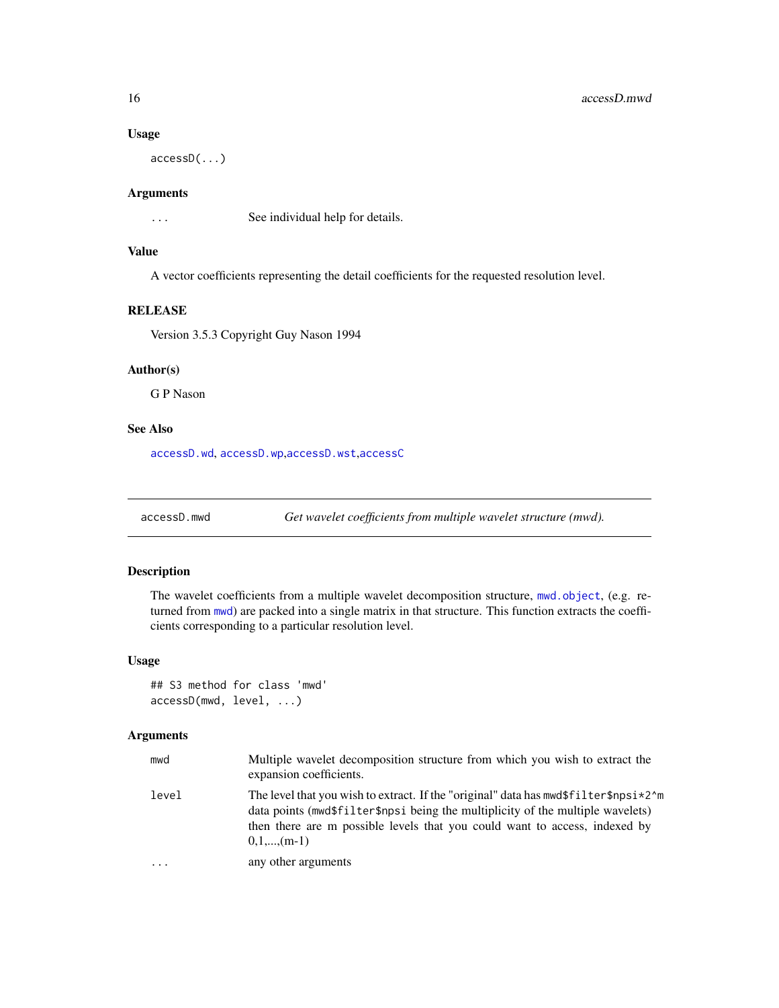### Usage

accessD(...)

# Arguments

... See individual help for details.

# Value

A vector coefficients representing the detail coefficients for the requested resolution level.

# RELEASE

Version 3.5.3 Copyright Guy Nason 1994

# Author(s)

G P Nason

# See Also

[accessD.wd](#page-16-1), [accessD.wp](#page-20-1),[accessD.wst](#page-23-1),[accessC](#page-7-1)

<span id="page-15-1"></span>accessD.mwd *Get wavelet coefficients from multiple wavelet structure (mwd).*

# Description

The wavelet coefficients from a multiple wavelet decomposition structure, [mwd.object](#page-195-1), (e.g. returned from [mwd](#page-193-1)) are packed into a single matrix in that structure. This function extracts the coefficients corresponding to a particular resolution level.

#### Usage

```
## S3 method for class 'mwd'
accessD(mwd, level, ...)
```
# Arguments

| mwd      | Multiple wavelet decomposition structure from which you wish to extract the<br>expansion coefficients.                                                                                                                                                                |
|----------|-----------------------------------------------------------------------------------------------------------------------------------------------------------------------------------------------------------------------------------------------------------------------|
| level    | The level that you wish to extract. If the "original" data has $mwd$filter$npsi*2^m$<br>data points (mwd\$filter\$npsi being the multiplicity of the multiple wavelets)<br>then there are m possible levels that you could want to access, indexed by<br>$0,1,,(m-1)$ |
| $\ddots$ | any other arguments                                                                                                                                                                                                                                                   |

<span id="page-15-0"></span>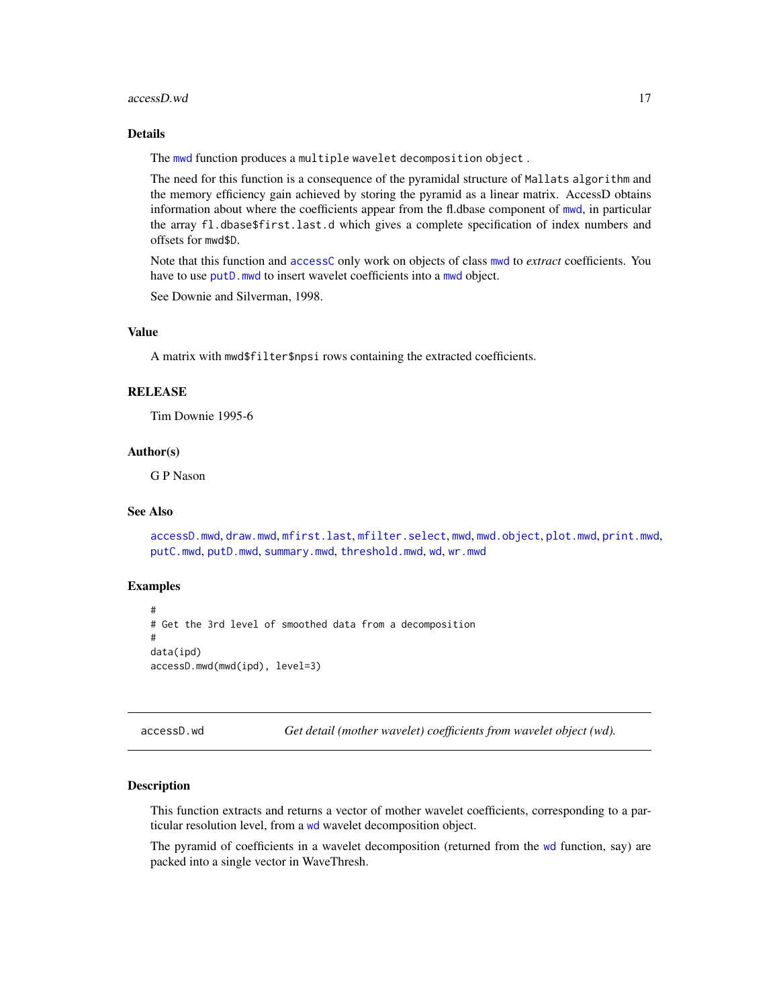#### <span id="page-16-0"></span>accessD.wd 17

# Details

The [mwd](#page-193-1) function produces a multiple wavelet decomposition object .

The need for this function is a consequence of the pyramidal structure of Mallats algorithm and the memory efficiency gain achieved by storing the pyramid as a linear matrix. AccessD obtains information about where the coefficients appear from the fl.dbase component of [mwd](#page-193-1), in particular the array fl.dbase\$first.last.d which gives a complete specification of index numbers and offsets for mwd\$D.

Note that this function and [accessC](#page-7-1) only work on objects of class [mwd](#page-193-1) to *extract* coefficients. You have to use putD, [mwd](#page-193-1) to insert wavelet coefficients into a mwd object.

See Downie and Silverman, 1998.

#### Value

A matrix with mwd\$filter\$npsi rows containing the extracted coefficients.

# **RELEASE**

Tim Downie 1995-6

#### Author(s)

G P Nason

# See Also

```
accessD.mwd, draw.mwd, mfirst.last, mfilter.select, mwd, mwd.object, plot.mwd, print.mwd,
putC.mwd, putD.mwd, summary.mwd, threshold.mwd, wd, wr.mwd
```
#### Examples

```
#
# Get the 3rd level of smoothed data from a decomposition
#
data(ipd)
accessD.mwd(mwd(ipd), level=3)
```
<span id="page-16-1"></span>accessD.wd *Get detail (mother wavelet) coefficients from wavelet object (wd).*

#### **Description**

This function extracts and returns a vector of mother wavelet coefficients, corresponding to a particular resolution level, from a [wd](#page-344-1) wavelet decomposition object.

The pyramid of coefficients in a wavelet decomposition (returned from the [wd](#page-344-1) function, say) are packed into a single vector in WaveThresh.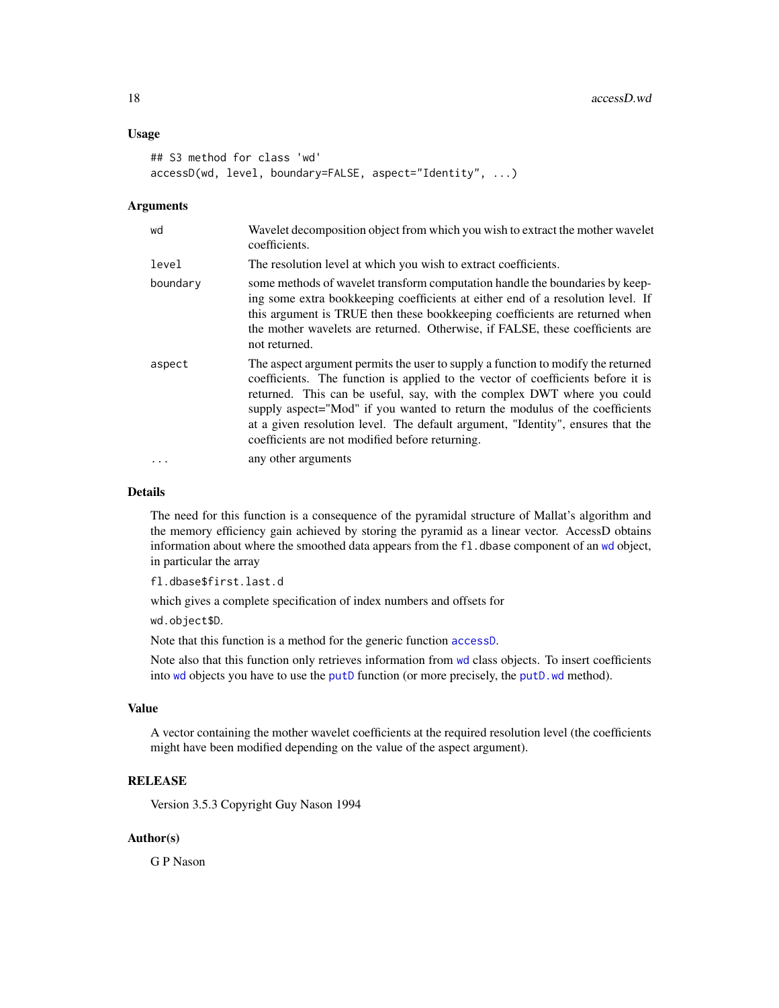# Usage

```
## S3 method for class 'wd'
accessD(wd, level, boundary=FALSE, aspect="Identity", ...)
```
# Arguments

| wd       | Wavelet decomposition object from which you wish to extract the mother wavelet<br>coefficients.                                                                                                                                                                                                                                                                                                                                                                      |
|----------|----------------------------------------------------------------------------------------------------------------------------------------------------------------------------------------------------------------------------------------------------------------------------------------------------------------------------------------------------------------------------------------------------------------------------------------------------------------------|
| level    | The resolution level at which you wish to extract coefficients.                                                                                                                                                                                                                                                                                                                                                                                                      |
| boundary | some methods of wavelet transform computation handle the boundaries by keep-<br>ing some extra bookkeeping coefficients at either end of a resolution level. If<br>this argument is TRUE then these bookkeeping coefficients are returned when<br>the mother wavelets are returned. Otherwise, if FALSE, these coefficients are<br>not returned.                                                                                                                     |
| aspect   | The aspect argument permits the user to supply a function to modify the returned<br>coefficients. The function is applied to the vector of coefficients before it is<br>returned. This can be useful, say, with the complex DWT where you could<br>supply aspect="Mod" if you wanted to return the modulus of the coefficients<br>at a given resolution level. The default argument, "Identity", ensures that the<br>coefficients are not modified before returning. |
| .        | any other arguments                                                                                                                                                                                                                                                                                                                                                                                                                                                  |

# Details

The need for this function is a consequence of the pyramidal structure of Mallat's algorithm and the memory efficiency gain achieved by storing the pyramid as a linear vector. AccessD obtains information about where the smoothed data appears from the fl. dbase component of an [wd](#page-344-1) object, in particular the array

fl.dbase\$first.last.d

which gives a complete specification of index numbers and offsets for

wd.object\$D.

Note that this function is a method for the generic function [accessD](#page-14-1).

Note also that this function only retrieves information from [wd](#page-344-1) class objects. To insert coefficients into [wd](#page-344-1) objects you have to use the [putD](#page-263-1) function (or more precisely, the [putD.wd](#page-266-1) method).

# Value

A vector containing the mother wavelet coefficients at the required resolution level (the coefficients might have been modified depending on the value of the aspect argument).

# **RELEASE**

Version 3.5.3 Copyright Guy Nason 1994

# Author(s)

G P Nason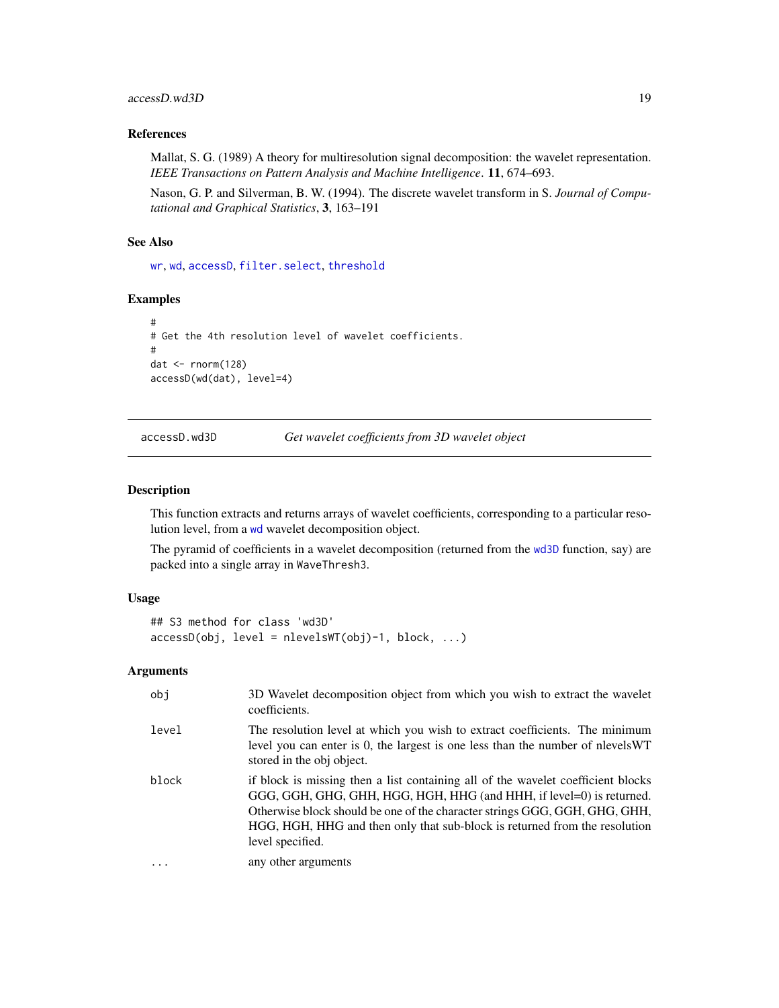# <span id="page-18-0"></span>accessD.wd3D 19

# References

Mallat, S. G. (1989) A theory for multiresolution signal decomposition: the wavelet representation. *IEEE Transactions on Pattern Analysis and Machine Intelligence*. 11, 674–693.

Nason, G. P. and Silverman, B. W. (1994). The discrete wavelet transform in S. *Journal of Computational and Graphical Statistics*, 3, 163–191

#### See Also

[wr](#page-365-1), [wd](#page-344-1), [accessD](#page-14-1), [filter.select](#page-98-1), [threshold](#page-307-1)

#### Examples

```
#
# Get the 4th resolution level of wavelet coefficients.
#
dat \leq rnorm(128)
accessD(wd(dat), level=4)
```
<span id="page-18-1"></span>accessD.wd3D *Get wavelet coefficients from 3D wavelet object*

# Description

This function extracts and returns arrays of wavelet coefficients, corresponding to a particular resolution level, from a [wd](#page-344-1) wavelet decomposition object.

The pyramid of coefficients in a wavelet decomposition (returned from the [wd3D](#page-353-1) function, say) are packed into a single array in WaveThresh3.

#### Usage

```
## S3 method for class 'wd3D'
accessD(obj, level = nlevelsWT(obj)-1, block, ...)
```
# Arguments

| obj      | 3D Wavelet decomposition object from which you wish to extract the wavelet<br>coefficients.                                                                                                                                                                                                                                              |
|----------|------------------------------------------------------------------------------------------------------------------------------------------------------------------------------------------------------------------------------------------------------------------------------------------------------------------------------------------|
| level    | The resolution level at which you wish to extract coefficients. The minimum<br>level you can enter is 0, the largest is one less than the number of nlevels WT<br>stored in the obj object.                                                                                                                                              |
| block    | if block is missing then a list containing all of the wavelet coefficient blocks<br>GGG, GGH, GHG, GHH, HGG, HGH, HHG (and HHH, if level=0) is returned.<br>Otherwise block should be one of the character strings GGG, GGH, GHG, GHH,<br>HGG, HGH, HHG and then only that sub-block is returned from the resolution<br>level specified. |
| $\ddots$ | any other arguments                                                                                                                                                                                                                                                                                                                      |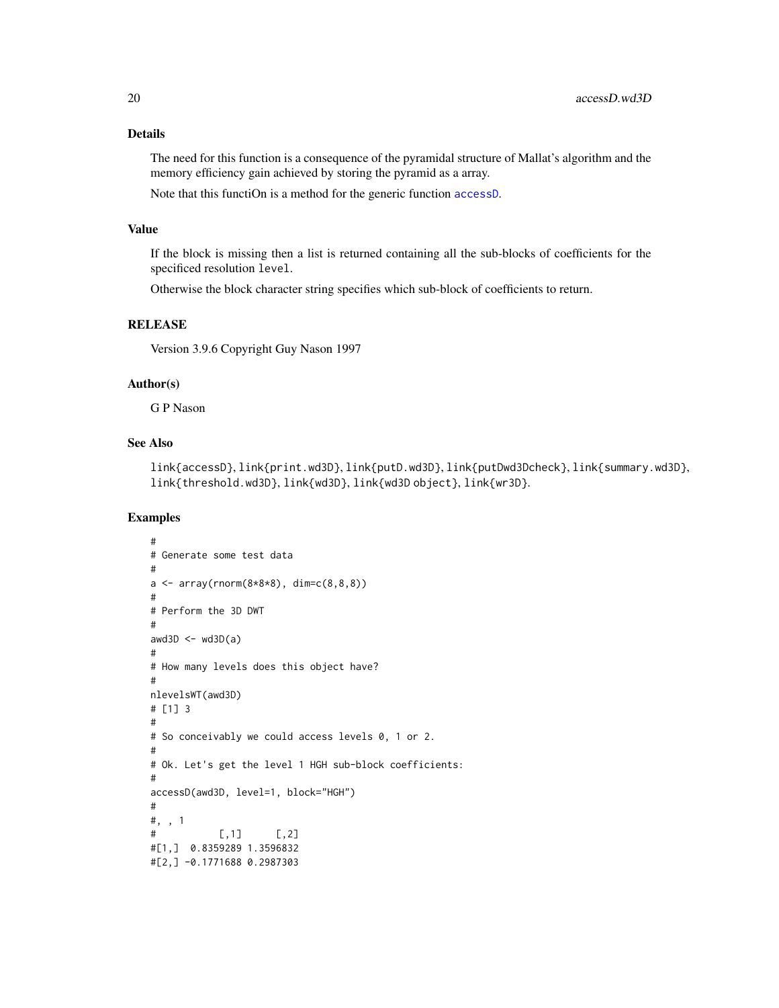The need for this function is a consequence of the pyramidal structure of Mallat's algorithm and the memory efficiency gain achieved by storing the pyramid as a array.

Note that this functiOn is a method for the generic function [accessD](#page-14-1).

#### Value

If the block is missing then a list is returned containing all the sub-blocks of coefficients for the specificed resolution level.

Otherwise the block character string specifies which sub-block of coefficients to return.

# **RELEASE**

Version 3.9.6 Copyright Guy Nason 1997

# Author(s)

G P Nason

### See Also

link{accessD}, link{print.wd3D}, link{putD.wd3D}, link{putDwd3Dcheck}, link{summary.wd3D}, link{threshold.wd3D}, link{wd3D}, link{wd3D object}, link{wr3D}.

# Examples

```
#
# Generate some test data
#
a \leq \arctan(\arctan(8*8*8), \, \dim = c(8, 8, 8))#
# Perform the 3D DWT
#
awd3D \leq wd3D(a)
#
# How many levels does this object have?
#
nlevelsWT(awd3D)
# [1] 3
#
# So conceivably we could access levels 0, 1 or 2.
#
# Ok. Let's get the level 1 HGH sub-block coefficients:
#
accessD(awd3D, level=1, block="HGH")
#
#, , 1
# [,1] [,2]
#[1,] 0.8359289 1.3596832
#[2,] -0.1771688 0.2987303
```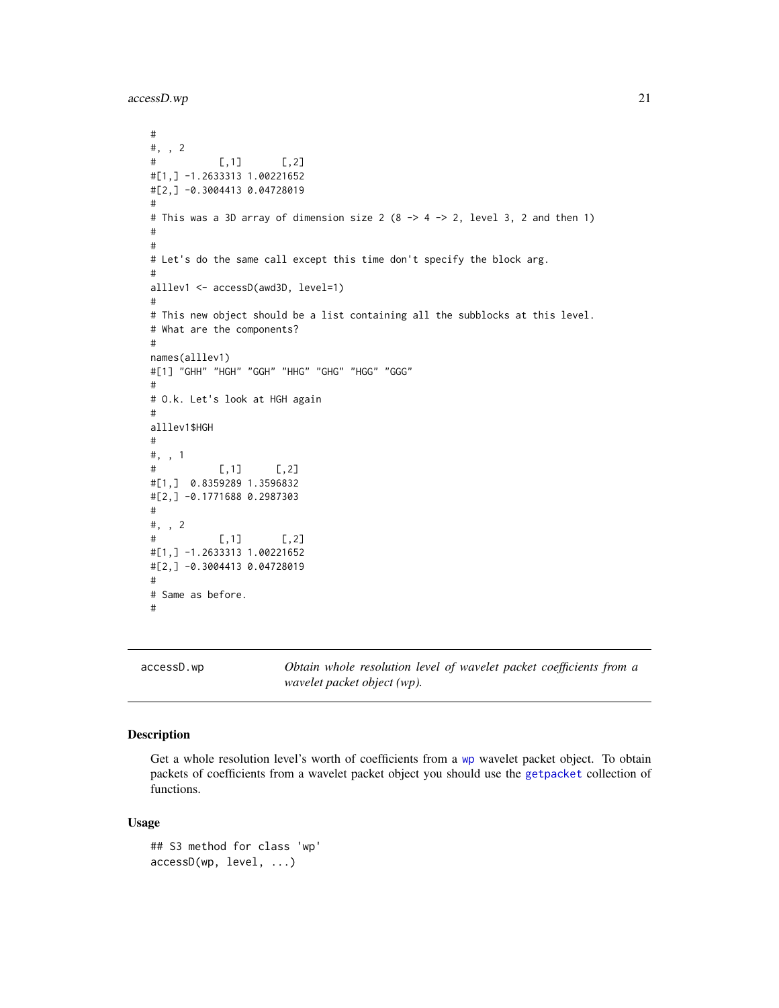<span id="page-20-0"></span>accessD.wp 21

```
#
#, , 2
# [,1] [,2]
#[1,] -1.2633313 1.00221652
#[2,] -0.3004413 0.04728019
#
# This was a 3D array of dimension size 2 (8 -> 4 -> 2, level 3, 2 and then 1)
#
#
# Let's do the same call except this time don't specify the block arg.
#
alllev1 <- accessD(awd3D, level=1)
#
# This new object should be a list containing all the subblocks at this level.
# What are the components?
#
names(alllev1)
#[1] "GHH" "HGH" "GGH" "HHG" "GHG" "HGG" "GGG"
#
# O.k. Let's look at HGH again
#
alllev1$HGH
#
#, , 1
# [,1] [,2]
#[1,] 0.8359289 1.3596832
#[2,] -0.1771688 0.2987303
#
#, , 2
# [,1] [,2]
#[1,] -1.2633313 1.00221652
#[2,] -0.3004413 0.04728019
#
# Same as before.
#
```
<span id="page-20-1"></span>accessD.wp *Obtain whole resolution level of wavelet packet coefficients from a wavelet packet object (wp).*

# Description

Get a whole resolution level's worth of coefficients from a [wp](#page-357-1) wavelet packet object. To obtain packets of coefficients from a wavelet packet object you should use the [getpacket](#page-112-1) collection of functions.

#### Usage

```
## S3 method for class 'wp'
accessD(wp, level, ...)
```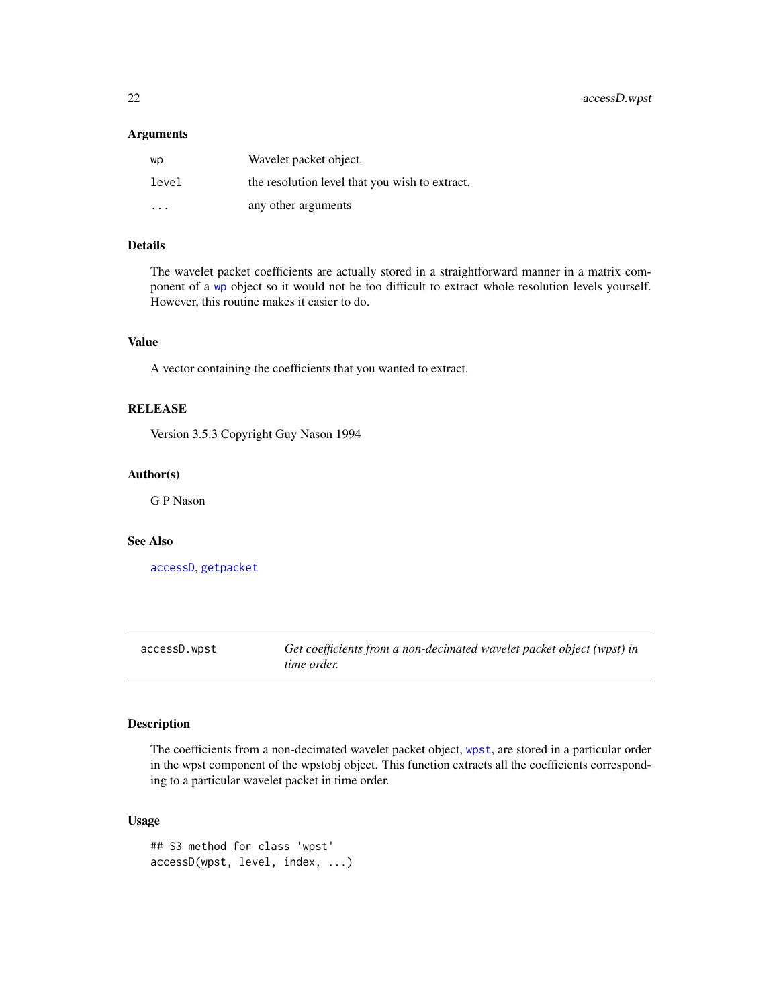#### <span id="page-21-0"></span>Arguments

| wp    | Wavelet packet object.                         |
|-------|------------------------------------------------|
| level | the resolution level that you wish to extract. |
| .     | any other arguments                            |

# Details

The wavelet packet coefficients are actually stored in a straightforward manner in a matrix component of a [wp](#page-357-1) object so it would not be too difficult to extract whole resolution levels yourself. However, this routine makes it easier to do.

# Value

A vector containing the coefficients that you wanted to extract.

# RELEASE

Version 3.5.3 Copyright Guy Nason 1994

# Author(s)

G P Nason

#### See Also

[accessD](#page-14-1), [getpacket](#page-112-1)

<span id="page-21-1"></span>accessD.wpst *Get coefficients from a non-decimated wavelet packet object (wpst) in time order.*

#### Description

The coefficients from a non-decimated wavelet packet object, [wpst](#page-359-1), are stored in a particular order in the wpst component of the wpstobj object. This function extracts all the coefficients corresponding to a particular wavelet packet in time order.

# Usage

```
## S3 method for class 'wpst'
accessD(wpst, level, index, ...)
```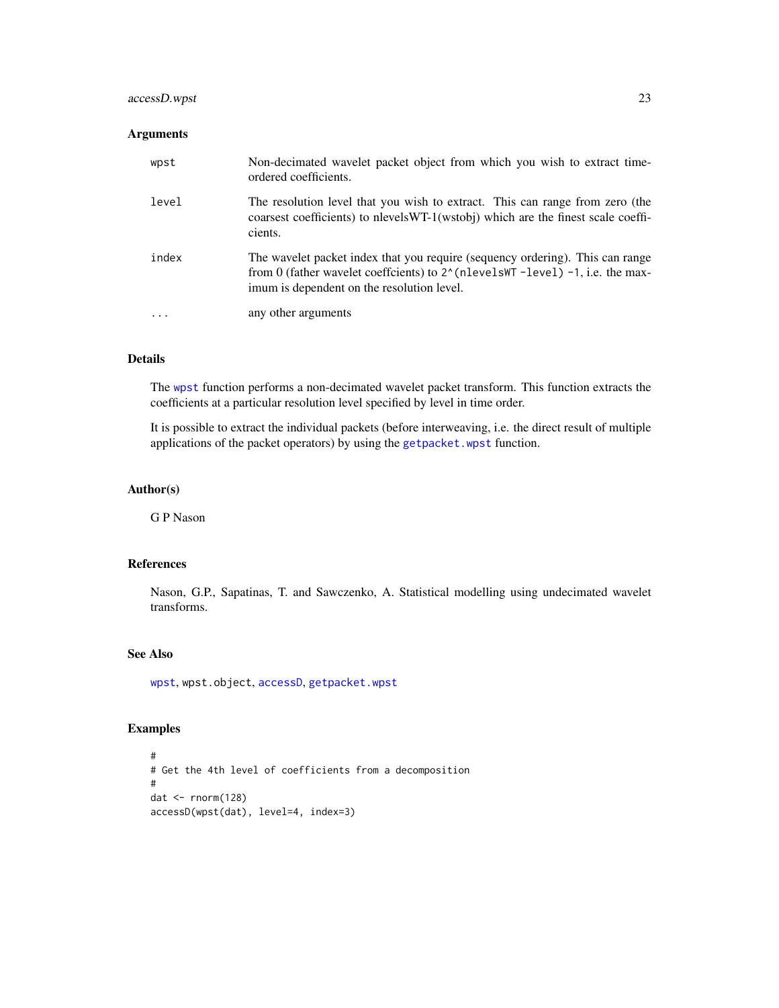# accessD.wpst 23

# Arguments

| wpst  | Non-decimated wavelet packet object from which you wish to extract time-<br>ordered coefficients.                                                                                                                       |
|-------|-------------------------------------------------------------------------------------------------------------------------------------------------------------------------------------------------------------------------|
| level | The resolution level that you wish to extract. This can range from zero (the<br>coarsest coefficients) to nlevels WT-1(wstobj) which are the finest scale coeffi-<br>cients.                                            |
| index | The wavelet packet index that you require (sequency ordering). This can range<br>from 0 (father wavelet coeffcients) to $2^{\wedge}$ (nlevelsWT -level) -1, i.e. the max-<br>imum is dependent on the resolution level. |
| .     | any other arguments                                                                                                                                                                                                     |

# Details

The [wpst](#page-359-1) function performs a non-decimated wavelet packet transform. This function extracts the coefficients at a particular resolution level specified by level in time order.

It is possible to extract the individual packets (before interweaving, i.e. the direct result of multiple applications of the packet operators) by using the [getpacket.wpst](#page-115-1) function.

# Author(s)

G P Nason

#### References

Nason, G.P., Sapatinas, T. and Sawczenko, A. Statistical modelling using undecimated wavelet transforms.

# See Also

[wpst](#page-359-1), wpst.object, [accessD](#page-14-1), [getpacket.wpst](#page-115-1)

# Examples

```
#
# Get the 4th level of coefficients from a decomposition
#
dat <- rnorm(128)
accessD(wpst(dat), level=4, index=3)
```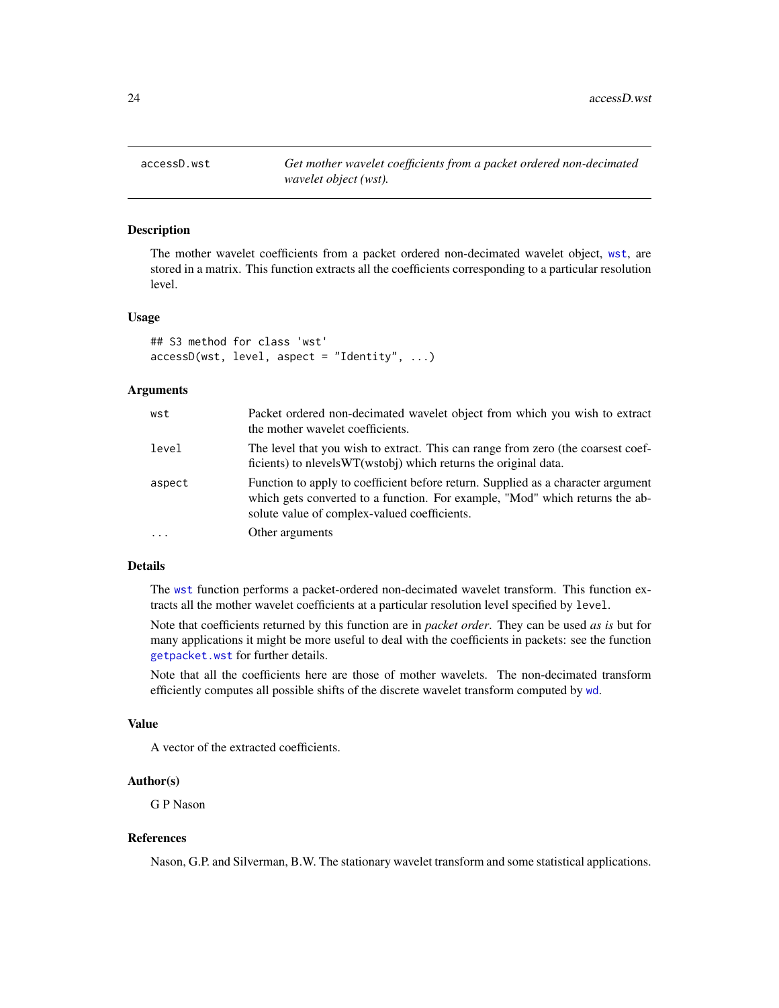<span id="page-23-1"></span><span id="page-23-0"></span>

# Description

The mother wavelet coefficients from a packet ordered non-decimated wavelet object, [wst](#page-371-1), are stored in a matrix. This function extracts all the coefficients corresponding to a particular resolution level.

#### Usage

```
## S3 method for class 'wst'
accessD(wst, level, aspect = "Identity", ...)
```
# Arguments

| wst    | Packet ordered non-decimated wavelet object from which you wish to extract<br>the mother wavelet coefficients.                                                                                                   |
|--------|------------------------------------------------------------------------------------------------------------------------------------------------------------------------------------------------------------------|
| level  | The level that you wish to extract. This can range from zero (the coarsest coef-<br>ficients) to nevels WT(wstobi) which returns the original data.                                                              |
| aspect | Function to apply to coefficient before return. Supplied as a character argument<br>which gets converted to a function. For example, "Mod" which returns the ab-<br>solute value of complex-valued coefficients. |
|        | Other arguments                                                                                                                                                                                                  |

# Details

The [wst](#page-371-1) function performs a packet-ordered non-decimated wavelet transform. This function extracts all the mother wavelet coefficients at a particular resolution level specified by level.

Note that coefficients returned by this function are in *packet order*. They can be used *as is* but for many applications it might be more useful to deal with the coefficients in packets: see the function [getpacket.wst](#page-117-1) for further details.

Note that all the coefficients here are those of mother wavelets. The non-decimated transform efficiently computes all possible shifts of the discrete wavelet transform computed by [wd](#page-344-1).

#### Value

A vector of the extracted coefficients.

#### Author(s)

G P Nason

#### References

Nason, G.P. and Silverman, B.W. The stationary wavelet transform and some statistical applications.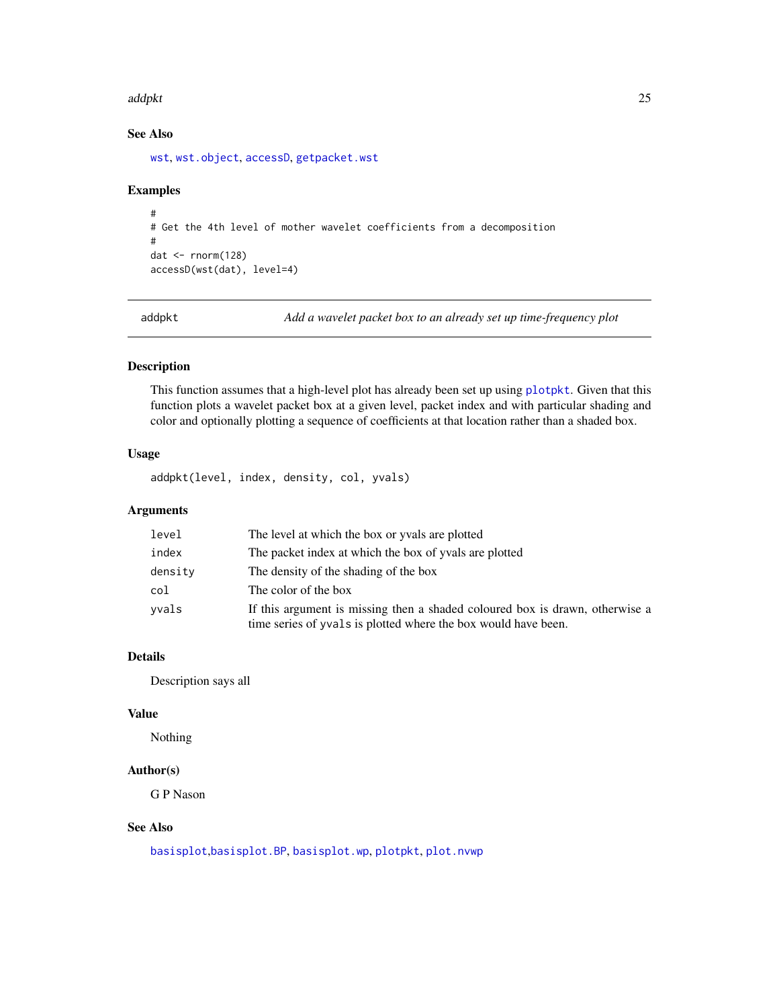#### <span id="page-24-0"></span>addpkt 25

# See Also

[wst](#page-371-1), [wst.object](#page-373-1), [accessD](#page-14-1), [getpacket.wst](#page-117-1)

#### Examples

```
#
# Get the 4th level of mother wavelet coefficients from a decomposition
#
dat \leq rnorm(128)
accessD(wst(dat), level=4)
```
addpkt *Add a wavelet packet box to an already set up time-frequency plot*

# Description

This function assumes that a high-level plot has already been set up using [plotpkt](#page-226-1). Given that this function plots a wavelet packet box at a given level, packet index and with particular shading and color and optionally plotting a sequence of coefficients at that location rather than a shaded box.

# Usage

addpkt(level, index, density, col, yvals)

# Arguments

| level   | The level at which the box or yvals are plotted                                                                                                |
|---------|------------------------------------------------------------------------------------------------------------------------------------------------|
| index   | The packet index at which the box of yvals are plotted                                                                                         |
| density | The density of the shading of the box                                                                                                          |
| col     | The color of the box                                                                                                                           |
| yvals   | If this argument is missing then a shaded coloured box is drawn, otherwise a<br>time series of yvals is plotted where the box would have been. |

# Details

Description says all

#### Value

Nothing

# Author(s)

G P Nason

# See Also

[basisplot](#page-35-1),[basisplot.BP](#page-36-1), [basisplot.wp](#page-37-1), [plotpkt](#page-226-1), [plot.nvwp](#page-214-1)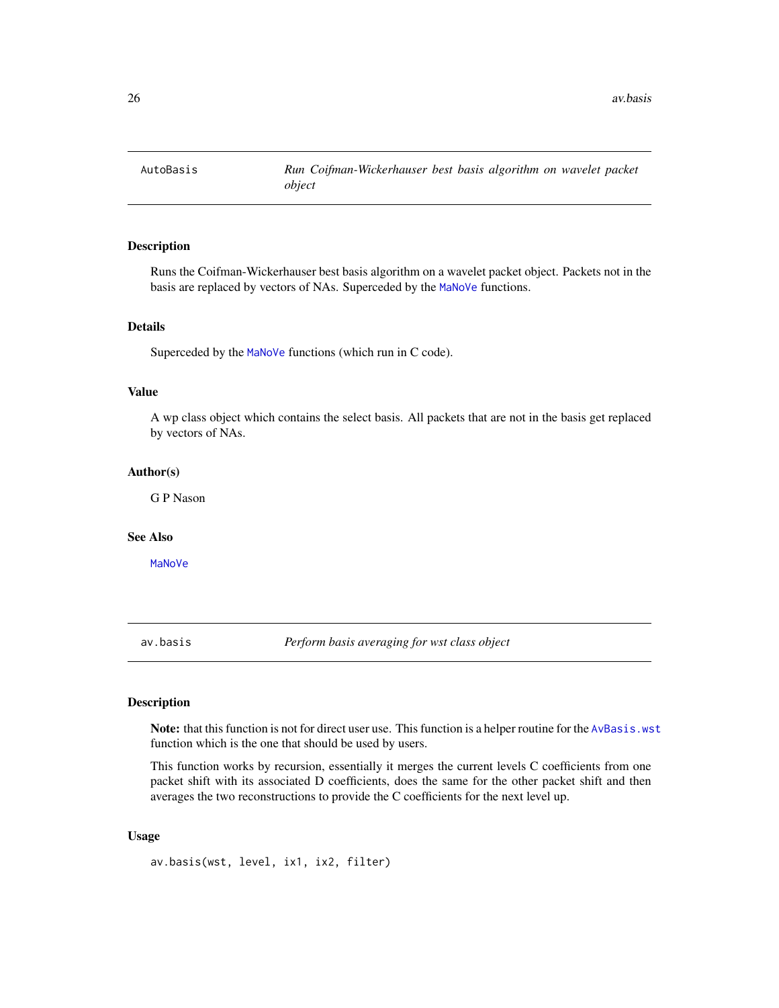<span id="page-25-0"></span>

# Description

Runs the Coifman-Wickerhauser best basis algorithm on a wavelet packet object. Packets not in the basis are replaced by vectors of NAs. Superceded by the [MaNoVe](#page-181-1) functions.

#### Details

Superceded by the [MaNoVe](#page-181-1) functions (which run in C code).

# Value

A wp class object which contains the select basis. All packets that are not in the basis get replaced by vectors of NAs.

#### Author(s)

G P Nason

#### See Also

[MaNoVe](#page-181-1)

<span id="page-25-1"></span>av.basis *Perform basis averaging for wst class object*

# Description

Note: that this function is not for direct user use. This function is a helper routine for the [AvBasis.wst](#page-27-1) function which is the one that should be used by users.

This function works by recursion, essentially it merges the current levels C coefficients from one packet shift with its associated D coefficients, does the same for the other packet shift and then averages the two reconstructions to provide the C coefficients for the next level up.

#### Usage

av.basis(wst, level, ix1, ix2, filter)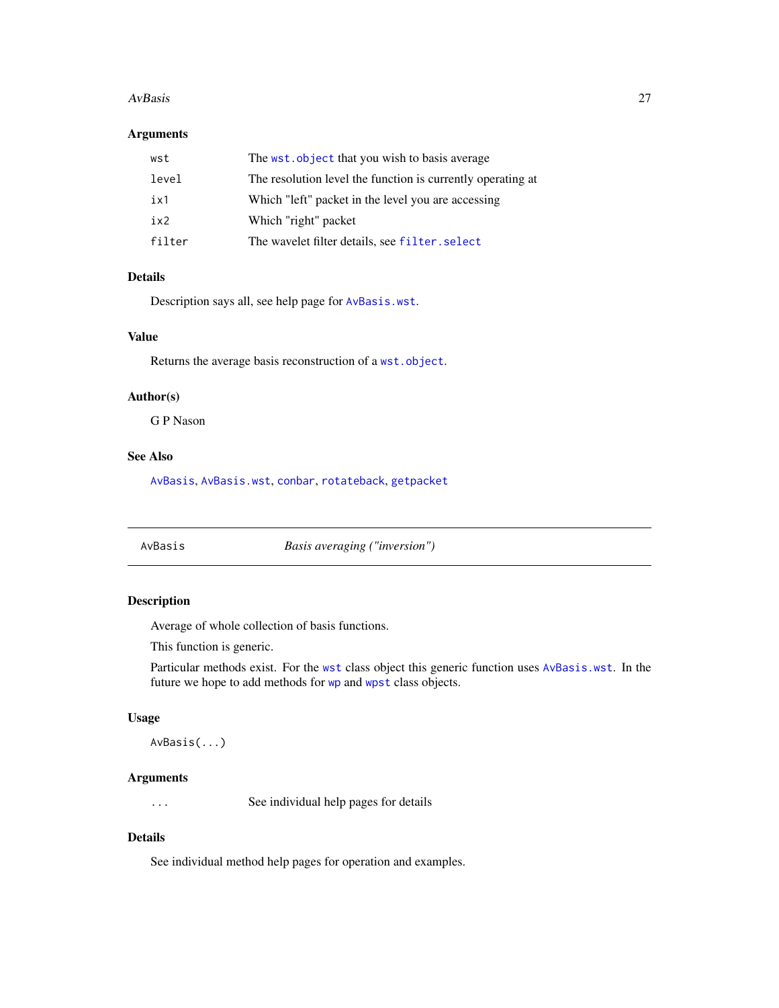#### <span id="page-26-0"></span>AvBasis 27

# Arguments

| wst    | The wst. object that you wish to basis average              |
|--------|-------------------------------------------------------------|
| level  | The resolution level the function is currently operating at |
| ix1    | Which "left" packet in the level you are accessing          |
| ix2    | Which "right" packet                                        |
| filter | The wavelet filter details, see filter, select              |

# Details

Description says all, see help page for [AvBasis.wst](#page-27-1).

# Value

Returns the average basis reconstruction of a [wst.object](#page-373-1).

#### Author(s)

G P Nason

# See Also

[AvBasis](#page-26-1), [AvBasis.wst](#page-27-1), [conbar](#page-54-1), [rotateback](#page-287-1), [getpacket](#page-112-1)

<span id="page-26-1"></span>AvBasis *Basis averaging ("inversion")*

# Description

Average of whole collection of basis functions.

This function is generic.

Particular methods exist. For the [wst](#page-371-1) class object this generic function uses [AvBasis.wst](#page-27-1). In the future we hope to add methods for [wp](#page-357-1) and [wpst](#page-359-1) class objects.

# Usage

AvBasis(...)

# Arguments

... See individual help pages for details

# Details

See individual method help pages for operation and examples.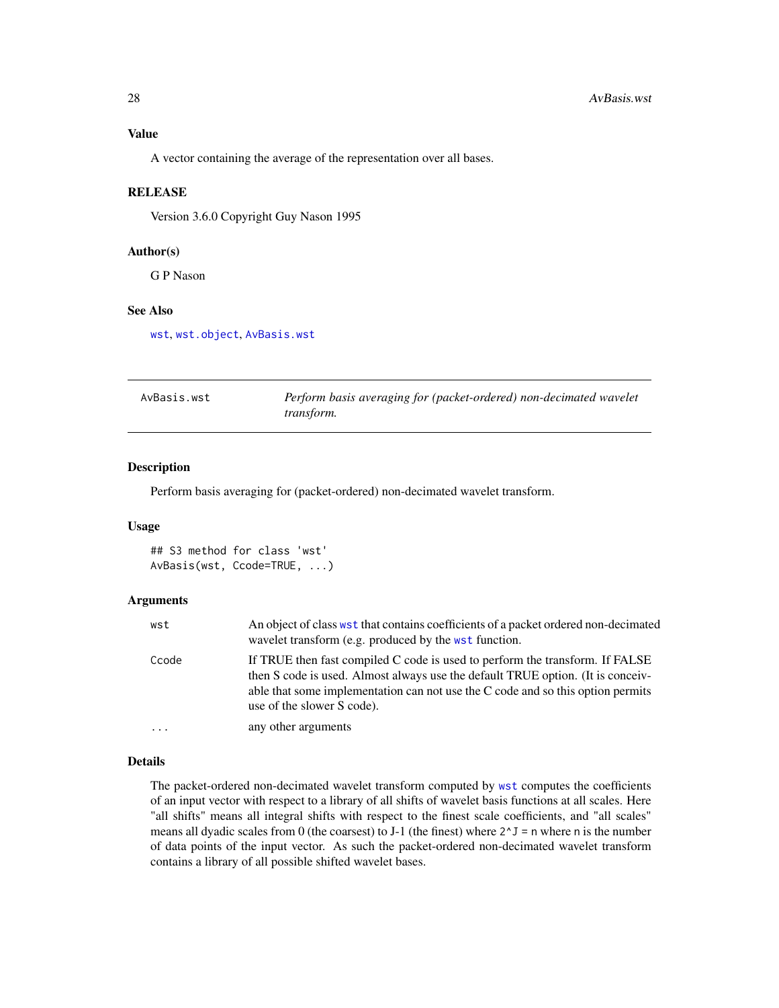<span id="page-27-0"></span>A vector containing the average of the representation over all bases.

### **RELEASE**

Version 3.6.0 Copyright Guy Nason 1995

#### Author(s)

G P Nason

# See Also

[wst](#page-371-1), [wst.object](#page-373-1), [AvBasis.wst](#page-27-1)

<span id="page-27-1"></span>

| AvBasis.wst | Perform basis averaging for (packet-ordered) non-decimated wavelet |
|-------------|--------------------------------------------------------------------|
|             | <i>transform.</i>                                                  |

#### Description

Perform basis averaging for (packet-ordered) non-decimated wavelet transform.

#### Usage

```
## S3 method for class 'wst'
AvBasis(wst, Ccode=TRUE, ...)
```
#### Arguments

| wst     | An object of class wst that contains coefficients of a packet ordered non-decimated<br>wavelet transform (e.g. produced by the wst function.                                                                                                                                     |
|---------|----------------------------------------------------------------------------------------------------------------------------------------------------------------------------------------------------------------------------------------------------------------------------------|
| Ccode   | If TRUE then fast compiled C code is used to perform the transform. If FALSE<br>then S code is used. Almost always use the default TRUE option. (It is conceiv-<br>able that some implementation can not use the C code and so this option permits<br>use of the slower S code). |
| $\cdot$ | any other arguments                                                                                                                                                                                                                                                              |

#### Details

The packet-ordered non-decimated wavelet transform computed by [wst](#page-371-1) computes the coefficients of an input vector with respect to a library of all shifts of wavelet basis functions at all scales. Here "all shifts" means all integral shifts with respect to the finest scale coefficients, and "all scales" means all dyadic scales from 0 (the coarsest) to J-1 (the finest) where  $2^J$  = n where n is the number of data points of the input vector. As such the packet-ordered non-decimated wavelet transform contains a library of all possible shifted wavelet bases.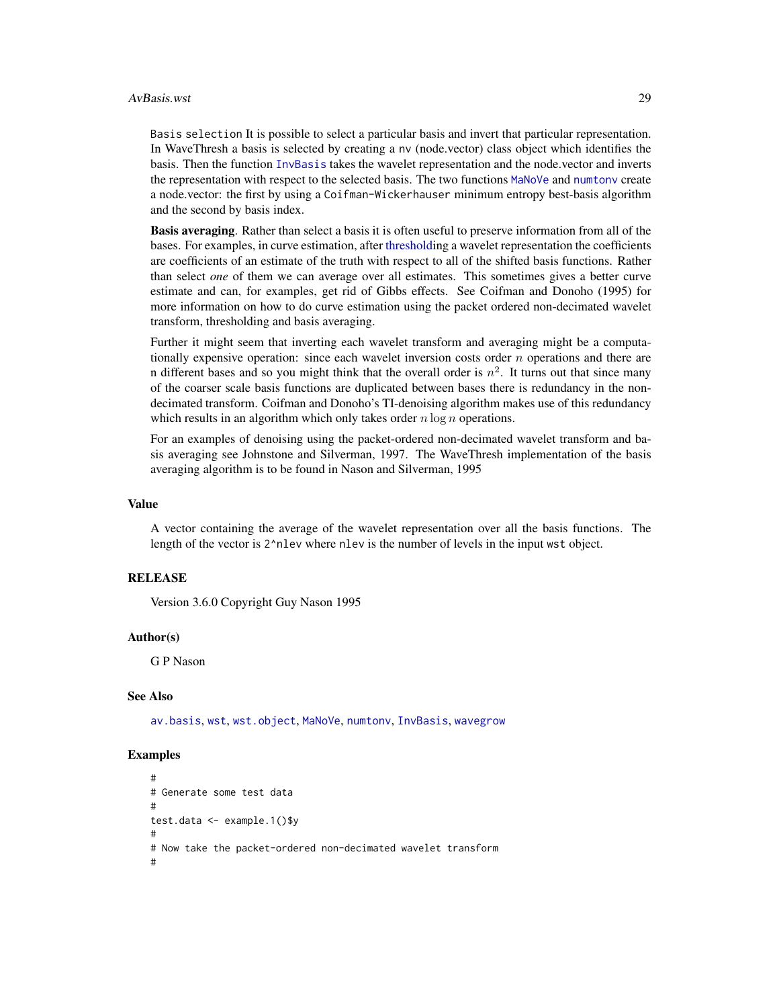#### AvBasis.wst 29

Basis selection It is possible to select a particular basis and invert that particular representation. In WaveThresh a basis is selected by creating a nv (node.vector) class object which identifies the basis. Then the function [InvBasis](#page-141-1) takes the wavelet representation and the node.vector and inverts the representation with respect to the selected basis. The two functions [MaNoVe](#page-181-1) and [numtonv](#page-206-1) create a node.vector: the first by using a Coifman-Wickerhauser minimum entropy best-basis algorithm and the second by basis index.

Basis averaging. Rather than select a basis it is often useful to preserve information from all of the bases. For examples, in curve estimation, after [thresholdi](#page-307-1)ng a wavelet representation the coefficients are coefficients of an estimate of the truth with respect to all of the shifted basis functions. Rather than select *one* of them we can average over all estimates. This sometimes gives a better curve estimate and can, for examples, get rid of Gibbs effects. See Coifman and Donoho (1995) for more information on how to do curve estimation using the packet ordered non-decimated wavelet transform, thresholding and basis averaging.

Further it might seem that inverting each wavelet transform and averaging might be a computationally expensive operation: since each wavelet inversion costs order  $n$  operations and there are n different bases and so you might think that the overall order is  $n^2$ . It turns out that since many of the coarser scale basis functions are duplicated between bases there is redundancy in the nondecimated transform. Coifman and Donoho's TI-denoising algorithm makes use of this redundancy which results in an algorithm which only takes order  $n \log n$  operations.

For an examples of denoising using the packet-ordered non-decimated wavelet transform and basis averaging see Johnstone and Silverman, 1997. The WaveThresh implementation of the basis averaging algorithm is to be found in Nason and Silverman, 1995

#### Value

A vector containing the average of the wavelet representation over all the basis functions. The length of the vector is 2^nlev where nlev is the number of levels in the input wst object.

#### **RELEASE**

Version 3.6.0 Copyright Guy Nason 1995

#### Author(s)

G P Nason

#### See Also

[av.basis](#page-25-1), [wst](#page-371-1), [wst.object](#page-373-1), [MaNoVe](#page-181-1), [numtonv](#page-206-1), [InvBasis](#page-141-1), [wavegrow](#page-341-1)

#### Examples

```
#
# Generate some test data
#
test.data <- example.1()$y
#
# Now take the packet-ordered non-decimated wavelet transform
#
```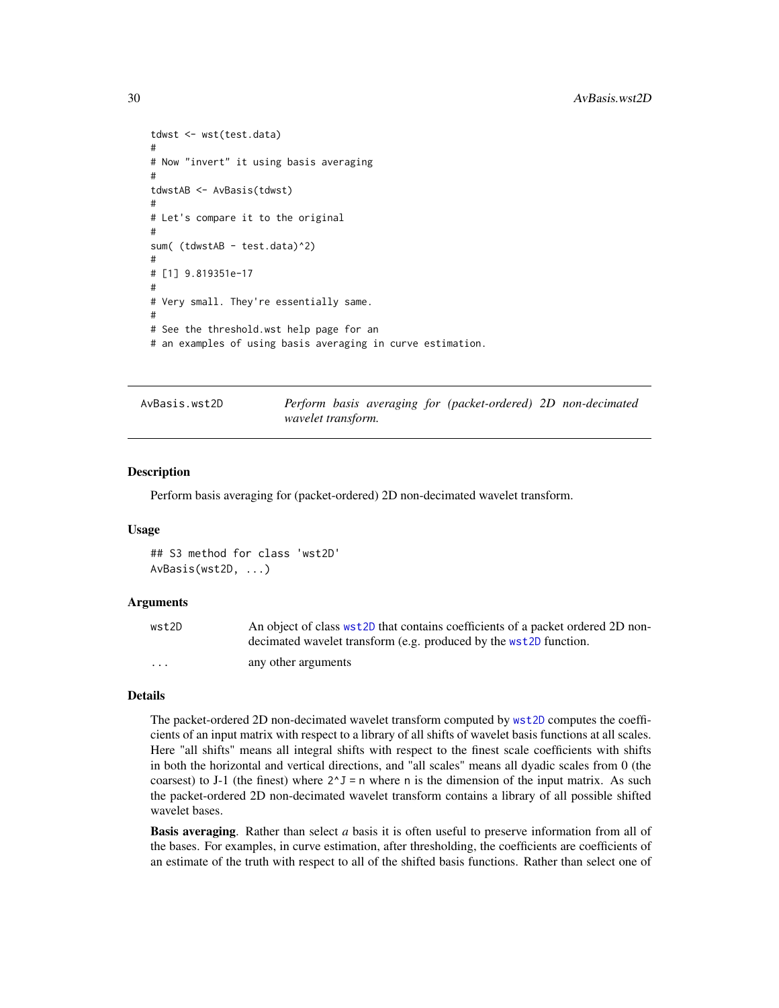```
tdwst <- wst(test.data)
#
# Now "invert" it using basis averaging
#
tdwstAB <- AvBasis(tdwst)
#
# Let's compare it to the original
#
sum( (tdwstAB - test.data)^2)
#
# [1] 9.819351e-17
#
# Very small. They're essentially same.
#
# See the threshold.wst help page for an
# an examples of using basis averaging in curve estimation.
```
AvBasis.wst2D *Perform basis averaging for (packet-ordered) 2D non-decimated wavelet transform.*

#### Description

Perform basis averaging for (packet-ordered) 2D non-decimated wavelet transform.

#### Usage

## S3 method for class 'wst2D' AvBasis(wst2D, ...)

#### Arguments

| wst2D    | An object of class wst2D that contains coefficients of a packet ordered 2D non- |
|----------|---------------------------------------------------------------------------------|
|          | decimated wavelet transform (e.g. produced by the wst2D function.               |
| $\cdots$ | any other arguments                                                             |

#### Details

The packet-ordered 2D non-decimated wavelet transform computed by [wst2D](#page-374-1) computes the coefficients of an input matrix with respect to a library of all shifts of wavelet basis functions at all scales. Here "all shifts" means all integral shifts with respect to the finest scale coefficients with shifts in both the horizontal and vertical directions, and "all scales" means all dyadic scales from 0 (the coarsest) to J-1 (the finest) where  $2^J J = n$  where n is the dimension of the input matrix. As such the packet-ordered 2D non-decimated wavelet transform contains a library of all possible shifted wavelet bases.

Basis averaging. Rather than select *a* basis it is often useful to preserve information from all of the bases. For examples, in curve estimation, after thresholding, the coefficients are coefficients of an estimate of the truth with respect to all of the shifted basis functions. Rather than select one of

<span id="page-29-0"></span>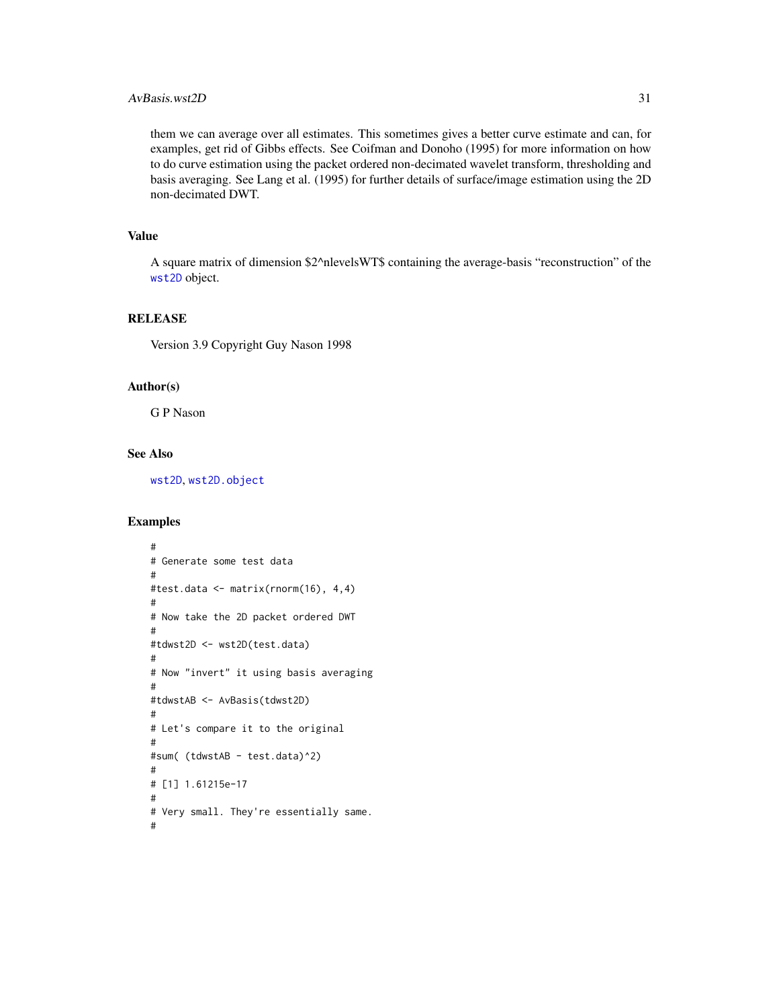# $AvBasis.wst2D$  31

them we can average over all estimates. This sometimes gives a better curve estimate and can, for examples, get rid of Gibbs effects. See Coifman and Donoho (1995) for more information on how to do curve estimation using the packet ordered non-decimated wavelet transform, thresholding and basis averaging. See Lang et al. (1995) for further details of surface/image estimation using the 2D non-decimated DWT.

# Value

A square matrix of dimension \$2^nlevelsWT\$ containing the average-basis "reconstruction" of the [wst2D](#page-374-1) object.

#### RELEASE

Version 3.9 Copyright Guy Nason 1998

#### Author(s)

G P Nason

# See Also

[wst2D](#page-374-1), [wst2D.object](#page-376-1)

#### Examples

```
#
# Generate some test data
#
#test.data <- matrix(rnorm(16), 4,4)
#
# Now take the 2D packet ordered DWT
#
#tdwst2D <- wst2D(test.data)
#
# Now "invert" it using basis averaging
#
#tdwstAB <- AvBasis(tdwst2D)
#
# Let's compare it to the original
#
#sum( (tdwstAB - test.data)^2)
#
# [1] 1.61215e-17
#
# Very small. They're essentially same.
#
```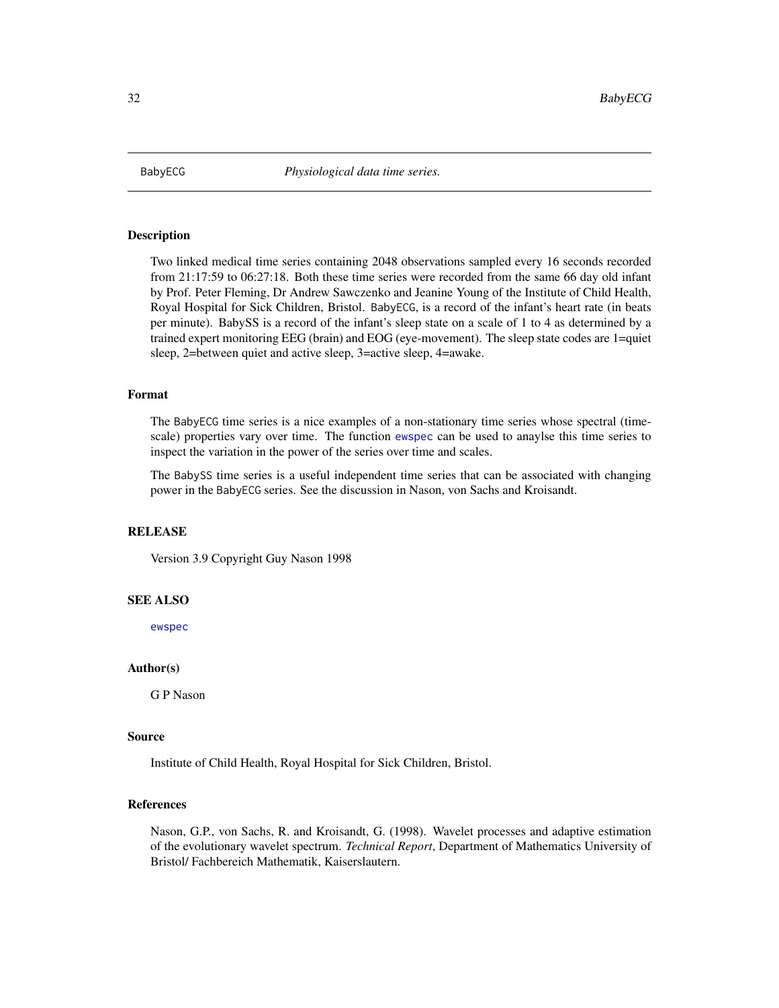<span id="page-31-0"></span>

#### Description

Two linked medical time series containing 2048 observations sampled every 16 seconds recorded from 21:17:59 to 06:27:18. Both these time series were recorded from the same 66 day old infant by Prof. Peter Fleming, Dr Andrew Sawczenko and Jeanine Young of the Institute of Child Health, Royal Hospital for Sick Children, Bristol. BabyECG, is a record of the infant's heart rate (in beats per minute). BabySS is a record of the infant's sleep state on a scale of 1 to 4 as determined by a trained expert monitoring EEG (brain) and EOG (eye-movement). The sleep state codes are 1=quiet sleep, 2=between quiet and active sleep, 3=active sleep, 4=awake.

#### Format

The BabyECG time series is a nice examples of a non-stationary time series whose spectral (timescale) properties vary over time. The function [ewspec](#page-94-1) can be used to anaylse this time series to inspect the variation in the power of the series over time and scales.

The BabySS time series is a useful independent time series that can be associated with changing power in the BabyECG series. See the discussion in Nason, von Sachs and Kroisandt.

# RELEASE

Version 3.9 Copyright Guy Nason 1998

#### SEE ALSO

[ewspec](#page-94-1)

# Author(s)

G P Nason

#### Source

Institute of Child Health, Royal Hospital for Sick Children, Bristol.

#### References

Nason, G.P., von Sachs, R. and Kroisandt, G. (1998). Wavelet processes and adaptive estimation of the evolutionary wavelet spectrum. *Technical Report*, Department of Mathematics University of Bristol/ Fachbereich Mathematik, Kaiserslautern.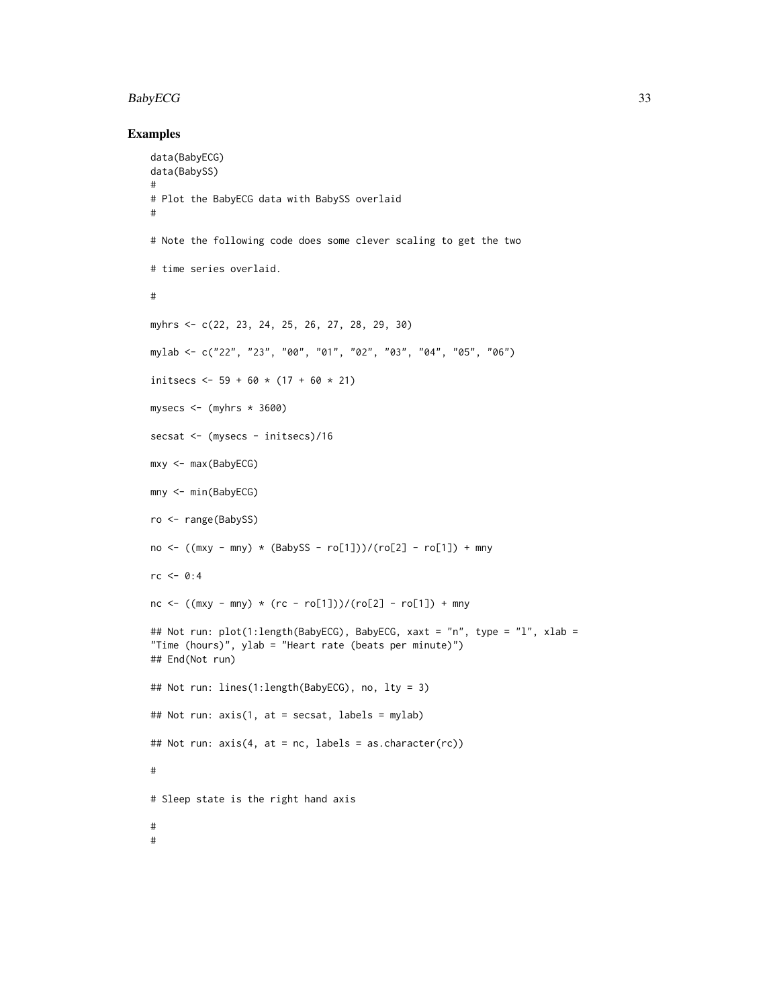#### BabyECG 33

#### Examples

```
data(BabyECG)
data(BabySS)
#
# Plot the BabyECG data with BabySS overlaid
#
# Note the following code does some clever scaling to get the two
# time series overlaid.
#
myhrs <- c(22, 23, 24, 25, 26, 27, 28, 29, 30)
mylab <- c("22", "23", "00", "01", "02", "03", "04", "05", "06")
initsecs <-59 + 60 \times (17 + 60 \times 21)mysecs <- (myhrs * 3600)
secsat <- (mysecs - initsecs)/16
mxy <- max(BabyECG)
mny <- min(BabyECG)
ro <- range(BabySS)
no \leftarrow ((mxy - mny) * (BabySS - ro[1]))/(ro[2] - ro[1]) + mnyrc < -0:4nc \le ((mxy - mny) *(rc - ro[1]))/(ro[2] - ro[1]) + mny## Not run: plot(1:length(BabyECG), BabyECG, xaxt = "n", type = "l", xlab =
"Time (hours)", ylab = "Heart rate (beats per minute)")
## End(Not run)
## Not run: lines(1:length(BabyECG), no, lty = 3)
## Not run: axis(1, at = secsat, labels = mylab)
## Not run: axis(4, at = nc, labels = as.character(rc))
#
# Sleep state is the right hand axis
#
#
```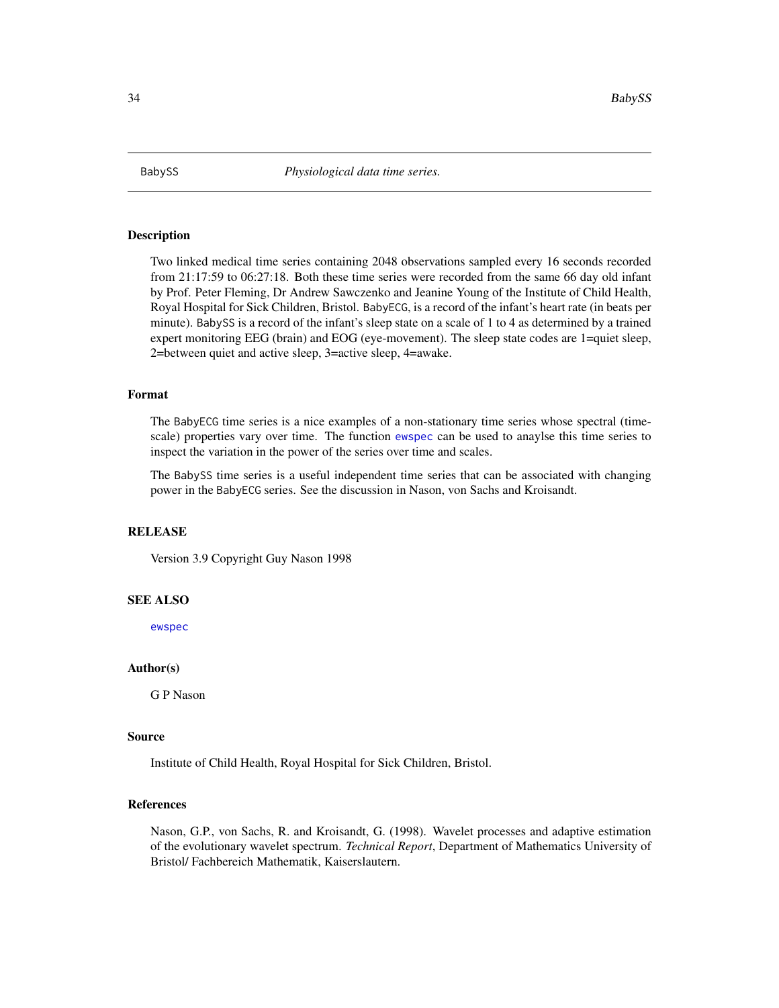<span id="page-33-0"></span>

#### Description

Two linked medical time series containing 2048 observations sampled every 16 seconds recorded from 21:17:59 to 06:27:18. Both these time series were recorded from the same 66 day old infant by Prof. Peter Fleming, Dr Andrew Sawczenko and Jeanine Young of the Institute of Child Health, Royal Hospital for Sick Children, Bristol. BabyECG, is a record of the infant's heart rate (in beats per minute). BabySS is a record of the infant's sleep state on a scale of 1 to 4 as determined by a trained expert monitoring EEG (brain) and EOG (eye-movement). The sleep state codes are 1=quiet sleep, 2=between quiet and active sleep, 3=active sleep, 4=awake.

#### Format

The BabyECG time series is a nice examples of a non-stationary time series whose spectral (timescale) properties vary over time. The function [ewspec](#page-94-1) can be used to anaylse this time series to inspect the variation in the power of the series over time and scales.

The BabySS time series is a useful independent time series that can be associated with changing power in the BabyECG series. See the discussion in Nason, von Sachs and Kroisandt.

# **RELEASE**

Version 3.9 Copyright Guy Nason 1998

#### SEE ALSO

[ewspec](#page-94-1)

# Author(s)

G P Nason

#### Source

Institute of Child Health, Royal Hospital for Sick Children, Bristol.

# References

Nason, G.P., von Sachs, R. and Kroisandt, G. (1998). Wavelet processes and adaptive estimation of the evolutionary wavelet spectrum. *Technical Report*, Department of Mathematics University of Bristol/ Fachbereich Mathematik, Kaiserslautern.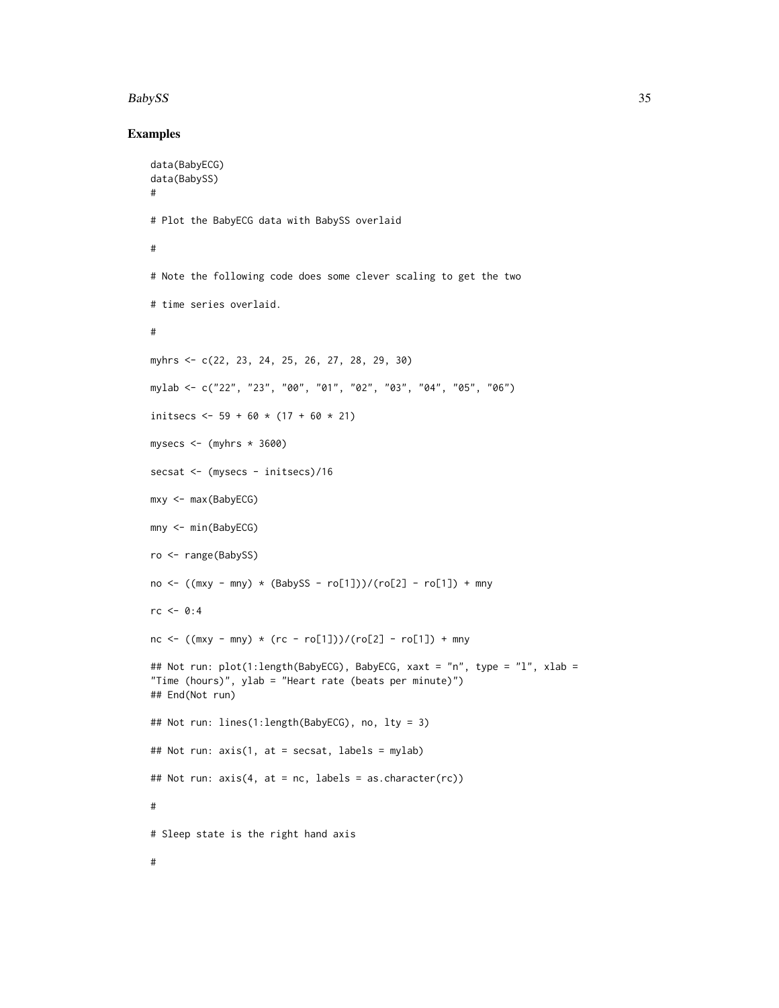#### BabySS 35

#### Examples

```
data(BabyECG)
data(BabySS)
#
# Plot the BabyECG data with BabySS overlaid
#
# Note the following code does some clever scaling to get the two
# time series overlaid.
#
myhrs <- c(22, 23, 24, 25, 26, 27, 28, 29, 30)
mylab <- c("22", "23", "00", "01", "02", "03", "04", "05", "06")
initsecs \le 59 + 60 \star (17 + 60 \star 21)
mysecs \leq (myhrs \star 3600)
secsat <- (mysecs - initsecs)/16
mxy <- max(BabyECG)
mny <- min(BabyECG)
ro <- range(BabySS)
no \leftarrow ((mxy - mny) * (BabySS - ro[1]))/(ro[2] - ro[1]) + mnyrc < -0:4nc <- ((\text{mxy - mny}) * (rc - ro[1]))/(ro[2] - ro[1]) + mny## Not run: plot(1:length(BabyECG), BabyECG, xaxt = "n", type = "l", xlab =
"Time (hours)", ylab = "Heart rate (beats per minute)")
## End(Not run)
## Not run: lines(1:length(BabyECG), no, lty = 3)
## Not run: axis(1, at = secsat, labels = mylab)
## Not run: axis(4, at = nc, labels = as.character(rc))
#
# Sleep state is the right hand axis
#
```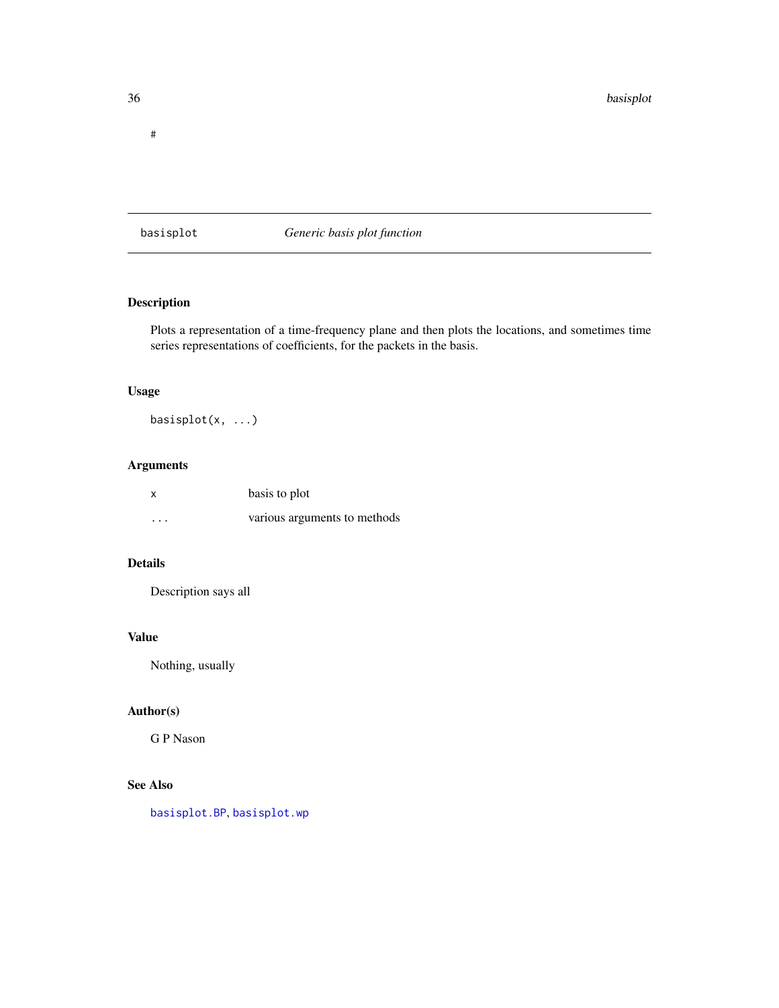<span id="page-35-0"></span>#

<span id="page-35-1"></span>basisplot *Generic basis plot function*

# Description

Plots a representation of a time-frequency plane and then plots the locations, and sometimes time series representations of coefficients, for the packets in the basis.

# Usage

basisplot(x, ...)

# Arguments

|          | basis to plot                |
|----------|------------------------------|
| $\cdots$ | various arguments to methods |

# Details

Description says all

# Value

Nothing, usually

# Author(s)

G P Nason

# See Also

[basisplot.BP](#page-36-1), [basisplot.wp](#page-37-1)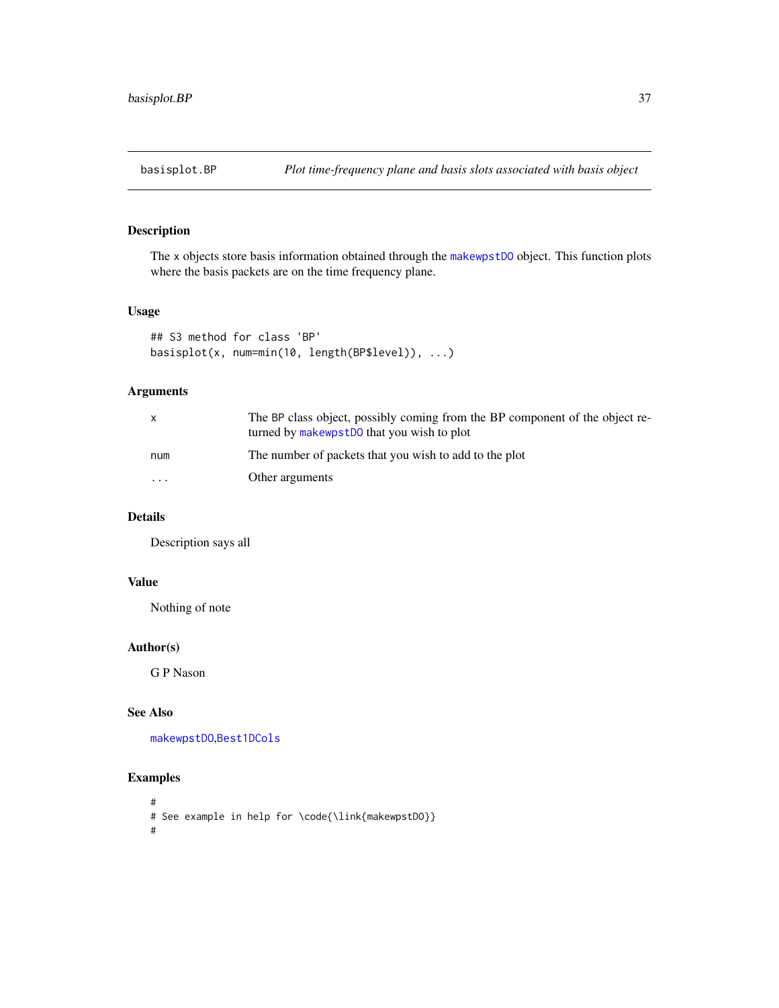The x objects store basis information obtained through the [makewpstDO](#page-173-0) object. This function plots where the basis packets are on the time frequency plane.

### Usage

```
## S3 method for class 'BP'
basisplot(x, num=min(10, length(BP$level)), ...)
```
# Arguments

|           | The BP class object, possibly coming from the BP component of the object re-<br>turned by makewpstD0 that you wish to plot |
|-----------|----------------------------------------------------------------------------------------------------------------------------|
| num       | The number of packets that you wish to add to the plot                                                                     |
| $\ddotsc$ | Other arguments                                                                                                            |

# Details

Description says all

### Value

Nothing of note

### Author(s)

G P Nason

### See Also

[makewpstDO](#page-173-0),[Best1DCols](#page-40-0)

```
#
# See example in help for \code{\link{makewpstDO}}
#
```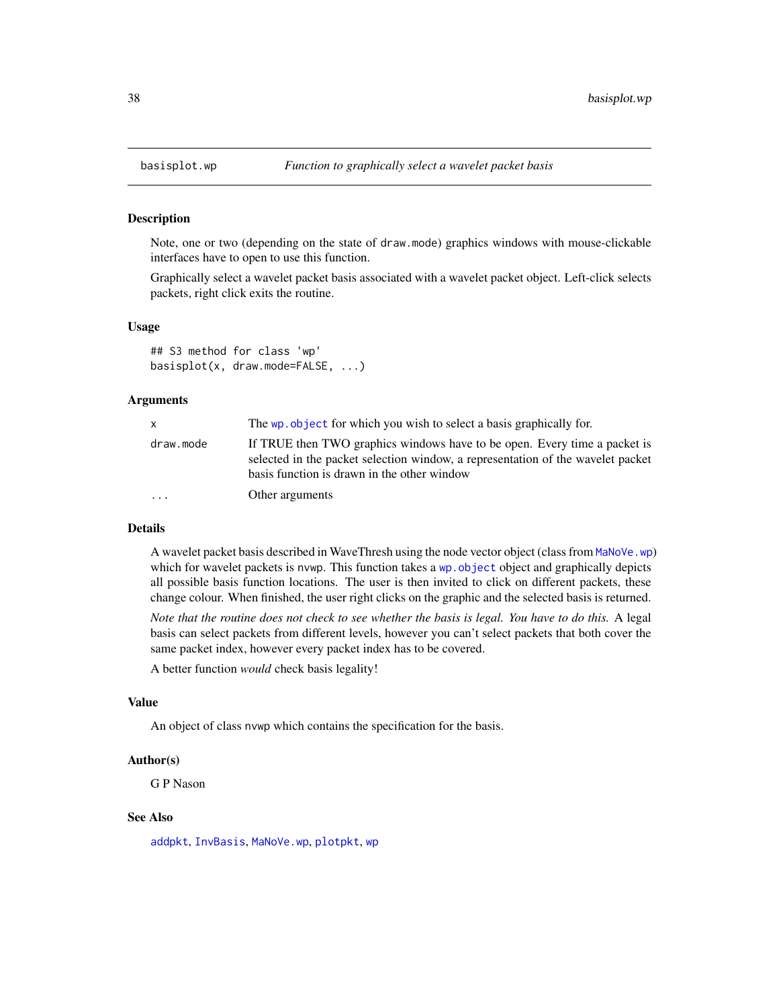Note, one or two (depending on the state of draw.mode) graphics windows with mouse-clickable interfaces have to open to use this function.

Graphically select a wavelet packet basis associated with a wavelet packet object. Left-click selects packets, right click exits the routine.

#### Usage

## S3 method for class 'wp' basisplot(x, draw.mode=FALSE, ...)

#### Arguments

| X         | The wp object for which you wish to select a basis graphically for.                                                                                                                                         |  |
|-----------|-------------------------------------------------------------------------------------------------------------------------------------------------------------------------------------------------------------|--|
| draw.mode | If TRUE then TWO graphics windows have to be open. Every time a packet is<br>selected in the packet selection window, a representation of the wavelet packet<br>basis function is drawn in the other window |  |
| $\cdot$   | Other arguments                                                                                                                                                                                             |  |

#### Details

A wavelet packet basis described in WaveThresh using the node vector object (class from [MaNoVe.wp](#page-182-0)) which for wavelet packets is nvwp. This function takes a wp. object object and graphically depicts all possible basis function locations. The user is then invited to click on different packets, these change colour. When finished, the user right clicks on the graphic and the selected basis is returned.

*Note that the routine does not check to see whether the basis is legal. You have to do this.* A legal basis can select packets from different levels, however you can't select packets that both cover the same packet index, however every packet index has to be covered.

A better function *would* check basis legality!

#### Value

An object of class nvwp which contains the specification for the basis.

#### Author(s)

G P Nason

### See Also

[addpkt](#page-24-0), [InvBasis](#page-141-0), [MaNoVe.wp](#page-182-0), [plotpkt](#page-226-0), [wp](#page-357-0)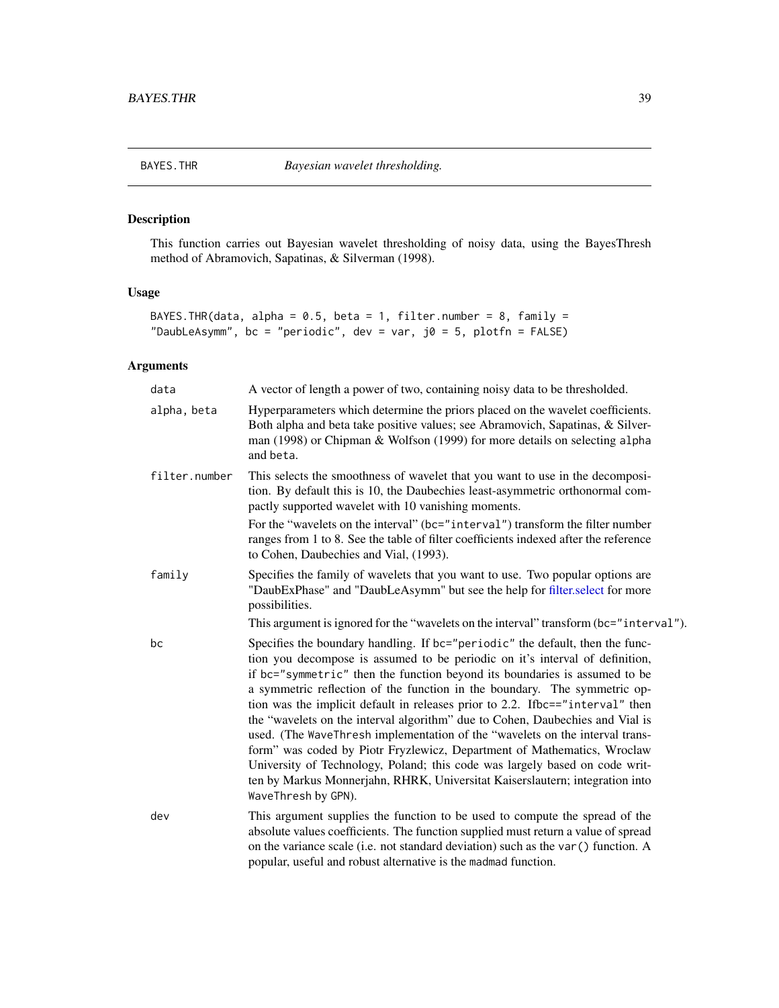BAYES.THR *Bayesian wavelet thresholding.*

### Description

This function carries out Bayesian wavelet thresholding of noisy data, using the BayesThresh method of Abramovich, Sapatinas, & Silverman (1998).

### Usage

```
BAYES.THR(data, alpha = 0.5, beta = 1, filter.number = 8, family =
"DaubLeAsymm", bc = "periodic", dev = var, j0 = 5, plotfn = FALSE)
```
# Arguments

| data          | A vector of length a power of two, containing noisy data to be thresholded.                                                                                                                                                                                                                                                                                                                                                                                                                                                                                                                                                                                                                                                                                                                                                                 |
|---------------|---------------------------------------------------------------------------------------------------------------------------------------------------------------------------------------------------------------------------------------------------------------------------------------------------------------------------------------------------------------------------------------------------------------------------------------------------------------------------------------------------------------------------------------------------------------------------------------------------------------------------------------------------------------------------------------------------------------------------------------------------------------------------------------------------------------------------------------------|
| alpha, beta   | Hyperparameters which determine the priors placed on the wavelet coefficients.<br>Both alpha and beta take positive values; see Abramovich, Sapatinas, & Silver-<br>man (1998) or Chipman & Wolfson (1999) for more details on selecting alpha<br>and beta.                                                                                                                                                                                                                                                                                                                                                                                                                                                                                                                                                                                 |
| filter.number | This selects the smoothness of wavelet that you want to use in the decomposi-<br>tion. By default this is 10, the Daubechies least-asymmetric orthonormal com-<br>pactly supported wavelet with 10 vanishing moments.<br>For the "wavelets on the interval" (bc="interval") transform the filter number<br>ranges from 1 to 8. See the table of filter coefficients indexed after the reference<br>to Cohen, Daubechies and Vial, (1993).                                                                                                                                                                                                                                                                                                                                                                                                   |
| family        | Specifies the family of wavelets that you want to use. Two popular options are<br>"DaubExPhase" and "DaubLeAsymm" but see the help for filter.select for more<br>possibilities.<br>This argument is ignored for the "wavelets on the interval" transform (bc="interval").                                                                                                                                                                                                                                                                                                                                                                                                                                                                                                                                                                   |
| bc            | Specifies the boundary handling. If bc="periodic" the default, then the func-<br>tion you decompose is assumed to be periodic on it's interval of definition,<br>if bc="symmetric" then the function beyond its boundaries is assumed to be<br>a symmetric reflection of the function in the boundary. The symmetric op-<br>tion was the implicit default in releases prior to 2.2. Ifbc=="interval" then<br>the "wavelets on the interval algorithm" due to Cohen, Daubechies and Vial is<br>used. (The WaveThresh implementation of the "wavelets on the interval trans-<br>form" was coded by Piotr Fryzlewicz, Department of Mathematics, Wroclaw<br>University of Technology, Poland; this code was largely based on code writ-<br>ten by Markus Monnerjahn, RHRK, Universitat Kaiserslautern; integration into<br>WaveThresh by GPN). |
| dev           | This argument supplies the function to be used to compute the spread of the<br>absolute values coefficients. The function supplied must return a value of spread<br>on the variance scale (i.e. not standard deviation) such as the var () function. A<br>popular, useful and robust alternative is the madmad function.                                                                                                                                                                                                                                                                                                                                                                                                                                                                                                                    |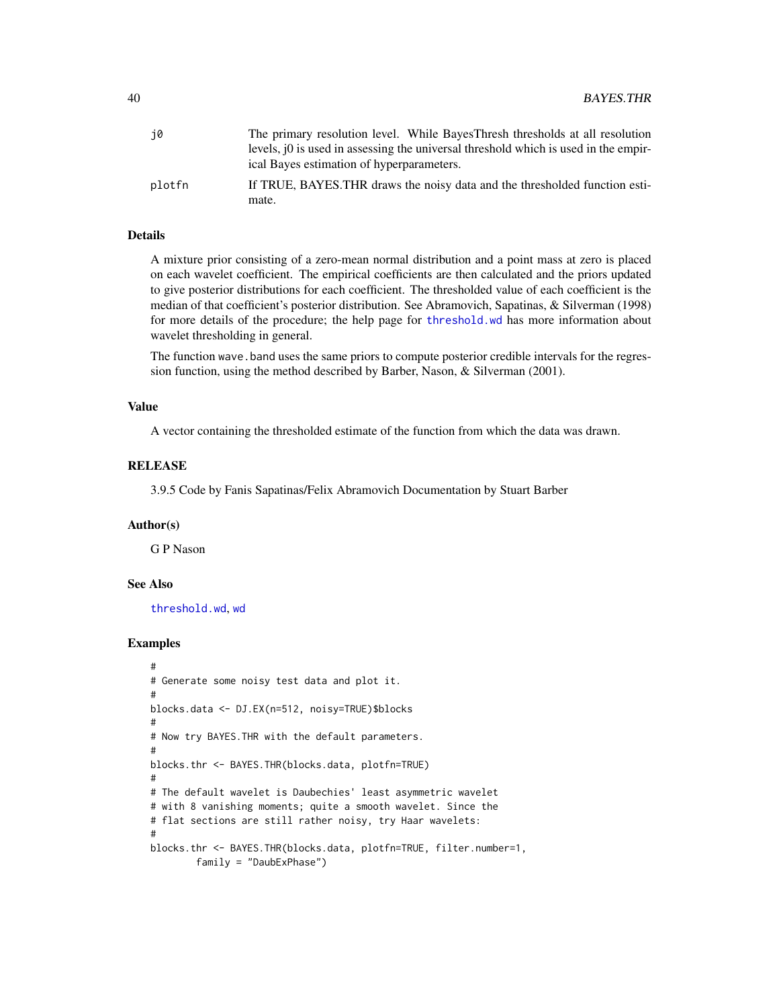| j0     | The primary resolution level. While Bayes Thresh thresholds at all resolution          |
|--------|----------------------------------------------------------------------------------------|
|        | levels, $[0]$ is used in assessing the universal threshold which is used in the empir- |
|        | ical Bayes estimation of hyperparameters.                                              |
| plotfn | If TRUE, BAYES. THR draws the noisy data and the thresholded function esti-            |
|        | mate.                                                                                  |

### Details

A mixture prior consisting of a zero-mean normal distribution and a point mass at zero is placed on each wavelet coefficient. The empirical coefficients are then calculated and the priors updated to give posterior distributions for each coefficient. The thresholded value of each coefficient is the median of that coefficient's posterior distribution. See Abramovich, Sapatinas, & Silverman (1998) for more details of the procedure; the help page for [threshold.wd](#page-318-0) has more information about wavelet thresholding in general.

The function wave. band uses the same priors to compute posterior credible intervals for the regression function, using the method described by Barber, Nason, & Silverman (2001).

#### Value

A vector containing the thresholded estimate of the function from which the data was drawn.

### **RELEASE**

3.9.5 Code by Fanis Sapatinas/Felix Abramovich Documentation by Stuart Barber

### Author(s)

G P Nason

### See Also

[threshold.wd](#page-318-0), [wd](#page-344-0)

```
#
# Generate some noisy test data and plot it.
#
blocks.data <- DJ.EX(n=512, noisy=TRUE)$blocks
#
# Now try BAYES.THR with the default parameters.
#
blocks.thr <- BAYES.THR(blocks.data, plotfn=TRUE)
#
# The default wavelet is Daubechies' least asymmetric wavelet
# with 8 vanishing moments; quite a smooth wavelet. Since the
# flat sections are still rather noisy, try Haar wavelets:
#
blocks.thr <- BAYES.THR(blocks.data, plotfn=TRUE, filter.number=1,
        family = "DaubExPhase")
```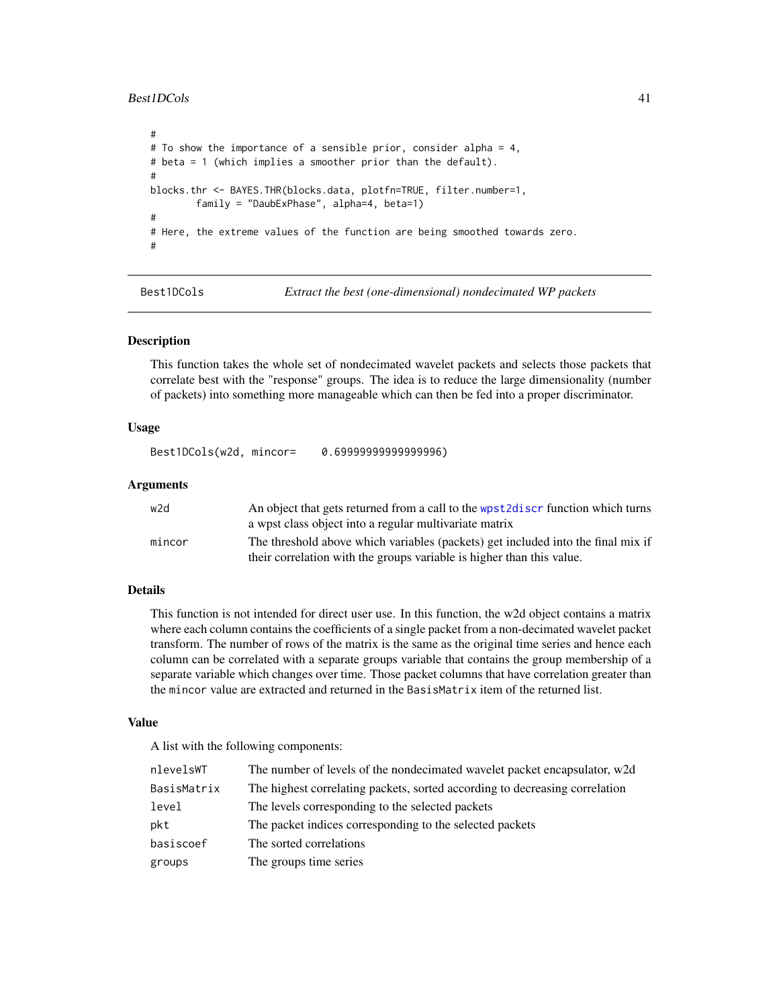### Best1DCols 41

```
#
# To show the importance of a sensible prior, consider alpha = 4,
# beta = 1 (which implies a smoother prior than the default).
#
blocks.thr <- BAYES.THR(blocks.data, plotfn=TRUE, filter.number=1,
        family = "DaubExPhase", alpha=4, beta=1)
#
# Here, the extreme values of the function are being smoothed towards zero.
#
```
Best1DCols *Extract the best (one-dimensional) nondecimated WP packets*

### Description

This function takes the whole set of nondecimated wavelet packets and selects those packets that correlate best with the "response" groups. The idea is to reduce the large dimensionality (number of packets) into something more manageable which can then be fed into a proper discriminator.

### Usage

Best1DCols(w2d, mincor= 0.69999999999999996)

### Arguments

| w2d    | An object that gets returned from a call to the wpst2discr function which turns<br>a wpst class object into a regular multivariate matrix                 |
|--------|-----------------------------------------------------------------------------------------------------------------------------------------------------------|
| mincor | The threshold above which variables (packets) get included into the final mix if<br>their correlation with the groups variable is higher than this value. |

### Details

This function is not intended for direct user use. In this function, the w2d object contains a matrix where each column contains the coefficients of a single packet from a non-decimated wavelet packet transform. The number of rows of the matrix is the same as the original time series and hence each column can be correlated with a separate groups variable that contains the group membership of a separate variable which changes over time. Those packet columns that have correlation greater than the mincor value are extracted and returned in the BasisMatrix item of the returned list.

#### Value

A list with the following components:

| nlevelsWT   | The number of levels of the nondecimated wavelet packet encapsulator, w2d   |
|-------------|-----------------------------------------------------------------------------|
| BasisMatrix | The highest correlating packets, sorted according to decreasing correlation |
| level       | The levels corresponding to the selected packets                            |
| pkt         | The packet indices corresponding to the selected packets                    |
| basiscoef   | The sorted correlations                                                     |
| groups      | The groups time series                                                      |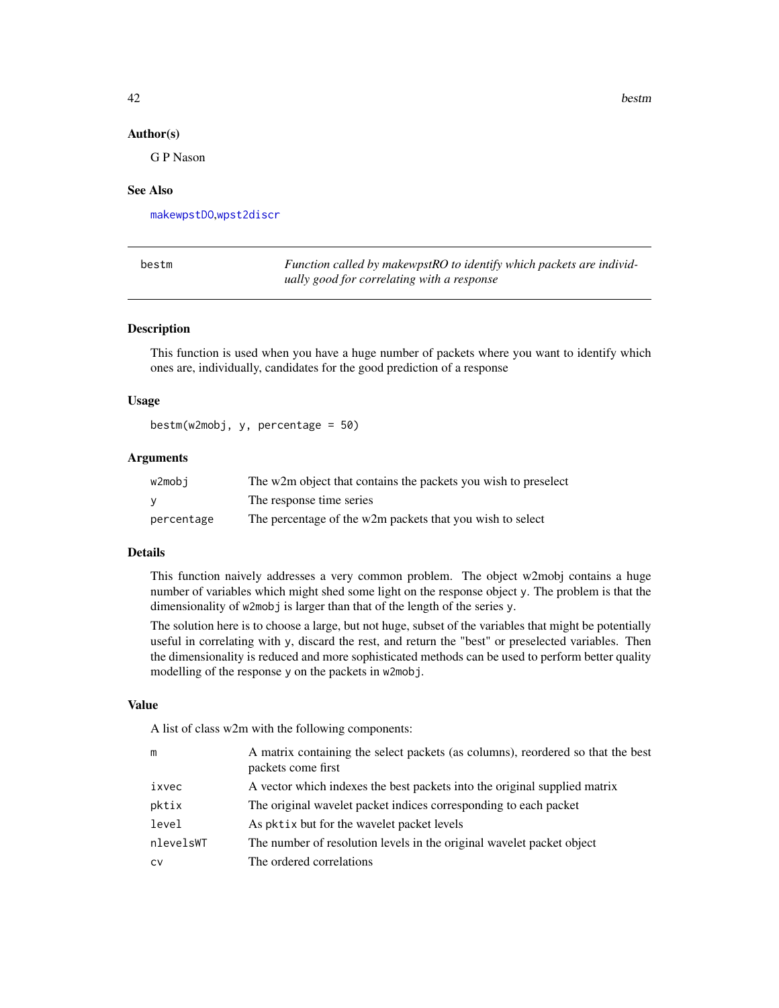42 bestm

#### Author(s)

G P Nason

### See Also

[makewpstDO](#page-173-0),[wpst2discr](#page-361-0)

| bestm | Function called by makewpstRO to identify which packets are individ- |
|-------|----------------------------------------------------------------------|
|       | ually good for correlating with a response                           |

### Description

This function is used when you have a huge number of packets where you want to identify which ones are, individually, candidates for the good prediction of a response

### Usage

 $bestm(w2mobj, y, percentage = 50)$ 

### Arguments

| w2mobi     | The w2m object that contains the packets you wish to preselect |
|------------|----------------------------------------------------------------|
|            | The response time series                                       |
| percentage | The percentage of the w2m packets that you wish to select      |

### Details

This function naively addresses a very common problem. The object w2mobj contains a huge number of variables which might shed some light on the response object y. The problem is that the dimensionality of w2mobj is larger than that of the length of the series y.

The solution here is to choose a large, but not huge, subset of the variables that might be potentially useful in correlating with y, discard the rest, and return the "best" or preselected variables. Then the dimensionality is reduced and more sophisticated methods can be used to perform better quality modelling of the response y on the packets in w2mobj.

#### Value

A list of class w2m with the following components:

| m         | A matrix containing the select packets (as columns), reordered so that the best<br>packets come first |
|-----------|-------------------------------------------------------------------------------------------------------|
| ixvec     | A vector which indexes the best packets into the original supplied matrix                             |
| pktix     | The original wavelet packet indices corresponding to each packet                                      |
| level     | As pktix but for the wavelet packet levels                                                            |
| nlevelsWT | The number of resolution levels in the original wavelet packet object                                 |
| <b>CV</b> | The ordered correlations                                                                              |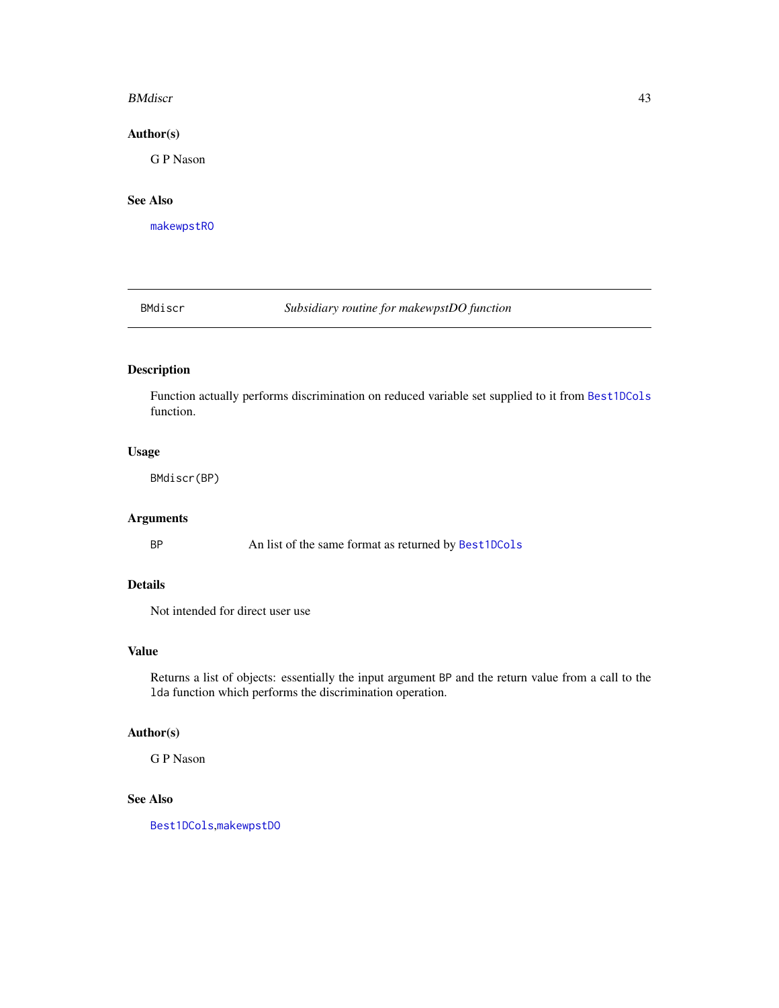#### BMdiscr **43**

### Author(s)

G P Nason

# See Also

[makewpstRO](#page-176-0)

BMdiscr *Subsidiary routine for makewpstDO function*

# Description

Function actually performs discrimination on reduced variable set supplied to it from [Best1DCols](#page-40-0) function.

# Usage

BMdiscr(BP)

### Arguments

BP An list of the same format as returned by [Best1DCols](#page-40-0)

# Details

Not intended for direct user use

# Value

Returns a list of objects: essentially the input argument BP and the return value from a call to the lda function which performs the discrimination operation.

### Author(s)

G P Nason

### See Also

[Best1DCols](#page-40-0),[makewpstDO](#page-173-0)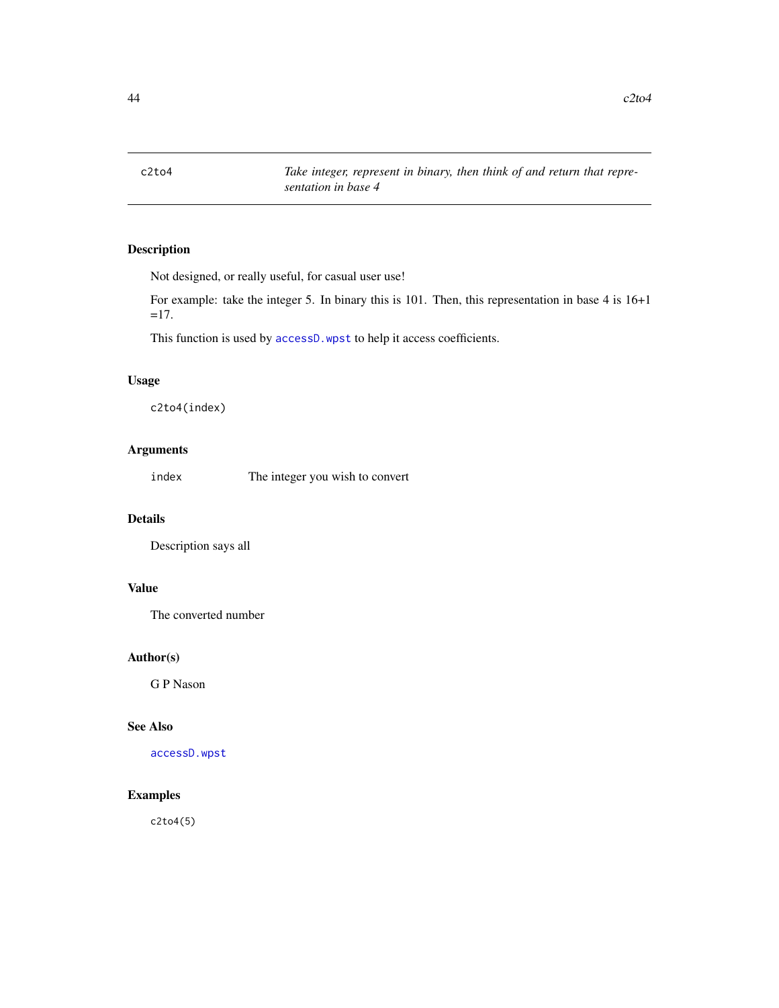Not designed, or really useful, for casual user use!

For example: take the integer 5. In binary this is 101. Then, this representation in base 4 is 16+1  $=17.$ 

This function is used by [accessD.wpst](#page-21-0) to help it access coefficients.

### Usage

c2to4(index)

### Arguments

index The integer you wish to convert

# Details

Description says all

# Value

The converted number

### Author(s)

G P Nason

#### See Also

[accessD.wpst](#page-21-0)

### Examples

c2to4(5)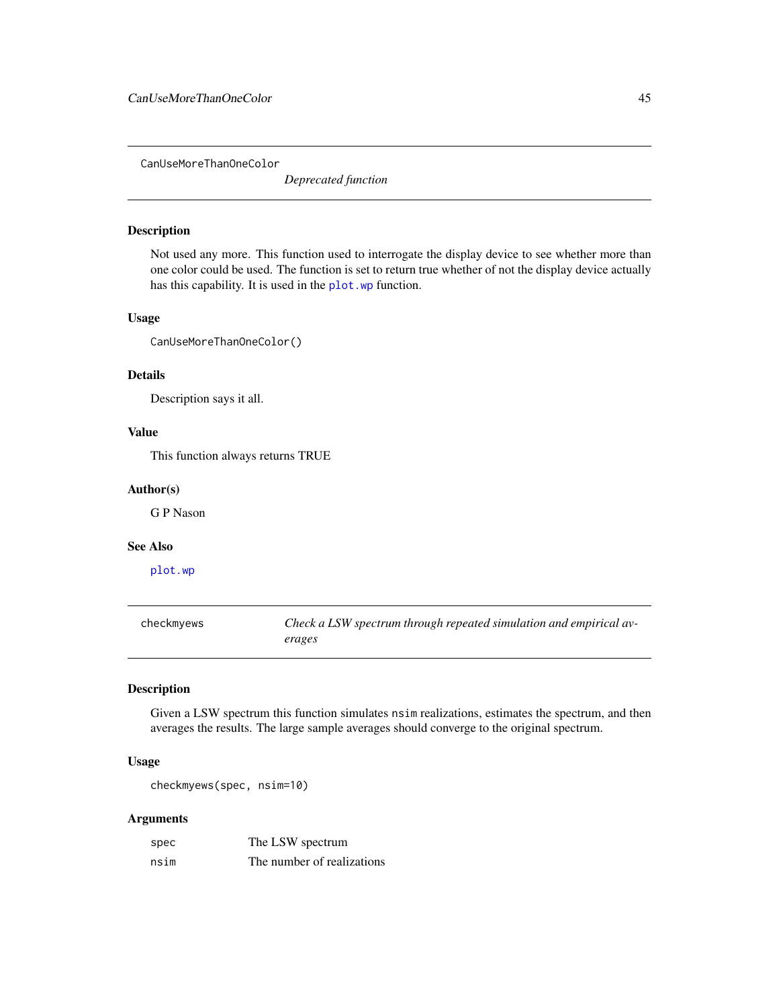CanUseMoreThanOneColor

*Deprecated function*

# Description

Not used any more. This function used to interrogate the display device to see whether more than one color could be used. The function is set to return true whether of not the display device actually has this capability. It is used in the [plot.wp](#page-218-0) function.

#### Usage

CanUseMoreThanOneColor()

### Details

Description says it all.

### Value

This function always returns TRUE

### Author(s)

G P Nason

### See Also

[plot.wp](#page-218-0)

checkmyews *Check a LSW spectrum through repeated simulation and empirical averages*

#### Description

Given a LSW spectrum this function simulates nsim realizations, estimates the spectrum, and then averages the results. The large sample averages should converge to the original spectrum.

#### Usage

checkmyews(spec, nsim=10)

### Arguments

| spec | The LSW spectrum           |
|------|----------------------------|
| nsim | The number of realizations |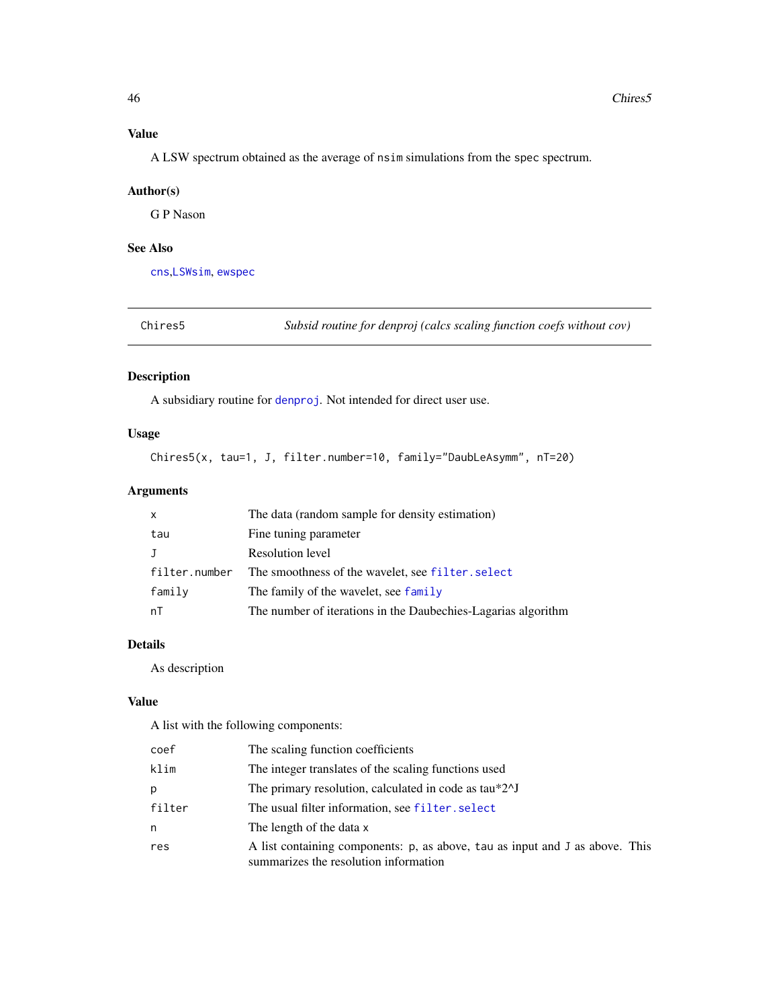# Value

A LSW spectrum obtained as the average of nsim simulations from the spec spectrum.

### Author(s)

G P Nason

# See Also

[cns](#page-47-0),[LSWsim](#page-164-0), [ewspec](#page-94-0)

<span id="page-45-0"></span>Chires5 *Subsid routine for denproj (calcs scaling function coefs without cov)*

### Description

A subsidiary routine for [denproj](#page-73-0). Not intended for direct user use.

### Usage

Chires5(x, tau=1, J, filter.number=10, family="DaubLeAsymm", nT=20)

# Arguments

| $\mathsf{x}$  | The data (random sample for density estimation)               |
|---------------|---------------------------------------------------------------|
| tau           | Fine tuning parameter                                         |
| $\bf{J}$      | Resolution level                                              |
| filter.number | The smoothness of the wavelet, see filter. select             |
| family        | The family of the wavelet, see family                         |
| nT            | The number of iterations in the Daubechies-Lagarias algorithm |

# Details

As description

### Value

A list with the following components:

| coef   | The scaling function coefficients                                                                                     |
|--------|-----------------------------------------------------------------------------------------------------------------------|
| klim   | The integer translates of the scaling functions used                                                                  |
| р      | The primary resolution, calculated in code as tau*2^J                                                                 |
| filter | The usual filter information, see filter. select                                                                      |
| n      | The length of the data x                                                                                              |
| res    | A list containing components: p, as above, tau as input and J as above. This<br>summarizes the resolution information |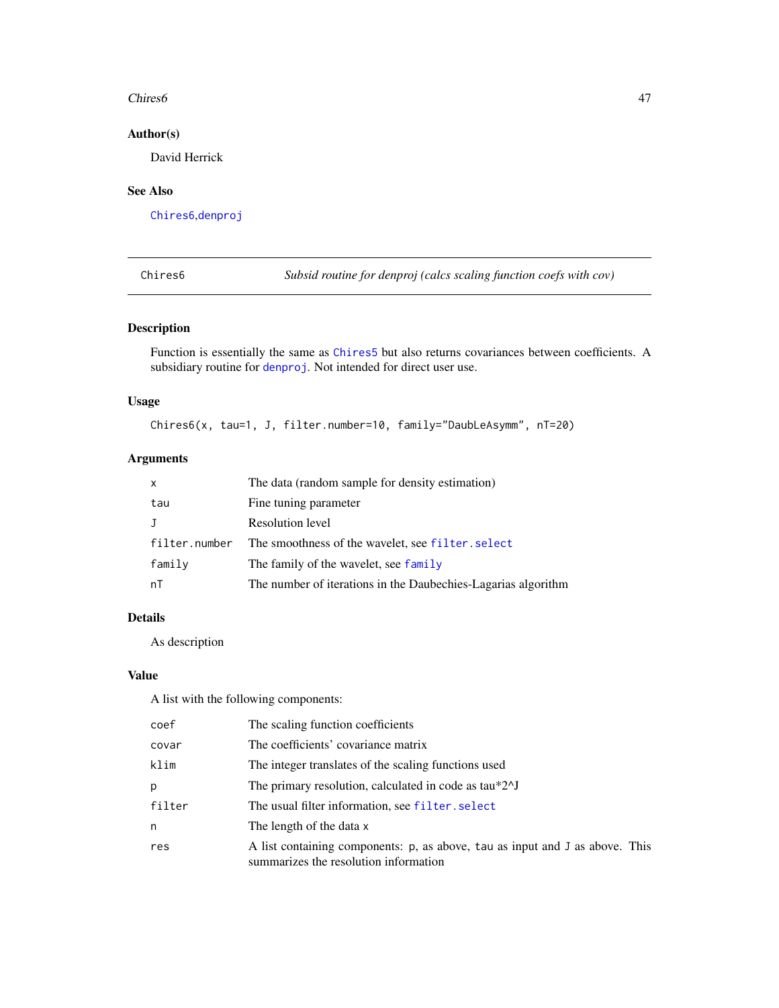#### Chires6 47

# Author(s)

David Herrick

# See Also

[Chires6](#page-46-0),[denproj](#page-73-0)

<span id="page-46-0"></span>Chires6 *Subsid routine for denproj (calcs scaling function coefs with cov)*

### Description

Function is essentially the same as [Chires5](#page-45-0) but also returns covariances between coefficients. A subsidiary routine for [denproj](#page-73-0). Not intended for direct user use.

### Usage

Chires6(x, tau=1, J, filter.number=10, family="DaubLeAsymm", nT=20)

# Arguments

| $\mathsf{x}$  | The data (random sample for density estimation)               |
|---------------|---------------------------------------------------------------|
| tau           | Fine tuning parameter                                         |
| J             | Resolution level                                              |
| filter.number | The smoothness of the wavelet, see filter. select             |
| family        | The family of the wavelet, see family                         |
| nT            | The number of iterations in the Daubechies-Lagarias algorithm |

### Details

As description

### Value

A list with the following components:

| coef   | The scaling function coefficients                                                                                     |
|--------|-----------------------------------------------------------------------------------------------------------------------|
| covar  | The coefficients' covariance matrix                                                                                   |
| klim   | The integer translates of the scaling functions used                                                                  |
| р      | The primary resolution, calculated in code as $tau*2\text{ }y$                                                        |
| filter | The usual filter information, see filter. select                                                                      |
| n      | The length of the data x                                                                                              |
| res    | A list containing components: p, as above, tau as input and J as above. This<br>summarizes the resolution information |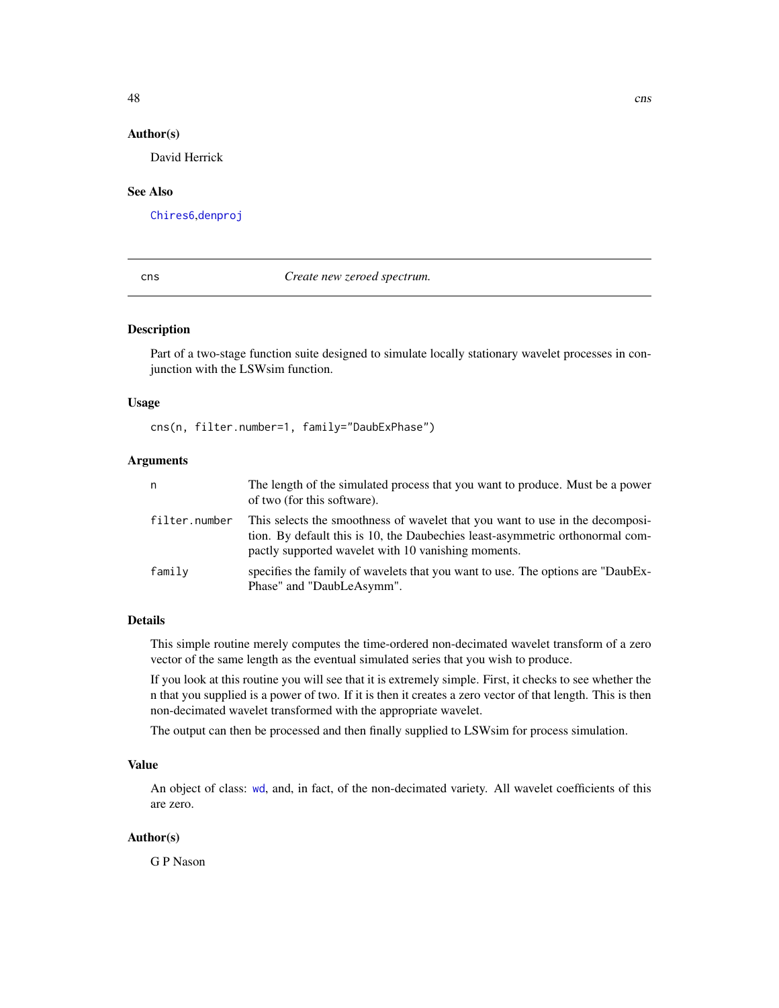### Author(s)

David Herrick

#### See Also

[Chires6](#page-46-0),[denproj](#page-73-0)

### <span id="page-47-0"></span>cns *Create new zeroed spectrum.*

### Description

Part of a two-stage function suite designed to simulate locally stationary wavelet processes in conjunction with the LSWsim function.

#### Usage

cns(n, filter.number=1, family="DaubExPhase")

### Arguments

| n             | The length of the simulated process that you want to produce. Must be a power<br>of two (for this software).                                                                                                          |
|---------------|-----------------------------------------------------------------------------------------------------------------------------------------------------------------------------------------------------------------------|
| filter.number | This selects the smoothness of wavelet that you want to use in the decomposi-<br>tion. By default this is 10, the Daubechies least-asymmetric orthonormal com-<br>pactly supported wavelet with 10 vanishing moments. |
| family        | specifies the family of wavelets that you want to use. The options are "DaubEx-<br>Phase" and "DaubLeAsymm".                                                                                                          |

### Details

This simple routine merely computes the time-ordered non-decimated wavelet transform of a zero vector of the same length as the eventual simulated series that you wish to produce.

If you look at this routine you will see that it is extremely simple. First, it checks to see whether the n that you supplied is a power of two. If it is then it creates a zero vector of that length. This is then non-decimated wavelet transformed with the appropriate wavelet.

The output can then be processed and then finally supplied to LSWsim for process simulation.

### Value

An object of class: [wd](#page-344-0), and, in fact, of the non-decimated variety. All wavelet coefficients of this are zero.

#### Author(s)

G P Nason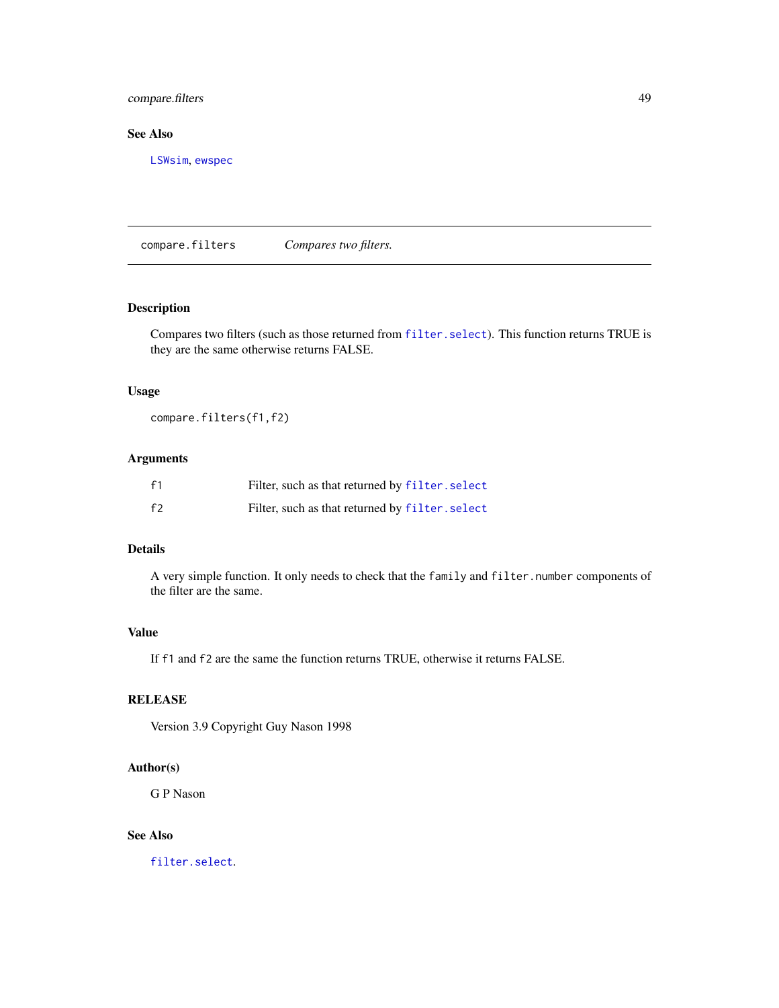### compare.filters 49

# See Also

[LSWsim](#page-164-0), [ewspec](#page-94-0)

compare.filters *Compares two filters.*

# Description

Compares two filters (such as those returned from [filter.select](#page-98-0)). This function returns TRUE is they are the same otherwise returns FALSE.

### Usage

compare.filters(f1,f2)

## Arguments

| f <sub>1</sub> | Filter, such as that returned by filter. select |
|----------------|-------------------------------------------------|
| f <sub>2</sub> | Filter, such as that returned by filter. select |

# Details

A very simple function. It only needs to check that the family and filter.number components of the filter are the same.

#### Value

If f1 and f2 are the same the function returns TRUE, otherwise it returns FALSE.

# RELEASE

Version 3.9 Copyright Guy Nason 1998

### Author(s)

G P Nason

# See Also

[filter.select](#page-98-0).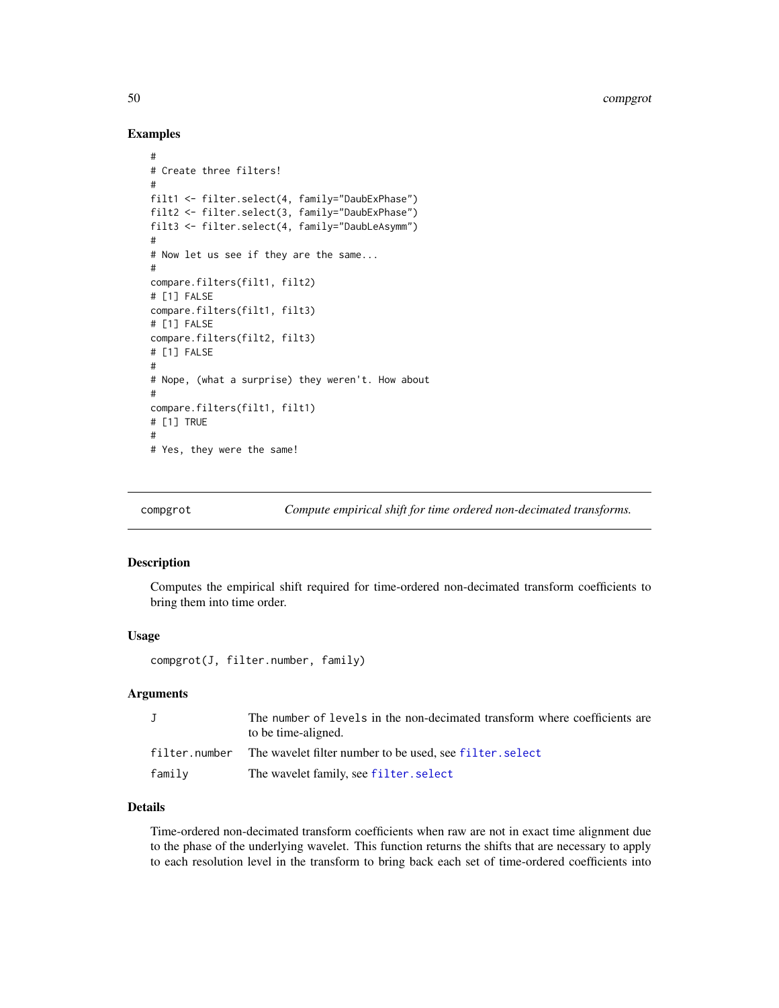50 compgrot

### Examples

```
#
# Create three filters!
#
filt1 <- filter.select(4, family="DaubExPhase")
filt2 <- filter.select(3, family="DaubExPhase")
filt3 <- filter.select(4, family="DaubLeAsymm")
#
# Now let us see if they are the same...
#
compare.filters(filt1, filt2)
# [1] FALSE
compare.filters(filt1, filt3)
# [1] FALSE
compare.filters(filt2, filt3)
# [1] FALSE
#
# Nope, (what a surprise) they weren't. How about
#
compare.filters(filt1, filt1)
# [1] TRUE
#
# Yes, they were the same!
```
compgrot *Compute empirical shift for time ordered non-decimated transforms.*

#### Description

Computes the empirical shift required for time-ordered non-decimated transform coefficients to bring them into time order.

#### Usage

compgrot(J, filter.number, family)

### Arguments

| J      | The number of levels in the non-decimated transform where coefficients are<br>to be time-aligned. |
|--------|---------------------------------------------------------------------------------------------------|
|        | filter.number The wavelet filter number to be used, see filter.select                             |
| family | The wavelet family, see filter. select                                                            |

### Details

Time-ordered non-decimated transform coefficients when raw are not in exact time alignment due to the phase of the underlying wavelet. This function returns the shifts that are necessary to apply to each resolution level in the transform to bring back each set of time-ordered coefficients into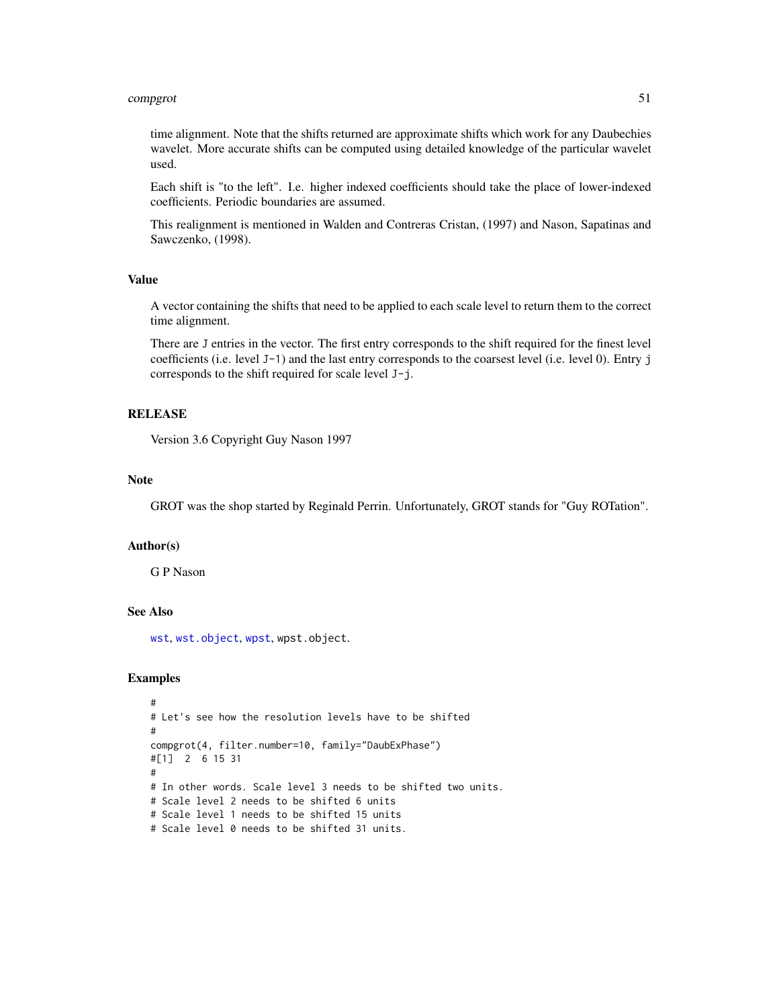#### compgrot 51

time alignment. Note that the shifts returned are approximate shifts which work for any Daubechies wavelet. More accurate shifts can be computed using detailed knowledge of the particular wavelet used.

Each shift is "to the left". I.e. higher indexed coefficients should take the place of lower-indexed coefficients. Periodic boundaries are assumed.

This realignment is mentioned in Walden and Contreras Cristan, (1997) and Nason, Sapatinas and Sawczenko, (1998).

### Value

A vector containing the shifts that need to be applied to each scale level to return them to the correct time alignment.

There are J entries in the vector. The first entry corresponds to the shift required for the finest level coefficients (i.e. level J-1) and the last entry corresponds to the coarsest level (i.e. level 0). Entry j corresponds to the shift required for scale level J-j.

### **RELEASE**

Version 3.6 Copyright Guy Nason 1997

#### **Note**

GROT was the shop started by Reginald Perrin. Unfortunately, GROT stands for "Guy ROTation".

### Author(s)

G P Nason

# See Also

[wst](#page-371-0), [wst.object](#page-373-0), [wpst](#page-359-0), wpst.object.

```
#
# Let's see how the resolution levels have to be shifted
#
compgrot(4, filter.number=10, family="DaubExPhase")
#[1] 2 6 15 31
#
# In other words. Scale level 3 needs to be shifted two units.
# Scale level 2 needs to be shifted 6 units
# Scale level 1 needs to be shifted 15 units
# Scale level 0 needs to be shifted 31 units.
```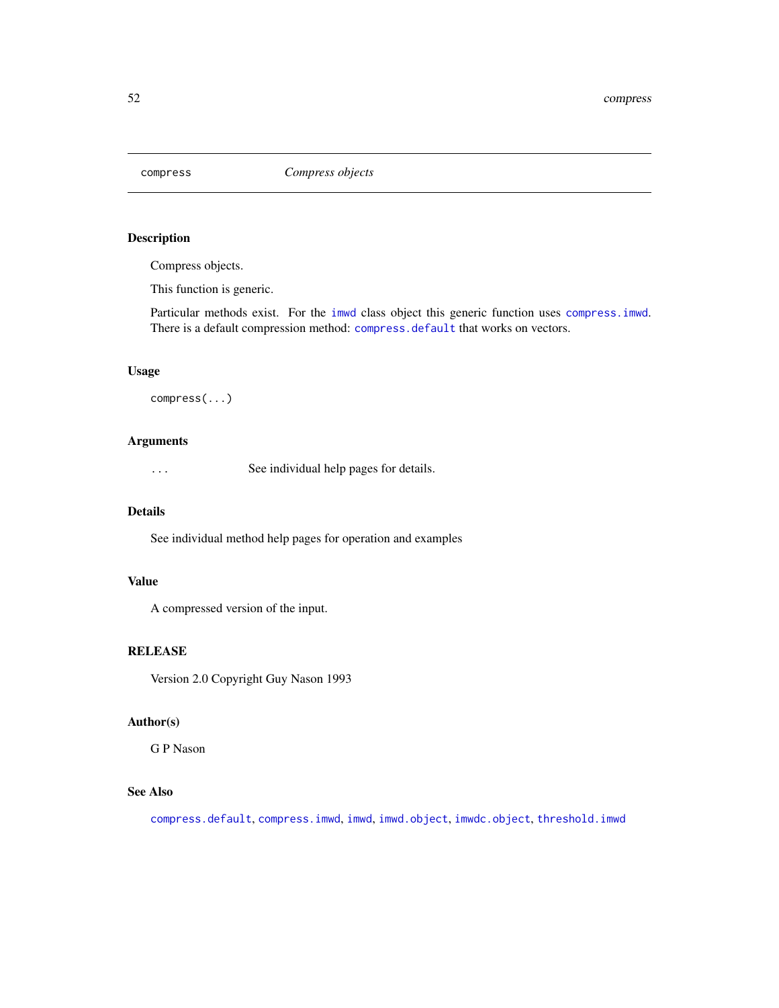<span id="page-51-0"></span>

Compress objects.

This function is generic.

Particular methods exist. For the [imwd](#page-131-0) class object this generic function uses [compress.imwd](#page-53-0). There is a default compression method: [compress.default](#page-52-0) that works on vectors.

# Usage

compress(...)

# Arguments

... See individual help pages for details.

### Details

See individual method help pages for operation and examples

# Value

A compressed version of the input.

# RELEASE

Version 2.0 Copyright Guy Nason 1993

### Author(s)

G P Nason

# See Also

[compress.default](#page-52-0), [compress.imwd](#page-53-0), [imwd](#page-131-0), [imwd.object](#page-133-0), [imwdc.object](#page-134-0), [threshold.imwd](#page-308-0)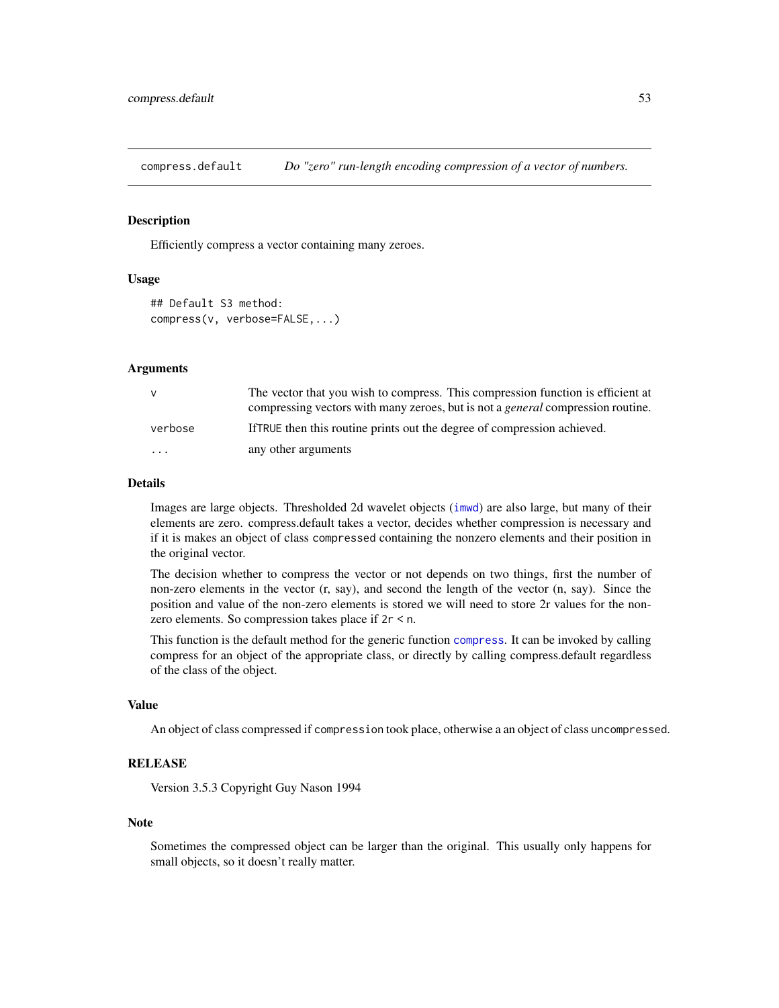<span id="page-52-0"></span>compress.default *Do "zero" run-length encoding compression of a vector of numbers.*

#### Description

Efficiently compress a vector containing many zeroes.

# Usage

```
## Default S3 method:
compress(v, verbose=FALSE,...)
```
#### Arguments

| $\mathsf{V}$ | The vector that you wish to compress. This compression function is efficient at        |
|--------------|----------------------------------------------------------------------------------------|
|              | compressing vectors with many zeroes, but is not a <i>general</i> compression routine. |
| verbose      | If TRUE then this routine prints out the degree of compression achieved.               |
| $\cdots$     | any other arguments                                                                    |

#### Details

Images are large objects. Thresholded 2d wavelet objects ([imwd](#page-131-0)) are also large, but many of their elements are zero. compress.default takes a vector, decides whether compression is necessary and if it is makes an object of class compressed containing the nonzero elements and their position in the original vector.

The decision whether to compress the vector or not depends on two things, first the number of non-zero elements in the vector (r, say), and second the length of the vector (n, say). Since the position and value of the non-zero elements is stored we will need to store 2r values for the nonzero elements. So compression takes place if 2r < n.

This function is the default method for the generic function [compress](#page-51-0). It can be invoked by calling compress for an object of the appropriate class, or directly by calling compress.default regardless of the class of the object.

#### Value

An object of class compressed if compression took place, otherwise a an object of class uncompressed.

# **RELEASE**

Version 3.5.3 Copyright Guy Nason 1994

#### Note

Sometimes the compressed object can be larger than the original. This usually only happens for small objects, so it doesn't really matter.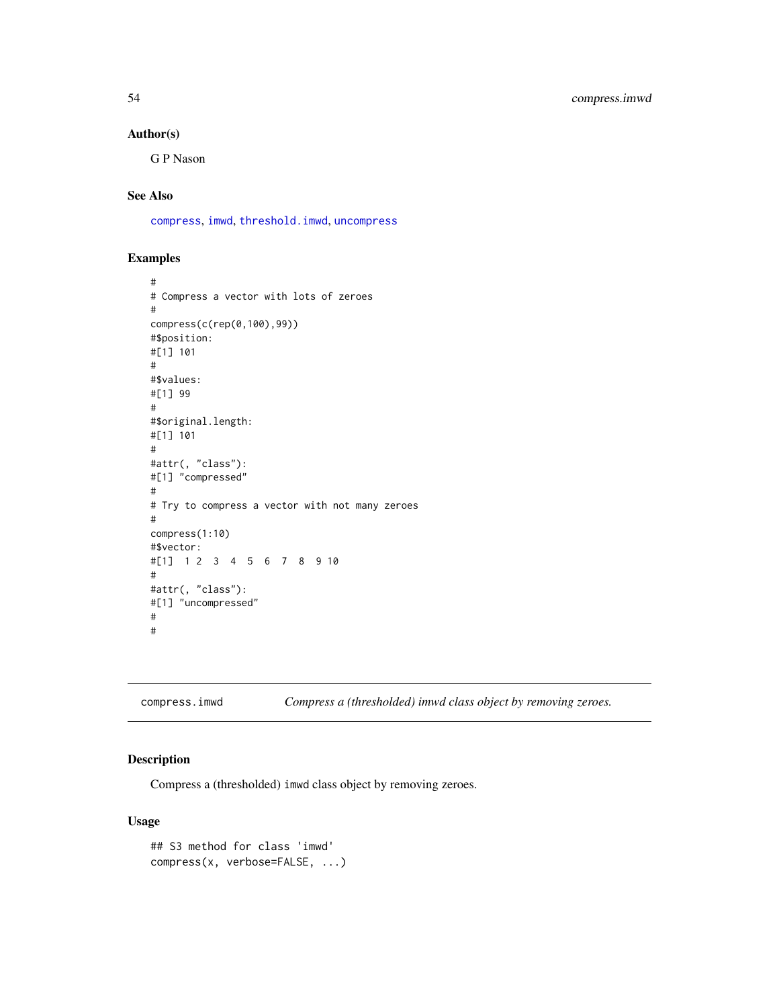### Author(s)

G P Nason

# See Also

[compress](#page-51-0), [imwd](#page-131-0), [threshold.imwd](#page-308-0), [uncompress](#page-338-0)

### Examples

```
#
# Compress a vector with lots of zeroes
#
compress(c(rep(0,100),99))
#$position:
#[1] 101
#
#$values:
#[1] 99
#
#$original.length:
#[1] 101
#
#attr(, "class"):
#[1] "compressed"
#
# Try to compress a vector with not many zeroes
#
compress(1:10)
#$vector:
#[1] 1 2 3 4 5 6 7 8 9 10
#
#attr(, "class"):
#[1] "uncompressed"
#
#
```
<span id="page-53-0"></span>compress.imwd *Compress a (thresholded) imwd class object by removing zeroes.*

# Description

Compress a (thresholded) imwd class object by removing zeroes.

### Usage

```
## S3 method for class 'imwd'
compress(x, verbose=FALSE, ...)
```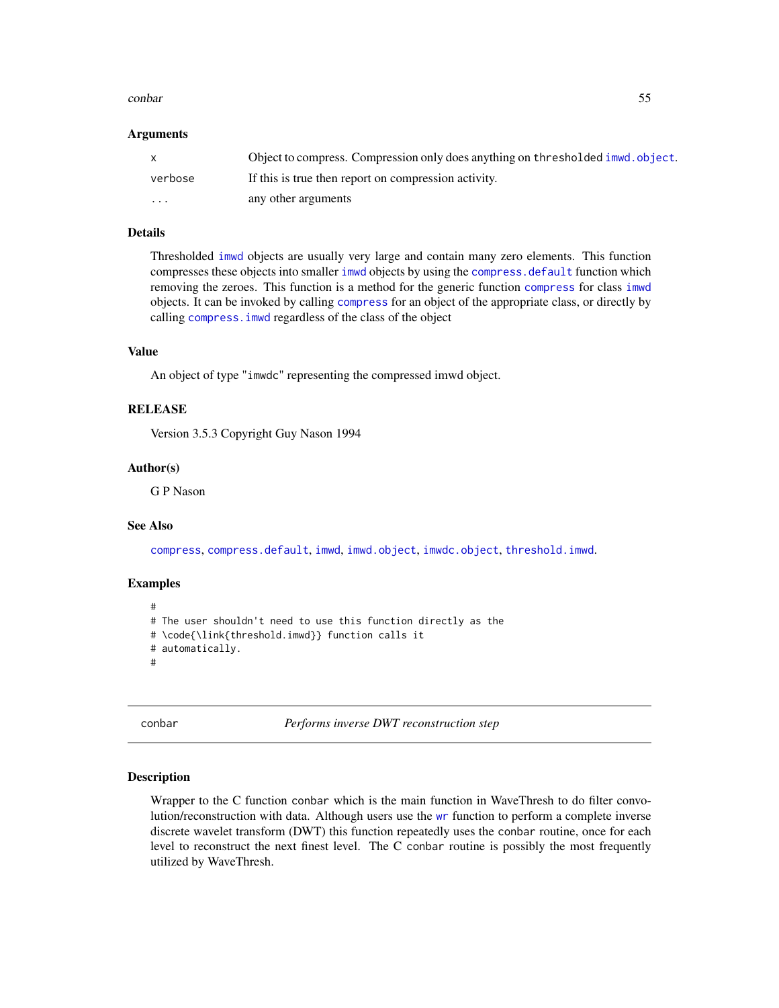#### conbar 55

#### Arguments

|         | Object to compress. Compression only does anything on thresholded immed. object. |
|---------|----------------------------------------------------------------------------------|
| verbose | If this is true then report on compression activity.                             |
| .       | any other arguments                                                              |

### Details

Thresholded [imwd](#page-131-0) objects are usually very large and contain many zero elements. This function compresses these objects into smaller [imwd](#page-131-0) objects by using the [compress.default](#page-52-0) function which removing the zeroes. This function is a method for the generic function [compress](#page-51-0) for class [imwd](#page-131-0) objects. It can be invoked by calling [compress](#page-51-0) for an object of the appropriate class, or directly by calling [compress.imwd](#page-53-0) regardless of the class of the object

#### Value

An object of type "imwdc" representing the compressed imwd object.

#### **RELEASE**

Version 3.5.3 Copyright Guy Nason 1994

### Author(s)

G P Nason

#### See Also

[compress](#page-51-0), [compress.default](#page-52-0), [imwd](#page-131-0), [imwd.object](#page-133-0), [imwdc.object](#page-134-0), [threshold.imwd](#page-308-0).

#### Examples

```
#
# The user shouldn't need to use this function directly as the
# \code{\link{threshold.imwd}} function calls it
# automatically.
#
```
conbar *Performs inverse DWT reconstruction step*

#### Description

Wrapper to the C function conbar which is the main function in WaveThresh to do filter convolution/reconstruction with data. Although users use the [wr](#page-365-0) function to perform a complete inverse discrete wavelet transform (DWT) this function repeatedly uses the conbar routine, once for each level to reconstruct the next finest level. The C conbar routine is possibly the most frequently utilized by WaveThresh.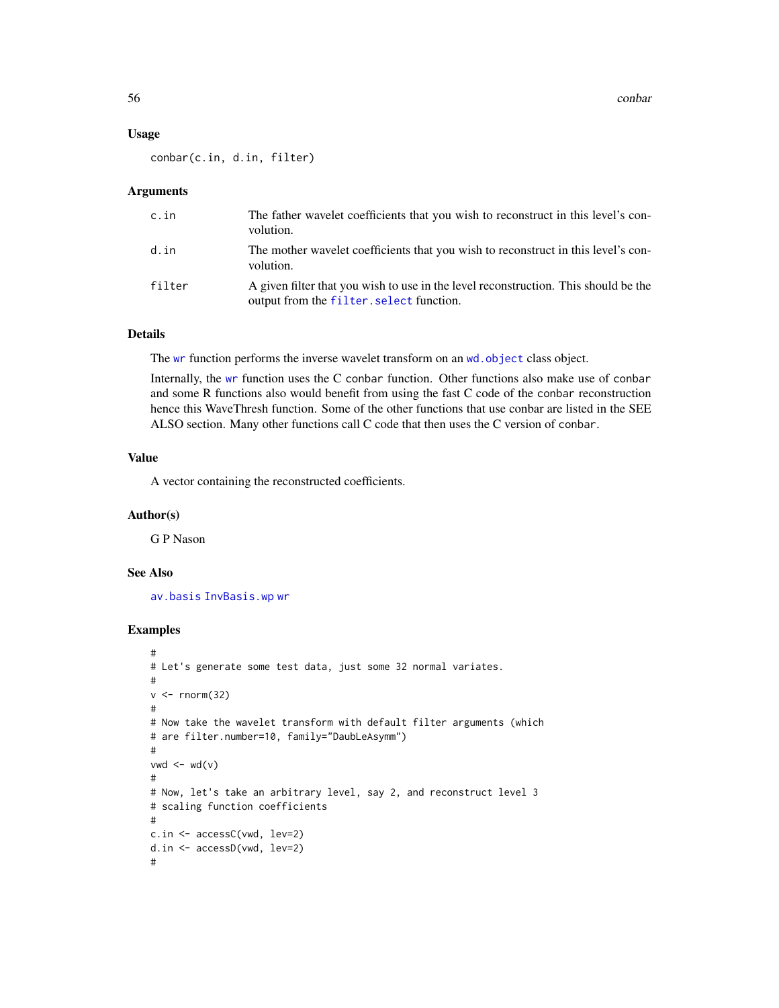56 conbarrow contact the contact of the contact of the contact of the contact of the contact of the contact of the contact of the contact of the contact of the contact of the contact of the contact of the contact of the co

#### Usage

conbar(c.in, d.in, filter)

#### Arguments

| c.in   | The father wavelet coefficients that you wish to reconstruct in this level's con-<br>volution.                                  |
|--------|---------------------------------------------------------------------------------------------------------------------------------|
| d.in   | The mother wavelet coefficients that you wish to reconstruct in this level's con-<br>volution.                                  |
| filter | A given filter that you wish to use in the level reconstruction. This should be the<br>output from the filter. select function. |

### Details

The [wr](#page-365-0) function performs the inverse wavelet transform on an wd. object class object.

Internally, the [wr](#page-365-0) function uses the C conbar function. Other functions also make use of conbar and some R functions also would benefit from using the fast C code of the conbar reconstruction hence this WaveThresh function. Some of the other functions that use conbar are listed in the SEE ALSO section. Many other functions call C code that then uses the C version of conbar.

### Value

A vector containing the reconstructed coefficients.

#### Author(s)

G P Nason

### See Also

[av.basis](#page-25-0) [InvBasis.wp](#page-142-0) [wr](#page-365-0)

```
#
# Let's generate some test data, just some 32 normal variates.
#
v < - rnorm(32)
#
# Now take the wavelet transform with default filter arguments (which
# are filter.number=10, family="DaubLeAsymm")
#
vwd \le -wd(v)#
# Now, let's take an arbitrary level, say 2, and reconstruct level 3
# scaling function coefficients
#
c.in <- accessC(vwd, lev=2)
d.in <- accessD(vwd, lev=2)
#
```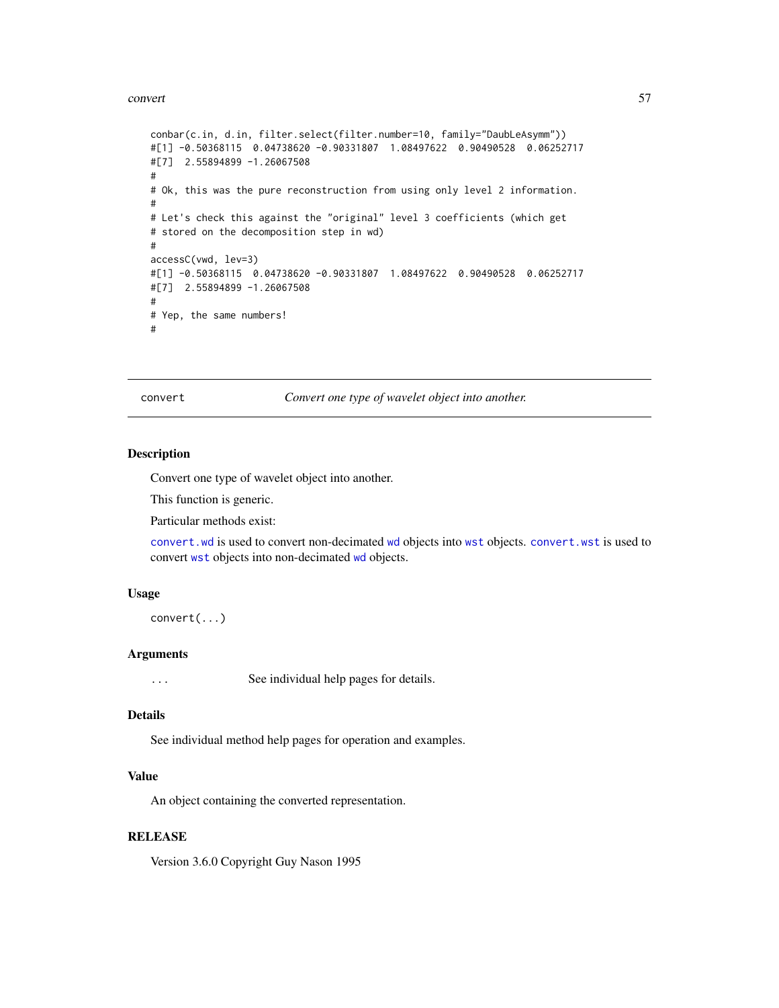#### convert 57

```
conbar(c.in, d.in, filter.select(filter.number=10, family="DaubLeAsymm"))
#[1] -0.50368115 0.04738620 -0.90331807 1.08497622 0.90490528 0.06252717
#[7] 2.55894899 -1.26067508
#
# Ok, this was the pure reconstruction from using only level 2 information.
#
# Let's check this against the "original" level 3 coefficients (which get
# stored on the decomposition step in wd)
#
accessC(vwd, lev=3)
#[1] -0.50368115 0.04738620 -0.90331807 1.08497622 0.90490528 0.06252717
#[7] 2.55894899 -1.26067508
#
# Yep, the same numbers!
#
```
<span id="page-56-0"></span>convert *Convert one type of wavelet object into another.*

### Description

Convert one type of wavelet object into another.

This function is generic.

Particular methods exist:

[convert.wd](#page-57-0) is used to convert non-decimated [wd](#page-344-0) objects into [wst](#page-371-0) objects. [convert.wst](#page-59-0) is used to convert [wst](#page-371-0) objects into non-decimated [wd](#page-344-0) objects.

### Usage

convert(...)

#### Arguments

... See individual help pages for details.

#### Details

See individual method help pages for operation and examples.

#### Value

An object containing the converted representation.

#### **RELEASE**

Version 3.6.0 Copyright Guy Nason 1995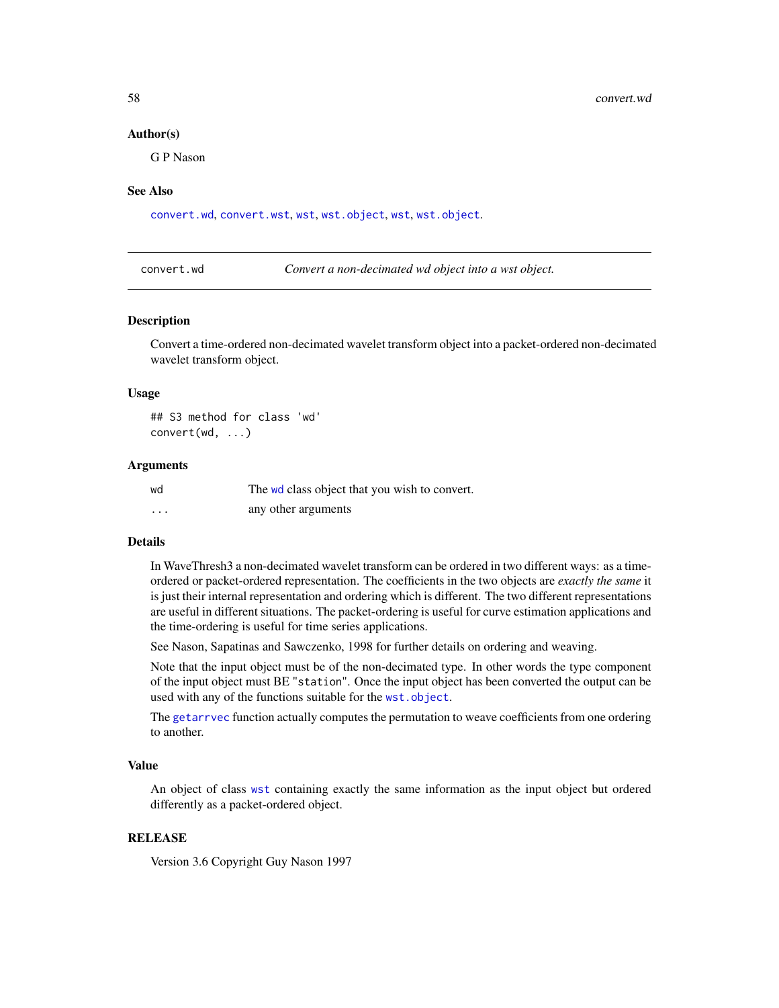#### Author(s)

G P Nason

#### See Also

[convert.wd](#page-57-0), [convert.wst](#page-59-0), [wst](#page-371-0), [wst.object](#page-373-0), [wst](#page-371-0), [wst.object](#page-373-0).

<span id="page-57-0"></span>convert.wd *Convert a non-decimated wd object into a wst object.*

#### Description

Convert a time-ordered non-decimated wavelet transform object into a packet-ordered non-decimated wavelet transform object.

#### Usage

## S3 method for class 'wd' convert(wd, ...)

#### Arguments

| wd | The wd class object that you wish to convert. |
|----|-----------------------------------------------|
| .  | any other arguments                           |

#### Details

In WaveThresh3 a non-decimated wavelet transform can be ordered in two different ways: as a timeordered or packet-ordered representation. The coefficients in the two objects are *exactly the same* it is just their internal representation and ordering which is different. The two different representations are useful in different situations. The packet-ordering is useful for curve estimation applications and the time-ordering is useful for time series applications.

See Nason, Sapatinas and Sawczenko, 1998 for further details on ordering and weaving.

Note that the input object must be of the non-decimated type. In other words the type component of the input object must BE "station". Once the input object has been converted the output can be used with any of the functions suitable for the [wst.object](#page-373-0).

The [getarrvec](#page-110-0) function actually computes the permutation to weave coefficients from one ordering to another.

#### Value

An object of class [wst](#page-371-0) containing exactly the same information as the input object but ordered differently as a packet-ordered object.

#### RELEASE

Version 3.6 Copyright Guy Nason 1997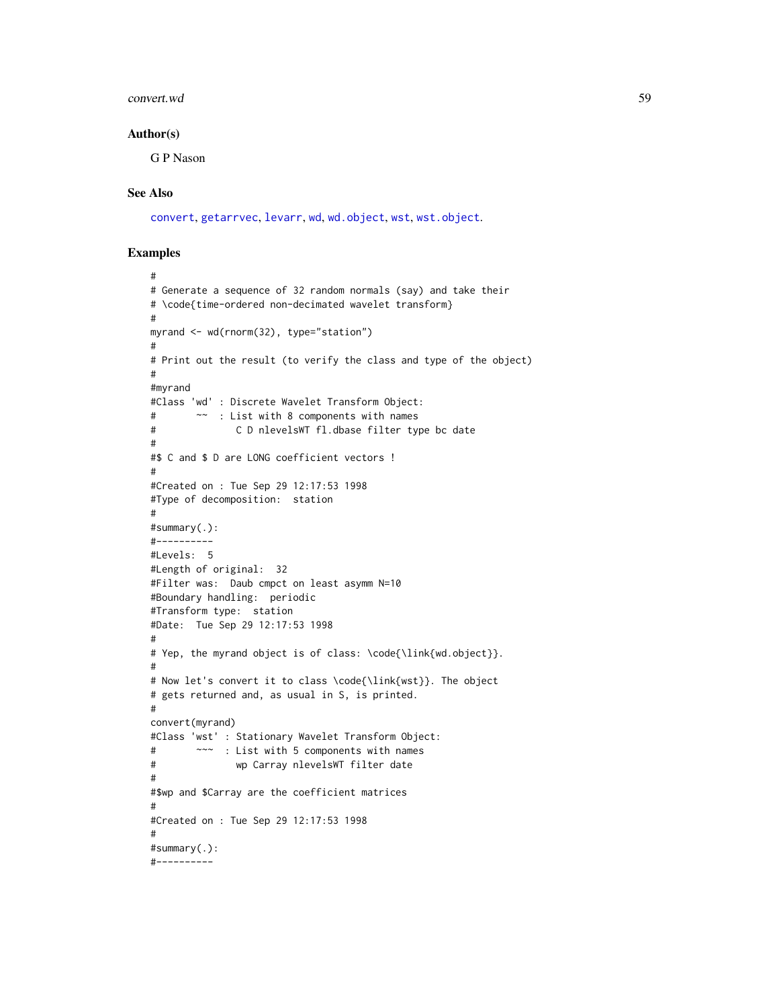#### convert.wd 59

#### Author(s)

G P Nason

### See Also

[convert](#page-56-0), [getarrvec](#page-110-0), [levarr](#page-156-0), [wd](#page-344-0), [wd.object](#page-351-0), [wst](#page-371-0), [wst.object](#page-373-0).

```
#
# Generate a sequence of 32 random normals (say) and take their
# \code{time-ordered non-decimated wavelet transform}
#
myrand <- wd(rnorm(32), type="station")
#
# Print out the result (to verify the class and type of the object)
#
#myrand
#Class 'wd' : Discrete Wavelet Transform Object:
# ~~ : List with 8 components with names
# C D nlevelsWT fl.dbase filter type bc date
#
#$ C and $ D are LONG coefficient vectors !
#
#Created on : Tue Sep 29 12:17:53 1998
#Type of decomposition: station
#
#summary(.):
#----------
#Levels: 5
#Length of original: 32
#Filter was: Daub cmpct on least asymm N=10
#Boundary handling: periodic
#Transform type: station
#Date: Tue Sep 29 12:17:53 1998
#
# Yep, the myrand object is of class: \code{\link{wd.object}}.
#
# Now let's convert it to class \code{\link{wst}}. The object
# gets returned and, as usual in S, is printed.
#
convert(myrand)
#Class 'wst' : Stationary Wavelet Transform Object:
# ~~~ : List with 5 components with names
# wp Carray nlevelsWT filter date
#
#$wp and $Carray are the coefficient matrices
#
#Created on : Tue Sep 29 12:17:53 1998
#
#summary(.):
#----------
```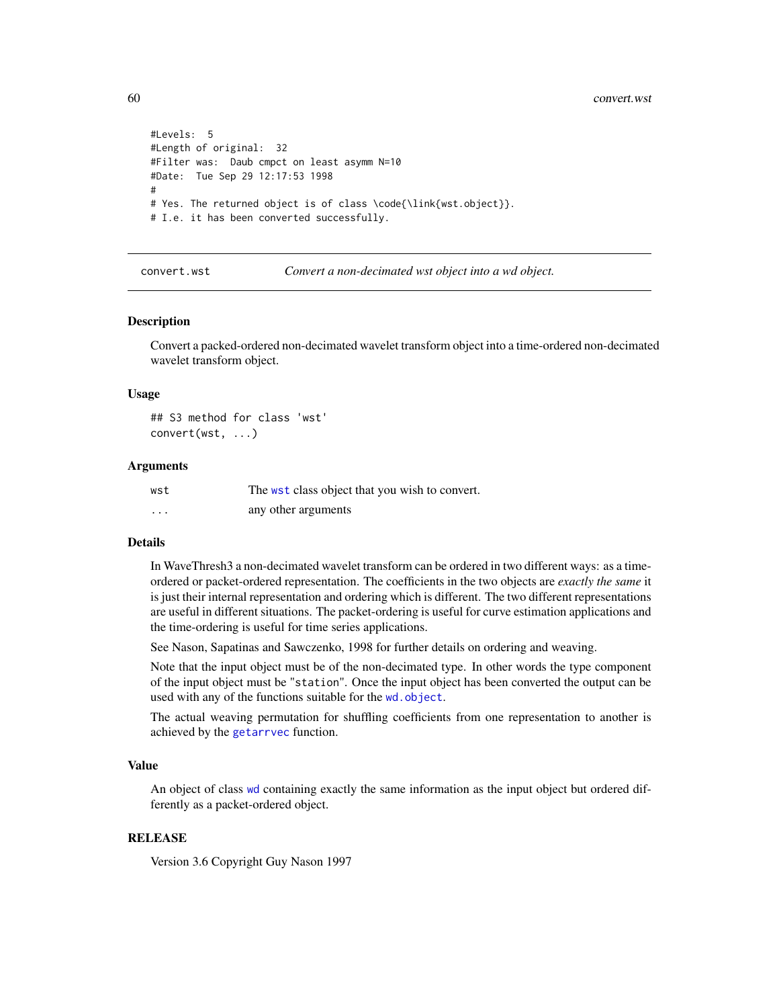```
#Levels: 5
#Length of original: 32
#Filter was: Daub cmpct on least asymm N=10
#Date: Tue Sep 29 12:17:53 1998
#
# Yes. The returned object is of class \code{\link{wst.object}}.
# I.e. it has been converted successfully.
```
<span id="page-59-0"></span>convert.wst *Convert a non-decimated wst object into a wd object.*

#### Description

Convert a packed-ordered non-decimated wavelet transform object into a time-ordered non-decimated wavelet transform object.

#### Usage

## S3 method for class 'wst' convert(wst, ...)

#### Arguments

| wst      | The wst class object that you wish to convert. |
|----------|------------------------------------------------|
| $\cdots$ | any other arguments                            |

#### Details

In WaveThresh3 a non-decimated wavelet transform can be ordered in two different ways: as a timeordered or packet-ordered representation. The coefficients in the two objects are *exactly the same* it is just their internal representation and ordering which is different. The two different representations are useful in different situations. The packet-ordering is useful for curve estimation applications and the time-ordering is useful for time series applications.

See Nason, Sapatinas and Sawczenko, 1998 for further details on ordering and weaving.

Note that the input object must be of the non-decimated type. In other words the type component of the input object must be "station". Once the input object has been converted the output can be used with any of the functions suitable for the [wd.object](#page-351-0).

The actual weaving permutation for shuffling coefficients from one representation to another is achieved by the [getarrvec](#page-110-0) function.

#### Value

An object of class [wd](#page-344-0) containing exactly the same information as the input object but ordered differently as a packet-ordered object.

#### RELEASE

Version 3.6 Copyright Guy Nason 1997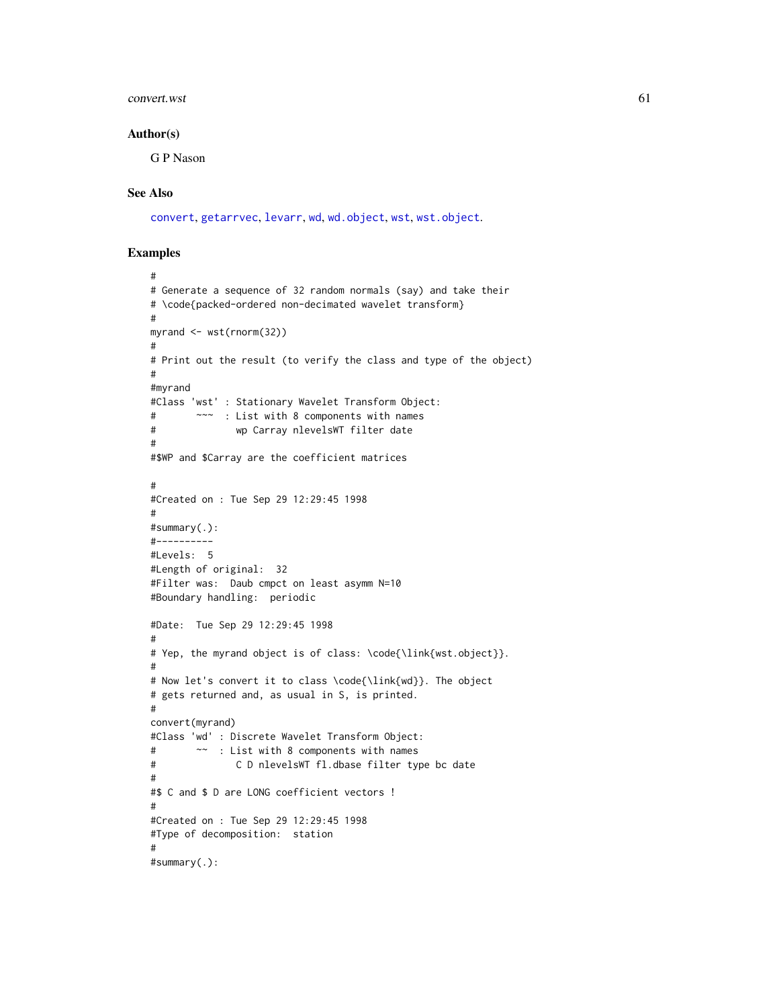#### $\epsilon$  convert. wst 61

#### Author(s)

G P Nason

### See Also

[convert](#page-56-0), [getarrvec](#page-110-0), [levarr](#page-156-0), [wd](#page-344-0), [wd.object](#page-351-0), [wst](#page-371-0), [wst.object](#page-373-0).

```
#
# Generate a sequence of 32 random normals (say) and take their
# \code{packed-ordered non-decimated wavelet transform}
#
myrand <- wst(rnorm(32))
#
# Print out the result (to verify the class and type of the object)
#
#myrand
#Class 'wst' : Stationary Wavelet Transform Object:
# ~~~ : List with 8 components with names
# wp Carray nlevelsWT filter date
#
#$WP and $Carray are the coefficient matrices
#
#Created on : Tue Sep 29 12:29:45 1998
#
#summary(.):
#----------
#Levels: 5
#Length of original: 32
#Filter was: Daub cmpct on least asymm N=10
#Boundary handling: periodic
#Date: Tue Sep 29 12:29:45 1998
#
# Yep, the myrand object is of class: \code{\link{wst.object}}.
#
# Now let's convert it to class \code{\link{wd}}. The object
# gets returned and, as usual in S, is printed.
#
convert(myrand)
#Class 'wd' : Discrete Wavelet Transform Object:
# ~~ : List with 8 components with names
# C D nlevelsWT fl.dbase filter type bc date
#
#$ C and $ D are LONG coefficient vectors !
#
#Created on : Tue Sep 29 12:29:45 1998
#Type of decomposition: station
#
#summary(.):
```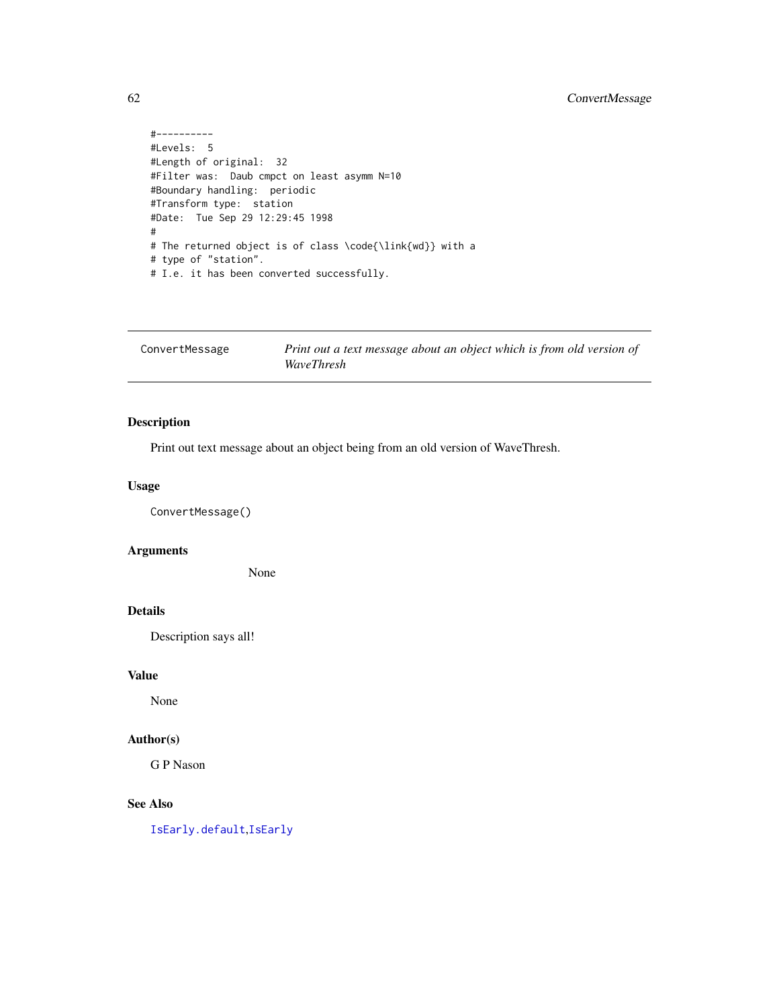```
#----------
#Levels: 5
#Length of original: 32
#Filter was: Daub cmpct on least asymm N=10
#Boundary handling: periodic
#Transform type: station
#Date: Tue Sep 29 12:29:45 1998
#
# The returned object is of class \code{\link{wd}} with a
# type of "station".
# I.e. it has been converted successfully.
```

| ConvertMessage | Print out a text message about an object which is from old version of |
|----------------|-----------------------------------------------------------------------|
|                | WaveThresh                                                            |

Print out text message about an object being from an old version of WaveThresh.

#### Usage

ConvertMessage()

#### Arguments

None

### Details

Description says all!

### Value

None

### Author(s)

G P Nason

### See Also

[IsEarly.default](#page-152-0),[IsEarly](#page-151-0)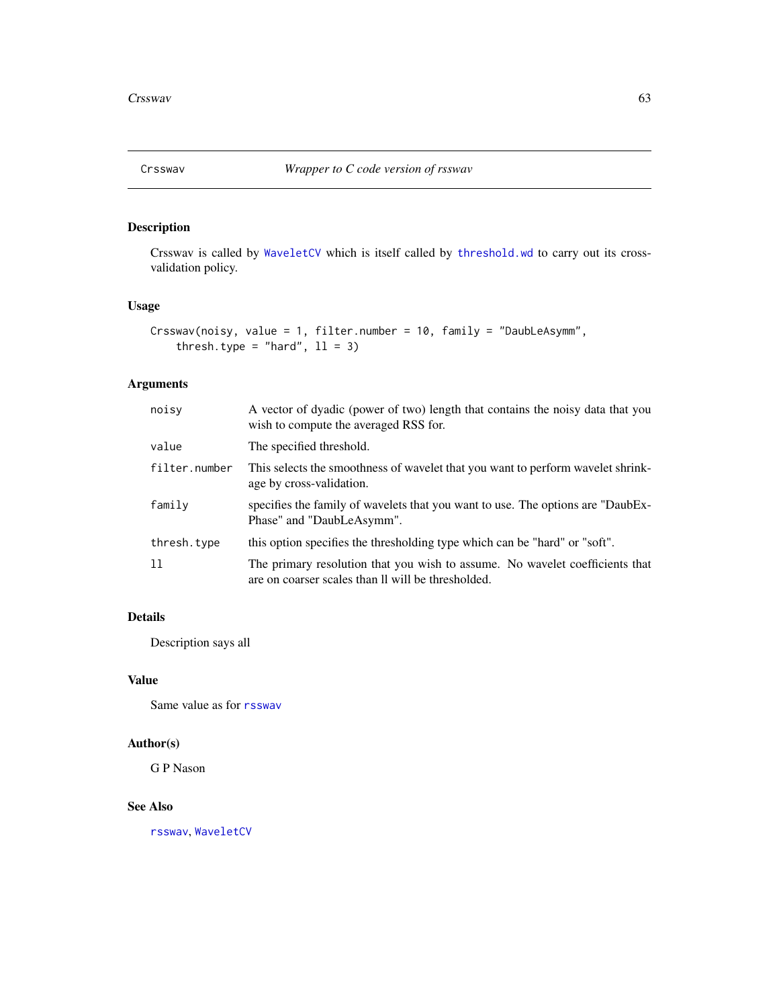Crsswav is called by [WaveletCV](#page-343-0) which is itself called by [threshold.wd](#page-318-0) to carry out its crossvalidation policy.

### Usage

```
Crsswav(noisy, value = 1, filter.number = 10, family = "DaubLeAsymm",
    thresh.type = "hard", 11 = 3)
```
# Arguments

| noisy         | A vector of dyadic (power of two) length that contains the noisy data that you<br>wish to compute the averaged RSS for.            |
|---------------|------------------------------------------------------------------------------------------------------------------------------------|
| value         | The specified threshold.                                                                                                           |
| filter.number | This selects the smoothness of wavelet that you want to perform wavelet shrink-<br>age by cross-validation.                        |
| family        | specifies the family of wavelets that you want to use. The options are "DaubEx-<br>Phase" and "DaubLeAsymm".                       |
| thresh.type   | this option specifies the thresholding type which can be "hard" or "soft".                                                         |
| 11            | The primary resolution that you wish to assume. No wavelet coefficients that<br>are on coarser scales than Il will be thresholded. |

# Details

Description says all

# Value

Same value as for [rsswav](#page-288-0)

# Author(s)

G P Nason

### See Also

[rsswav](#page-288-0), [WaveletCV](#page-343-0)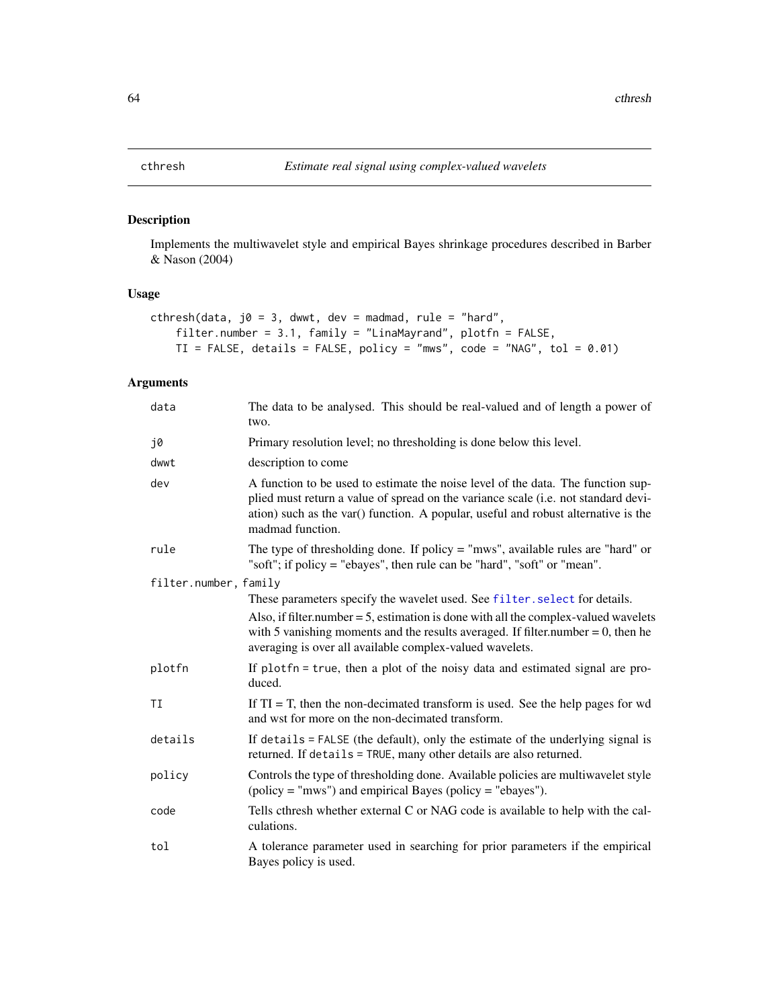Implements the multiwavelet style and empirical Bayes shrinkage procedures described in Barber & Nason (2004)

# Usage

```
cthresh(data, j0 = 3, dwwt, dev = madmad, rule = "hard",
   filter.number = 3.1, family = "LinaMayrand", plotfn = FALSE,
   TI = FALSE, details = FALSE, policy = "mws", code = "NAG", tol = 0.01)
```
# Arguments

| data                  | The data to be analysed. This should be real-valued and of length a power of<br>two.                                                                                                                                                                                             |
|-----------------------|----------------------------------------------------------------------------------------------------------------------------------------------------------------------------------------------------------------------------------------------------------------------------------|
| j0                    | Primary resolution level; no thresholding is done below this level.                                                                                                                                                                                                              |
| dwwt                  | description to come                                                                                                                                                                                                                                                              |
| dev                   | A function to be used to estimate the noise level of the data. The function sup-<br>plied must return a value of spread on the variance scale (i.e. not standard devi-<br>ation) such as the var() function. A popular, useful and robust alternative is the<br>madmad function. |
| rule                  | The type of thresholding done. If policy $=$ "mws", available rules are "hard" or<br>"soft"; if policy = "ebayes", then rule can be "hard", "soft" or "mean".                                                                                                                    |
| filter.number, family |                                                                                                                                                                                                                                                                                  |
|                       | These parameters specify the wavelet used. See filter. select for details.                                                                                                                                                                                                       |
|                       | Also, if filter number $= 5$ , estimation is done with all the complex-valued wavelets<br>with 5 vanishing moments and the results averaged. If filter number $= 0$ , then he<br>averaging is over all available complex-valued wavelets.                                        |
| plotfn                | If plotfn = true, then a plot of the noisy data and estimated signal are pro-<br>duced.                                                                                                                                                                                          |
| ΤI                    | If $TI = T$ , then the non-decimated transform is used. See the help pages for wd<br>and wst for more on the non-decimated transform.                                                                                                                                            |
| details               | If details = FALSE (the default), only the estimate of the underlying signal is<br>returned. If details = TRUE, many other details are also returned.                                                                                                                            |
| policy                | Controls the type of thresholding done. Available policies are multiwavelet style<br>$(policy = "mws")$ and empirical Bayes $(policy = "ebayes").$                                                                                                                               |
| code                  | Tells cthresh whether external C or NAG code is available to help with the cal-<br>culations.                                                                                                                                                                                    |
| tol                   | A tolerance parameter used in searching for prior parameters if the empirical<br>Bayes policy is used.                                                                                                                                                                           |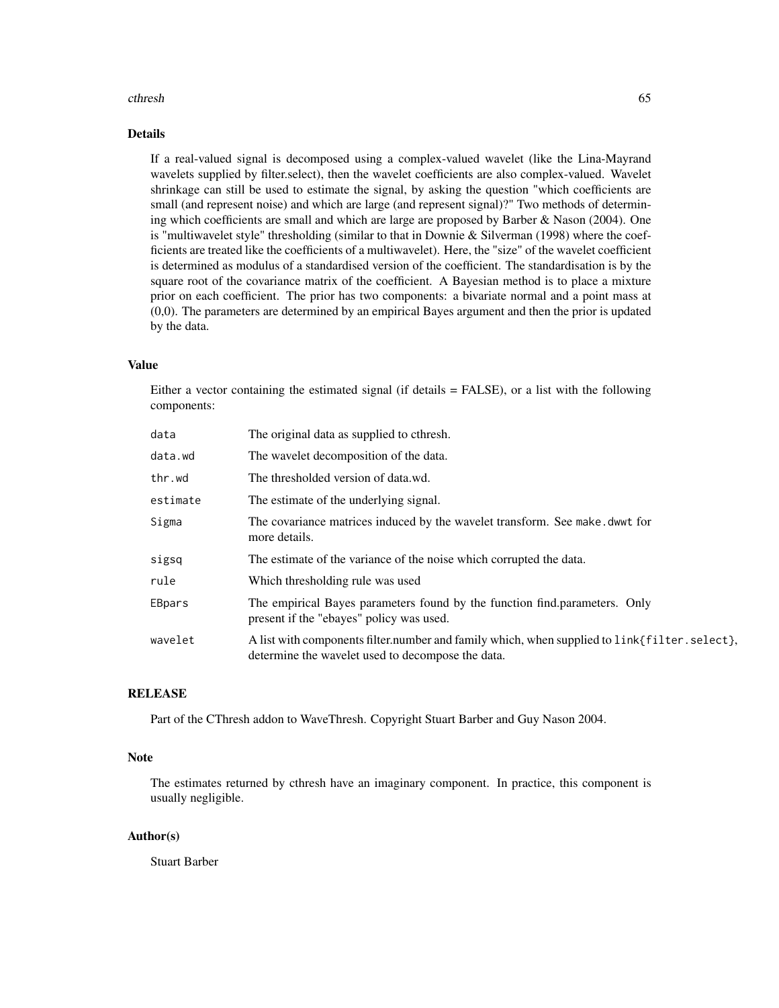#### cthresh 65

### Details

If a real-valued signal is decomposed using a complex-valued wavelet (like the Lina-Mayrand wavelets supplied by filter.select), then the wavelet coefficients are also complex-valued. Wavelet shrinkage can still be used to estimate the signal, by asking the question "which coefficients are small (and represent noise) and which are large (and represent signal)?" Two methods of determining which coefficients are small and which are large are proposed by Barber & Nason (2004). One is "multiwavelet style" thresholding (similar to that in Downie  $\&$  Silverman (1998) where the coefficients are treated like the coefficients of a multiwavelet). Here, the "size" of the wavelet coefficient is determined as modulus of a standardised version of the coefficient. The standardisation is by the square root of the covariance matrix of the coefficient. A Bayesian method is to place a mixture prior on each coefficient. The prior has two components: a bivariate normal and a point mass at (0,0). The parameters are determined by an empirical Bayes argument and then the prior is updated by the data.

#### Value

Either a vector containing the estimated signal (if details = FALSE), or a list with the following components:

| data     | The original data as supplied to cthresh.                                                                                                         |
|----------|---------------------------------------------------------------------------------------------------------------------------------------------------|
| data.wd  | The wavelet decomposition of the data.                                                                                                            |
| thr.wd   | The thresholded version of data.wd.                                                                                                               |
| estimate | The estimate of the underlying signal.                                                                                                            |
| Sigma    | The covariance matrices induced by the wavelet transform. See make, dwwt for<br>more details.                                                     |
| sigsq    | The estimate of the variance of the noise which corrupted the data.                                                                               |
| rule     | Which thresholding rule was used                                                                                                                  |
| EBpars   | The empirical Bayes parameters found by the function find.parameters. Only<br>present if the "ebayes" policy was used.                            |
| wavelet  | A list with components filter number and family which, when supplied to link{filter.select},<br>determine the wavelet used to decompose the data. |

# **RELEASE**

Part of the CThresh addon to WaveThresh. Copyright Stuart Barber and Guy Nason 2004.

### Note

The estimates returned by cthresh have an imaginary component. In practice, this component is usually negligible.

#### Author(s)

Stuart Barber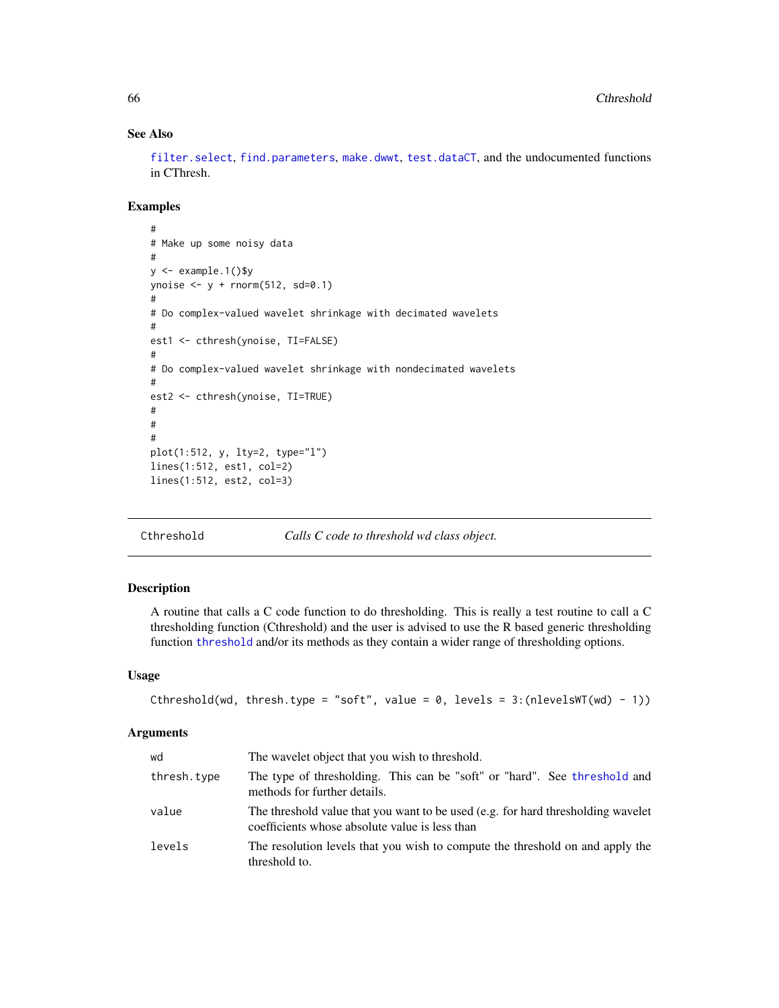# See Also

[filter.select](#page-98-0), [find.parameters](#page-101-0), [make.dwwt](#page-170-0), [test.dataCT](#page-306-0), and the undocumented functions in CThresh.

### Examples

```
#
# Make up some noisy data
#
y <- example.1()$y
ynoise \leq y + rnorm(512, sd=0.1)
#
# Do complex-valued wavelet shrinkage with decimated wavelets
#
est1 <- cthresh(ynoise, TI=FALSE)
#
# Do complex-valued wavelet shrinkage with nondecimated wavelets
#
est2 <- cthresh(ynoise, TI=TRUE)
#
#
#
plot(1:512, y, lty=2, type="l")
lines(1:512, est1, col=2)
lines(1:512, est2, col=3)
```
Cthreshold *Calls C code to threshold wd class object.*

### Description

A routine that calls a C code function to do thresholding. This is really a test routine to call a C thresholding function (Cthreshold) and the user is advised to use the R based generic thresholding function [threshold](#page-307-0) and/or its methods as they contain a wider range of thresholding options.

#### Usage

```
Cthreshold(wd, thresh.type = "soft", value = 0, levels = 3:(nlevelswT(wd) - 1))
```
#### Arguments

| wd          | The wavelet object that you wish to threshold.                                                                                     |
|-------------|------------------------------------------------------------------------------------------------------------------------------------|
| thresh.type | The type of thresholding. This can be "soft" or "hard". See threshold and<br>methods for further details.                          |
| value       | The threshold value that you want to be used (e.g. for hard thresholding wavelet<br>coefficients whose absolute value is less than |
| levels      | The resolution levels that you wish to compute the threshold on and apply the<br>threshold to.                                     |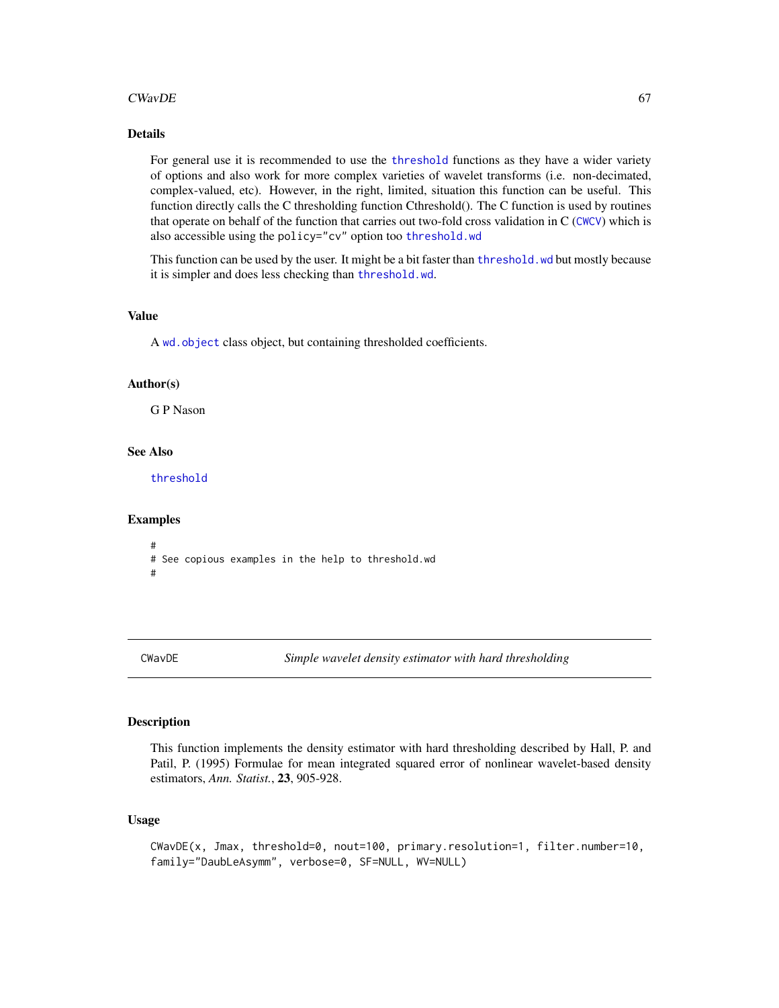### $CWavDE$  67

### Details

For general use it is recommended to use the [threshold](#page-307-0) functions as they have a wider variety of options and also work for more complex varieties of wavelet transforms (i.e. non-decimated, complex-valued, etc). However, in the right, limited, situation this function can be useful. This function directly calls the C thresholding function Cthreshold(). The C function is used by routines that operate on behalf of the function that carries out two-fold cross validation in C ([CWCV](#page-68-0)) which is also accessible using the policy="cv" option too [threshold.wd](#page-318-0)

This function can be used by the user. It might be a bit faster than [threshold.wd](#page-318-0) but mostly because it is simpler and does less checking than [threshold.wd](#page-318-0).

#### Value

A wd. object class object, but containing thresholded coefficients.

### Author(s)

G P Nason

### See Also

[threshold](#page-307-0)

#### Examples

```
#
# See copious examples in the help to threshold.wd
#
```
CWavDE *Simple wavelet density estimator with hard thresholding*

#### Description

This function implements the density estimator with hard thresholding described by Hall, P. and Patil, P. (1995) Formulae for mean integrated squared error of nonlinear wavelet-based density estimators, *Ann. Statist.*, 23, 905-928.

### Usage

```
CWavDE(x, Jmax, threshold=0, nout=100, primary.resolution=1, filter.number=10,
family="DaubLeAsymm", verbose=0, SF=NULL, WV=NULL)
```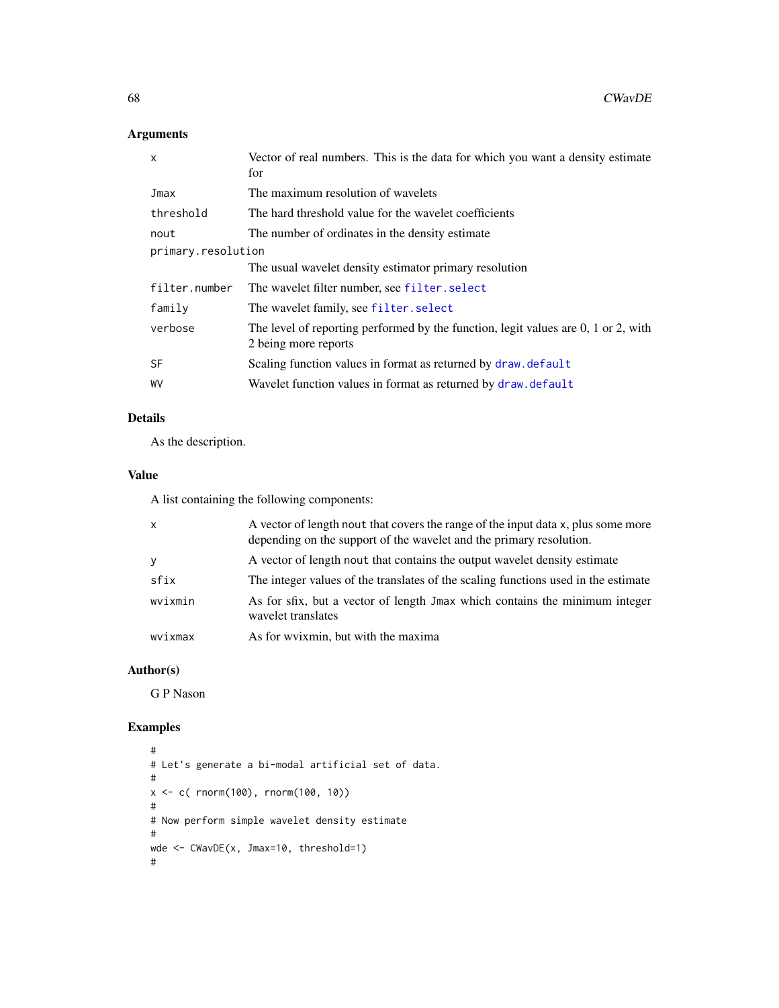# Arguments

| x                  | Vector of real numbers. This is the data for which you want a density estimate<br>for                      |  |
|--------------------|------------------------------------------------------------------------------------------------------------|--|
| Jmax               | The maximum resolution of wavelets                                                                         |  |
| threshold          | The hard threshold value for the wavelet coefficients                                                      |  |
| nout               | The number of ordinates in the density estimate                                                            |  |
| primary.resolution |                                                                                                            |  |
|                    | The usual wavelet density estimator primary resolution                                                     |  |
| filter.number      | The wavelet filter number, see filter. select                                                              |  |
| family             | The wavelet family, see filter. select                                                                     |  |
| verbose            | The level of reporting performed by the function, legit values are 0, 1 or 2, with<br>2 being more reports |  |
| <b>SF</b>          | Scaling function values in format as returned by draw. default                                             |  |
| WV                 | Wavelet function values in format as returned by draw. default                                             |  |

# Details

As the description.

# Value

A list containing the following components:

| $\mathsf{x}$ | A vector of length nout that covers the range of the input data x, plus some more<br>depending on the support of the wavelet and the primary resolution. |
|--------------|----------------------------------------------------------------------------------------------------------------------------------------------------------|
| y            | A vector of length nout that contains the output wavelet density estimate                                                                                |
| sfix         | The integer values of the translates of the scaling functions used in the estimate                                                                       |
| wvixmin      | As for sfix, but a vector of length Jmax which contains the minimum integer<br>wavelet translates                                                        |
| wvixmax      | As for wy ixmin, but with the maxima                                                                                                                     |

### Author(s)

G P Nason

```
#
# Let's generate a bi-modal artificial set of data.
#
x <- c( rnorm(100), rnorm(100, 10))
#
# Now perform simple wavelet density estimate
#
wde <- CWavDE(x, Jmax=10, threshold=1)
#
```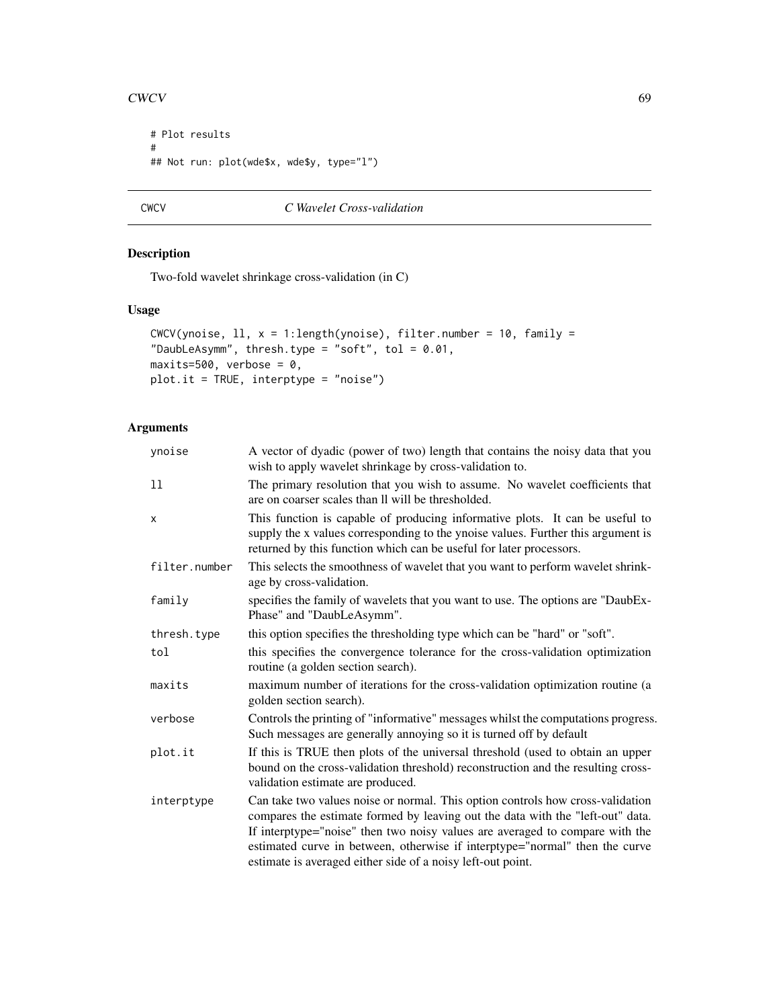```
# Plot results
#
## Not run: plot(wde$x, wde$y, type="l")
```

```
CWCV C Wavelet Cross-validation
```
Two-fold wavelet shrinkage cross-validation (in C)

### Usage

```
CWCV(ynoise, 11, x = 1: length(ynoise), filter.number = 10, family =
"DaubLeAsymm", thresh.type = "soft", tol = 0.01,
maxits=500, verbose = 0,
plot.it = TRUE, interptype = "noise")
```
# Arguments

| ynoise        | A vector of dyadic (power of two) length that contains the noisy data that you<br>wish to apply wavelet shrinkage by cross-validation to.                                                                                                                                                                                                                                                      |
|---------------|------------------------------------------------------------------------------------------------------------------------------------------------------------------------------------------------------------------------------------------------------------------------------------------------------------------------------------------------------------------------------------------------|
| 11            | The primary resolution that you wish to assume. No wavelet coefficients that<br>are on coarser scales than II will be thresholded.                                                                                                                                                                                                                                                             |
| X             | This function is capable of producing informative plots. It can be useful to<br>supply the x values corresponding to the ynoise values. Further this argument is<br>returned by this function which can be useful for later processors.                                                                                                                                                        |
| filter.number | This selects the smoothness of wavelet that you want to perform wavelet shrink-<br>age by cross-validation.                                                                                                                                                                                                                                                                                    |
| family        | specifies the family of wavelets that you want to use. The options are "DaubEx-<br>Phase" and "DaubLeAsymm".                                                                                                                                                                                                                                                                                   |
| thresh.type   | this option specifies the thresholding type which can be "hard" or "soft".                                                                                                                                                                                                                                                                                                                     |
| tol           | this specifies the convergence tolerance for the cross-validation optimization<br>routine (a golden section search).                                                                                                                                                                                                                                                                           |
| maxits        | maximum number of iterations for the cross-validation optimization routine (a<br>golden section search).                                                                                                                                                                                                                                                                                       |
| verbose       | Controls the printing of "informative" messages whilst the computations progress.<br>Such messages are generally annoying so it is turned off by default                                                                                                                                                                                                                                       |
| plot.it       | If this is TRUE then plots of the universal threshold (used to obtain an upper<br>bound on the cross-validation threshold) reconstruction and the resulting cross-<br>validation estimate are produced.                                                                                                                                                                                        |
| interptype    | Can take two values noise or normal. This option controls how cross-validation<br>compares the estimate formed by leaving out the data with the "left-out" data.<br>If interptype="noise" then two noisy values are averaged to compare with the<br>estimated curve in between, otherwise if interptype="normal" then the curve<br>estimate is averaged either side of a noisy left-out point. |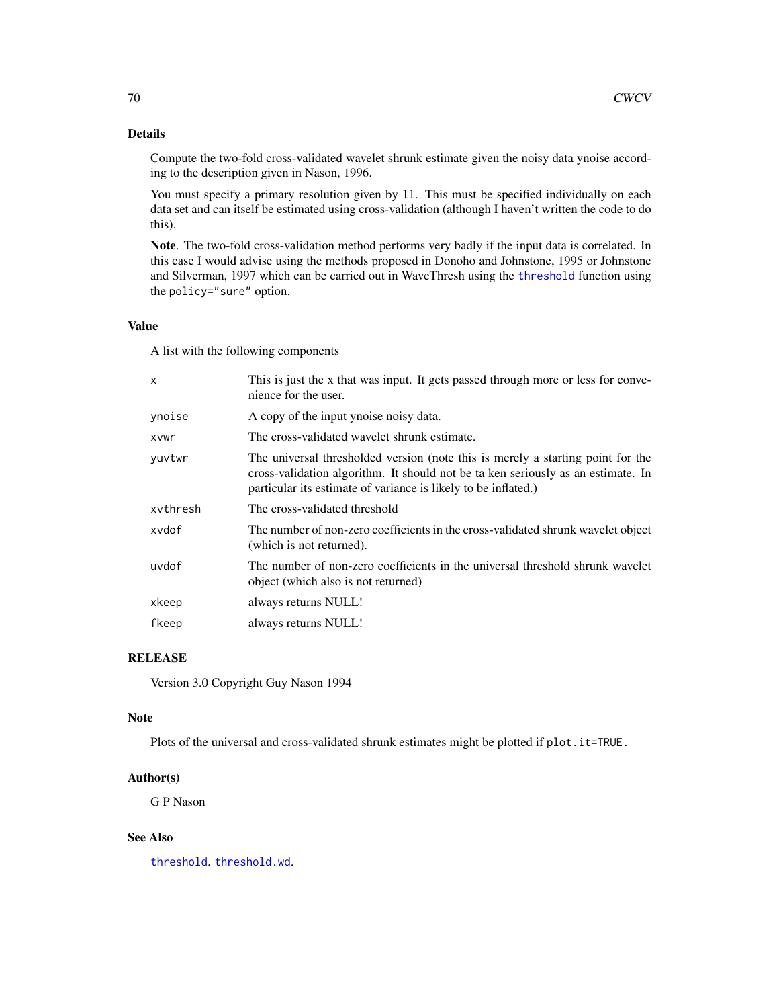### Details

Compute the two-fold cross-validated wavelet shrunk estimate given the noisy data ynoise according to the description given in Nason, 1996.

You must specify a primary resolution given by 11. This must be specified individually on each data set and can itself be estimated using cross-validation (although I haven't written the code to do this).

Note. The two-fold cross-validation method performs very badly if the input data is correlated. In this case I would advise using the methods proposed in Donoho and Johnstone, 1995 or Johnstone and Silverman, 1997 which can be carried out in WaveThresh using the [threshold](#page-307-0) function using the policy="sure" option.

#### Value

A list with the following components

| $\mathsf{x}$ | This is just the x that was input. It gets passed through more or less for conve-<br>nience for the user.                                                                                                                             |
|--------------|---------------------------------------------------------------------------------------------------------------------------------------------------------------------------------------------------------------------------------------|
| ynoise       | A copy of the input ynoise noisy data.                                                                                                                                                                                                |
| <b>XVWr</b>  | The cross-validated wavelet shrunk estimate.                                                                                                                                                                                          |
| yuvtwr       | The universal thresholded version (note this is merely a starting point for the<br>cross-validation algorithm. It should not be ta ken seriously as an estimate. In<br>particular its estimate of variance is likely to be inflated.) |
| xvthresh     | The cross-validated threshold                                                                                                                                                                                                         |
| xydof        | The number of non-zero coefficients in the cross-validated shrunk wavelet object<br>(which is not returned).                                                                                                                          |
| uvdof        | The number of non-zero coefficients in the universal threshold shrunk wavelet<br>object (which also is not returned)                                                                                                                  |
| xkeep        | always returns NULL!                                                                                                                                                                                                                  |
| fkeep        | always returns NULL!                                                                                                                                                                                                                  |

# RELEASE

Version 3.0 Copyright Guy Nason 1994

#### Note

Plots of the universal and cross-validated shrunk estimates might be plotted if plot.it=TRUE.

### Author(s)

G P Nason

# See Also

[threshold](#page-307-0). [threshold.wd](#page-318-0).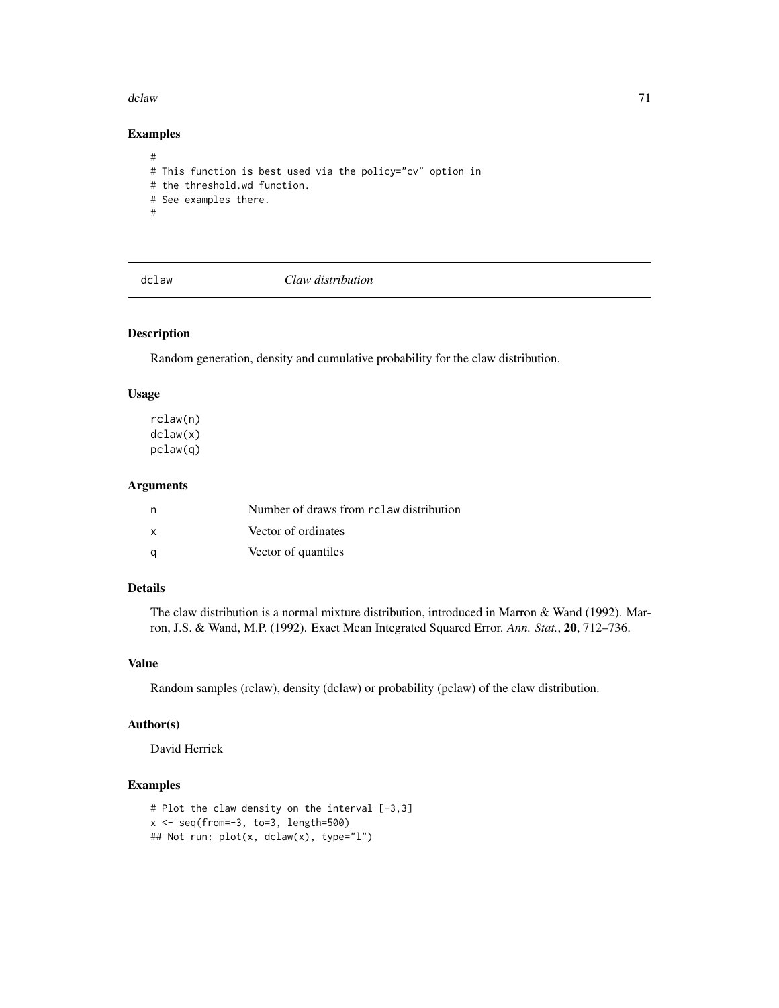#### dclaw 71

# Examples

```
#
# This function is best used via the policy="cv" option in
# the threshold.wd function.
# See examples there.
#
```
dclaw *Claw distribution*

# Description

Random generation, density and cumulative probability for the claw distribution.

### Usage

rclaw(n) dclaw(x) pclaw(q)

### Arguments

| n            | Number of draws from rclaw distribution |
|--------------|-----------------------------------------|
| $\mathbf{x}$ | Vector of ordinates                     |
| - a          | Vector of quantiles                     |

### Details

The claw distribution is a normal mixture distribution, introduced in Marron & Wand (1992). Marron, J.S. & Wand, M.P. (1992). Exact Mean Integrated Squared Error. *Ann. Stat.*, 20, 712–736.

### Value

Random samples (rclaw), density (dclaw) or probability (pclaw) of the claw distribution.

### Author(s)

David Herrick

```
# Plot the claw density on the interval [-3,3]
x \leftarrow \text{seq}(\text{from}=-3, \text{to}=3, \text{length}=500)## Not run: plot(x, dclaw(x), type="l")
```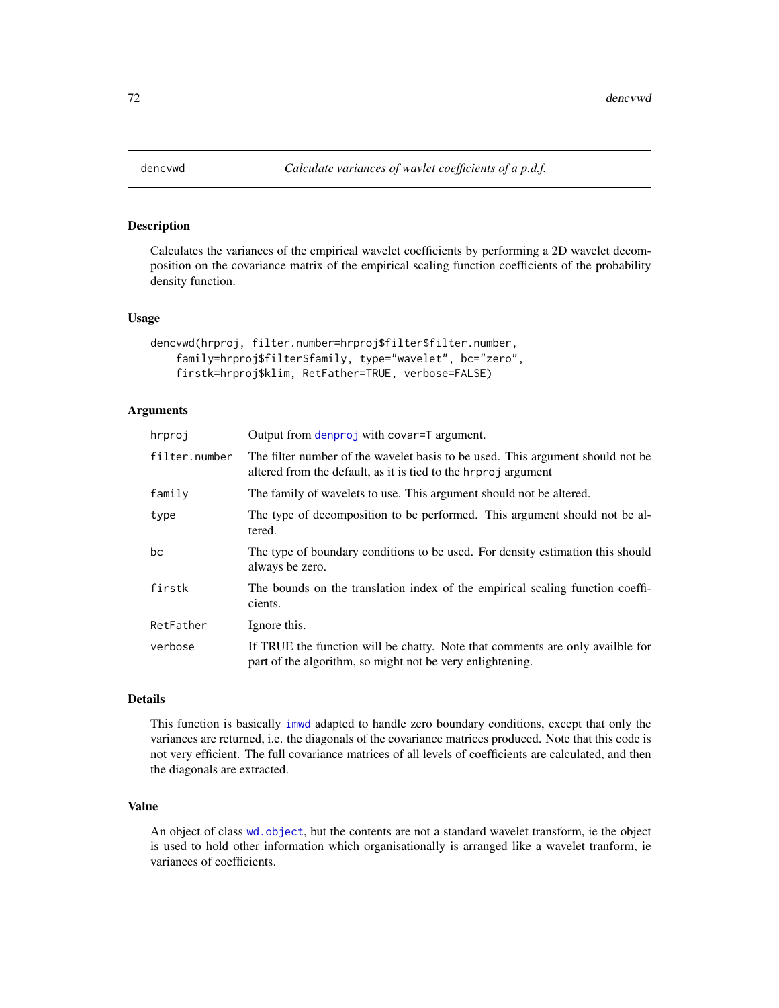Calculates the variances of the empirical wavelet coefficients by performing a 2D wavelet decomposition on the covariance matrix of the empirical scaling function coefficients of the probability density function.

#### Usage

```
dencvwd(hrproj, filter.number=hrproj$filter$filter.number,
    family=hrproj$filter$family, type="wavelet", bc="zero",
    firstk=hrproj$klim, RetFather=TRUE, verbose=FALSE)
```
### Arguments

| hrproj        | Output from denproj with covar=T argument.                                                                                                       |
|---------------|--------------------------------------------------------------------------------------------------------------------------------------------------|
| filter.number | The filter number of the wavelet basis to be used. This argument should not be<br>altered from the default, as it is tied to the hrproj argument |
| family        | The family of wavelets to use. This argument should not be altered.                                                                              |
| type          | The type of decomposition to be performed. This argument should not be al-<br>tered.                                                             |
| bc            | The type of boundary conditions to be used. For density estimation this should<br>always be zero.                                                |
| firstk        | The bounds on the translation index of the empirical scaling function coeffi-<br>cients.                                                         |
| RetFather     | Ignore this.                                                                                                                                     |
| verbose       | If TRUE the function will be chatty. Note that comments are only available for<br>part of the algorithm, so might not be very enlightening.      |

#### Details

This function is basically [imwd](#page-131-0) adapted to handle zero boundary conditions, except that only the variances are returned, i.e. the diagonals of the covariance matrices produced. Note that this code is not very efficient. The full covariance matrices of all levels of coefficients are calculated, and then the diagonals are extracted.

#### Value

An object of class [wd.object](#page-351-0), but the contents are not a standard wavelet transform, ie the object is used to hold other information which organisationally is arranged like a wavelet tranform, ie variances of coefficients.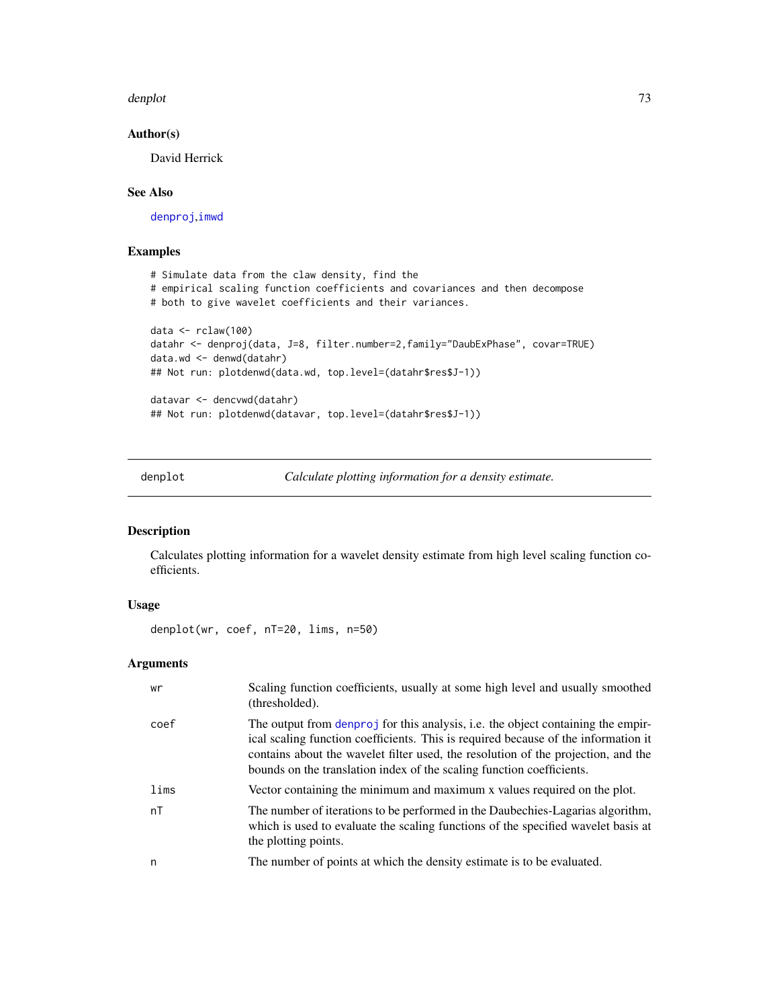#### denplot the contract of the contract of the contract of the contract of the contract of the contract of the contract of the contract of the contract of the contract of the contract of the contract of the contract of the co

## Author(s)

David Herrick

# See Also

[denproj](#page-73-0),[imwd](#page-131-0)

# Examples

```
# Simulate data from the claw density, find the
# empirical scaling function coefficients and covariances and then decompose
# both to give wavelet coefficients and their variances.
data <- rclaw(100)
datahr <- denproj(data, J=8, filter.number=2,family="DaubExPhase", covar=TRUE)
data.wd <- denwd(datahr)
## Not run: plotdenwd(data.wd, top.level=(datahr$res$J-1))
datavar <- dencvwd(datahr)
## Not run: plotdenwd(datavar, top.level=(datahr$res$J-1))
```
denplot *Calculate plotting information for a density estimate.*

# Description

Calculates plotting information for a wavelet density estimate from high level scaling function coefficients.

## Usage

denplot(wr, coef, nT=20, lims, n=50)

# Arguments

| wr   | Scaling function coefficients, usually at some high level and usually smoothed<br>(thresholded).                                                                                                                                                                                                                                     |
|------|--------------------------------------------------------------------------------------------------------------------------------------------------------------------------------------------------------------------------------------------------------------------------------------------------------------------------------------|
| coef | The output from denproj for this analysis, i.e. the object containing the empir-<br>ical scaling function coefficients. This is required because of the information it<br>contains about the wavelet filter used, the resolution of the projection, and the<br>bounds on the translation index of the scaling function coefficients. |
| lims | Vector containing the minimum and maximum x values required on the plot.                                                                                                                                                                                                                                                             |
| nT   | The number of iterations to be performed in the Daubechies-Lagarias algorithm,<br>which is used to evaluate the scaling functions of the specified wavelet basis at<br>the plotting points.                                                                                                                                          |
| n    | The number of points at which the density estimate is to be evaluated.                                                                                                                                                                                                                                                               |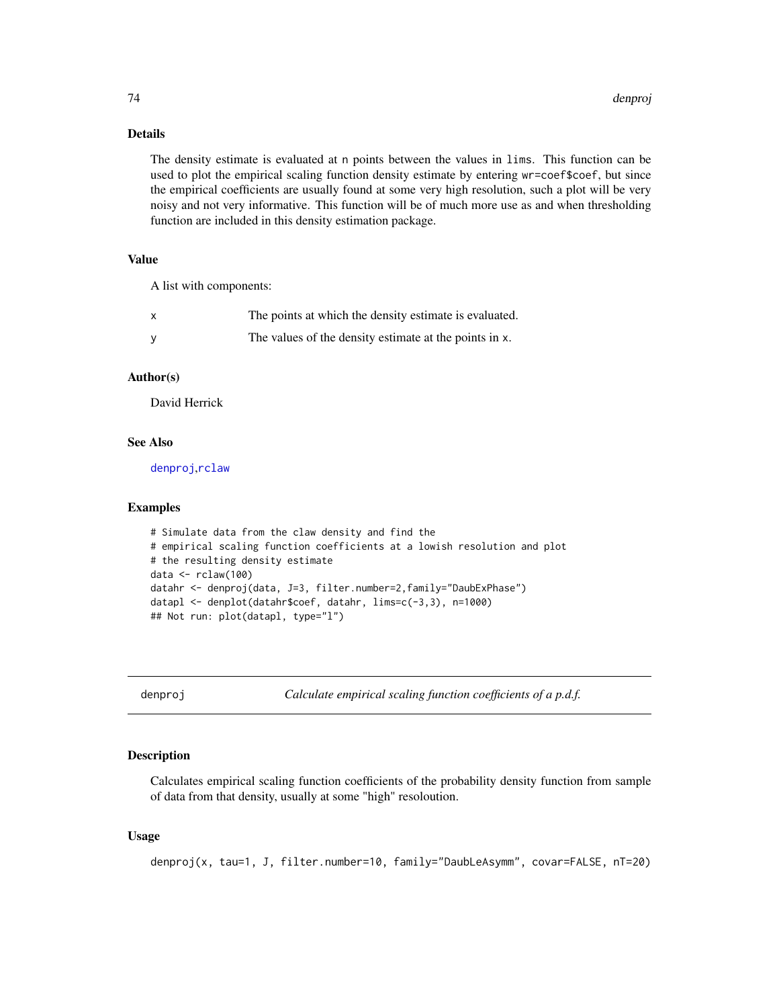## Details

The density estimate is evaluated at n points between the values in lims. This function can be used to plot the empirical scaling function density estimate by entering wr=coef\$coef, but since the empirical coefficients are usually found at some very high resolution, such a plot will be very noisy and not very informative. This function will be of much more use as and when thresholding function are included in this density estimation package.

## Value

A list with components:

| The points at which the density estimate is evaluated. |
|--------------------------------------------------------|
| The values of the density estimate at the points in x. |

## Author(s)

David Herrick

## See Also

[denproj](#page-73-0),[rclaw](#page-70-0)

#### Examples

```
# Simulate data from the claw density and find the
# empirical scaling function coefficients at a lowish resolution and plot
# the resulting density estimate
data <- rclaw(100)
datahr <- denproj(data, J=3, filter.number=2,family="DaubExPhase")
datapl <- denplot(datahr$coef, datahr, lims=c(-3,3), n=1000)
## Not run: plot(datapl, type="l")
```
<span id="page-73-0"></span>denproj *Calculate empirical scaling function coefficients of a p.d.f.*

# Description

Calculates empirical scaling function coefficients of the probability density function from sample of data from that density, usually at some "high" resoloution.

## Usage

denproj(x, tau=1, J, filter.number=10, family="DaubLeAsymm", covar=FALSE, nT=20)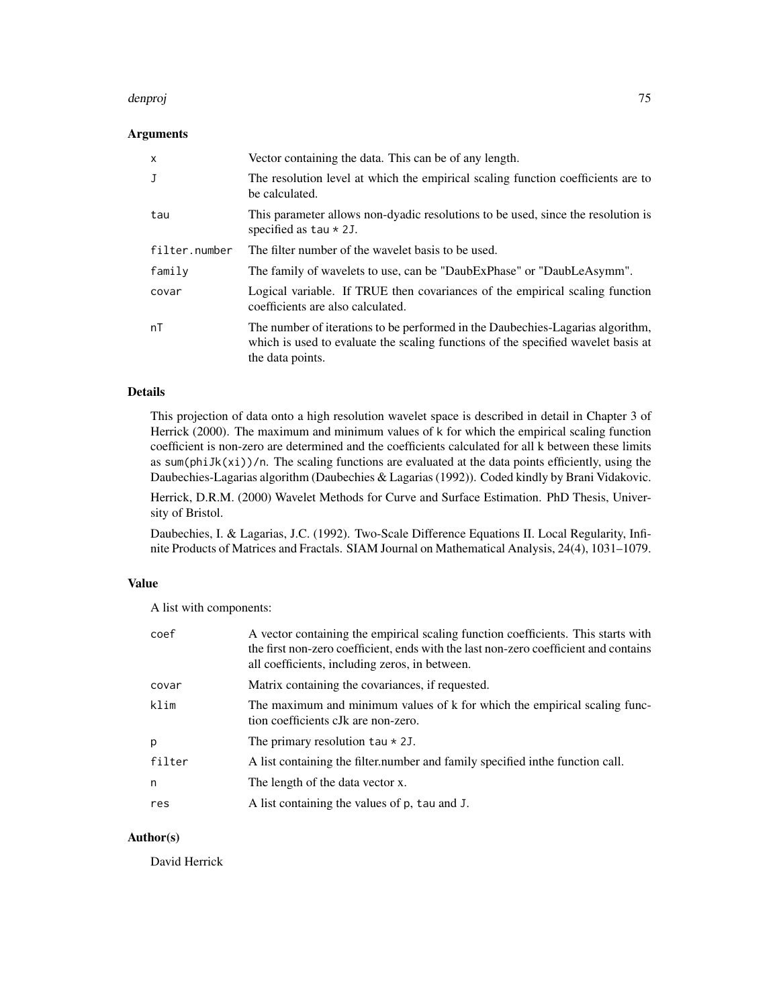#### denproj 75

## Arguments

| x             | Vector containing the data. This can be of any length.                                                                                                                                  |
|---------------|-----------------------------------------------------------------------------------------------------------------------------------------------------------------------------------------|
| J             | The resolution level at which the empirical scaling function coefficients are to<br>be calculated.                                                                                      |
| tau           | This parameter allows non-dyadic resolutions to be used, since the resolution is<br>specified as $tau * 2J$ .                                                                           |
| filter.number | The filter number of the wavelet basis to be used.                                                                                                                                      |
| family        | The family of wavelets to use, can be "DaubExPhase" or "DaubLeAsymm".                                                                                                                   |
| covar         | Logical variable. If TRUE then covariances of the empirical scaling function<br>coefficients are also calculated.                                                                       |
| nT            | The number of iterations to be performed in the Daubechies-Lagarias algorithm,<br>which is used to evaluate the scaling functions of the specified wavelet basis at<br>the data points. |

# Details

This projection of data onto a high resolution wavelet space is described in detail in Chapter 3 of Herrick (2000). The maximum and minimum values of k for which the empirical scaling function coefficient is non-zero are determined and the coefficients calculated for all k between these limits as sum(phiJk(xi))/n. The scaling functions are evaluated at the data points efficiently, using the Daubechies-Lagarias algorithm (Daubechies & Lagarias (1992)). Coded kindly by Brani Vidakovic.

Herrick, D.R.M. (2000) Wavelet Methods for Curve and Surface Estimation. PhD Thesis, University of Bristol.

Daubechies, I. & Lagarias, J.C. (1992). Two-Scale Difference Equations II. Local Regularity, Infinite Products of Matrices and Fractals. SIAM Journal on Mathematical Analysis, 24(4), 1031–1079.

#### Value

A list with components:

| coef   | A vector containing the empirical scaling function coefficients. This starts with<br>the first non-zero coefficient, ends with the last non-zero coefficient and contains<br>all coefficients, including zeros, in between. |
|--------|-----------------------------------------------------------------------------------------------------------------------------------------------------------------------------------------------------------------------------|
| covar  | Matrix containing the covariances, if requested.                                                                                                                                                                            |
| klim   | The maximum and minimum values of k for which the empirical scaling func-<br>tion coefficients cJk are non-zero.                                                                                                            |
| p      | The primary resolution $tau * 2J$ .                                                                                                                                                                                         |
| filter | A list containing the filter number and family specified in the function call.                                                                                                                                              |
| n      | The length of the data vector x.                                                                                                                                                                                            |
| res    | A list containing the values of p, tau and J.                                                                                                                                                                               |

# Author(s)

David Herrick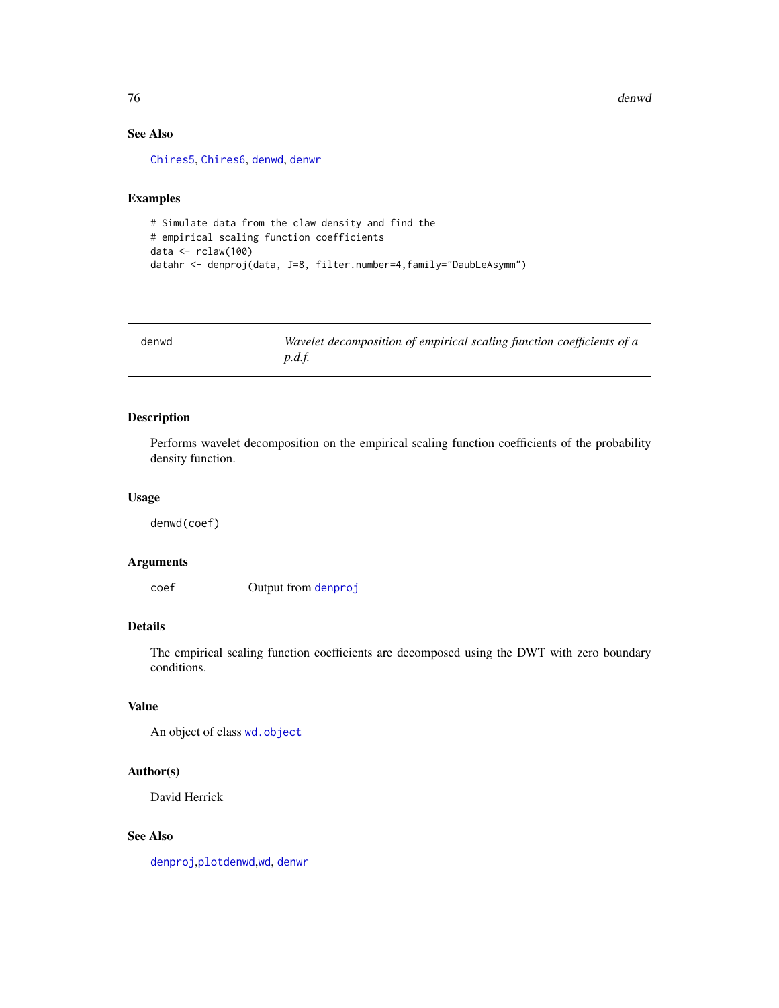76 denwd

# See Also

[Chires5](#page-45-0), [Chires6](#page-46-0), [denwd](#page-75-0), [denwr](#page-76-0)

## Examples

```
# Simulate data from the claw density and find the
# empirical scaling function coefficients
data <- rclaw(100)
datahr <- denproj(data, J=8, filter.number=4,family="DaubLeAsymm")
```
<span id="page-75-0"></span>

| denwd | Wavelet decomposition of empirical scaling function coefficients of a |
|-------|-----------------------------------------------------------------------|
|       | p.d.f.                                                                |

## Description

Performs wavelet decomposition on the empirical scaling function coefficients of the probability density function.

## Usage

denwd(coef)

# Arguments

coef Output from [denproj](#page-73-0)

# Details

The empirical scaling function coefficients are decomposed using the DWT with zero boundary conditions.

# Value

An object of class [wd.object](#page-351-0)

# Author(s)

David Herrick

## See Also

[denproj](#page-73-0),[plotdenwd](#page-224-0),[wd](#page-344-0), [denwr](#page-76-0)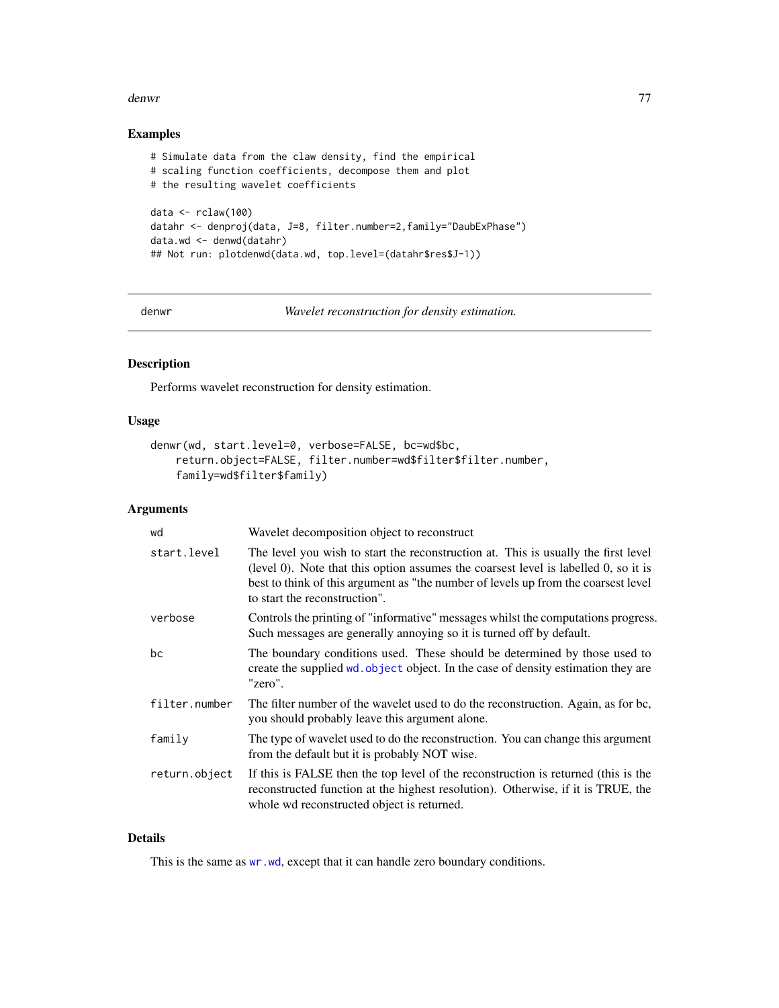#### denwr 1999 - Annaby and the contract of the contract of the contract of the contract of the contract of the contract of the contract of the contract of the contract of the contract of the contract of the contract of the co

## Examples

```
# Simulate data from the claw density, find the empirical
# scaling function coefficients, decompose them and plot
# the resulting wavelet coefficients
data \leftarrow rclaw(100)
datahr <- denproj(data, J=8, filter.number=2,family="DaubExPhase")
data.wd <- denwd(datahr)
## Not run: plotdenwd(data.wd, top.level=(datahr$res$J-1))
```
<span id="page-76-0"></span>

denwr *Wavelet reconstruction for density estimation.*

# Description

Performs wavelet reconstruction for density estimation.

## Usage

```
denwr(wd, start.level=0, verbose=FALSE, bc=wd$bc,
   return.object=FALSE, filter.number=wd$filter$filter.number,
   family=wd$filter$family)
```
## Arguments

| wd            | Wavelet decomposition object to reconstruct                                                                                                                                                                                                                                                      |
|---------------|--------------------------------------------------------------------------------------------------------------------------------------------------------------------------------------------------------------------------------------------------------------------------------------------------|
| start.level   | The level you wish to start the reconstruction at. This is usually the first level<br>(level 0). Note that this option assumes the coarsest level is labelled 0, so it is<br>best to think of this argument as "the number of levels up from the coarsest level<br>to start the reconstruction". |
| verbose       | Controls the printing of "informative" messages whilst the computations progress.<br>Such messages are generally annoying so it is turned off by default.                                                                                                                                        |
| bc            | The boundary conditions used. These should be determined by those used to<br>create the supplied wd. object object. In the case of density estimation they are<br>"zero".                                                                                                                        |
| filter.number | The filter number of the wavelet used to do the reconstruction. Again, as for bc,<br>you should probably leave this argument alone.                                                                                                                                                              |
| family        | The type of wavelet used to do the reconstruction. You can change this argument<br>from the default but it is probably NOT wise.                                                                                                                                                                 |
| return.object | If this is FALSE then the top level of the reconstruction is returned (this is the<br>reconstructed function at the highest resolution). Otherwise, if it is TRUE, the<br>whole wd reconstructed object is returned.                                                                             |

## Details

This is the same as [wr.wd](#page-368-0), except that it can handle zero boundary conditions.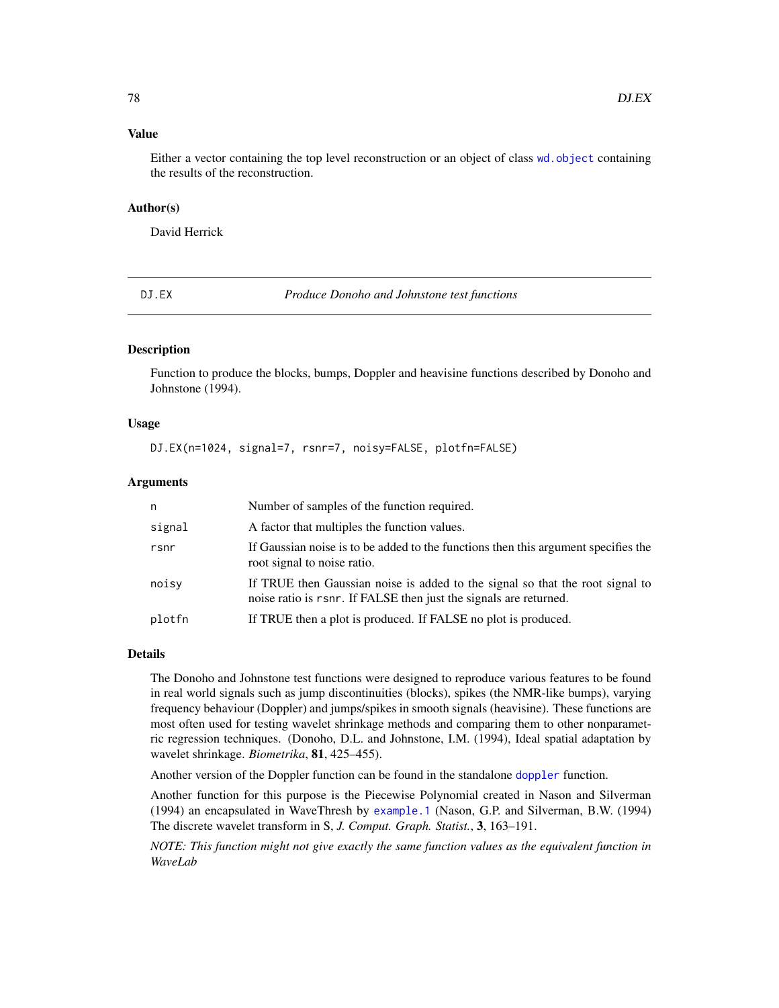#### Value

Either a vector containing the top level reconstruction or an object of class [wd.object](#page-351-0) containing the results of the reconstruction.

#### Author(s)

David Herrick

<span id="page-77-0"></span>

DJ.EX *Produce Donoho and Johnstone test functions*

## Description

Function to produce the blocks, bumps, Doppler and heavisine functions described by Donoho and Johnstone (1994).

## Usage

DJ.EX(n=1024, signal=7, rsnr=7, noisy=FALSE, plotfn=FALSE)

# Arguments

| n      | Number of samples of the function required.                                                                                                         |
|--------|-----------------------------------------------------------------------------------------------------------------------------------------------------|
| signal | A factor that multiples the function values.                                                                                                        |
| rsnr   | If Gaussian noise is to be added to the functions then this argument specifies the<br>root signal to noise ratio.                                   |
| noisy  | If TRUE then Gaussian noise is added to the signal so that the root signal to<br>noise ratio is r snr. If FALSE then just the signals are returned. |
| plotfn | If TRUE then a plot is produced. If FALSE no plot is produced.                                                                                      |

## Details

The Donoho and Johnstone test functions were designed to reproduce various features to be found in real world signals such as jump discontinuities (blocks), spikes (the NMR-like bumps), varying frequency behaviour (Doppler) and jumps/spikes in smooth signals (heavisine). These functions are most often used for testing wavelet shrinkage methods and comparing them to other nonparametric regression techniques. (Donoho, D.L. and Johnstone, I.M. (1994), Ideal spatial adaptation by wavelet shrinkage. *Biometrika*, 81, 425–455).

Another version of the Doppler function can be found in the standalone [doppler](#page-79-0) function.

Another function for this purpose is the Piecewise Polynomial created in Nason and Silverman (1994) an encapsulated in WaveThresh by [example.1](#page-97-0) (Nason, G.P. and Silverman, B.W. (1994) The discrete wavelet transform in S, *J. Comput. Graph. Statist.*, 3, 163–191.

*NOTE: This function might not give exactly the same function values as the equivalent function in WaveLab*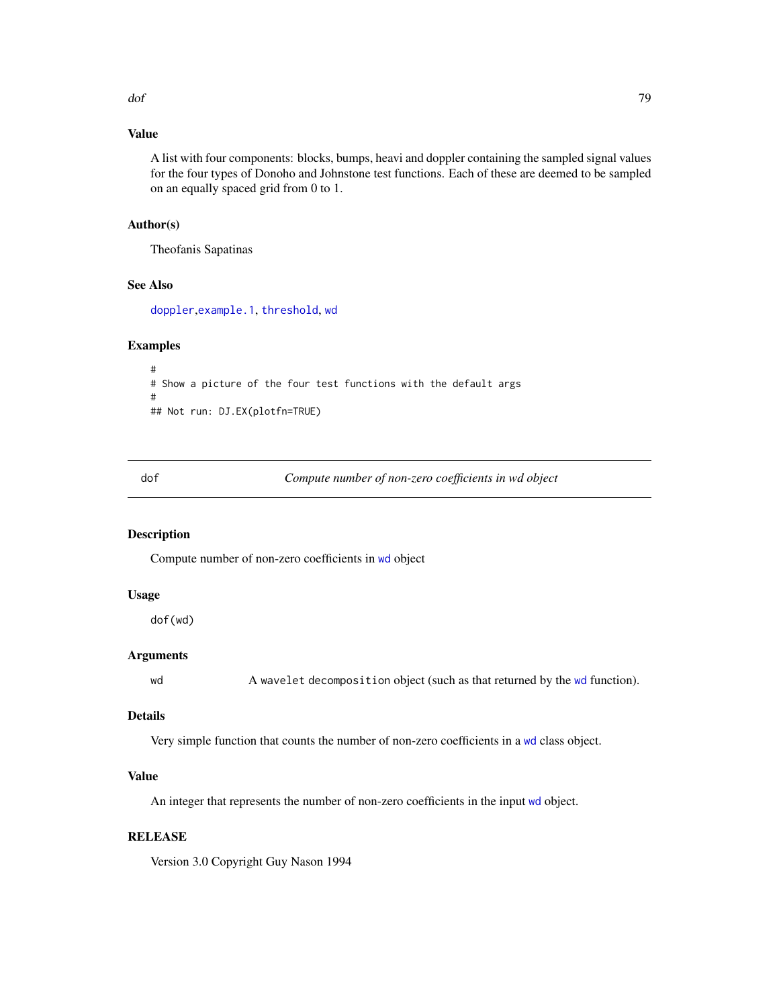# Value

A list with four components: blocks, bumps, heavi and doppler containing the sampled signal values for the four types of Donoho and Johnstone test functions. Each of these are deemed to be sampled on an equally spaced grid from 0 to 1.

## Author(s)

Theofanis Sapatinas

#### See Also

[doppler](#page-79-0),[example.1](#page-97-0), [threshold](#page-307-0), [wd](#page-344-0)

#### Examples

```
#
# Show a picture of the four test functions with the default args
#
## Not run: DJ.EX(plotfn=TRUE)
```
dof *Compute number of non-zero coefficients in wd object*

## Description

Compute number of non-zero coefficients in [wd](#page-344-0) object

## Usage

dof(wd)

## Arguments

[wd](#page-344-0) A wavelet decomposition object (such as that returned by the wd function).

# Details

Very simple function that counts the number of non-zero coefficients in a [wd](#page-344-0) class object.

# Value

An integer that represents the number of non-zero coefficients in the input [wd](#page-344-0) object.

## **RELEASE**

Version 3.0 Copyright Guy Nason 1994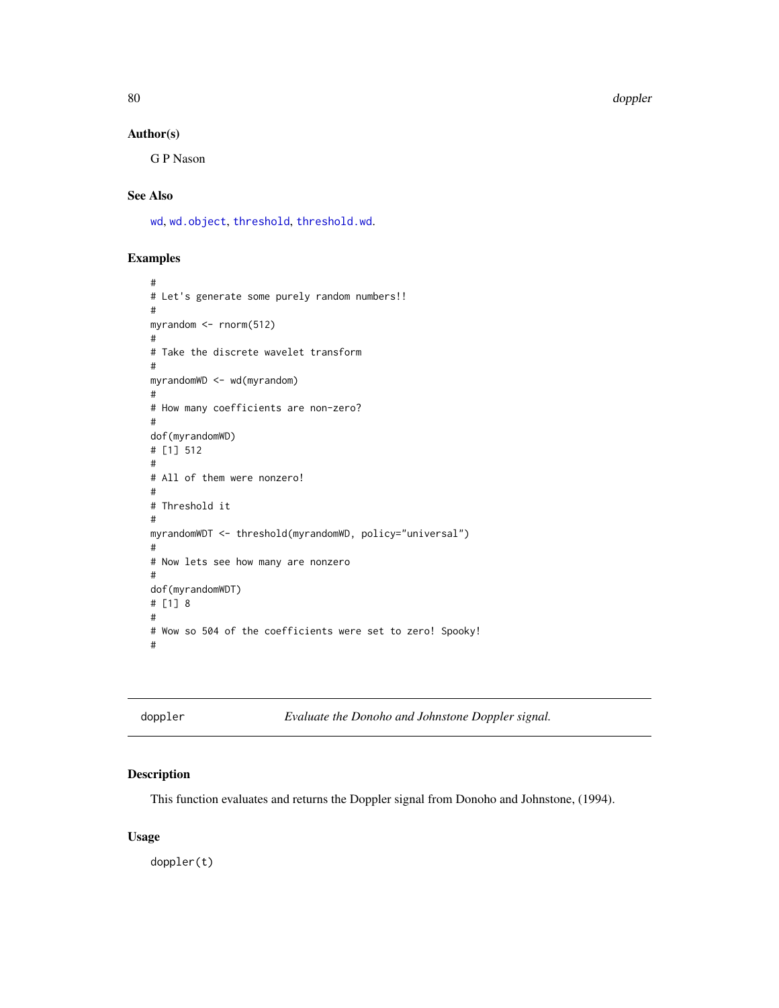80 doppler

## Author(s)

G P Nason

# See Also

[wd](#page-344-0), [wd.object](#page-351-0), [threshold](#page-307-0), [threshold.wd](#page-318-0).

## Examples

```
#
# Let's generate some purely random numbers!!
#
myrandom <- rnorm(512)
#
# Take the discrete wavelet transform
#
myrandomWD <- wd(myrandom)
#
# How many coefficients are non-zero?
#
dof(myrandomWD)
# [1] 512
#
# All of them were nonzero!
#
# Threshold it
#
myrandomWDT <- threshold(myrandomWD, policy="universal")
#
# Now lets see how many are nonzero
#
dof(myrandomWDT)
# [1] 8
#
# Wow so 504 of the coefficients were set to zero! Spooky!
#
```
<span id="page-79-0"></span>doppler *Evaluate the Donoho and Johnstone Doppler signal.*

## Description

This function evaluates and returns the Doppler signal from Donoho and Johnstone, (1994).

#### Usage

doppler(t)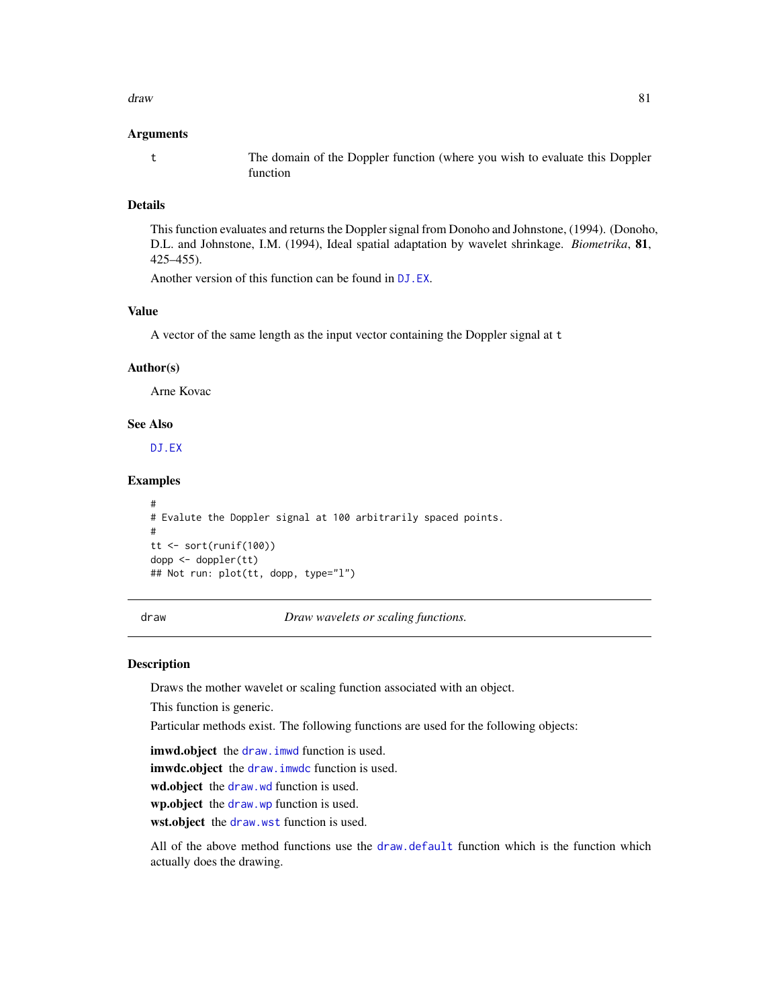#### draw 81

#### Arguments

t The domain of the Doppler function (where you wish to evaluate this Doppler function

## Details

This function evaluates and returns the Doppler signal from Donoho and Johnstone, (1994). (Donoho, D.L. and Johnstone, I.M. (1994), Ideal spatial adaptation by wavelet shrinkage. *Biometrika*, 81, 425–455).

Another version of this function can be found in [DJ.EX](#page-77-0).

#### Value

A vector of the same length as the input vector containing the Doppler signal at t

#### Author(s)

Arne Kovac

## See Also

[DJ.EX](#page-77-0)

## Examples

```
#
# Evalute the Doppler signal at 100 arbitrarily spaced points.
#
tt <- sort(runif(100))
dopp <- doppler(tt)
## Not run: plot(tt, dopp, type="l")
```
<span id="page-80-0"></span>draw *Draw wavelets or scaling functions.*

#### Description

Draws the mother wavelet or scaling function associated with an object.

This function is generic.

Particular methods exist. The following functions are used for the following objects:

imwd.object the draw. imwd function is used.

imwdc.object the [draw.imwdc](#page-85-0) function is used.

wd.object the [draw.wd](#page-88-0) function is used.

wp.object the [draw.wp](#page-89-0) function is used.

wst.object the [draw.wst](#page-91-0) function is used.

All of the above method functions use the [draw.default](#page-81-0) function which is the function which actually does the drawing.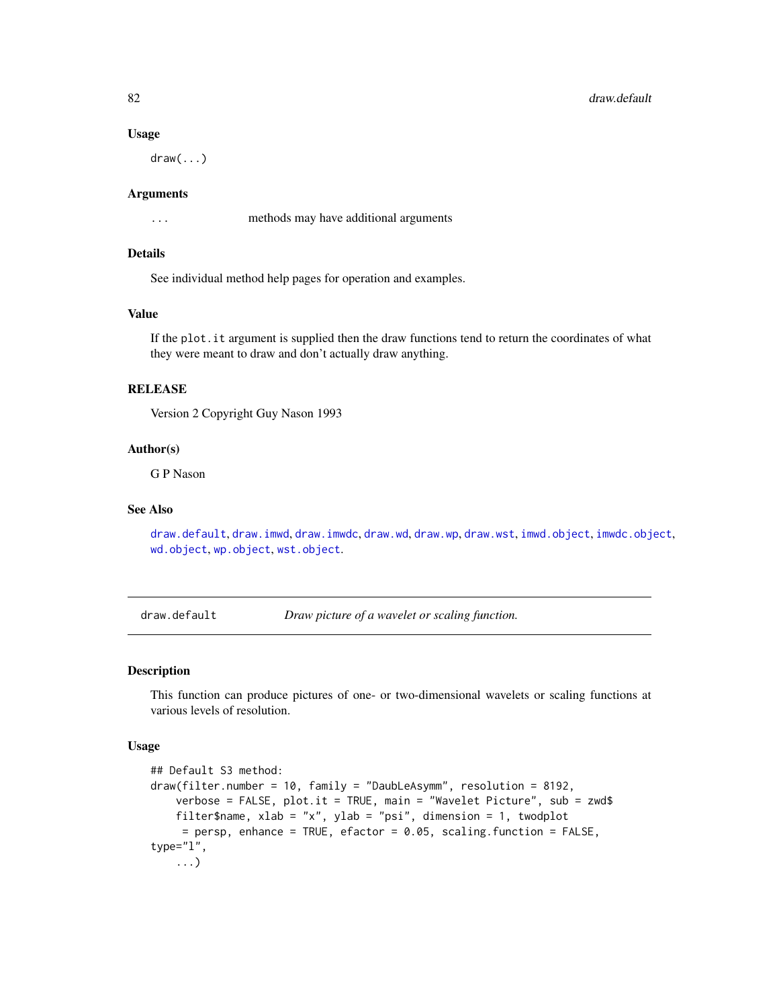#### Usage

 $draw($ ... $)$ 

#### Arguments

... methods may have additional arguments

## Details

See individual method help pages for operation and examples.

## Value

If the plot.it argument is supplied then the draw functions tend to return the coordinates of what they were meant to draw and don't actually draw anything.

#### RELEASE

Version 2 Copyright Guy Nason 1993

#### Author(s)

G P Nason

# See Also

[draw.default](#page-81-0), [draw.imwd](#page-84-0), [draw.imwdc](#page-85-0), [draw.wd](#page-88-0), [draw.wp](#page-89-0), [draw.wst](#page-91-0), [imwd.object](#page-133-0), [imwdc.object](#page-134-0), [wd.object](#page-351-0), [wp.object](#page-358-0), [wst.object](#page-373-0).

<span id="page-81-0"></span>draw.default *Draw picture of a wavelet or scaling function.*

#### Description

This function can produce pictures of one- or two-dimensional wavelets or scaling functions at various levels of resolution.

#### Usage

```
## Default S3 method:
draw(filter.number = 10, family = "DaubLeAsymm", resolution = 8192,
   verbose = FALSE, plot.it = TRUE, main = "Wavelet Picture", sub = zwd$
   filter$name, xlab = "x", ylab = "psi", dimension = 1, twodplot
     = persp, enhance = TRUE, efactor = 0.05, scaling. function = FALSE,
type="l",
    ...)
```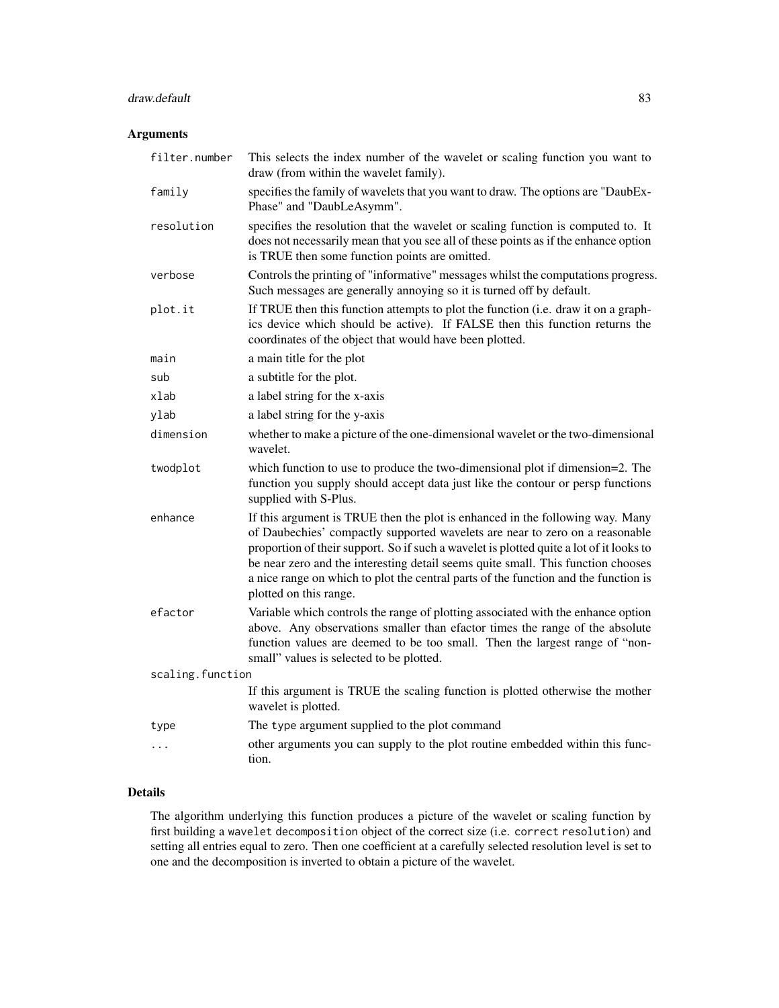# draw.default 83

# Arguments

| filter.number    | This selects the index number of the wavelet or scaling function you want to<br>draw (from within the wavelet family).                                                                                                                                                                                                                                                                                                                                        |
|------------------|---------------------------------------------------------------------------------------------------------------------------------------------------------------------------------------------------------------------------------------------------------------------------------------------------------------------------------------------------------------------------------------------------------------------------------------------------------------|
| family           | specifies the family of wavelets that you want to draw. The options are "DaubEx-<br>Phase" and "DaubLeAsymm".                                                                                                                                                                                                                                                                                                                                                 |
| resolution       | specifies the resolution that the wavelet or scaling function is computed to. It<br>does not necessarily mean that you see all of these points as if the enhance option<br>is TRUE then some function points are omitted.                                                                                                                                                                                                                                     |
| verbose          | Controls the printing of "informative" messages whilst the computations progress.<br>Such messages are generally annoying so it is turned off by default.                                                                                                                                                                                                                                                                                                     |
| plot.it          | If TRUE then this function attempts to plot the function (i.e. draw it on a graph-<br>ics device which should be active). If FALSE then this function returns the<br>coordinates of the object that would have been plotted.                                                                                                                                                                                                                                  |
| main             | a main title for the plot                                                                                                                                                                                                                                                                                                                                                                                                                                     |
| sub              | a subtitle for the plot.                                                                                                                                                                                                                                                                                                                                                                                                                                      |
| xlab             | a label string for the x-axis                                                                                                                                                                                                                                                                                                                                                                                                                                 |
| ylab             | a label string for the y-axis                                                                                                                                                                                                                                                                                                                                                                                                                                 |
| dimension        | whether to make a picture of the one-dimensional wavelet or the two-dimensional<br>wavelet.                                                                                                                                                                                                                                                                                                                                                                   |
| twodplot         | which function to use to produce the two-dimensional plot if dimension=2. The<br>function you supply should accept data just like the contour or persp functions<br>supplied with S-Plus.                                                                                                                                                                                                                                                                     |
| enhance          | If this argument is TRUE then the plot is enhanced in the following way. Many<br>of Daubechies' compactly supported wavelets are near to zero on a reasonable<br>proportion of their support. So if such a wavelet is plotted quite a lot of it looks to<br>be near zero and the interesting detail seems quite small. This function chooses<br>a nice range on which to plot the central parts of the function and the function is<br>plotted on this range. |
| efactor          | Variable which controls the range of plotting associated with the enhance option<br>above. Any observations smaller than efactor times the range of the absolute<br>function values are deemed to be too small. Then the largest range of "non-<br>small" values is selected to be plotted.                                                                                                                                                                   |
| scaling.function |                                                                                                                                                                                                                                                                                                                                                                                                                                                               |
|                  | If this argument is TRUE the scaling function is plotted otherwise the mother<br>wavelet is plotted.                                                                                                                                                                                                                                                                                                                                                          |
| type             | The type argument supplied to the plot command                                                                                                                                                                                                                                                                                                                                                                                                                |
| .                | other arguments you can supply to the plot routine embedded within this func-<br>tion.                                                                                                                                                                                                                                                                                                                                                                        |

# Details

The algorithm underlying this function produces a picture of the wavelet or scaling function by first building a wavelet decomposition object of the correct size (i.e. correct resolution) and setting all entries equal to zero. Then one coefficient at a carefully selected resolution level is set to one and the decomposition is inverted to obtain a picture of the wavelet.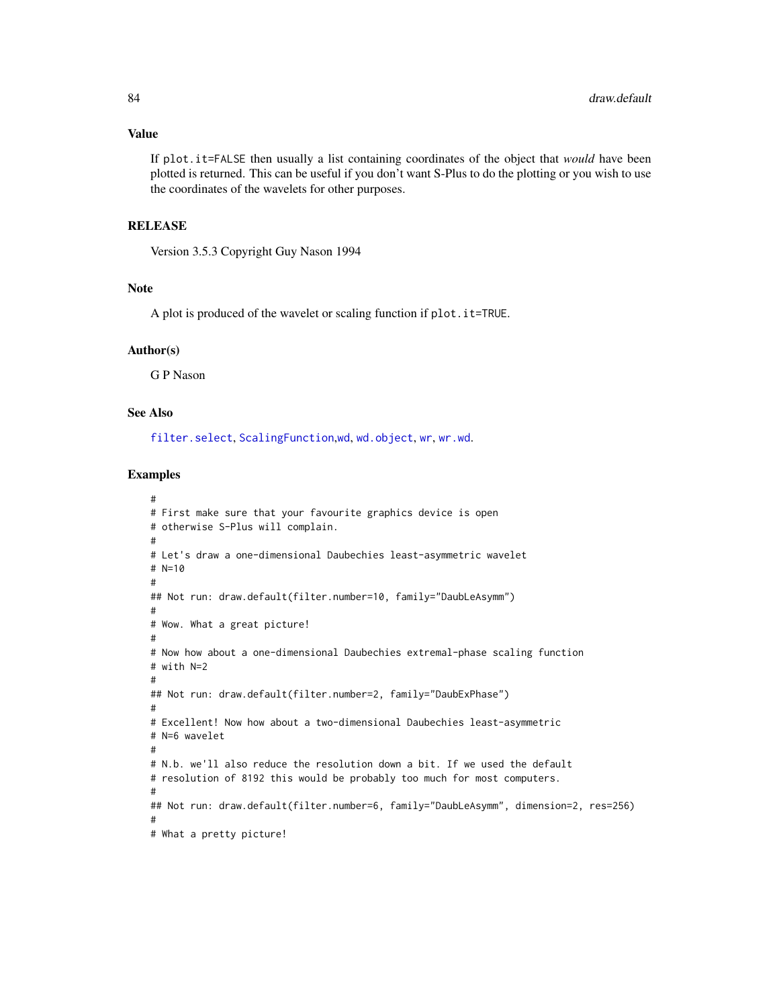## Value

If plot.it=FALSE then usually a list containing coordinates of the object that *would* have been plotted is returned. This can be useful if you don't want S-Plus to do the plotting or you wish to use the coordinates of the wavelets for other purposes.

## **RELEASE**

Version 3.5.3 Copyright Guy Nason 1994

#### Note

A plot is produced of the wavelet or scaling function if plot.it=TRUE.

#### Author(s)

G P Nason

# See Also

[filter.select](#page-98-0), [ScalingFunction](#page-290-0),[wd](#page-344-0), [wd.object](#page-351-0), [wr](#page-365-0), [wr.wd](#page-368-0).

## Examples

```
#
# First make sure that your favourite graphics device is open
# otherwise S-Plus will complain.
#
# Let's draw a one-dimensional Daubechies least-asymmetric wavelet
# N=10
#
## Not run: draw.default(filter.number=10, family="DaubLeAsymm")
#
# Wow. What a great picture!
#
# Now how about a one-dimensional Daubechies extremal-phase scaling function
# with N=2
#
## Not run: draw.default(filter.number=2, family="DaubExPhase")
#
# Excellent! Now how about a two-dimensional Daubechies least-asymmetric
# N=6 wavelet
#
# N.b. we'll also reduce the resolution down a bit. If we used the default
# resolution of 8192 this would be probably too much for most computers.
#
## Not run: draw.default(filter.number=6, family="DaubLeAsymm", dimension=2, res=256)
#
# What a pretty picture!
```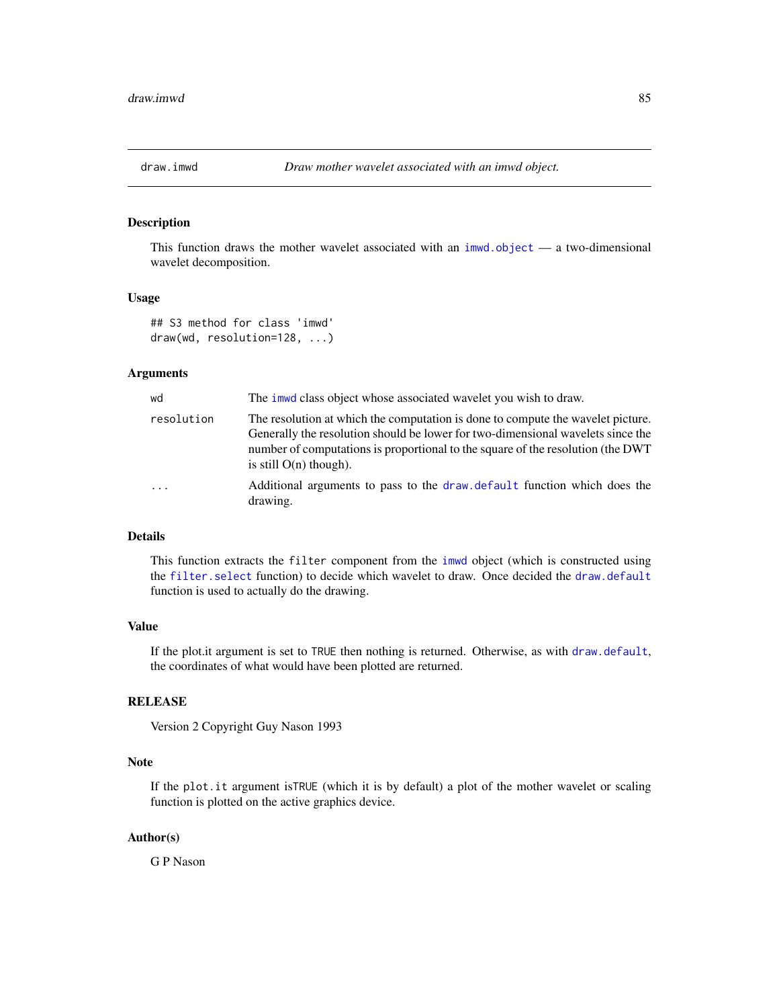<span id="page-84-0"></span>

## Description

This function draws the mother wavelet associated with an  $imwd.$  object  $-$  a two-dimensional wavelet decomposition.

#### Usage

```
## S3 method for class 'imwd'
draw(wd, resolution=128, ...)
```
# **Arguments**

| wd                      | The immed class object whose associated wavelet you wish to draw.                                                                                                                                                                                                                 |
|-------------------------|-----------------------------------------------------------------------------------------------------------------------------------------------------------------------------------------------------------------------------------------------------------------------------------|
| resolution              | The resolution at which the computation is done to compute the wavelet picture.<br>Generally the resolution should be lower for two-dimensional wavelets since the<br>number of computations is proportional to the square of the resolution (the DWT<br>is still $O(n)$ though). |
| $\cdot$ $\cdot$ $\cdot$ | Additional arguments to pass to the draw default function which does the<br>drawing.                                                                                                                                                                                              |

# Details

This function extracts the filter component from the [imwd](#page-131-0) object (which is constructed using the [filter.select](#page-98-0) function) to decide which wavelet to draw. Once decided the [draw.default](#page-81-0) function is used to actually do the drawing.

## Value

If the plot.it argument is set to TRUE then nothing is returned. Otherwise, as with [draw.default](#page-81-0), the coordinates of what would have been plotted are returned.

#### RELEASE

Version 2 Copyright Guy Nason 1993

## Note

If the plot.it argument isTRUE (which it is by default) a plot of the mother wavelet or scaling function is plotted on the active graphics device.

#### Author(s)

G P Nason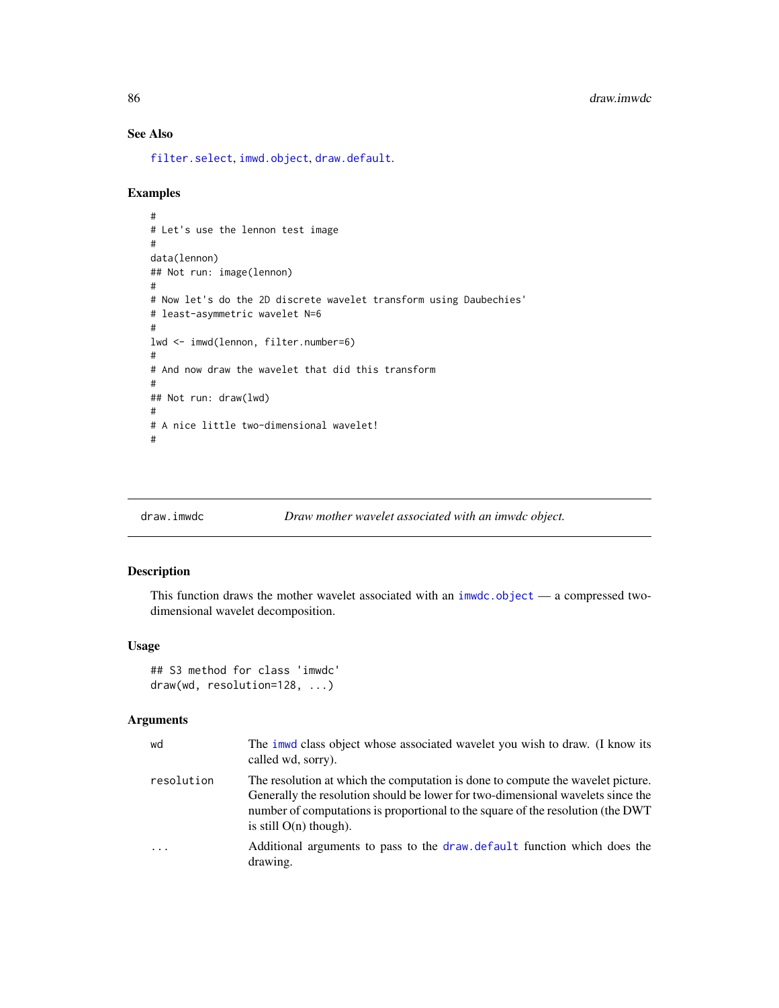# See Also

[filter.select](#page-98-0), [imwd.object](#page-133-0), [draw.default](#page-81-0).

## Examples

```
#
# Let's use the lennon test image
#
data(lennon)
## Not run: image(lennon)
#
# Now let's do the 2D discrete wavelet transform using Daubechies'
# least-asymmetric wavelet N=6
#
lwd <- imwd(lennon, filter.number=6)
#
# And now draw the wavelet that did this transform
#
## Not run: draw(lwd)
#
# A nice little two-dimensional wavelet!
#
```
<span id="page-85-0"></span>

#### draw.imwdc *Draw mother wavelet associated with an imwdc object.*

## Description

This function draws the mother wavelet associated with an  $imwdc$ .object — a compressed twodimensional wavelet decomposition.

## Usage

```
## S3 method for class 'imwdc'
draw(wd, resolution=128, ...)
```
## Arguments

| wd         | The imwd class object whose associated wavelet you wish to draw. (I know its<br>called wd, sorry).                                                                                                                                                                                |
|------------|-----------------------------------------------------------------------------------------------------------------------------------------------------------------------------------------------------------------------------------------------------------------------------------|
| resolution | The resolution at which the computation is done to compute the wavelet picture.<br>Generally the resolution should be lower for two-dimensional wavelets since the<br>number of computations is proportional to the square of the resolution (the DWT<br>is still $O(n)$ though). |
| $\cdots$   | Additional arguments to pass to the draw default function which does the<br>drawing.                                                                                                                                                                                              |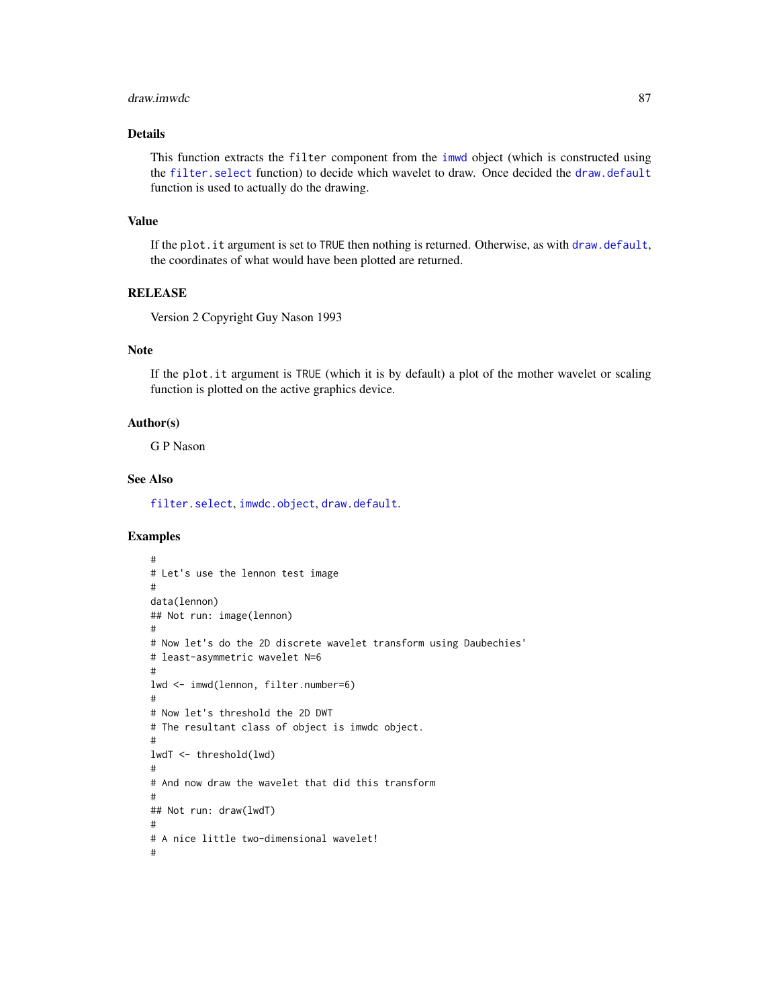#### draw.imwdc 87

## Details

This function extracts the filter component from the [imwd](#page-131-0) object (which is constructed using the [filter.select](#page-98-0) function) to decide which wavelet to draw. Once decided the [draw.default](#page-81-0) function is used to actually do the drawing.

#### Value

If the plot.it argument is set to TRUE then nothing is returned. Otherwise, as with [draw.default](#page-81-0), the coordinates of what would have been plotted are returned.

# RELEASE

Version 2 Copyright Guy Nason 1993

# Note

If the plot.it argument is TRUE (which it is by default) a plot of the mother wavelet or scaling function is plotted on the active graphics device.

#### Author(s)

G P Nason

## See Also

[filter.select](#page-98-0), [imwdc.object](#page-134-0), [draw.default](#page-81-0).

#### Examples

```
#
# Let's use the lennon test image
#
data(lennon)
## Not run: image(lennon)
#
# Now let's do the 2D discrete wavelet transform using Daubechies'
# least-asymmetric wavelet N=6
#
lwd <- imwd(lennon, filter.number=6)
#
# Now let's threshold the 2D DWT
# The resultant class of object is imwdc object.
#
lwdT <- threshold(lwd)
#
# And now draw the wavelet that did this transform
#
## Not run: draw(lwdT)
#
# A nice little two-dimensional wavelet!
#
```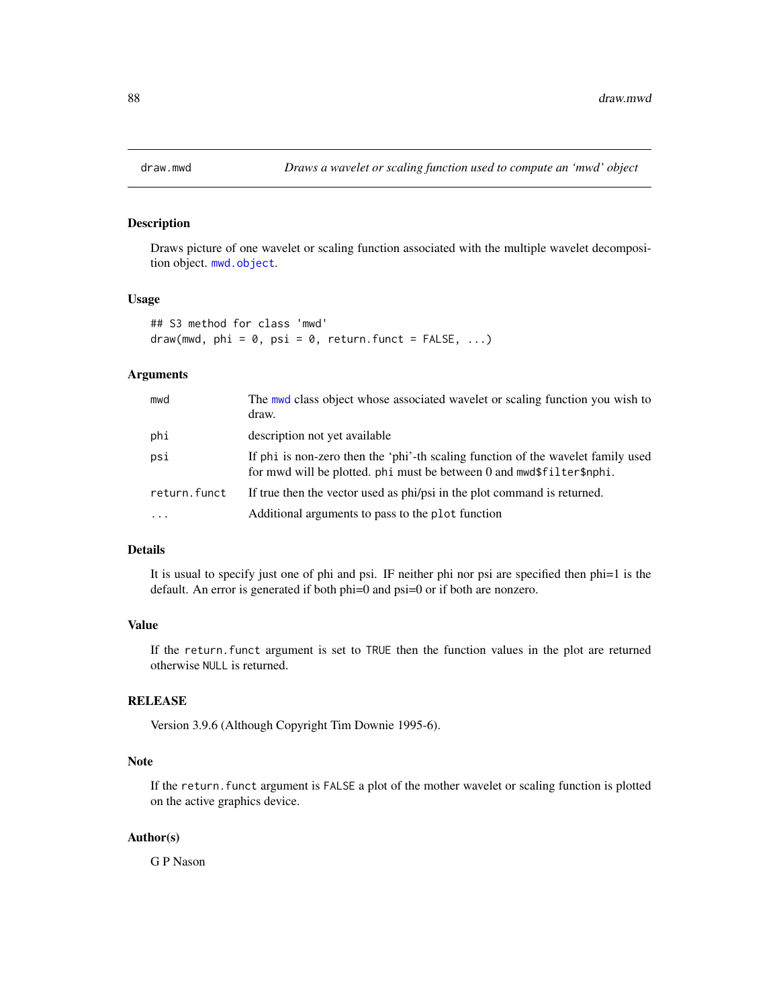## Description

Draws picture of one wavelet or scaling function associated with the multiple wavelet decomposition object. [mwd.object](#page-195-0).

#### Usage

```
## S3 method for class 'mwd'
draw(mwd, phi = 0, psi = 0, return.funct = FALSE, ...)
```
## Arguments

| mwd          | The mwd class object whose associated wavelet or scaling function you wish to<br>draw.                                                                    |
|--------------|-----------------------------------------------------------------------------------------------------------------------------------------------------------|
| phi          | description not yet available                                                                                                                             |
| psi          | If phi is non-zero then the 'phi'-th scaling function of the wavelet family used<br>for mwd will be plotted, phi must be between 0 and mwd\$filter\$nphi. |
| return.funct | If true then the vector used as phi/psi in the plot command is returned.                                                                                  |
| $\cdot$      | Additional arguments to pass to the plot function                                                                                                         |

## Details

It is usual to specify just one of phi and psi. IF neither phi nor psi are specified then phi=1 is the default. An error is generated if both phi=0 and psi=0 or if both are nonzero.

## Value

If the return.funct argument is set to TRUE then the function values in the plot are returned otherwise NULL is returned.

## RELEASE

Version 3.9.6 (Although Copyright Tim Downie 1995-6).

## Note

If the return. funct argument is FALSE a plot of the mother wavelet or scaling function is plotted on the active graphics device.

#### Author(s)

G P Nason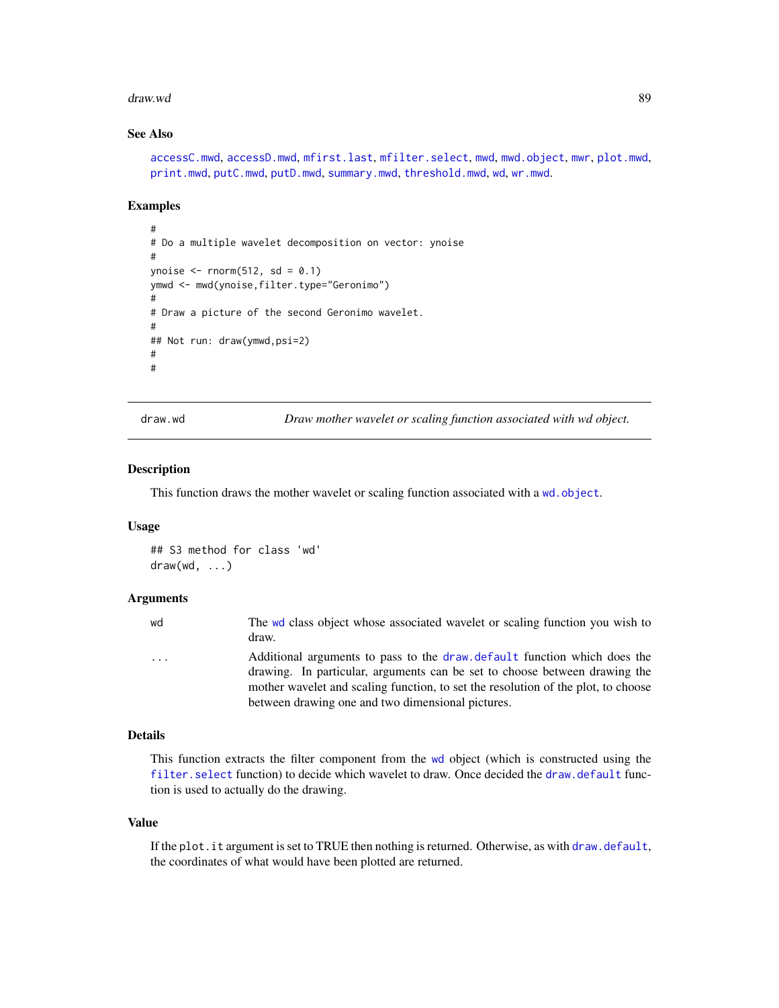#### draw.wd 39 September 2014 and 2014 and 2014 and 2014 and 2014 and 2014 and 2014 and 2014 and 2014 and 2014 and 2014 and 2014 and 2014 and 2014 and 2014 and 2014 and 2014 and 2014 and 2014 and 2014 and 2014 and 2014 and 201

#### See Also

```
accessC.mwd, accessD.mwd, mfirst.last, mfilter.select, mwd, mwd.object, mwr, plot.mwd,
print.mwd, putC.mwd, putD.mwd, summary.mwd, threshold.mwd, wd, wr.mwd.
```
#### Examples

```
#
# Do a multiple wavelet decomposition on vector: ynoise
#
ynoise \le rnorm(512, sd = 0.1)
ymwd <- mwd(ynoise,filter.type="Geronimo")
#
# Draw a picture of the second Geronimo wavelet.
#
## Not run: draw(ymwd,psi=2)
#
#
```
<span id="page-88-0"></span>draw.wd *Draw mother wavelet or scaling function associated with wd object.*

#### Description

This function draws the mother wavelet or scaling function associated with a [wd.object](#page-351-0).

#### Usage

```
## S3 method for class 'wd'
draw(wd, ...)
```
#### Arguments

[wd](#page-344-0) The wd class object whose associated wavelet or scaling function you wish to draw. ... Additional arguments to pass to the [draw.default](#page-81-0) function which does the drawing. In particular, arguments can be set to choose between drawing the mother wavelet and scaling function, to set the resolution of the plot, to choose between drawing one and two dimensional pictures.

## Details

This function extracts the filter component from the [wd](#page-344-0) object (which is constructed using the [filter.select](#page-98-0) function) to decide which wavelet to draw. Once decided the [draw.default](#page-81-0) function is used to actually do the drawing.

#### Value

If the plot.it argument is set to TRUE then nothing is returned. Otherwise, as with [draw.default](#page-81-0), the coordinates of what would have been plotted are returned.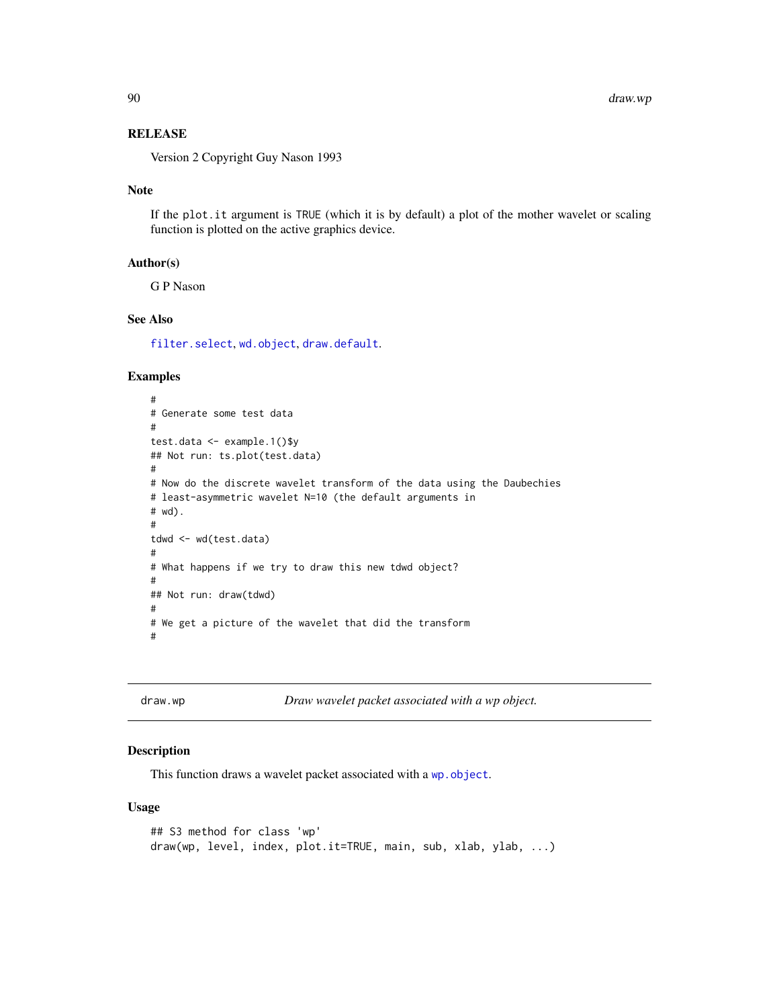## **RELEASE**

Version 2 Copyright Guy Nason 1993

#### Note

If the plot.it argument is TRUE (which it is by default) a plot of the mother wavelet or scaling function is plotted on the active graphics device.

#### Author(s)

G P Nason

## See Also

[filter.select](#page-98-0), [wd.object](#page-351-0), [draw.default](#page-81-0).

## Examples

```
#
# Generate some test data
#
test.data <- example.1()$y
## Not run: ts.plot(test.data)
#
# Now do the discrete wavelet transform of the data using the Daubechies
# least-asymmetric wavelet N=10 (the default arguments in
# wd).
#
tdwd <- wd(test.data)
#
# What happens if we try to draw this new tdwd object?
#
## Not run: draw(tdwd)
#
# We get a picture of the wavelet that did the transform
#
```
<span id="page-89-0"></span>draw.wp *Draw wavelet packet associated with a wp object.*

#### Description

This function draws a wavelet packet associated with a [wp.object](#page-358-0).

#### Usage

```
## S3 method for class 'wp'
draw(wp, level, index, plot.it=TRUE, main, sub, xlab, ylab, ...)
```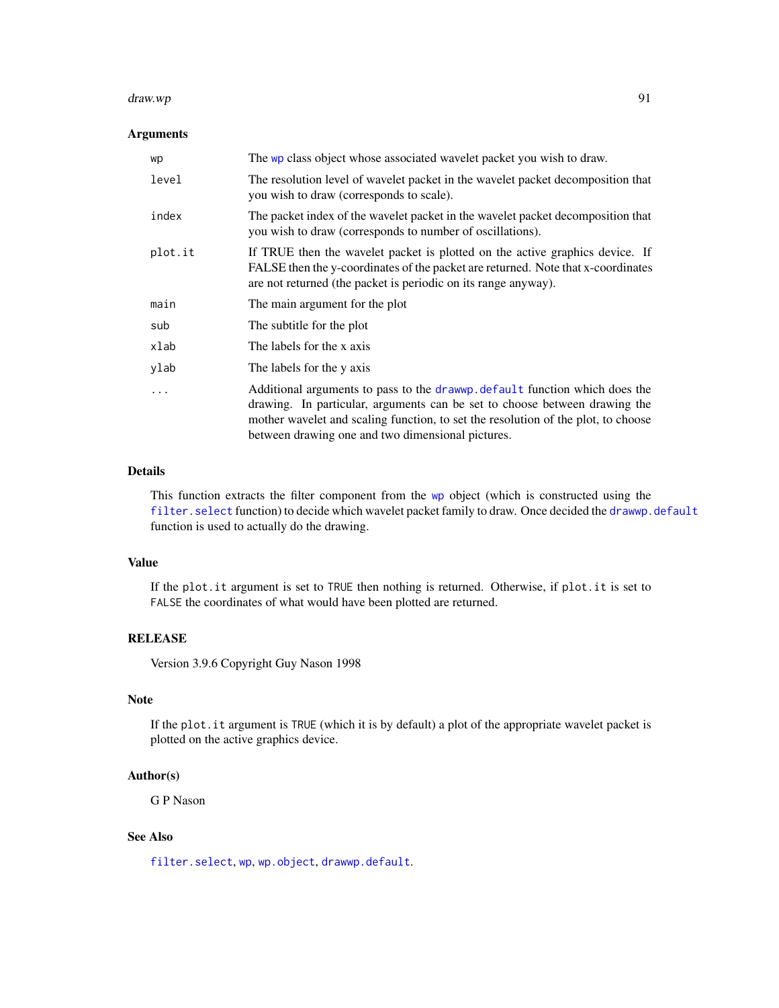#### draw.wp 31 and 32 and 32 and 32 and 32 and 32 and 32 and 32 and 32 and 32 and 32 and 32 and 32 and 32 and 32 and 32 and 32 and 32 and 32 and 32 and 32 and 32 and 32 and 32 and 32 and 32 and 32 and 32 and 32 and 32 and 32 a

## Arguments

| wp       | The wp class object whose associated wavelet packet you wish to draw.                                                                                                                                                                                                                               |
|----------|-----------------------------------------------------------------------------------------------------------------------------------------------------------------------------------------------------------------------------------------------------------------------------------------------------|
| level    | The resolution level of wavelet packet in the wavelet packet decomposition that<br>you wish to draw (corresponds to scale).                                                                                                                                                                         |
| index    | The packet index of the wavelet packet in the wavelet packet decomposition that<br>you wish to draw (corresponds to number of oscillations).                                                                                                                                                        |
| plot.it  | If TRUE then the wavelet packet is plotted on the active graphics device. If<br>FALSE then the y-coordinates of the packet are returned. Note that x-coordinates<br>are not returned (the packet is periodic on its range anyway).                                                                  |
| main     | The main argument for the plot                                                                                                                                                                                                                                                                      |
| sub      | The subtitle for the plot                                                                                                                                                                                                                                                                           |
| xlab     | The labels for the x axis                                                                                                                                                                                                                                                                           |
| ylab     | The labels for the y axis                                                                                                                                                                                                                                                                           |
| $\cdots$ | Additional arguments to pass to the drawwp. default function which does the<br>drawing. In particular, arguments can be set to choose between drawing the<br>mother wavelet and scaling function, to set the resolution of the plot, to choose<br>between drawing one and two dimensional pictures. |

## Details

This function extracts the filter component from the [wp](#page-357-0) object (which is constructed using the [filter.select](#page-98-0) function) to decide which wavelet packet family to draw. Once decided the [drawwp.default](#page-93-0) function is used to actually do the drawing.

## Value

If the plot.it argument is set to TRUE then nothing is returned. Otherwise, if plot.it is set to FALSE the coordinates of what would have been plotted are returned.

## RELEASE

Version 3.9.6 Copyright Guy Nason 1998

## Note

If the plot.it argument is TRUE (which it is by default) a plot of the appropriate wavelet packet is plotted on the active graphics device.

## Author(s)

G P Nason

## See Also

[filter.select](#page-98-0), [wp](#page-357-0), [wp.object](#page-358-0), [drawwp.default](#page-93-0).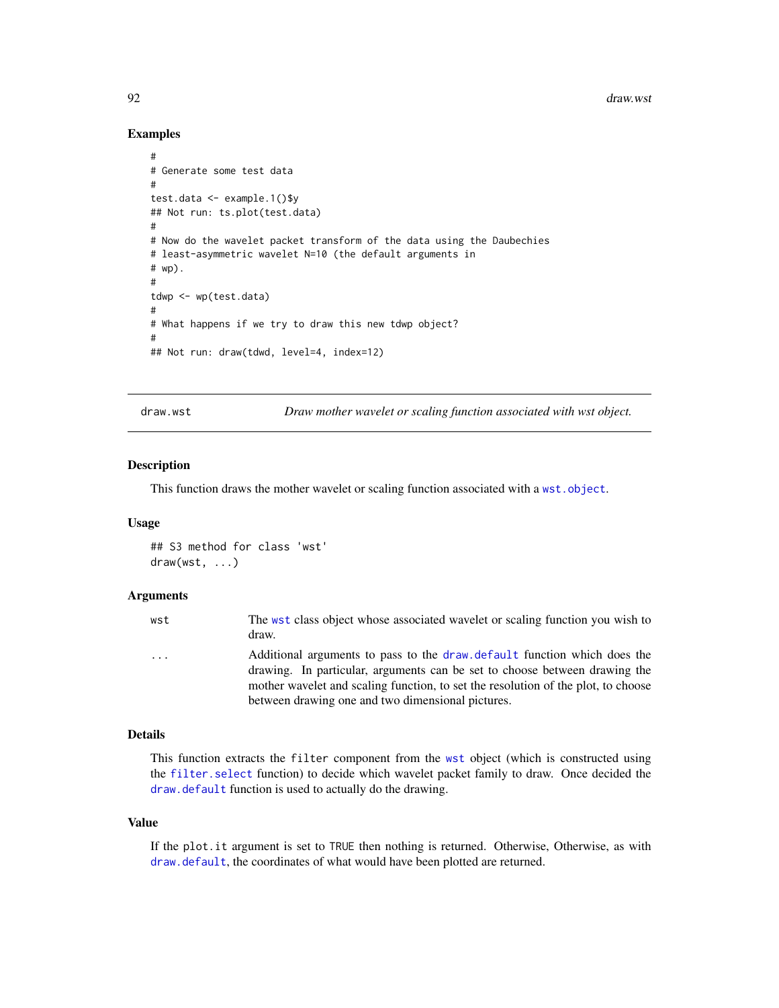## Examples

```
#
# Generate some test data
#
test.data <- example.1()$y
## Not run: ts.plot(test.data)
#
# Now do the wavelet packet transform of the data using the Daubechies
# least-asymmetric wavelet N=10 (the default arguments in
# wp).
#
tdwp <- wp(test.data)
#
# What happens if we try to draw this new tdwp object?
#
## Not run: draw(tdwd, level=4, index=12)
```
<span id="page-91-0"></span>draw.wst *Draw mother wavelet or scaling function associated with wst object.*

## Description

This function draws the mother wavelet or scaling function associated with a [wst.object](#page-373-0).

#### Usage

```
## S3 method for class 'wst'
draw(wst, ...)
```
## Arguments

| wst      | The wst class object whose associated wavelet or scaling function you wish to<br>draw.                                                                 |
|----------|--------------------------------------------------------------------------------------------------------------------------------------------------------|
| $\cdots$ | Additional arguments to pass to the draw default function which does the<br>drawing. In particular, arguments can be set to choose between drawing the |
|          | mother wavelet and scaling function, to set the resolution of the plot, to choose                                                                      |
|          | between drawing one and two dimensional pictures.                                                                                                      |

## Details

This function extracts the filter component from the [wst](#page-371-0) object (which is constructed using the [filter.select](#page-98-0) function) to decide which wavelet packet family to draw. Once decided the [draw.default](#page-81-0) function is used to actually do the drawing.

#### Value

If the plot.it argument is set to TRUE then nothing is returned. Otherwise, Otherwise, as with [draw.default](#page-81-0), the coordinates of what would have been plotted are returned.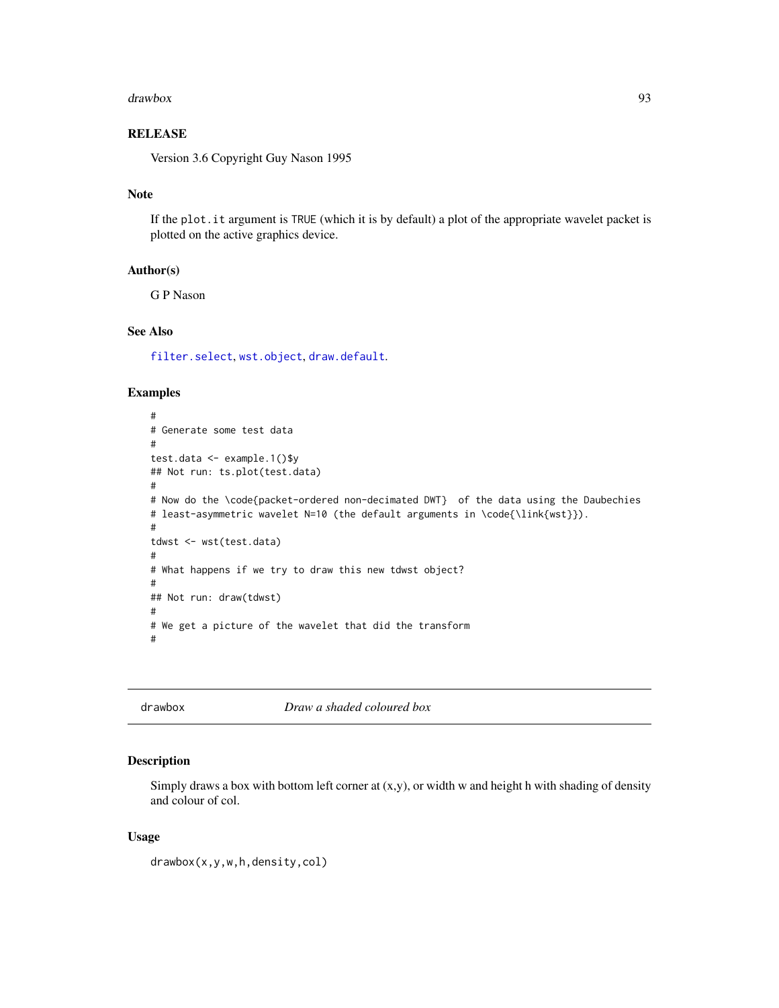#### drawbox 93

# **RELEASE**

Version 3.6 Copyright Guy Nason 1995

#### Note

If the plot.it argument is TRUE (which it is by default) a plot of the appropriate wavelet packet is plotted on the active graphics device.

#### Author(s)

G P Nason

# See Also

[filter.select](#page-98-0), [wst.object](#page-373-0), [draw.default](#page-81-0).

## Examples

```
#
# Generate some test data
#
test.data <- example.1()$y
## Not run: ts.plot(test.data)
#
# Now do the \code{packet-ordered non-decimated DWT} of the data using the Daubechies
# least-asymmetric wavelet N=10 (the default arguments in \code{\link{wst}}).
#
tdwst <- wst(test.data)
#
# What happens if we try to draw this new tdwst object?
#
## Not run: draw(tdwst)
#
# We get a picture of the wavelet that did the transform
#
```
drawbox *Draw a shaded coloured box*

## Description

Simply draws a box with bottom left corner at  $(x,y)$ , or width w and height h with shading of density and colour of col.

#### Usage

drawbox(x,y,w,h,density,col)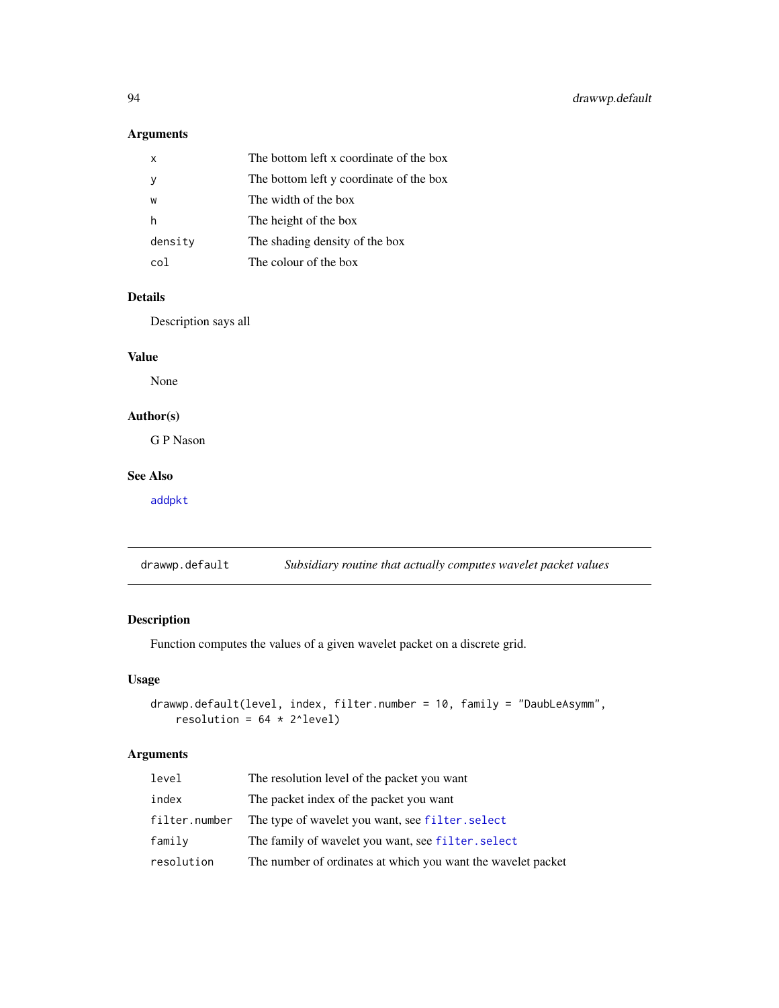# Arguments

| x       | The bottom left x coordinate of the box |
|---------|-----------------------------------------|
|         | The bottom left y coordinate of the box |
| W       | The width of the box                    |
| h       | The height of the box                   |
| density | The shading density of the box          |
| col     | The colour of the box                   |

# Details

Description says all

# Value

None

# Author(s)

G P Nason

# See Also

[addpkt](#page-24-0)

<span id="page-93-0"></span>drawwp.default *Subsidiary routine that actually computes wavelet packet values*

# Description

Function computes the values of a given wavelet packet on a discrete grid.

# Usage

```
drawwp.default(level, index, filter.number = 10, family = "DaubLeAsymm",
    resolution = 64 \times 2^{\wedge}level)
```
## Arguments

| level         | The resolution level of the packet you want                  |
|---------------|--------------------------------------------------------------|
| index         | The packet index of the packet you want                      |
| filter.number | The type of wavelet you want, see filter. select             |
| family        | The family of wavelet you want, see filter. select           |
| resolution    | The number of ordinates at which you want the wavelet packet |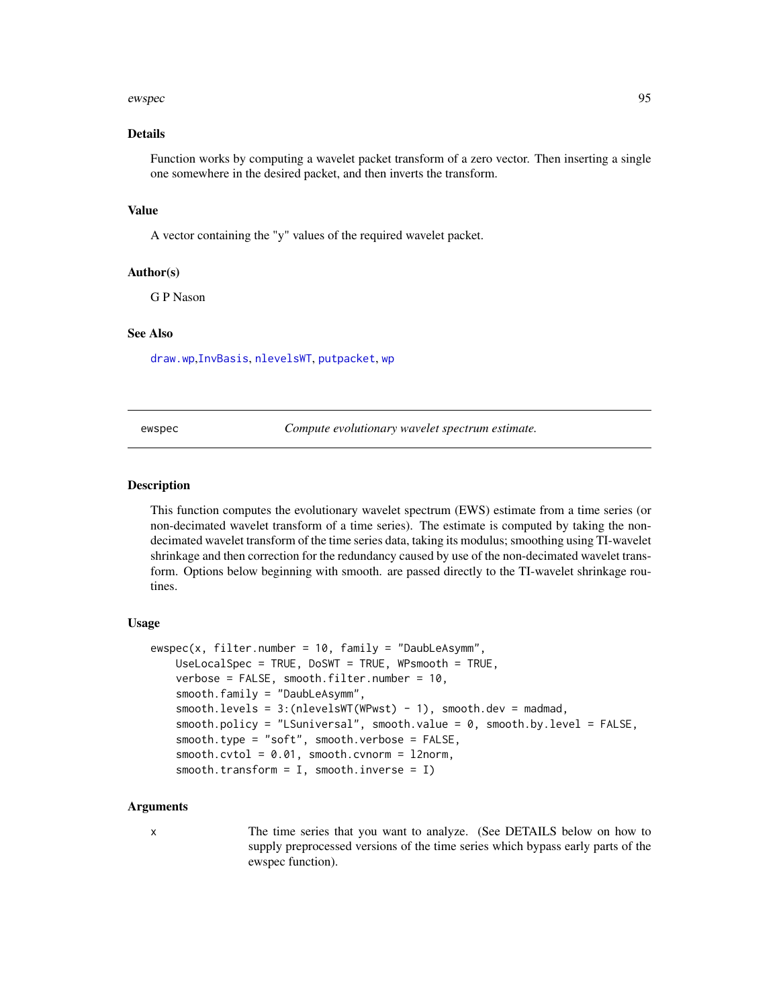#### ewspec 95

#### Details

Function works by computing a wavelet packet transform of a zero vector. Then inserting a single one somewhere in the desired packet, and then inverts the transform.

#### Value

A vector containing the "y" values of the required wavelet packet.

#### Author(s)

G P Nason

## See Also

[draw.wp](#page-89-0),[InvBasis](#page-141-0), [nlevelsWT](#page-199-0), [putpacket](#page-273-0), [wp](#page-357-0)

ewspec *Compute evolutionary wavelet spectrum estimate.*

#### **Description**

This function computes the evolutionary wavelet spectrum (EWS) estimate from a time series (or non-decimated wavelet transform of a time series). The estimate is computed by taking the nondecimated wavelet transform of the time series data, taking its modulus; smoothing using TI-wavelet shrinkage and then correction for the redundancy caused by use of the non-decimated wavelet transform. Options below beginning with smooth. are passed directly to the TI-wavelet shrinkage routines.

## Usage

```
ewspec(x, filter_number = 10, family = "DaubleAsymm",UseLocalSpec = TRUE, DoSWT = TRUE, WPsmooth = TRUE,
   verbose = FALSE, smooth.filter.number = 10,
   smooth.family = "DaubLeAsymm",
   smooth. levels = 3:(nlevelsWT(WPwst) - 1), smooth. dev = madmad,smooth.policy = "LSuniversal", smooth.value = 0, smooth.by.level = FALSE,
   smooth.type = "soft", smooth.verbose = FALSE,
   smooth.cvtol = 0.01, smooth.cvnorm = l2norm,
   smooth.transform = I, smooth.inverse = I)
```
#### Arguments

x The time series that you want to analyze. (See DETAILS below on how to supply preprocessed versions of the time series which bypass early parts of the ewspec function).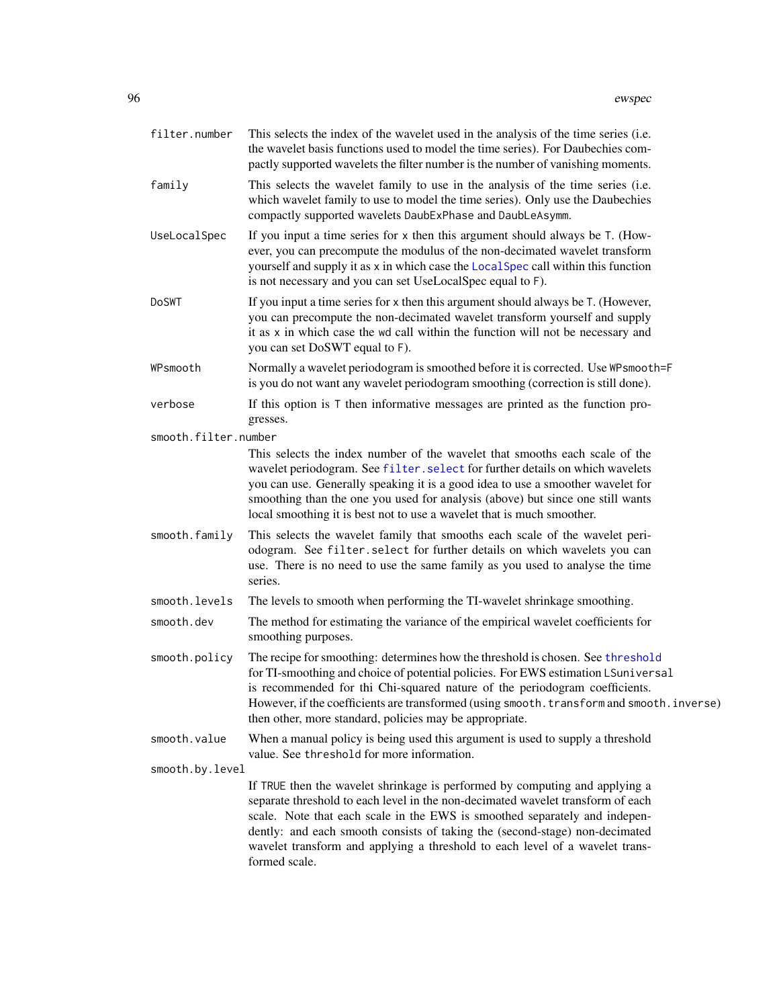| filter.number        | This selects the index of the wavelet used in the analysis of the time series (i.e.<br>the wavelet basis functions used to model the time series). For Daubechies com-<br>pactly supported wavelets the filter number is the number of vanishing moments.                                                                                                                                                                    |
|----------------------|------------------------------------------------------------------------------------------------------------------------------------------------------------------------------------------------------------------------------------------------------------------------------------------------------------------------------------------------------------------------------------------------------------------------------|
| family               | This selects the wavelet family to use in the analysis of the time series (i.e.<br>which wavelet family to use to model the time series). Only use the Daubechies<br>compactly supported wavelets DaubExPhase and DaubLeAsymm.                                                                                                                                                                                               |
| UseLocalSpec         | If you input a time series for x then this argument should always be T. (How-<br>ever, you can precompute the modulus of the non-decimated wavelet transform<br>yourself and supply it as x in which case the LocalSpec call within this function<br>is not necessary and you can set UseLocalSpec equal to F).                                                                                                              |
| DoSWT                | If you input a time series for x then this argument should always be T. (However,<br>you can precompute the non-decimated wavelet transform yourself and supply<br>it as x in which case the wd call within the function will not be necessary and<br>you can set DoSWT equal to F).                                                                                                                                         |
| WPsmooth             | Normally a wavelet periodogram is smoothed before it is corrected. Use WPsmooth=F<br>is you do not want any wavelet periodogram smoothing (correction is still done).                                                                                                                                                                                                                                                        |
| verbose              | If this option is $T$ then informative messages are printed as the function pro-<br>gresses.                                                                                                                                                                                                                                                                                                                                 |
| smooth.filter.number |                                                                                                                                                                                                                                                                                                                                                                                                                              |
|                      | This selects the index number of the wavelet that smooths each scale of the<br>wavelet periodogram. See filter. select for further details on which wavelets<br>you can use. Generally speaking it is a good idea to use a smoother wavelet for<br>smoothing than the one you used for analysis (above) but since one still wants<br>local smoothing it is best not to use a wavelet that is much smoother.                  |
| smooth.family        | This selects the wavelet family that smooths each scale of the wavelet peri-<br>odogram. See filter. select for further details on which wavelets you can<br>use. There is no need to use the same family as you used to analyse the time<br>series.                                                                                                                                                                         |
| smooth.levels        | The levels to smooth when performing the TI-wavelet shrinkage smoothing.                                                                                                                                                                                                                                                                                                                                                     |
| smooth.dev           | The method for estimating the variance of the empirical wavelet coefficients for<br>smoothing purposes.                                                                                                                                                                                                                                                                                                                      |
| smooth.policy        | The recipe for smoothing: determines how the threshold is chosen. See threshold<br>for TI-smoothing and choice of potential policies. For EWS estimation LSuniversal<br>is recommended for thi Chi-squared nature of the periodogram coefficients.<br>However, if the coefficients are transformed (using smooth. transform and smooth. inverse)<br>then other, more standard, policies may be appropriate.                  |
| smooth.value         | When a manual policy is being used this argument is used to supply a threshold<br>value. See threshold for more information.                                                                                                                                                                                                                                                                                                 |
| smooth.by.level      |                                                                                                                                                                                                                                                                                                                                                                                                                              |
|                      | If TRUE then the wavelet shrinkage is performed by computing and applying a<br>separate threshold to each level in the non-decimated wavelet transform of each<br>scale. Note that each scale in the EWS is smoothed separately and indepen-<br>dently: and each smooth consists of taking the (second-stage) non-decimated<br>wavelet transform and applying a threshold to each level of a wavelet trans-<br>formed scale. |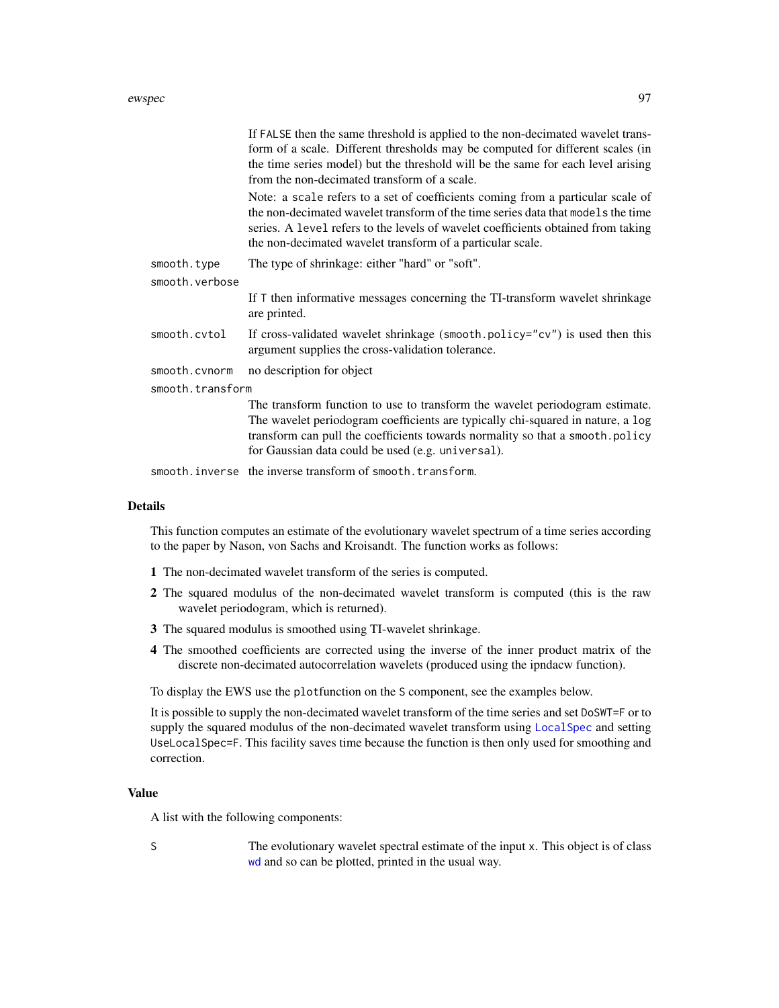#### ewspec 97

|                  | If FALSE then the same threshold is applied to the non-decimated wavelet trans-<br>form of a scale. Different thresholds may be computed for different scales (in<br>the time series model) but the threshold will be the same for each level arising<br>from the non-decimated transform of a scale.                  |
|------------------|------------------------------------------------------------------------------------------------------------------------------------------------------------------------------------------------------------------------------------------------------------------------------------------------------------------------|
|                  | Note: a scale refers to a set of coefficients coming from a particular scale of<br>the non-decimated wavelet transform of the time series data that models the time<br>series. A level refers to the levels of wavelet coefficients obtained from taking<br>the non-decimated wavelet transform of a particular scale. |
| smooth.type      | The type of shrinkage: either "hard" or "soft".                                                                                                                                                                                                                                                                        |
| smooth.verbose   |                                                                                                                                                                                                                                                                                                                        |
|                  | If $\top$ then informative messages concerning the TI-transform wavelet shrinkage<br>are printed.                                                                                                                                                                                                                      |
| smooth.cvtol     | If cross-validated wavelet shrinkage (smooth.policy="cv") is used then this<br>argument supplies the cross-validation tolerance.                                                                                                                                                                                       |
| smooth.cvnorm    | no description for object                                                                                                                                                                                                                                                                                              |
| smooth.transform |                                                                                                                                                                                                                                                                                                                        |
|                  | The transform function to use to transform the wavelet periodogram estimate.<br>The wavelet periodogram coefficients are typically chi-squared in nature, a log<br>transform can pull the coefficients towards normality so that a smooth.policy<br>for Gaussian data could be used (e.g. universal).                  |
|                  |                                                                                                                                                                                                                                                                                                                        |

smooth.inverse the inverse transform of smooth.transform.

#### Details

This function computes an estimate of the evolutionary wavelet spectrum of a time series according to the paper by Nason, von Sachs and Kroisandt. The function works as follows:

- 1 The non-decimated wavelet transform of the series is computed.
- 2 The squared modulus of the non-decimated wavelet transform is computed (this is the raw wavelet periodogram, which is returned).
- 3 The squared modulus is smoothed using TI-wavelet shrinkage.
- 4 The smoothed coefficients are corrected using the inverse of the inner product matrix of the discrete non-decimated autocorrelation wavelets (produced using the ipndacw function).

To display the EWS use the plotfunction on the S component, see the examples below.

It is possible to supply the non-decimated wavelet transform of the time series and set DoSWT=F or to supply the squared modulus of the non-decimated wavelet transform using [LocalSpec](#page-158-0) and setting UseLocalSpec=F. This facility saves time because the function is then only used for smoothing and correction.

#### Value

A list with the following components:

S The evolutionary wavelet spectral estimate of the input x. This object is of class [wd](#page-344-0) and so can be plotted, printed in the usual way.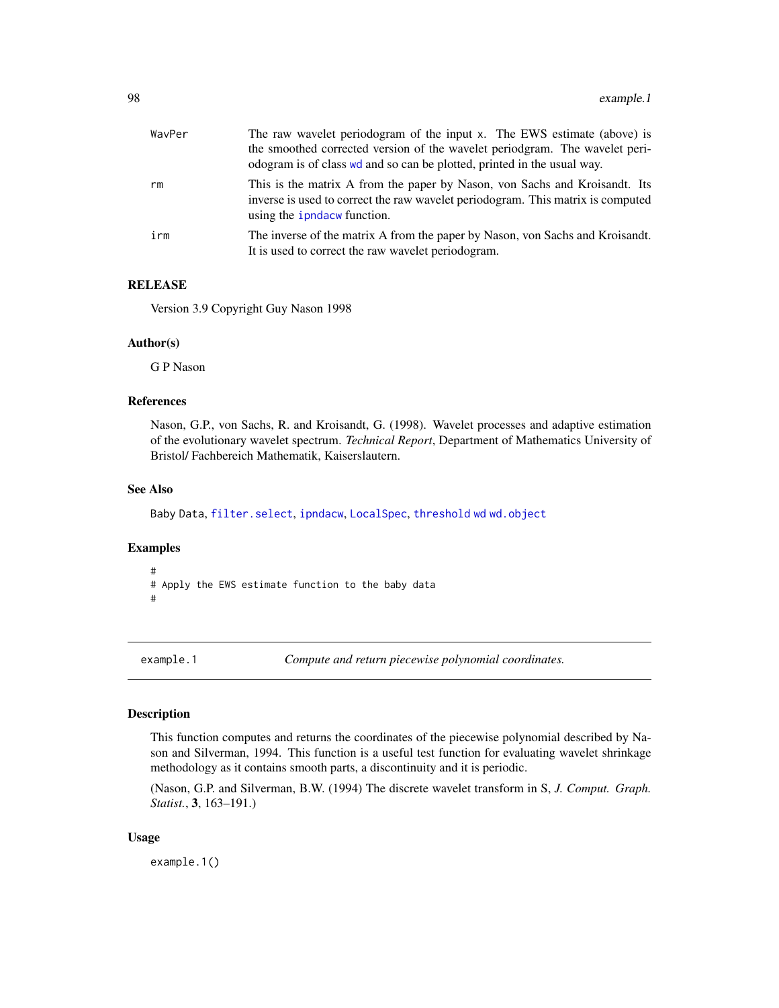| WavPer | The raw wavelet periodogram of the input x. The EWS estimate (above) is                                                                                                                             |
|--------|-----------------------------------------------------------------------------------------------------------------------------------------------------------------------------------------------------|
|        | the smoothed corrected version of the wavelet perioderam. The wavelet peri-                                                                                                                         |
|        | odogram is of class we and so can be plotted, printed in the usual way.                                                                                                                             |
| rm     | This is the matrix A from the paper by Nason, von Sachs and Kroisandt. Its<br>inverse is used to correct the raw wavelet periodogram. This matrix is computed<br>using the <i>ipndacw</i> function. |
| irm    | The inverse of the matrix A from the paper by Nason, von Sachs and Kroisandt.<br>It is used to correct the raw wavelet periodogram.                                                                 |

#### RELEASE

Version 3.9 Copyright Guy Nason 1998

## Author(s)

G P Nason

## References

Nason, G.P., von Sachs, R. and Kroisandt, G. (1998). Wavelet processes and adaptive estimation of the evolutionary wavelet spectrum. *Technical Report*, Department of Mathematics University of Bristol/ Fachbereich Mathematik, Kaiserslautern.

## See Also

Baby Data, [filter.select](#page-98-0), [ipndacw](#page-145-0), [LocalSpec](#page-158-0), [threshold](#page-307-0) [wd](#page-344-0) [wd.object](#page-351-0)

## Examples

```
#
# Apply the EWS estimate function to the baby data
#
```
<span id="page-97-0"></span>example.1 *Compute and return piecewise polynomial coordinates.*

## Description

This function computes and returns the coordinates of the piecewise polynomial described by Nason and Silverman, 1994. This function is a useful test function for evaluating wavelet shrinkage methodology as it contains smooth parts, a discontinuity and it is periodic.

(Nason, G.P. and Silverman, B.W. (1994) The discrete wavelet transform in S, *J. Comput. Graph. Statist.*, 3, 163–191.)

#### Usage

example.1()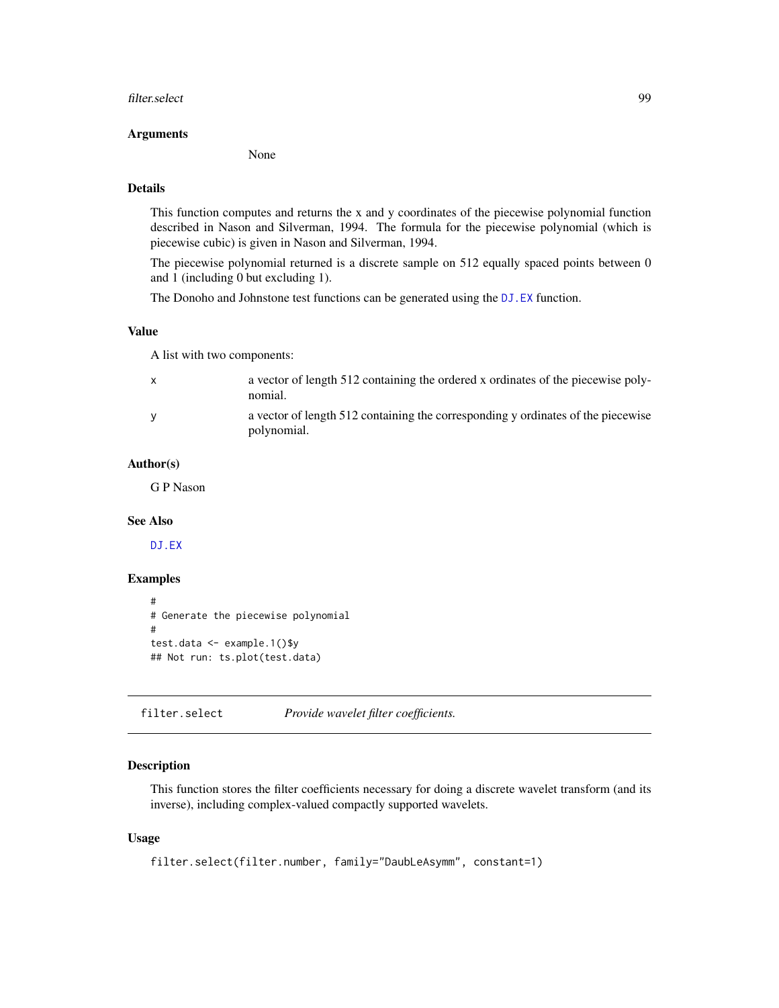#### filter.select 99

#### Arguments

None

## Details

This function computes and returns the x and y coordinates of the piecewise polynomial function described in Nason and Silverman, 1994. The formula for the piecewise polynomial (which is piecewise cubic) is given in Nason and Silverman, 1994.

The piecewise polynomial returned is a discrete sample on 512 equally spaced points between 0 and 1 (including 0 but excluding 1).

The Donoho and Johnstone test functions can be generated using the [DJ.EX](#page-77-0) function.

#### Value

A list with two components:

| $\mathsf{x}$ | a vector of length 512 containing the ordered x ordinates of the piecewise poly-<br>nomial.     |
|--------------|-------------------------------------------------------------------------------------------------|
| <b>V</b>     | a vector of length 512 containing the corresponding y ordinates of the piecewise<br>polynomial. |

## Author(s)

G P Nason

#### See Also

[DJ.EX](#page-77-0)

## Examples

```
#
# Generate the piecewise polynomial
#
test.data <- example.1()$y
## Not run: ts.plot(test.data)
```
<span id="page-98-0"></span>filter.select *Provide wavelet filter coefficients.*

#### Description

This function stores the filter coefficients necessary for doing a discrete wavelet transform (and its inverse), including complex-valued compactly supported wavelets.

#### Usage

```
filter.select(filter.number, family="DaubLeAsymm", constant=1)
```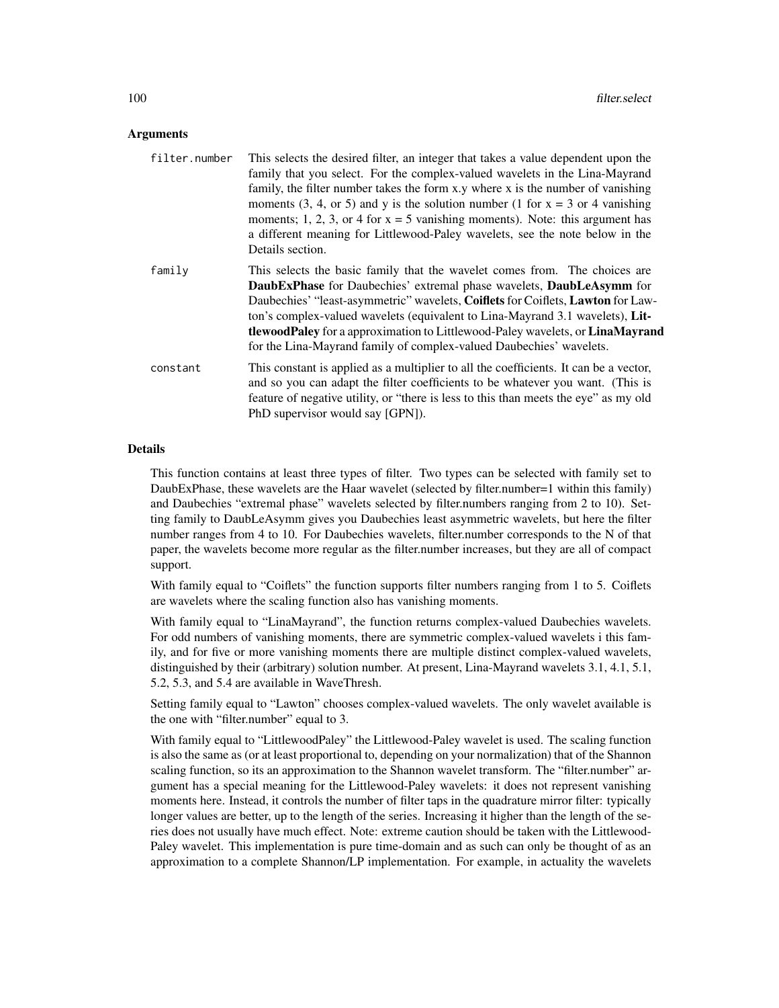#### **Arguments**

| filter.number | This selects the desired filter, an integer that takes a value dependent upon the<br>family that you select. For the complex-valued wavelets in the Lina-Mayrand<br>family, the filter number takes the form x.y where x is the number of vanishing<br>moments (3, 4, or 5) and y is the solution number (1 for $x = 3$ or 4 vanishing<br>moments; 1, 2, 3, or 4 for $x = 5$ vanishing moments). Note: this argument has<br>a different meaning for Littlewood-Paley wavelets, see the note below in the<br>Details section. |
|---------------|------------------------------------------------------------------------------------------------------------------------------------------------------------------------------------------------------------------------------------------------------------------------------------------------------------------------------------------------------------------------------------------------------------------------------------------------------------------------------------------------------------------------------|
| family        | This selects the basic family that the wavelet comes from. The choices are<br><b>DaubExPhase</b> for Daubechies' extremal phase wavelets, <b>DaubLeAsymm</b> for<br>Daubechies' "least-asymmetric" wavelets, Coiflets for Coiflets, Lawton for Law-<br>ton's complex-valued wavelets (equivalent to Lina-Mayrand 3.1 wavelets), Lit-<br><b>tlewoodPaley</b> for a approximation to Littlewood-Paley wavelets, or <b>LinaMayrand</b><br>for the Lina-Mayrand family of complex-valued Daubechies' wavelets.                   |
| constant      | This constant is applied as a multiplier to all the coefficients. It can be a vector,<br>and so you can adapt the filter coefficients to be whatever you want. (This is<br>feature of negative utility, or "there is less to this than meets the eye" as my old<br>PhD supervisor would say [GPN]).                                                                                                                                                                                                                          |

#### Details

This function contains at least three types of filter. Two types can be selected with family set to DaubExPhase, these wavelets are the Haar wavelet (selected by filter.number=1 within this family) and Daubechies "extremal phase" wavelets selected by filter.numbers ranging from 2 to 10). Setting family to DaubLeAsymm gives you Daubechies least asymmetric wavelets, but here the filter number ranges from 4 to 10. For Daubechies wavelets, filter.number corresponds to the N of that paper, the wavelets become more regular as the filter.number increases, but they are all of compact support.

With family equal to "Coiflets" the function supports filter numbers ranging from 1 to 5. Coiflets are wavelets where the scaling function also has vanishing moments.

With family equal to "LinaMayrand", the function returns complex-valued Daubechies wavelets. For odd numbers of vanishing moments, there are symmetric complex-valued wavelets i this family, and for five or more vanishing moments there are multiple distinct complex-valued wavelets, distinguished by their (arbitrary) solution number. At present, Lina-Mayrand wavelets 3.1, 4.1, 5.1, 5.2, 5.3, and 5.4 are available in WaveThresh.

Setting family equal to "Lawton" chooses complex-valued wavelets. The only wavelet available is the one with "filter.number" equal to 3.

With family equal to "LittlewoodPaley" the Littlewood-Paley wavelet is used. The scaling function is also the same as (or at least proportional to, depending on your normalization) that of the Shannon scaling function, so its an approximation to the Shannon wavelet transform. The "filter.number" argument has a special meaning for the Littlewood-Paley wavelets: it does not represent vanishing moments here. Instead, it controls the number of filter taps in the quadrature mirror filter: typically longer values are better, up to the length of the series. Increasing it higher than the length of the series does not usually have much effect. Note: extreme caution should be taken with the Littlewood-Paley wavelet. This implementation is pure time-domain and as such can only be thought of as an approximation to a complete Shannon/LP implementation. For example, in actuality the wavelets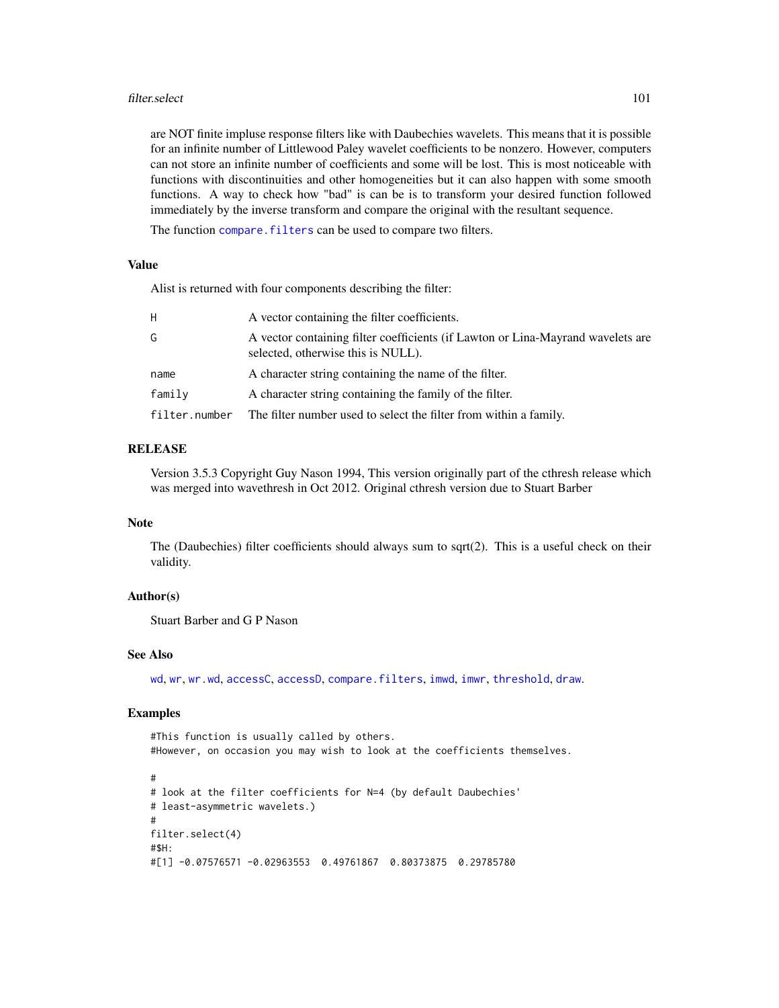#### filter.select 101

are NOT finite impluse response filters like with Daubechies wavelets. This means that it is possible for an infinite number of Littlewood Paley wavelet coefficients to be nonzero. However, computers can not store an infinite number of coefficients and some will be lost. This is most noticeable with functions with discontinuities and other homogeneities but it can also happen with some smooth functions. A way to check how "bad" is can be is to transform your desired function followed immediately by the inverse transform and compare the original with the resultant sequence.

The function compare. filters can be used to compare two filters.

#### Value

Alist is returned with four components describing the filter:

| H.            | A vector containing the filter coefficients.                                                                          |
|---------------|-----------------------------------------------------------------------------------------------------------------------|
| G             | A vector containing filter coefficients (if Lawton or Lina-Mayrand wavelets are<br>selected, otherwise this is NULL). |
| name          | A character string containing the name of the filter.                                                                 |
| family        | A character string containing the family of the filter.                                                               |
| filter.number | The filter number used to select the filter from within a family.                                                     |

## RELEASE

Version 3.5.3 Copyright Guy Nason 1994, This version originally part of the cthresh release which was merged into wavethresh in Oct 2012. Original cthresh version due to Stuart Barber

#### Note

The (Daubechies) filter coefficients should always sum to sqrt(2). This is a useful check on their validity.

## Author(s)

Stuart Barber and G P Nason

## See Also

[wd](#page-344-0), [wr](#page-365-0), [wr.wd](#page-368-0), [accessC](#page-7-0), [accessD](#page-14-0), [compare.filters](#page-48-0), [imwd](#page-131-0), [imwr](#page-137-0), [threshold](#page-307-0), [draw](#page-80-0).

#### Examples

#This function is usually called by others. #However, on occasion you may wish to look at the coefficients themselves.

```
#
# look at the filter coefficients for N=4 (by default Daubechies'
# least-asymmetric wavelets.)
#
filter.select(4)
#$H:
#[1] -0.07576571 -0.02963553 0.49761867 0.80373875 0.29785780
```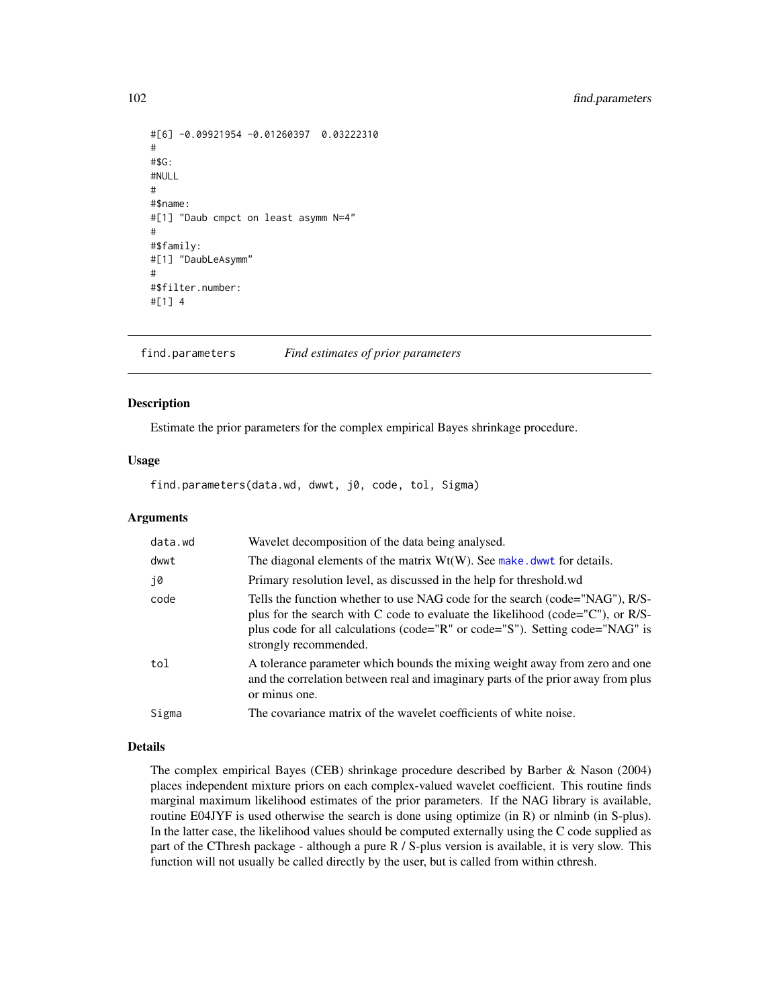```
#[6] -0.09921954 -0.01260397 0.03222310
#
#$G:
#NULL
#
#$name:
#[1] "Daub cmpct on least asymm N=4"
#
#$family:
#[1] "DaubLeAsymm"
#
#$filter.number:
#[1] 4
```
find.parameters *Find estimates of prior parameters*

## Description

Estimate the prior parameters for the complex empirical Bayes shrinkage procedure.

## Usage

find.parameters(data.wd, dwwt, j0, code, tol, Sigma)

## Arguments

| data.wd | Wavelet decomposition of the data being analysed.                                                                                                                                                                                                                       |
|---------|-------------------------------------------------------------------------------------------------------------------------------------------------------------------------------------------------------------------------------------------------------------------------|
| dwwt    | The diagonal elements of the matrix $Wt(W)$ . See make . dwwt for details.                                                                                                                                                                                              |
| .j0     | Primary resolution level, as discussed in the help for threshold wd                                                                                                                                                                                                     |
| code    | Tells the function whether to use NAG code for the search (code="NAG"), R/S-<br>plus for the search with C code to evaluate the likelihood (code="C"), or R/S-<br>plus code for all calculations (code="R" or code="S"). Setting code="NAG" is<br>strongly recommended. |
| tol     | A tolerance parameter which bounds the mixing weight away from zero and one<br>and the correlation between real and imaginary parts of the prior away from plus<br>or minus one.                                                                                        |
| Sigma   | The covariance matrix of the wavelet coefficients of white noise.                                                                                                                                                                                                       |

#### Details

The complex empirical Bayes (CEB) shrinkage procedure described by Barber & Nason (2004) places independent mixture priors on each complex-valued wavelet coefficient. This routine finds marginal maximum likelihood estimates of the prior parameters. If the NAG library is available, routine E04JYF is used otherwise the search is done using optimize (in R) or nlminb (in S-plus). In the latter case, the likelihood values should be computed externally using the C code supplied as part of the CThresh package - although a pure R / S-plus version is available, it is very slow. This function will not usually be called directly by the user, but is called from within cthresh.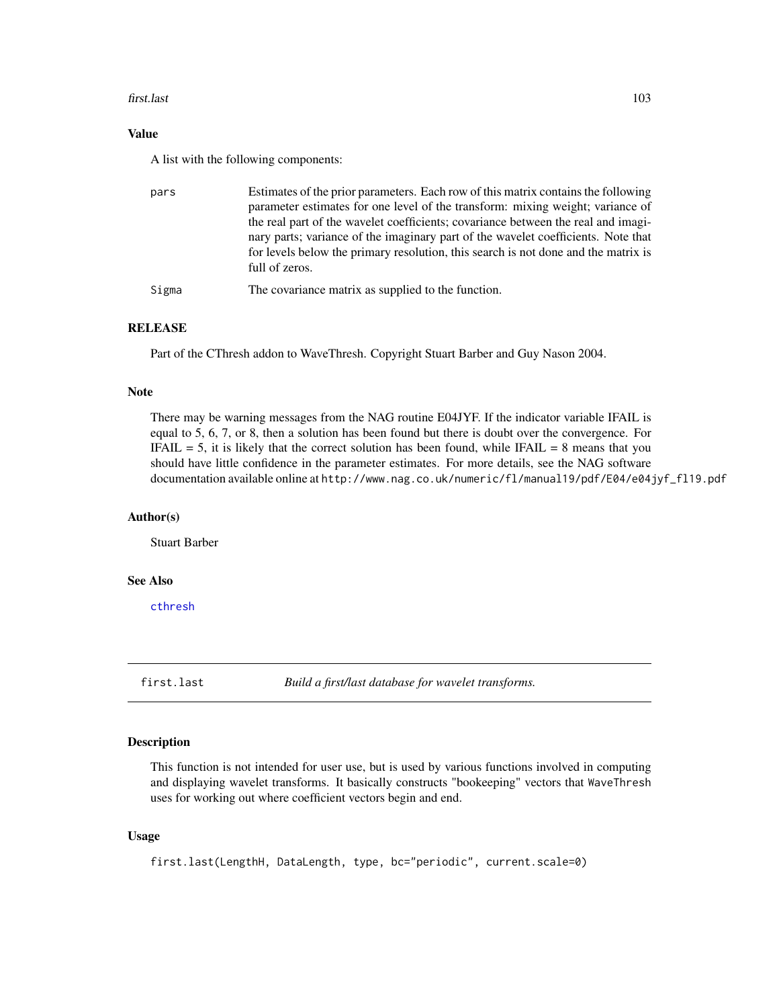#### first.last 103

## Value

A list with the following components:

| pars  | Estimates of the prior parameters. Each row of this matrix contains the following<br>parameter estimates for one level of the transform: mixing weight; variance of<br>the real part of the wavelet coefficients; covariance between the real and imagi-<br>nary parts; variance of the imaginary part of the wavelet coefficients. Note that<br>for levels below the primary resolution, this search is not done and the matrix is<br>full of zeros. |
|-------|-------------------------------------------------------------------------------------------------------------------------------------------------------------------------------------------------------------------------------------------------------------------------------------------------------------------------------------------------------------------------------------------------------------------------------------------------------|
| Sigma | The covariance matrix as supplied to the function.                                                                                                                                                                                                                                                                                                                                                                                                    |

## RELEASE

Part of the CThresh addon to WaveThresh. Copyright Stuart Barber and Guy Nason 2004.

#### Note

There may be warning messages from the NAG routine E04JYF. If the indicator variable IFAIL is equal to 5, 6, 7, or 8, then a solution has been found but there is doubt over the convergence. For IFAIL  $= 5$ , it is likely that the correct solution has been found, while IFAIL  $= 8$  means that you should have little confidence in the parameter estimates. For more details, see the NAG software documentation available online at http://www.nag.co.uk/numeric/fl/manual19/pdf/E04/e04jyf\_fl19.pdf

#### Author(s)

Stuart Barber

## See Also

[cthresh](#page-63-0)

<span id="page-102-0"></span>first.last *Build a first/last database for wavelet transforms.*

#### Description

This function is not intended for user use, but is used by various functions involved in computing and displaying wavelet transforms. It basically constructs "bookeeping" vectors that WaveThresh uses for working out where coefficient vectors begin and end.

#### Usage

first.last(LengthH, DataLength, type, bc="periodic", current.scale=0)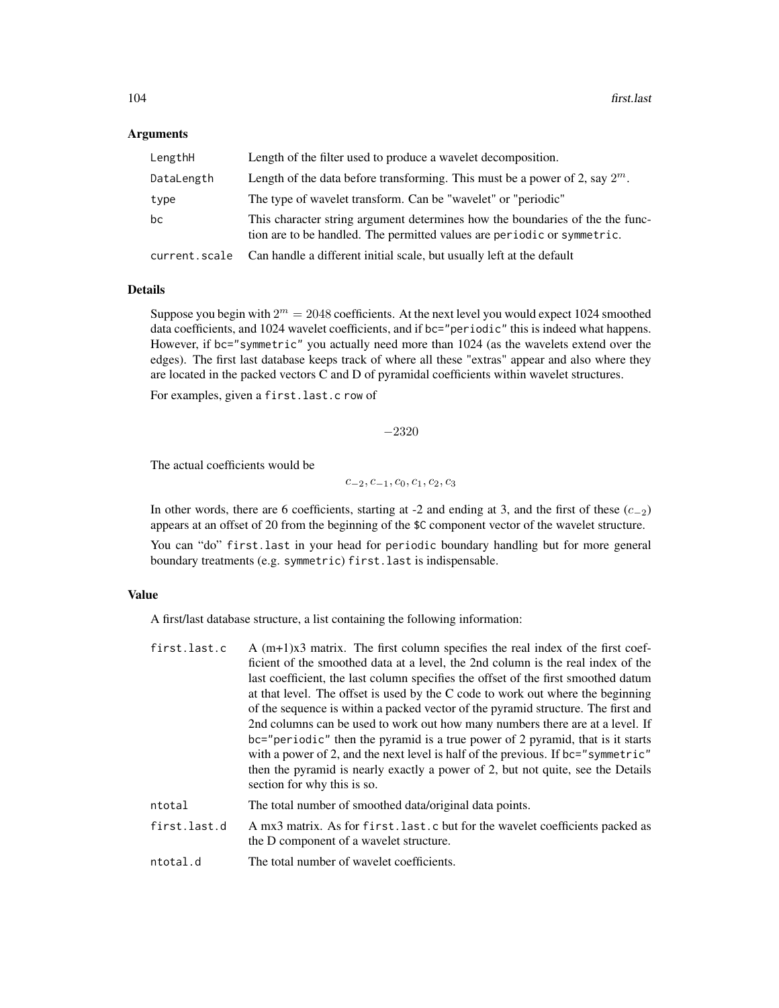#### **Arguments**

| LengthH       | Length of the filter used to produce a wavelet decomposition.                                                                                            |
|---------------|----------------------------------------------------------------------------------------------------------------------------------------------------------|
| DataLength    | Length of the data before transforming. This must be a power of 2, say $2^m$ .                                                                           |
| type          | The type of wavelet transform. Can be "wavelet" or "periodic"                                                                                            |
| bс            | This character string argument determines how the boundaries of the the func-<br>tion are to be handled. The permitted values are periodic or symmetric. |
| current.scale | Can handle a different initial scale, but usually left at the default                                                                                    |

## Details

Suppose you begin with  $2^m = 2048$  coefficients. At the next level you would expect 1024 smoothed data coefficients, and 1024 wavelet coefficients, and if bc="periodic" this is indeed what happens. However, if bc="symmetric" you actually need more than 1024 (as the wavelets extend over the edges). The first last database keeps track of where all these "extras" appear and also where they are located in the packed vectors C and D of pyramidal coefficients within wavelet structures.

For examples, given a first.last.c row of

−2320

The actual coefficients would be

 $c_{-2}, c_{-1}, c_0, c_1, c_2, c_3$ 

In other words, there are 6 coefficients, starting at -2 and ending at 3, and the first of these  $(c_{-2})$ appears at an offset of 20 from the beginning of the \$C component vector of the wavelet structure.

You can "do" first.last in your head for periodic boundary handling but for more general boundary treatments (e.g. symmetric) first.last is indispensable.

## Value

A first/last database structure, a list containing the following information:

| first.last.c | A $(m+1)x3$ matrix. The first column specifies the real index of the first coef-                                          |
|--------------|---------------------------------------------------------------------------------------------------------------------------|
|              | ficient of the smoothed data at a level, the 2nd column is the real index of the                                          |
|              | last coefficient, the last column specifies the offset of the first smoothed datum                                        |
|              | at that level. The offset is used by the C code to work out where the beginning                                           |
|              | of the sequence is within a packed vector of the pyramid structure. The first and                                         |
|              | 2nd columns can be used to work out how many numbers there are at a level. If                                             |
|              | bc="periodic" then the pyramid is a true power of 2 pyramid, that is it starts                                            |
|              | with a power of 2, and the next level is half of the previous. If $bc="symmetric"$                                        |
|              | then the pyramid is nearly exactly a power of 2, but not quite, see the Details                                           |
|              | section for why this is so.                                                                                               |
| ntotal       | The total number of smoothed data/original data points.                                                                   |
| first.last.d | A mx3 matrix. As for first. last. c but for the wavelet coefficients packed as<br>the D component of a wavelet structure. |
| ntotal.d     | The total number of wavelet coefficients.                                                                                 |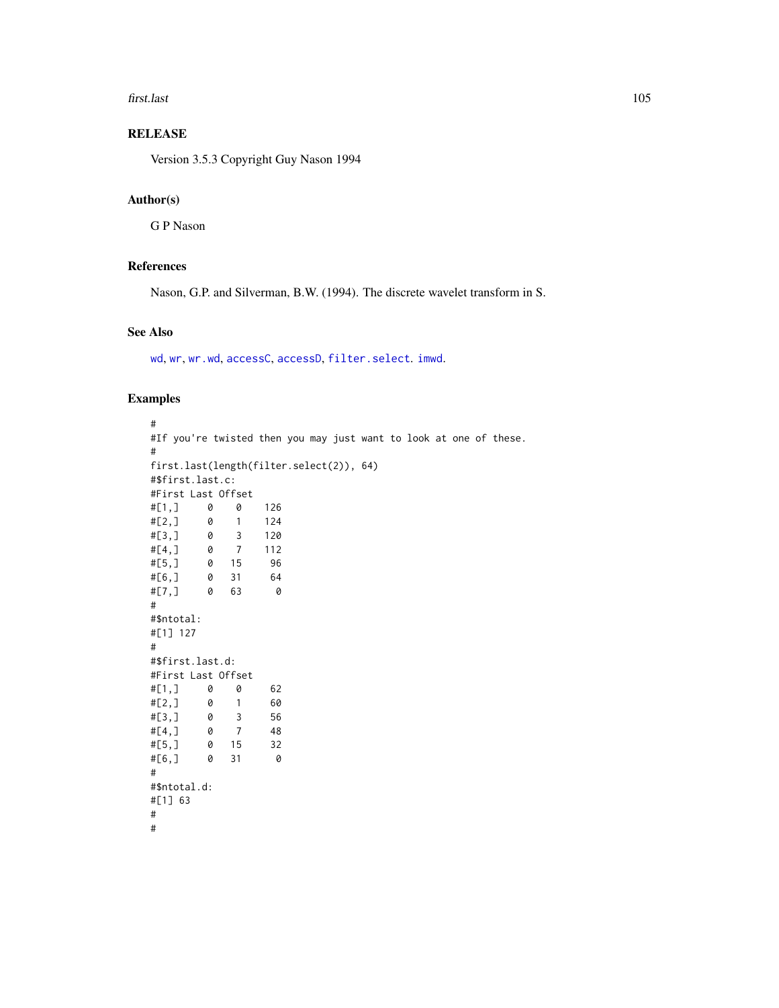#### first.last 105

# RELEASE

Version 3.5.3 Copyright Guy Nason 1994

## Author(s)

G P Nason

## References

Nason, G.P. and Silverman, B.W. (1994). The discrete wavelet transform in S.

# See Also

[wd](#page-344-0), [wr](#page-365-0), [wr.wd](#page-368-0), [accessC](#page-7-0), [accessD](#page-14-0), [filter.select](#page-98-0). [imwd](#page-131-0).

# Examples

```
#
#If you're twisted then you may just want to look at one of these.
#
first.last(length(filter.select(2)), 64)
#$first.last.c:
#First Last Offset
#[1,] 0 0 126
#[2,] 0 1 124
#[3,] 0 3 120
#[4,] 0 7 112
#[5,] 0 15 96
#[6,] 0 31 64
#[7,] 0 63 0
#
#$ntotal:
#[1] 127
#
#$first.last.d:
#First Last Offset
#[1,] 0 0 62
#[2,] 0 1 60
#[3,] 0 3 56<br>#[4,] 0 7 48
#[4,] 0 7 48
#[5,] 0 15 32
#[6,] 0 31 0
#
#$ntotal.d:
#[1] 63
#
#
```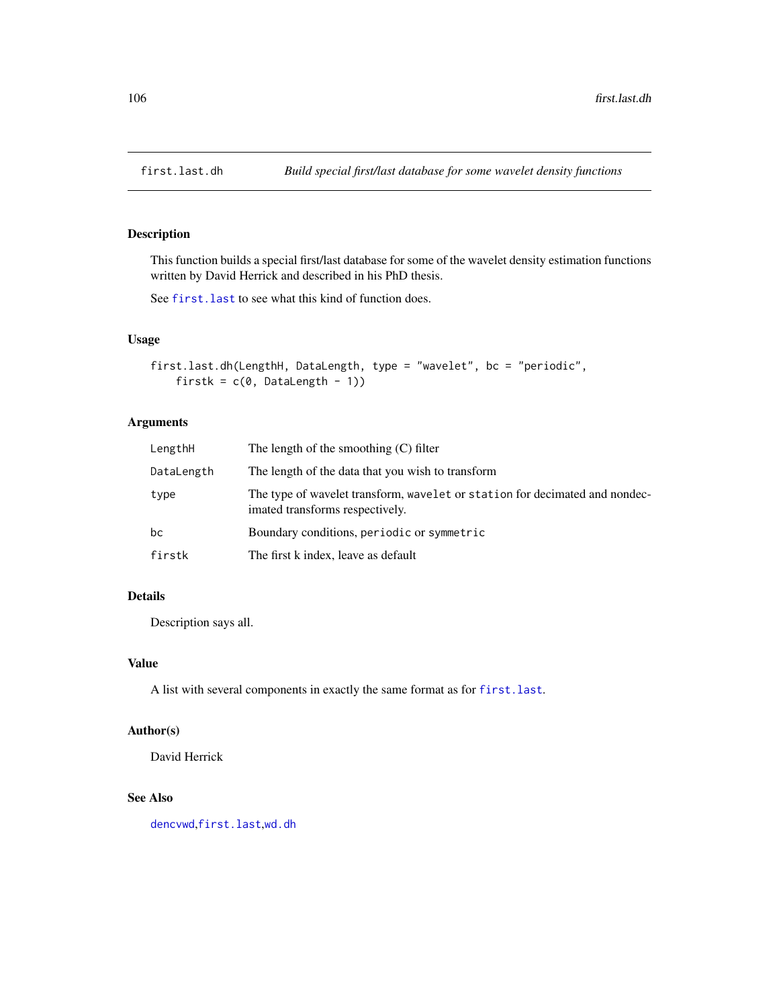## Description

This function builds a special first/last database for some of the wavelet density estimation functions written by David Herrick and described in his PhD thesis.

See first. last to see what this kind of function does.

## Usage

```
first.last.dh(LengthH, DataLength, type = "wavelet", bc = "periodic",
   firstk = c(0, 0)ataLength - 1)
```
## Arguments

| LengthH    | The length of the smoothing $(C)$ filter                                                                       |
|------------|----------------------------------------------------------------------------------------------------------------|
| DataLength | The length of the data that you wish to transform                                                              |
| type       | The type of wavelet transform, wavelet or station for decimated and nondec-<br>imated transforms respectively. |
| bс         | Boundary conditions, periodic or symmetric                                                                     |
| firstk     | The first k index, leave as default                                                                            |

# Details

Description says all.

## Value

A list with several components in exactly the same format as for [first.last](#page-102-0).

## Author(s)

David Herrick

# See Also

[dencvwd](#page-71-0),[first.last](#page-102-0),[wd.dh](#page-349-0)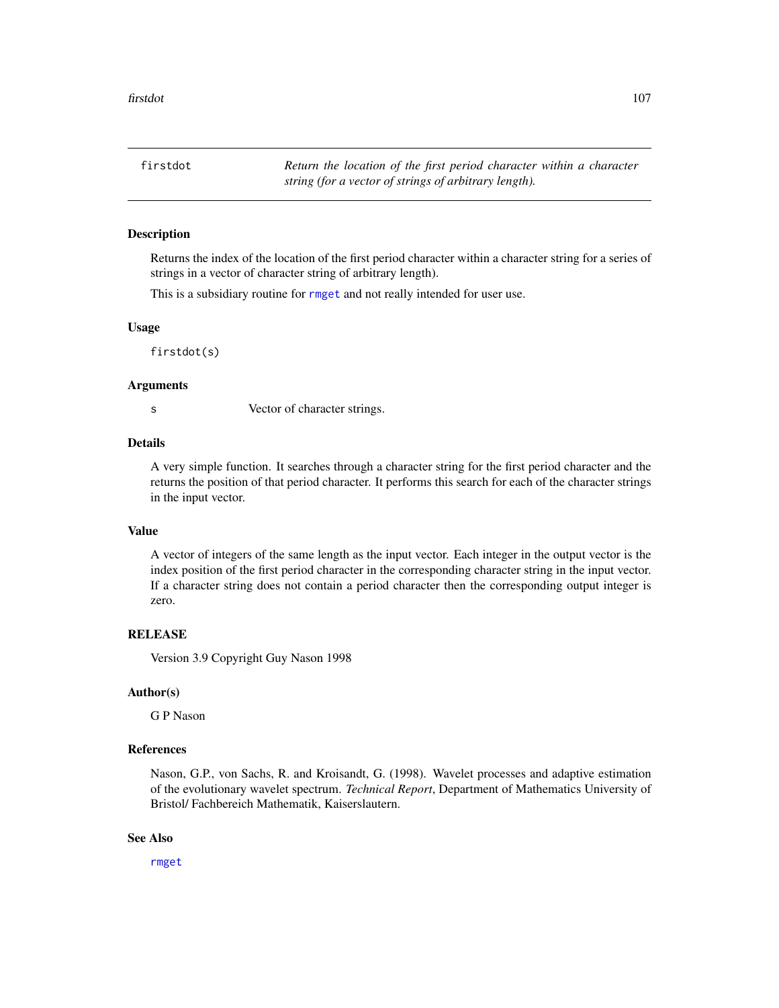firstdot *Return the location of the first period character within a character string (for a vector of strings of arbitrary length).*

## Description

Returns the index of the location of the first period character within a character string for a series of strings in a vector of character string of arbitrary length).

This is a subsidiary routine for [rmget](#page-284-0) and not really intended for user use.

#### Usage

firstdot(s)

#### Arguments

s Vector of character strings.

## Details

A very simple function. It searches through a character string for the first period character and the returns the position of that period character. It performs this search for each of the character strings in the input vector.

## Value

A vector of integers of the same length as the input vector. Each integer in the output vector is the index position of the first period character in the corresponding character string in the input vector. If a character string does not contain a period character then the corresponding output integer is zero.

#### RELEASE

Version 3.9 Copyright Guy Nason 1998

#### Author(s)

G P Nason

# References

Nason, G.P., von Sachs, R. and Kroisandt, G. (1998). Wavelet processes and adaptive estimation of the evolutionary wavelet spectrum. *Technical Report*, Department of Mathematics University of Bristol/ Fachbereich Mathematik, Kaiserslautern.

#### See Also

[rmget](#page-284-0)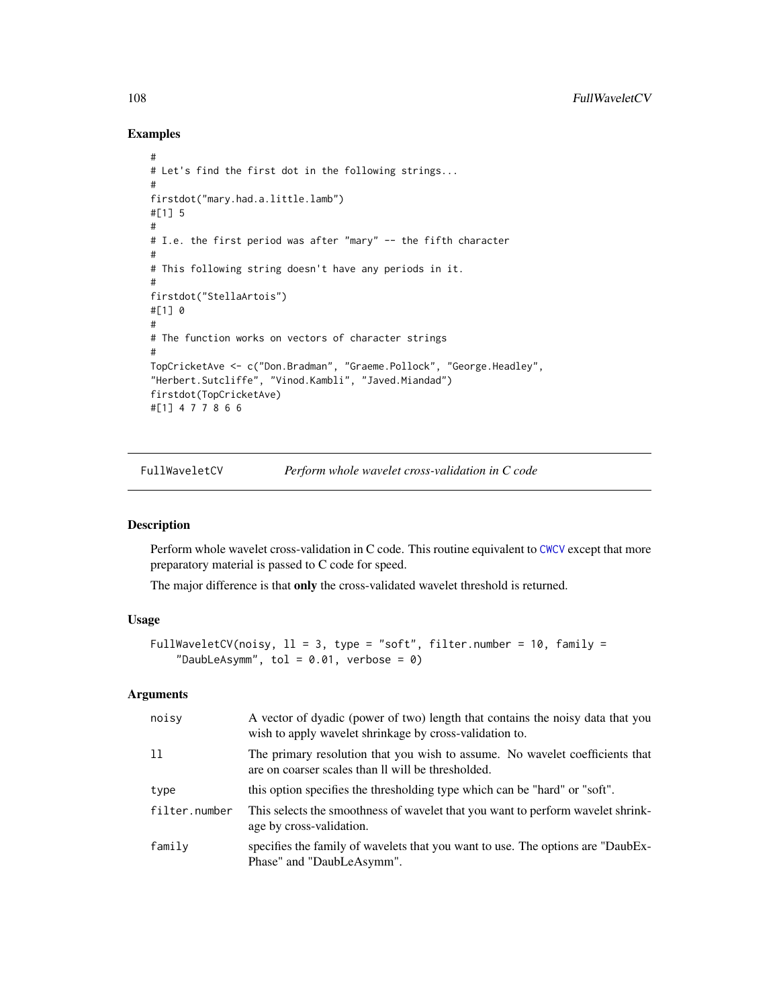## Examples

```
#
# Let's find the first dot in the following strings...
#
firstdot("mary.had.a.little.lamb")
#[1] 5
#
# I.e. the first period was after "mary" -- the fifth character
#
# This following string doesn't have any periods in it.
#
firstdot("StellaArtois")
#[1] 0
#
# The function works on vectors of character strings
#
TopCricketAve <- c("Don.Bradman", "Graeme.Pollock", "George.Headley",
"Herbert.Sutcliffe", "Vinod.Kambli", "Javed.Miandad")
firstdot(TopCricketAve)
#[1] 4 7 7 8 6 6
```
FullWaveletCV *Perform whole wavelet cross-validation in C code*

## Description

Perform whole wavelet cross-validation in C code. This routine equivalent to [CWCV](#page-68-0) except that more preparatory material is passed to C code for speed.

The major difference is that only the cross-validated wavelet threshold is returned.

#### Usage

```
FullWaveletCV(noisy, 11 = 3, type = "soft", filter.number = 10, family =
    "DaubLeAsymm", tol = 0.01, verbose = 0)
```
## Arguments

| noisy         | A vector of dyadic (power of two) length that contains the noisy data that you<br>wish to apply wavelet shrinkage by cross-validation to. |
|---------------|-------------------------------------------------------------------------------------------------------------------------------------------|
| 11            | The primary resolution that you wish to assume. No wavelet coefficients that<br>are on coarser scales than Il will be thresholded.        |
| type          | this option specifies the thresholding type which can be "hard" or "soft".                                                                |
| filter.number | This selects the smoothness of wavelet that you want to perform wavelet shrink-<br>age by cross-validation.                               |
| family        | specifies the family of wavelets that you want to use. The options are "DaubEx-<br>Phase" and "DaubLeAsymm".                              |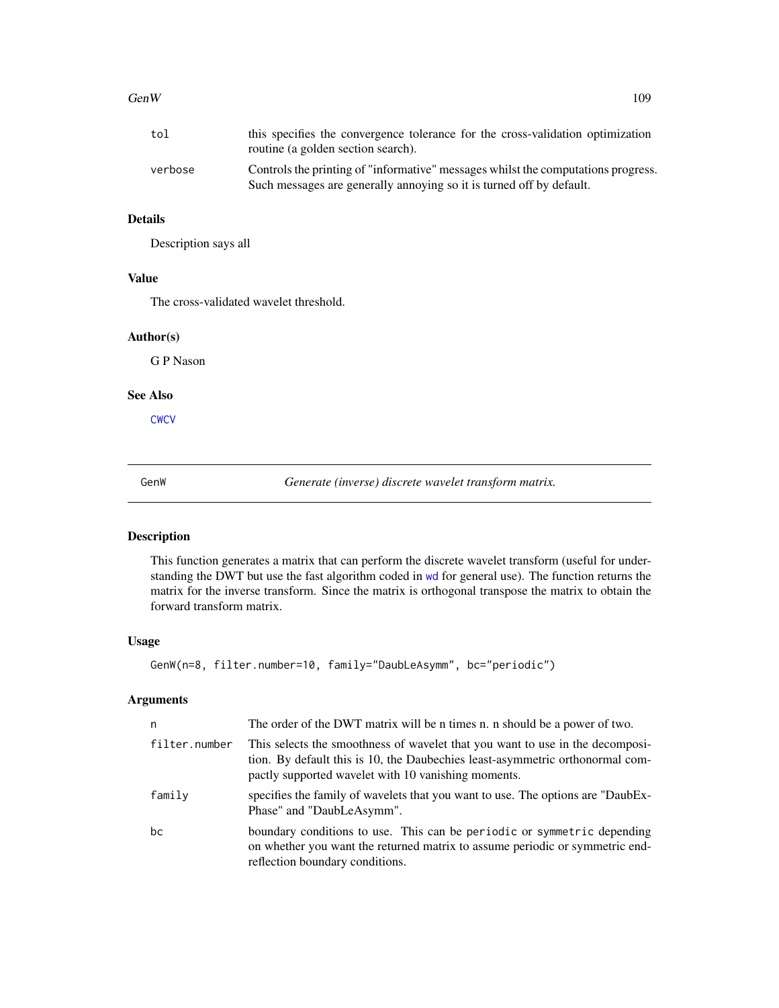## $GenW$  109

| tol     | this specifies the convergence tolerance for the cross-validation optimization<br>routine (a golden section search).                                      |
|---------|-----------------------------------------------------------------------------------------------------------------------------------------------------------|
| verbose | Controls the printing of "informative" messages whilst the computations progress.<br>Such messages are generally annoying so it is turned off by default. |

# Details

Description says all

# Value

The cross-validated wavelet threshold.

## Author(s)

G P Nason

## See Also

**[CWCV](#page-68-0)** 

GenW *Generate (inverse) discrete wavelet transform matrix.*

## Description

This function generates a matrix that can perform the discrete wavelet transform (useful for understanding the DWT but use the fast algorithm coded in [wd](#page-344-0) for general use). The function returns the matrix for the inverse transform. Since the matrix is orthogonal transpose the matrix to obtain the forward transform matrix.

#### Usage

```
GenW(n=8, filter.number=10, family="DaubLeAsymm", bc="periodic")
```
# Arguments

| n             | The order of the DWT matrix will be n times n. n should be a power of two.                                                                                                                                            |
|---------------|-----------------------------------------------------------------------------------------------------------------------------------------------------------------------------------------------------------------------|
| filter.number | This selects the smoothness of wavelet that you want to use in the decomposi-<br>tion. By default this is 10, the Daubechies least-asymmetric orthonormal com-<br>pactly supported wavelet with 10 vanishing moments. |
| family        | specifies the family of wavelets that you want to use. The options are "DaubEx-<br>Phase" and "DaubLeAsymm".                                                                                                          |
| bc            | boundary conditions to use. This can be periodic or symmetric depending<br>on whether you want the returned matrix to assume periodic or symmetric end-<br>reflection boundary conditions.                            |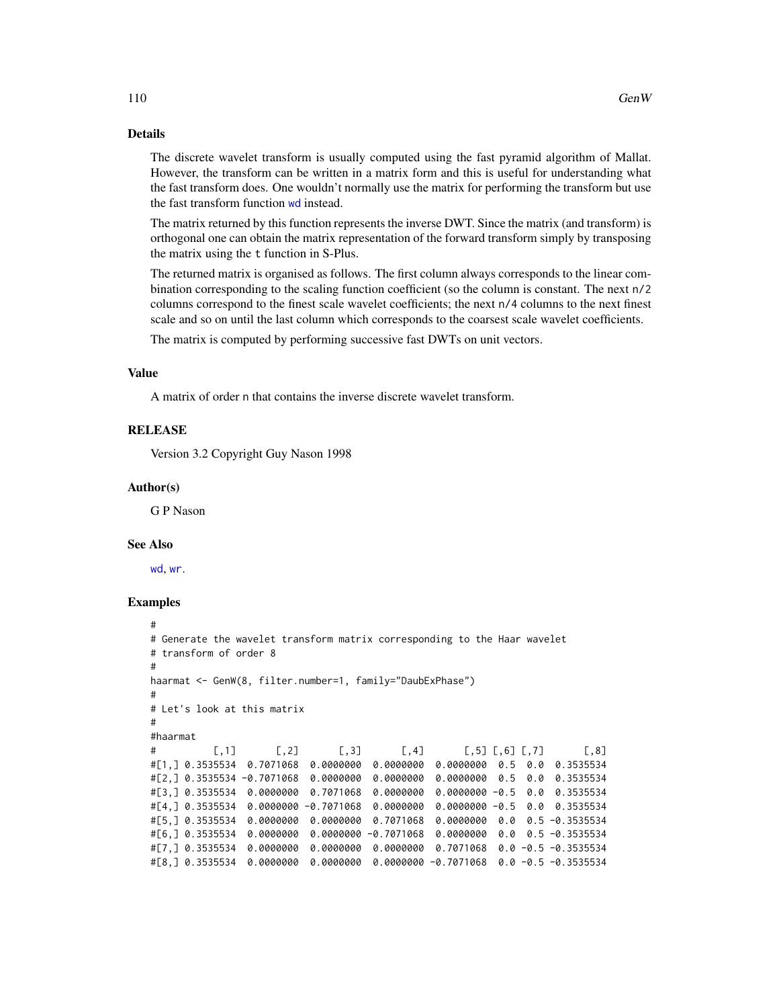## Details

The discrete wavelet transform is usually computed using the fast pyramid algorithm of Mallat. However, the transform can be written in a matrix form and this is useful for understanding what the fast transform does. One wouldn't normally use the matrix for performing the transform but use the fast transform function [wd](#page-344-0) instead.

The matrix returned by this function represents the inverse DWT. Since the matrix (and transform) is orthogonal one can obtain the matrix representation of the forward transform simply by transposing the matrix using the t function in S-Plus.

The returned matrix is organised as follows. The first column always corresponds to the linear combination corresponding to the scaling function coefficient (so the column is constant. The next n/2 columns correspond to the finest scale wavelet coefficients; the next n/4 columns to the next finest scale and so on until the last column which corresponds to the coarsest scale wavelet coefficients.

The matrix is computed by performing successive fast DWTs on unit vectors.

### Value

A matrix of order n that contains the inverse discrete wavelet transform.

#### RELEASE

Version 3.2 Copyright Guy Nason 1998

#### Author(s)

G P Nason

## See Also

[wd](#page-344-0), [wr](#page-365-0).

```
#
# Generate the wavelet transform matrix corresponding to the Haar wavelet
# transform of order 8
#
haarmat <- GenW(8, filter.number=1, family="DaubExPhase")
#
# Let's look at this matrix
#
#haarmat
# [,1] [,2] [,3] [,4] [,5] [,6] [,7] [,8]
#[1,] 0.3535534 0.7071068 0.0000000 0.0000000 0.0000000 0.5 0.0 0.3535534
#[2,] 0.3535534 -0.7071068 0.0000000 0.0000000 0.0000000 0.5 0.0 0.3535534
#[3,] 0.3535534 0.0000000 0.7071068 0.0000000 0.0000000 -0.5 0.0 0.3535534
#[4,] 0.3535534 0.0000000 -0.7071068 0.0000000 0.0000000 -0.5 0.0 0.3535534
#[5,] 0.3535534 0.0000000 0.0000000 0.7071068 0.0000000 0.0 0.5 -0.3535534
#[6,] 0.3535534 0.0000000 0.0000000 -0.7071068 0.0000000 0.0 0.5 -0.3535534
#[7,] 0.3535534 0.0000000 0.0000000 0.0000000 0.7071068 0.0 -0.5 -0.3535534
#[8,] 0.3535534 0.0000000 0.0000000 0.0000000 -0.7071068 0.0 -0.5 -0.3535534
```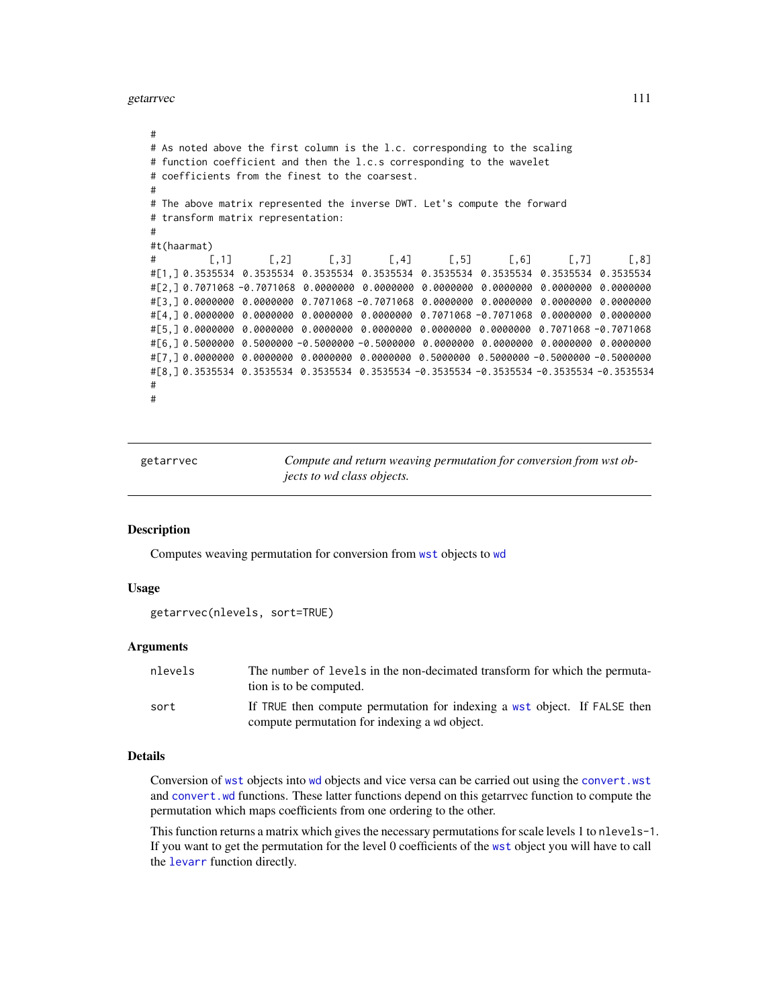getarrvec 111

```
#
# As noted above the first column is the l.c. corresponding to the scaling
# function coefficient and then the l.c.s corresponding to the wavelet
# coefficients from the finest to the coarsest.
#
# The above matrix represented the inverse DWT. Let's compute the forward
# transform matrix representation:
#
#t(haarmat)
# [,1] [,2] [,3] [,4] [,5] [,6] [,7] [,8]
#[1,] 0.3535534 0.3535534 0.3535534 0.3535534 0.3535534 0.3535534 0.3535534 0.3535534
#[2,] 0.7071068 -0.7071068 0.0000000 0.0000000 0.0000000 0.0000000 0.0000000 0.0000000
#[3,] 0.0000000 0.0000000 0.7071068 -0.7071068 0.0000000 0.0000000 0.0000000 0.0000000
#[4,] 0.0000000 0.0000000 0.0000000 0.0000000 0.7071068 -0.7071068 0.0000000 0.0000000
#[5,] 0.0000000 0.0000000 0.0000000 0.0000000 0.0000000 0.0000000 0.7071068 -0.7071068
#[6,] 0.5000000 0.5000000 -0.5000000 -0.5000000 0.0000000 0.0000000 0.0000000 0.0000000
#[7,] 0.0000000 0.0000000 0.0000000 0.0000000 0.5000000 0.5000000 -0.5000000 -0.5000000
#[8,] 0.3535534 0.3535534 0.3535534 0.3535534 -0.3535534 -0.3535534 -0.3535534 -0.3535534
#
#
```
getarrvec *Compute and return weaving permutation for conversion from wst objects to wd class objects.*

## Description

Computes weaving permutation for conversion from [wst](#page-371-0) objects to [wd](#page-344-0)

## Usage

```
getarrvec(nlevels, sort=TRUE)
```
#### Arguments

| nlevels | The number of levels in the non-decimated transform for which the permuta-<br>tion is to be computed.                      |  |
|---------|----------------------------------------------------------------------------------------------------------------------------|--|
| sort    | If TRUE then compute permutation for indexing a wst object. If FALSE then<br>compute permutation for indexing a wd object. |  |

# Details

Conversion of [wst](#page-371-0) objects into [wd](#page-344-0) objects and vice versa can be carried out using the [convert.wst](#page-59-0) and [convert.wd](#page-57-0) functions. These latter functions depend on this getarrvec function to compute the permutation which maps coefficients from one ordering to the other.

This function returns a matrix which gives the necessary permutations for scale levels 1 to nlevels-1. If you want to get the permutation for the level 0 coefficients of the [wst](#page-371-0) object you will have to call the [levarr](#page-156-0) function directly.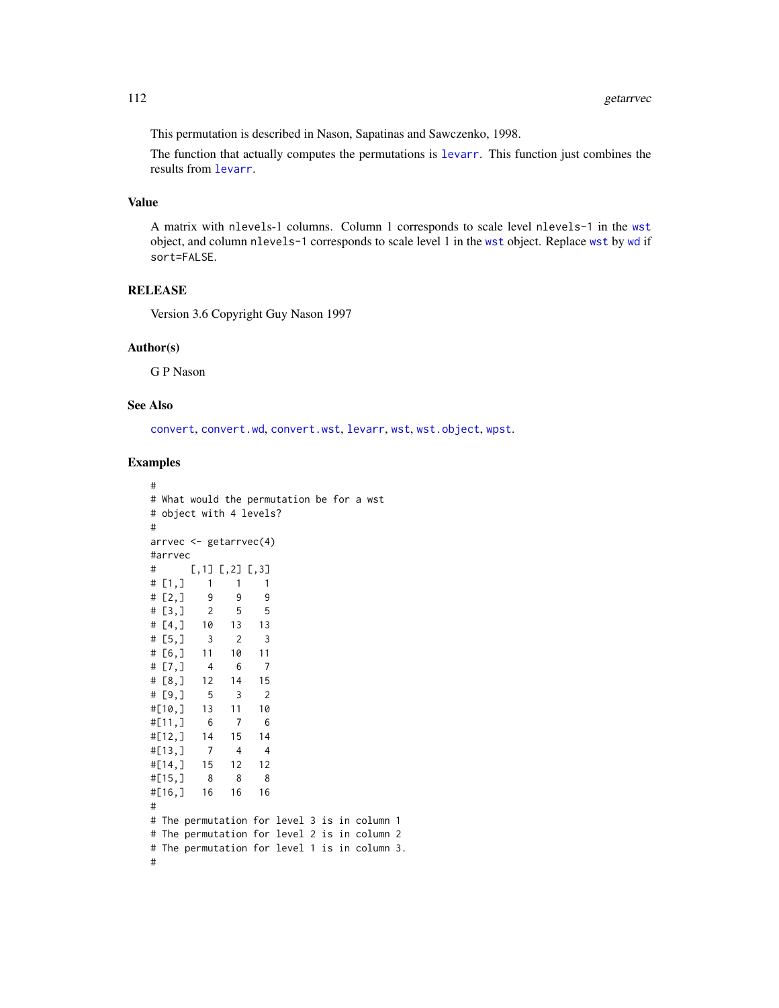This permutation is described in Nason, Sapatinas and Sawczenko, 1998.

The function that actually computes the permutations is [levarr](#page-156-0). This function just combines the results from [levarr](#page-156-0).

# Value

A matrix with nlevels-1 columns. Column 1 corresponds to scale level nlevels-1 in the [wst](#page-371-0) object, and column nlevels-1 corresponds to scale level 1 in the [wst](#page-371-0) object. Replace [wst](#page-371-0) by [wd](#page-344-0) if sort=FALSE.

## RELEASE

Version 3.6 Copyright Guy Nason 1997

#### Author(s)

G P Nason

# See Also

[convert](#page-56-0), [convert.wd](#page-57-0), [convert.wst](#page-59-0), [levarr](#page-156-0), [wst](#page-371-0), [wst.object](#page-373-0), [wpst](#page-359-0).

```
#
# What would the permutation be for a wst
# object with 4 levels?
#
arrvec <- getarrvec(4)
#arrvec
# [,1] [,2] [,3]
# [1,] 1 1 1
\# [2, ] 9 9 9
# [3,] 2 5 5
# [4,] 10 13 13
\# [5, ] 3 2 3
# [6,] 11 10 11
# [7,] 4 6 7
# [8,] 12 14 15
# [9,] 5 3 2
#[10,] 13 11 10
#[11,] 6 7 6
#[12,] 14 15 14
#[13,] 7 4 4
#[14,] 15 12 12
#[15,] 8 8 8
#[16,] 16 16 16
#
# The permutation for level 3 is in column 1
# The permutation for level 2 is in column 2
# The permutation for level 1 is in column 3.
#
```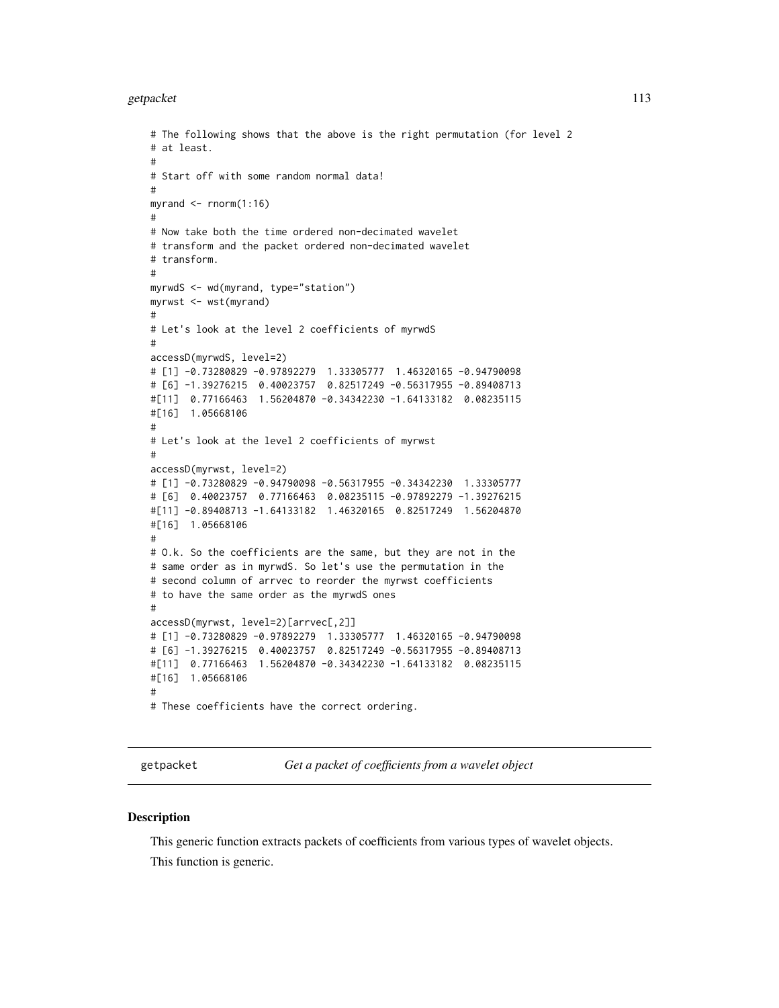#### getpacket the contract of the contract of the contract of the contract of the contract of the contract of the contract of the contract of the contract of the contract of the contract of the contract of the contract of the

```
# The following shows that the above is the right permutation (for level 2
# at least.
#
# Start off with some random normal data!
#
myrand \leq rnorm(1:16)#
# Now take both the time ordered non-decimated wavelet
# transform and the packet ordered non-decimated wavelet
# transform.
#
myrwdS <- wd(myrand, type="station")
myrwst <- wst(myrand)
#
# Let's look at the level 2 coefficients of myrwdS
#
accessD(myrwdS, level=2)
# [1] -0.73280829 -0.97892279 1.33305777 1.46320165 -0.94790098
# [6] -1.39276215 0.40023757 0.82517249 -0.56317955 -0.89408713
#[11] 0.77166463 1.56204870 -0.34342230 -1.64133182 0.08235115
#[16] 1.05668106
#
# Let's look at the level 2 coefficients of myrwst
#
accessD(myrwst, level=2)
# [1] -0.73280829 -0.94790098 -0.56317955 -0.34342230 1.33305777
# [6] 0.40023757 0.77166463 0.08235115 -0.97892279 -1.39276215
#[11] -0.89408713 -1.64133182 1.46320165 0.82517249 1.56204870
#[16] 1.05668106
#
# O.k. So the coefficients are the same, but they are not in the
# same order as in myrwdS. So let's use the permutation in the
# second column of arrvec to reorder the myrwst coefficients
# to have the same order as the myrwdS ones
#
accessD(myrwst, level=2)[arrvec[,2]]
# [1] -0.73280829 -0.97892279 1.33305777 1.46320165 -0.94790098
# [6] -1.39276215 0.40023757 0.82517249 -0.56317955 -0.89408713
#[11] 0.77166463 1.56204870 -0.34342230 -1.64133182 0.08235115
#[16] 1.05668106
#
# These coefficients have the correct ordering.
```
getpacket *Get a packet of coefficients from a wavelet object*

#### **Description**

This generic function extracts packets of coefficients from various types of wavelet objects. This function is generic.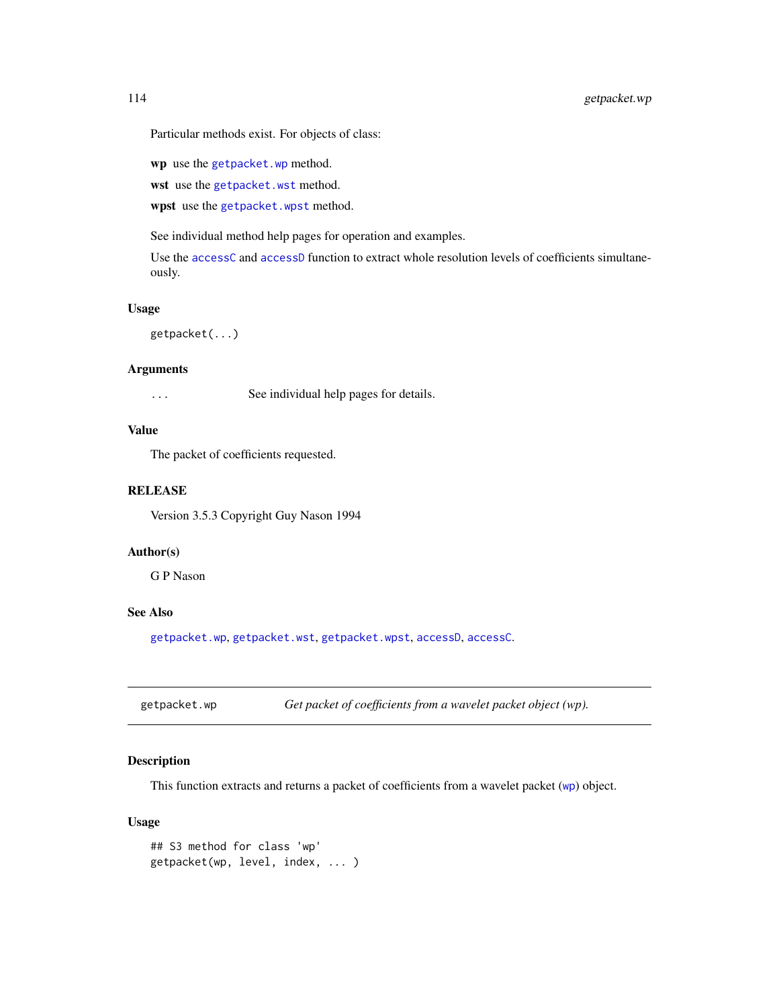Particular methods exist. For objects of class:

wp use the [getpacket.wp](#page-113-0) method.

wst use the [getpacket.wst](#page-117-0) method.

wpst use the [getpacket.wpst](#page-115-0) method.

See individual method help pages for operation and examples.

Use the [accessC](#page-7-0) and [accessD](#page-14-0) function to extract whole resolution levels of coefficients simultaneously.

## Usage

getpacket(...)

## **Arguments**

... See individual help pages for details.

# Value

The packet of coefficients requested.

## **RELEASE**

Version 3.5.3 Copyright Guy Nason 1994

#### Author(s)

G P Nason

## See Also

[getpacket.wp](#page-113-0), [getpacket.wst](#page-117-0), [getpacket.wpst](#page-115-0), [accessD](#page-14-0), [accessC](#page-7-0).

<span id="page-113-0"></span>getpacket.wp *Get packet of coefficients from a wavelet packet object (wp).*

## Description

This function extracts and returns a packet of coefficients from a wavelet packet ([wp](#page-357-0)) object.

# Usage

```
## S3 method for class 'wp'
getpacket(wp, level, index, ... )
```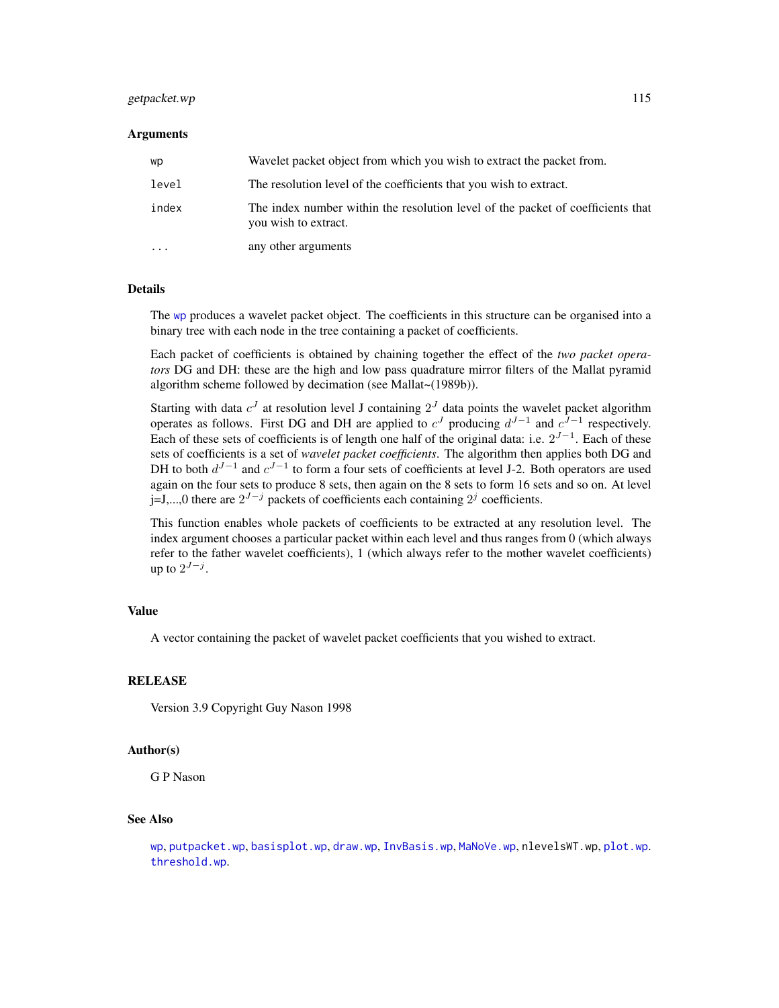## getpacket.wp 115

#### **Arguments**

| wp        | Wavelet packet object from which you wish to extract the packet from.                                   |
|-----------|---------------------------------------------------------------------------------------------------------|
| level     | The resolution level of the coefficients that you wish to extract.                                      |
| index     | The index number within the resolution level of the packet of coefficients that<br>you wish to extract. |
| $\ddotsc$ | any other arguments                                                                                     |

#### Details

The [wp](#page-357-0) produces a wavelet packet object. The coefficients in this structure can be organised into a binary tree with each node in the tree containing a packet of coefficients.

Each packet of coefficients is obtained by chaining together the effect of the *two packet operators* DG and DH: these are the high and low pass quadrature mirror filters of the Mallat pyramid algorithm scheme followed by decimation (see Mallat~(1989b)).

Starting with data  $c^{J}$  at resolution level J containing  $2^{J}$  data points the wavelet packet algorithm operates as follows. First DG and DH are applied to  $c<sup>J</sup>$  producing  $d<sup>J-1</sup>$  and  $c<sup>J-1</sup>$  respectively. Each of these sets of coefficients is of length one half of the original data: i.e.  $2^{J-1}$ . Each of these sets of coefficients is a set of *wavelet packet coefficients*. The algorithm then applies both DG and DH to both  $d^{J-1}$  and  $c^{J-1}$  to form a four sets of coefficients at level J-2. Both operators are used again on the four sets to produce 8 sets, then again on the 8 sets to form 16 sets and so on. At level j=J,...,0 there are  $2^{J-j}$  packets of coefficients each containing  $2^j$  coefficients.

This function enables whole packets of coefficients to be extracted at any resolution level. The index argument chooses a particular packet within each level and thus ranges from 0 (which always refer to the father wavelet coefficients), 1 (which always refer to the mother wavelet coefficients) up to  $2^{J-j}$ .

#### Value

A vector containing the packet of wavelet packet coefficients that you wished to extract.

## **RELEASE**

Version 3.9 Copyright Guy Nason 1998

#### Author(s)

G P Nason

#### See Also

[wp](#page-357-0), [putpacket.wp](#page-274-0), [basisplot.wp](#page-37-0), [draw.wp](#page-89-0), [InvBasis.wp](#page-142-0), [MaNoVe.wp](#page-182-0), nlevelsWT.wp, [plot.wp](#page-218-0). [threshold.wp](#page-326-0).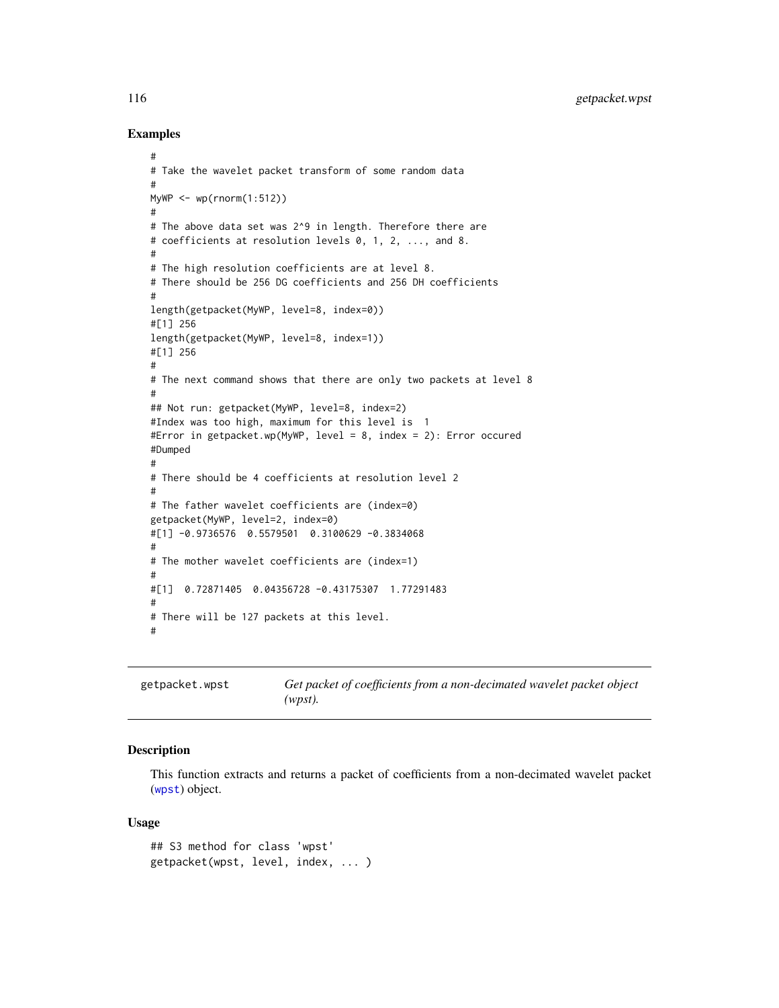#### Examples

```
#
# Take the wavelet packet transform of some random data
#
MyWP \leq wp(rnorm(1:512))
#
# The above data set was 2^9 in length. Therefore there are
# coefficients at resolution levels 0, 1, 2, ..., and 8.
#
# The high resolution coefficients are at level 8.
# There should be 256 DG coefficients and 256 DH coefficients
#
length(getpacket(MyWP, level=8, index=0))
#[1] 256
length(getpacket(MyWP, level=8, index=1))
#[1] 256
#
# The next command shows that there are only two packets at level 8
#
## Not run: getpacket(MyWP, level=8, index=2)
#Index was too high, maximum for this level is 1
#Error in getpacket.wp(MyWP, level = 8, index = 2): Error occured
#Dumped
#
# There should be 4 coefficients at resolution level 2
#
# The father wavelet coefficients are (index=0)
getpacket(MyWP, level=2, index=0)
#[1] -0.9736576 0.5579501 0.3100629 -0.3834068
#
# The mother wavelet coefficients are (index=1)
#
#[1] 0.72871405 0.04356728 -0.43175307 1.77291483
#
# There will be 127 packets at this level.
#
```
<span id="page-115-0"></span>getpacket.wpst *Get packet of coefficients from a non-decimated wavelet packet object (wpst).*

## Description

This function extracts and returns a packet of coefficients from a non-decimated wavelet packet ([wpst](#page-359-0)) object.

#### Usage

```
## S3 method for class 'wpst'
getpacket(wpst, level, index, ... )
```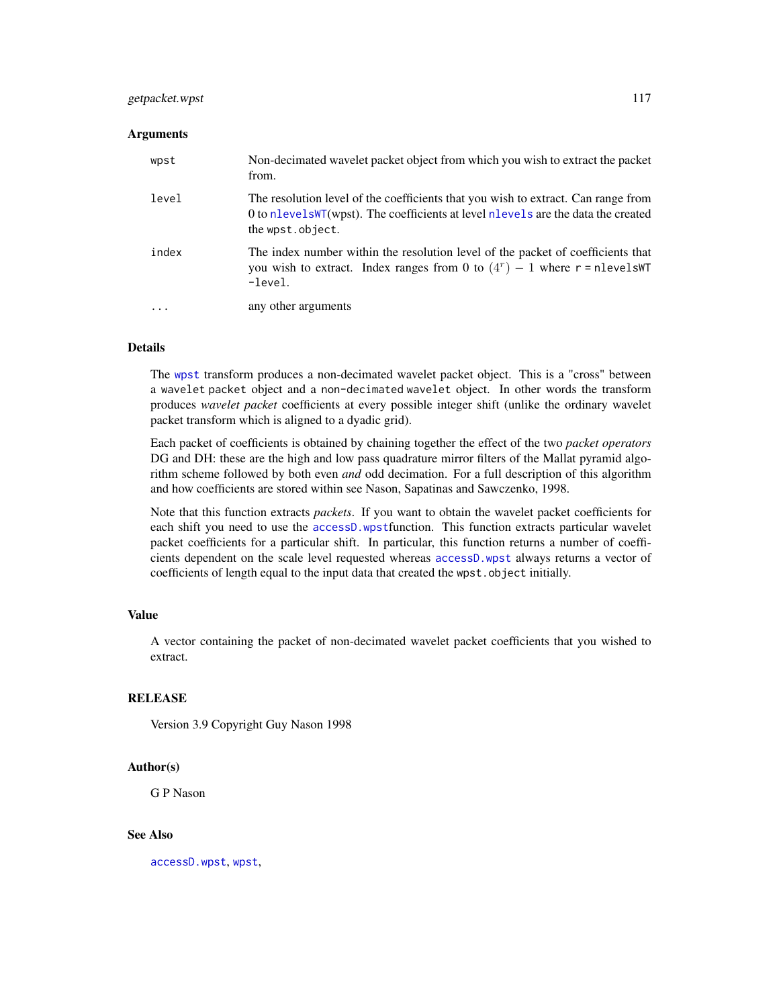# getpacket.wpst 117

#### **Arguments**

| wpst  | Non-decimated wavelet packet object from which you wish to extract the packet<br>from.                                                                                                    |
|-------|-------------------------------------------------------------------------------------------------------------------------------------------------------------------------------------------|
| level | The resolution level of the coefficients that you wish to extract. Can range from<br>0 to nlevelsWT(wpst). The coefficients at level nlevels are the data the created<br>the wpst.object. |
| index | The index number within the resolution level of the packet of coefficients that<br>you wish to extract. Index ranges from 0 to $(4r) - 1$ where r = nlevelsWT<br>$-level.$                |
| .     | any other arguments                                                                                                                                                                       |

## Details

The [wpst](#page-359-0) transform produces a non-decimated wavelet packet object. This is a "cross" between a wavelet packet object and a non-decimated wavelet object. In other words the transform produces *wavelet packet* coefficients at every possible integer shift (unlike the ordinary wavelet packet transform which is aligned to a dyadic grid).

Each packet of coefficients is obtained by chaining together the effect of the two *packet operators* DG and DH: these are the high and low pass quadrature mirror filters of the Mallat pyramid algorithm scheme followed by both even *and* odd decimation. For a full description of this algorithm and how coefficients are stored within see Nason, Sapatinas and Sawczenko, 1998.

Note that this function extracts *packets*. If you want to obtain the wavelet packet coefficients for each shift you need to use the [accessD.wpst](#page-21-0)function. This function extracts particular wavelet packet coefficients for a particular shift. In particular, this function returns a number of coefficients dependent on the scale level requested whereas [accessD.wpst](#page-21-0) always returns a vector of coefficients of length equal to the input data that created the wpst.object initially.

# Value

A vector containing the packet of non-decimated wavelet packet coefficients that you wished to extract.

#### RELEASE

Version 3.9 Copyright Guy Nason 1998

#### Author(s)

G P Nason

# See Also

[accessD.wpst](#page-21-0), [wpst](#page-359-0),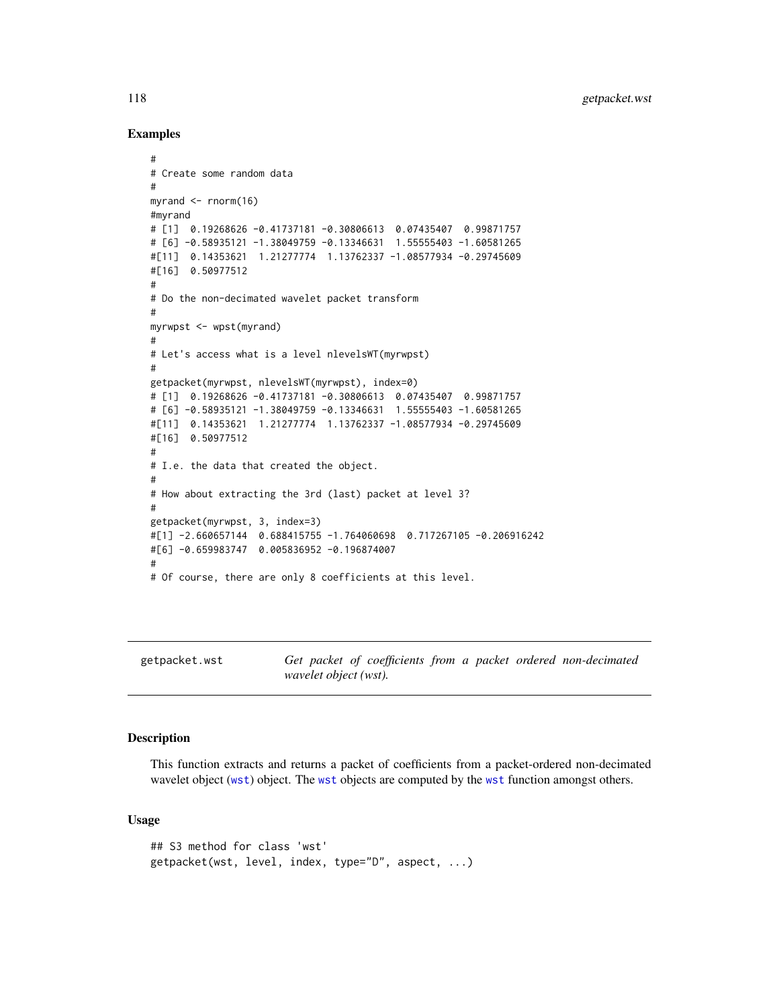## Examples

```
#
# Create some random data
#
myrand <- rnorm(16)
#myrand
# [1] 0.19268626 -0.41737181 -0.30806613 0.07435407 0.99871757
# [6] -0.58935121 -1.38049759 -0.13346631 1.55555403 -1.60581265
#[11] 0.14353621 1.21277774 1.13762337 -1.08577934 -0.29745609
#[16] 0.50977512
#
# Do the non-decimated wavelet packet transform
#
myrwpst <- wpst(myrand)
#
# Let's access what is a level nlevelsWT(myrwpst)
#
getpacket(myrwpst, nlevelsWT(myrwpst), index=0)
# [1] 0.19268626 -0.41737181 -0.30806613 0.07435407 0.99871757
# [6] -0.58935121 -1.38049759 -0.13346631 1.55555403 -1.60581265
#[11] 0.14353621 1.21277774 1.13762337 -1.08577934 -0.29745609
#[16] 0.50977512
#
# I.e. the data that created the object.
#
# How about extracting the 3rd (last) packet at level 3?
#
getpacket(myrwpst, 3, index=3)
#[1] -2.660657144 0.688415755 -1.764060698 0.717267105 -0.206916242
#[6] -0.659983747 0.005836952 -0.196874007
#
# Of course, there are only 8 coefficients at this level.
```
<span id="page-117-0"></span>

| getpacket.wst | Get packet of coefficients from a packet ordered non-decimated |  |  |  |
|---------------|----------------------------------------------------------------|--|--|--|
|               | wavelet object (wst).                                          |  |  |  |

## Description

This function extracts and returns a packet of coefficients from a packet-ordered non-decimated wavelet object ([wst](#page-371-0)) object. The [wst](#page-371-0) objects are computed by the [wst](#page-371-0) function amongst others.

#### Usage

```
## S3 method for class 'wst'
getpacket(wst, level, index, type="D", aspect, ...)
```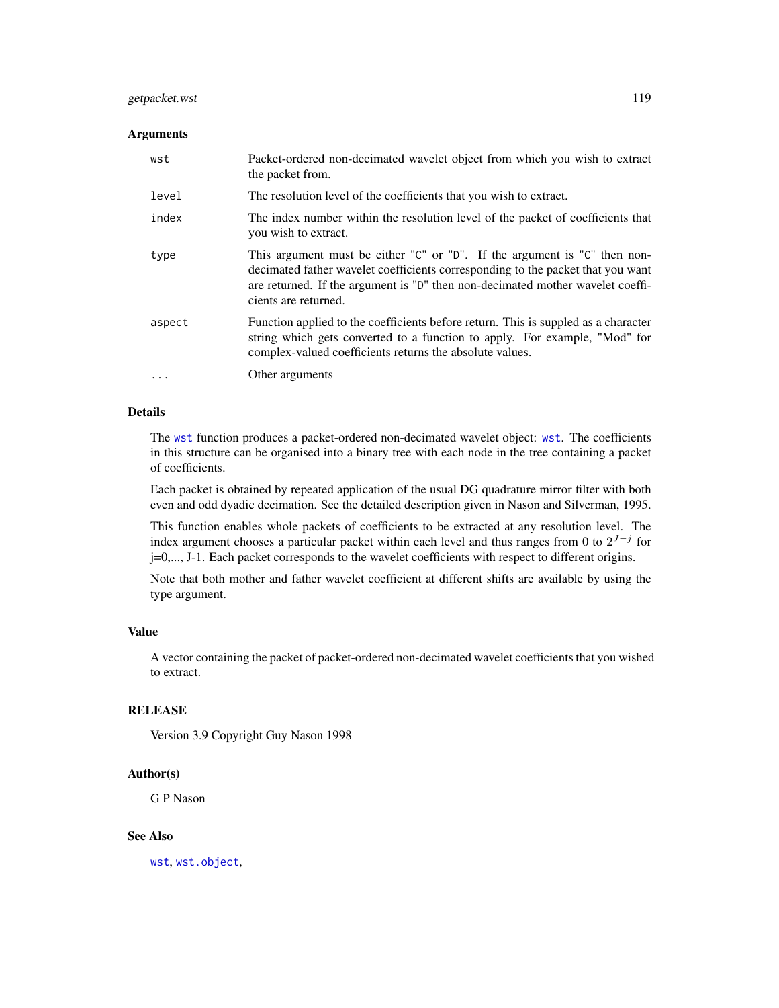# getpacket.wst 119

## Arguments

| wst      | Packet-ordered non-decimated wavelet object from which you wish to extract<br>the packet from.                                                                                                                                                                         |
|----------|------------------------------------------------------------------------------------------------------------------------------------------------------------------------------------------------------------------------------------------------------------------------|
| level    | The resolution level of the coefficients that you wish to extract.                                                                                                                                                                                                     |
| index    | The index number within the resolution level of the packet of coefficients that<br>you wish to extract.                                                                                                                                                                |
| type     | This argument must be either "C" or "D". If the argument is "C" then non-<br>decimated father wavelet coefficients corresponding to the packet that you want<br>are returned. If the argument is "D" then non-decimated mother wavelet coeffi-<br>cients are returned. |
| aspect   | Function applied to the coefficients before return. This is suppled as a character<br>string which gets converted to a function to apply. For example, "Mod" for<br>complex-valued coefficients returns the absolute values.                                           |
| $\cdots$ | Other arguments                                                                                                                                                                                                                                                        |

# Details

The [wst](#page-371-0) function produces a packet-ordered non-decimated wavelet object: [wst](#page-371-0). The coefficients in this structure can be organised into a binary tree with each node in the tree containing a packet of coefficients.

Each packet is obtained by repeated application of the usual DG quadrature mirror filter with both even and odd dyadic decimation. See the detailed description given in Nason and Silverman, 1995.

This function enables whole packets of coefficients to be extracted at any resolution level. The index argument chooses a particular packet within each level and thus ranges from 0 to  $2^{J-j}$  for j=0,..., J-1. Each packet corresponds to the wavelet coefficients with respect to different origins.

Note that both mother and father wavelet coefficient at different shifts are available by using the type argument.

## Value

A vector containing the packet of packet-ordered non-decimated wavelet coefficients that you wished to extract.

# RELEASE

Version 3.9 Copyright Guy Nason 1998

#### Author(s)

G P Nason

#### See Also

[wst](#page-371-0), [wst.object](#page-373-0),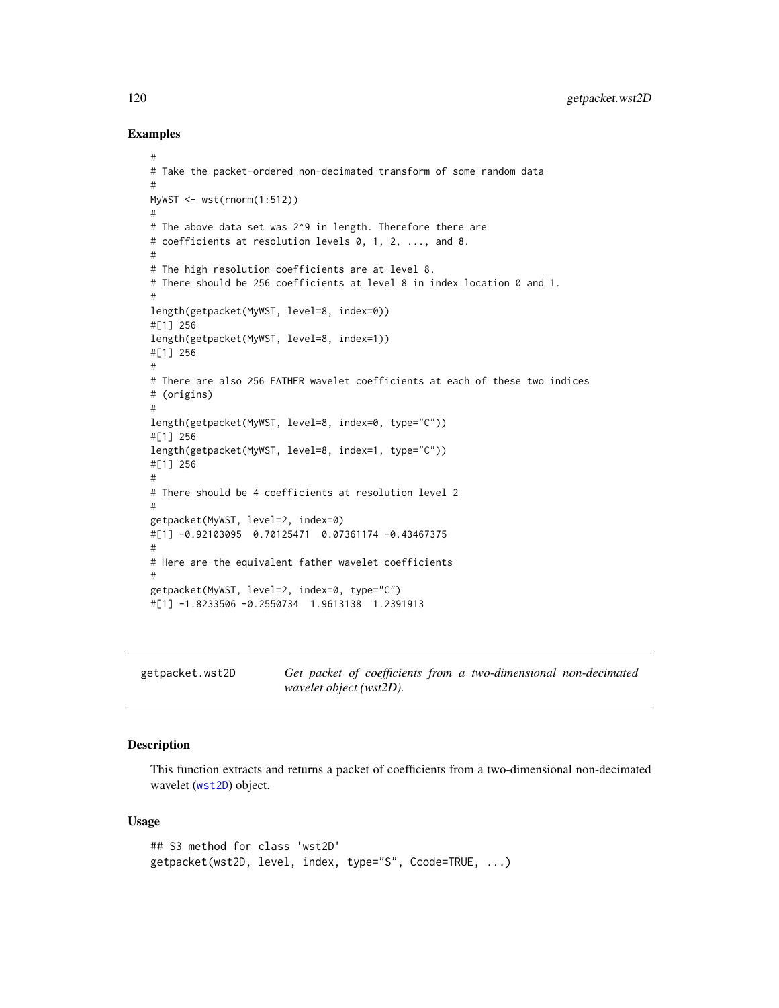#### Examples

```
#
# Take the packet-ordered non-decimated transform of some random data
#
MyWST <- wst(rnorm(1:512))
#
# The above data set was 2^9 in length. Therefore there are
# coefficients at resolution levels 0, 1, 2, ..., and 8.
#
# The high resolution coefficients are at level 8.
# There should be 256 coefficients at level 8 in index location 0 and 1.
#
length(getpacket(MyWST, level=8, index=0))
#[1] 256
length(getpacket(MyWST, level=8, index=1))
#[1] 256
#
# There are also 256 FATHER wavelet coefficients at each of these two indices
# (origins)
#
length(getpacket(MyWST, level=8, index=0, type="C"))
#[1] 256
length(getpacket(MyWST, level=8, index=1, type="C"))
#[1] 256
#
# There should be 4 coefficients at resolution level 2
#
getpacket(MyWST, level=2, index=0)
#[1] -0.92103095 0.70125471 0.07361174 -0.43467375
#
# Here are the equivalent father wavelet coefficients
#
getpacket(MyWST, level=2, index=0, type="C")
#[1] -1.8233506 -0.2550734 1.9613138 1.2391913
```

| getpacket.wst2D |                         |  | Get packet of coefficients from a two-dimensional non-decimated |  |
|-----------------|-------------------------|--|-----------------------------------------------------------------|--|
|                 | wavelet object (wst2D). |  |                                                                 |  |

## **Description**

This function extracts and returns a packet of coefficients from a two-dimensional non-decimated wavelet ([wst2D](#page-374-0)) object.

#### Usage

```
## S3 method for class 'wst2D'
getpacket(wst2D, level, index, type="S", Ccode=TRUE, ...)
```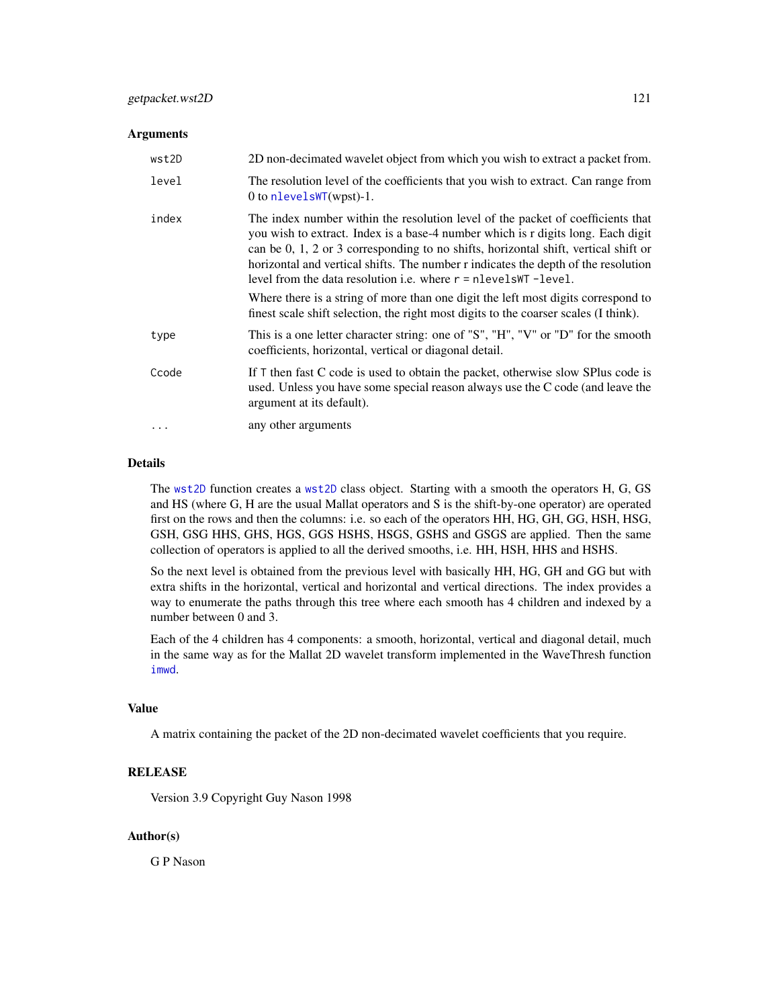#### **Arguments**

| wst2D | 2D non-decimated wavelet object from which you wish to extract a packet from.                                                                                                                                                                                                                                                                                                                                                                                                                                                                                                                        |
|-------|------------------------------------------------------------------------------------------------------------------------------------------------------------------------------------------------------------------------------------------------------------------------------------------------------------------------------------------------------------------------------------------------------------------------------------------------------------------------------------------------------------------------------------------------------------------------------------------------------|
| level | The resolution level of the coefficients that you wish to extract. Can range from<br>0 to $nlevelsWT(wpst) - 1$ .                                                                                                                                                                                                                                                                                                                                                                                                                                                                                    |
| index | The index number within the resolution level of the packet of coefficients that<br>you wish to extract. Index is a base-4 number which is r digits long. Each digit<br>can be $0, 1, 2$ or 3 corresponding to no shifts, horizontal shift, vertical shift or<br>horizontal and vertical shifts. The number r indicates the depth of the resolution<br>level from the data resolution i.e. where $r =$ nlevelsWT -level.<br>Where there is a string of more than one digit the left most digits correspond to<br>finest scale shift selection, the right most digits to the coarser scales (I think). |
| type  | This is a one letter character string: one of "S", "H", "V" or "D" for the smooth<br>coefficients, horizontal, vertical or diagonal detail.                                                                                                                                                                                                                                                                                                                                                                                                                                                          |
| Ccode | If $T$ then fast $C$ code is used to obtain the packet, otherwise slow SPlus code is<br>used. Unless you have some special reason always use the C code (and leave the<br>argument at its default).                                                                                                                                                                                                                                                                                                                                                                                                  |
|       | any other arguments                                                                                                                                                                                                                                                                                                                                                                                                                                                                                                                                                                                  |

#### Details

The [wst2D](#page-374-0) function creates a [wst2D](#page-374-0) class object. Starting with a smooth the operators H, G, GS and HS (where G, H are the usual Mallat operators and S is the shift-by-one operator) are operated first on the rows and then the columns: i.e. so each of the operators HH, HG, GH, GG, HSH, HSG, GSH, GSG HHS, GHS, HGS, GGS HSHS, HSGS, GSHS and GSGS are applied. Then the same collection of operators is applied to all the derived smooths, i.e. HH, HSH, HHS and HSHS.

So the next level is obtained from the previous level with basically HH, HG, GH and GG but with extra shifts in the horizontal, vertical and horizontal and vertical directions. The index provides a way to enumerate the paths through this tree where each smooth has 4 children and indexed by a number between 0 and 3.

Each of the 4 children has 4 components: a smooth, horizontal, vertical and diagonal detail, much in the same way as for the Mallat 2D wavelet transform implemented in the WaveThresh function [imwd](#page-131-0).

## Value

A matrix containing the packet of the 2D non-decimated wavelet coefficients that you require.

## **RELEASE**

Version 3.9 Copyright Guy Nason 1998

## Author(s)

G P Nason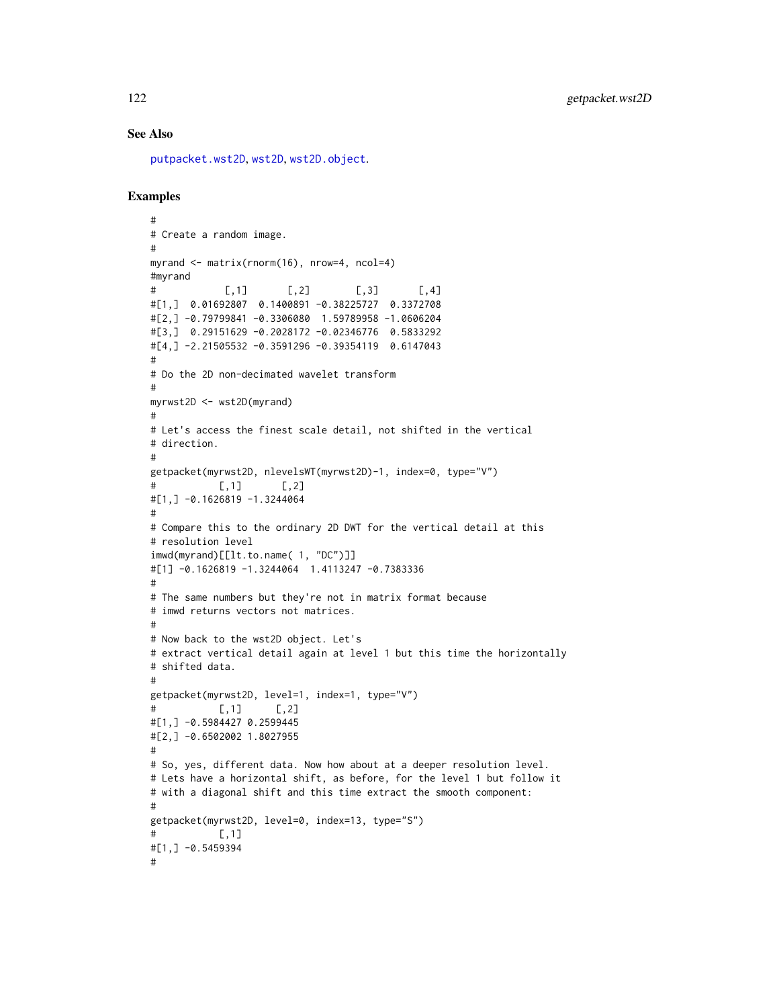## See Also

[putpacket.wst2D](#page-278-0), [wst2D](#page-374-0), [wst2D.object](#page-376-0).

```
#
# Create a random image.
#
myrand \leq matrix(rnorm(16), nrow=4, ncol=4)
#myrand
# [,1] [,2] [,3] [,4]
#[1,] 0.01692807 0.1400891 -0.38225727 0.3372708
#[2,] -0.79799841 -0.3306080 1.59789958 -1.0606204
#[3,] 0.29151629 -0.2028172 -0.02346776 0.5833292
#[4,] -2.21505532 -0.3591296 -0.39354119 0.6147043
#
# Do the 2D non-decimated wavelet transform
#
myrwst2D <- wst2D(myrand)
#
# Let's access the finest scale detail, not shifted in the vertical
# direction.
#
getpacket(myrwst2D, nlevelsWT(myrwst2D)-1, index=0, type="V")
\sharp [,1] [,2]
#[1,] -0.1626819 -1.3244064
#
# Compare this to the ordinary 2D DWT for the vertical detail at this
# resolution level
imwd(myrand)[[lt.to.name( 1, "DC")]]
#[1] -0.1626819 -1.3244064 1.4113247 -0.7383336
#
# The same numbers but they're not in matrix format because
# imwd returns vectors not matrices.
#
# Now back to the wst2D object. Let's
# extract vertical detail again at level 1 but this time the horizontally
# shifted data.
#
getpacket(myrwst2D, level=1, index=1, type="V")
# [,1] [,2]
#[1,] -0.5984427 0.2599445
#[2,] -0.6502002 1.8027955
#
# So, yes, different data. Now how about at a deeper resolution level.
# Lets have a horizontal shift, as before, for the level 1 but follow it
# with a diagonal shift and this time extract the smooth component:
#
getpacket(myrwst2D, level=0, index=13, type="S")
# [,1]
#[1,] -0.5459394
#
```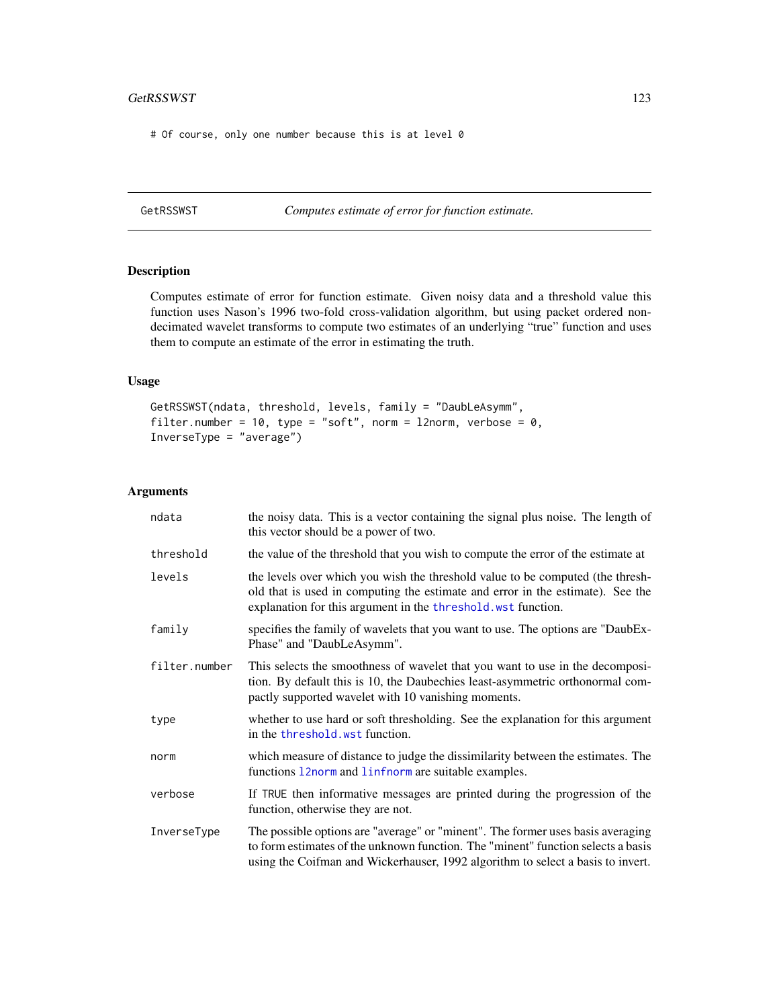## GetRSSWST 123

# Of course, only one number because this is at level 0

GetRSSWST *Computes estimate of error for function estimate.*

# Description

Computes estimate of error for function estimate. Given noisy data and a threshold value this function uses Nason's 1996 two-fold cross-validation algorithm, but using packet ordered nondecimated wavelet transforms to compute two estimates of an underlying "true" function and uses them to compute an estimate of the error in estimating the truth.

# Usage

```
GetRSSWST(ndata, threshold, levels, family = "DaubLeAsymm",
filter.number = 10, type = "soft", norm = l2norm, verbose = 0,
InverseType = "average")
```
## Arguments

| ndata         | the noisy data. This is a vector containing the signal plus noise. The length of<br>this vector should be a power of two.                                                                                                                              |
|---------------|--------------------------------------------------------------------------------------------------------------------------------------------------------------------------------------------------------------------------------------------------------|
| threshold     | the value of the threshold that you wish to compute the error of the estimate at                                                                                                                                                                       |
| levels        | the levels over which you wish the threshold value to be computed (the thresh-<br>old that is used in computing the estimate and error in the estimate). See the<br>explanation for this argument in the threshold wst function.                       |
| family        | specifies the family of wavelets that you want to use. The options are "DaubEx-<br>Phase" and "DaubLeAsymm".                                                                                                                                           |
| filter.number | This selects the smoothness of wavelet that you want to use in the decomposi-<br>tion. By default this is 10, the Daubechies least-asymmetric orthonormal com-<br>pactly supported wavelet with 10 vanishing moments.                                  |
| type          | whether to use hard or soft thresholding. See the explanation for this argument<br>in the threshold. wst function.                                                                                                                                     |
| norm          | which measure of distance to judge the dissimilarity between the estimates. The<br>functions 12norm and 1infnorm are suitable examples.                                                                                                                |
| verbose       | If TRUE then informative messages are printed during the progression of the<br>function, otherwise they are not.                                                                                                                                       |
| InverseType   | The possible options are "average" or "minent". The former uses basis averaging<br>to form estimates of the unknown function. The "minent" function selects a basis<br>using the Coifman and Wickerhauser, 1992 algorithm to select a basis to invert. |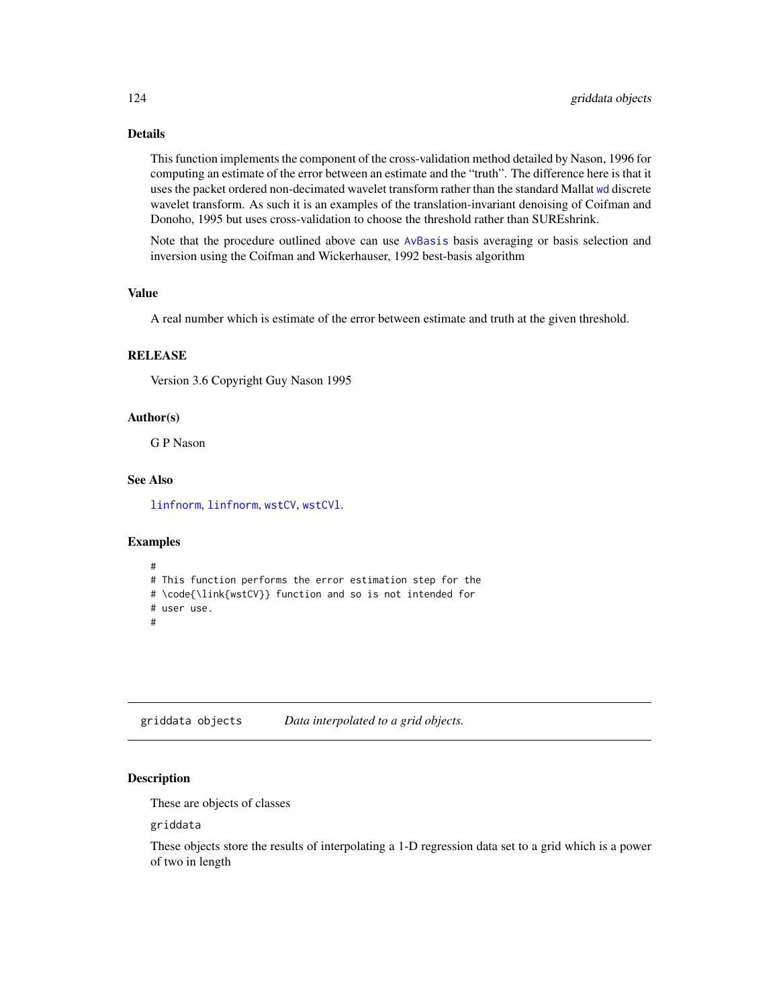# Details

This function implements the component of the cross-validation method detailed by Nason, 1996 for computing an estimate of the error between an estimate and the "truth". The difference here is that it uses the packet ordered non-decimated wavelet transform rather than the standard Mallat [wd](#page-344-0) discrete wavelet transform. As such it is an examples of the translation-invariant denoising of Coifman and Donoho, 1995 but uses cross-validation to choose the threshold rather than SUREshrink.

Note that the procedure outlined above can use [AvBasis](#page-26-0) basis averaging or basis selection and inversion using the Coifman and Wickerhauser, 1992 best-basis algorithm

## Value

A real number which is estimate of the error between estimate and truth at the given threshold.

#### RELEASE

Version 3.6 Copyright Guy Nason 1995

## Author(s)

G P Nason

## See Also

[linfnorm](#page-157-0), [linfnorm](#page-157-0), [wstCV](#page-378-0), [wstCVl](#page-380-0).

#### Examples

```
#
# This function performs the error estimation step for the
# \code{\link{wstCV}} function and so is not intended for
# user use.
#
```
griddata objects *Data interpolated to a grid objects.*

## Description

These are objects of classes

griddata

These objects store the results of interpolating a 1-D regression data set to a grid which is a power of two in length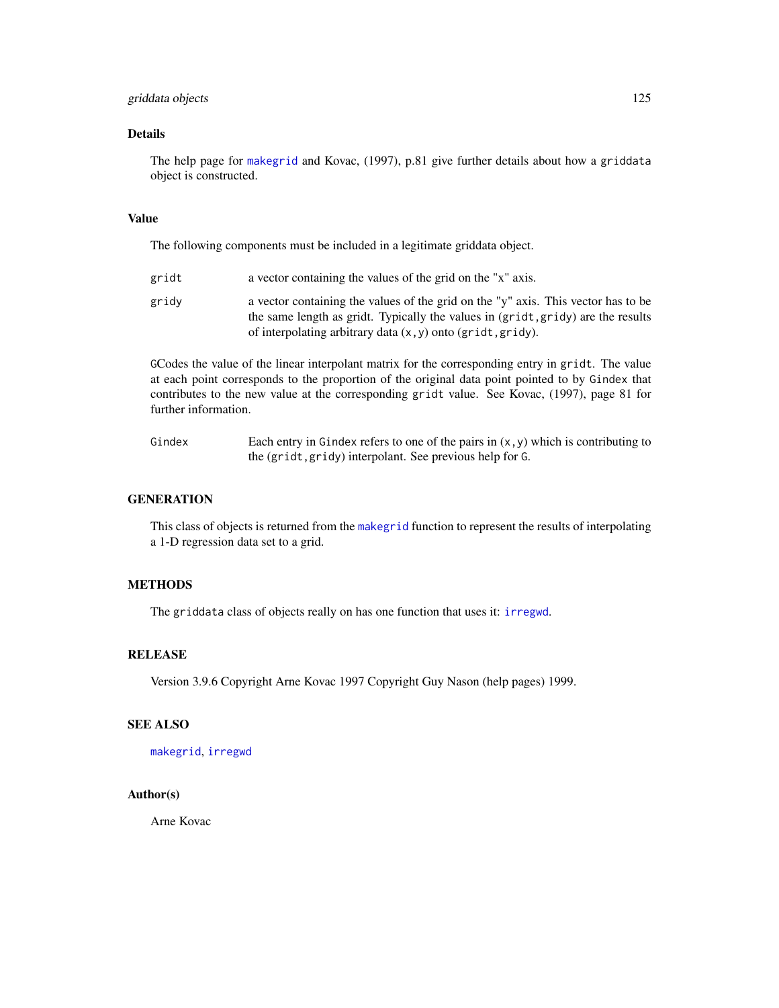# griddata objects 125

## Details

The help page for [makegrid](#page-171-0) and Kovac, (1997), p.81 give further details about how a griddata object is constructed.

## Value

The following components must be included in a legitimate griddata object.

| gridt | a vector containing the values of the grid on the "x" axis.                                                                                                                                                                               |
|-------|-------------------------------------------------------------------------------------------------------------------------------------------------------------------------------------------------------------------------------------------|
| gridy | a vector containing the values of the grid on the "y" axis. This vector has to be<br>the same length as gridt. Typically the values in (gridt, gridy) are the results<br>of interpolating arbitrary data $(x, y)$ onto $(gridt, gridy)$ . |

GCodes the value of the linear interpolant matrix for the corresponding entry in gridt. The value at each point corresponds to the proportion of the original data point pointed to by Gindex that contributes to the new value at the corresponding gridt value. See Kovac, (1997), page 81 for further information.

Gindex Each entry in Gindex refers to one of the pairs in  $(x, y)$  which is contributing to the (gridt,gridy) interpolant. See previous help for G.

## **GENERATION**

This class of objects is returned from the [makegrid](#page-171-0) function to represent the results of interpolating a 1-D regression data set to a grid.

# **METHODS**

The griddata class of objects really on has one function that uses it: [irregwd](#page-148-0).

## **RELEASE**

Version 3.9.6 Copyright Arne Kovac 1997 Copyright Guy Nason (help pages) 1999.

#### SEE ALSO

[makegrid](#page-171-0), [irregwd](#page-148-0)

## Author(s)

Arne Kovac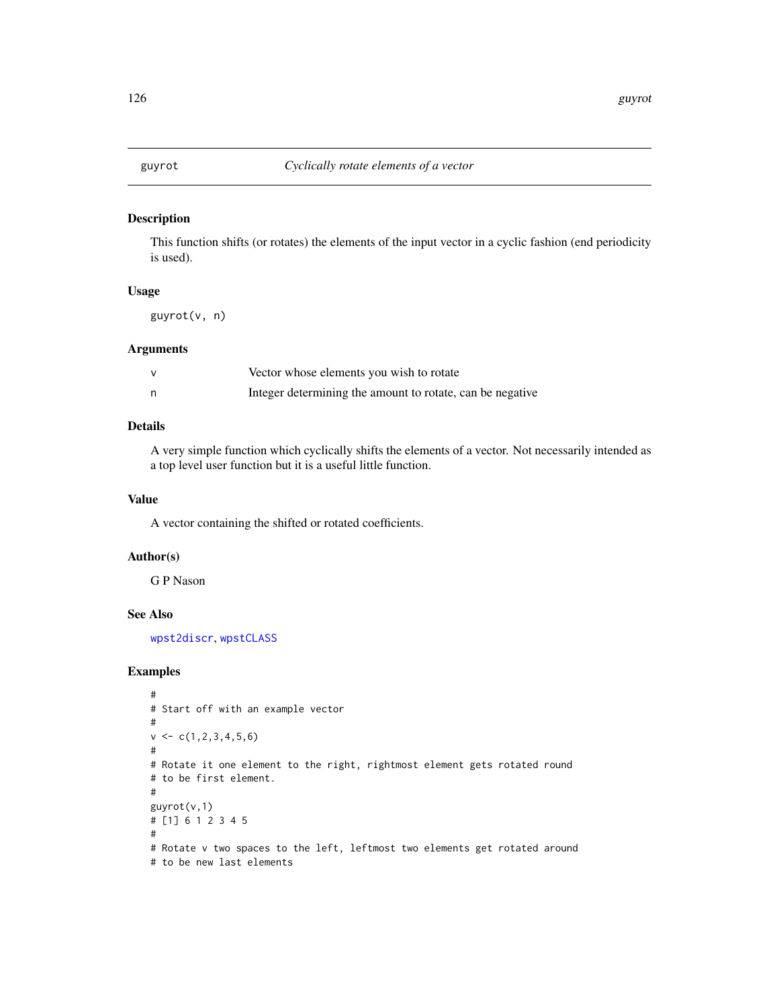This function shifts (or rotates) the elements of the input vector in a cyclic fashion (end periodicity is used).

## Usage

guyrot(v, n)

## Arguments

| Vector whose elements you wish to rotate                  |
|-----------------------------------------------------------|
| Integer determining the amount to rotate, can be negative |

# Details

A very simple function which cyclically shifts the elements of a vector. Not necessarily intended as a top level user function but it is a useful little function.

# Value

A vector containing the shifted or rotated coefficients.

## Author(s)

G P Nason

#### See Also

[wpst2discr](#page-361-0), [wpstCLASS](#page-363-0)

```
#
# Start off with an example vector
#
v \leftarrow c(1, 2, 3, 4, 5, 6)#
# Rotate it one element to the right, rightmost element gets rotated round
# to be first element.
#
guyrot(v,1)
# [1] 6 1 2 3 4 5
#
# Rotate v two spaces to the left, leftmost two elements get rotated around
# to be new last elements
```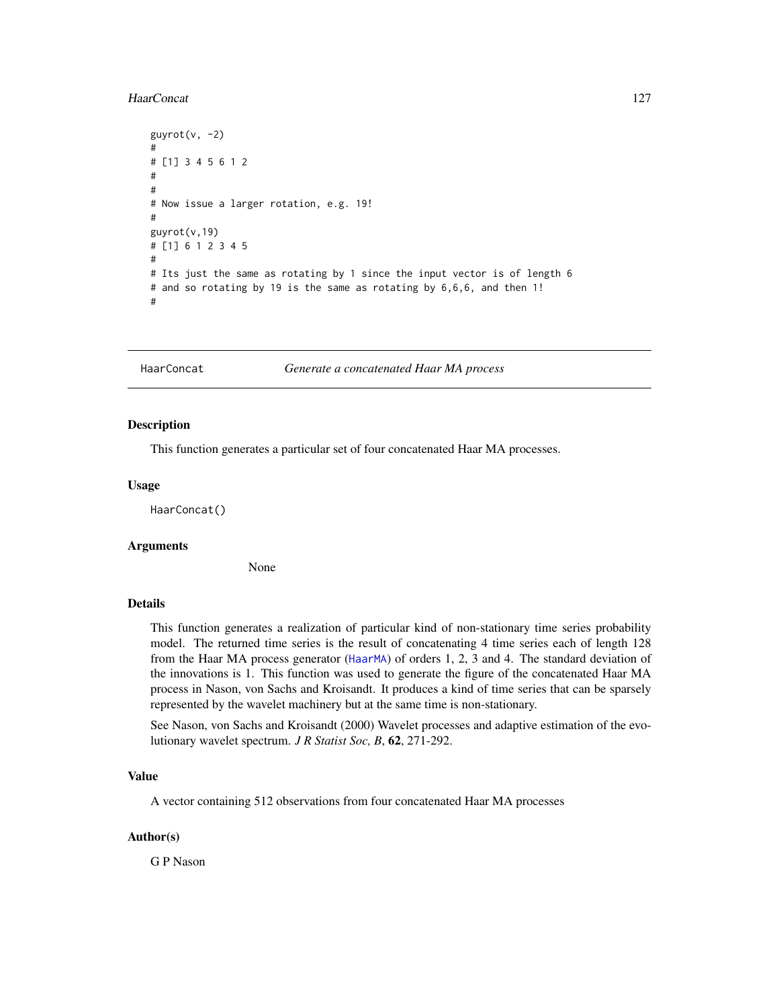#### HaarConcat 127

```
guyrot(v, -2)#
# [1] 3 4 5 6 1 2
#
#
# Now issue a larger rotation, e.g. 19!
#
guyrot(v,19)
# [1] 6 1 2 3 4 5
#
# Its just the same as rotating by 1 since the input vector is of length 6
# and so rotating by 19 is the same as rotating by 6,6,6, and then 1!
#
```
<span id="page-126-0"></span>HaarConcat *Generate a concatenated Haar MA process*

#### Description

This function generates a particular set of four concatenated Haar MA processes.

#### Usage

HaarConcat()

# Arguments

None

# Details

This function generates a realization of particular kind of non-stationary time series probability model. The returned time series is the result of concatenating 4 time series each of length 128 from the Haar MA process generator ([HaarMA](#page-127-0)) of orders 1, 2, 3 and 4. The standard deviation of the innovations is 1. This function was used to generate the figure of the concatenated Haar MA process in Nason, von Sachs and Kroisandt. It produces a kind of time series that can be sparsely represented by the wavelet machinery but at the same time is non-stationary.

See Nason, von Sachs and Kroisandt (2000) Wavelet processes and adaptive estimation of the evolutionary wavelet spectrum. *J R Statist Soc, B*, 62, 271-292.

# Value

A vector containing 512 observations from four concatenated Haar MA processes

## Author(s)

G P Nason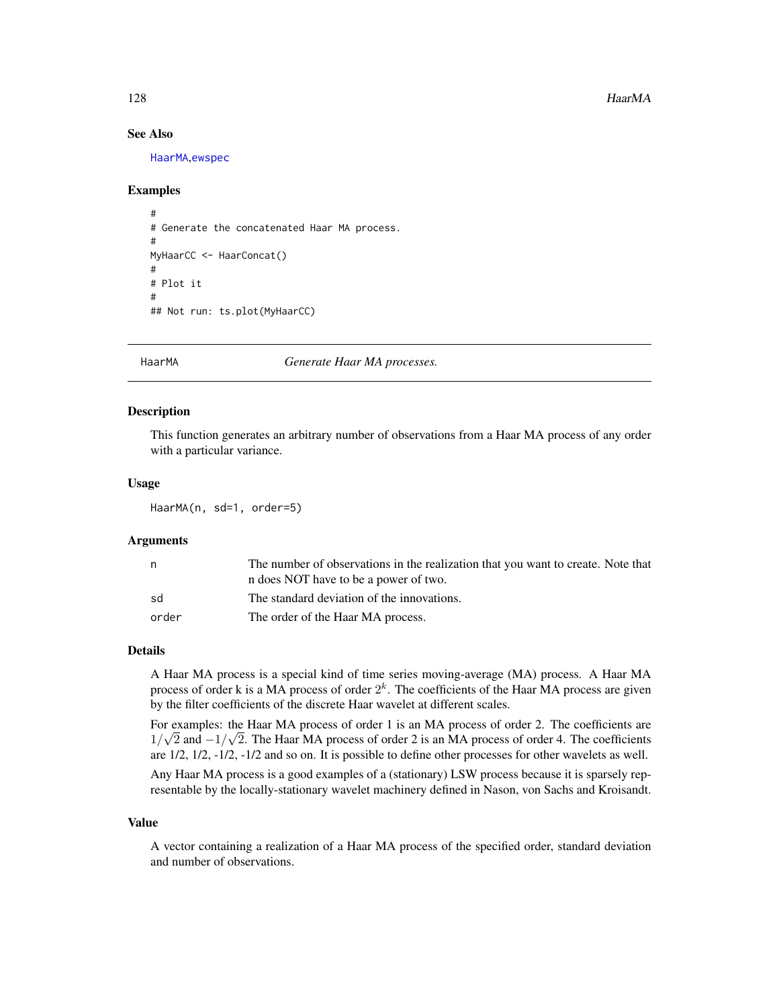# See Also

[HaarMA](#page-127-0),[ewspec](#page-94-0)

## Examples

```
#
# Generate the concatenated Haar MA process.
#
MyHaarCC <- HaarConcat()
#
# Plot it
#
## Not run: ts.plot(MyHaarCC)
```
<span id="page-127-0"></span>

HaarMA *Generate Haar MA processes.*

## Description

This function generates an arbitrary number of observations from a Haar MA process of any order with a particular variance.

## Usage

HaarMA(n, sd=1, order=5)

## Arguments

|       | The number of observations in the realization that you want to create. Note that |
|-------|----------------------------------------------------------------------------------|
|       | n does NOT have to be a power of two.                                            |
| sd    | The standard deviation of the innovations.                                       |
| order | The order of the Haar MA process.                                                |

## Details

A Haar MA process is a special kind of time series moving-average (MA) process. A Haar MA process of order k is a MA process of order  $2<sup>k</sup>$ . The coefficients of the Haar MA process are given by the filter coefficients of the discrete Haar wavelet at different scales.

For examples: the Haar MA process of order 1 is an MA process of order 2. The coefficients are 1/ $\sqrt{2}$  and  $-1/\sqrt{2}$ . The Haar MA process of order 2 is an MA process of order 4. The coefficients are 1/2, 1/2, -1/2, -1/2 and so on. It is possible to define other processes for other wavelets as well.

Any Haar MA process is a good examples of a (stationary) LSW process because it is sparsely representable by the locally-stationary wavelet machinery defined in Nason, von Sachs and Kroisandt.

#### Value

A vector containing a realization of a Haar MA process of the specified order, standard deviation and number of observations.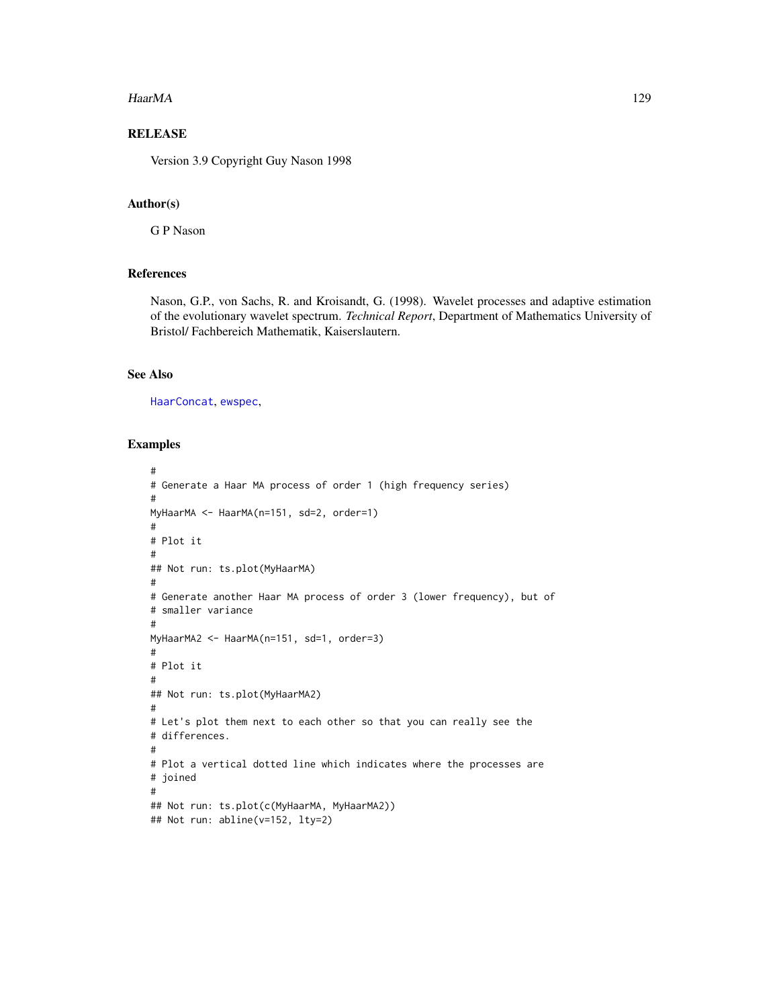#### HaarMA 129

# RELEASE

Version 3.9 Copyright Guy Nason 1998

## Author(s)

G P Nason

# References

Nason, G.P., von Sachs, R. and Kroisandt, G. (1998). Wavelet processes and adaptive estimation of the evolutionary wavelet spectrum. *Technical Report*, Department of Mathematics University of Bristol/ Fachbereich Mathematik, Kaiserslautern.

# See Also

[HaarConcat](#page-126-0), [ewspec](#page-94-0),

```
#
# Generate a Haar MA process of order 1 (high frequency series)
#
MyHaarMA <- HaarMA(n=151, sd=2, order=1)
#
# Plot it
#
## Not run: ts.plot(MyHaarMA)
#
# Generate another Haar MA process of order 3 (lower frequency), but of
# smaller variance
#
MyHaarMA2 <- HaarMA(n=151, sd=1, order=3)
#
# Plot it
#
## Not run: ts.plot(MyHaarMA2)
#
# Let's plot them next to each other so that you can really see the
# differences.
#
# Plot a vertical dotted line which indicates where the processes are
# joined
#
## Not run: ts.plot(c(MyHaarMA, MyHaarMA2))
## Not run: abline(v=152, lty=2)
```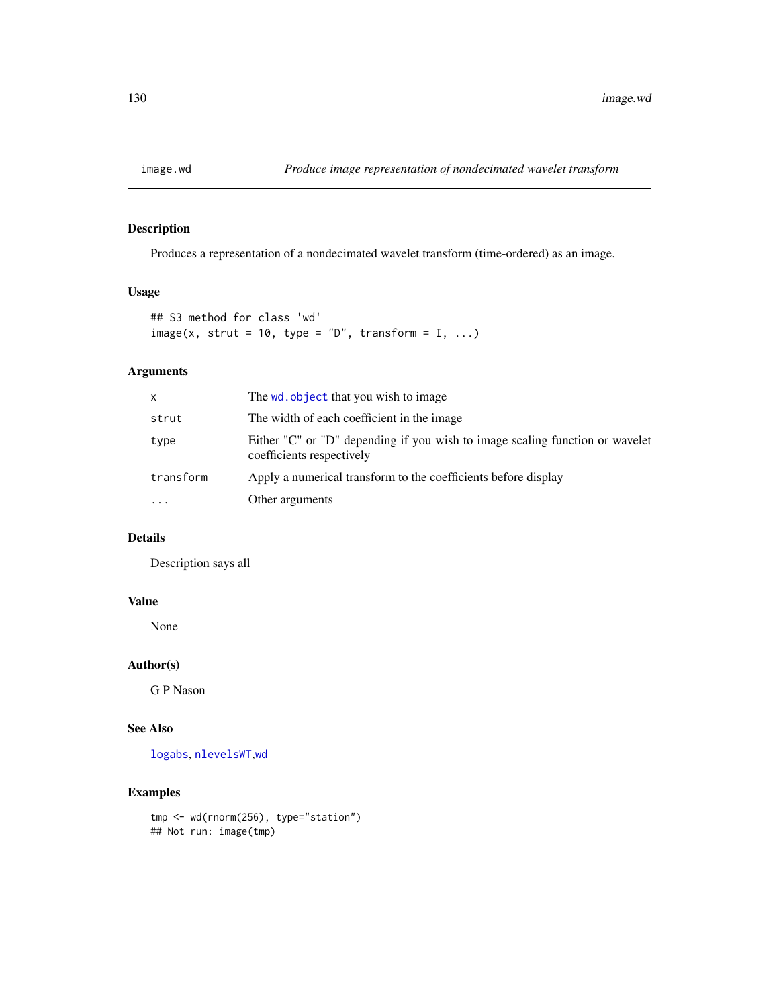Produces a representation of a nondecimated wavelet transform (time-ordered) as an image.

# Usage

```
## S3 method for class 'wd'
image(x, strut = 10, type = "D", transform = I, ...)
```
# Arguments

| x         | The wd. object that you wish to image                                                                     |
|-----------|-----------------------------------------------------------------------------------------------------------|
| strut     | The width of each coefficient in the image.                                                               |
| type      | Either "C" or "D" depending if you wish to image scaling function or wavelet<br>coefficients respectively |
| transform | Apply a numerical transform to the coefficients before display                                            |
| .         | Other arguments                                                                                           |

# Details

Description says all

## Value

None

# Author(s)

G P Nason

# See Also

[logabs](#page-163-0), [nlevelsWT](#page-199-0),[wd](#page-344-0)

## Examples

tmp <- wd(rnorm(256), type="station") ## Not run: image(tmp)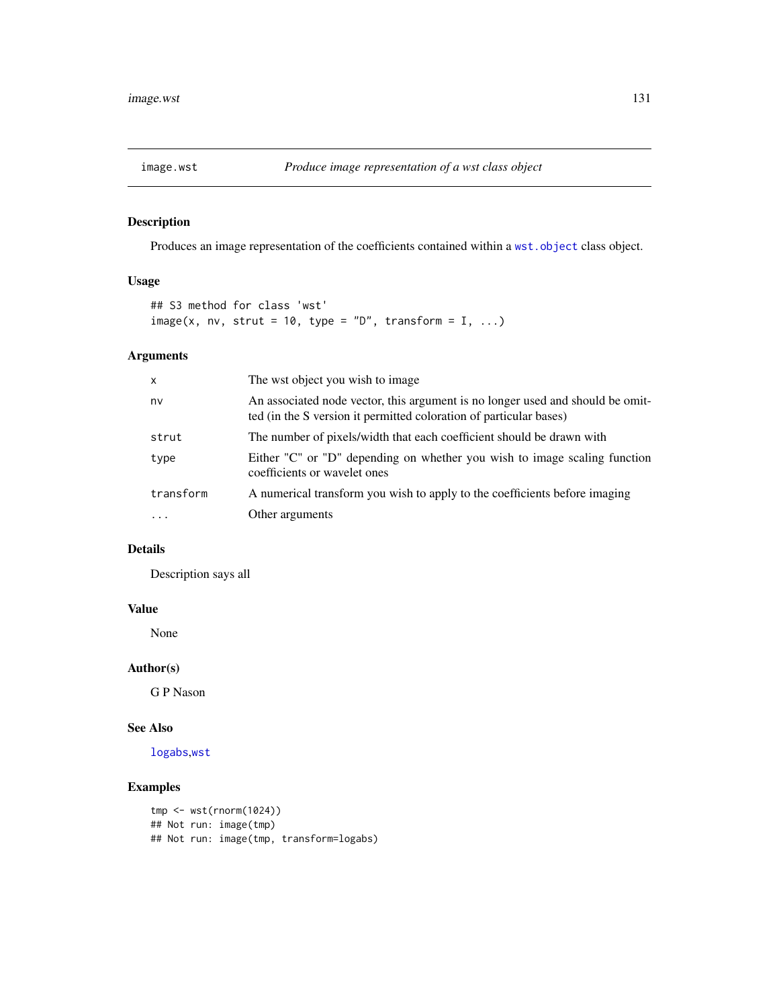Produces an image representation of the coefficients contained within a [wst.object](#page-373-0) class object.

# Usage

```
## S3 method for class 'wst'
image(x, nv, struct = 10, type = "D", transform = I, ...)
```
# Arguments

| $\mathsf{x}$ | The wst object you wish to image                                                                                                                     |
|--------------|------------------------------------------------------------------------------------------------------------------------------------------------------|
| nv           | An associated node vector, this argument is no longer used and should be omit-<br>ted (in the S version it permitted coloration of particular bases) |
| strut        | The number of pixels/width that each coefficient should be drawn with                                                                                |
| type         | Either "C" or "D" depending on whether you wish to image scaling function<br>coefficients or wavelet ones                                            |
| transform    | A numerical transform you wish to apply to the coefficients before imaging                                                                           |
|              | Other arguments                                                                                                                                      |

# Details

Description says all

## Value

None

# Author(s)

G P Nason

# See Also

[logabs](#page-163-0),[wst](#page-371-0)

```
tmp <- wst(rnorm(1024))
## Not run: image(tmp)
## Not run: image(tmp, transform=logabs)
```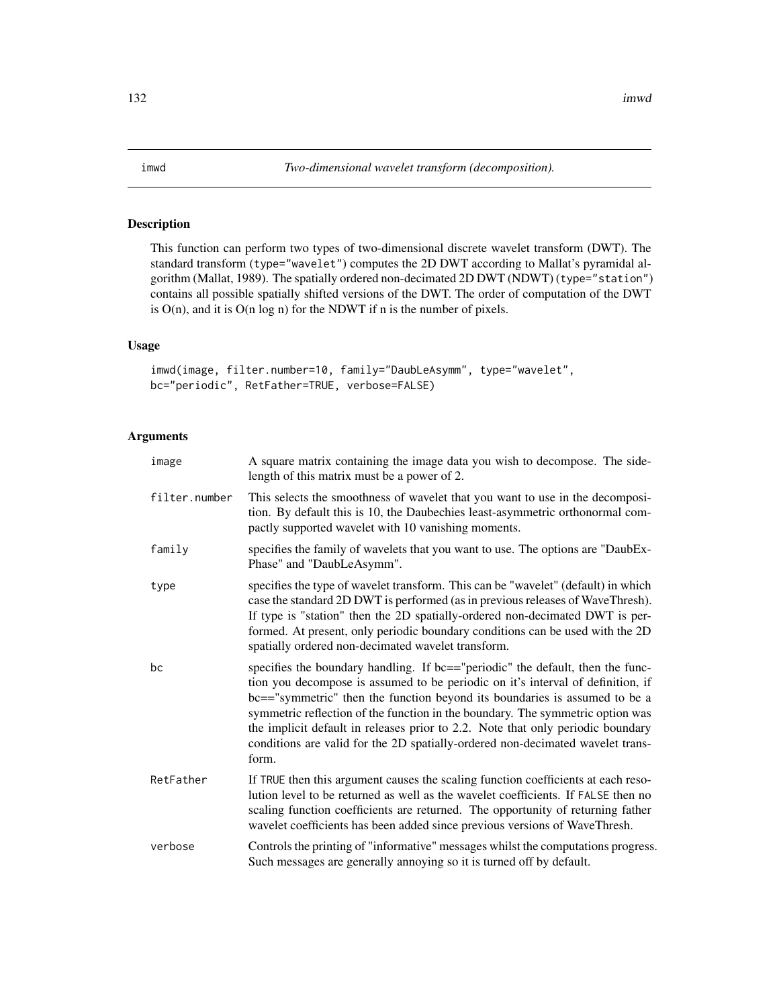<span id="page-131-0"></span>This function can perform two types of two-dimensional discrete wavelet transform (DWT). The standard transform (type="wavelet") computes the 2D DWT according to Mallat's pyramidal algorithm (Mallat, 1989). The spatially ordered non-decimated 2D DWT (NDWT) (type="station") contains all possible spatially shifted versions of the DWT. The order of computation of the DWT is  $O(n)$ , and it is  $O(n \log n)$  for the NDWT if n is the number of pixels.

## Usage

```
imwd(image, filter.number=10, family="DaubLeAsymm", type="wavelet",
bc="periodic", RetFather=TRUE, verbose=FALSE)
```
#### Arguments

| image         | A square matrix containing the image data you wish to decompose. The side-<br>length of this matrix must be a power of 2.                                                                                                                                                                                                                                                                                                                                                                                       |
|---------------|-----------------------------------------------------------------------------------------------------------------------------------------------------------------------------------------------------------------------------------------------------------------------------------------------------------------------------------------------------------------------------------------------------------------------------------------------------------------------------------------------------------------|
| filter.number | This selects the smoothness of wavelet that you want to use in the decomposi-<br>tion. By default this is 10, the Daubechies least-asymmetric orthonormal com-<br>pactly supported wavelet with 10 vanishing moments.                                                                                                                                                                                                                                                                                           |
| family        | specifies the family of wavelets that you want to use. The options are "DaubEx-<br>Phase" and "DaubLeAsymm".                                                                                                                                                                                                                                                                                                                                                                                                    |
| type          | specifies the type of wavelet transform. This can be "wavelet" (default) in which<br>case the standard 2D DWT is performed (as in previous releases of WaveThresh).<br>If type is "station" then the 2D spatially-ordered non-decimated DWT is per-<br>formed. At present, only periodic boundary conditions can be used with the 2D<br>spatially ordered non-decimated wavelet transform.                                                                                                                      |
| bc            | specifies the boundary handling. If bc=="periodic" the default, then the func-<br>tion you decompose is assumed to be periodic on it's interval of definition, if<br>bc=="symmetric" then the function beyond its boundaries is assumed to be a<br>symmetric reflection of the function in the boundary. The symmetric option was<br>the implicit default in releases prior to 2.2. Note that only periodic boundary<br>conditions are valid for the 2D spatially-ordered non-decimated wavelet trans-<br>form. |
| RetFather     | If TRUE then this argument causes the scaling function coefficients at each reso-<br>lution level to be returned as well as the wavelet coefficients. If FALSE then no<br>scaling function coefficients are returned. The opportunity of returning father<br>wavelet coefficients has been added since previous versions of WaveThresh.                                                                                                                                                                         |
| verbose       | Controls the printing of "informative" messages whilst the computations progress.<br>Such messages are generally annoying so it is turned off by default.                                                                                                                                                                                                                                                                                                                                                       |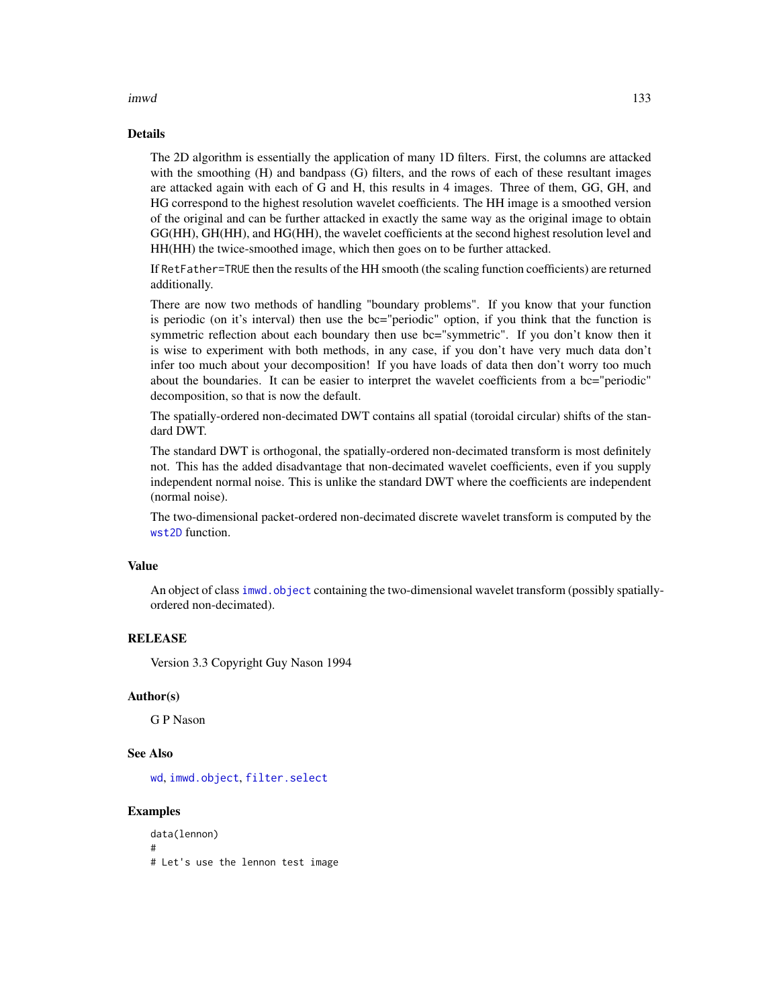#### imwd 133

### Details

The 2D algorithm is essentially the application of many 1D filters. First, the columns are attacked with the smoothing (H) and bandpass (G) filters, and the rows of each of these resultant images are attacked again with each of G and H, this results in 4 images. Three of them, GG, GH, and HG correspond to the highest resolution wavelet coefficients. The HH image is a smoothed version of the original and can be further attacked in exactly the same way as the original image to obtain GG(HH), GH(HH), and HG(HH), the wavelet coefficients at the second highest resolution level and HH(HH) the twice-smoothed image, which then goes on to be further attacked.

If RetFather=TRUE then the results of the HH smooth (the scaling function coefficients) are returned additionally.

There are now two methods of handling "boundary problems". If you know that your function is periodic (on it's interval) then use the bc="periodic" option, if you think that the function is symmetric reflection about each boundary then use bc="symmetric". If you don't know then it is wise to experiment with both methods, in any case, if you don't have very much data don't infer too much about your decomposition! If you have loads of data then don't worry too much about the boundaries. It can be easier to interpret the wavelet coefficients from a bc="periodic" decomposition, so that is now the default.

The spatially-ordered non-decimated DWT contains all spatial (toroidal circular) shifts of the standard DWT.

The standard DWT is orthogonal, the spatially-ordered non-decimated transform is most definitely not. This has the added disadvantage that non-decimated wavelet coefficients, even if you supply independent normal noise. This is unlike the standard DWT where the coefficients are independent (normal noise).

The two-dimensional packet-ordered non-decimated discrete wavelet transform is computed by the [wst2D](#page-374-0) function.

## Value

An object of class imwd. object containing the two-dimensional wavelet transform (possibly spatiallyordered non-decimated).

#### RELEASE

Version 3.3 Copyright Guy Nason 1994

### Author(s)

G P Nason

## See Also

[wd](#page-344-0), [imwd.object](#page-133-0), [filter.select](#page-98-0)

## Examples

data(lennon) # # Let's use the lennon test image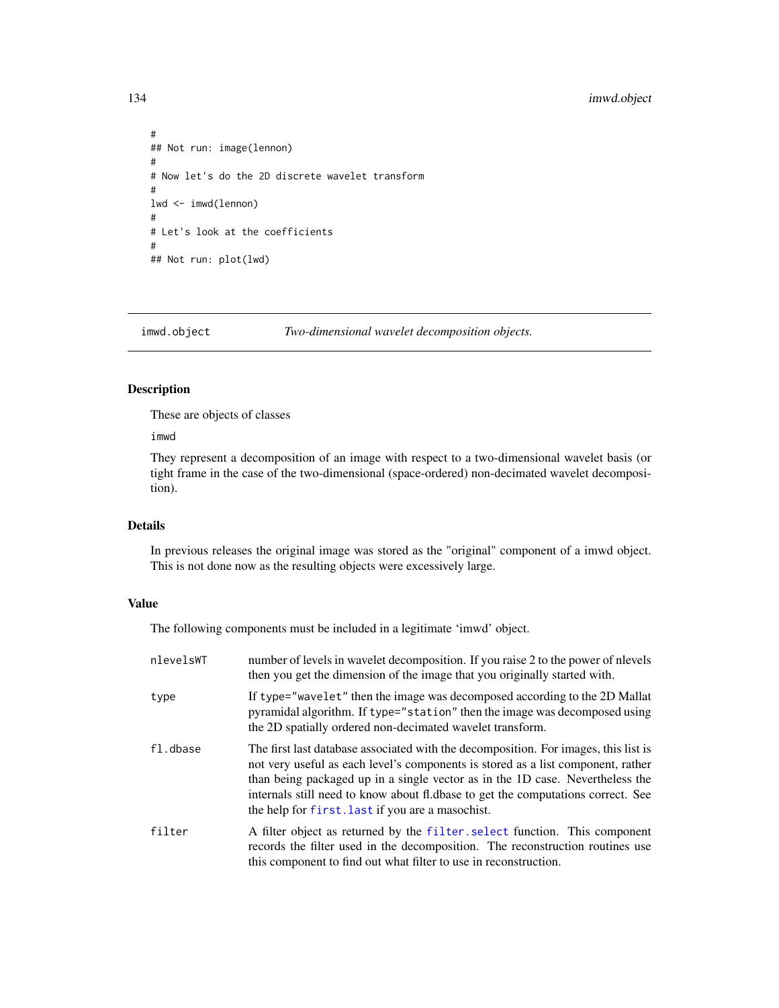# 134 imwd.object

```
#
## Not run: image(lennon)
#
# Now let's do the 2D discrete wavelet transform
#
lwd <- imwd(lennon)
#
# Let's look at the coefficients
#
## Not run: plot(lwd)
```
<span id="page-133-0"></span>

imwd.object *Two-dimensional wavelet decomposition objects.*

# Description

These are objects of classes

imwd

They represent a decomposition of an image with respect to a two-dimensional wavelet basis (or tight frame in the case of the two-dimensional (space-ordered) non-decimated wavelet decomposition).

# Details

In previous releases the original image was stored as the "original" component of a imwd object. This is not done now as the resulting objects were excessively large.

# Value

The following components must be included in a legitimate 'imwd' object.

| nlevelsWT | number of levels in wavelet decomposition. If you raise 2 to the power of nlevels<br>then you get the dimension of the image that you originally started with.                                                                                                                                                                                                                                   |
|-----------|--------------------------------------------------------------------------------------------------------------------------------------------------------------------------------------------------------------------------------------------------------------------------------------------------------------------------------------------------------------------------------------------------|
| type      | If type="wavelet" then the image was decomposed according to the 2D Mallat<br>pyramidal algorithm. If type="station" then the image was decomposed using<br>the 2D spatially ordered non-decimated wavelet transform.                                                                                                                                                                            |
| fl.dbase  | The first last database associated with the decomposition. For images, this list is<br>not very useful as each level's components is stored as a list component, rather<br>than being packaged up in a single vector as in the 1D case. Nevertheless the<br>internals still need to know about fl.dbase to get the computations correct. See<br>the help for first. Last if you are a masochist. |
| filter    | A filter object as returned by the filter select function. This component<br>records the filter used in the decomposition. The reconstruction routines use<br>this component to find out what filter to use in reconstruction.                                                                                                                                                                   |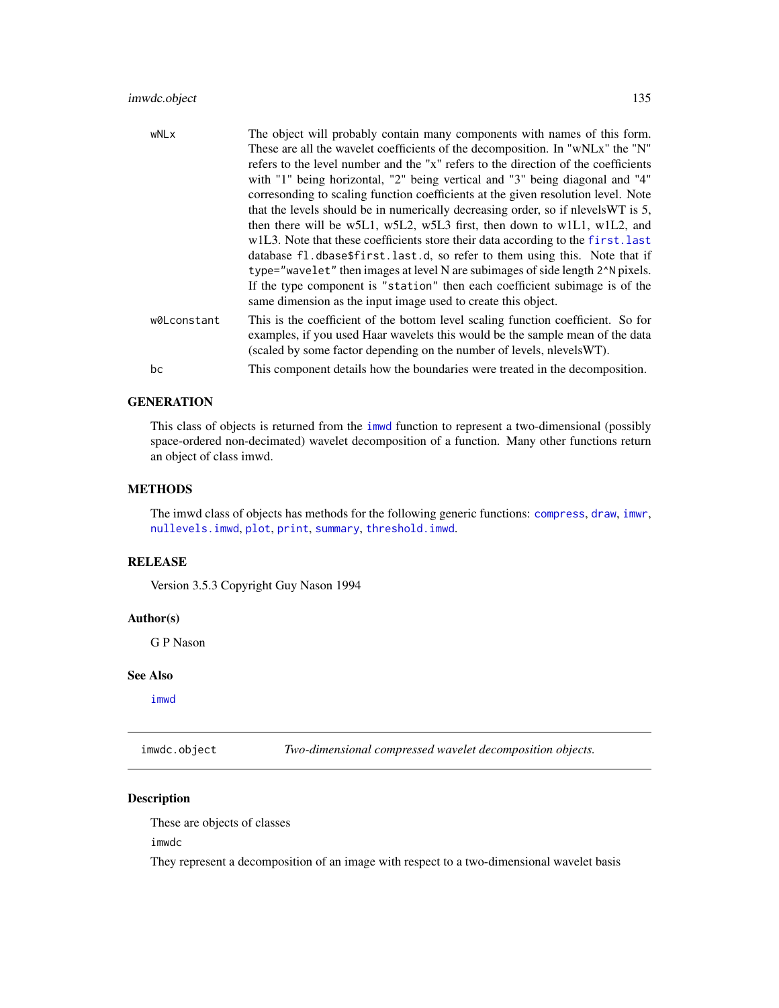# imwdc.object 135

| wNLx        | The object will probably contain many components with names of this form.                                                                                                                                                                   |
|-------------|---------------------------------------------------------------------------------------------------------------------------------------------------------------------------------------------------------------------------------------------|
|             | These are all the wavelet coefficients of the decomposition. In "wNLx" the "N"                                                                                                                                                              |
|             | refers to the level number and the "x" refers to the direction of the coefficients                                                                                                                                                          |
|             | with "1" being horizontal, "2" being vertical and "3" being diagonal and "4"                                                                                                                                                                |
|             | corresonding to scaling function coefficients at the given resolution level. Note                                                                                                                                                           |
|             | that the levels should be in numerically decreasing order, so if nlevels WT is 5,                                                                                                                                                           |
|             | then there will be w5L1, w5L2, w5L3 first, then down to w1L1, w1L2, and                                                                                                                                                                     |
|             | w1L3. Note that these coefficients store their data according to the first. last                                                                                                                                                            |
|             | database fl.dbase\$first.last.d, so refer to them using this. Note that if                                                                                                                                                                  |
|             | type="wavelet" then images at level N are subimages of side length 2^N pixels.                                                                                                                                                              |
|             | If the type component is "station" then each coefficient subimage is of the                                                                                                                                                                 |
|             | same dimension as the input image used to create this object.                                                                                                                                                                               |
| w0Lconstant | This is the coefficient of the bottom level scaling function coefficient. So for<br>examples, if you used Haar wavelets this would be the sample mean of the data<br>(scaled by some factor depending on the number of levels, nlevels WT). |
| bc          | This component details how the boundaries were treated in the decomposition.                                                                                                                                                                |

# **GENERATION**

This class of objects is returned from the [imwd](#page-131-0) function to represent a two-dimensional (possibly space-ordered non-decimated) wavelet decomposition of a function. Many other functions return an object of class imwd.

## **METHODS**

The imwd class of objects has methods for the following generic functions: [compress](#page-51-0), [draw](#page-80-0), [imwr](#page-137-0), [nullevels.imwd](#page-202-0), [plot](#page-0-0), [print](#page-0-0), [summary](#page-0-0), [threshold.imwd](#page-308-0).

## RELEASE

Version 3.5.3 Copyright Guy Nason 1994

#### Author(s)

G P Nason

#### See Also

[imwd](#page-131-0)

<span id="page-134-0"></span>imwdc.object *Two-dimensional compressed wavelet decomposition objects.*

# Description

These are objects of classes

imwdc

They represent a decomposition of an image with respect to a two-dimensional wavelet basis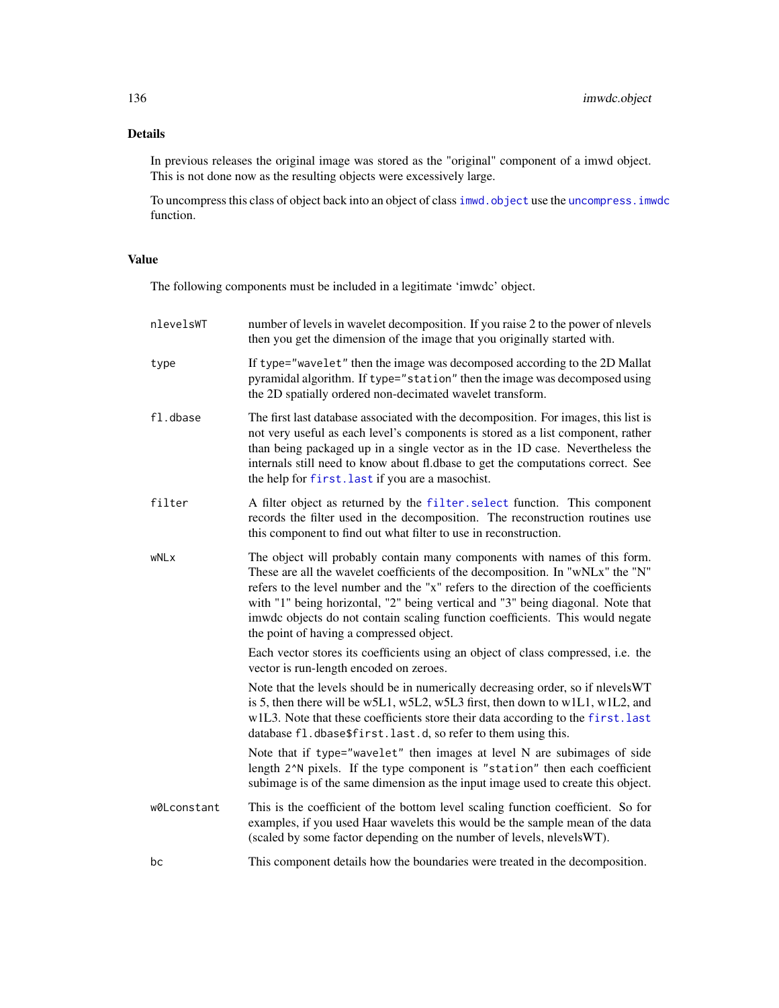# Details

In previous releases the original image was stored as the "original" component of a imwd object. This is not done now as the resulting objects were excessively large.

To uncompress this class of object back into an object of class imwd. object use the uncompress. imwdc function.

# Value

The following components must be included in a legitimate 'imwdc' object.

| nlevelsWT   | number of levels in wavelet decomposition. If you raise 2 to the power of nlevels<br>then you get the dimension of the image that you originally started with.                                                                                                                                                                                                                                                                                                    |
|-------------|-------------------------------------------------------------------------------------------------------------------------------------------------------------------------------------------------------------------------------------------------------------------------------------------------------------------------------------------------------------------------------------------------------------------------------------------------------------------|
| type        | If type="wavelet" then the image was decomposed according to the 2D Mallat<br>pyramidal algorithm. If type="station" then the image was decomposed using<br>the 2D spatially ordered non-decimated wavelet transform.                                                                                                                                                                                                                                             |
| fl.dbase    | The first last database associated with the decomposition. For images, this list is<br>not very useful as each level's components is stored as a list component, rather<br>than being packaged up in a single vector as in the 1D case. Nevertheless the<br>internals still need to know about fl.dbase to get the computations correct. See<br>the help for first. last if you are a masochist.                                                                  |
| filter      | A filter object as returned by the filter select function. This component<br>records the filter used in the decomposition. The reconstruction routines use<br>this component to find out what filter to use in reconstruction.                                                                                                                                                                                                                                    |
| wNLx        | The object will probably contain many components with names of this form.<br>These are all the wavelet coefficients of the decomposition. In "wNLx" the "N"<br>refers to the level number and the "x" refers to the direction of the coefficients<br>with "1" being horizontal, "2" being vertical and "3" being diagonal. Note that<br>imwdc objects do not contain scaling function coefficients. This would negate<br>the point of having a compressed object. |
|             | Each vector stores its coefficients using an object of class compressed, i.e. the<br>vector is run-length encoded on zeroes.                                                                                                                                                                                                                                                                                                                                      |
|             | Note that the levels should be in numerically decreasing order, so if nlevelsWT<br>is 5, then there will be w5L1, w5L2, w5L3 first, then down to w1L1, w1L2, and<br>w1L3. Note that these coefficients store their data according to the first. last<br>database fl.dbase\$first.last.d, so refer to them using this.                                                                                                                                             |
|             | Note that if type="wavelet" then images at level N are subimages of side<br>length 2^N pixels. If the type component is "station" then each coefficient<br>subimage is of the same dimension as the input image used to create this object.                                                                                                                                                                                                                       |
| w0Lconstant | This is the coefficient of the bottom level scaling function coefficient. So for<br>examples, if you used Haar wavelets this would be the sample mean of the data<br>(scaled by some factor depending on the number of levels, nlevels WT).                                                                                                                                                                                                                       |
| bc          | This component details how the boundaries were treated in the decomposition.                                                                                                                                                                                                                                                                                                                                                                                      |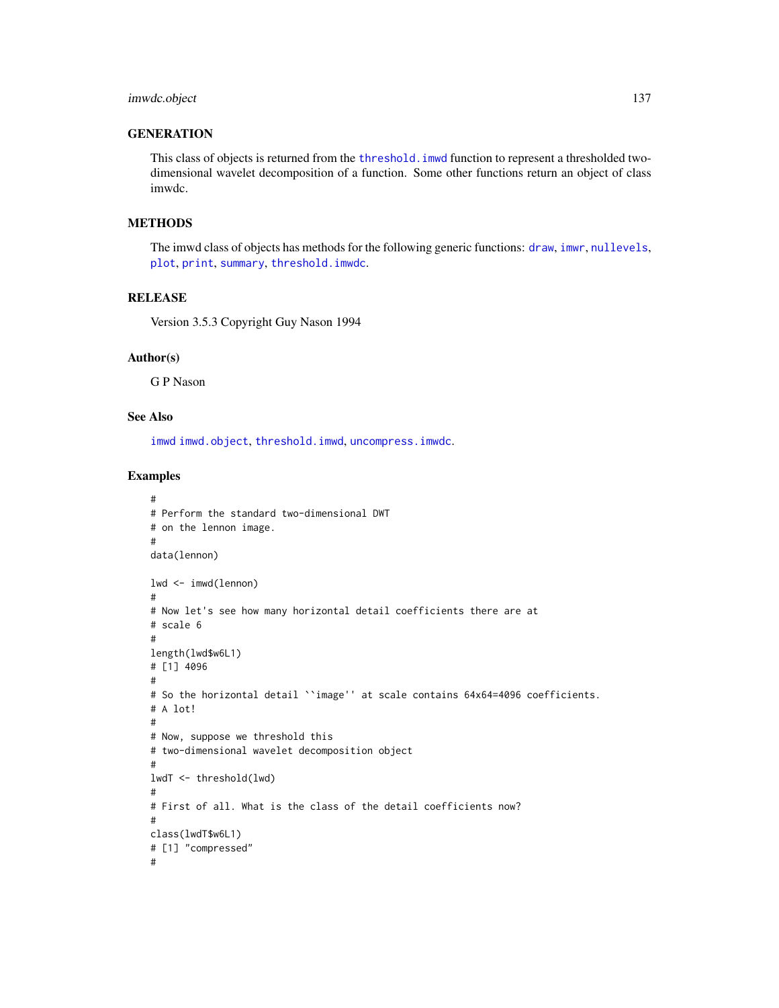# **GENERATION**

This class of objects is returned from the [threshold.imwd](#page-308-0) function to represent a thresholded twodimensional wavelet decomposition of a function. Some other functions return an object of class imwdc.

# **METHODS**

The imwd class of objects has methods for the following generic functions: [draw](#page-80-0), [imwr](#page-137-0), [nullevels](#page-201-0), [plot](#page-0-0), [print](#page-0-0), [summary](#page-0-0), [threshold.imwdc](#page-312-0).

#### RELEASE

Version 3.5.3 Copyright Guy Nason 1994

## Author(s)

G P Nason

# See Also

[imwd](#page-131-0) [imwd.object](#page-133-0), [threshold.imwd](#page-308-0), [uncompress.imwdc](#page-340-0).

```
#
# Perform the standard two-dimensional DWT
# on the lennon image.
#
data(lennon)
lwd <- imwd(lennon)
#
# Now let's see how many horizontal detail coefficients there are at
# scale 6
#
length(lwd$w6L1)
# [1] 4096
#
# So the horizontal detail ``image'' at scale contains 64x64=4096 coefficients.
# A lot!
#
# Now, suppose we threshold this
# two-dimensional wavelet decomposition object
#
lwdT <- threshold(lwd)
#
# First of all. What is the class of the detail coefficients now?
#
class(lwdT$w6L1)
# [1] "compressed"
#
```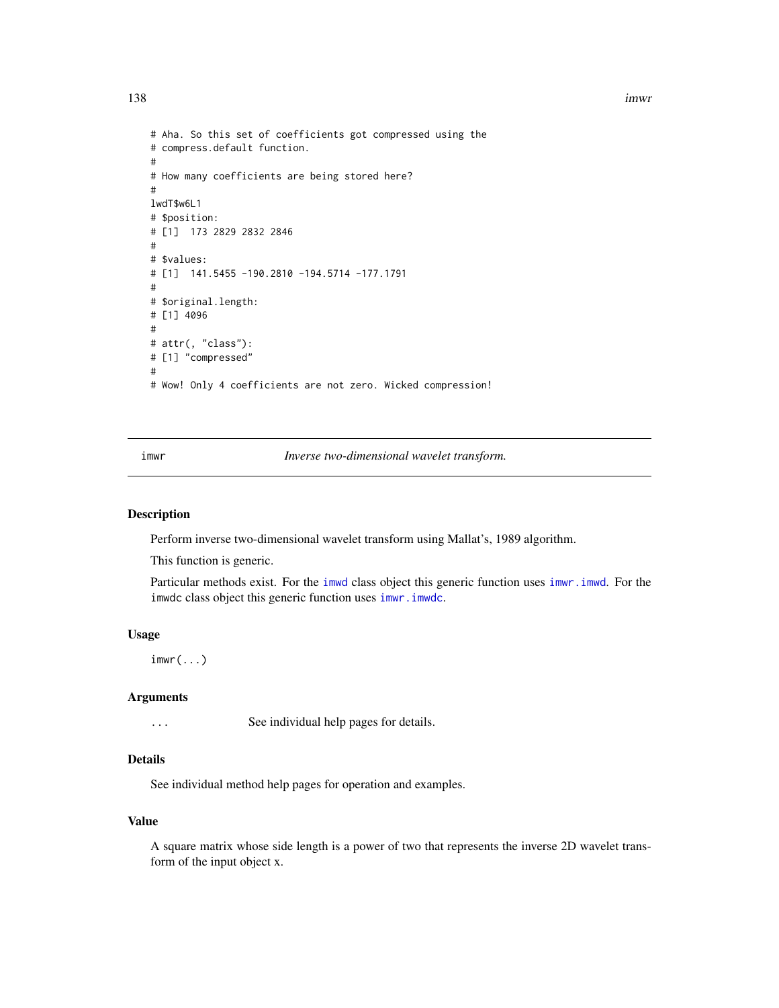138 imwr

```
# Aha. So this set of coefficients got compressed using the
# compress.default function.
#
# How many coefficients are being stored here?
#
lwdT$w6L1
# $position:
# [1] 173 2829 2832 2846
#
# $values:
# [1] 141.5455 -190.2810 -194.5714 -177.1791
#
# $original.length:
# [1] 4096
#
# attr(, "class"):
# [1] "compressed"
#
# Wow! Only 4 coefficients are not zero. Wicked compression!
```
<span id="page-137-0"></span>imwr *Inverse two-dimensional wavelet transform.*

#### Description

Perform inverse two-dimensional wavelet transform using Mallat's, 1989 algorithm.

This function is generic.

Particular methods exist. For the [imwd](#page-131-0) class object this generic function uses [imwr.imwd](#page-138-0). For the imwdc class object this generic function uses [imwr.imwdc](#page-139-0).

#### Usage

 $imwr(...)$ 

#### Arguments

... See individual help pages for details.

### Details

See individual method help pages for operation and examples.

## Value

A square matrix whose side length is a power of two that represents the inverse 2D wavelet transform of the input object x.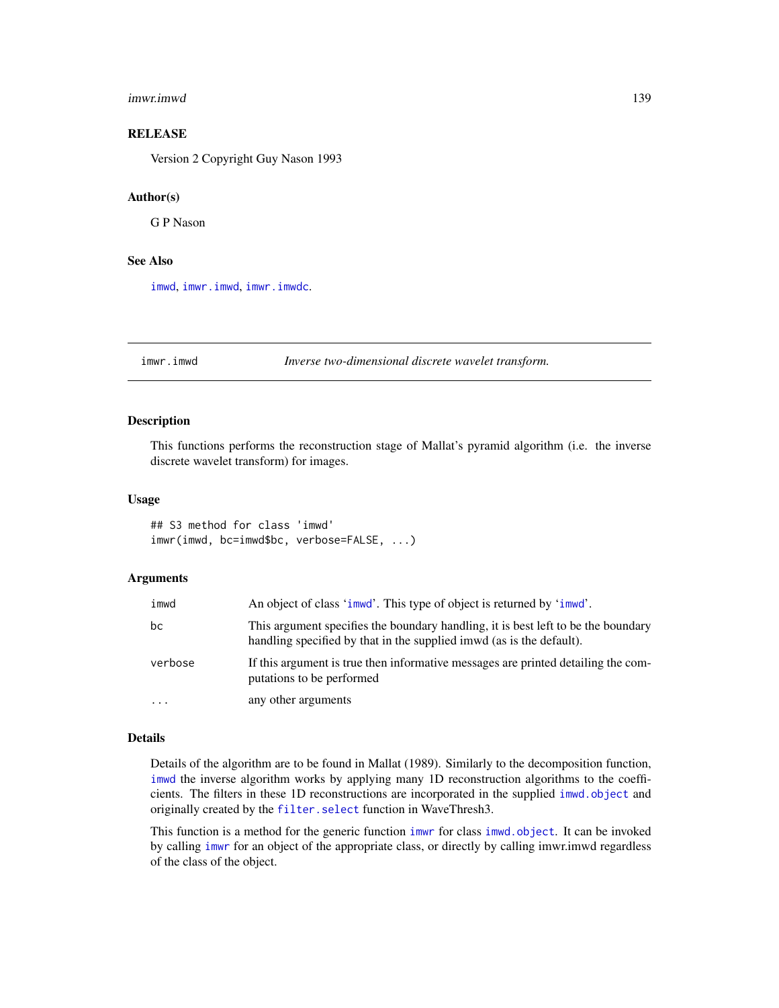#### imwr.imwd 139

# **RELEASE**

Version 2 Copyright Guy Nason 1993

#### Author(s)

G P Nason

## See Also

[imwd](#page-131-0), [imwr.imwd](#page-138-0), [imwr.imwdc](#page-139-0).

<span id="page-138-0"></span>imwr.imwd *Inverse two-dimensional discrete wavelet transform.*

# Description

This functions performs the reconstruction stage of Mallat's pyramid algorithm (i.e. the inverse discrete wavelet transform) for images.

#### Usage

## S3 method for class 'imwd' imwr(imwd, bc=imwd\$bc, verbose=FALSE, ...)

#### **Arguments**

| imwd      | An object of class 'imwd'. This type of object is returned by 'imwd'.                                                                                      |
|-----------|------------------------------------------------------------------------------------------------------------------------------------------------------------|
| bc        | This argument specifies the boundary handling, it is best left to be the boundary<br>handling specified by that in the supplied immed (as is the default). |
| verbose   | If this argument is true then informative messages are printed detailing the com-<br>putations to be performed                                             |
| $\ddotsc$ | any other arguments                                                                                                                                        |

#### Details

Details of the algorithm are to be found in Mallat (1989). Similarly to the decomposition function, [imwd](#page-131-0) the inverse algorithm works by applying many 1D reconstruction algorithms to the coefficients. The filters in these 1D reconstructions are incorporated in the supplied [imwd.object](#page-133-0) and originally created by the [filter.select](#page-98-0) function in WaveThresh3.

This function is a method for the generic function [imwr](#page-137-0) for class [imwd.object](#page-133-0). It can be invoked by calling [imwr](#page-137-0) for an object of the appropriate class, or directly by calling imwr.imwd regardless of the class of the object.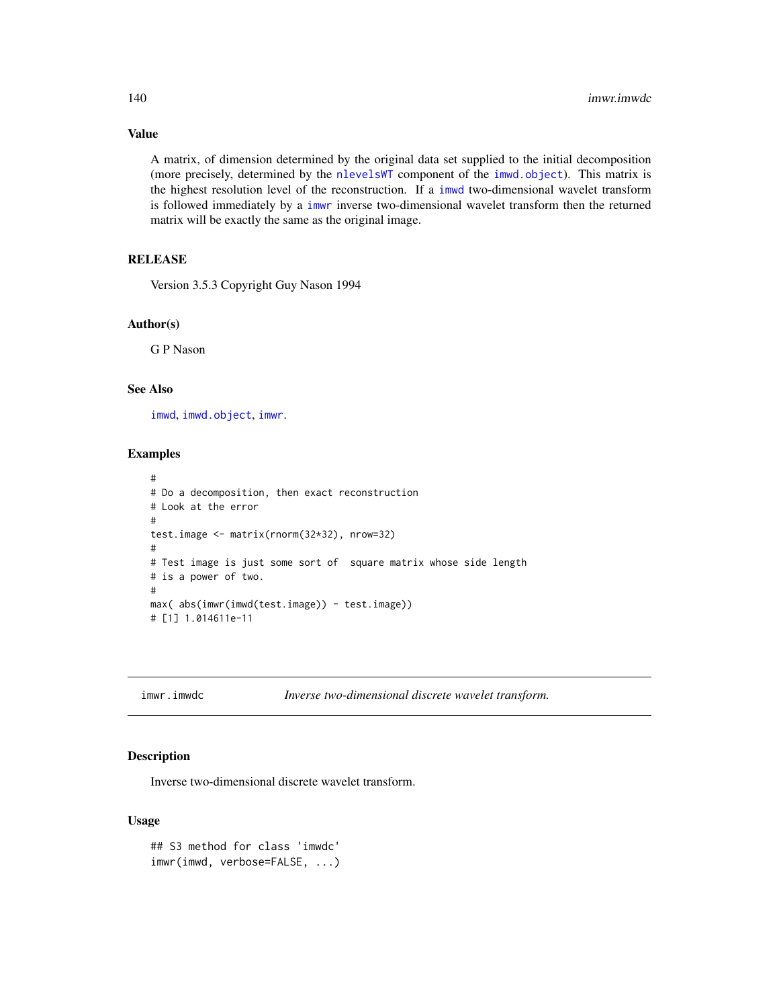A matrix, of dimension determined by the original data set supplied to the initial decomposition (more precisely, determined by the [nlevelsWT](#page-199-0) component of the [imwd.object](#page-133-0)). This matrix is the highest resolution level of the reconstruction. If a [imwd](#page-131-0) two-dimensional wavelet transform is followed immediately by a [imwr](#page-137-0) inverse two-dimensional wavelet transform then the returned matrix will be exactly the same as the original image.

# **RELEASE**

Version 3.5.3 Copyright Guy Nason 1994

#### Author(s)

G P Nason

### See Also

[imwd](#page-131-0), [imwd.object](#page-133-0), [imwr](#page-137-0).

## Examples

```
#
# Do a decomposition, then exact reconstruction
# Look at the error
#
test.image <- matrix(rnorm(32*32), nrow=32)
#
# Test image is just some sort of square matrix whose side length
# is a power of two.
#
max( abs(imwr(imwd(test.image)) - test.image))
# [1] 1.014611e-11
```
<span id="page-139-0"></span>imwr.imwdc *Inverse two-dimensional discrete wavelet transform.*

# Description

Inverse two-dimensional discrete wavelet transform.

#### Usage

```
## S3 method for class 'imwdc'
imwr(imwd, verbose=FALSE, ...)
```
# Value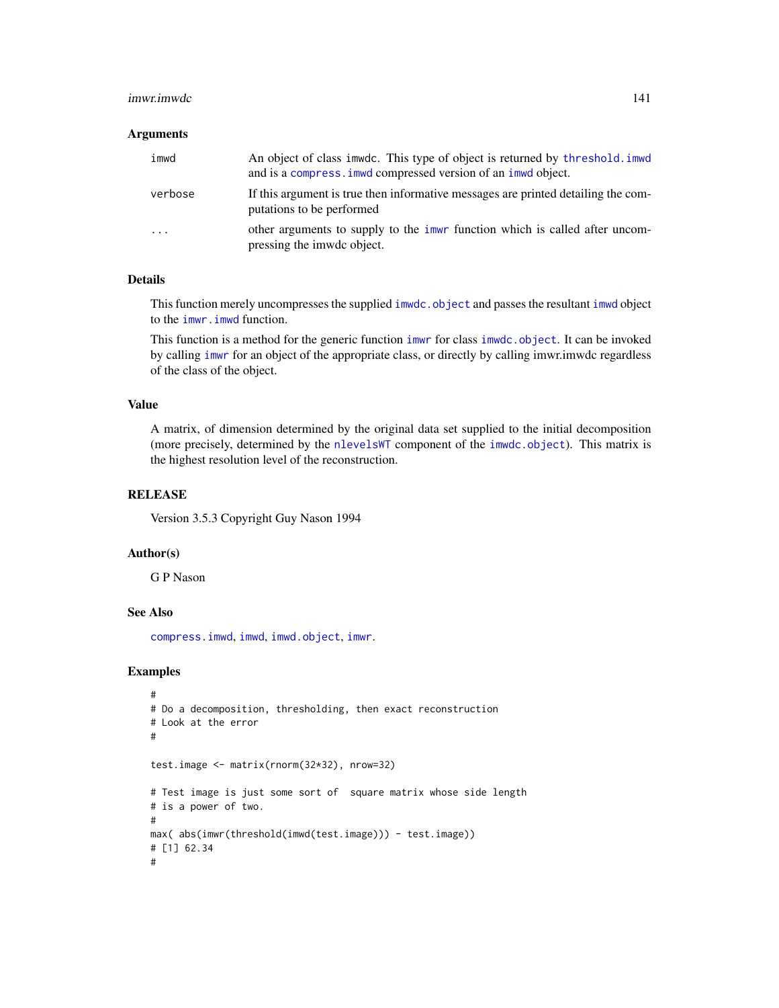#### imwr.imwdc 141

#### **Arguments**

| imwd     | An object of class immode. This type of object is returned by threshold. immodely<br>and is a compress. imwd compressed version of an imwd object. |
|----------|----------------------------------------------------------------------------------------------------------------------------------------------------|
| verbose  | If this argument is true then informative messages are printed detailing the com-<br>putations to be performed                                     |
| $\cdots$ | other arguments to supply to the <i>immer</i> function which is called after uncom-<br>pressing the imwdc object.                                  |

# Details

This function merely uncompresses the supplied [imwdc.object](#page-134-0) and passes the resultant [imwd](#page-131-0) object to the [imwr.imwd](#page-138-0) function.

This function is a method for the generic function [imwr](#page-137-0) for class [imwdc.object](#page-134-0). It can be invoked by calling [imwr](#page-137-0) for an object of the appropriate class, or directly by calling imwr.imwdc regardless of the class of the object.

## Value

A matrix, of dimension determined by the original data set supplied to the initial decomposition (more precisely, determined by the [nlevelsWT](#page-199-0) component of the [imwdc.object](#page-134-0)). This matrix is the highest resolution level of the reconstruction.

#### **RELEASE**

Version 3.5.3 Copyright Guy Nason 1994

#### Author(s)

G P Nason

# See Also

[compress.imwd](#page-53-0), [imwd](#page-131-0), [imwd.object](#page-133-0), [imwr](#page-137-0).

```
#
# Do a decomposition, thresholding, then exact reconstruction
# Look at the error
#
test.image <- matrix(rnorm(32*32), nrow=32)
# Test image is just some sort of square matrix whose side length
# is a power of two.
#
max( abs(imwr(threshold(imwd(test.image))) - test.image))
# [1] 62.34
#
```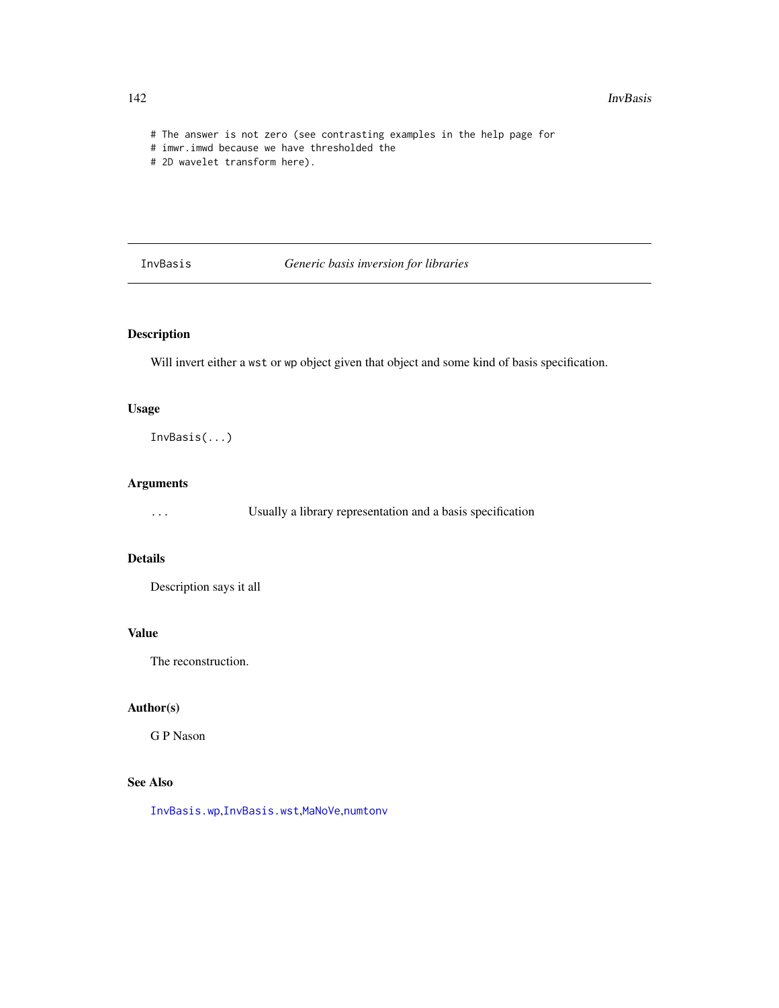```
# The answer is not zero (see contrasting examples in the help page for
```

```
# imwr.imwd because we have thresholded the
```

```
# 2D wavelet transform here).
```
<span id="page-141-0"></span>InvBasis *Generic basis inversion for libraries*

# Description

Will invert either a wst or wp object given that object and some kind of basis specification.

## Usage

InvBasis(...)

# Arguments

... Usually a library representation and a basis specification

## Details

Description says it all

# Value

The reconstruction.

# Author(s)

G P Nason

# See Also

[InvBasis.wp](#page-142-0),[InvBasis.wst](#page-143-0),[MaNoVe](#page-181-0),[numtonv](#page-206-0)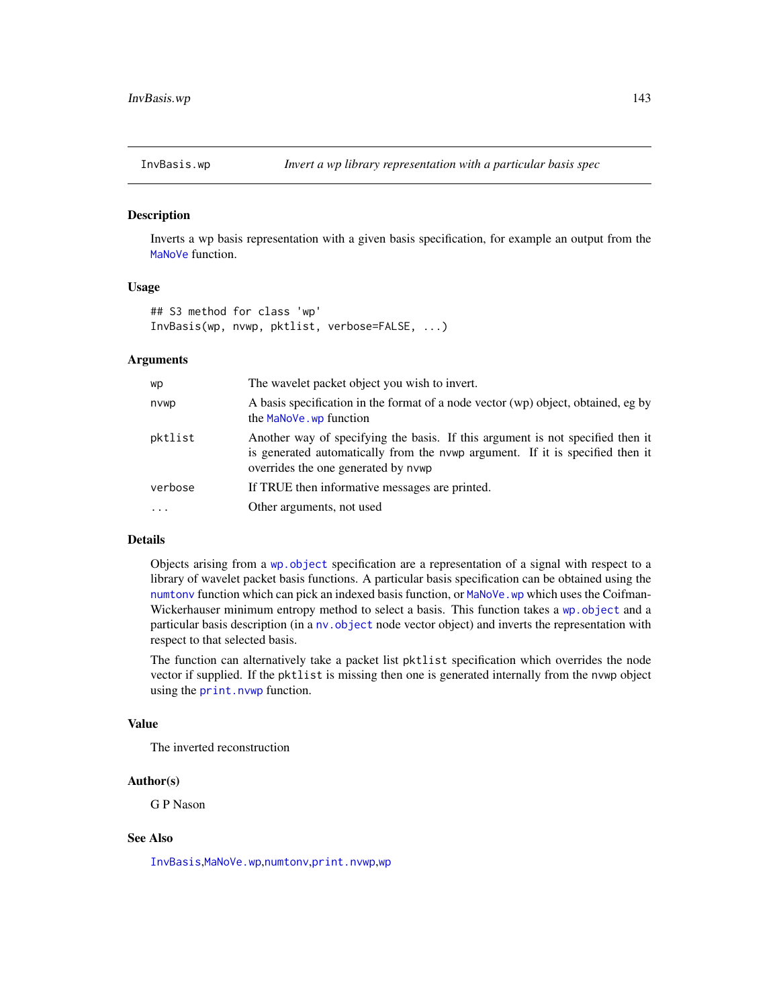<span id="page-142-0"></span>

Inverts a wp basis representation with a given basis specification, for example an output from the [MaNoVe](#page-181-0) function.

## Usage

```
## S3 method for class 'wp'
InvBasis(wp, nvwp, pktlist, verbose=FALSE, ...)
```
#### Arguments

| wp       | The wavelet packet object you wish to invert.                                                                                                                                                          |
|----------|--------------------------------------------------------------------------------------------------------------------------------------------------------------------------------------------------------|
| nvwp     | A basis specification in the format of a node vector (wp) object, obtained, eg by<br>the MaNoVe. wp function                                                                                           |
| pktlist  | Another way of specifying the basis. If this argument is not specified then it<br>is generated automatically from the nvwp argument. If it is specified then it<br>overrides the one generated by nvwp |
| verbose  | If TRUE then informative messages are printed.                                                                                                                                                         |
| $\cdots$ | Other arguments, not used                                                                                                                                                                              |

# Details

Objects arising from a [wp.object](#page-358-0) specification are a representation of a signal with respect to a library of wavelet packet basis functions. A particular basis specification can be obtained using the [numtonv](#page-206-0) function which can pick an indexed basis function, or MaNoVe. wp which uses the Coifman-Wickerhauser minimum entropy method to select a basis. This function takes a [wp.object](#page-358-0) and a particular basis description (in a [nv.object](#page-208-0) node vector object) and inverts the representation with respect to that selected basis.

The function can alternatively take a packet list pktlist specification which overrides the node vector if supplied. If the pktlist is missing then one is generated internally from the nvwp object using the [print.nvwp](#page-233-0) function.

## Value

The inverted reconstruction

#### Author(s)

G P Nason

### See Also

[InvBasis](#page-141-0),[MaNoVe.wp](#page-182-0),[numtonv](#page-206-0),[print.nvwp](#page-233-0),[wp](#page-357-0)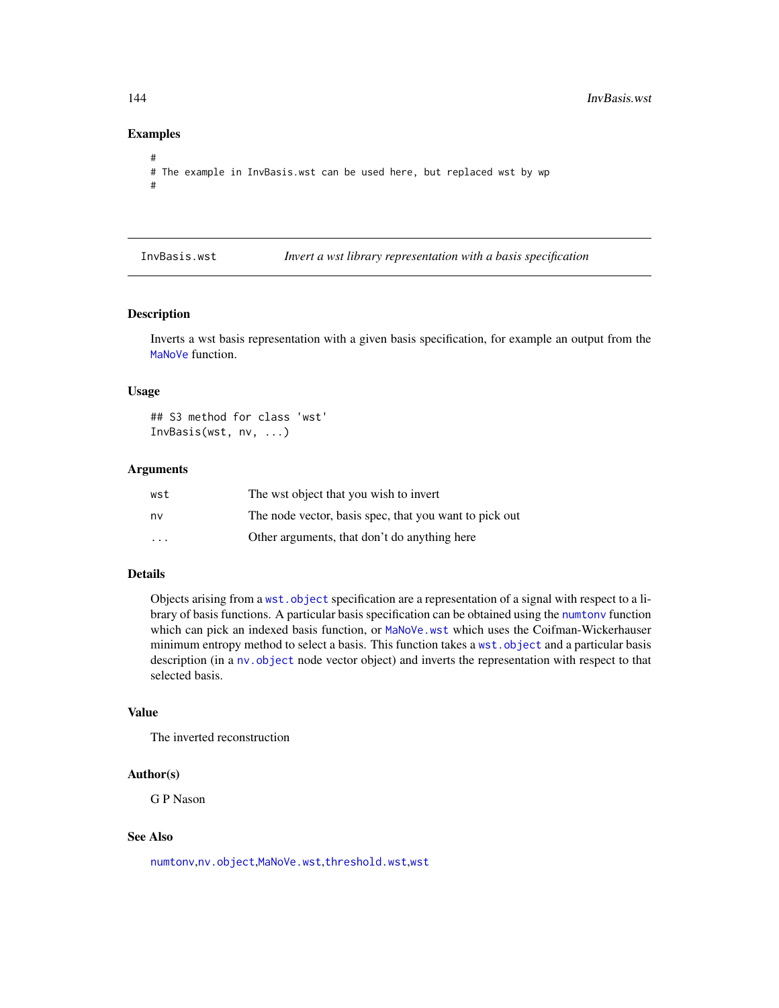# Examples

```
#
# The example in InvBasis.wst can be used here, but replaced wst by wp
#
```
<span id="page-143-0"></span>InvBasis.wst *Invert a wst library representation with a basis specification*

## Description

Inverts a wst basis representation with a given basis specification, for example an output from the [MaNoVe](#page-181-0) function.

## Usage

## S3 method for class 'wst' InvBasis(wst, nv, ...)

#### Arguments

| wst                     | The wst object that you wish to invert                 |
|-------------------------|--------------------------------------------------------|
| nv                      | The node vector, basis spec, that you want to pick out |
| $\cdot$ $\cdot$ $\cdot$ | Other arguments, that don't do anything here           |

# Details

Objects arising from a [wst.object](#page-373-0) specification are a representation of a signal with respect to a library of basis functions. A particular basis specification can be obtained using the [numtonv](#page-206-0) function which can pick an indexed basis function, or [MaNoVe.wst](#page-183-0) which uses the Coifman-Wickerhauser minimum entropy method to select a basis. This function takes a [wst.object](#page-373-0) and a particular basis description (in a nv. object node vector object) and inverts the representation with respect to that selected basis.

## Value

The inverted reconstruction

#### Author(s)

G P Nason

## See Also

[numtonv](#page-206-0),[nv.object](#page-208-0),[MaNoVe.wst](#page-183-0),[threshold.wst](#page-329-0),[wst](#page-371-0)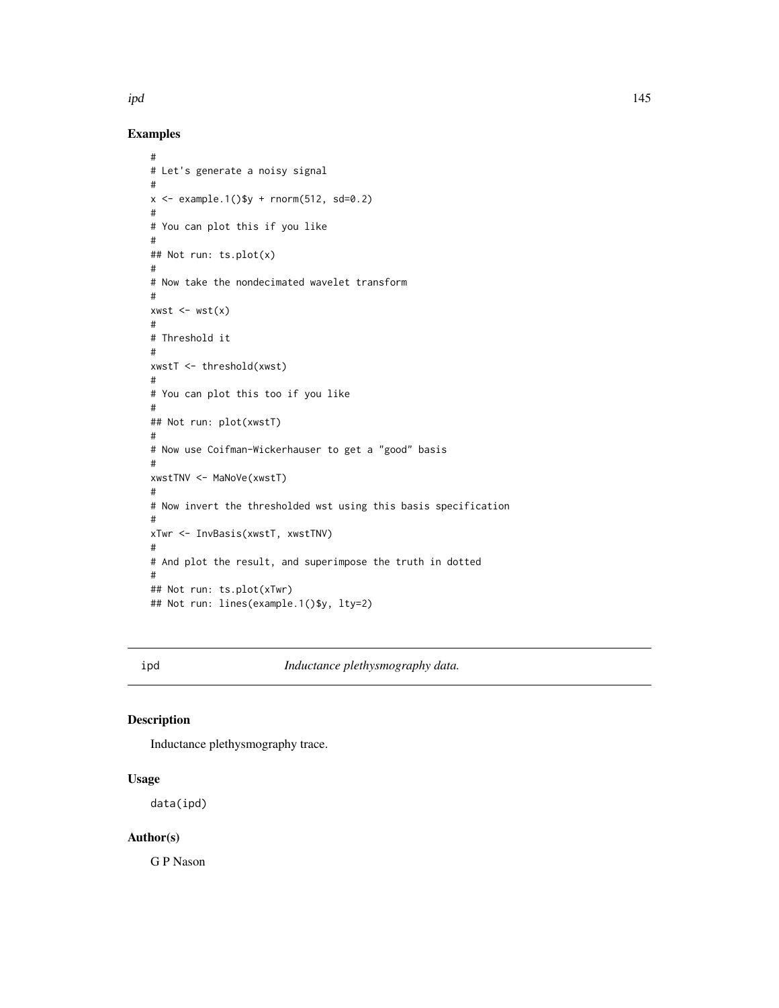# Examples

```
#
# Let's generate a noisy signal
#
x \le - example.1()$y + rnorm(512, sd=0.2)
#
# You can plot this if you like
#
## Not run: ts.plot(x)
#
# Now take the nondecimated wavelet transform
#
xwst \leftarrow wst(x)#
# Threshold it
#
xwstT <- threshold(xwst)
#
# You can plot this too if you like
#
## Not run: plot(xwstT)
#
# Now use Coifman-Wickerhauser to get a "good" basis
#
xwstTNV <- MaNoVe(xwstT)
#
# Now invert the thresholded wst using this basis specification
#
xTwr <- InvBasis(xwstT, xwstTNV)
#
# And plot the result, and superimpose the truth in dotted
#
## Not run: ts.plot(xTwr)
## Not run: lines(example.1()$y, lty=2)
```
ipd *Inductance plethysmography data.*

# Description

Inductance plethysmography trace.

# Usage

data(ipd)

# Author(s)

G P Nason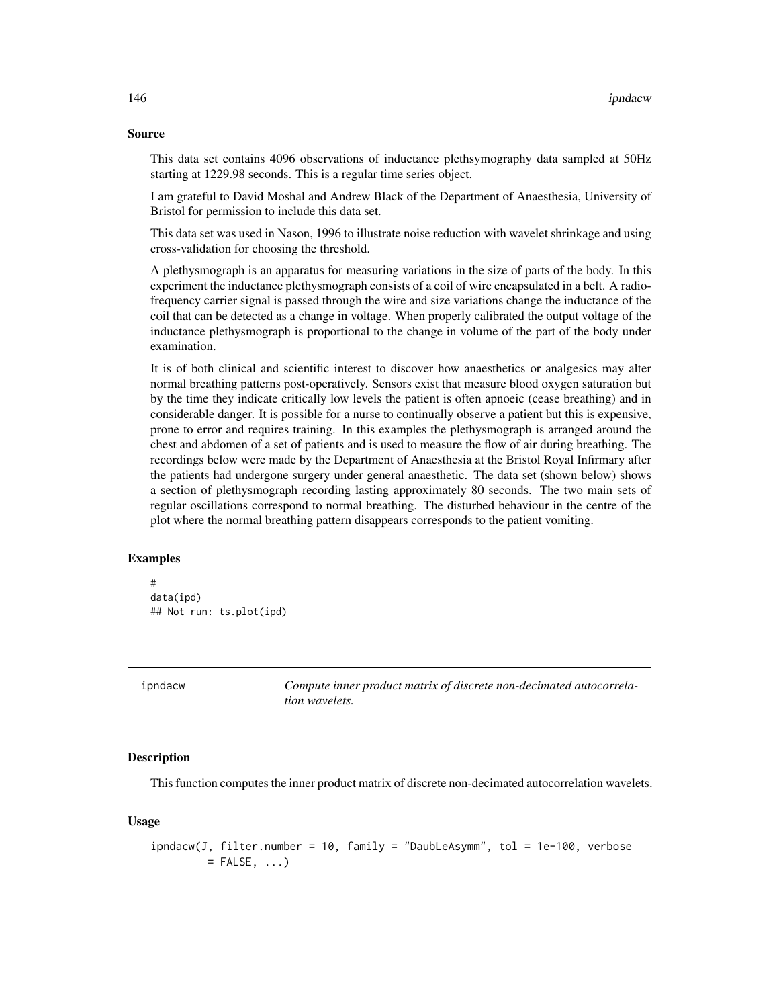#### Source

This data set contains 4096 observations of inductance plethsymography data sampled at 50Hz starting at 1229.98 seconds. This is a regular time series object.

I am grateful to David Moshal and Andrew Black of the Department of Anaesthesia, University of Bristol for permission to include this data set.

This data set was used in Nason, 1996 to illustrate noise reduction with wavelet shrinkage and using cross-validation for choosing the threshold.

A plethysmograph is an apparatus for measuring variations in the size of parts of the body. In this experiment the inductance plethysmograph consists of a coil of wire encapsulated in a belt. A radiofrequency carrier signal is passed through the wire and size variations change the inductance of the coil that can be detected as a change in voltage. When properly calibrated the output voltage of the inductance plethysmograph is proportional to the change in volume of the part of the body under examination.

It is of both clinical and scientific interest to discover how anaesthetics or analgesics may alter normal breathing patterns post-operatively. Sensors exist that measure blood oxygen saturation but by the time they indicate critically low levels the patient is often apnoeic (cease breathing) and in considerable danger. It is possible for a nurse to continually observe a patient but this is expensive, prone to error and requires training. In this examples the plethysmograph is arranged around the chest and abdomen of a set of patients and is used to measure the flow of air during breathing. The recordings below were made by the Department of Anaesthesia at the Bristol Royal Infirmary after the patients had undergone surgery under general anaesthetic. The data set (shown below) shows a section of plethysmograph recording lasting approximately 80 seconds. The two main sets of regular oscillations correspond to normal breathing. The disturbed behaviour in the centre of the plot where the normal breathing pattern disappears corresponds to the patient vomiting.

# Examples

```
#
data(ipd)
## Not run: ts.plot(ipd)
```
ipndacw *Compute inner product matrix of discrete non-decimated autocorrelation wavelets.*

## **Description**

This function computes the inner product matrix of discrete non-decimated autocorrelation wavelets.

#### Usage

```
ipndacw(J, filter.number = 10, family = "DaubLeAsymm", tol = 1e-100, verbose
         = FALSE, \ldots)
```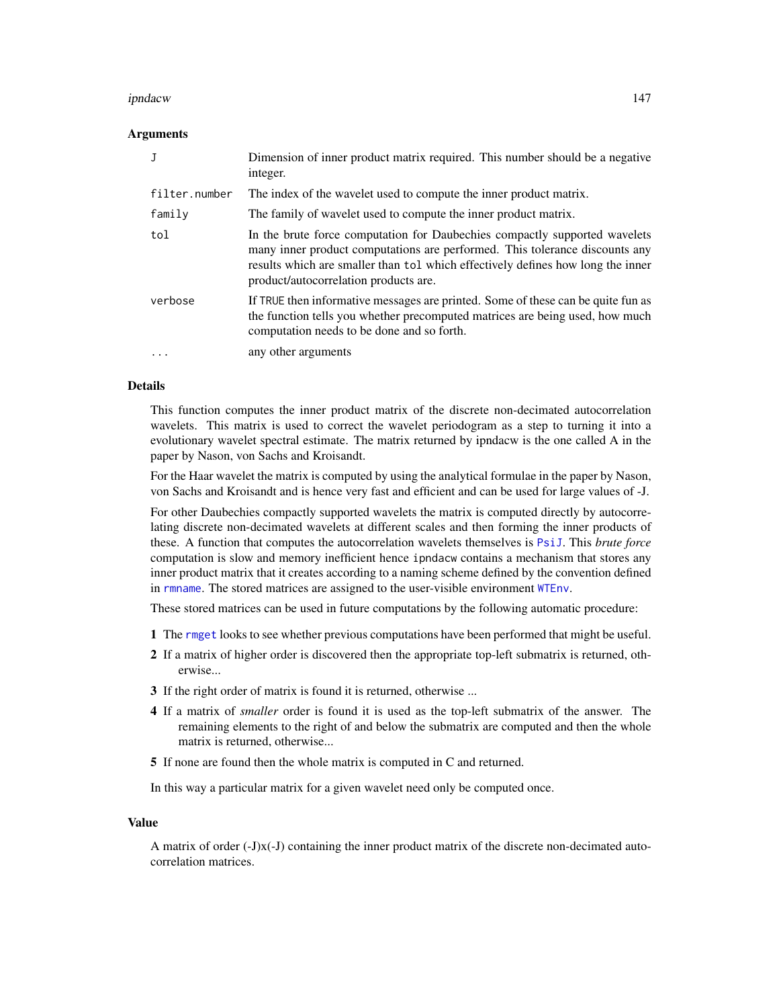#### ipndacw 147

### Arguments

|               | Dimension of inner product matrix required. This number should be a negative<br>integer.                                                                                                                                                                                              |
|---------------|---------------------------------------------------------------------------------------------------------------------------------------------------------------------------------------------------------------------------------------------------------------------------------------|
| filter.number | The index of the wavelet used to compute the inner product matrix.                                                                                                                                                                                                                    |
| family        | The family of wavelet used to compute the inner product matrix.                                                                                                                                                                                                                       |
| tol           | In the brute force computation for Daubechies compactly supported wavelets<br>many inner product computations are performed. This tolerance discounts any<br>results which are smaller than tol which effectively defines how long the inner<br>product/autocorrelation products are. |
| verbose       | If TRUE then informative messages are printed. Some of these can be quite fun as<br>the function tells you whether precomputed matrices are being used, how much<br>computation needs to be done and so forth.                                                                        |
| $\cdots$      | any other arguments                                                                                                                                                                                                                                                                   |

## Details

This function computes the inner product matrix of the discrete non-decimated autocorrelation wavelets. This matrix is used to correct the wavelet periodogram as a step to turning it into a evolutionary wavelet spectral estimate. The matrix returned by ipndacw is the one called A in the paper by Nason, von Sachs and Kroisandt.

For the Haar wavelet the matrix is computed by using the analytical formulae in the paper by Nason, von Sachs and Kroisandt and is hence very fast and efficient and can be used for large values of -J.

For other Daubechies compactly supported wavelets the matrix is computed directly by autocorrelating discrete non-decimated wavelets at different scales and then forming the inner products of these. A function that computes the autocorrelation wavelets themselves is [PsiJ](#page-248-0). This *brute force* computation is slow and memory inefficient hence ipndacw contains a mechanism that stores any inner product matrix that it creates according to a naming scheme defined by the convention defined in [rmname](#page-286-0). The stored matrices are assigned to the user-visible environment [WTEnv](#page-383-0).

These stored matrices can be used in future computations by the following automatic procedure:

- 1 The [rmget](#page-284-0) looks to see whether previous computations have been performed that might be useful.
- 2 If a matrix of higher order is discovered then the appropriate top-left submatrix is returned, otherwise...
- 3 If the right order of matrix is found it is returned, otherwise ...
- 4 If a matrix of *smaller* order is found it is used as the top-left submatrix of the answer. The remaining elements to the right of and below the submatrix are computed and then the whole matrix is returned, otherwise...
- 5 If none are found then the whole matrix is computed in C and returned.

In this way a particular matrix for a given wavelet need only be computed once.

#### Value

A matrix of order (-J)x(-J) containing the inner product matrix of the discrete non-decimated autocorrelation matrices.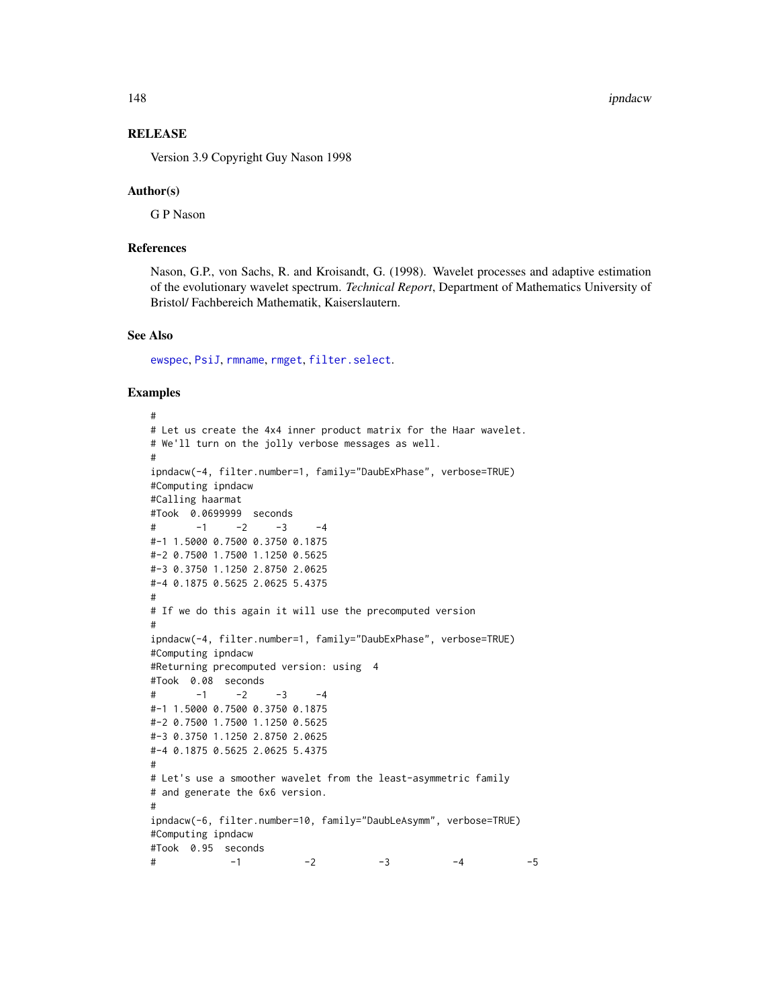148 **ipndacw** *i*pndacw **in the set of the set of the set of the set of the set of the set of the set of the set of the set of the set of the set of the set of the set of the set of the set of the set of the set of the set** 

# **RELEASE**

Version 3.9 Copyright Guy Nason 1998

#### Author(s)

G P Nason

# References

Nason, G.P., von Sachs, R. and Kroisandt, G. (1998). Wavelet processes and adaptive estimation of the evolutionary wavelet spectrum. *Technical Report*, Department of Mathematics University of Bristol/ Fachbereich Mathematik, Kaiserslautern.

#### See Also

[ewspec](#page-94-0), [PsiJ](#page-248-0), [rmname](#page-286-0), [rmget](#page-284-0), [filter.select](#page-98-0).

#### Examples

```
#
# Let us create the 4x4 inner product matrix for the Haar wavelet.
# We'll turn on the jolly verbose messages as well.
#
ipndacw(-4, filter.number=1, family="DaubExPhase", verbose=TRUE)
#Computing ipndacw
#Calling haarmat
#Took 0.0699999 seconds
\# -1 -2 -3 -4
#-1 1.5000 0.7500 0.3750 0.1875
#-2 0.7500 1.7500 1.1250 0.5625
#-3 0.3750 1.1250 2.8750 2.0625
#-4 0.1875 0.5625 2.0625 5.4375
#
# If we do this again it will use the precomputed version
#
ipndacw(-4, filter.number=1, family="DaubExPhase", verbose=TRUE)
#Computing ipndacw
#Returning precomputed version: using 4
#Took 0.08 seconds
\# -1 -2 -3 -4
#-1 1.5000 0.7500 0.3750 0.1875
#-2 0.7500 1.7500 1.1250 0.5625
#-3 0.3750 1.1250 2.8750 2.0625
#-4 0.1875 0.5625 2.0625 5.4375
#
# Let's use a smoother wavelet from the least-asymmetric family
# and generate the 6x6 version.
#
ipndacw(-6, filter.number=10, family="DaubLeAsymm", verbose=TRUE)
#Computing ipndacw
#Took 0.95 seconds
\# -1 -2 -3 -4 -5
```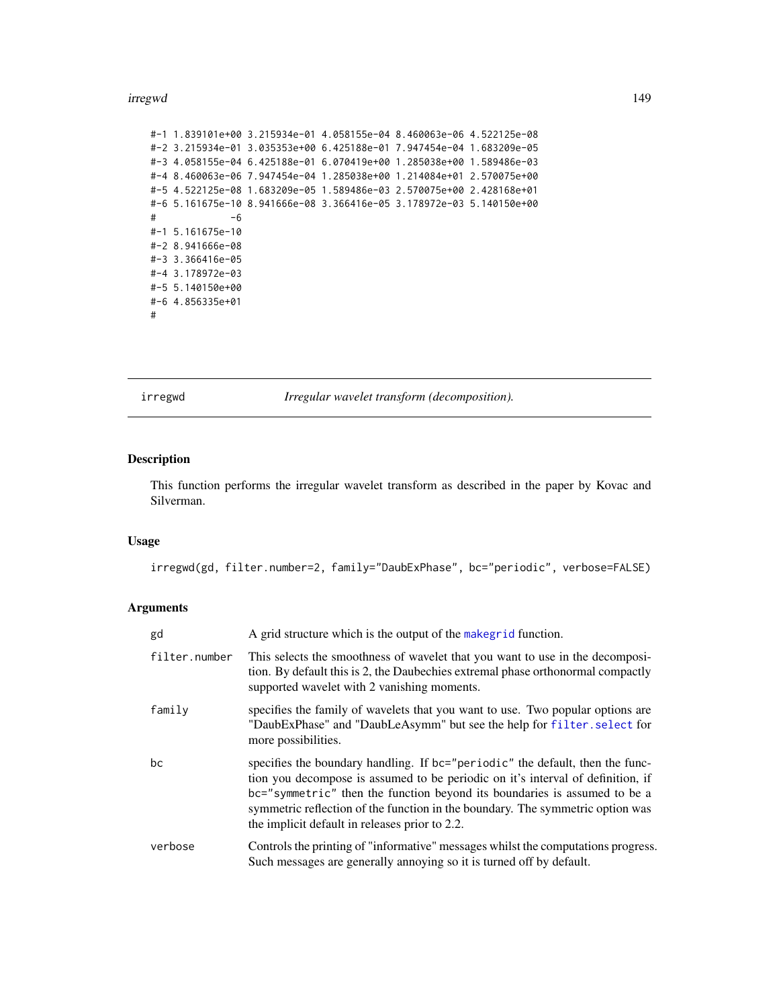#### irregwd 149

```
#-1 1.839101e+00 3.215934e-01 4.058155e-04 8.460063e-06 4.522125e-08
#-2 3.215934e-01 3.035353e+00 6.425188e-01 7.947454e-04 1.683209e-05
#-3 4.058155e-04 6.425188e-01 6.070419e+00 1.285038e+00 1.589486e-03
#-4 8.460063e-06 7.947454e-04 1.285038e+00 1.214084e+01 2.570075e+00
#-5 4.522125e-08 1.683209e-05 1.589486e-03 2.570075e+00 2.428168e+01
#-6 5.161675e-10 8.941666e-08 3.366416e-05 3.178972e-03 5.140150e+00
# -6
#-1 5.161675e-10
#-2 8.941666e-08
#-3 3.366416e-05
#-4 3.178972e-03
#-5 5.140150e+00
#-6 4.856335e+01
#
```
<span id="page-148-0"></span>irregwd *Irregular wavelet transform (decomposition).*

#### Description

This function performs the irregular wavelet transform as described in the paper by Kovac and Silverman.

## Usage

irregwd(gd, filter.number=2, family="DaubExPhase", bc="periodic", verbose=FALSE)

# Arguments

| gd            | A grid structure which is the output of the makegrid function.                                                                                                                                                                                                                                                                                                                    |
|---------------|-----------------------------------------------------------------------------------------------------------------------------------------------------------------------------------------------------------------------------------------------------------------------------------------------------------------------------------------------------------------------------------|
| filter.number | This selects the smoothness of wavelet that you want to use in the decomposi-<br>tion. By default this is 2, the Daubechies extremal phase orthonormal compactly<br>supported wavelet with 2 vanishing moments.                                                                                                                                                                   |
| family        | specifies the family of wavelets that you want to use. Two popular options are<br>"DaubExPhase" and "DaubLeAsymm" but see the help for filter. select for<br>more possibilities.                                                                                                                                                                                                  |
| bc            | specifies the boundary handling. If bc="periodic" the default, then the func-<br>tion you decompose is assumed to be periodic on it's interval of definition, if<br>bc="symmetric" then the function beyond its boundaries is assumed to be a<br>symmetric reflection of the function in the boundary. The symmetric option was<br>the implicit default in releases prior to 2.2. |
| verbose       | Controls the printing of "informative" messages whilst the computations progress.<br>Such messages are generally annoying so it is turned off by default.                                                                                                                                                                                                                         |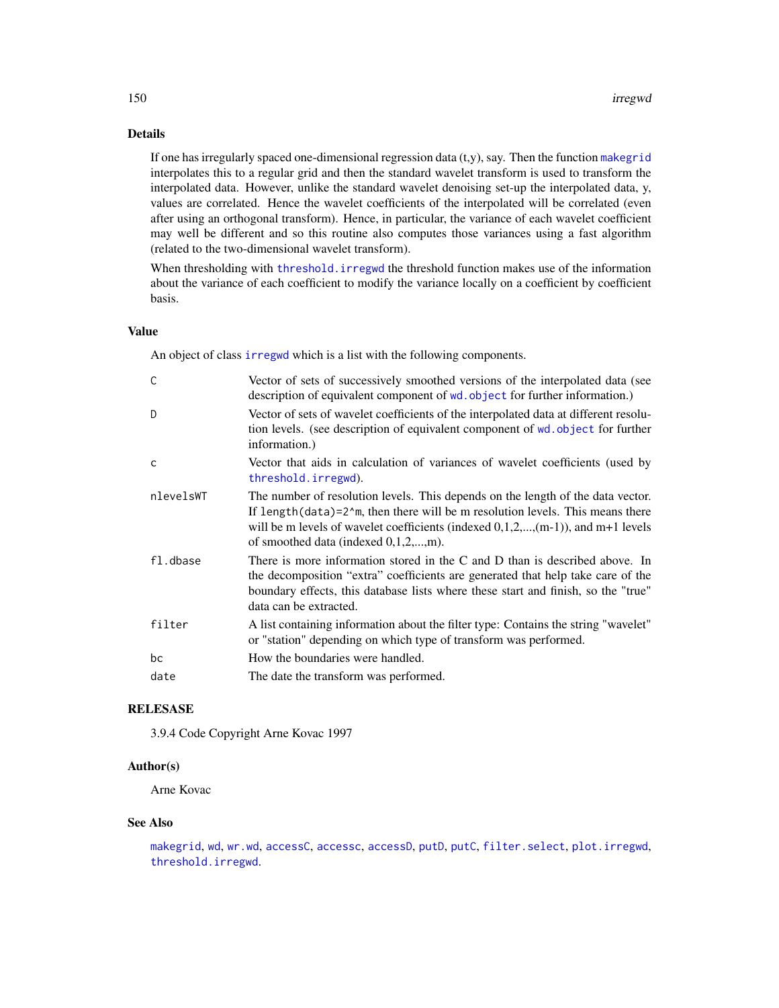# Details

If one has irregularly spaced one-dimensional regression data  $(t, y)$ , say. Then the function [makegrid](#page-171-0) interpolates this to a regular grid and then the standard wavelet transform is used to transform the interpolated data. However, unlike the standard wavelet denoising set-up the interpolated data, y, values are correlated. Hence the wavelet coefficients of the interpolated will be correlated (even after using an orthogonal transform). Hence, in particular, the variance of each wavelet coefficient may well be different and so this routine also computes those variances using a fast algorithm (related to the two-dimensional wavelet transform).

When thresholding with threshold. irregwd the threshold function makes use of the information about the variance of each coefficient to modify the variance locally on a coefficient by coefficient basis.

## Value

An object of class [irregwd](#page-148-0) which is a list with the following components.

| C         | Vector of sets of successively smoothed versions of the interpolated data (see<br>description of equivalent component of wd. object for further information.)                                                                                                                                             |
|-----------|-----------------------------------------------------------------------------------------------------------------------------------------------------------------------------------------------------------------------------------------------------------------------------------------------------------|
| D         | Vector of sets of wavelet coefficients of the interpolated data at different resolu-<br>tion levels. (see description of equivalent component of wd. object for further<br>information.)                                                                                                                  |
| C         | Vector that aids in calculation of variances of wavelet coefficients (used by<br>threshold.irregwd).                                                                                                                                                                                                      |
| nlevelsWT | The number of resolution levels. This depends on the length of the data vector.<br>If length $(data)=22$ m, then there will be m resolution levels. This means there<br>will be m levels of wavelet coefficients (indexed $(0,1,2,,(m-1))$ ), and $m+1$ levels<br>of smoothed data (indexed $0,1,2,,m$ ). |
| fl.dbase  | There is more information stored in the C and D than is described above. In<br>the decomposition "extra" coefficients are generated that help take care of the<br>boundary effects, this database lists where these start and finish, so the "true"<br>data can be extracted.                             |
| filter    | A list containing information about the filter type: Contains the string "wavelet"<br>or "station" depending on which type of transform was performed.                                                                                                                                                    |
| bc        | How the boundaries were handled.                                                                                                                                                                                                                                                                          |
| date      | The date the transform was performed.                                                                                                                                                                                                                                                                     |

#### RELESASE

3.9.4 Code Copyright Arne Kovac 1997

## Author(s)

Arne Kovac

## See Also

[makegrid](#page-171-0), [wd](#page-344-0), [wr.wd](#page-368-0), [accessC](#page-7-0), [accessc](#page-8-0), [accessD](#page-14-0), [putD](#page-263-0), [putC](#page-255-0), [filter.select](#page-98-0), [plot.irregwd](#page-210-0), [threshold.irregwd](#page-313-0).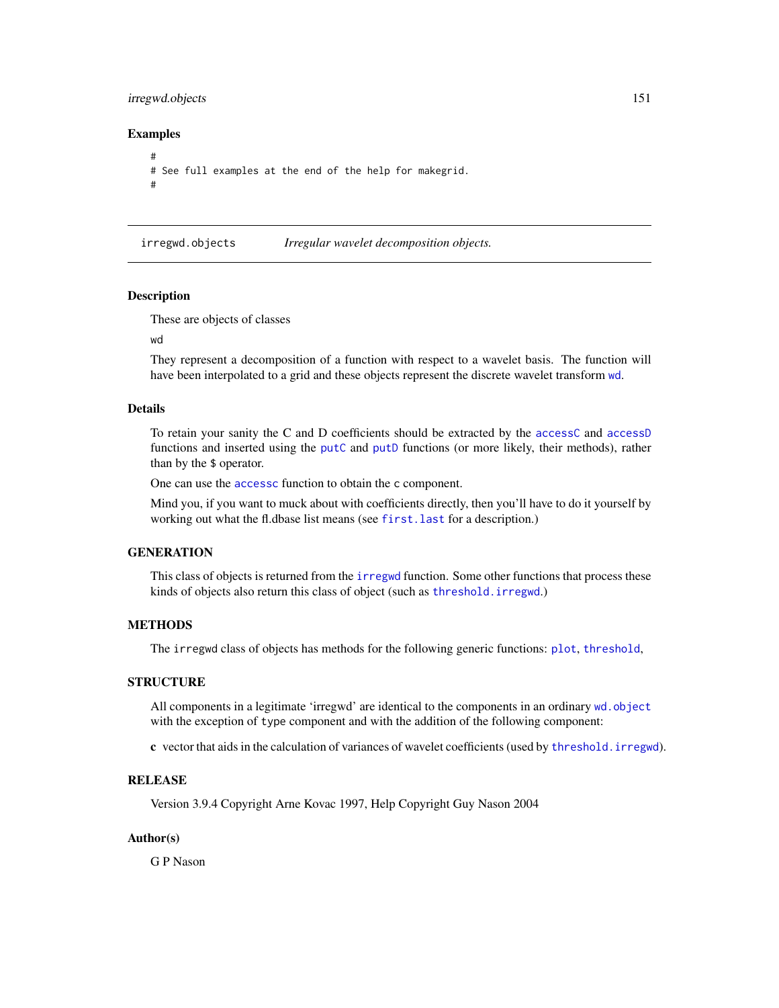# irregwd.objects 151

## Examples

```
#
# See full examples at the end of the help for makegrid.
#
```
irregwd.objects *Irregular wavelet decomposition objects.*

## **Description**

These are objects of classes

#### wd

They represent a decomposition of a function with respect to a wavelet basis. The function will have been interpolated to a grid and these objects represent the discrete wavelet transform [wd](#page-344-0).

#### Details

To retain your sanity the C and D coefficients should be extracted by the [accessC](#page-7-0) and [accessD](#page-14-0) functions and inserted using the [putC](#page-255-0) and [putD](#page-263-0) functions (or more likely, their methods), rather than by the \$ operator.

One can use the [accessc](#page-8-0) function to obtain the c component.

Mind you, if you want to muck about with coefficients directly, then you'll have to do it yourself by working out what the fl.dbase list means (see [first.last](#page-102-0) for a description.)

# **GENERATION**

This class of objects is returned from the [irregwd](#page-148-0) function. Some other functions that process these kinds of objects also return this class of object (such as [threshold.irregwd](#page-313-0).)

#### METHODS

The irregwd class of objects has methods for the following generic functions: [plot](#page-0-0), [threshold](#page-307-0),

#### **STRUCTURE**

All components in a legitimate 'irregwd' are identical to the components in an ordinary wd. object with the exception of type component and with the addition of the following component:

c vector that aids in the calculation of variances of wavelet coefficients (used by [threshold.irregwd](#page-313-0)).

## **RELEASE**

Version 3.9.4 Copyright Arne Kovac 1997, Help Copyright Guy Nason 2004

## Author(s)

G P Nason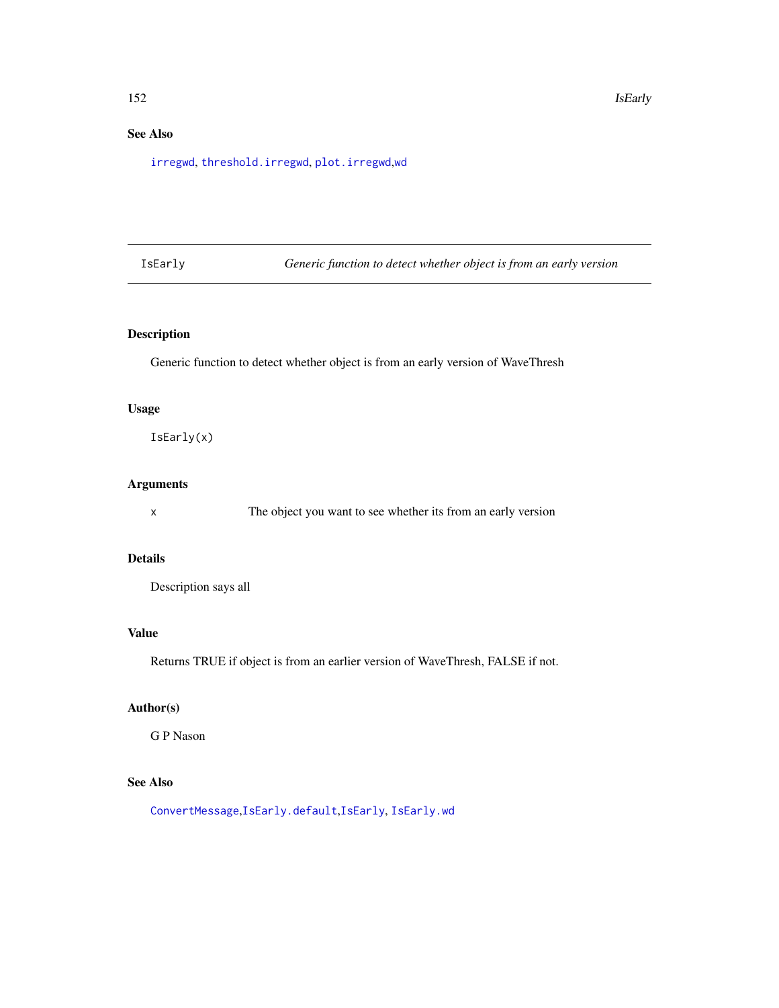# See Also

[irregwd](#page-148-0), [threshold.irregwd](#page-313-0), [plot.irregwd](#page-210-0),[wd](#page-344-0)

<span id="page-151-0"></span>IsEarly *Generic function to detect whether object is from an early version*

# Description

Generic function to detect whether object is from an early version of WaveThresh

## Usage

IsEarly(x)

# Arguments

x The object you want to see whether its from an early version

## Details

Description says all

# Value

Returns TRUE if object is from an earlier version of WaveThresh, FALSE if not.

# Author(s)

G P Nason

# See Also

[ConvertMessage](#page-61-0),[IsEarly.default](#page-152-0),[IsEarly](#page-151-0), [IsEarly.wd](#page-152-1)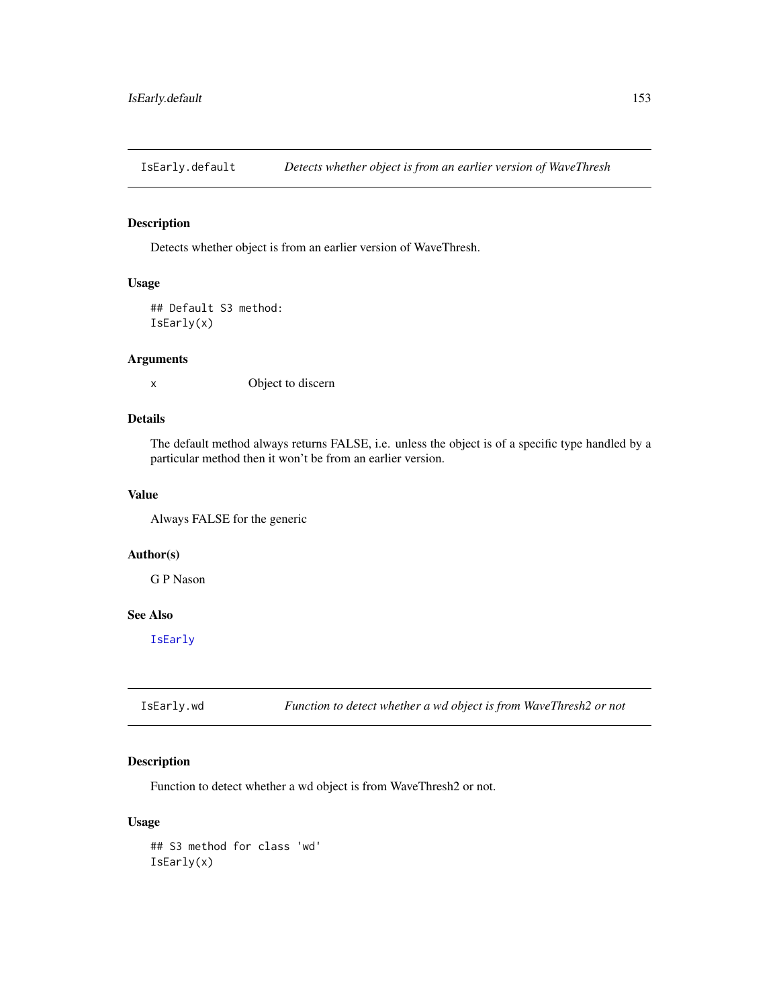<span id="page-152-0"></span>IsEarly.default *Detects whether object is from an earlier version of WaveThresh*

# Description

Detects whether object is from an earlier version of WaveThresh.

# Usage

## Default S3 method: IsEarly(x)

## Arguments

x Object to discern

## Details

The default method always returns FALSE, i.e. unless the object is of a specific type handled by a particular method then it won't be from an earlier version.

## Value

Always FALSE for the generic

## Author(s)

G P Nason

# See Also

[IsEarly](#page-151-0)

<span id="page-152-1"></span>IsEarly.wd *Function to detect whether a wd object is from WaveThresh2 or not*

# Description

Function to detect whether a wd object is from WaveThresh2 or not.

## Usage

## S3 method for class 'wd' IsEarly(x)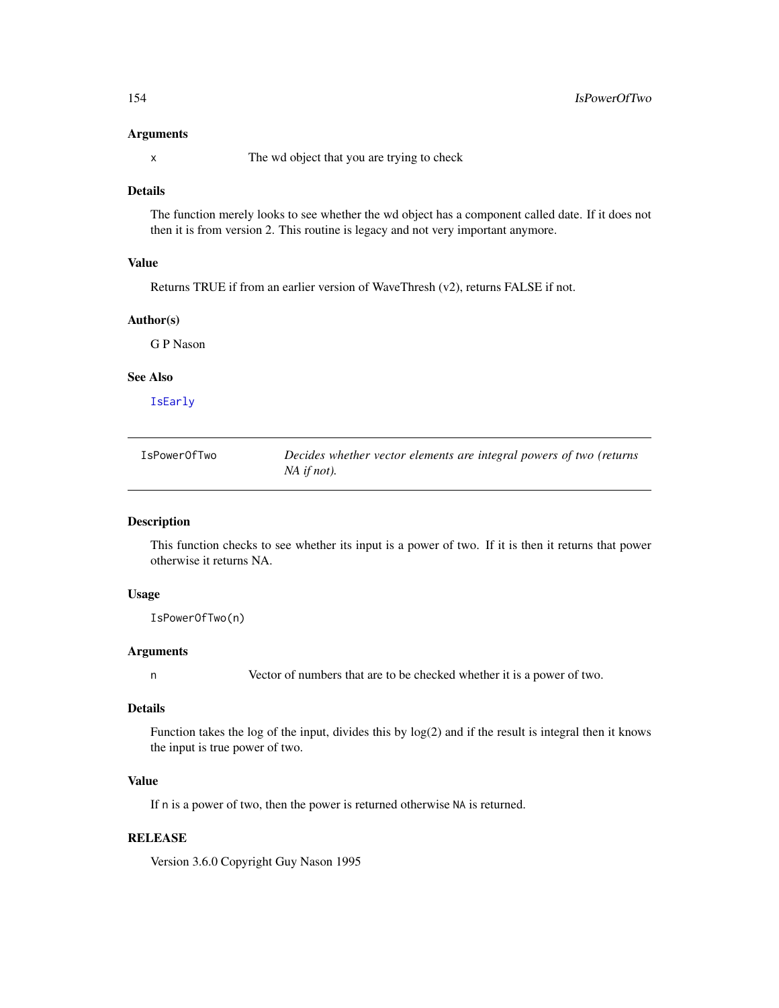#### Arguments

x The wd object that you are trying to check

# Details

The function merely looks to see whether the wd object has a component called date. If it does not then it is from version 2. This routine is legacy and not very important anymore.

# Value

Returns TRUE if from an earlier version of WaveThresh (v2), returns FALSE if not.

# Author(s)

G P Nason

## See Also

[IsEarly](#page-151-0)

IsPowerOfTwo *Decides whether vector elements are integral powers of two (returns NA if not).*

# Description

This function checks to see whether its input is a power of two. If it is then it returns that power otherwise it returns NA.

# Usage

IsPowerOfTwo(n)

## Arguments

n Vector of numbers that are to be checked whether it is a power of two.

## Details

Function takes the log of the input, divides this by log(2) and if the result is integral then it knows the input is true power of two.

# Value

If n is a power of two, then the power is returned otherwise NA is returned.

# **RELEASE**

Version 3.6.0 Copyright Guy Nason 1995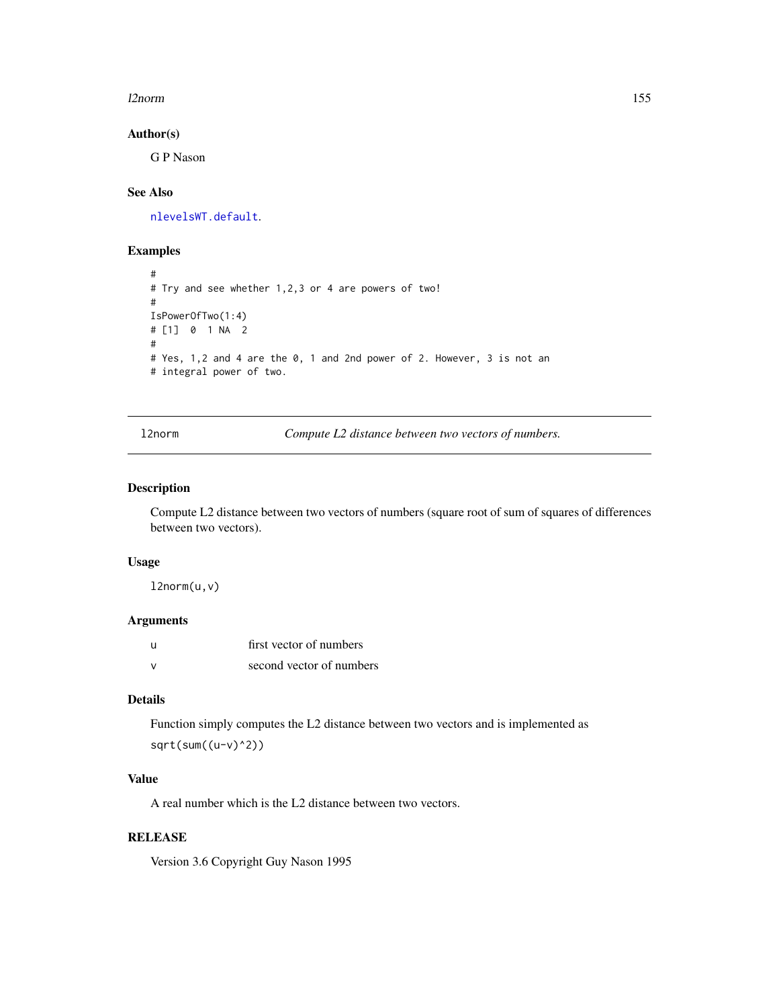#### l2norm 155

## Author(s)

G P Nason

# See Also

[nlevelsWT.default](#page-200-0).

## Examples

```
#
# Try and see whether 1,2,3 or 4 are powers of two!
#
IsPowerOfTwo(1:4)
# [1] 0 1 NA 2
#
# Yes, 1,2 and 4 are the 0, 1 and 2nd power of 2. However, 3 is not an
# integral power of two.
```
<span id="page-154-0"></span>l2norm *Compute L2 distance between two vectors of numbers.*

# Description

Compute L2 distance between two vectors of numbers (square root of sum of squares of differences between two vectors).

# Usage

l2norm(u,v)

## Arguments

| $\mathbf{H}$ | first vector of numbers  |
|--------------|--------------------------|
| $\mathbf{v}$ | second vector of numbers |

# Details

Function simply computes the L2 distance between two vectors and is implemented as  $sqrt(sum((u-v)^2))$ 

# Value

A real number which is the L2 distance between two vectors.

# RELEASE

Version 3.6 Copyright Guy Nason 1995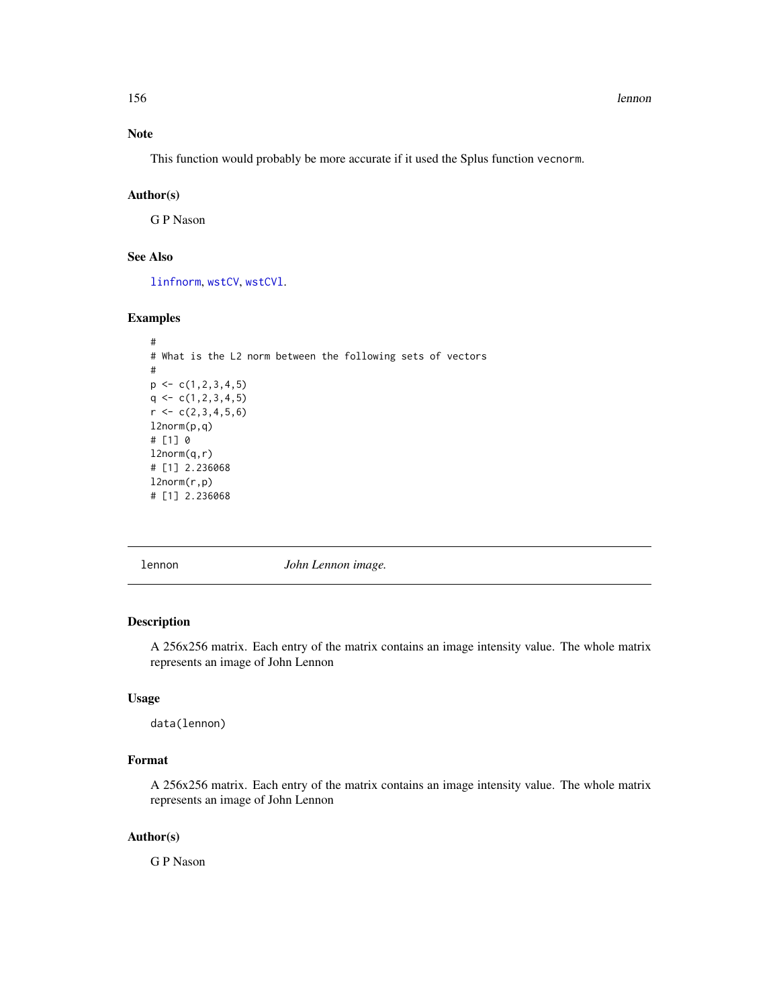156 lennon and the set of the set of the set of the set of the set of the set of the set of the set of the set of the set of the set of the set of the set of the set of the set of the set of the set of the set of the set o

# Note

This function would probably be more accurate if it used the Splus function vecnorm.

# Author(s)

G P Nason

# See Also

[linfnorm](#page-157-0), [wstCV](#page-378-0), [wstCVl](#page-380-0).

# Examples

```
#
# What is the L2 norm between the following sets of vectors
#
p \leftarrow c(1, 2, 3, 4, 5)q \leftarrow c(1, 2, 3, 4, 5)r < -c(2,3,4,5,6)l2norm(p,q)
# [1] 0
l2norm(q,r)
# [1] 2.236068
l2norm(r,p)
# [1] 2.236068
```
lennon *John Lennon image.*

# Description

A 256x256 matrix. Each entry of the matrix contains an image intensity value. The whole matrix represents an image of John Lennon

## Usage

data(lennon)

# Format

A 256x256 matrix. Each entry of the matrix contains an image intensity value. The whole matrix represents an image of John Lennon

# Author(s)

G P Nason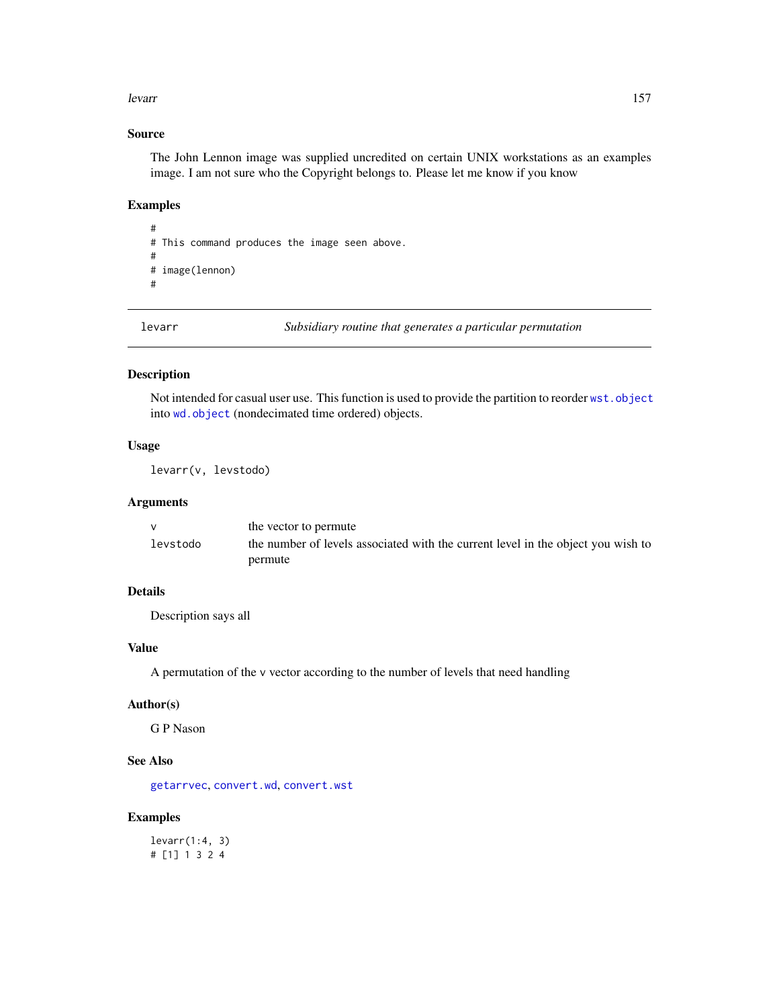#### levarr and the set of the set of the set of the set of the set of the set of the set of the set of the set of the set of the set of the set of the set of the set of the set of the set of the set of the set of the set of th

# Source

The John Lennon image was supplied uncredited on certain UNIX workstations as an examples image. I am not sure who the Copyright belongs to. Please let me know if you know

## Examples

# # This command produces the image seen above. # # image(lennon) #

levarr *Subsidiary routine that generates a particular permutation*

## Description

Not intended for casual user use. This function is used to provide the partition to reorder [wst.object](#page-373-0) into [wd.object](#page-351-0) (nondecimated time ordered) objects.

## Usage

levarr(v, levstodo)

# Arguments

|          | the vector to permute                                                            |
|----------|----------------------------------------------------------------------------------|
| levstodo | the number of levels associated with the current level in the object you wish to |
|          | permute                                                                          |

# Details

Description says all

## Value

A permutation of the v vector according to the number of levels that need handling

## Author(s)

G P Nason

## See Also

[getarrvec](#page-110-0), [convert.wd](#page-57-0), [convert.wst](#page-59-0)

# Examples

levarr(1:4, 3) # [1] 1 3 2 4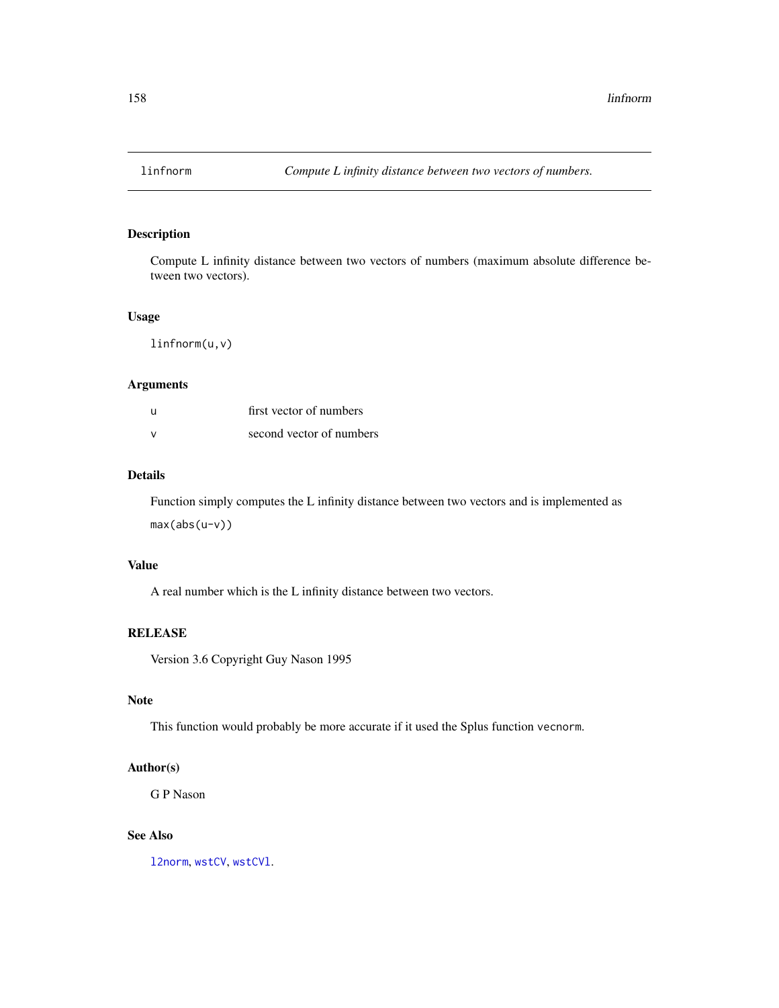<span id="page-157-0"></span>

# Description

Compute L infinity distance between two vectors of numbers (maximum absolute difference between two vectors).

## Usage

linfnorm(u,v)

# Arguments

| - U           | first vector of numbers  |
|---------------|--------------------------|
| $\mathcal{N}$ | second vector of numbers |

## Details

Function simply computes the L infinity distance between two vectors and is implemented as max(abs(u-v))

# Value

A real number which is the L infinity distance between two vectors.

## **RELEASE**

Version 3.6 Copyright Guy Nason 1995

# Note

This function would probably be more accurate if it used the Splus function vecnorm.

# Author(s)

G P Nason

# See Also

[l2norm](#page-154-0), [wstCV](#page-378-0), [wstCVl](#page-380-0).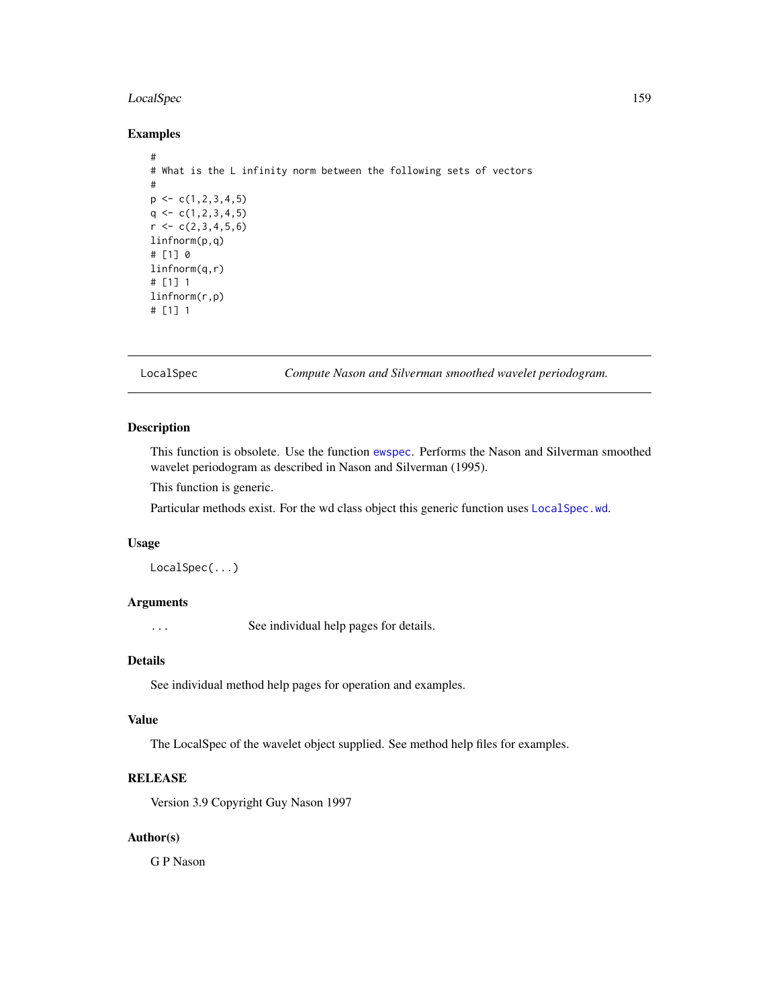# LocalSpec 159

# Examples

```
#
# What is the L infinity norm between the following sets of vectors
#
p \leftarrow c(1, 2, 3, 4, 5)q \leftarrow c(1, 2, 3, 4, 5)r < -c(2,3,4,5,6)linfnorm(p,q)
# [1] 0
linfnorm(q,r)
# [1] 1
linfnorm(r,p)
# [1] 1
```
LocalSpec *Compute Nason and Silverman smoothed wavelet periodogram.*

# Description

This function is obsolete. Use the function [ewspec](#page-94-0). Performs the Nason and Silverman smoothed wavelet periodogram as described in Nason and Silverman (1995).

This function is generic.

Particular methods exist. For the wd class object this generic function uses [LocalSpec.wd](#page-159-0).

#### Usage

LocalSpec(...)

# Arguments

... See individual help pages for details.

### Details

See individual method help pages for operation and examples.

#### Value

The LocalSpec of the wavelet object supplied. See method help files for examples.

## RELEASE

Version 3.9 Copyright Guy Nason 1997

# Author(s)

G P Nason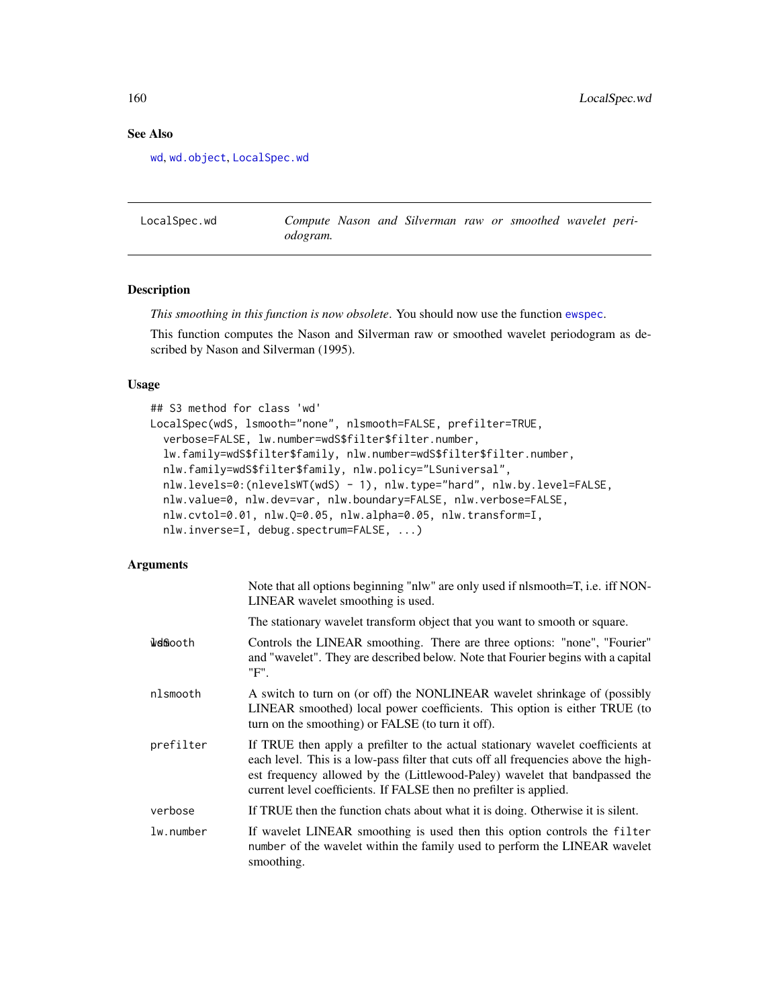# See Also

[wd](#page-344-0), [wd.object](#page-351-0), [LocalSpec.wd](#page-159-0)

<span id="page-159-0"></span>LocalSpec.wd *Compute Nason and Silverman raw or smoothed wavelet periodogram.*

## Description

*This smoothing in this function is now obsolete*. You should now use the function [ewspec](#page-94-0).

This function computes the Nason and Silverman raw or smoothed wavelet periodogram as described by Nason and Silverman (1995).

# Usage

```
## S3 method for class 'wd'
LocalSpec(wdS, lsmooth="none", nlsmooth=FALSE, prefilter=TRUE,
  verbose=FALSE, lw.number=wdS$filter$filter.number,
  lw.family=wdS$filter$family, nlw.number=wdS$filter$filter.number,
  nlw.family=wdS$filter$family, nlw.policy="LSuniversal",
  nlw.levels=0:(nlevelsWT(wdS) - 1), nlw.type="hard", nlw.by.level=FALSE,
  nlw.value=0, nlw.dev=var, nlw.boundary=FALSE, nlw.verbose=FALSE,
  nlw.cvtol=0.01, nlw.Q=0.05, nlw.alpha=0.05, nlw.transform=I,
  nlw.inverse=I, debug.spectrum=FALSE, ...)
```
#### Arguments

|           | Note that all options beginning "nlw" are only used if nlsmooth=T, i.e. iff NON-<br>LINEAR wavelet smoothing is used.                                                                                                                                                                                                       |
|-----------|-----------------------------------------------------------------------------------------------------------------------------------------------------------------------------------------------------------------------------------------------------------------------------------------------------------------------------|
|           | The stationary wavelet transform object that you want to smooth or square.                                                                                                                                                                                                                                                  |
| welfaooth | Controls the LINEAR smoothing. There are three options: "none", "Fourier"<br>and "wavelet". They are described below. Note that Fourier begins with a capital<br>"F".                                                                                                                                                       |
| nlsmooth  | A switch to turn on (or off) the NONLINEAR wavelet shrinkage of (possibly<br>LINEAR smoothed) local power coefficients. This option is either TRUE (to<br>turn on the smoothing) or FALSE (to turn it off).                                                                                                                 |
| prefilter | If TRUE then apply a prefilter to the actual stationary wavelet coefficients at<br>each level. This is a low-pass filter that cuts off all frequencies above the high-<br>est frequency allowed by the (Littlewood-Paley) wavelet that bandpassed the<br>current level coefficients. If FALSE then no prefilter is applied. |
| verbose   | If TRUE then the function chats about what it is doing. Otherwise it is silent.                                                                                                                                                                                                                                             |
| lw.number | If wavelet LINEAR smoothing is used then this option controls the filter<br>number of the wavelet within the family used to perform the LINEAR wavelet<br>smoothing.                                                                                                                                                        |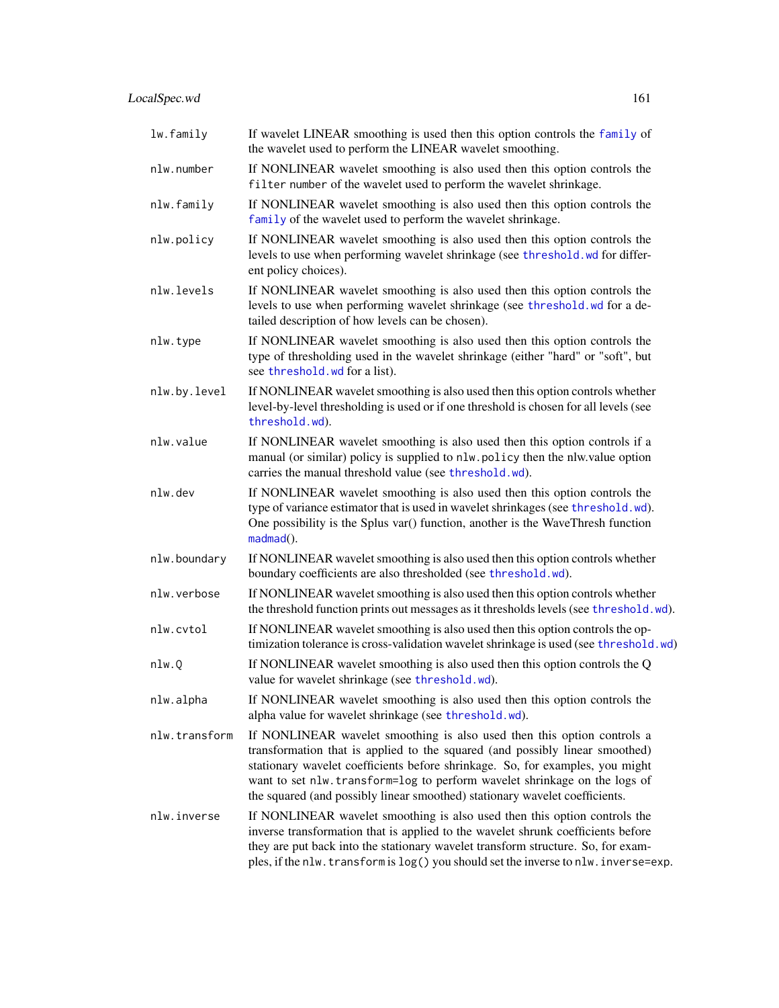| lw.family     | If wavelet LINEAR smoothing is used then this option controls the family of<br>the wavelet used to perform the LINEAR wavelet smoothing.                                                                                                                                                                                                                                                              |  |
|---------------|-------------------------------------------------------------------------------------------------------------------------------------------------------------------------------------------------------------------------------------------------------------------------------------------------------------------------------------------------------------------------------------------------------|--|
| nlw.number    | If NONLINEAR wavelet smoothing is also used then this option controls the<br>filter number of the wavelet used to perform the wavelet shrinkage.                                                                                                                                                                                                                                                      |  |
| nlw.family    | If NONLINEAR wavelet smoothing is also used then this option controls the<br>family of the wavelet used to perform the wavelet shrinkage.                                                                                                                                                                                                                                                             |  |
| nlw.policy    | If NONLINEAR wavelet smoothing is also used then this option controls the<br>levels to use when performing wavelet shrinkage (see threshold. wd for differ-<br>ent policy choices).                                                                                                                                                                                                                   |  |
| nlw.levels    | If NONLINEAR wavelet smoothing is also used then this option controls the<br>levels to use when performing wavelet shrinkage (see threshold.wd for a de-<br>tailed description of how levels can be chosen).                                                                                                                                                                                          |  |
| nlw.type      | If NONLINEAR wavelet smoothing is also used then this option controls the<br>type of thresholding used in the wavelet shrinkage (either "hard" or "soft", but<br>see threshold. wd for a list).                                                                                                                                                                                                       |  |
| nlw.by.level  | If NONLINEAR wavelet smoothing is also used then this option controls whether<br>level-by-level thresholding is used or if one threshold is chosen for all levels (see<br>threshold.wd).                                                                                                                                                                                                              |  |
| nlw.value     | If NONLINEAR wavelet smoothing is also used then this option controls if a<br>manual (or similar) policy is supplied to nlw.policy then the nlw.value option<br>carries the manual threshold value (see threshold.wd).                                                                                                                                                                                |  |
| nlw.dev       | If NONLINEAR wavelet smoothing is also used then this option controls the<br>type of variance estimator that is used in wavelet shrinkages (see threshold.wd).<br>One possibility is the Splus var() function, another is the WaveThresh function<br>$madmad()$ .                                                                                                                                     |  |
| nlw.boundary  | If NONLINEAR wavelet smoothing is also used then this option controls whether<br>boundary coefficients are also thresholded (see threshold.wd).                                                                                                                                                                                                                                                       |  |
| nlw.verbose   | If NONLINEAR wavelet smoothing is also used then this option controls whether<br>the threshold function prints out messages as it thresholds levels (see threshold.wd).                                                                                                                                                                                                                               |  |
| nlw.cvtol     | If NONLINEAR wavelet smoothing is also used then this option controls the op-<br>timization tolerance is cross-validation wavelet shrinkage is used (see threshold.wd)                                                                                                                                                                                                                                |  |
| nlw.Q         | If NONLINEAR wavelet smoothing is also used then this option controls the Q<br>value for wavelet shrinkage (see threshold.wd).                                                                                                                                                                                                                                                                        |  |
| nlw.alpha     | If NONLINEAR wavelet smoothing is also used then this option controls the<br>alpha value for wavelet shrinkage (see threshold.wd).                                                                                                                                                                                                                                                                    |  |
| nlw.transform | If NONLINEAR wavelet smoothing is also used then this option controls a<br>transformation that is applied to the squared (and possibly linear smoothed)<br>stationary wavelet coefficients before shrinkage. So, for examples, you might<br>want to set nlw. transform=log to perform wavelet shrinkage on the logs of<br>the squared (and possibly linear smoothed) stationary wavelet coefficients. |  |
| nlw.inverse   | If NONLINEAR wavelet smoothing is also used then this option controls the<br>inverse transformation that is applied to the wavelet shrunk coefficients before<br>they are put back into the stationary wavelet transform structure. So, for exam-<br>ples, if the nlw. transform is log() you should set the inverse to nlw. inverse=exp.                                                             |  |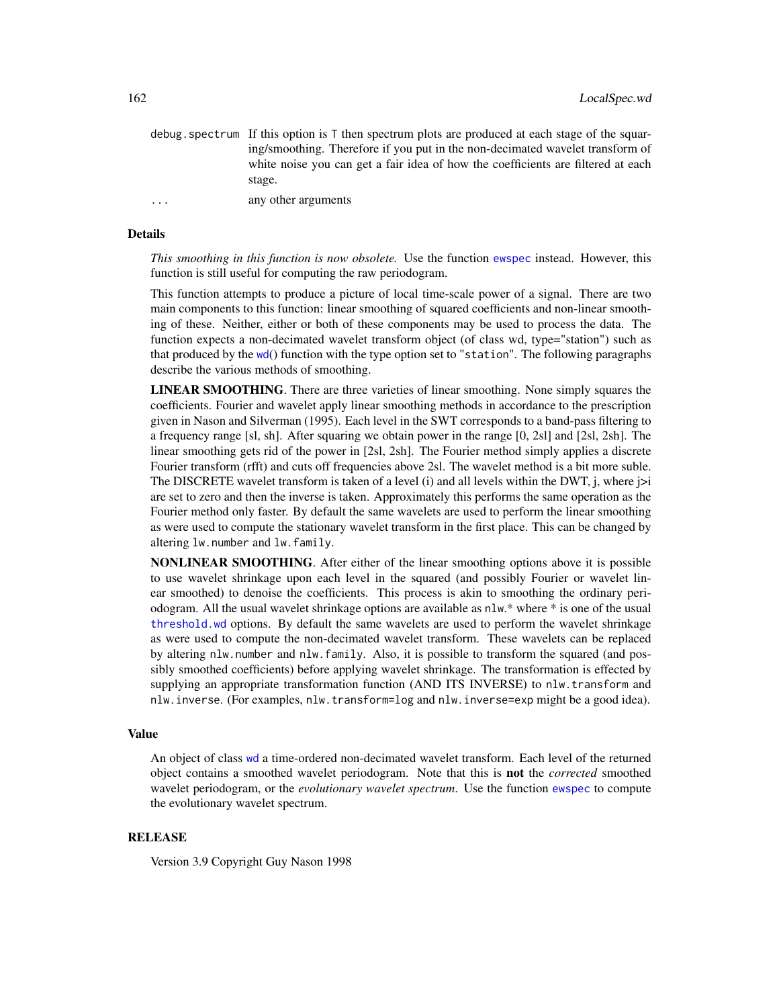|          | debug. spectrum If this option is T then spectrum plots are produced at each stage of the squar- |
|----------|--------------------------------------------------------------------------------------------------|
|          | ing/smoothing. Therefore if you put in the non-decimated wavelet transform of                    |
|          | white noise you can get a fair idea of how the coefficients are filtered at each                 |
|          | stage.                                                                                           |
| $\cdots$ | any other arguments                                                                              |

#### Details

*This smoothing in this function is now obsolete.* Use the function [ewspec](#page-94-0) instead. However, this function is still useful for computing the raw periodogram.

This function attempts to produce a picture of local time-scale power of a signal. There are two main components to this function: linear smoothing of squared coefficients and non-linear smoothing of these. Neither, either or both of these components may be used to process the data. The function expects a non-decimated wavelet transform object (of class wd, type="station") such as that produced by the [wd](#page-344-0)() function with the type option set to "station". The following paragraphs describe the various methods of smoothing.

LINEAR SMOOTHING. There are three varieties of linear smoothing. None simply squares the coefficients. Fourier and wavelet apply linear smoothing methods in accordance to the prescription given in Nason and Silverman (1995). Each level in the SWT corresponds to a band-pass filtering to a frequency range [sl, sh]. After squaring we obtain power in the range [0, 2sl] and [2sl, 2sh]. The linear smoothing gets rid of the power in [2sl, 2sh]. The Fourier method simply applies a discrete Fourier transform (rfft) and cuts off frequencies above 2sl. The wavelet method is a bit more suble. The DISCRETE wavelet transform is taken of a level  $(i)$  and all levels within the DWT,  $j$ , where  $j>i$ are set to zero and then the inverse is taken. Approximately this performs the same operation as the Fourier method only faster. By default the same wavelets are used to perform the linear smoothing as were used to compute the stationary wavelet transform in the first place. This can be changed by altering lw.number and lw.family.

NONLINEAR SMOOTHING. After either of the linear smoothing options above it is possible to use wavelet shrinkage upon each level in the squared (and possibly Fourier or wavelet linear smoothed) to denoise the coefficients. This process is akin to smoothing the ordinary periodogram. All the usual wavelet shrinkage options are available as nlw.\* where \* is one of the usual [threshold.wd](#page-318-0) options. By default the same wavelets are used to perform the wavelet shrinkage as were used to compute the non-decimated wavelet transform. These wavelets can be replaced by altering nlw.number and nlw.family. Also, it is possible to transform the squared (and possibly smoothed coefficients) before applying wavelet shrinkage. The transformation is effected by supplying an appropriate transformation function (AND ITS INVERSE) to nlw.transform and nlw.inverse. (For examples, nlw.transform=log and nlw.inverse=exp might be a good idea).

# Value

An object of class [wd](#page-344-0) a time-ordered non-decimated wavelet transform. Each level of the returned object contains a smoothed wavelet periodogram. Note that this is not the *corrected* smoothed wavelet periodogram, or the *evolutionary wavelet spectrum*. Use the function [ewspec](#page-94-0) to compute the evolutionary wavelet spectrum.

## RELEASE

Version 3.9 Copyright Guy Nason 1998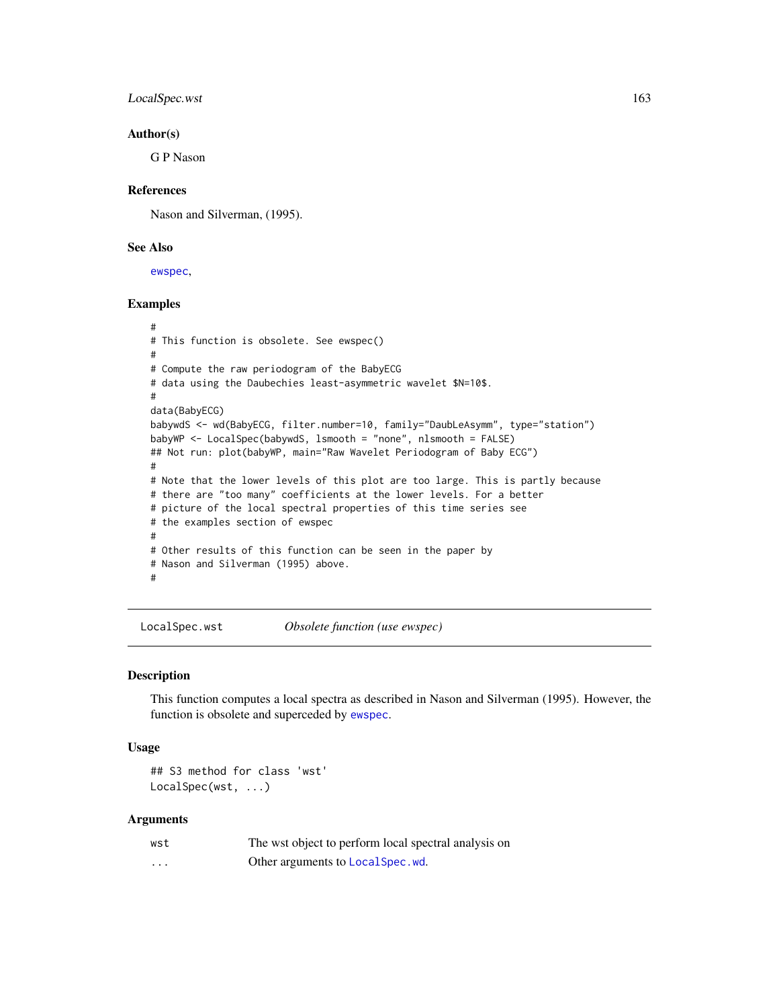LocalSpec.wst 163

### Author(s)

G P Nason

## References

Nason and Silverman, (1995).

## See Also

[ewspec](#page-94-0),

# Examples

```
#
# This function is obsolete. See ewspec()
#
# Compute the raw periodogram of the BabyECG
# data using the Daubechies least-asymmetric wavelet $N=10$.
#
data(BabyECG)
babywdS <- wd(BabyECG, filter.number=10, family="DaubLeAsymm", type="station")
babyWP <- LocalSpec(babywdS, lsmooth = "none", nlsmooth = FALSE)
## Not run: plot(babyWP, main="Raw Wavelet Periodogram of Baby ECG")
#
# Note that the lower levels of this plot are too large. This is partly because
# there are "too many" coefficients at the lower levels. For a better
# picture of the local spectral properties of this time series see
# the examples section of ewspec
#
# Other results of this function can be seen in the paper by
# Nason and Silverman (1995) above.
#
```
LocalSpec.wst *Obsolete function (use ewspec)*

#### Description

This function computes a local spectra as described in Nason and Silverman (1995). However, the function is obsolete and superceded by [ewspec](#page-94-0).

## Usage

## S3 method for class 'wst' LocalSpec(wst, ...)

#### Arguments

| wst                     | The wst object to perform local spectral analysis on |
|-------------------------|------------------------------------------------------|
| $\cdot$ $\cdot$ $\cdot$ | Other arguments to LocalSpec.wd.                     |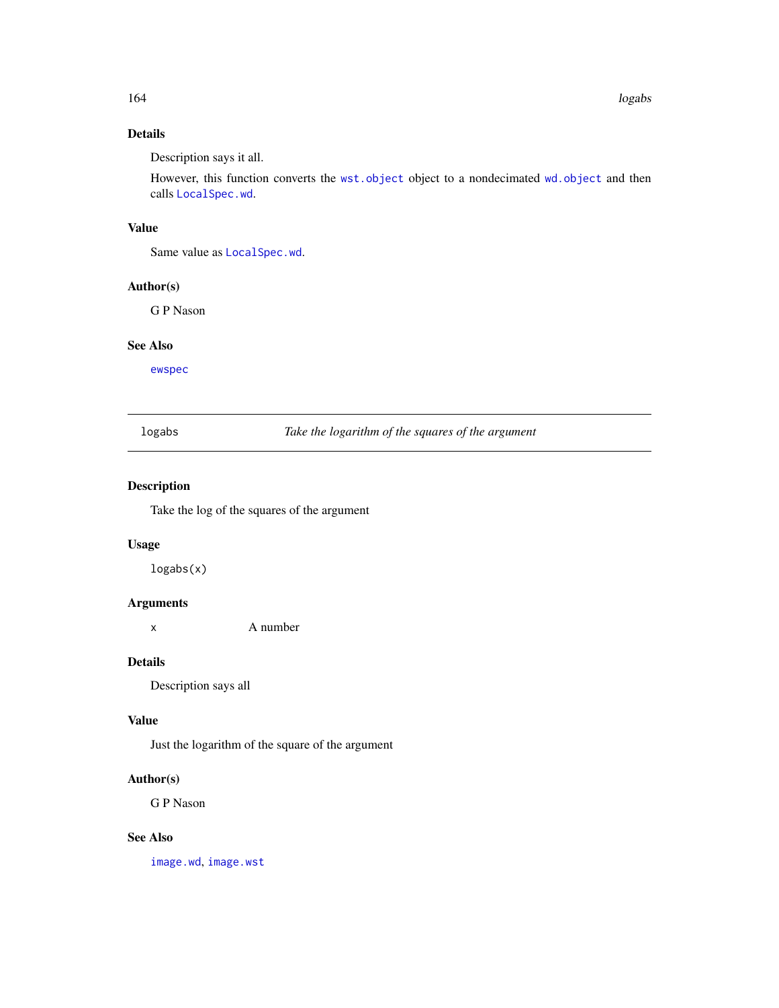# Details

Description says it all.

However, this function converts the [wst.object](#page-373-0) object to a nondecimated [wd.object](#page-351-0) and then calls [LocalSpec.wd](#page-159-0).

# Value

Same value as [LocalSpec.wd](#page-159-0).

# Author(s)

G P Nason

# See Also

[ewspec](#page-94-0)

logabs *Take the logarithm of the squares of the argument*

# Description

Take the log of the squares of the argument

# Usage

logabs(x)

# Arguments

x A number

## Details

Description says all

## Value

Just the logarithm of the square of the argument

## Author(s)

G P Nason

# See Also

[image.wd](#page-129-0), [image.wst](#page-130-0)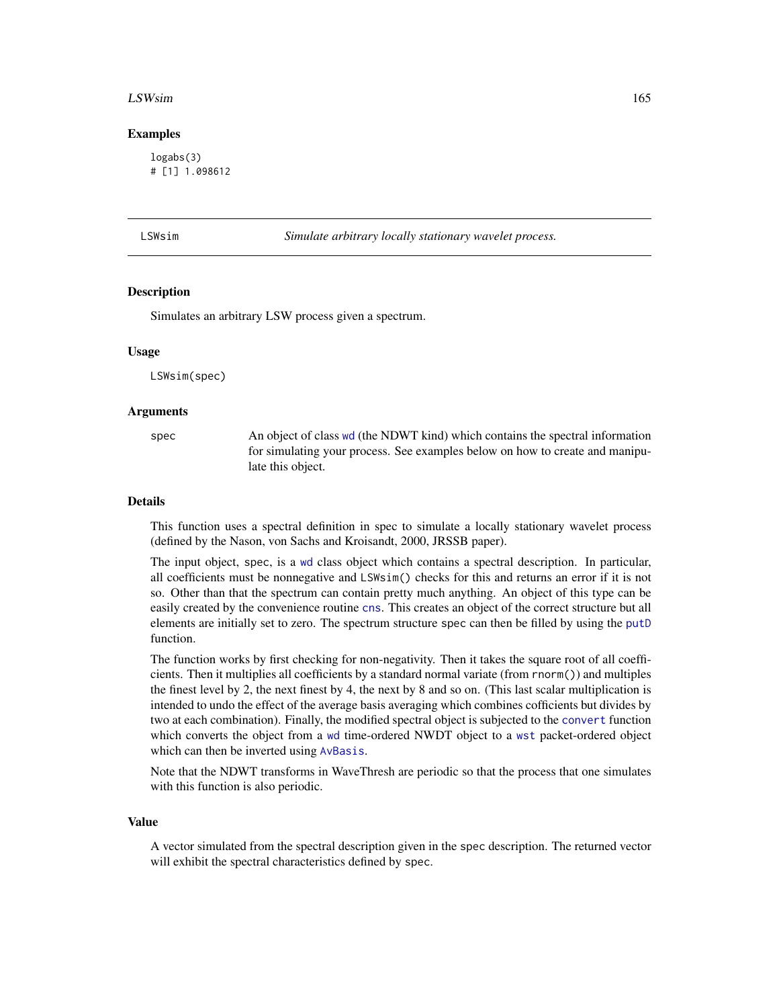#### LSWsim and the contract of the contract of the contract of the contract of the contract of the contract of the contract of the contract of the contract of the contract of the contract of the contract of the contract of the

### Examples

logabs(3) # [1] 1.098612

| SWsim |  |  |
|-------|--|--|
|       |  |  |
|       |  |  |
|       |  |  |

n **Simulate arbitrary locally stationary wavelet process.** 

## **Description**

Simulates an arbitrary LSW process given a spectrum.

#### Usage

LSWsim(spec)

## Arguments

spec An object of class [wd](#page-344-0) (the NDWT kind) which contains the spectral information for simulating your process. See examples below on how to create and manipulate this object.

#### Details

This function uses a spectral definition in spec to simulate a locally stationary wavelet process (defined by the Nason, von Sachs and Kroisandt, 2000, JRSSB paper).

The input object, spec, is a [wd](#page-344-0) class object which contains a spectral description. In particular, all coefficients must be nonnegative and LSWsim() checks for this and returns an error if it is not so. Other than that the spectrum can contain pretty much anything. An object of this type can be easily created by the convenience routine [cns](#page-47-0). This creates an object of the correct structure but all elements are initially set to zero. The spectrum structure spec can then be filled by using the [putD](#page-263-0) function.

The function works by first checking for non-negativity. Then it takes the square root of all coefficients. Then it multiplies all coefficients by a standard normal variate (from rnorm()) and multiples the finest level by 2, the next finest by 4, the next by 8 and so on. (This last scalar multiplication is intended to undo the effect of the average basis averaging which combines cofficients but divides by two at each combination). Finally, the modified spectral object is subjected to the [convert](#page-56-0) function which converts the object from a [wd](#page-344-0) time-ordered NWDT object to a [wst](#page-371-0) packet-ordered object which can then be inverted using [AvBasis](#page-26-0).

Note that the NDWT transforms in WaveThresh are periodic so that the process that one simulates with this function is also periodic.

#### Value

A vector simulated from the spectral description given in the spec description. The returned vector will exhibit the spectral characteristics defined by spec.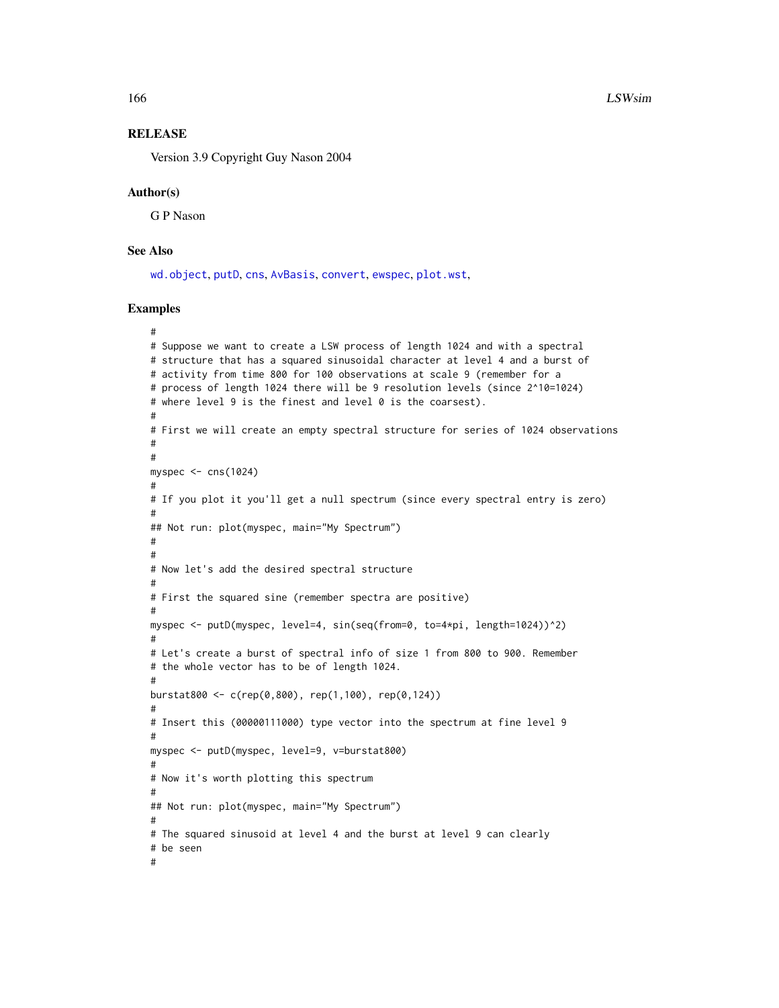## **RELEASE**

Version 3.9 Copyright Guy Nason 2004

### Author(s)

G P Nason

# See Also

[wd.object](#page-351-0), [putD](#page-263-0), [cns](#page-47-0), [AvBasis](#page-26-0), [convert](#page-56-0), [ewspec](#page-94-0), [plot.wst](#page-221-0),

## Examples

```
#
# Suppose we want to create a LSW process of length 1024 and with a spectral
# structure that has a squared sinusoidal character at level 4 and a burst of
# activity from time 800 for 100 observations at scale 9 (remember for a
# process of length 1024 there will be 9 resolution levels (since 2^10=1024)
# where level 9 is the finest and level 0 is the coarsest).
#
# First we will create an empty spectral structure for series of 1024 observations
#
#
myspec <- cns(1024)
#
# If you plot it you'll get a null spectrum (since every spectral entry is zero)
#
## Not run: plot(myspec, main="My Spectrum")
#
#
# Now let's add the desired spectral structure
#
# First the squared sine (remember spectra are positive)
#
myspec <- putD(myspec, level=4, sin(seq(from=0, to=4*pi, length=1024))^2)
#
# Let's create a burst of spectral info of size 1 from 800 to 900. Remember
# the whole vector has to be of length 1024.
#
burstat800 <- c(rep(0,800), rep(1,100), rep(0,124))
#
# Insert this (00000111000) type vector into the spectrum at fine level 9
#
myspec <- putD(myspec, level=9, v=burstat800)
#
# Now it's worth plotting this spectrum
#
## Not run: plot(myspec, main="My Spectrum")
#
# The squared sinusoid at level 4 and the burst at level 9 can clearly
# be seen
#
```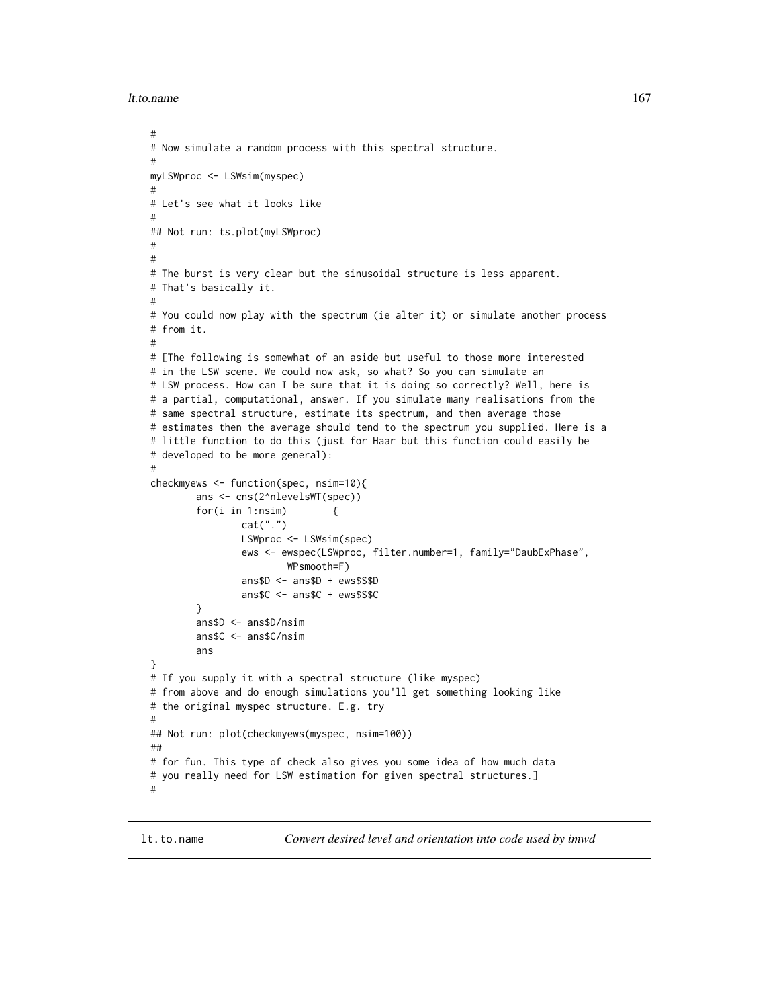```
lt.to.name 167
```

```
#
# Now simulate a random process with this spectral structure.
#
myLSWproc <- LSWsim(myspec)
#
# Let's see what it looks like
#
## Not run: ts.plot(myLSWproc)
#
#
# The burst is very clear but the sinusoidal structure is less apparent.
# That's basically it.
#
# You could now play with the spectrum (ie alter it) or simulate another process
# from it.
#
# [The following is somewhat of an aside but useful to those more interested
# in the LSW scene. We could now ask, so what? So you can simulate an
# LSW process. How can I be sure that it is doing so correctly? Well, here is
# a partial, computational, answer. If you simulate many realisations from the
# same spectral structure, estimate its spectrum, and then average those
# estimates then the average should tend to the spectrum you supplied. Here is a
# little function to do this (just for Haar but this function could easily be
# developed to be more general):
#
checkmyews <- function(spec, nsim=10){
        ans <- cns(2^nlevelsWT(spec))
        for(i in 1:nsim) {
                cat(".")
                LSWproc <- LSWsim(spec)
                ews <- ewspec(LSWproc, filter.number=1, family="DaubExPhase",
                        WPsmooth=F)
                ans$D <- ans$D + ews$S$D
                ans$C <- ans$C + ews$S$C
        }
        ans$D <- ans$D/nsim
        ans$C <- ans$C/nsim
        ans
}
# If you supply it with a spectral structure (like myspec)
# from above and do enough simulations you'll get something looking like
# the original myspec structure. E.g. try
#
## Not run: plot(checkmyews(myspec, nsim=100))
##
# for fun. This type of check also gives you some idea of how much data
# you really need for LSW estimation for given spectral structures.]
#
```
lt.to.name *Convert desired level and orientation into code used by imwd*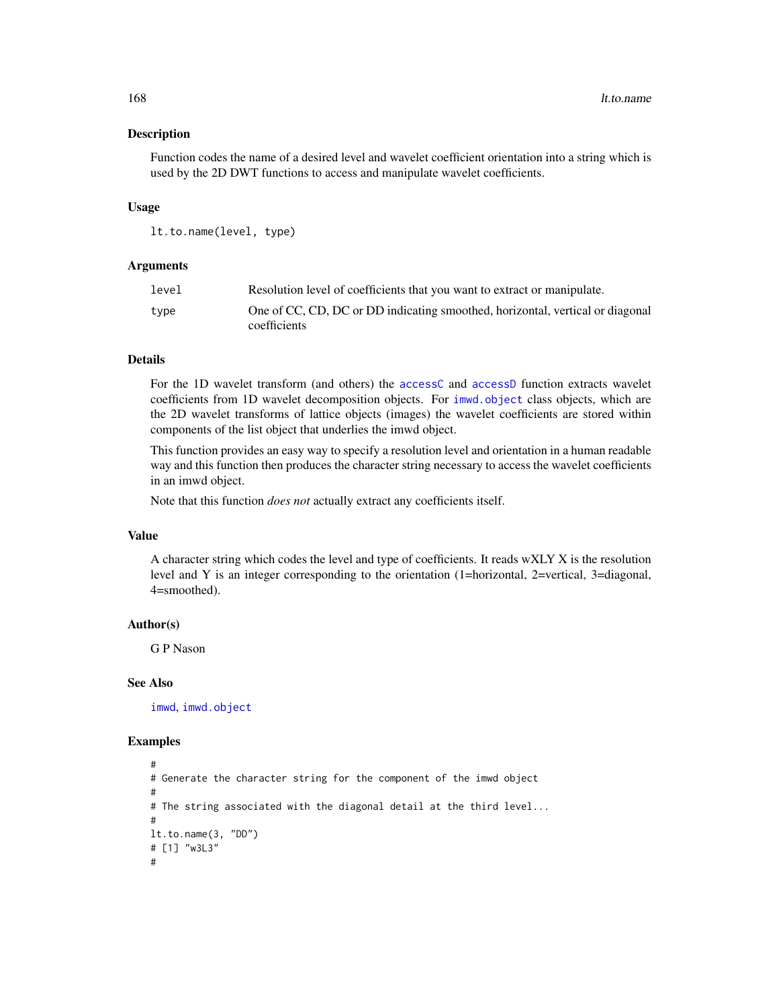### Description

Function codes the name of a desired level and wavelet coefficient orientation into a string which is used by the 2D DWT functions to access and manipulate wavelet coefficients.

## Usage

lt.to.name(level, type)

# Arguments

| level | Resolution level of coefficients that you want to extract or manipulate.                      |
|-------|-----------------------------------------------------------------------------------------------|
| type  | One of CC, CD, DC or DD indicating smoothed, horizontal, vertical or diagonal<br>coefficients |

#### Details

For the 1D wavelet transform (and others) the [accessC](#page-7-0) and [accessD](#page-14-0) function extracts wavelet coefficients from 1D wavelet decomposition objects. For [imwd.object](#page-133-0) class objects, which are the 2D wavelet transforms of lattice objects (images) the wavelet coefficients are stored within components of the list object that underlies the imwd object.

This function provides an easy way to specify a resolution level and orientation in a human readable way and this function then produces the character string necessary to access the wavelet coefficients in an imwd object.

Note that this function *does not* actually extract any coefficients itself.

# Value

A character string which codes the level and type of coefficients. It reads wXLY X is the resolution level and Y is an integer corresponding to the orientation (1=horizontal, 2=vertical, 3=diagonal, 4=smoothed).

## Author(s)

G P Nason

#### See Also

[imwd](#page-131-0), [imwd.object](#page-133-0)

#### Examples

```
#
# Generate the character string for the component of the imwd object
#
# The string associated with the diagonal detail at the third level...
#
lt.to.name(3, "DD")
# [1] "w3L3"
#
```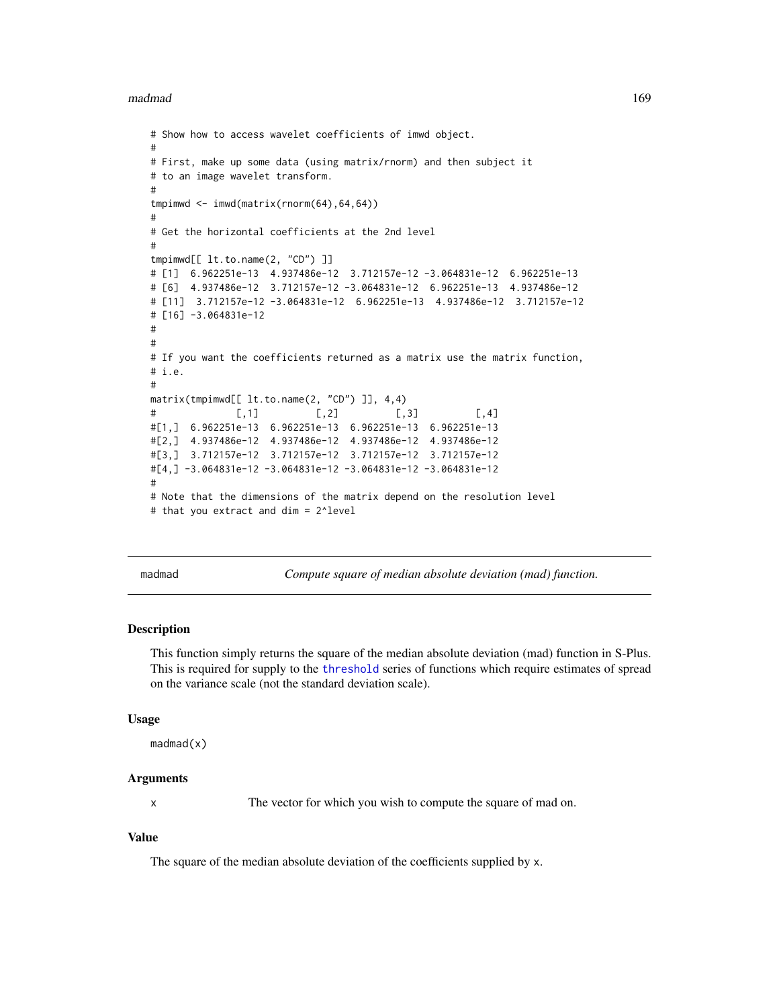madmad and the contract of the contract of the contract of the contract of the contract of the contract of the contract of the contract of the contract of the contract of the contract of the contract of the contract of the

```
# Show how to access wavelet coefficients of imwd object.
#
# First, make up some data (using matrix/rnorm) and then subject it
# to an image wavelet transform.
#
tmpimwd <- imwd(matrix(rnorm(64),64,64))
#
# Get the horizontal coefficients at the 2nd level
#
tmpimwd[[ lt.to.name(2, "CD") ]]
# [1] 6.962251e-13 4.937486e-12 3.712157e-12 -3.064831e-12 6.962251e-13
# [6] 4.937486e-12 3.712157e-12 -3.064831e-12 6.962251e-13 4.937486e-12
# [11] 3.712157e-12 -3.064831e-12 6.962251e-13 4.937486e-12 3.712157e-12
# [16] -3.064831e-12
#
#
# If you want the coefficients returned as a matrix use the matrix function,
# i.e.
#
matrix(tmpimwd[[ lt.to.name(2, "CD") ]], 4,4)
# [0,1] [0,2] [0,3] [0,4]#[1,] 6.962251e-13 6.962251e-13 6.962251e-13 6.962251e-13
#[2,] 4.937486e-12 4.937486e-12 4.937486e-12 4.937486e-12
#[3,] 3.712157e-12 3.712157e-12 3.712157e-12 3.712157e-12
#[4,] -3.064831e-12 -3.064831e-12 -3.064831e-12 -3.064831e-12
#
# Note that the dimensions of the matrix depend on the resolution level
# that you extract and dim = 2^level
```
<span id="page-168-0"></span>madmad *Compute square of median absolute deviation (mad) function.*

### Description

This function simply returns the square of the median absolute deviation (mad) function in S-Plus. This is required for supply to the [threshold](#page-307-0) series of functions which require estimates of spread on the variance scale (not the standard deviation scale).

#### Usage

```
madmad(x)
```
#### Arguments

x The vector for which you wish to compute the square of mad on.

#### Value

The square of the median absolute deviation of the coefficients supplied by x.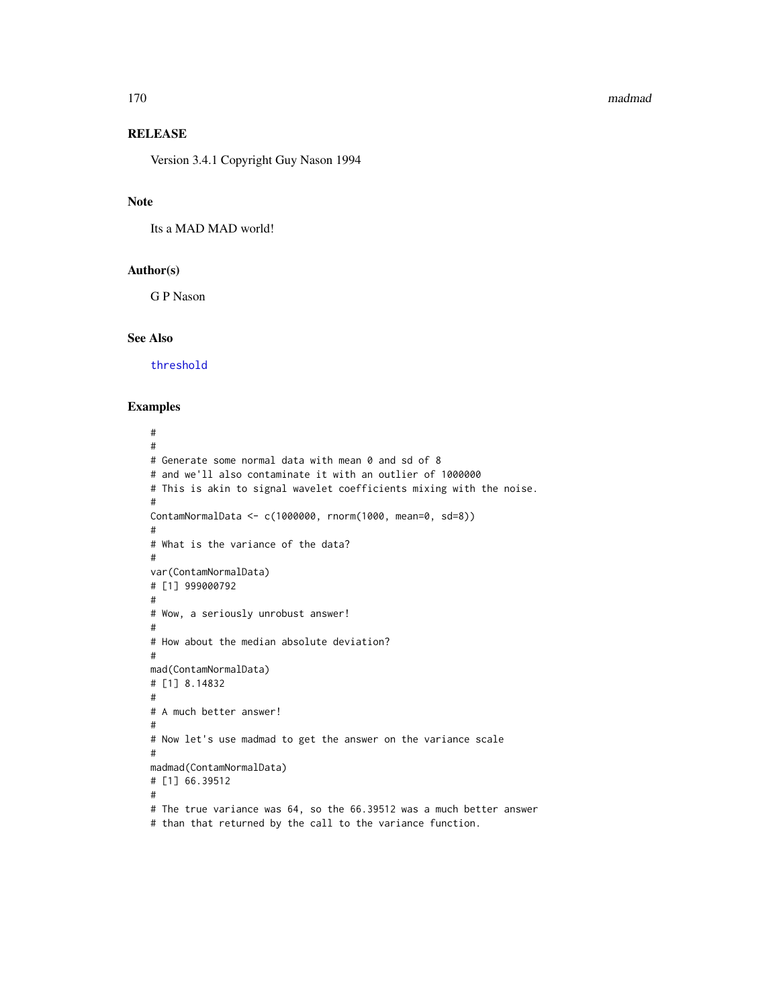#### 170 madmad na kung kalendar kasa na kung kasa na kung kasa na kung kasa na kung kasa na kung kasa na kung kasa

# RELEASE

Version 3.4.1 Copyright Guy Nason 1994

# Note

Its a MAD MAD world!

# Author(s)

G P Nason

#### See Also

[threshold](#page-307-0)

# Examples

# # # Generate some normal data with mean 0 and sd of 8 # and we'll also contaminate it with an outlier of 1000000 # This is akin to signal wavelet coefficients mixing with the noise. # ContamNormalData <- c(1000000, rnorm(1000, mean=0, sd=8)) # # What is the variance of the data? # var(ContamNormalData) # [1] 999000792 # # Wow, a seriously unrobust answer! # # How about the median absolute deviation? # mad(ContamNormalData) # [1] 8.14832 # # A much better answer! # # Now let's use madmad to get the answer on the variance scale # madmad(ContamNormalData) # [1] 66.39512 # # The true variance was 64, so the 66.39512 was a much better answer # than that returned by the call to the variance function.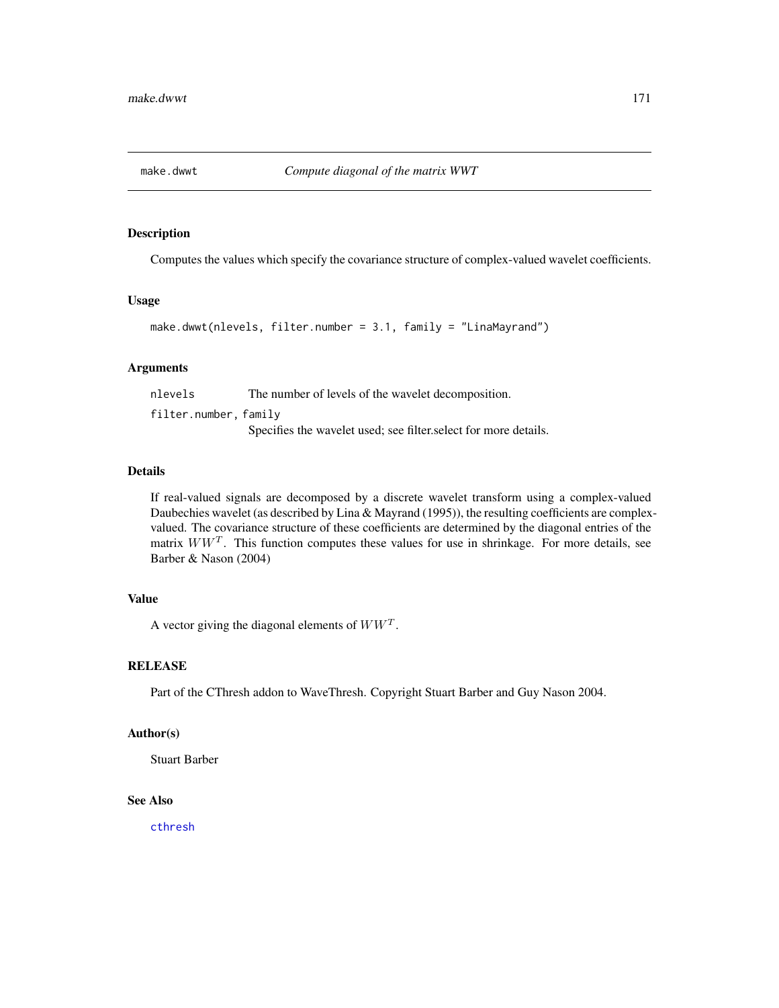# Description

Computes the values which specify the covariance structure of complex-valued wavelet coefficients.

# Usage

```
make.dwwt(nlevels, filter.number = 3.1, family = "LinaMayrand")
```
## **Arguments**

nlevels The number of levels of the wavelet decomposition. filter.number, family Specifies the wavelet used; see filter.select for more details.

## Details

If real-valued signals are decomposed by a discrete wavelet transform using a complex-valued Daubechies wavelet (as described by Lina & Mayrand (1995)), the resulting coefficients are complexvalued. The covariance structure of these coefficients are determined by the diagonal entries of the matrix  $WW<sup>T</sup>$ . This function computes these values for use in shrinkage. For more details, see Barber & Nason (2004)

# Value

A vector giving the diagonal elements of  $WW<sup>T</sup>$ .

# **RELEASE**

Part of the CThresh addon to WaveThresh. Copyright Stuart Barber and Guy Nason 2004.

# Author(s)

Stuart Barber

# See Also

[cthresh](#page-63-0)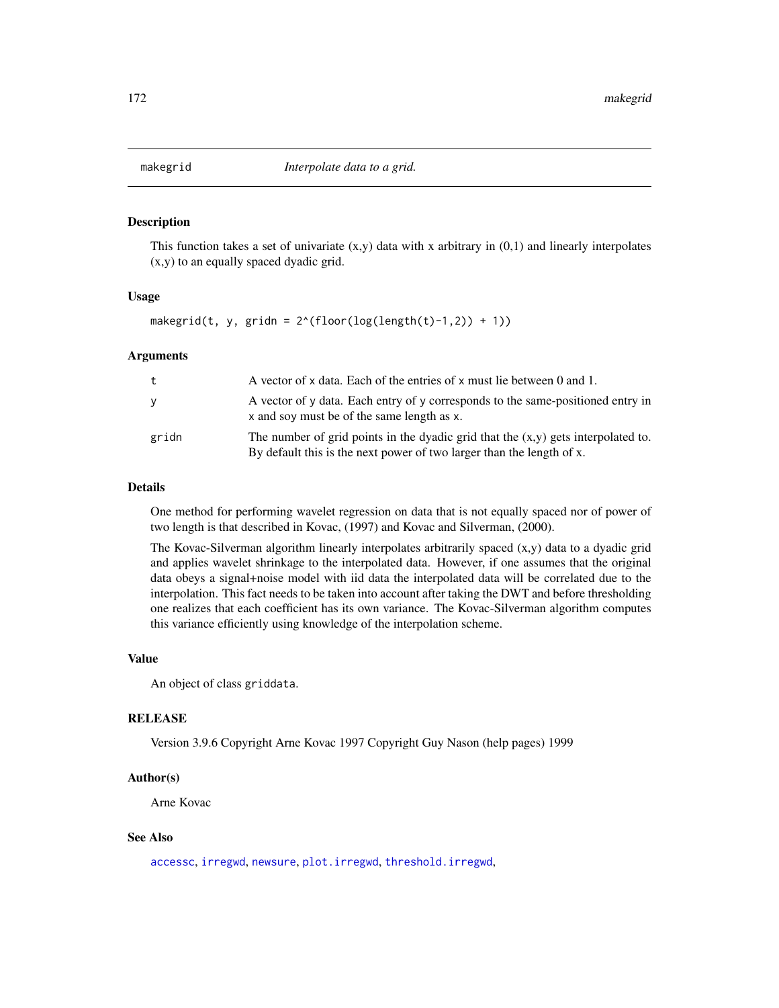<span id="page-171-0"></span>

#### Description

This function takes a set of univariate  $(x,y)$  data with x arbitrary in  $(0,1)$  and linearly interpolates (x,y) to an equally spaced dyadic grid.

## Usage

```
makegrid(t, y, gridn = 2^{(floor(\log(\text{length}(t)-1,2)) + 1))
```
## Arguments

| t     | A vector of x data. Each of the entries of x must lie between 0 and 1.                                                                                       |
|-------|--------------------------------------------------------------------------------------------------------------------------------------------------------------|
| У     | A vector of y data. Each entry of y corresponds to the same-positioned entry in<br>x and soy must be of the same length as x.                                |
| gridn | The number of grid points in the dyadic grid that the $(x,y)$ gets interpolated to.<br>By default this is the next power of two larger than the length of x. |

#### Details

One method for performing wavelet regression on data that is not equally spaced nor of power of two length is that described in Kovac, (1997) and Kovac and Silverman, (2000).

The Kovac-Silverman algorithm linearly interpolates arbitrarily spaced (x,y) data to a dyadic grid and applies wavelet shrinkage to the interpolated data. However, if one assumes that the original data obeys a signal+noise model with iid data the interpolated data will be correlated due to the interpolation. This fact needs to be taken into account after taking the DWT and before thresholding one realizes that each coefficient has its own variance. The Kovac-Silverman algorithm computes this variance efficiently using knowledge of the interpolation scheme.

# Value

An object of class griddata.

#### RELEASE

Version 3.9.6 Copyright Arne Kovac 1997 Copyright Guy Nason (help pages) 1999

## Author(s)

Arne Kovac

## See Also

[accessc](#page-8-0), [irregwd](#page-148-0), [newsure](#page-198-0), [plot.irregwd](#page-210-0), [threshold.irregwd](#page-313-0),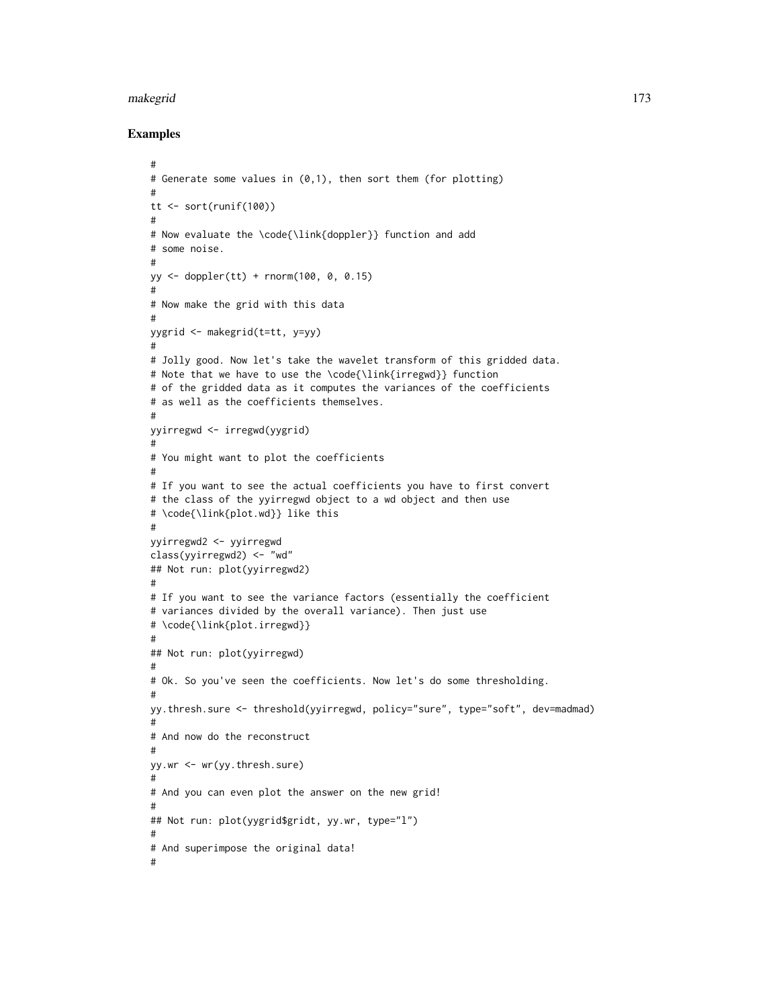#### makegrid 173

## Examples

```
#
# Generate some values in (0,1), then sort them (for plotting)
#
tt <- sort(runif(100))
#
# Now evaluate the \code{\link{doppler}} function and add
# some noise.
#
yy <- doppler(tt) + rnorm(100, 0, 0.15)
#
# Now make the grid with this data
#
yygrid <- makegrid(t=tt, y=yy)
#
# Jolly good. Now let's take the wavelet transform of this gridded data.
# Note that we have to use the \code{\link{irregwd}} function
# of the gridded data as it computes the variances of the coefficients
# as well as the coefficients themselves.
#
yyirregwd <- irregwd(yygrid)
#
# You might want to plot the coefficients
#
# If you want to see the actual coefficients you have to first convert
# the class of the yyirregwd object to a wd object and then use
# \code{\link{plot.wd}} like this
#
yyirregwd2 <- yyirregwd
class(yyirregwd2) <- "wd"
## Not run: plot(yyirregwd2)
#
# If you want to see the variance factors (essentially the coefficient
# variances divided by the overall variance). Then just use
# \code{\link{plot.irregwd}}
#
## Not run: plot(yyirregwd)
#
# Ok. So you've seen the coefficients. Now let's do some thresholding.
#
yy.thresh.sure <- threshold(yyirregwd, policy="sure", type="soft", dev=madmad)
#
# And now do the reconstruct
#
yy.wr <- wr(yy.thresh.sure)
#
# And you can even plot the answer on the new grid!
#
## Not run: plot(yygrid$gridt, yy.wr, type="l")
#
# And superimpose the original data!
#
```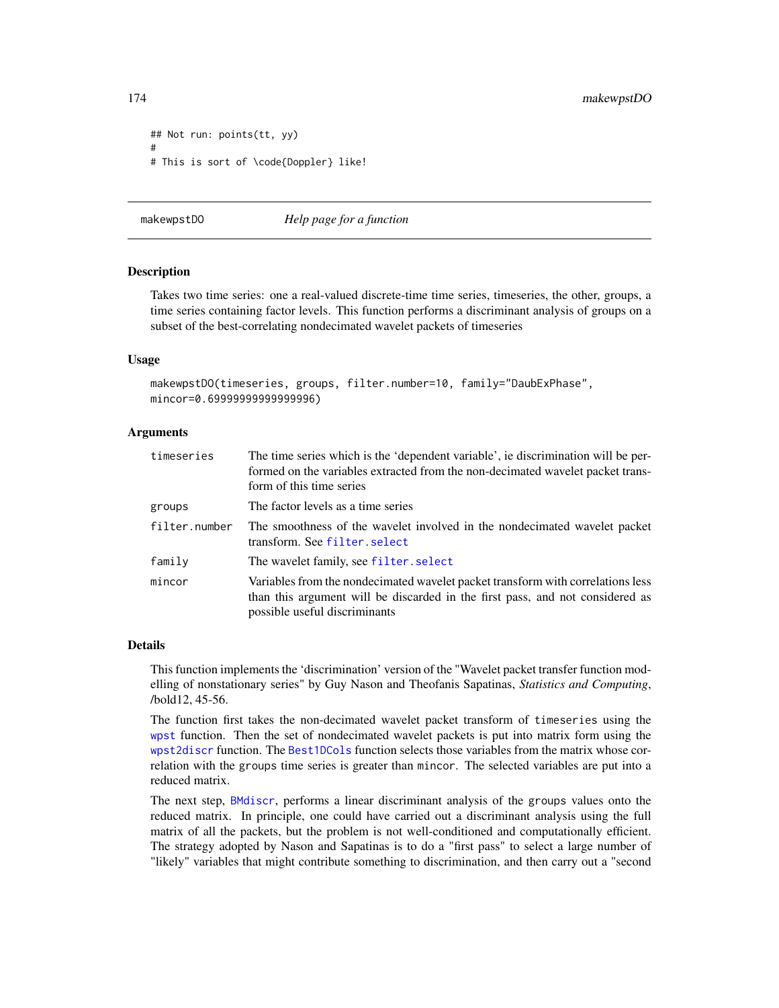```
## Not run: points(tt, yy)
#
# This is sort of \code{Doppler} like!
```
<span id="page-173-0"></span>makewpstDO *Help page for a function*

#### Description

Takes two time series: one a real-valued discrete-time time series, timeseries, the other, groups, a time series containing factor levels. This function performs a discriminant analysis of groups on a subset of the best-correlating nondecimated wavelet packets of timeseries

#### Usage

```
makewpstDO(timeseries, groups, filter.number=10, family="DaubExPhase",
mincor=0.69999999999999996)
```
## Arguments

| timeseries    | The time series which is the 'dependent variable', ie discrimination will be per-<br>formed on the variables extracted from the non-decimated wavelet packet trans-<br>form of this time series   |
|---------------|---------------------------------------------------------------------------------------------------------------------------------------------------------------------------------------------------|
| groups        | The factor levels as a time series                                                                                                                                                                |
| filter.number | The smoothness of the wavelet involved in the nondecimated wavelet packet<br>transform. See filter. select                                                                                        |
| family        | The wavelet family, see filter. select                                                                                                                                                            |
| mincor        | Variables from the nondecimated wavelet packet transform with correlations less<br>than this argument will be discarded in the first pass, and not considered as<br>possible useful discriminants |

## Details

This function implements the 'discrimination' version of the "Wavelet packet transfer function modelling of nonstationary series" by Guy Nason and Theofanis Sapatinas, *Statistics and Computing*, /bold12, 45-56.

The function first takes the non-decimated wavelet packet transform of timeseries using the [wpst](#page-359-0) function. Then the set of nondecimated wavelet packets is put into matrix form using the [wpst2discr](#page-361-0) function. The [Best1DCols](#page-40-0) function selects those variables from the matrix whose correlation with the groups time series is greater than mincor. The selected variables are put into a reduced matrix.

The next step, [BMdiscr](#page-42-0), performs a linear discriminant analysis of the groups values onto the reduced matrix. In principle, one could have carried out a discriminant analysis using the full matrix of all the packets, but the problem is not well-conditioned and computationally efficient. The strategy adopted by Nason and Sapatinas is to do a "first pass" to select a large number of "likely" variables that might contribute something to discrimination, and then carry out a "second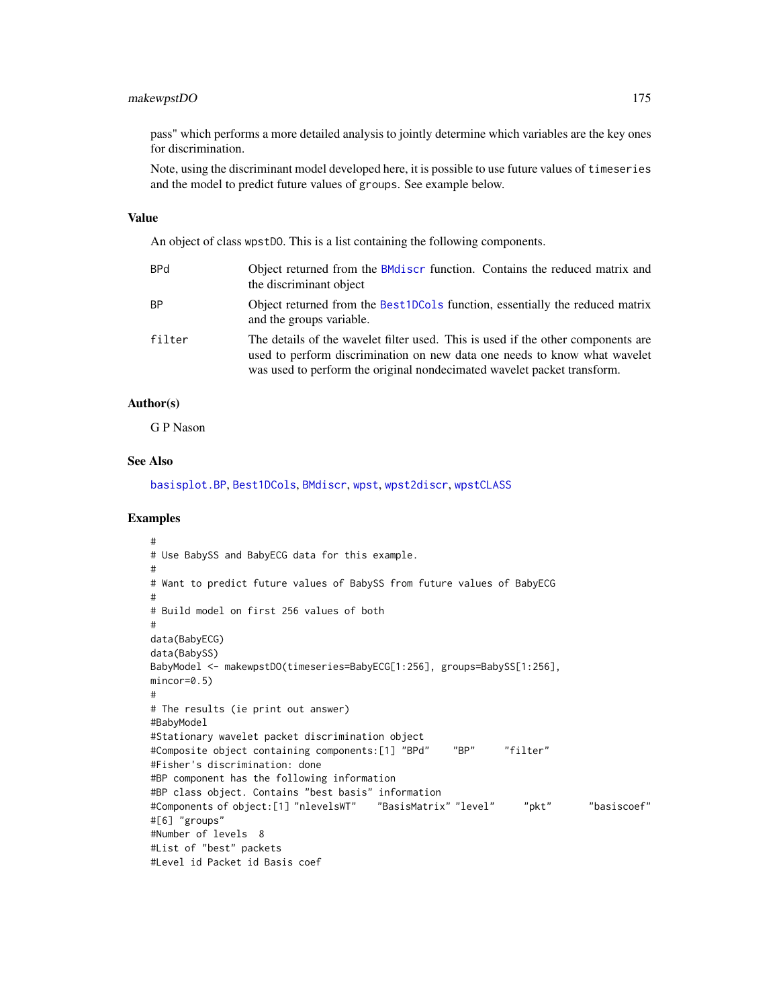# makewpstDO 175

pass" which performs a more detailed analysis to jointly determine which variables are the key ones for discrimination.

Note, using the discriminant model developed here, it is possible to use future values of timeseries and the model to predict future values of groups. See example below.

#### Value

An object of class wpstDO. This is a list containing the following components.

| BPd    | Object returned from the BMdiscr function. Contains the reduced matrix and<br>the discriminant object                                                                                                                                    |
|--------|------------------------------------------------------------------------------------------------------------------------------------------------------------------------------------------------------------------------------------------|
| ВP     | Object returned from the Best1DCols function, essentially the reduced matrix<br>and the groups variable.                                                                                                                                 |
| filter | The details of the wavelet filter used. This is used if the other components are<br>used to perform discrimination on new data one needs to know what wavelet<br>was used to perform the original nondecimated wavelet packet transform. |

## Author(s)

G P Nason

# See Also

[basisplot.BP](#page-36-0), [Best1DCols](#page-40-0), [BMdiscr](#page-42-0), [wpst](#page-359-0), [wpst2discr](#page-361-0), [wpstCLASS](#page-363-0)

# Examples

```
#
# Use BabySS and BabyECG data for this example.
#
# Want to predict future values of BabySS from future values of BabyECG
#
# Build model on first 256 values of both
#
data(BabyECG)
data(BabySS)
BabyModel <- makewpstDO(timeseries=BabyECG[1:256], groups=BabySS[1:256],
mincor=0.5)
#
# The results (ie print out answer)
#BabyModel
#Stationary wavelet packet discrimination object
#Composite object containing components:[1] "BPd" "BP" "filter"
#Fisher's discrimination: done
#BP component has the following information
#BP class object. Contains "best basis" information
#Components of object:[1] "nlevelsWT" "BasisMatrix" "level" "pkt" "basiscoef"
#[6] "groups"
#Number of levels 8
#List of "best" packets
#Level id Packet id Basis coef
```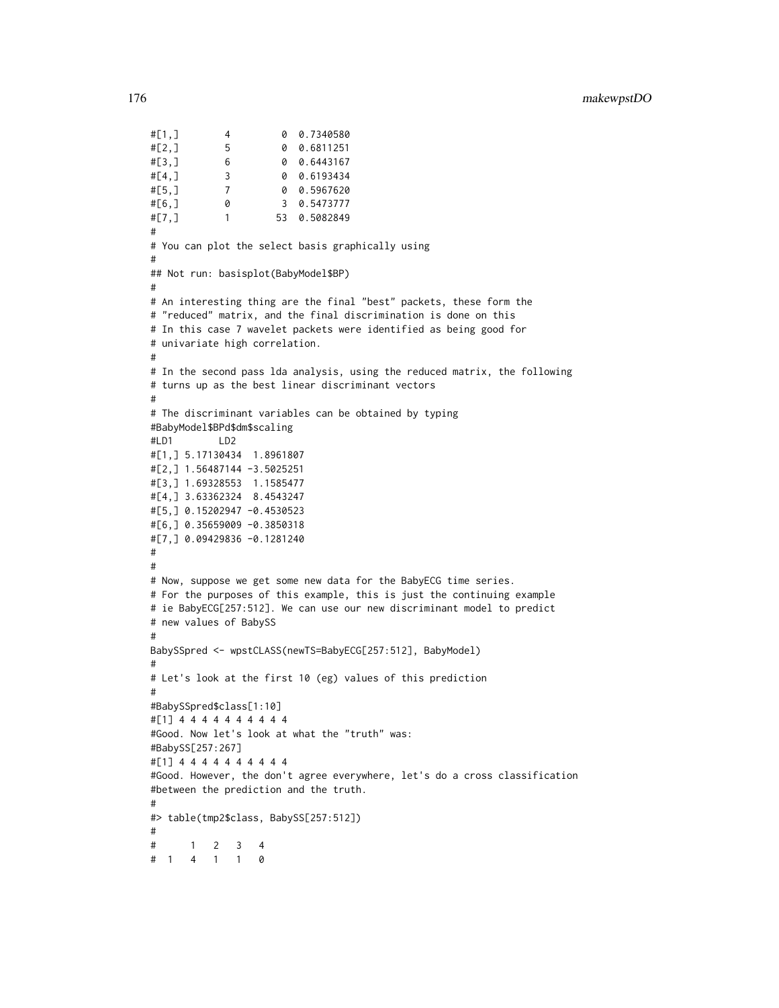#[1,] 4 0 0.7340580 #[2,] 5 0 0.6811251 #[3,] 6 0 0.6443167 #[4,] 3 0 0.6193434 #[5,] 7 0 0.5967620 #[6,] 0 3 0.5473777 #[7,] 1 53 0.5082849 # # You can plot the select basis graphically using # ## Not run: basisplot(BabyModel\$BP) # # An interesting thing are the final "best" packets, these form the # "reduced" matrix, and the final discrimination is done on this # In this case 7 wavelet packets were identified as being good for # univariate high correlation. # # In the second pass lda analysis, using the reduced matrix, the following # turns up as the best linear discriminant vectors # # The discriminant variables can be obtained by typing #BabyModel\$BPd\$dm\$scaling #LD1 LD2 #[1,] 5.17130434 1.8961807 #[2,] 1.56487144 -3.5025251 #[3,] 1.69328553 1.1585477 #[4,] 3.63362324 8.4543247 #[5,] 0.15202947 -0.4530523 #[6,] 0.35659009 -0.3850318 #[7,] 0.09429836 -0.1281240 # # # Now, suppose we get some new data for the BabyECG time series. # For the purposes of this example, this is just the continuing example # ie BabyECG[257:512]. We can use our new discriminant model to predict # new values of BabySS # BabySSpred <- wpstCLASS(newTS=BabyECG[257:512], BabyModel) # # Let's look at the first 10 (eg) values of this prediction # #BabySSpred\$class[1:10] #[1] 4 4 4 4 4 4 4 4 4 4 #Good. Now let's look at what the "truth" was: #BabySS[257:267] #[1] 4 4 4 4 4 4 4 4 4 4 #Good. However, the don't agree everywhere, let's do a cross classification #between the prediction and the truth. # #> table(tmp2\$class, BabySS[257:512]) # # 1 2 3 4 # 1 4 1 1 0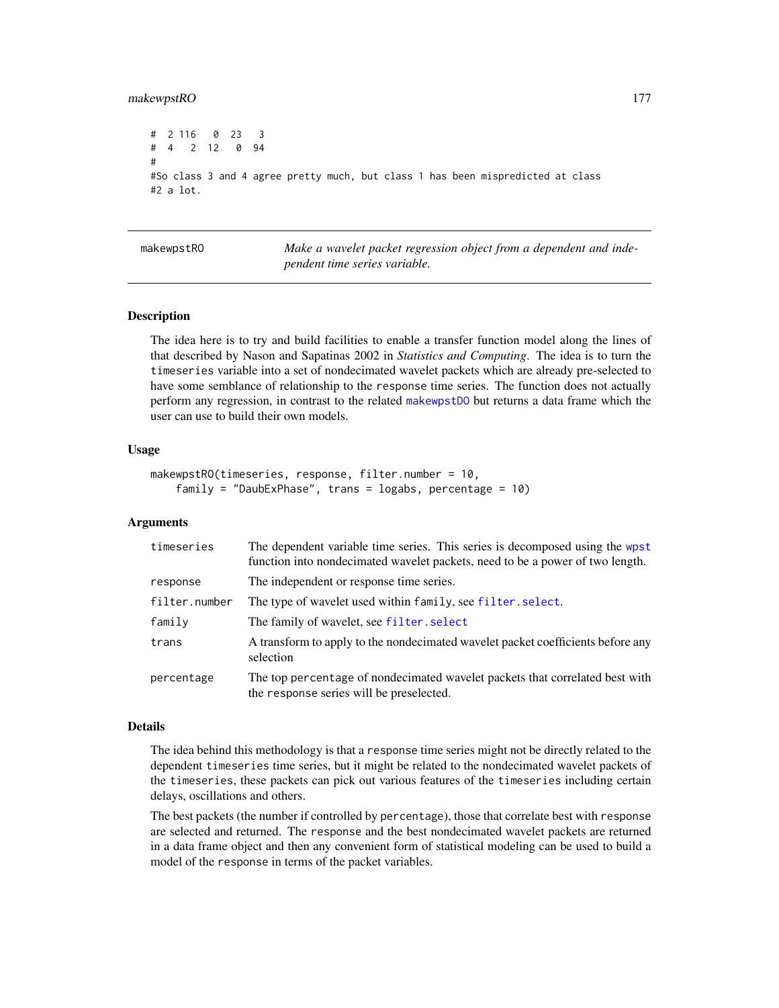## makewpstRO 177

```
# 2 116 0 23 3
# 4 2 12 0 94
#
#So class 3 and 4 agree pretty much, but class 1 has been mispredicted at class
#2 a lot.
```
makewpstRO *Make a wavelet packet regression object from a dependent and independent time series variable.*

# **Description**

The idea here is to try and build facilities to enable a transfer function model along the lines of that described by Nason and Sapatinas 2002 in *Statistics and Computing*. The idea is to turn the timeseries variable into a set of nondecimated wavelet packets which are already pre-selected to have some semblance of relationship to the response time series. The function does not actually perform any regression, in contrast to the related [makewpstDO](#page-173-0) but returns a data frame which the user can use to build their own models.

#### Usage

```
makewpstRO(timeseries, response, filter.number = 10,
    family = "DaubExPhase", trans = logabs, percentage = 10)
```
## Arguments

| timeseries    | The dependent variable time series. This series is decomposed using the wpst<br>function into nondecimated wavelet packets, need to be a power of two length. |
|---------------|---------------------------------------------------------------------------------------------------------------------------------------------------------------|
| response      | The independent or response time series.                                                                                                                      |
| filter.number | The type of wavelet used within family, see filter. select.                                                                                                   |
| family        | The family of wavelet, see filter. select                                                                                                                     |
| trans         | A transform to apply to the nondecimated wavelet packet coefficients before any<br>selection                                                                  |
| percentage    | The top percentage of nondecimated wavelet packets that correlated best with<br>the response series will be preselected.                                      |

#### Details

The idea behind this methodology is that a response time series might not be directly related to the dependent timeseries time series, but it might be related to the nondecimated wavelet packets of the timeseries, these packets can pick out various features of the timeseries including certain delays, oscillations and others.

The best packets (the number if controlled by percentage), those that correlate best with response are selected and returned. The response and the best nondecimated wavelet packets are returned in a data frame object and then any convenient form of statistical modeling can be used to build a model of the response in terms of the packet variables.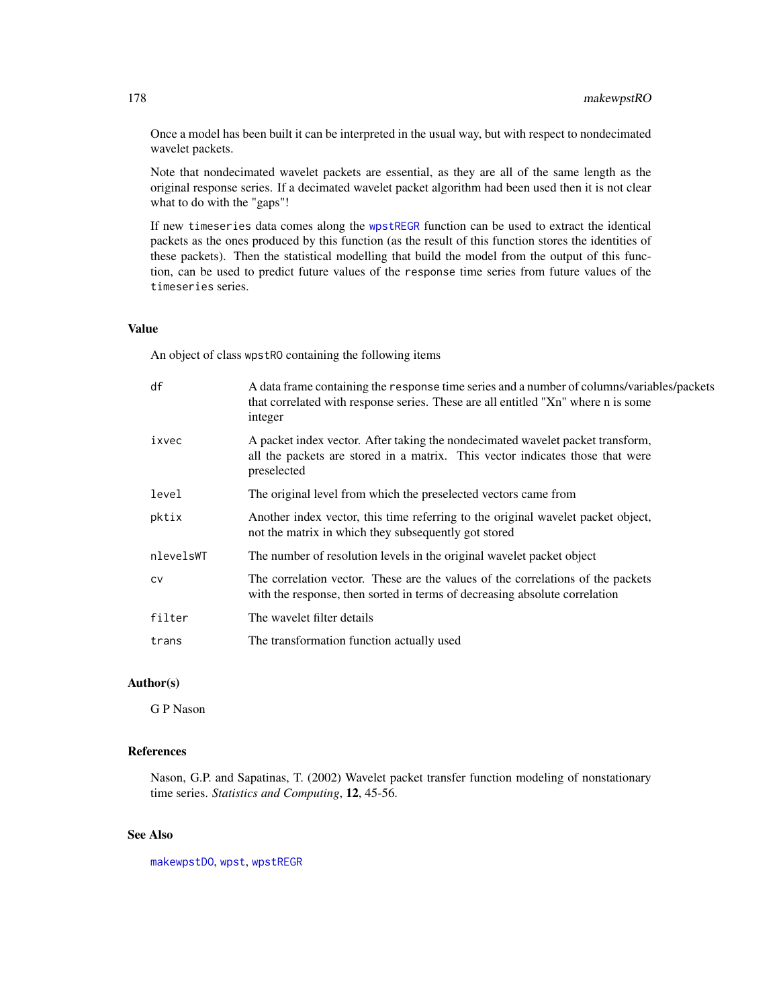Once a model has been built it can be interpreted in the usual way, but with respect to nondecimated wavelet packets.

Note that nondecimated wavelet packets are essential, as they are all of the same length as the original response series. If a decimated wavelet packet algorithm had been used then it is not clear what to do with the "gaps"!

If new timeseries data comes along the [wpstREGR](#page-364-0) function can be used to extract the identical packets as the ones produced by this function (as the result of this function stores the identities of these packets). Then the statistical modelling that build the model from the output of this function, can be used to predict future values of the response time series from future values of the timeseries series.

## Value

An object of class wpstRO containing the following items

| df        | A data frame containing the response time series and a number of columns/variables/packets<br>that correlated with response series. These are all entitled "Xn" where n is some<br>integer |
|-----------|--------------------------------------------------------------------------------------------------------------------------------------------------------------------------------------------|
| ixvec     | A packet index vector. After taking the nondecimated wavelet packet transform,<br>all the packets are stored in a matrix. This vector indicates those that were<br>preselected             |
| level     | The original level from which the preselected vectors came from                                                                                                                            |
| pktix     | Another index vector, this time referring to the original wavelet packet object,<br>not the matrix in which they subsequently got stored                                                   |
| nlevelsWT | The number of resolution levels in the original wavelet packet object                                                                                                                      |
| <b>CV</b> | The correlation vector. These are the values of the correlations of the packets<br>with the response, then sorted in terms of decreasing absolute correlation                              |
| filter    | The wavelet filter details                                                                                                                                                                 |
| trans     | The transformation function actually used                                                                                                                                                  |

# Author(s)

G P Nason

# References

Nason, G.P. and Sapatinas, T. (2002) Wavelet packet transfer function modeling of nonstationary time series. *Statistics and Computing*, 12, 45-56.

# See Also

[makewpstDO](#page-173-0), [wpst](#page-359-0), [wpstREGR](#page-364-0)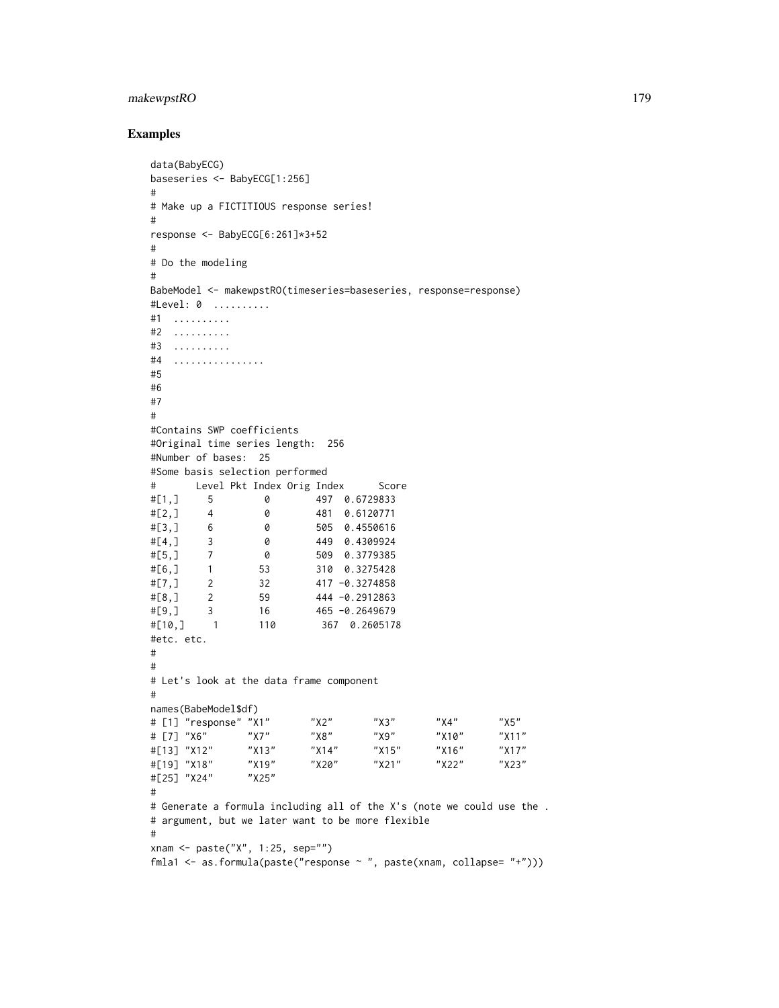# makewpstRO 179

## Examples

```
data(BabyECG)
baseseries <- BabyECG[1:256]
#
# Make up a FICTITIOUS response series!
#
response <- BabyECG[6:261]*3+52
#
# Do the modeling
#
BabeModel <- makewpstRO(timeseries=baseseries, response=response)
#Level: 0 ..........
#1 ..........
#2 ..........
#3 ..........
#4 ................
#5
#6
#7
#
#Contains SWP coefficients
#Original time series length: 256
#Number of bases: 25
#Some basis selection performed
# Level Pkt Index Orig Index Score
#[1,] 5 0 497 0.6729833
#[2,] 4 0 481 0.6120771
#[3,] 6 0 505 0.4550616
#[4,] 3 0 449 0.4309924
#[5,] 7 0 509 0.3779385
#[6,] 1 53 310 0.3275428
#[7,] 2 32 417 −0.3274858<br>#[8.] 2 59 444 −0.2912863
#[8,] 2 59 444 -0.2912863
#[9,] 3 16 465 -0.2649679
#[10,] 1 110 367 0.2605178
#etc. etc.
#
#
# Let's look at the data frame component
#
names(BabeModel$df)
# [1] "response" "X1" "X2" "X3" "X4" "X5"
# [7] "X6" "X7" "X8" "X9" "X10" "X11"
#[13] "X12" "X13" "X14" "X15" "X16" "X17"
#[19] "X18" "X19" "X20" "X21" "X22" "X23"
#[25] "X24"
#
# Generate a formula including all of the X's (note we could use the .
# argument, but we later want to be more flexible
#
xnam <- paste("X", 1:25, sep="")
fmla1 <- as.formula(paste("response ~ ", paste(xnam, collapse= "+")))
```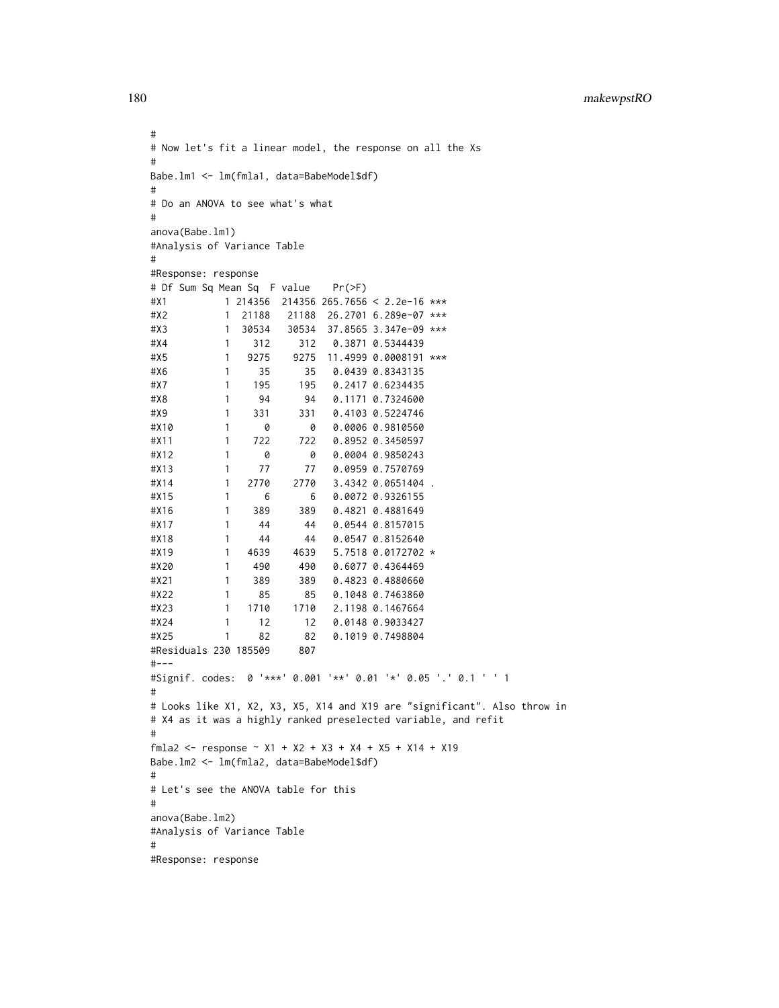180 makewpstRO

```
#
# Now let's fit a linear model, the response on all the Xs
#
Babe.lm1 <- lm(fmla1, data=BabeModel$df)
#
# Do an ANOVA to see what's what
#
anova(Babe.lm1)
#Analysis of Variance Table
#
#Response: response
# Df Sum Sq Mean Sq F value Pr(>F)
#X1 1 214356 214356 265.7656 < 2.2e-16 ***
#X2 1 21188 21188 26.2701 6.289e-07 ***
#X3 1 30534 30534 37.8565 3.347e-09 ***
#X4 1 312 312 0.3871 0.5344439
#X5 1 9275 9275 11.4999 0.0008191 ***
#X6 1 35 35 0.0439 0.8343135
#X7 1 195 195 0.2417 0.6234435
#X8 1 94 94 0.1171 0.7324600
#X9 1 331 331 0.4103 0.5224746
#X10 1 0 0 0.0006 0.9810560
#X11 1 722 722 0.8952 0.3450597
#X12 1 0 0 0.0004 0.9850243
#X13 1 77 77 0.0959 0.7570769
#X14 1 2770 2770 3.4342 0.0651404 .
#X15 1 6 6 0.0072 0.9326155
#X16 1 389 389 0.4821 0.4881649
#X17 1 44 44 0.0544 0.8157015
#X18 1 44 44 0.0547 0.8152640
#X19 1 4639 4639 5.7518 0.0172702 *
#X20 1 490 490 0.6077 0.4364469
#X21 1 389 389 0.4823 0.4880660
#X22 1 85 85 0.1048 0.7463860
#X23 1 1710 1710 2.1198 0.1467664
#X24 1 12 12 0.0148 0.9033427
#X25 1 82 82 0.1019 0.7498804
#Residuals 230 185509 807
#---
#Signif. codes: 0 '***' 0.001 '**' 0.01 '*' 0.05 '.' 0.1 ' ' 1
#
# Looks like X1, X2, X3, X5, X14 and X19 are "significant". Also throw in
# X4 as it was a highly ranked preselected variable, and refit
#
fmla2 <- response ~ X1 + X2 + X3 + X4 + X5 + X14 + X19Babe.lm2 <- lm(fmla2, data=BabeModel$df)
#
# Let's see the ANOVA table for this
#
anova(Babe.lm2)
#Analysis of Variance Table
#
#Response: response
```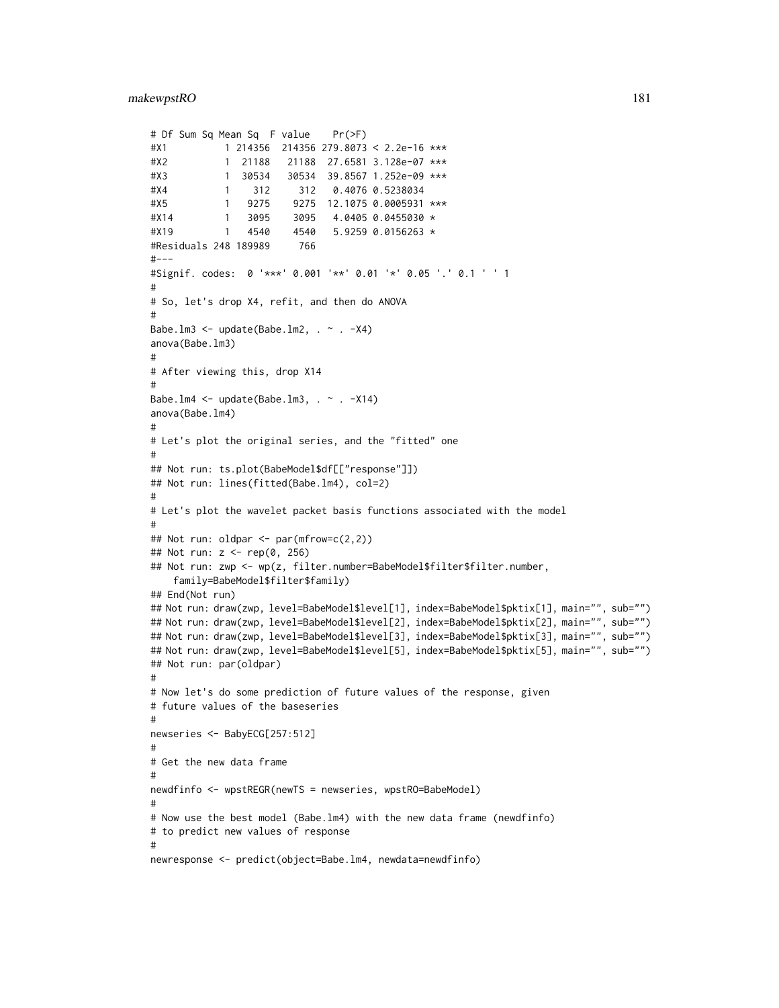```
# Df Sum Sq Mean Sq F value Pr(>F)
#X1 1 214356 214356 279.8073 < 2.2e-16 ***
#X2 1 21188 21188 27.6581 3.128e-07 ***
#X3 1 30534 30534 39.8567 1.252e-09 ***
#X4 1 312 312 0.4076 0.5238034
#X5 1 9275 9275 12.1075 0.0005931 ***
#X14 1 3095 3095 4.0405 0.0455030 *
#X19 1 4540 4540 5.9259 0.0156263 *
#Residuals 248 189989 766
#-----#Signif. codes: 0 '***' 0.001 '**' 0.01 '*' 0.05 '.' 0.1 ' ' 1
#
# So, let's drop X4, refit, and then do ANOVA
#
Babe.lm3 <- update(Babe.lm2, \sim . -X4)
anova(Babe.lm3)
#
# After viewing this, drop X14
#
Babe.lm4 \leq update(Babe.lm3, \sim . \sim X14)
anova(Babe.lm4)
#
# Let's plot the original series, and the "fitted" one
#
## Not run: ts.plot(BabeModel$df[["response"]])
## Not run: lines(fitted(Babe.lm4), col=2)
#
# Let's plot the wavelet packet basis functions associated with the model
#
## Not run: oldpar <- par(mfrow=c(2,2))
## Not run: z <- rep(0, 256)
## Not run: zwp <- wp(z, filter.number=BabeModel$filter$filter.number,
    family=BabeModel$filter$family)
## End(Not run)
## Not run: draw(zwp, level=BabeModel$level[1], index=BabeModel$pktix[1], main="", sub="")
## Not run: draw(zwp, level=BabeModel$level[2], index=BabeModel$pktix[2], main="", sub="")
## Not run: draw(zwp, level=BabeModel$level[3], index=BabeModel$pktix[3], main="", sub="")
## Not run: draw(zwp, level=BabeModel$level[5], index=BabeModel$pktix[5], main="", sub="")
## Not run: par(oldpar)
#
# Now let's do some prediction of future values of the response, given
# future values of the baseseries
#
newseries <- BabyECG[257:512]
#
# Get the new data frame
#
newdfinfo <- wpstREGR(newTS = newseries, wpstRO=BabeModel)
#
# Now use the best model (Babe.lm4) with the new data frame (newdfinfo)
# to predict new values of response
#
newresponse <- predict(object=Babe.lm4, newdata=newdfinfo)
```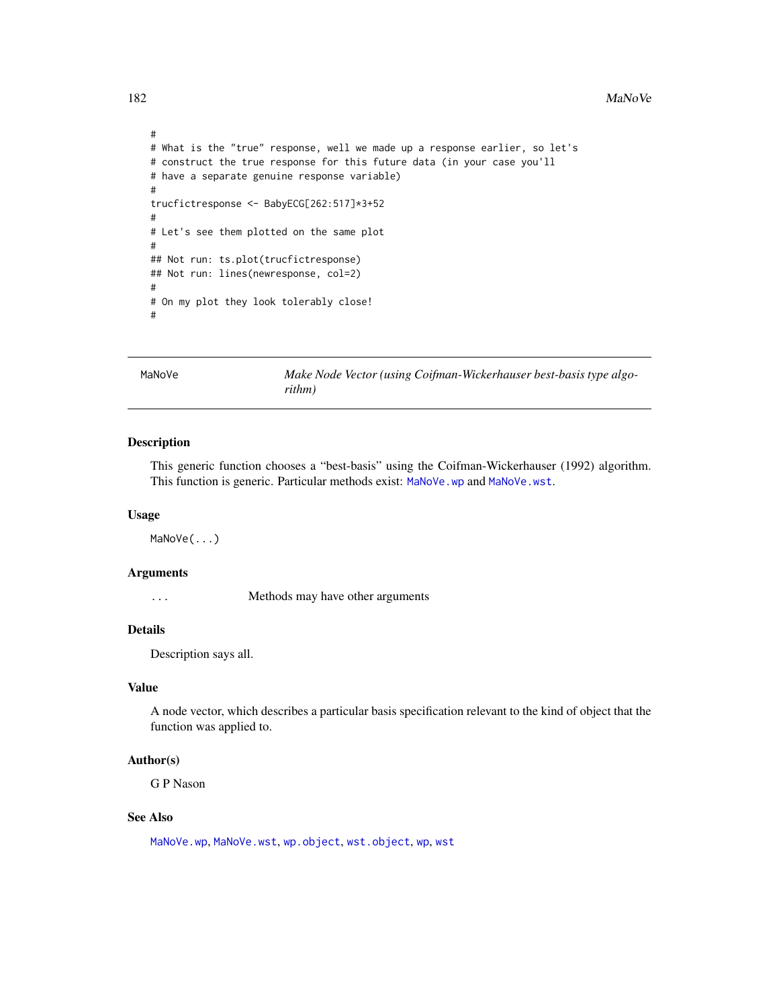#### 182 MaNoVe

```
#
# What is the "true" response, well we made up a response earlier, so let's
# construct the true response for this future data (in your case you'll
# have a separate genuine response variable)
#
trucfictresponse <- BabyECG[262:517]*3+52
#
# Let's see them plotted on the same plot
#
## Not run: ts.plot(trucfictresponse)
## Not run: lines(newresponse, col=2)
#
# On my plot they look tolerably close!
#
```
<span id="page-181-0"></span>MaNoVe *Make Node Vector (using Coifman-Wickerhauser best-basis type algorithm)*

## Description

This generic function chooses a "best-basis" using the Coifman-Wickerhauser (1992) algorithm. This function is generic. Particular methods exist: [MaNoVe.wp](#page-182-0) and [MaNoVe.wst](#page-183-0).

#### Usage

MaNoVe(...)

# Arguments

... Methods may have other arguments

# Details

Description says all.

## Value

A node vector, which describes a particular basis specification relevant to the kind of object that the function was applied to.

# Author(s)

G P Nason

# See Also

[MaNoVe.wp](#page-182-0), [MaNoVe.wst](#page-183-0), [wp.object](#page-358-0), [wst.object](#page-373-0), [wp](#page-357-0), [wst](#page-371-0)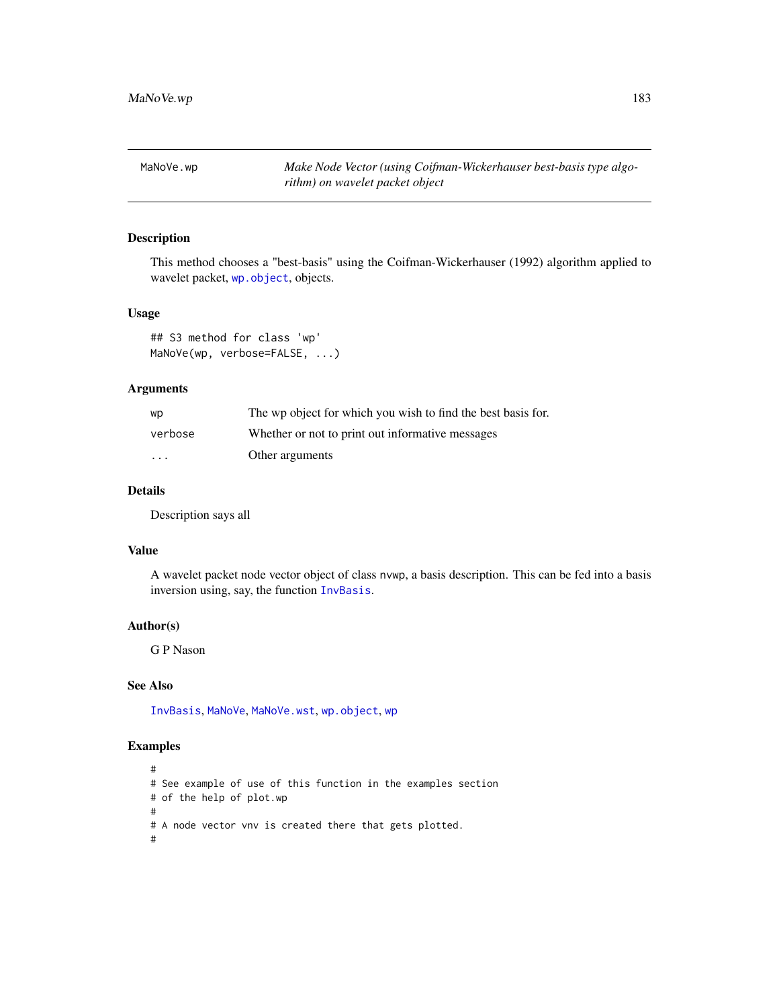<span id="page-182-0"></span>MaNoVe.wp *Make Node Vector (using Coifman-Wickerhauser best-basis type algorithm) on wavelet packet object*

# Description

This method chooses a "best-basis" using the Coifman-Wickerhauser (1992) algorithm applied to wavelet packet, [wp.object](#page-358-0), objects.

## Usage

## S3 method for class 'wp' MaNoVe(wp, verbose=FALSE, ...)

# Arguments

| wp       | The wp object for which you wish to find the best basis for. |
|----------|--------------------------------------------------------------|
| verbose  | Whether or not to print out informative messages             |
| $\cdots$ | Other arguments                                              |

# Details

Description says all

#### Value

A wavelet packet node vector object of class nvwp, a basis description. This can be fed into a basis inversion using, say, the function [InvBasis](#page-141-0).

## Author(s)

G P Nason

# See Also

[InvBasis](#page-141-0), [MaNoVe](#page-181-0), [MaNoVe.wst](#page-183-0), [wp.object](#page-358-0), [wp](#page-357-0)

```
#
# See example of use of this function in the examples section
# of the help of plot.wp
#
# A node vector vnv is created there that gets plotted.
#
```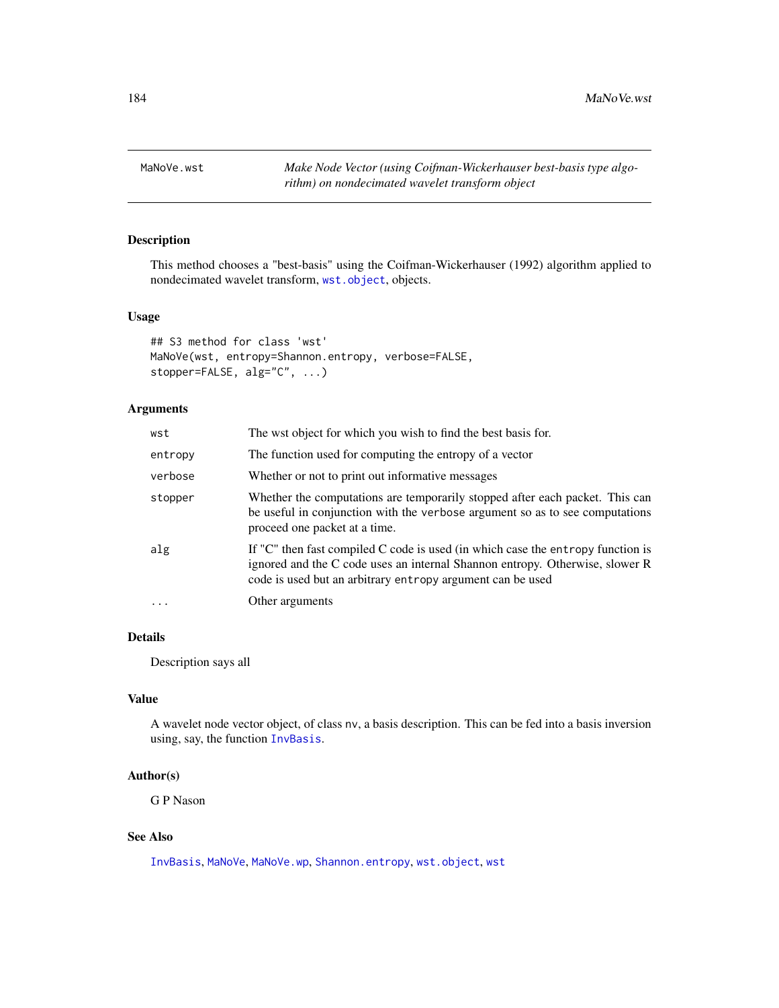<span id="page-183-0"></span>

## Description

This method chooses a "best-basis" using the Coifman-Wickerhauser (1992) algorithm applied to nondecimated wavelet transform, [wst.object](#page-373-0), objects.

# Usage

```
## S3 method for class 'wst'
MaNoVe(wst, entropy=Shannon.entropy, verbose=FALSE,
stopper=FALSE, alg="C", ...)
```
# Arguments

| wst      | The wst object for which you wish to find the best basis for.                                                                                                                                                                     |
|----------|-----------------------------------------------------------------------------------------------------------------------------------------------------------------------------------------------------------------------------------|
| entropy  | The function used for computing the entropy of a vector                                                                                                                                                                           |
| verbose  | Whether or not to print out informative messages                                                                                                                                                                                  |
| stopper  | Whether the computations are temporarily stopped after each packet. This can<br>be useful in conjunction with the verbose argument so as to see computations<br>proceed one packet at a time.                                     |
| alg      | If " $C$ " then fast compiled C code is used (in which case the entropy function is<br>ignored and the C code uses an internal Shannon entropy. Otherwise, slower R<br>code is used but an arbitrary entropy argument can be used |
| $\ddots$ | Other arguments                                                                                                                                                                                                                   |

# Details

Description says all

## Value

A wavelet node vector object, of class nv, a basis description. This can be fed into a basis inversion using, say, the function [InvBasis](#page-141-0).

## Author(s)

G P Nason

## See Also

[InvBasis](#page-141-0), [MaNoVe](#page-181-0), [MaNoVe.wp](#page-182-0), [Shannon.entropy](#page-291-0), [wst.object](#page-373-0), [wst](#page-371-0)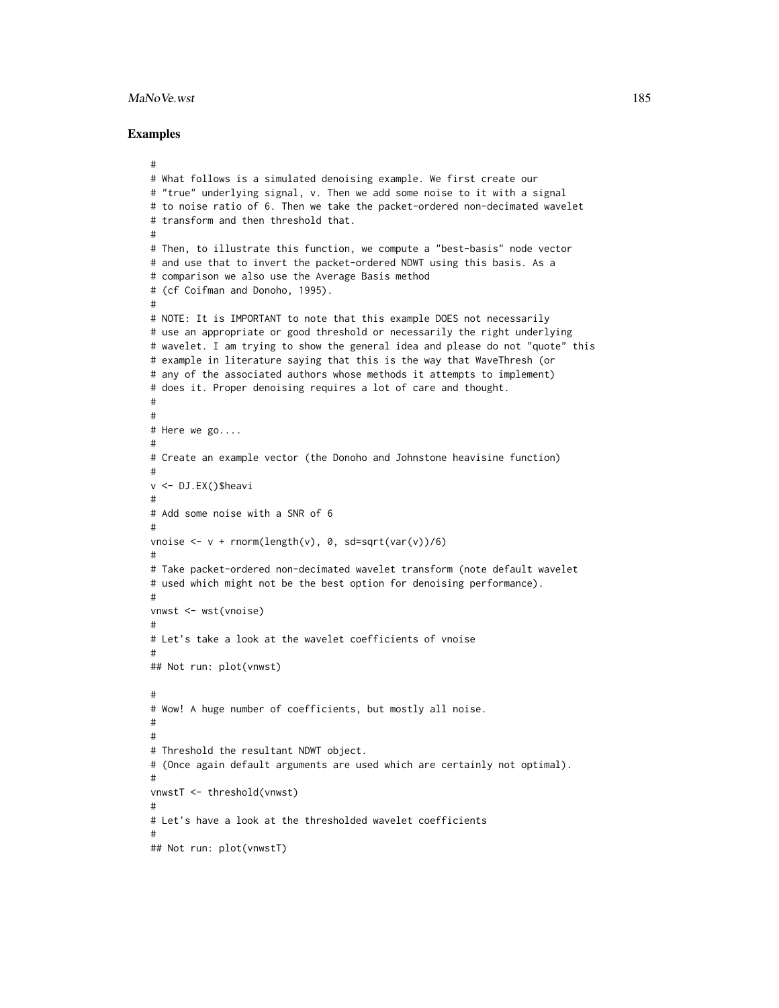#### MaNoVe.wst 185

```
#
# What follows is a simulated denoising example. We first create our
# "true" underlying signal, v. Then we add some noise to it with a signal
# to noise ratio of 6. Then we take the packet-ordered non-decimated wavelet
# transform and then threshold that.
#
# Then, to illustrate this function, we compute a "best-basis" node vector
# and use that to invert the packet-ordered NDWT using this basis. As a
# comparison we also use the Average Basis method
# (cf Coifman and Donoho, 1995).
#
# NOTE: It is IMPORTANT to note that this example DOES not necessarily
# use an appropriate or good threshold or necessarily the right underlying
# wavelet. I am trying to show the general idea and please do not "quote" this
# example in literature saying that this is the way that WaveThresh (or
# any of the associated authors whose methods it attempts to implement)
# does it. Proper denoising requires a lot of care and thought.
#
#
# Here we go....
#
# Create an example vector (the Donoho and Johnstone heavisine function)
#
v <- DJ.EX()$heavi
#
# Add some noise with a SNR of 6
#
vnoise \leftarrow v + rnorm(length(v), 0, sd=sqrt(var(v))/6)
#
# Take packet-ordered non-decimated wavelet transform (note default wavelet
# used which might not be the best option for denoising performance).
#
vnwst <- wst(vnoise)
#
# Let's take a look at the wavelet coefficients of vnoise
#
## Not run: plot(vnwst)
#
# Wow! A huge number of coefficients, but mostly all noise.
#
#
# Threshold the resultant NDWT object.
# (Once again default arguments are used which are certainly not optimal).
#
vnwstT <- threshold(vnwst)
#
# Let's have a look at the thresholded wavelet coefficients
#
## Not run: plot(vnwstT)
```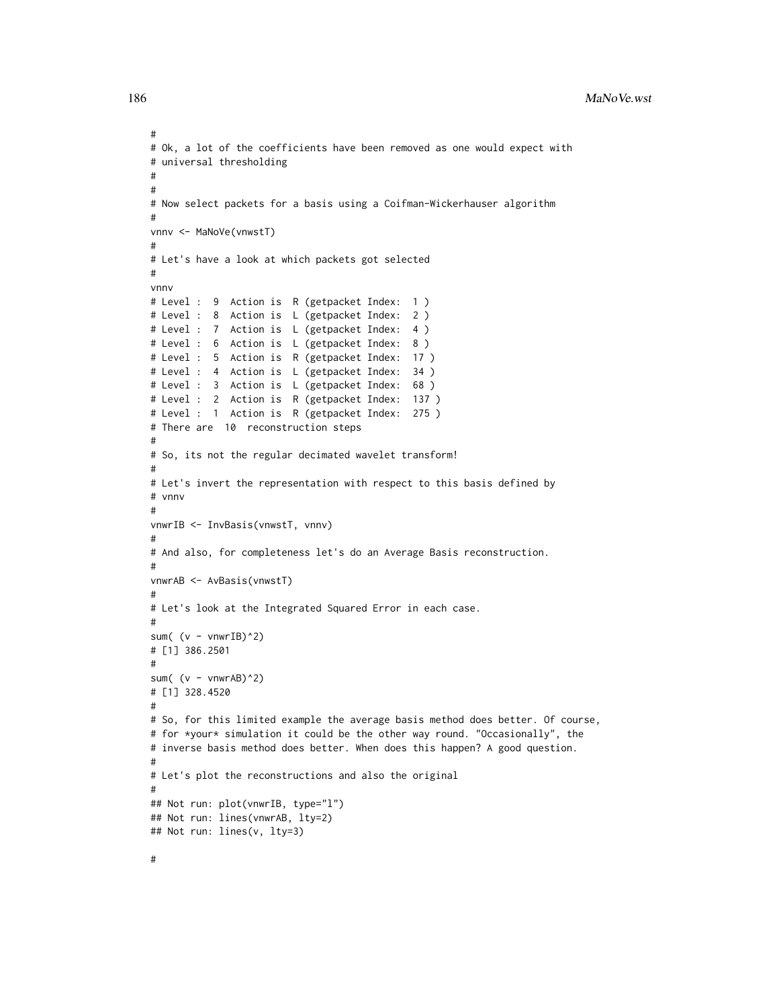#### 186 MaNoVe.wst

```
#
# Ok, a lot of the coefficients have been removed as one would expect with
# universal thresholding
#
#
# Now select packets for a basis using a Coifman-Wickerhauser algorithm
#
vnnv <- MaNoVe(vnwstT)
#
# Let's have a look at which packets got selected
#
vnnv
# Level : 9 Action is R (getpacket Index: 1 )
# Level : 8 Action is L (getpacket Index: 2 )
# Level : 7 Action is L (getpacket Index: 4 )
# Level : 6 Action is L (getpacket Index: 8 )
# Level : 5 Action is R (getpacket Index: 17 )
# Level : 4 Action is L (getpacket Index: 34 )
# Level : 3 Action is L (getpacket Index: 68 )
# Level : 2 Action is R (getpacket Index: 137 )
# Level : 1 Action is R (getpacket Index: 275 )
# There are 10 reconstruction steps
#
# So, its not the regular decimated wavelet transform!
#
# Let's invert the representation with respect to this basis defined by
# vnnv
#
vnwrIB <- InvBasis(vnwstT, vnnv)
#
# And also, for completeness let's do an Average Basis reconstruction.
#
vnwrAB <- AvBasis(vnwstT)
#
# Let's look at the Integrated Squared Error in each case.
#
sum( (v - vnwrIB)^2)
# [1] 386.2501
#
sum( (v - v^n)2)
# [1] 328.4520
#
# So, for this limited example the average basis method does better. Of course,
# for *your* simulation it could be the other way round. "Occasionally", the
# inverse basis method does better. When does this happen? A good question.
#
# Let's plot the reconstructions and also the original
#
## Not run: plot(vnwrIB, type="l")
## Not run: lines(vnwrAB, lty=2)
## Not run: lines(v, lty=3)
```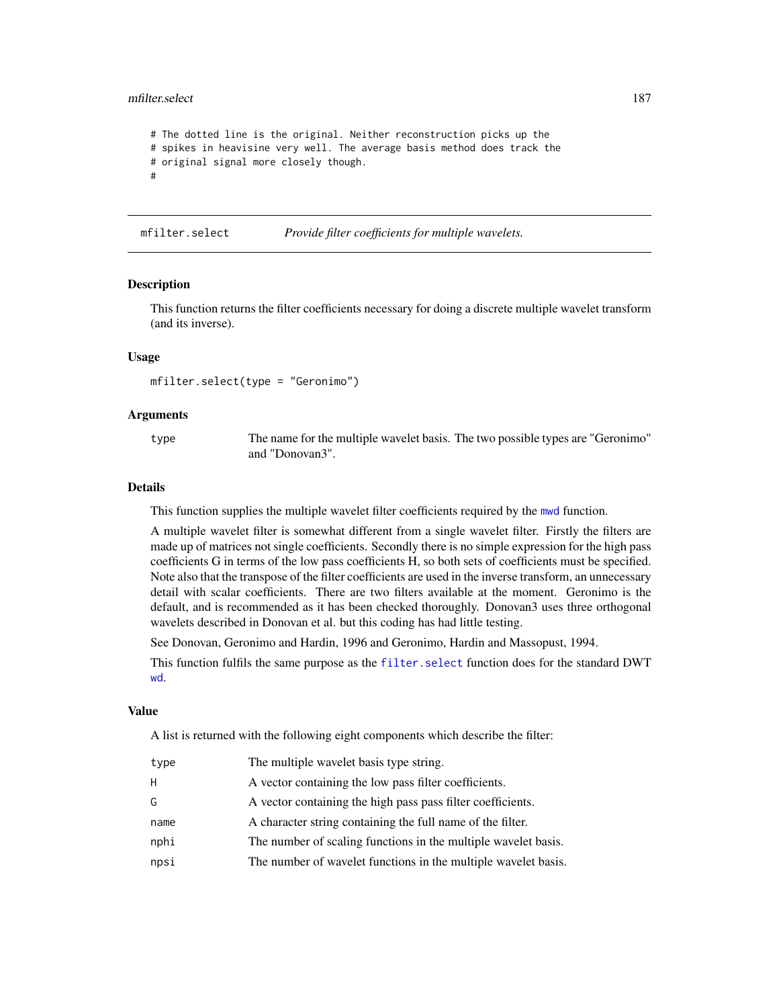#### mfilter.select 187

```
# The dotted line is the original. Neither reconstruction picks up the
# spikes in heavisine very well. The average basis method does track the
# original signal more closely though.
#
```
<span id="page-186-0"></span>mfilter.select *Provide filter coefficients for multiple wavelets.*

#### Description

This function returns the filter coefficients necessary for doing a discrete multiple wavelet transform (and its inverse).

## Usage

mfilter.select(type = "Geronimo")

#### Arguments

type The name for the multiple wavelet basis. The two possible types are "Geronimo" and "Donovan3".

#### Details

This function supplies the multiple wavelet filter coefficients required by the [mwd](#page-193-0) function.

A multiple wavelet filter is somewhat different from a single wavelet filter. Firstly the filters are made up of matrices not single coefficients. Secondly there is no simple expression for the high pass coefficients G in terms of the low pass coefficients H, so both sets of coefficients must be specified. Note also that the transpose of the filter coefficients are used in the inverse transform, an unnecessary detail with scalar coefficients. There are two filters available at the moment. Geronimo is the default, and is recommended as it has been checked thoroughly. Donovan3 uses three orthogonal wavelets described in Donovan et al. but this coding has had little testing.

See Donovan, Geronimo and Hardin, 1996 and Geronimo, Hardin and Massopust, 1994.

This function fulfils the same purpose as the [filter.select](#page-98-0) function does for the standard DWT [wd](#page-344-0).

#### Value

A list is returned with the following eight components which describe the filter:

| type | The multiple wavelet basis type string.                        |
|------|----------------------------------------------------------------|
| H.   | A vector containing the low pass filter coefficients.          |
| G    | A vector containing the high pass pass filter coefficients.    |
| name | A character string containing the full name of the filter.     |
| nphi | The number of scaling functions in the multiple wavelet basis. |
| npsi | The number of wavelet functions in the multiple wavelet basis. |
|      |                                                                |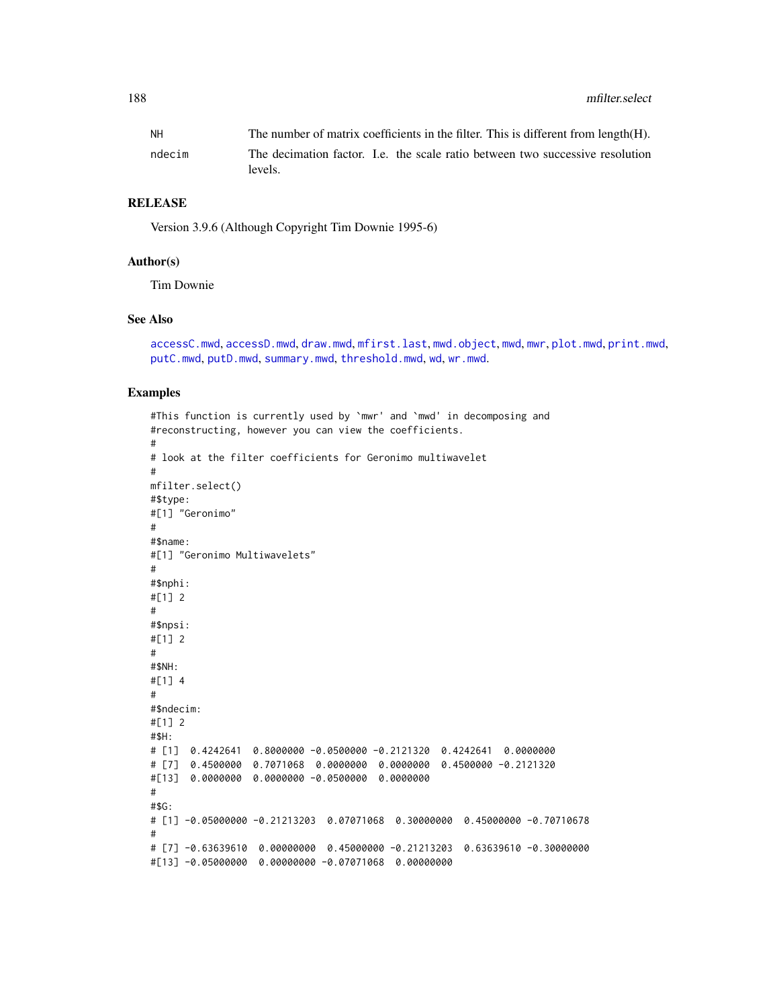# RELEASE

Version 3.9.6 (Although Copyright Tim Downie 1995-6)

#### Author(s)

Tim Downie

## See Also

```
accessC.mwd, accessD.mwd, draw.mwd, mfirst.last, mwd.object, mwd, mwr, plot.mwd, print.mwd,
putC.mwd, putD.mwd, summary.mwd, threshold.mwd, wd, wr.mwd.
```

```
#This function is currently used by `mwr' and `mwd' in decomposing and
#reconstructing, however you can view the coefficients.
#
# look at the filter coefficients for Geronimo multiwavelet
#
mfilter.select()
#$type:
#[1] "Geronimo"
#
#$name:
#[1] "Geronimo Multiwavelets"
#
#$nphi:
#[1] 2
#
#$npsi:
#[1] 2
#
#$NH:
#[1] 4
#
#$ndecim:
#[1] 2
#$H:
# [1] 0.4242641 0.8000000 -0.0500000 -0.2121320 0.4242641 0.0000000
# [7] 0.4500000 0.7071068 0.0000000 0.0000000 0.4500000 -0.2121320
#[13] 0.0000000 0.0000000 -0.0500000 0.0000000
#
#$G:
# [1] -0.05000000 -0.21213203 0.07071068 0.30000000 0.45000000 -0.70710678
#
# [7] -0.63639610 0.00000000 0.45000000 -0.21213203 0.63639610 -0.30000000
#[13] -0.05000000 0.00000000 -0.07071068 0.00000000
```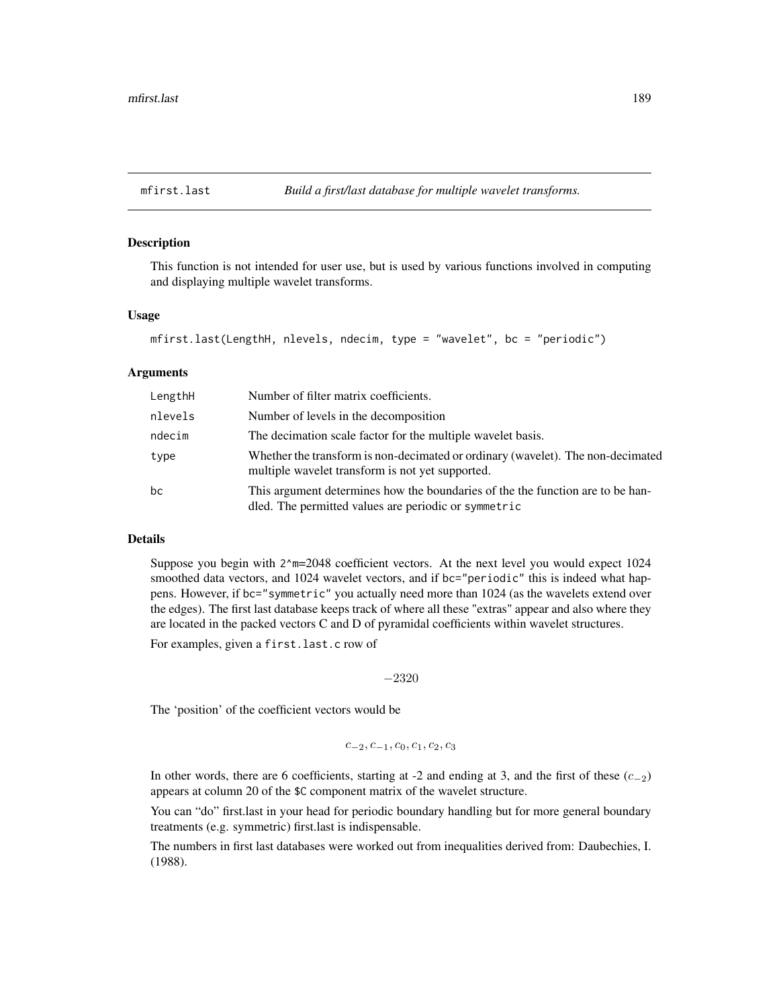<span id="page-188-0"></span>

## Description

This function is not intended for user use, but is used by various functions involved in computing and displaying multiple wavelet transforms.

## Usage

```
mfirst.last(LengthH, nlevels, ndecim, type = "wavelet", bc = "periodic")
```
## Arguments

| LengthH | Number of filter matrix coefficients.                                                                                                  |
|---------|----------------------------------------------------------------------------------------------------------------------------------------|
| nlevels | Number of levels in the decomposition                                                                                                  |
| ndecim  | The decimation scale factor for the multiple wavelet basis.                                                                            |
| type    | Whether the transform is non-decimated or ordinary (wavelet). The non-decimated<br>multiple wavelet transform is not yet supported.    |
| bc      | This argument determines how the boundaries of the the function are to be han-<br>dled. The permitted values are periodic or symmetric |

## Details

Suppose you begin with 2^m=2048 coefficient vectors. At the next level you would expect 1024 smoothed data vectors, and 1024 wavelet vectors, and if bc="periodic" this is indeed what happens. However, if bc="symmetric" you actually need more than 1024 (as the wavelets extend over the edges). The first last database keeps track of where all these "extras" appear and also where they are located in the packed vectors C and D of pyramidal coefficients within wavelet structures.

For examples, given a first.last.c row of

−2320

The 'position' of the coefficient vectors would be

$$
c_{-2}, c_{-1}, c_0, c_1, c_2, c_3
$$

In other words, there are 6 coefficients, starting at -2 and ending at 3, and the first of these  $(c_{-2})$ appears at column 20 of the \$C component matrix of the wavelet structure.

You can "do" first.last in your head for periodic boundary handling but for more general boundary treatments (e.g. symmetric) first.last is indispensable.

The numbers in first last databases were worked out from inequalities derived from: Daubechies, I. (1988).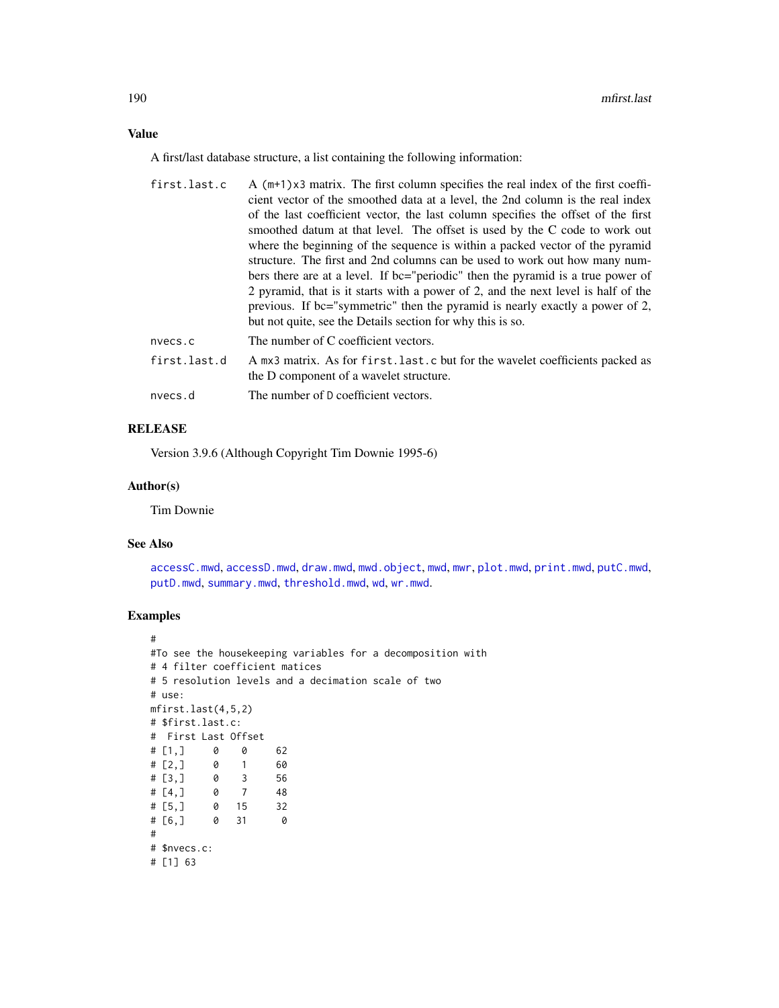A first/last database structure, a list containing the following information:

| first.last.c | A $(m+1)x3$ matrix. The first column specifies the real index of the first coeffi-                                      |
|--------------|-------------------------------------------------------------------------------------------------------------------------|
|              | cient vector of the smoothed data at a level, the 2nd column is the real index                                          |
|              | of the last coefficient vector, the last column specifies the offset of the first                                       |
|              | smoothed datum at that level. The offset is used by the C code to work out                                              |
|              | where the beginning of the sequence is within a packed vector of the pyramid                                            |
|              | structure. The first and 2nd columns can be used to work out how many num-                                              |
|              | bers there are at a level. If bc="periodic" then the pyramid is a true power of                                         |
|              | 2 pyramid, that is it starts with a power of 2, and the next level is half of the                                       |
|              | previous. If bc="symmetric" then the pyramid is nearly exactly a power of 2,                                            |
|              | but not quite, see the Details section for why this is so.                                                              |
| nvecs.c      | The number of C coefficient vectors.                                                                                    |
| first.last.d | A mx3 matrix. As for first.last.c but for the wavelet coefficients packed as<br>the D component of a wavelet structure. |
|              |                                                                                                                         |

nvecs.d The number of D coefficient vectors.

# RELEASE

Version 3.9.6 (Although Copyright Tim Downie 1995-6)

### Author(s)

Tim Downie

## See Also

[accessC.mwd](#page-9-0), [accessD.mwd](#page-15-0), [draw.mwd](#page-87-0), [mwd.object](#page-195-0), [mwd](#page-193-0), [mwr](#page-197-0), [plot.mwd](#page-212-0), [print.mwd](#page-230-0), [putC.mwd](#page-256-0), [putD.mwd](#page-264-0), [summary.mwd](#page-296-0), [threshold.mwd](#page-315-0), [wd](#page-344-0), [wr.mwd](#page-367-0).

```
#
#To see the housekeeping variables for a decomposition with
# 4 filter coefficient matices
# 5 resolution levels and a decimation scale of two
# use:
mfirst.last(4,5,2)
# $first.last.c:
# First Last Offset
# [1,] 0 0 62
# [2,] 0 1 60
# [3,] 0 3 56
# [4,] 0 7 48
# [5,] 0 15 32
# [6,] 0 31 0
#
# $nvecs.c:
# [1] 63
```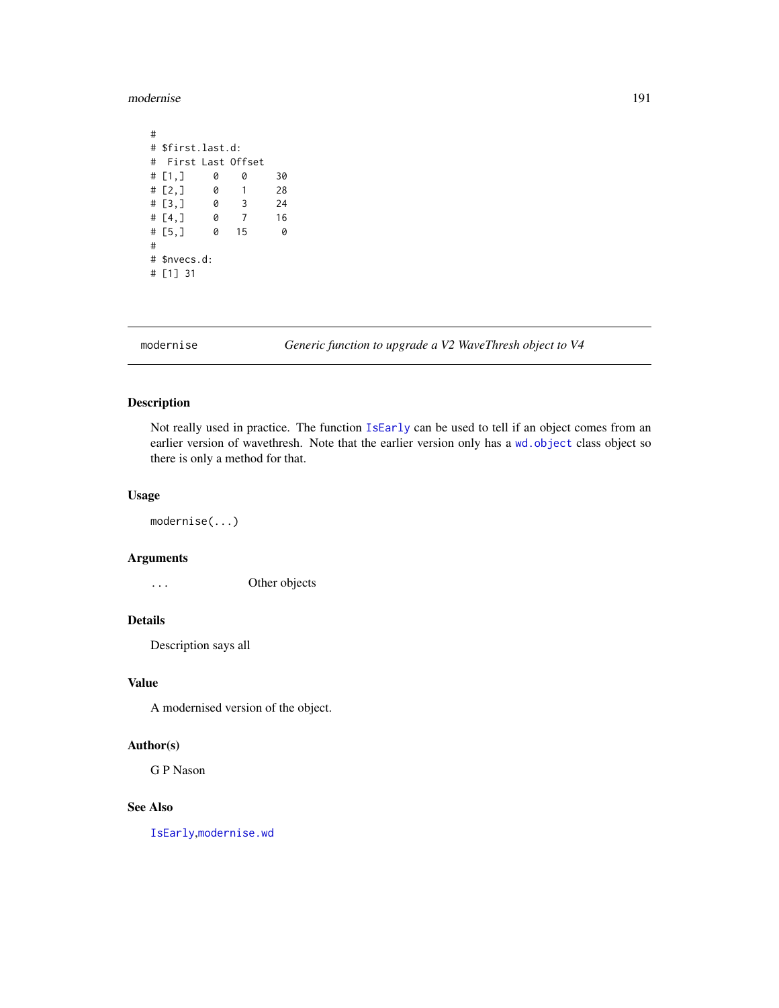#### modernise 191

# # \$first.last.d: # First Last Offset<br># [1,] 0 0 # [1,] 0 0 30  $# [2, ]$  0 1 28<br> $# [3, ]$  0 3 24 # [3,] 0 3 24 # [4,] 0 7 16 # [5,] 0 15 0 # # \$nvecs.d: # [1] 31

modernise *Generic function to upgrade a V2 WaveThresh object to V4*

# Description

Not really used in practice. The function [IsEarly](#page-151-0) can be used to tell if an object comes from an earlier version of wavethresh. Note that the earlier version only has a [wd.object](#page-351-0) class object so there is only a method for that.

# Usage

modernise(...)

#### Arguments

... Other objects

# Details

Description says all

## Value

A modernised version of the object.

#### Author(s)

G P Nason

# See Also

[IsEarly](#page-151-0),[modernise.wd](#page-191-0)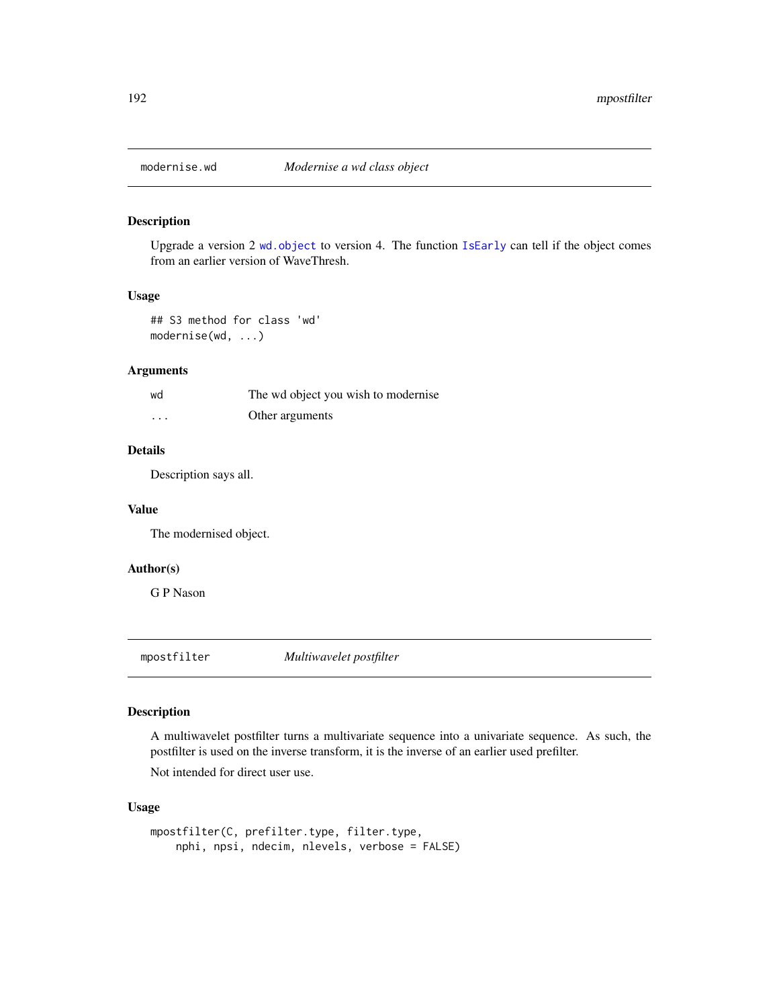<span id="page-191-0"></span>

## Description

Upgrade a version 2 [wd.object](#page-351-0) to version 4. The function [IsEarly](#page-151-0) can tell if the object comes from an earlier version of WaveThresh.

# Usage

## S3 method for class 'wd' modernise(wd, ...)

# Arguments

| wd      | The wd object you wish to modernise |
|---------|-------------------------------------|
| $\cdot$ | Other arguments                     |

# Details

Description says all.

## Value

The modernised object.

## Author(s)

G P Nason

<span id="page-191-1"></span>mpostfilter *Multiwavelet postfilter*

#### Description

A multiwavelet postfilter turns a multivariate sequence into a univariate sequence. As such, the postfilter is used on the inverse transform, it is the inverse of an earlier used prefilter.

Not intended for direct user use.

# Usage

```
mpostfilter(C, prefilter.type, filter.type,
   nphi, npsi, ndecim, nlevels, verbose = FALSE)
```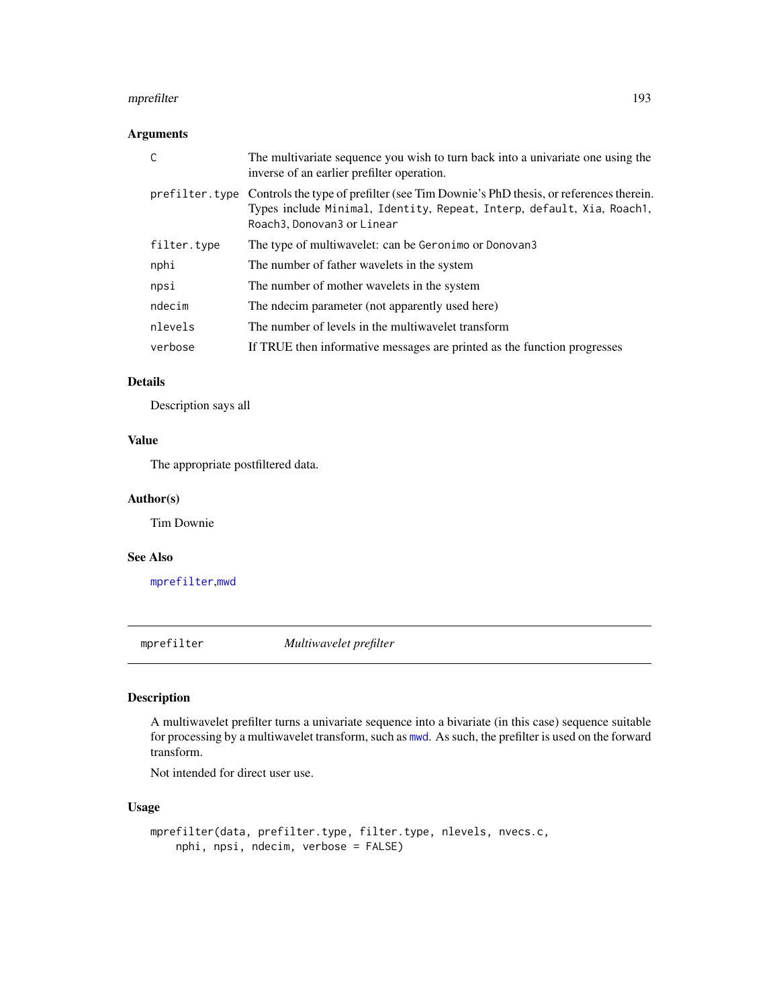#### mprefilter that the contract of the contract of the contract of the contract of the contract of the contract of the contract of the contract of the contract of the contract of the contract of the contract of the contract o

## Arguments

| C           | The multivariate sequence you wish to turn back into a univariate one using the<br>inverse of an earlier prefilter operation.                                                                               |
|-------------|-------------------------------------------------------------------------------------------------------------------------------------------------------------------------------------------------------------|
|             | prefilter. type Controls the type of prefilter (see Tim Downie's PhD thesis, or references therein.<br>Types include Minimal, Identity, Repeat, Interp, default, Xia, Roach1,<br>Roach3, Donovan3 or Linear |
| filter.type | The type of multiwavelet: can be Geronimo or Donovan3                                                                                                                                                       |
| nphi        | The number of father wavelets in the system                                                                                                                                                                 |
| npsi        | The number of mother wavelets in the system                                                                                                                                                                 |
| ndecim      | The ndecim parameter (not apparently used here)                                                                                                                                                             |
| nlevels     | The number of levels in the multiwavelet transform                                                                                                                                                          |
| verbose     | If TRUE then informative messages are printed as the function progresses                                                                                                                                    |

# Details

Description says all

# Value

The appropriate postfiltered data.

# Author(s)

Tim Downie

## See Also

[mprefilter](#page-192-0),[mwd](#page-193-0)

<span id="page-192-0"></span>mprefilter *Multiwavelet prefilter*

# Description

A multiwavelet prefilter turns a univariate sequence into a bivariate (in this case) sequence suitable for processing by a multiwavelet transform, such as [mwd](#page-193-0). As such, the prefilter is used on the forward transform.

Not intended for direct user use.

# Usage

```
mprefilter(data, prefilter.type, filter.type, nlevels, nvecs.c,
    nphi, npsi, ndecim, verbose = FALSE)
```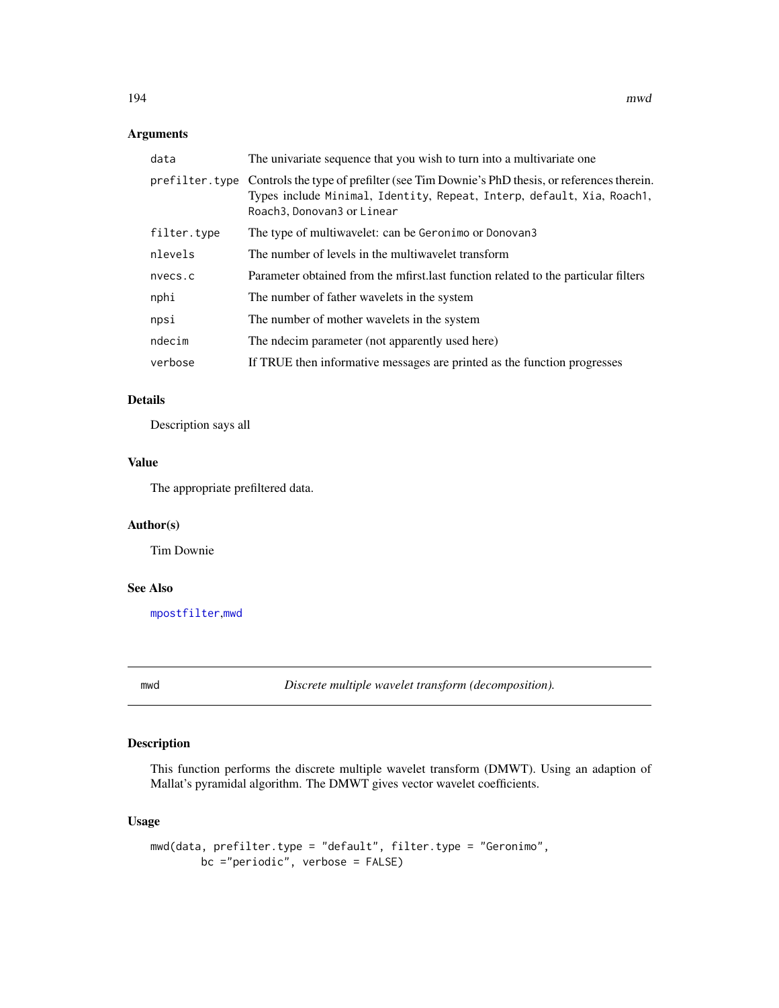# Arguments

| data        | The univariate sequence that you wish to turn into a multivariate one.                                                                                                                                      |
|-------------|-------------------------------------------------------------------------------------------------------------------------------------------------------------------------------------------------------------|
|             | prefilter. type Controls the type of prefilter (see Tim Downie's PhD thesis, or references therein.<br>Types include Minimal, Identity, Repeat, Interp, default, Xia, Roach1,<br>Roach3, Donovan3 or Linear |
| filter.type | The type of multiwavelet: can be Geronimo or Donovan3                                                                                                                                                       |
| nlevels     | The number of levels in the multiwavelet transform                                                                                                                                                          |
| nvecs.c     | Parameter obtained from the mfirst last function related to the particular filters                                                                                                                          |
| nphi        | The number of father wavelets in the system                                                                                                                                                                 |
| npsi        | The number of mother wavelets in the system                                                                                                                                                                 |
| ndecim      | The ndecim parameter (not apparently used here)                                                                                                                                                             |
| verbose     | If TRUE then informative messages are printed as the function progresses                                                                                                                                    |

# Details

Description says all

# Value

The appropriate prefiltered data.

# Author(s)

Tim Downie

# See Also

[mpostfilter](#page-191-1),[mwd](#page-193-0)

<span id="page-193-0"></span>

mwd *Discrete multiple wavelet transform (decomposition).*

# Description

This function performs the discrete multiple wavelet transform (DMWT). Using an adaption of Mallat's pyramidal algorithm. The DMWT gives vector wavelet coefficients.

# Usage

```
mwd(data, prefilter.type = "default", filter.type = "Geronimo",
       bc ="periodic", verbose = FALSE)
```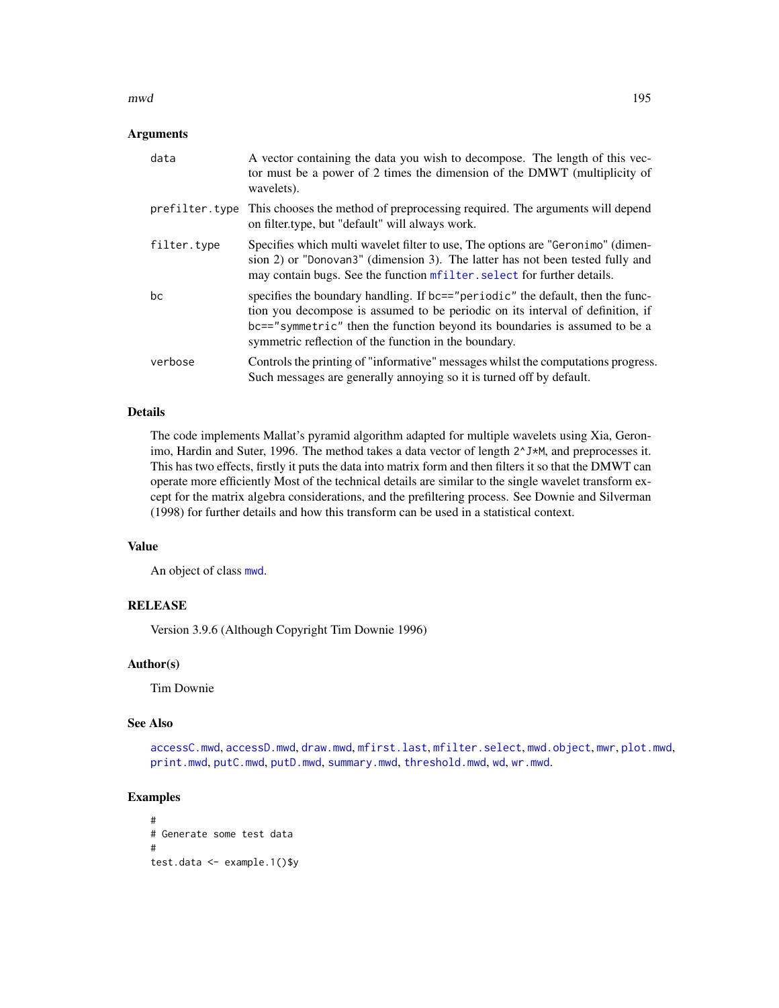#### mwd 195

## **Arguments**

| data        | A vector containing the data you wish to decompose. The length of this vec-<br>tor must be a power of 2 times the dimension of the DMWT (multiplicity of<br>wavelets).                                                                                                                                  |
|-------------|---------------------------------------------------------------------------------------------------------------------------------------------------------------------------------------------------------------------------------------------------------------------------------------------------------|
|             | prefilter. type This chooses the method of preprocessing required. The arguments will depend<br>on filter.type, but "default" will always work.                                                                                                                                                         |
| filter.type | Specifies which multi wavelet filter to use, The options are "Geronimo" (dimen-<br>sion 2) or "Donovan3" (dimension 3). The latter has not been tested fully and<br>may contain bugs. See the function mfilter, select for further details.                                                             |
| bс          | specifies the boundary handling. If bc=="periodic" the default, then the func-<br>tion you decompose is assumed to be periodic on its interval of definition, if<br>bc=="symmetric" then the function beyond its boundaries is assumed to be a<br>symmetric reflection of the function in the boundary. |
| verbose     | Controls the printing of "informative" messages whilst the computations progress.<br>Such messages are generally annoying so it is turned off by default.                                                                                                                                               |

## Details

The code implements Mallat's pyramid algorithm adapted for multiple wavelets using Xia, Geronimo, Hardin and Suter, 1996. The method takes a data vector of length  $2^{\lambda} J^*M$ , and preprocesses it. This has two effects, firstly it puts the data into matrix form and then filters it so that the DMWT can operate more efficiently Most of the technical details are similar to the single wavelet transform except for the matrix algebra considerations, and the prefiltering process. See Downie and Silverman (1998) for further details and how this transform can be used in a statistical context.

# Value

An object of class [mwd](#page-193-0).

## RELEASE

Version 3.9.6 (Although Copyright Tim Downie 1996)

## Author(s)

Tim Downie

## See Also

[accessC.mwd](#page-9-0), [accessD.mwd](#page-15-0), [draw.mwd](#page-87-0), [mfirst.last](#page-188-0), [mfilter.select](#page-186-0), [mwd.object](#page-195-0), [mwr](#page-197-0), [plot.mwd](#page-212-0), [print.mwd](#page-230-0), [putC.mwd](#page-256-0), [putD.mwd](#page-264-0), [summary.mwd](#page-296-0), [threshold.mwd](#page-315-0), [wd](#page-344-0), [wr.mwd](#page-367-0).

```
#
# Generate some test data
#
test.data <- example.1()$y
```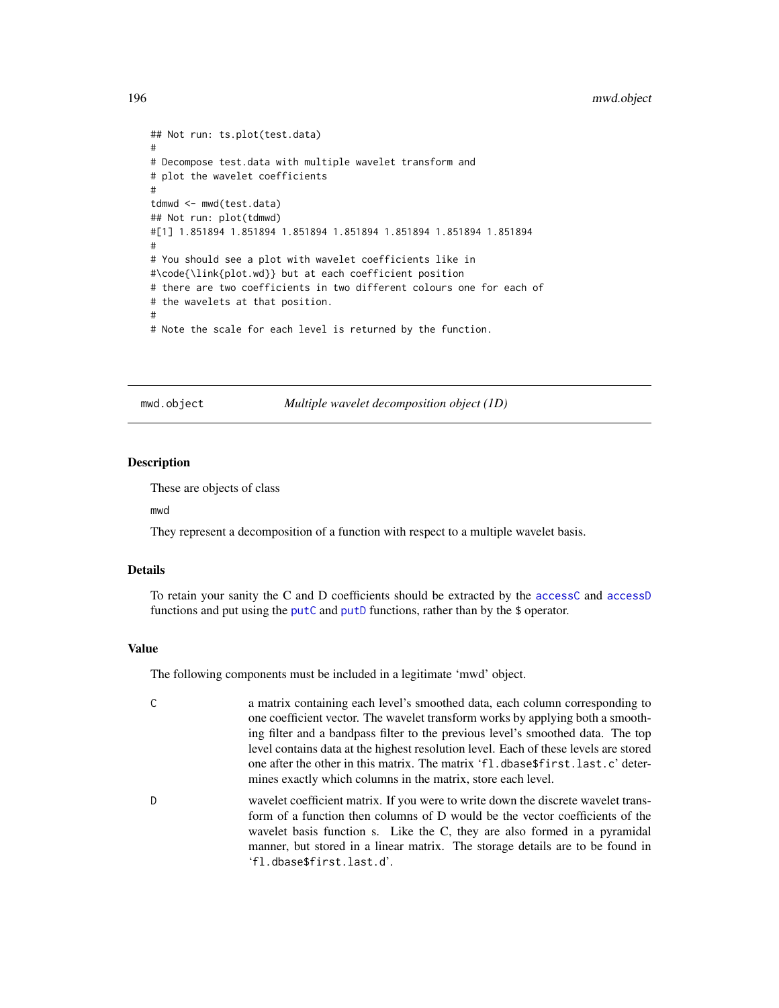## 196 mwd.object

```
## Not run: ts.plot(test.data)
#
# Decompose test.data with multiple wavelet transform and
# plot the wavelet coefficients
#
tdmwd <- mwd(test.data)
## Not run: plot(tdmwd)
#[1] 1.851894 1.851894 1.851894 1.851894 1.851894 1.851894 1.851894
#
# You should see a plot with wavelet coefficients like in
#\code{\link{plot.wd}} but at each coefficient position
# there are two coefficients in two different colours one for each of
# the wavelets at that position.
#
# Note the scale for each level is returned by the function.
```
<span id="page-195-0"></span>mwd.object *Multiple wavelet decomposition object (1D)*

### **Description**

These are objects of class

mwd

They represent a decomposition of a function with respect to a multiple wavelet basis.

#### Details

To retain your sanity the C and D coefficients should be extracted by the [accessC](#page-7-0) and [accessD](#page-14-0) functions and put using the [putC](#page-255-0) and [putD](#page-263-0) functions, rather than by the \$ operator.

#### Value

The following components must be included in a legitimate 'mwd' object.

| C. | a matrix containing each level's smoothed data, each column corresponding to         |
|----|--------------------------------------------------------------------------------------|
|    | one coefficient vector. The wavelet transform works by applying both a smooth-       |
|    | ing filter and a bandpass filter to the previous level's smoothed data. The top      |
|    | level contains data at the highest resolution level. Each of these levels are stored |
|    | one after the other in this matrix. The matrix 'fl.dbase\$first.last.c' deter-       |
|    | mines exactly which columns in the matrix, store each level.                         |

D wavelet coefficient matrix. If you were to write down the discrete wavelet transform of a function then columns of D would be the vector coefficients of the wavelet basis function s. Like the C, they are also formed in a pyramidal manner, but stored in a linear matrix. The storage details are to be found in 'fl.dbase\$first.last.d'.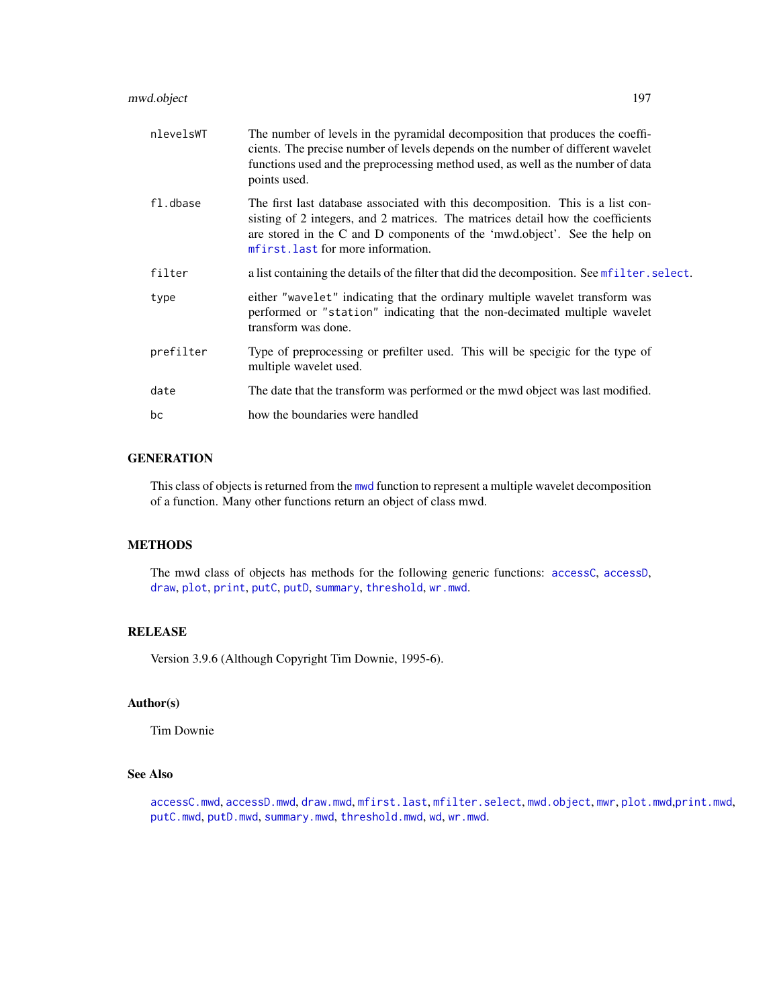# mwd.object 197

| nlevelsWT | The number of levels in the pyramidal decomposition that produces the coeffi-<br>cients. The precise number of levels depends on the number of different wavelet<br>functions used and the preprocessing method used, as well as the number of data<br>points used.                   |
|-----------|---------------------------------------------------------------------------------------------------------------------------------------------------------------------------------------------------------------------------------------------------------------------------------------|
| fl.dbase  | The first last database associated with this decomposition. This is a list con-<br>sisting of 2 integers, and 2 matrices. The matrices detail how the coefficients<br>are stored in the C and D components of the 'mwd.object'. See the help on<br>mfirst. last for more information. |
| filter    | a list containing the details of the filter that did the decomposition. See met ilter. select.                                                                                                                                                                                        |
| type      | either "wavelet" indicating that the ordinary multiple wavelet transform was<br>performed or "station" indicating that the non-decimated multiple wavelet<br>transform was done.                                                                                                      |
| prefilter | Type of preprocessing or prefilter used. This will be specigic for the type of<br>multiple wavelet used.                                                                                                                                                                              |
| date      | The date that the transform was performed or the mwd object was last modified.                                                                                                                                                                                                        |
| bc        | how the boundaries were handled                                                                                                                                                                                                                                                       |

# **GENERATION**

This class of objects is returned from the [mwd](#page-193-0) function to represent a multiple wavelet decomposition of a function. Many other functions return an object of class mwd.

# METHODS

The mwd class of objects has methods for the following generic functions: [accessC](#page-7-0), [accessD](#page-14-0), [draw](#page-80-0), [plot](#page-0-0), [print](#page-0-0), [putC](#page-255-0), [putD](#page-263-0), [summary](#page-0-0), [threshold](#page-307-0), [wr.mwd](#page-367-0).

## RELEASE

Version 3.9.6 (Although Copyright Tim Downie, 1995-6).

# Author(s)

Tim Downie

# See Also

[accessC.mwd](#page-9-0), [accessD.mwd](#page-15-0), [draw.mwd](#page-87-0), [mfirst.last](#page-188-0), [mfilter.select](#page-186-0), [mwd.object](#page-195-0), [mwr](#page-197-0), [plot.mwd](#page-212-0),[print.mwd](#page-230-0), [putC.mwd](#page-256-0), [putD.mwd](#page-264-0), [summary.mwd](#page-296-0), [threshold.mwd](#page-315-0), [wd](#page-344-0), [wr.mwd](#page-367-0).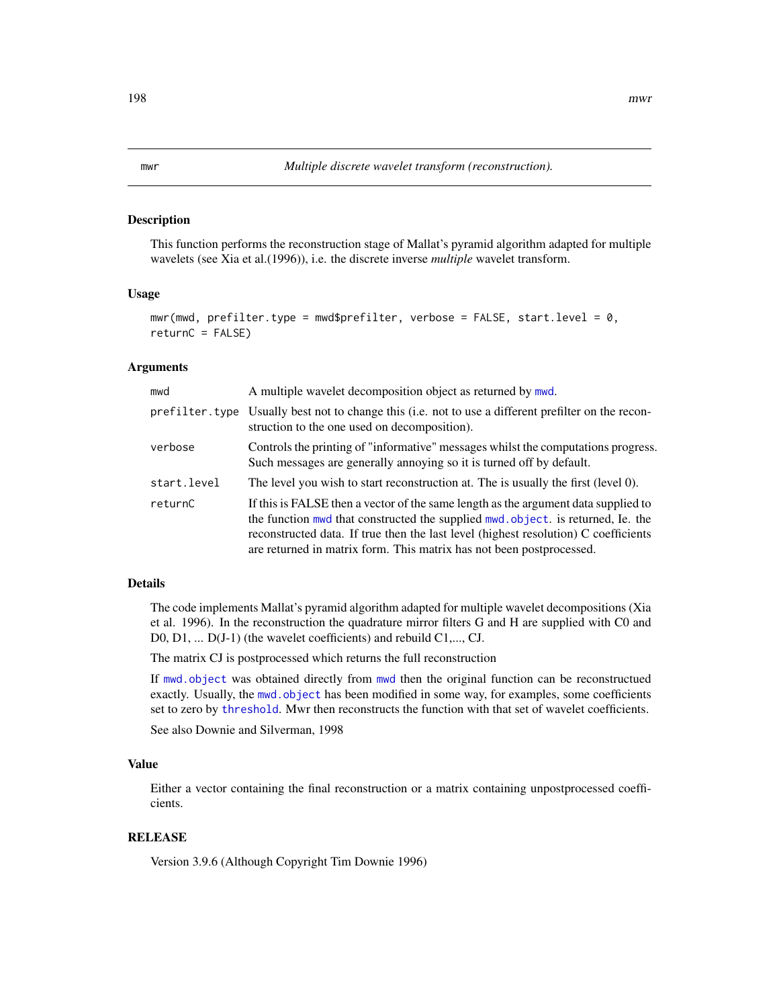#### <span id="page-197-0"></span>**Description**

This function performs the reconstruction stage of Mallat's pyramid algorithm adapted for multiple wavelets (see Xia et al.(1996)), i.e. the discrete inverse *multiple* wavelet transform.

#### Usage

```
mwr(mwd, prefilter.type = mwd$prefilter, verbose = FALSE, start.level = 0,
returnC = FALSE)
```
## Arguments

| mwd         | A multiple wavelet decomposition object as returned by mwd.                                                                                                                                                                                                                                                                          |
|-------------|--------------------------------------------------------------------------------------------------------------------------------------------------------------------------------------------------------------------------------------------------------------------------------------------------------------------------------------|
|             | prefilter type Usually best not to change this (i.e. not to use a different prefilter on the recon-<br>struction to the one used on decomposition).                                                                                                                                                                                  |
| verbose     | Controls the printing of "informative" messages whilst the computations progress.<br>Such messages are generally annoying so it is turned off by default.                                                                                                                                                                            |
| start.level | The level you wish to start reconstruction at. The is usually the first (level 0).                                                                                                                                                                                                                                                   |
| returnC     | If this is FALSE then a vector of the same length as the argument data supplied to<br>the function mwd that constructed the supplied mwd.object. is returned, Ie. the<br>reconstructed data. If true then the last level (highest resolution) C coefficients<br>are returned in matrix form. This matrix has not been postprocessed. |

## Details

The code implements Mallat's pyramid algorithm adapted for multiple wavelet decompositions (Xia et al. 1996). In the reconstruction the quadrature mirror filters G and H are supplied with C0 and D0, D1, ... D(J-1) (the wavelet coefficients) and rebuild C1,..., CJ.

The matrix CJ is postprocessed which returns the full reconstruction

If [mwd.object](#page-195-0) was obtained directly from [mwd](#page-193-0) then the original function can be reconstructued exactly. Usually, the [mwd.object](#page-195-0) has been modified in some way, for examples, some coefficients set to zero by [threshold](#page-307-0). Mwr then reconstructs the function with that set of wavelet coefficients.

See also Downie and Silverman, 1998

## Value

Either a vector containing the final reconstruction or a matrix containing unpostprocessed coefficients.

## RELEASE

Version 3.9.6 (Although Copyright Tim Downie 1996)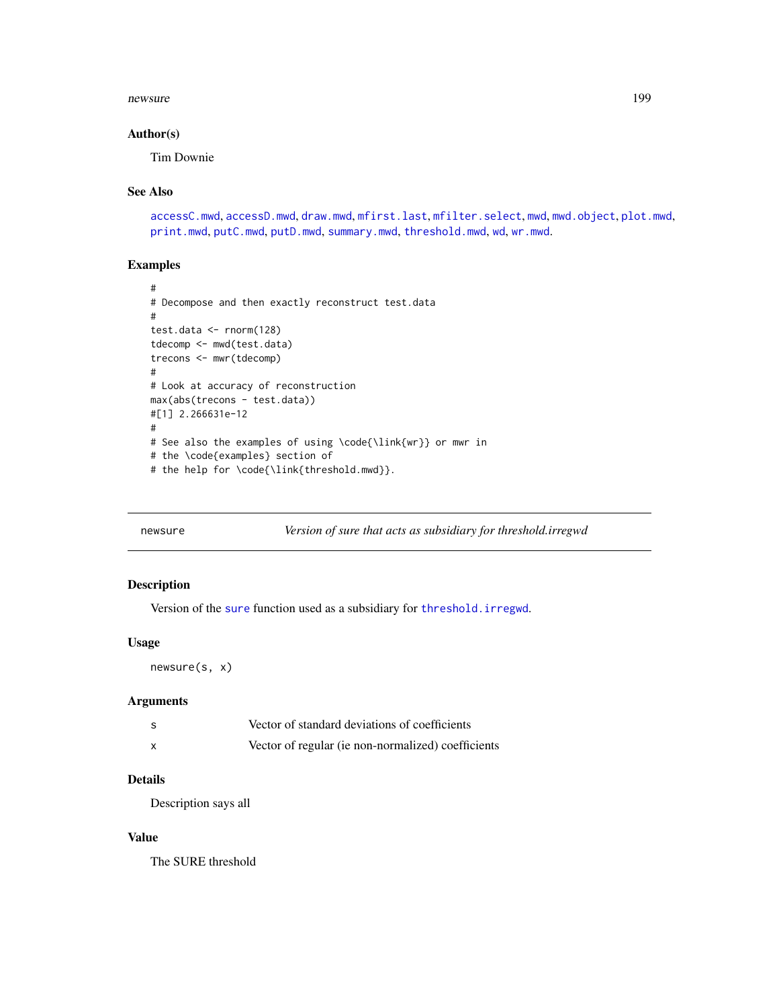#### newsure the contract of the contract of the contract of the contract of the contract of the contract of the contract of the contract of the contract of the contract of the contract of the contract of the contract of the co

## Author(s)

Tim Downie

### See Also

[accessC.mwd](#page-9-0), [accessD.mwd](#page-15-0), [draw.mwd](#page-87-0), [mfirst.last](#page-188-0), [mfilter.select](#page-186-0), [mwd](#page-193-0), [mwd.object](#page-195-0), [plot.mwd](#page-212-0), [print.mwd](#page-230-0), [putC.mwd](#page-256-0), [putD.mwd](#page-264-0), [summary.mwd](#page-296-0), [threshold.mwd](#page-315-0), [wd](#page-344-0), [wr.mwd](#page-367-0).

# Examples

```
#
# Decompose and then exactly reconstruct test.data
#
test.data <- rnorm(128)
tdecomp <- mwd(test.data)
trecons <- mwr(tdecomp)
#
# Look at accuracy of reconstruction
max(abs(trecons - test.data))
#[1] 2.266631e-12
#
# See also the examples of using \code{\link{wr}} or mwr in
# the \code{examples} section of
# the help for \code{\link{threshold.mwd}}.
```
newsure *Version of sure that acts as subsidiary for threshold.irregwd*

## Description

Version of the [sure](#page-304-0) function used as a subsidiary for [threshold.irregwd](#page-313-0).

## Usage

newsure(s, x)

## Arguments

| S | Vector of standard deviations of coefficients      |
|---|----------------------------------------------------|
| x | Vector of regular (ie non-normalized) coefficients |

# Details

Description says all

## Value

The SURE threshold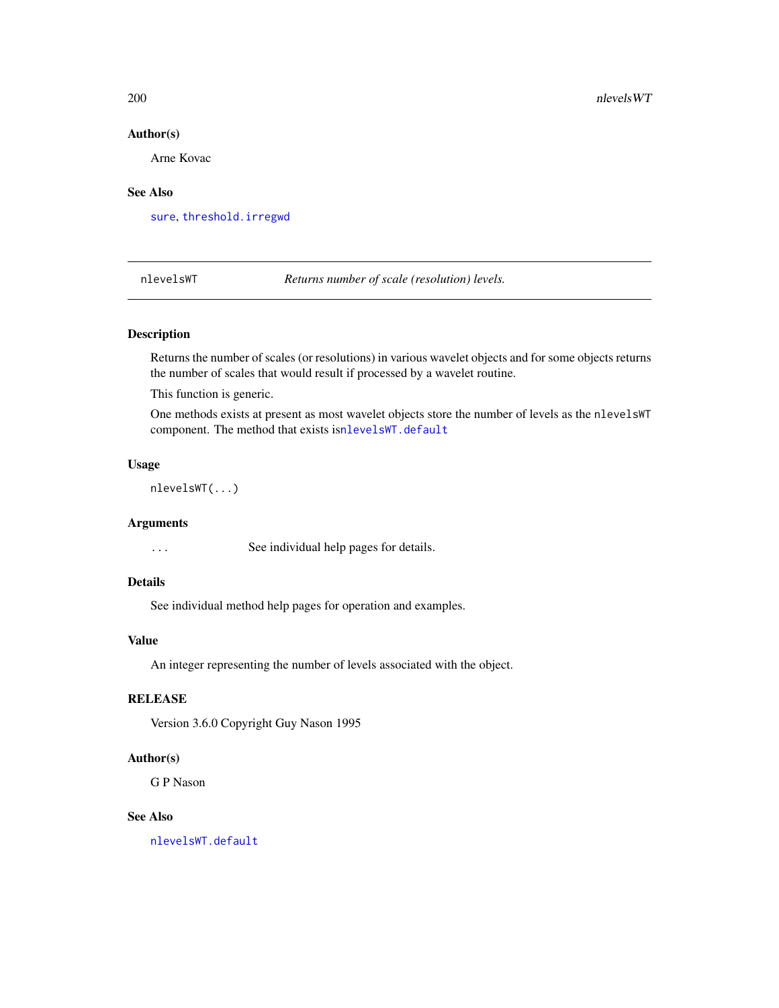# Author(s)

Arne Kovac

# See Also

[sure](#page-304-0), [threshold.irregwd](#page-313-0)

<span id="page-199-0"></span>nlevelsWT *Returns number of scale (resolution) levels.*

## Description

Returns the number of scales (or resolutions) in various wavelet objects and for some objects returns the number of scales that would result if processed by a wavelet routine.

This function is generic.

One methods exists at present as most wavelet objects store the number of levels as the nlevelsWT component. The method that exists is[nlevelsWT.default](#page-200-0)

# Usage

nlevelsWT(...)

## **Arguments**

... See individual help pages for details.

# Details

See individual method help pages for operation and examples.

## Value

An integer representing the number of levels associated with the object.

# **RELEASE**

Version 3.6.0 Copyright Guy Nason 1995

#### Author(s)

G P Nason

#### See Also

[nlevelsWT.default](#page-200-0)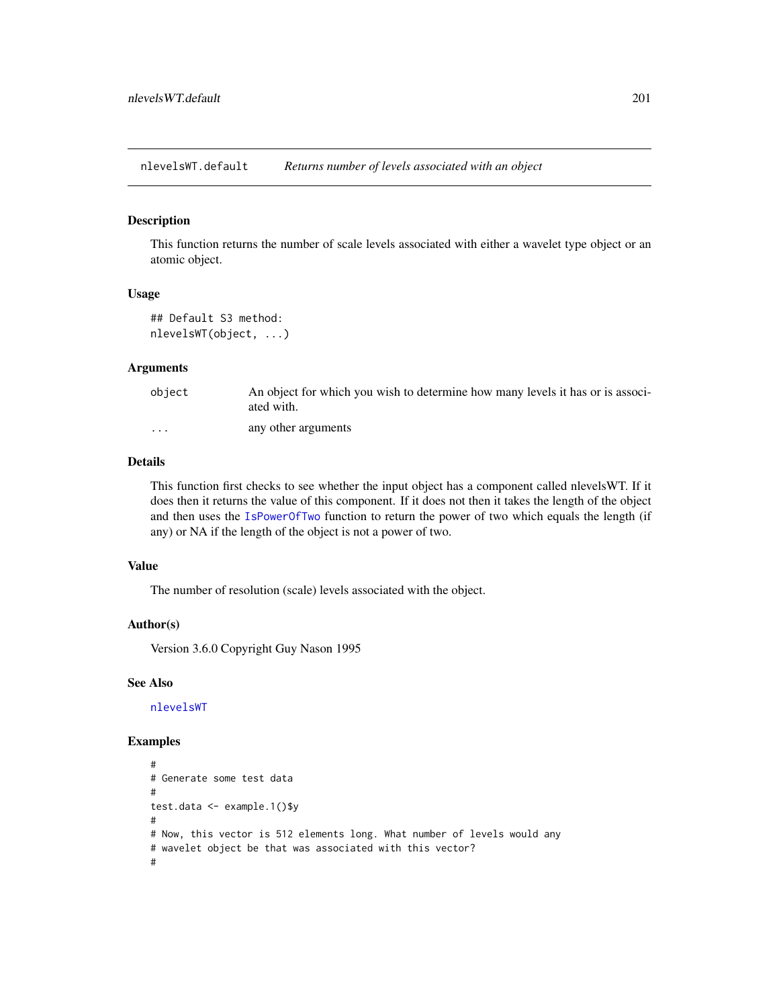<span id="page-200-0"></span>nlevelsWT.default *Returns number of levels associated with an object*

#### Description

This function returns the number of scale levels associated with either a wavelet type object or an atomic object.

# Usage

```
## Default S3 method:
nlevelsWT(object, ...)
```
## Arguments

| object  | An object for which you wish to determine how many levels it has or is associ-<br>ated with. |
|---------|----------------------------------------------------------------------------------------------|
| $\cdot$ | any other arguments                                                                          |

# Details

This function first checks to see whether the input object has a component called nlevelsWT. If it does then it returns the value of this component. If it does not then it takes the length of the object and then uses the [IsPowerOfTwo](#page-153-0) function to return the power of two which equals the length (if any) or NA if the length of the object is not a power of two.

# Value

The number of resolution (scale) levels associated with the object.

#### Author(s)

Version 3.6.0 Copyright Guy Nason 1995

## See Also

[nlevelsWT](#page-199-0)

```
#
# Generate some test data
#
test.data <- example.1()$y
#
# Now, this vector is 512 elements long. What number of levels would any
# wavelet object be that was associated with this vector?
#
```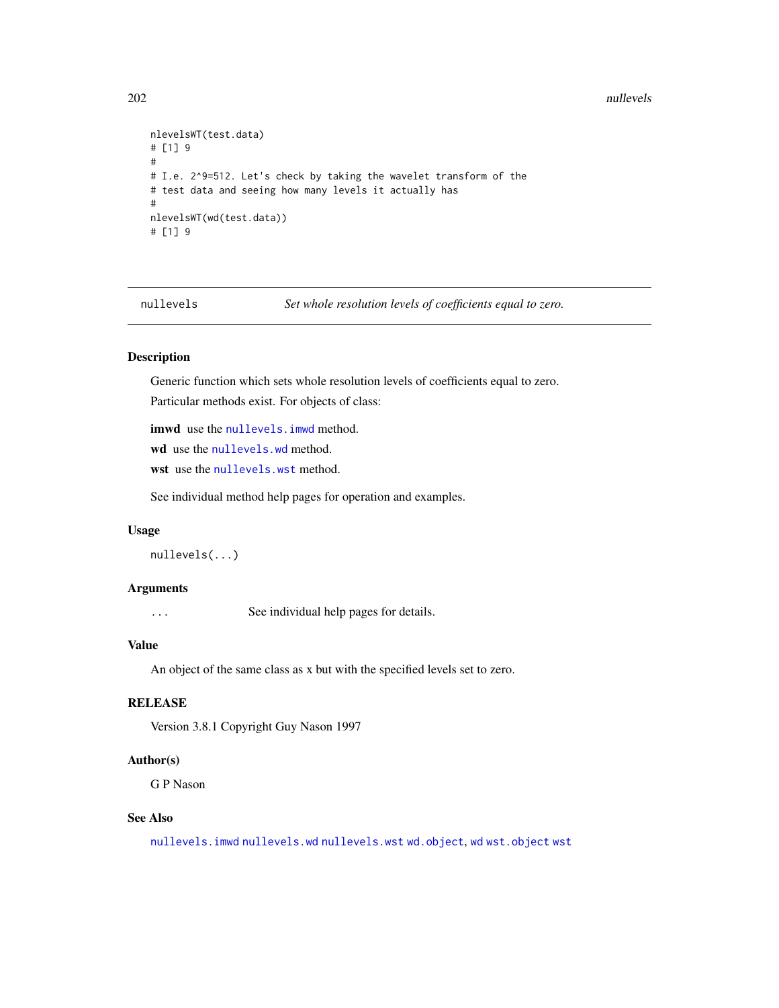#### 202 nullevels

```
nlevelsWT(test.data)
# [1] 9
#
# I.e. 2^9=512. Let's check by taking the wavelet transform of the
# test data and seeing how many levels it actually has
#
nlevelsWT(wd(test.data))
# [1] 9
```
<span id="page-201-0"></span>nullevels *Set whole resolution levels of coefficients equal to zero.*

# Description

Generic function which sets whole resolution levels of coefficients equal to zero.

Particular methods exist. For objects of class:

imwd use the nullevels. imwd method.

wd use the [nullevels.wd](#page-203-0) method.

wst use the [nullevels.wst](#page-205-0) method.

See individual method help pages for operation and examples.

#### Usage

```
nullevels(...)
```
# Arguments

... See individual help pages for details.

## Value

An object of the same class as x but with the specified levels set to zero.

# **RELEASE**

Version 3.8.1 Copyright Guy Nason 1997

# Author(s)

G P Nason

# See Also

[nullevels.imwd](#page-202-0) [nullevels.wd](#page-203-0) [nullevels.wst](#page-205-0) [wd.object](#page-351-0), [wd](#page-344-0) [wst.object](#page-373-0) [wst](#page-371-0)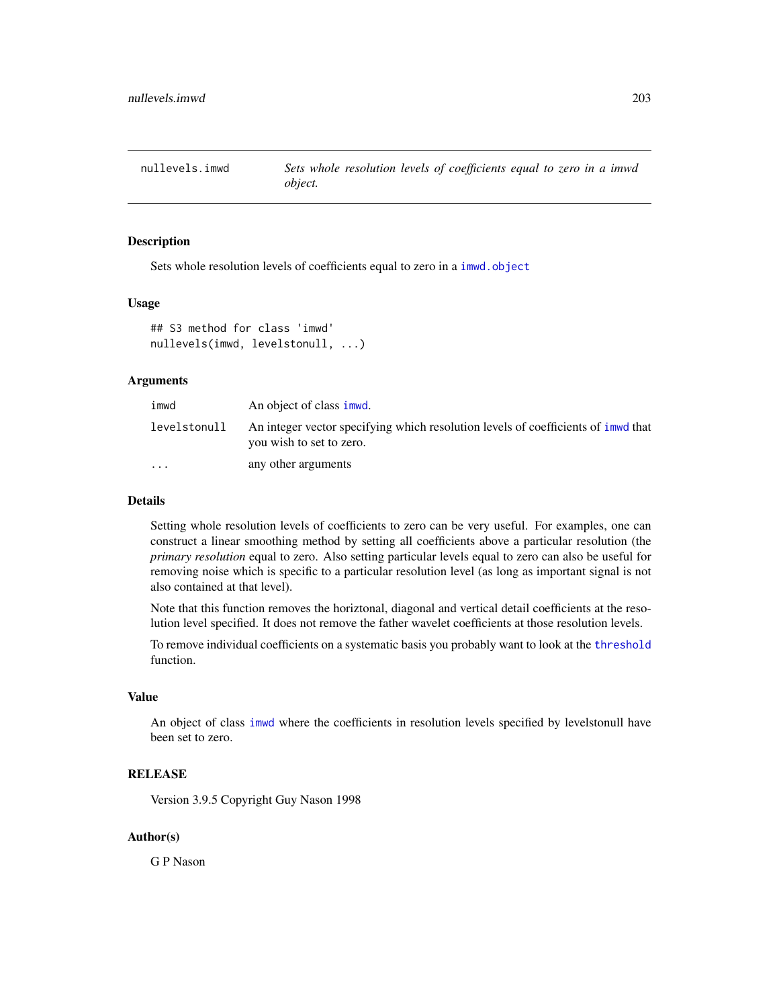<span id="page-202-0"></span>nullevels.imwd *Sets whole resolution levels of coefficients equal to zero in a imwd object.*

## Description

Sets whole resolution levels of coefficients equal to zero in a [imwd.object](#page-133-0)

#### Usage

```
## S3 method for class 'imwd'
nullevels(imwd, levelstonull, ...)
```
## Arguments

| imwd                    | An object of class imwd.                                                                                        |
|-------------------------|-----------------------------------------------------------------------------------------------------------------|
| levelstonull            | An integer vector specifying which resolution levels of coefficients of inwell that<br>you wish to set to zero. |
| $\cdot$ $\cdot$ $\cdot$ | any other arguments                                                                                             |

#### Details

Setting whole resolution levels of coefficients to zero can be very useful. For examples, one can construct a linear smoothing method by setting all coefficients above a particular resolution (the *primary resolution* equal to zero. Also setting particular levels equal to zero can also be useful for removing noise which is specific to a particular resolution level (as long as important signal is not also contained at that level).

Note that this function removes the horiztonal, diagonal and vertical detail coefficients at the resolution level specified. It does not remove the father wavelet coefficients at those resolution levels.

To remove individual coefficients on a systematic basis you probably want to look at the [threshold](#page-307-0) function.

#### Value

An object of class [imwd](#page-131-0) where the coefficients in resolution levels specified by levelstonull have been set to zero.

## RELEASE

Version 3.9.5 Copyright Guy Nason 1998

## Author(s)

G P Nason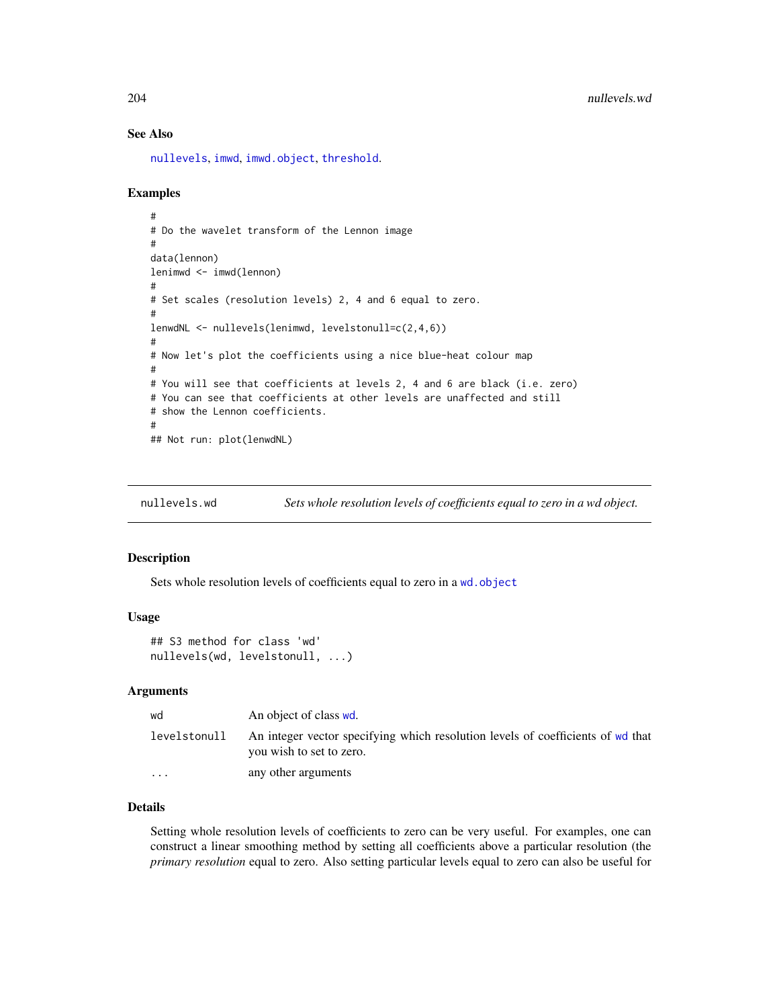## See Also

[nullevels](#page-201-0), [imwd](#page-131-0), [imwd.object](#page-133-0), [threshold](#page-307-0).

## Examples

```
#
# Do the wavelet transform of the Lennon image
#
data(lennon)
lenimwd <- imwd(lennon)
#
# Set scales (resolution levels) 2, 4 and 6 equal to zero.
#
lenwdNL <- nullevels(lenimwd, levelstonull=c(2,4,6))
#
# Now let's plot the coefficients using a nice blue-heat colour map
#
# You will see that coefficients at levels 2, 4 and 6 are black (i.e. zero)
# You can see that coefficients at other levels are unaffected and still
# show the Lennon coefficients.
#
## Not run: plot(lenwdNL)
```
<span id="page-203-0"></span>nullevels.wd *Sets whole resolution levels of coefficients equal to zero in a wd object.*

## Description

Sets whole resolution levels of coefficients equal to zero in a [wd.object](#page-351-0)

## Usage

```
## S3 method for class 'wd'
nullevels(wd, levelstonull, ...)
```
#### Arguments

| wd                | An object of class wd.                                                                                      |
|-------------------|-------------------------------------------------------------------------------------------------------------|
| levelstonull      | An integer vector specifying which resolution levels of coefficients of wd that<br>you wish to set to zero. |
| $\cdot\cdot\cdot$ | any other arguments                                                                                         |

# Details

Setting whole resolution levels of coefficients to zero can be very useful. For examples, one can construct a linear smoothing method by setting all coefficients above a particular resolution (the *primary resolution* equal to zero. Also setting particular levels equal to zero can also be useful for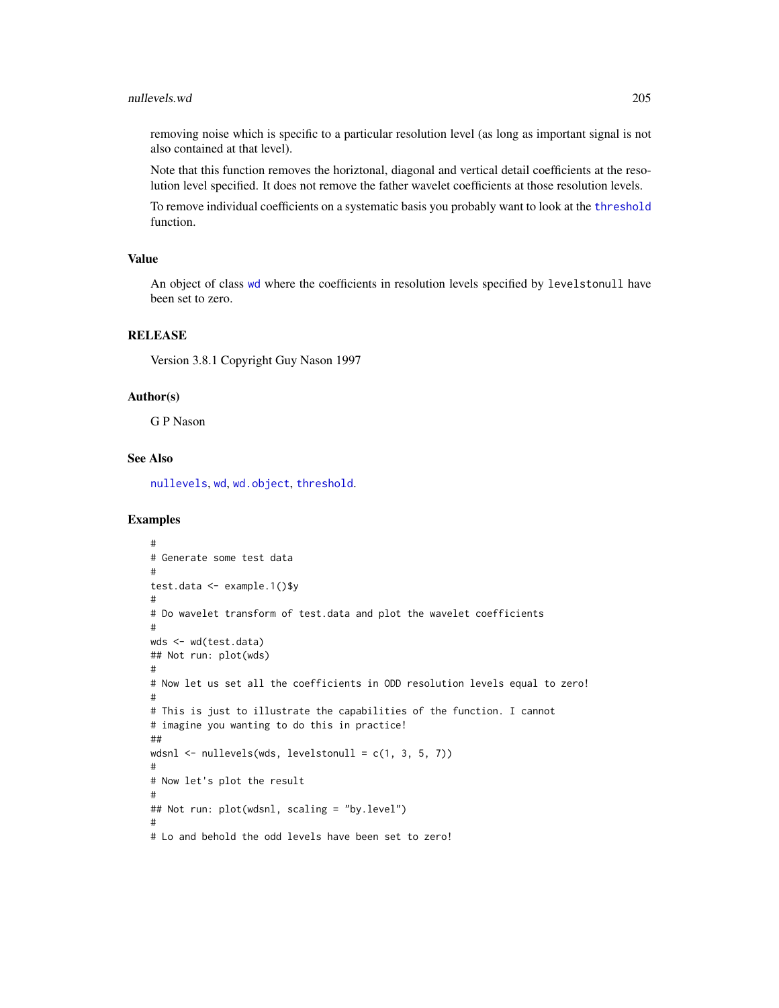#### nullevels.wd 205

removing noise which is specific to a particular resolution level (as long as important signal is not also contained at that level).

Note that this function removes the horiztonal, diagonal and vertical detail coefficients at the resolution level specified. It does not remove the father wavelet coefficients at those resolution levels.

To remove individual coefficients on a systematic basis you probably want to look at the [threshold](#page-307-0) function.

### Value

An object of class [wd](#page-344-0) where the coefficients in resolution levels specified by levelstonull have been set to zero.

# RELEASE

Version 3.8.1 Copyright Guy Nason 1997

## Author(s)

G P Nason

# See Also

[nullevels](#page-201-0), [wd](#page-344-0), [wd.object](#page-351-0), [threshold](#page-307-0).

```
#
# Generate some test data
#
test.data <- example.1()$y
#
# Do wavelet transform of test.data and plot the wavelet coefficients
#
wds <- wd(test.data)
## Not run: plot(wds)
#
# Now let us set all the coefficients in ODD resolution levels equal to zero!
#
# This is just to illustrate the capabilities of the function. I cannot
# imagine you wanting to do this in practice!
##
wdsnl \le nullevels(wds, levelstonull = c(1, 3, 5, 7))
#
# Now let's plot the result
#
## Not run: plot(wdsnl, scaling = "by.level")
#
# Lo and behold the odd levels have been set to zero!
```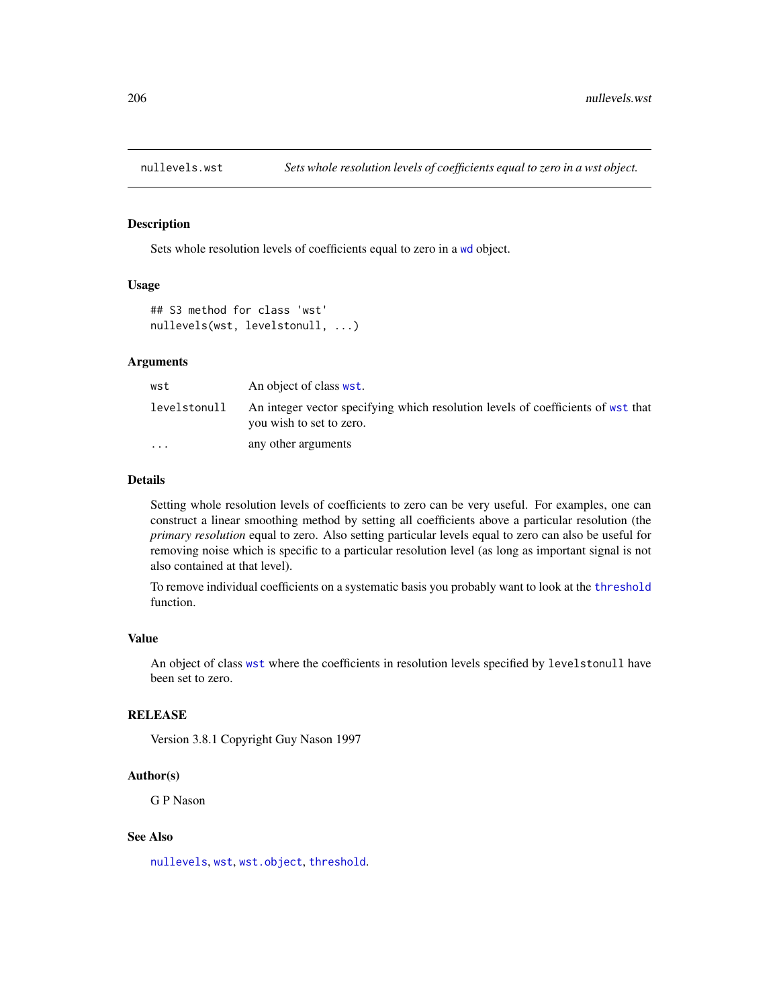<span id="page-205-0"></span>

# Description

Sets whole resolution levels of coefficients equal to zero in a [wd](#page-344-0) object.

#### Usage

```
## S3 method for class 'wst'
nullevels(wst, levelstonull, ...)
```
#### Arguments

| wst                     | An object of class wst.                                                                                      |
|-------------------------|--------------------------------------------------------------------------------------------------------------|
| levelstonull            | An integer vector specifying which resolution levels of coefficients of wst that<br>you wish to set to zero. |
| $\cdot$ $\cdot$ $\cdot$ | any other arguments                                                                                          |

#### Details

Setting whole resolution levels of coefficients to zero can be very useful. For examples, one can construct a linear smoothing method by setting all coefficients above a particular resolution (the *primary resolution* equal to zero. Also setting particular levels equal to zero can also be useful for removing noise which is specific to a particular resolution level (as long as important signal is not also contained at that level).

To remove individual coefficients on a systematic basis you probably want to look at the [threshold](#page-307-0) function.

#### Value

An object of class [wst](#page-371-0) where the coefficients in resolution levels specified by levelstonull have been set to zero.

# **RELEASE**

Version 3.8.1 Copyright Guy Nason 1997

## Author(s)

G P Nason

## See Also

[nullevels](#page-201-0), [wst](#page-371-0), [wst.object](#page-373-0), [threshold](#page-307-0).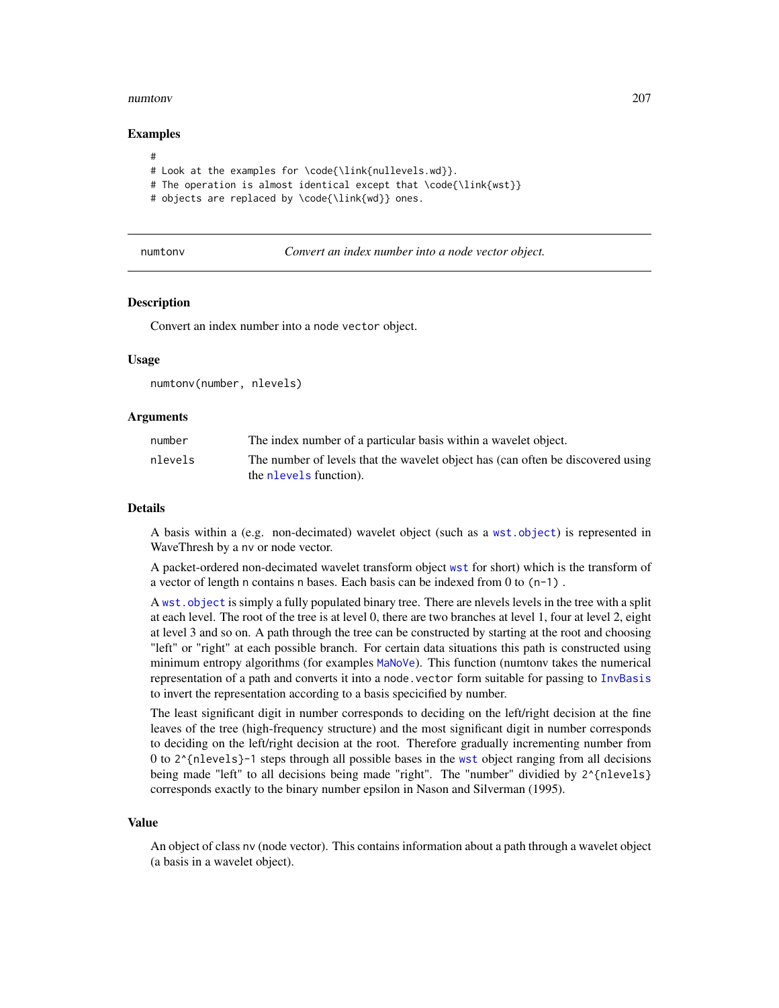#### numtonv 207

## Examples

```
#
# Look at the examples for \code{\link{nullevels.wd}}.
# The operation is almost identical except that \code{\link{wst}}
```
# objects are replaced by \code{\link{wd}} ones.

numtonv *Convert an index number into a node vector object.*

## **Description**

Convert an index number into a node vector object.

#### Usage

numtonv(number, nlevels)

## Arguments

| number  | The index number of a particular basis within a wavelet object.                 |
|---------|---------------------------------------------------------------------------------|
| nlevels | The number of levels that the wavelet object has (can often be discovered using |
|         | the nevels function).                                                           |

#### Details

A basis within a (e.g. non-decimated) wavelet object (such as a [wst.object](#page-373-0)) is represented in WaveThresh by a nv or node vector.

A packet-ordered non-decimated wavelet transform object [wst](#page-371-0) for short) which is the transform of a vector of length n contains n bases. Each basis can be indexed from 0 to  $(n-1)$ .

A [wst.object](#page-373-0) is simply a fully populated binary tree. There are nlevels levels in the tree with a split at each level. The root of the tree is at level 0, there are two branches at level 1, four at level 2, eight at level 3 and so on. A path through the tree can be constructed by starting at the root and choosing "left" or "right" at each possible branch. For certain data situations this path is constructed using minimum entropy algorithms (for examples [MaNoVe](#page-181-0)). This function (numtonv takes the numerical representation of a path and converts it into a node.vector form suitable for passing to [InvBasis](#page-141-0) to invert the representation according to a basis specicified by number.

The least significant digit in number corresponds to deciding on the left/right decision at the fine leaves of the tree (high-frequency structure) and the most significant digit in number corresponds to deciding on the left/right decision at the root. Therefore gradually incrementing number from 0 to  $2^{\prime}$  {nlevels}-1 steps through all possible bases in the [wst](#page-371-0) object ranging from all decisions being made "left" to all decisions being made "right". The "number" dividied by 2^{nlevels} corresponds exactly to the binary number epsilon in Nason and Silverman (1995).

#### Value

An object of class nv (node vector). This contains information about a path through a wavelet object (a basis in a wavelet object).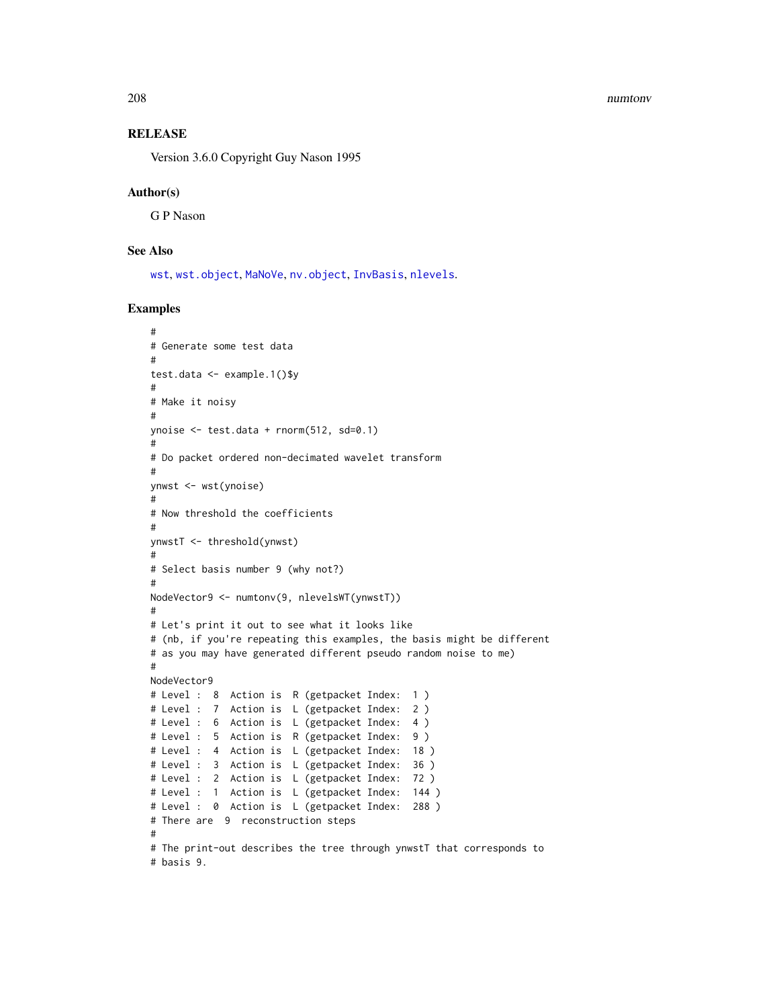#### 208 numtonv

# **RELEASE**

Version 3.6.0 Copyright Guy Nason 1995

#### Author(s)

G P Nason

# See Also

[wst](#page-371-0), [wst.object](#page-373-0), [MaNoVe](#page-181-0), [nv.object](#page-208-0), [InvBasis](#page-141-0), [nlevels](#page-0-0).

```
#
# Generate some test data
#
test.data <- example.1()$y
#
# Make it noisy
#
ynoise <- test.data + rnorm(512, sd=0.1)
#
# Do packet ordered non-decimated wavelet transform
#
ynwst <- wst(ynoise)
#
# Now threshold the coefficients
#
ynwstT <- threshold(ynwst)
#
# Select basis number 9 (why not?)
#
NodeVector9 <- numtonv(9, nlevelsWT(ynwstT))
#
# Let's print it out to see what it looks like
# (nb, if you're repeating this examples, the basis might be different
# as you may have generated different pseudo random noise to me)
#
NodeVector9
# Level : 8 Action is R (getpacket Index: 1 )
# Level : 7 Action is L (getpacket Index: 2 )
# Level : 6 Action is L (getpacket Index: 4 )
# Level : 5 Action is R (getpacket Index: 9 )
# Level : 4 Action is L (getpacket Index: 18 )
# Level : 3 Action is L (getpacket Index: 36 )
# Level : 2 Action is L (getpacket Index: 72 )
# Level : 1 Action is L (getpacket Index: 144 )
# Level : 0 Action is L (getpacket Index: 288 )
# There are 9 reconstruction steps
#
# The print-out describes the tree through ynwstT that corresponds to
# basis 9.
```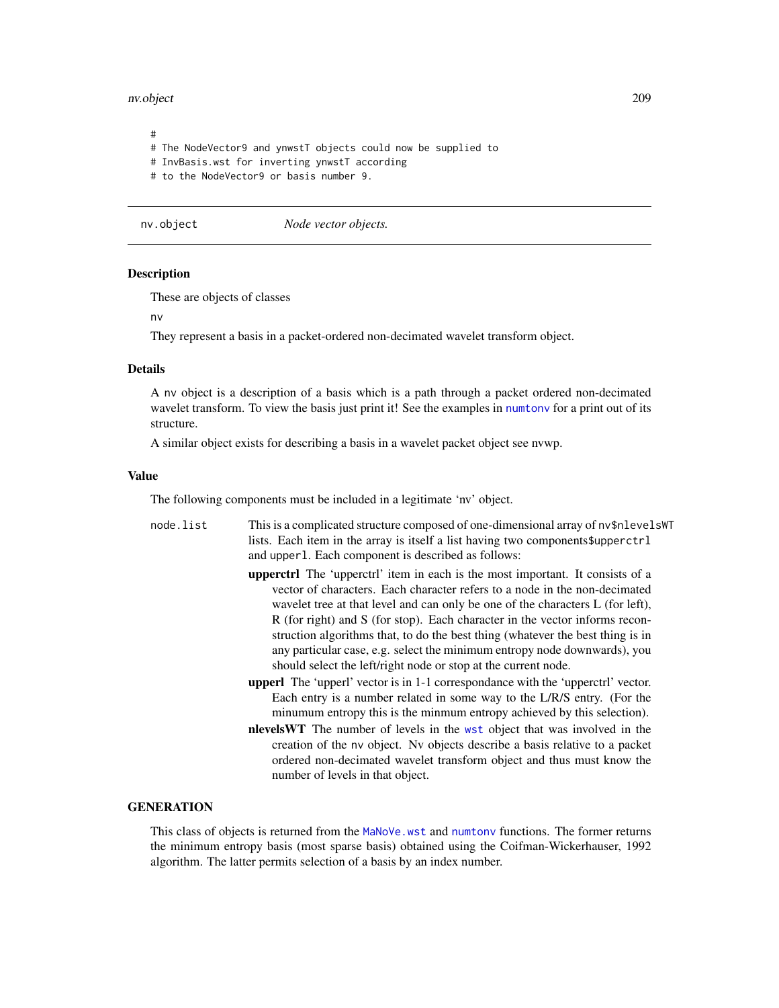#### nv.object 209

# # The NodeVector9 and ynwstT objects could now be supplied to # InvBasis.wst for inverting ynwstT according # to the NodeVector9 or basis number 9.

<span id="page-208-0"></span>nv.object *Node vector objects.*

### Description

These are objects of classes

nv

They represent a basis in a packet-ordered non-decimated wavelet transform object.

## Details

A nv object is a description of a basis which is a path through a packet ordered non-decimated wavelet transform. To view the basis just print it! See the examples in [numtonv](#page-206-0) for a print out of its structure.

A similar object exists for describing a basis in a wavelet packet object see nvwp.

#### Value

The following components must be included in a legitimate 'nv' object.

- node.list This is a complicated structure composed of one-dimensional array of nv\$nlevelsWT lists. Each item in the array is itself a list having two components\$upperctrl and upperl. Each component is described as follows:
	- upperctrl The 'upperctrl' item in each is the most important. It consists of a vector of characters. Each character refers to a node in the non-decimated wavelet tree at that level and can only be one of the characters L (for left), R (for right) and S (for stop). Each character in the vector informs reconstruction algorithms that, to do the best thing (whatever the best thing is in any particular case, e.g. select the minimum entropy node downwards), you should select the left/right node or stop at the current node.
	- upperl The 'upperl' vector is in 1-1 correspondance with the 'upperctrl' vector. Each entry is a number related in some way to the L/R/S entry. (For the minumum entropy this is the minmum entropy achieved by this selection).
	- nlevelsWT The number of levels in the [wst](#page-371-0) object that was involved in the creation of the nv object. Nv objects describe a basis relative to a packet ordered non-decimated wavelet transform object and thus must know the number of levels in that object.

# **GENERATION**

This class of objects is returned from the [MaNoVe.wst](#page-183-0) and [numtonv](#page-206-0) functions. The former returns the minimum entropy basis (most sparse basis) obtained using the Coifman-Wickerhauser, 1992 algorithm. The latter permits selection of a basis by an index number.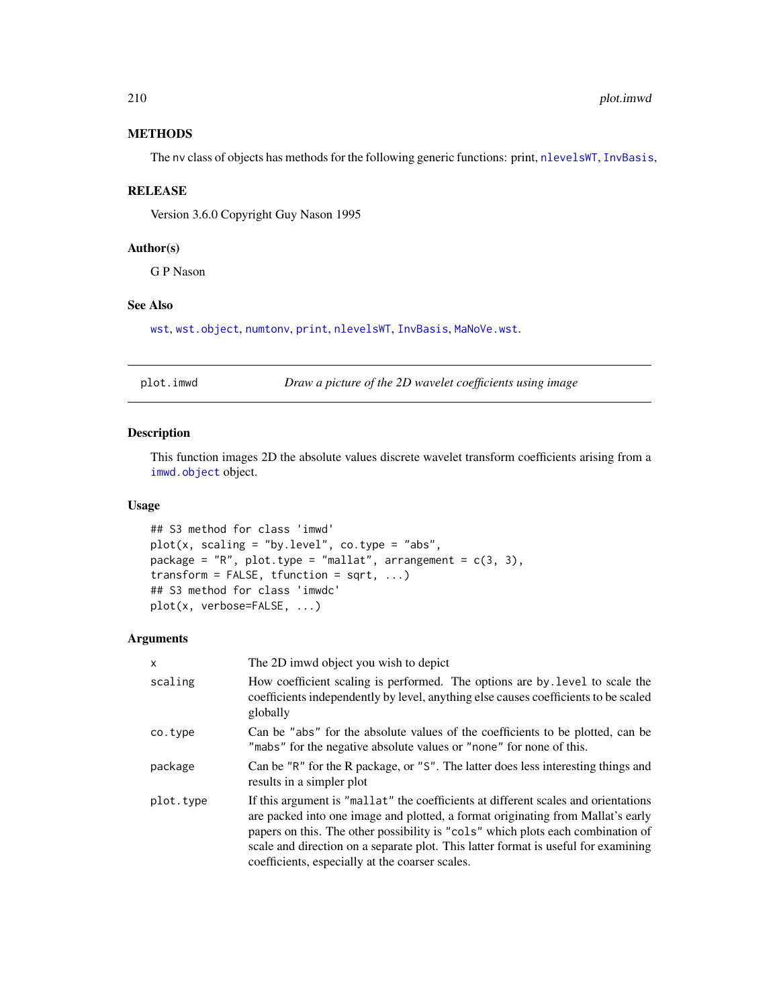# **METHODS**

The nv class of objects has methods for the following generic functions: print, [nlevelsWT](#page-199-0), [InvBasis](#page-141-0),

# RELEASE

Version 3.6.0 Copyright Guy Nason 1995

## Author(s)

G P Nason

# See Also

[wst](#page-371-0), [wst.object](#page-373-0), [numtonv](#page-206-0), [print](#page-0-0), [nlevelsWT](#page-199-0), [InvBasis](#page-141-0), [MaNoVe.wst](#page-183-0).

plot.imwd *Draw a picture of the 2D wavelet coefficients using image*

# Description

This function images 2D the absolute values discrete wavelet transform coefficients arising from a [imwd.object](#page-133-0) object.

# Usage

```
## S3 method for class 'imwd'
plot(x, scaling = "by.level", co.type = "abs",
package = "R", plot.type = "mallat", arrangement = c(3, 3),
transform = FALSE, tfunction = sqrt, ...)
## S3 method for class 'imwdc'
plot(x, verbose=FALSE, ...)
```
# Arguments

| x         | The 2D imwd object you wish to depict                                                                                                                                                                                                                                                                                                                                                             |
|-----------|---------------------------------------------------------------------------------------------------------------------------------------------------------------------------------------------------------------------------------------------------------------------------------------------------------------------------------------------------------------------------------------------------|
| scaling   | How coefficient scaling is performed. The options are by level to scale the<br>coefficients independently by level, anything else causes coefficients to be scaled<br>globally                                                                                                                                                                                                                    |
| co.type   | Can be "abs" for the absolute values of the coefficients to be plotted, can be<br>"mabs" for the negative absolute values or "none" for none of this.                                                                                                                                                                                                                                             |
| package   | Can be "R" for the R package, or "S". The latter does less interesting things and<br>results in a simpler plot                                                                                                                                                                                                                                                                                    |
| plot.type | If this argument is "mallat" the coefficients at different scales and orientations<br>are packed into one image and plotted, a format originating from Mallat's early<br>papers on this. The other possibility is "cols" which plots each combination of<br>scale and direction on a separate plot. This latter format is useful for examining<br>coefficients, especially at the coarser scales. |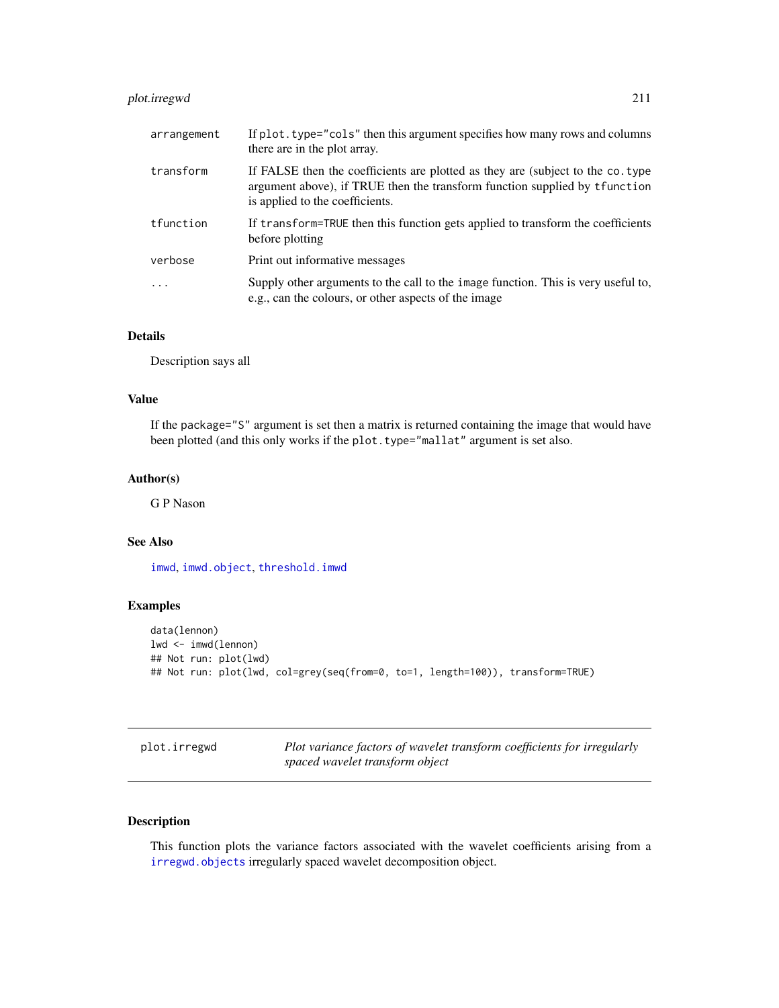# plot.irregwd 211

| arrangement | If plot, type="cols" then this argument specifies how many rows and columns<br>there are in the plot array.                                                                                       |
|-------------|---------------------------------------------------------------------------------------------------------------------------------------------------------------------------------------------------|
| transform   | If FALSE then the coefficients are plotted as they are (subject to the co. type<br>argument above), if TRUE then the transform function supplied by t function<br>is applied to the coefficients. |
| tfunction   | If transform=TRUE then this function gets applied to transform the coefficients<br>before plotting                                                                                                |
| verbose     | Print out informative messages                                                                                                                                                                    |
| .           | Supply other arguments to the call to the image function. This is very useful to,<br>e.g., can the colours, or other aspects of the image                                                         |

# Details

Description says all

## Value

If the package="S" argument is set then a matrix is returned containing the image that would have been plotted (and this only works if the plot.type="mallat" argument is set also.

## Author(s)

G P Nason

## See Also

[imwd](#page-131-0), [imwd.object](#page-133-0), [threshold.imwd](#page-308-0)

# Examples

```
data(lennon)
lwd <- imwd(lennon)
## Not run: plot(lwd)
## Not run: plot(lwd, col=grey(seq(from=0, to=1, length=100)), transform=TRUE)
```
plot.irregwd *Plot variance factors of wavelet transform coefficients for irregularly spaced wavelet transform object*

# Description

This function plots the variance factors associated with the wavelet coefficients arising from a [irregwd.objects](#page-150-0) irregularly spaced wavelet decomposition object.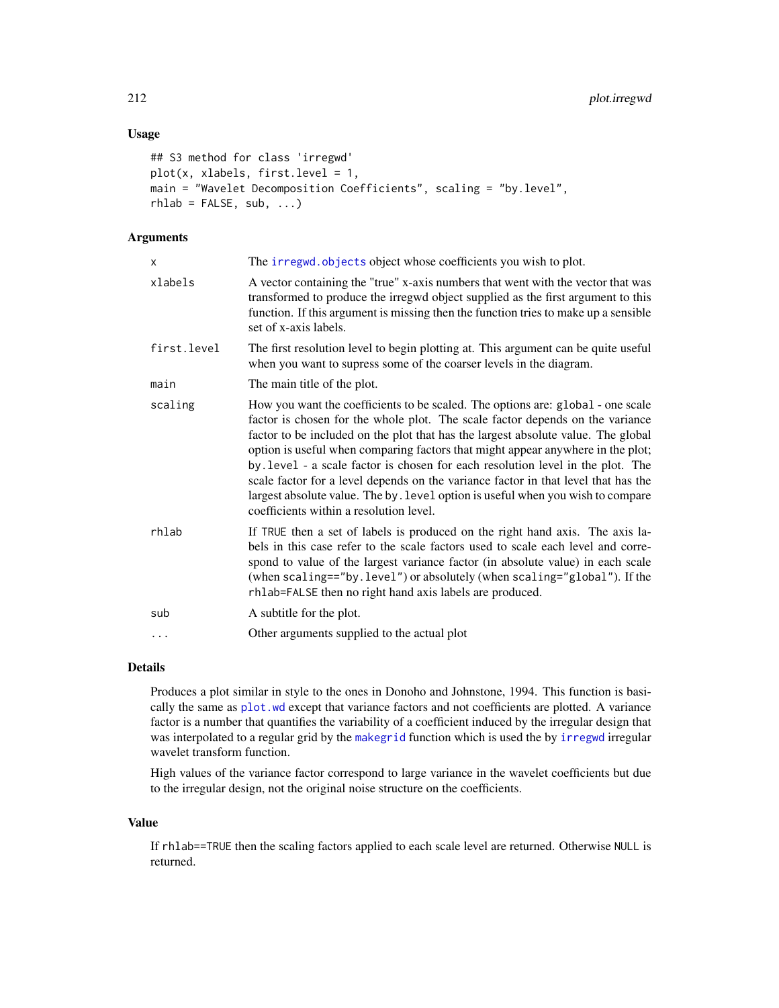# Usage

```
## S3 method for class 'irregwd'
plot(x, xlabels, first.level = 1,
main = "Wavelet Decomposition Coefficients", scaling = "by.level",
rhlab = FALSE, sub, ...
```
# Arguments

| x           | The irregwd. objects object whose coefficients you wish to plot.                                                                                                                                                                                                                                                                                                                                                                                                                                                                                                                                                                                |
|-------------|-------------------------------------------------------------------------------------------------------------------------------------------------------------------------------------------------------------------------------------------------------------------------------------------------------------------------------------------------------------------------------------------------------------------------------------------------------------------------------------------------------------------------------------------------------------------------------------------------------------------------------------------------|
| xlabels     | A vector containing the "true" x-axis numbers that went with the vector that was<br>transformed to produce the irregwd object supplied as the first argument to this<br>function. If this argument is missing then the function tries to make up a sensible<br>set of x-axis labels.                                                                                                                                                                                                                                                                                                                                                            |
| first.level | The first resolution level to begin plotting at. This argument can be quite useful<br>when you want to supress some of the coarser levels in the diagram.                                                                                                                                                                                                                                                                                                                                                                                                                                                                                       |
| main        | The main title of the plot.                                                                                                                                                                                                                                                                                                                                                                                                                                                                                                                                                                                                                     |
| scaling     | How you want the coefficients to be scaled. The options are: global - one scale<br>factor is chosen for the whole plot. The scale factor depends on the variance<br>factor to be included on the plot that has the largest absolute value. The global<br>option is useful when comparing factors that might appear anywhere in the plot;<br>by level - a scale factor is chosen for each resolution level in the plot. The<br>scale factor for a level depends on the variance factor in that level that has the<br>largest absolute value. The by . level option is useful when you wish to compare<br>coefficients within a resolution level. |
| rhlab       | If TRUE then a set of labels is produced on the right hand axis. The axis la-<br>bels in this case refer to the scale factors used to scale each level and corre-<br>spond to value of the largest variance factor (in absolute value) in each scale<br>(when scaling=="by.level") or absolutely (when scaling="global"). If the<br>rhlab=FALSE then no right hand axis labels are produced.                                                                                                                                                                                                                                                    |
| sub         | A subtitle for the plot.                                                                                                                                                                                                                                                                                                                                                                                                                                                                                                                                                                                                                        |
| $\ddots$    | Other arguments supplied to the actual plot                                                                                                                                                                                                                                                                                                                                                                                                                                                                                                                                                                                                     |
|             |                                                                                                                                                                                                                                                                                                                                                                                                                                                                                                                                                                                                                                                 |

## Details

Produces a plot similar in style to the ones in Donoho and Johnstone, 1994. This function is basically the same as [plot.wd](#page-215-0) except that variance factors and not coefficients are plotted. A variance factor is a number that quantifies the variability of a coefficient induced by the irregular design that was interpolated to a regular grid by the [makegrid](#page-171-0) function which is used the by [irregwd](#page-148-0) irregular wavelet transform function.

High values of the variance factor correspond to large variance in the wavelet coefficients but due to the irregular design, not the original noise structure on the coefficients.

#### Value

If rhlab==TRUE then the scaling factors applied to each scale level are returned. Otherwise NULL is returned.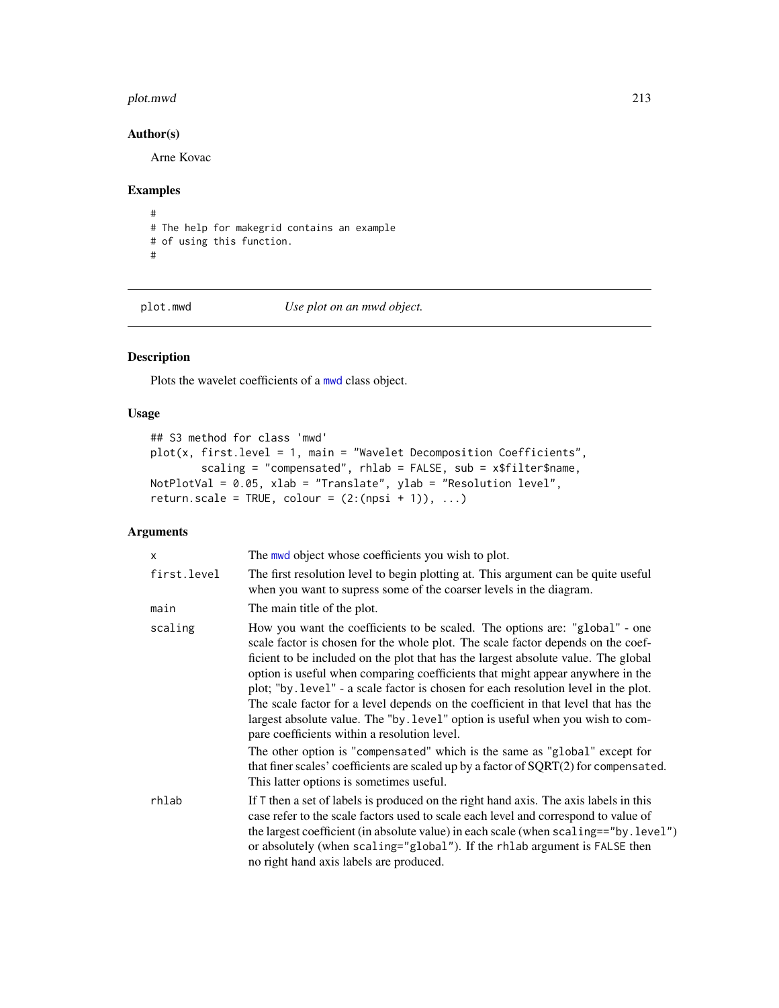#### plot.mwd 213

# Author(s)

Arne Kovac

# Examples

# # The help for makegrid contains an example # of using this function. #

<span id="page-212-0"></span>

plot.mwd *Use plot on an mwd object.*

# Description

Plots the wavelet coefficients of a [mwd](#page-193-0) class object.

# Usage

```
## S3 method for class 'mwd'
plot(x, first. level = 1, main = "Wavelet Decomposition Coefficients",scaling = "compensated", rhlab = FALSE, sub = x$filter$name,
NotPlotVal = 0.05, xlab = "Translate", ylab = "Resolution level",
return.scale = TRUE, colour = (2:(npsi + 1)), ...
```
# Arguments

| $\mathsf{x}$ | The mwd object whose coefficients you wish to plot.                                                                                                                                                                                                                                                                                                                                                                                                                                                                                                                                                                                                    |
|--------------|--------------------------------------------------------------------------------------------------------------------------------------------------------------------------------------------------------------------------------------------------------------------------------------------------------------------------------------------------------------------------------------------------------------------------------------------------------------------------------------------------------------------------------------------------------------------------------------------------------------------------------------------------------|
| first.level  | The first resolution level to begin plotting at. This argument can be quite useful<br>when you want to supress some of the coarser levels in the diagram.                                                                                                                                                                                                                                                                                                                                                                                                                                                                                              |
| main         | The main title of the plot.                                                                                                                                                                                                                                                                                                                                                                                                                                                                                                                                                                                                                            |
| scaling      | How you want the coefficients to be scaled. The options are: "global" - one<br>scale factor is chosen for the whole plot. The scale factor depends on the coef-<br>ficient to be included on the plot that has the largest absolute value. The global<br>option is useful when comparing coefficients that might appear anywhere in the<br>plot; "by . level" - a scale factor is chosen for each resolution level in the plot.<br>The scale factor for a level depends on the coefficient in that level that has the<br>largest absolute value. The "by.level" option is useful when you wish to com-<br>pare coefficients within a resolution level. |
|              | The other option is "compensated" which is the same as "global" except for<br>that finer scales' coefficients are scaled up by a factor of SQRT(2) for compensated.<br>This latter options is sometimes useful.                                                                                                                                                                                                                                                                                                                                                                                                                                        |
| rhlab        | If $\top$ then a set of labels is produced on the right hand axis. The axis labels in this<br>case refer to the scale factors used to scale each level and correspond to value of<br>the largest coefficient (in absolute value) in each scale (when scaling=="by.level")<br>or absolutely (when scaling="global"). If the rhlab argument is FALSE then<br>no right hand axis labels are produced.                                                                                                                                                                                                                                                     |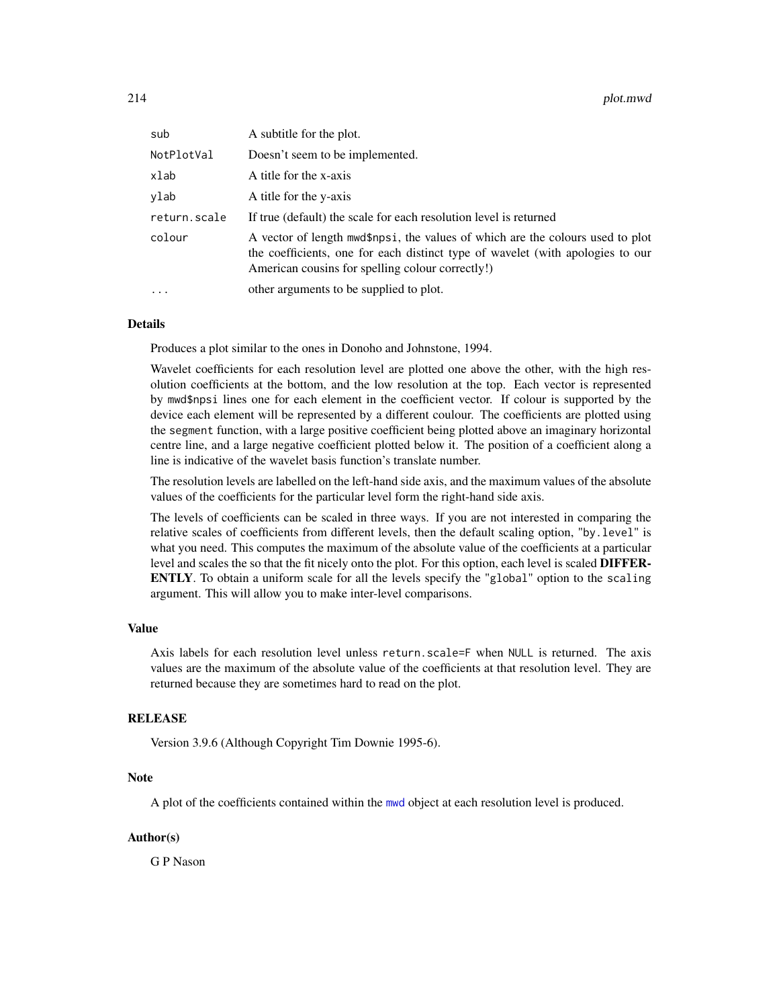| sub          | A subtitle for the plot.                                                                                                                                                                                             |
|--------------|----------------------------------------------------------------------------------------------------------------------------------------------------------------------------------------------------------------------|
| NotPlotVal   | Doesn't seem to be implemented.                                                                                                                                                                                      |
| xlab         | A title for the x-axis                                                                                                                                                                                               |
| ylab         | A title for the y-axis                                                                                                                                                                                               |
| return.scale | If true (default) the scale for each resolution level is returned                                                                                                                                                    |
| colour       | A vector of length mwd\$npsi, the values of which are the colours used to plot<br>the coefficients, one for each distinct type of wavelet (with apologies to our<br>American cousins for spelling colour correctly!) |
|              | other arguments to be supplied to plot.                                                                                                                                                                              |

#### Details

Produces a plot similar to the ones in Donoho and Johnstone, 1994.

Wavelet coefficients for each resolution level are plotted one above the other, with the high resolution coefficients at the bottom, and the low resolution at the top. Each vector is represented by mwd\$npsi lines one for each element in the coefficient vector. If colour is supported by the device each element will be represented by a different coulour. The coefficients are plotted using the segment function, with a large positive coefficient being plotted above an imaginary horizontal centre line, and a large negative coefficient plotted below it. The position of a coefficient along a line is indicative of the wavelet basis function's translate number.

The resolution levels are labelled on the left-hand side axis, and the maximum values of the absolute values of the coefficients for the particular level form the right-hand side axis.

The levels of coefficients can be scaled in three ways. If you are not interested in comparing the relative scales of coefficients from different levels, then the default scaling option, "by.level" is what you need. This computes the maximum of the absolute value of the coefficients at a particular level and scales the so that the fit nicely onto the plot. For this option, each level is scaled DIFFER-ENTLY. To obtain a uniform scale for all the levels specify the "global" option to the scaling argument. This will allow you to make inter-level comparisons.

# Value

Axis labels for each resolution level unless return.scale=F when NULL is returned. The axis values are the maximum of the absolute value of the coefficients at that resolution level. They are returned because they are sometimes hard to read on the plot.

#### RELEASE

Version 3.9.6 (Although Copyright Tim Downie 1995-6).

# Note

A plot of the coefficients contained within the [mwd](#page-193-0) object at each resolution level is produced.

## Author(s)

G P Nason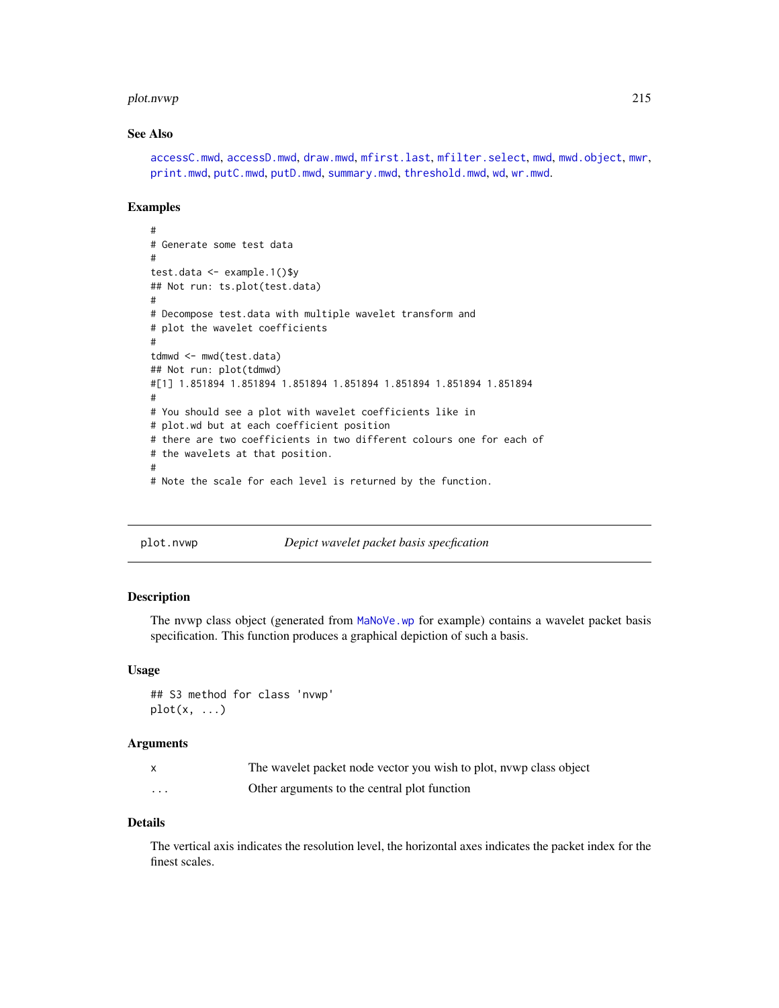#### plot.nvwp 215

# See Also

[accessC.mwd](#page-9-0), [accessD.mwd](#page-15-0), [draw.mwd](#page-87-0), [mfirst.last](#page-188-0), [mfilter.select](#page-186-0), [mwd](#page-193-0), [mwd.object](#page-195-0), [mwr](#page-197-0), [print.mwd](#page-230-0), [putC.mwd](#page-256-0), [putD.mwd](#page-264-0), [summary.mwd](#page-296-0), [threshold.mwd](#page-315-0), [wd](#page-344-0), [wr.mwd](#page-367-0).

#### Examples

```
#
# Generate some test data
#
test.data <- example.1()$y
## Not run: ts.plot(test.data)
#
# Decompose test.data with multiple wavelet transform and
# plot the wavelet coefficients
#
tdmwd <- mwd(test.data)
## Not run: plot(tdmwd)
#[1] 1.851894 1.851894 1.851894 1.851894 1.851894 1.851894 1.851894
#
# You should see a plot with wavelet coefficients like in
# plot.wd but at each coefficient position
# there are two coefficients in two different colours one for each of
# the wavelets at that position.
#
# Note the scale for each level is returned by the function.
```
plot.nvwp *Depict wavelet packet basis specfication*

## Description

The nvwp class object (generated from [MaNoVe.wp](#page-182-0) for example) contains a wavelet packet basis specification. This function produces a graphical depiction of such a basis.

#### Usage

```
## S3 method for class 'nvwp'
plot(x, \ldots)
```
#### **Arguments**

|          | The wavelet packet node vector you wish to plot, nywp class object |
|----------|--------------------------------------------------------------------|
| $\cdots$ | Other arguments to the central plot function                       |

## Details

The vertical axis indicates the resolution level, the horizontal axes indicates the packet index for the finest scales.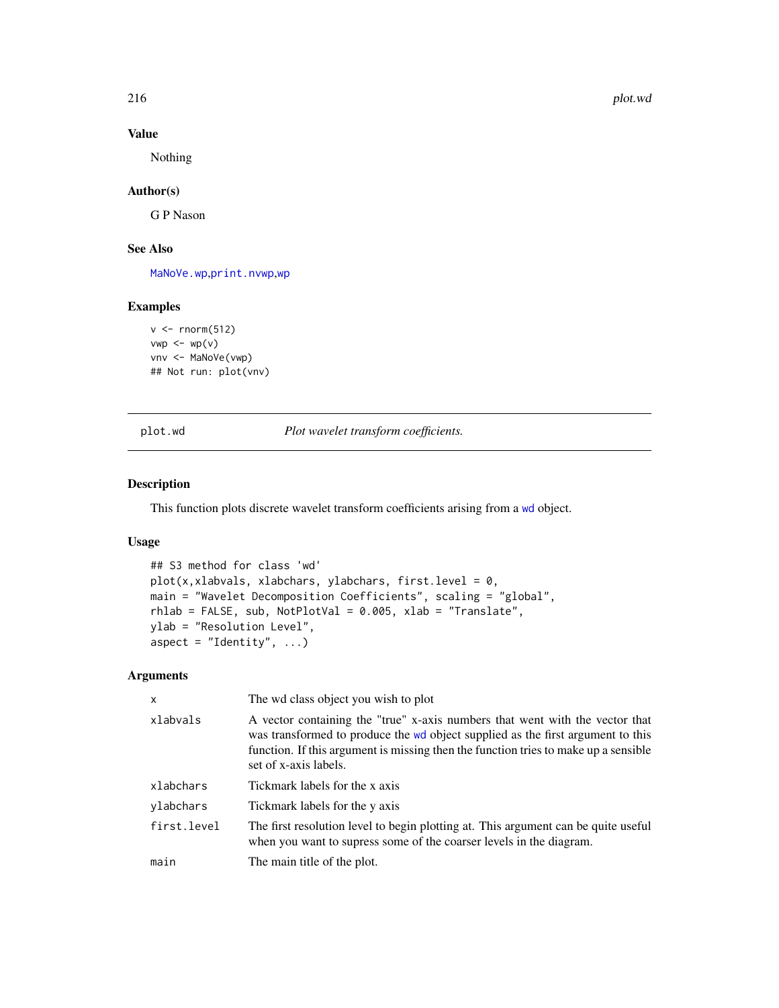216 plot.wd

# Value

Nothing

# Author(s)

G P Nason

# See Also

[MaNoVe.wp](#page-182-0),[print.nvwp](#page-233-0),[wp](#page-357-0)

## Examples

```
v \le rnorm(512)
vwp \leftarrow wp(v)vnv <- MaNoVe(vwp)
## Not run: plot(vnv)
```
# <span id="page-215-0"></span>plot.wd *Plot wavelet transform coefficients.*

## Description

This function plots discrete wavelet transform coefficients arising from a [wd](#page-344-0) object.

# Usage

```
## S3 method for class 'wd'
plot(x, xlabvals, xlabchars, ylabchars, first. level = 0,main = "Wavelet Decomposition Coefficients", scaling = "global",
rhlab = FALSE, sub, NotPlotVal = 0.005, xlab = "Translate",
ylab = "Resolution Level",
aspect = "Identity", ...)
```
# Arguments

| $\mathsf{x}$ | The wd class object you wish to plot                                                                                                                                                                                                                                            |
|--------------|---------------------------------------------------------------------------------------------------------------------------------------------------------------------------------------------------------------------------------------------------------------------------------|
| xlabvals     | A vector containing the "true" x-axis numbers that went with the vector that<br>was transformed to produce the wd object supplied as the first argument to this<br>function. If this argument is missing then the function tries to make up a sensible<br>set of x-axis labels. |
| xlabchars    | Tickmark labels for the x axis                                                                                                                                                                                                                                                  |
| ylabchars    | Tickmark labels for the y axis                                                                                                                                                                                                                                                  |
| first.level  | The first resolution level to begin plotting at. This argument can be quite useful<br>when you want to supress some of the coarser levels in the diagram.                                                                                                                       |
| main         | The main title of the plot.                                                                                                                                                                                                                                                     |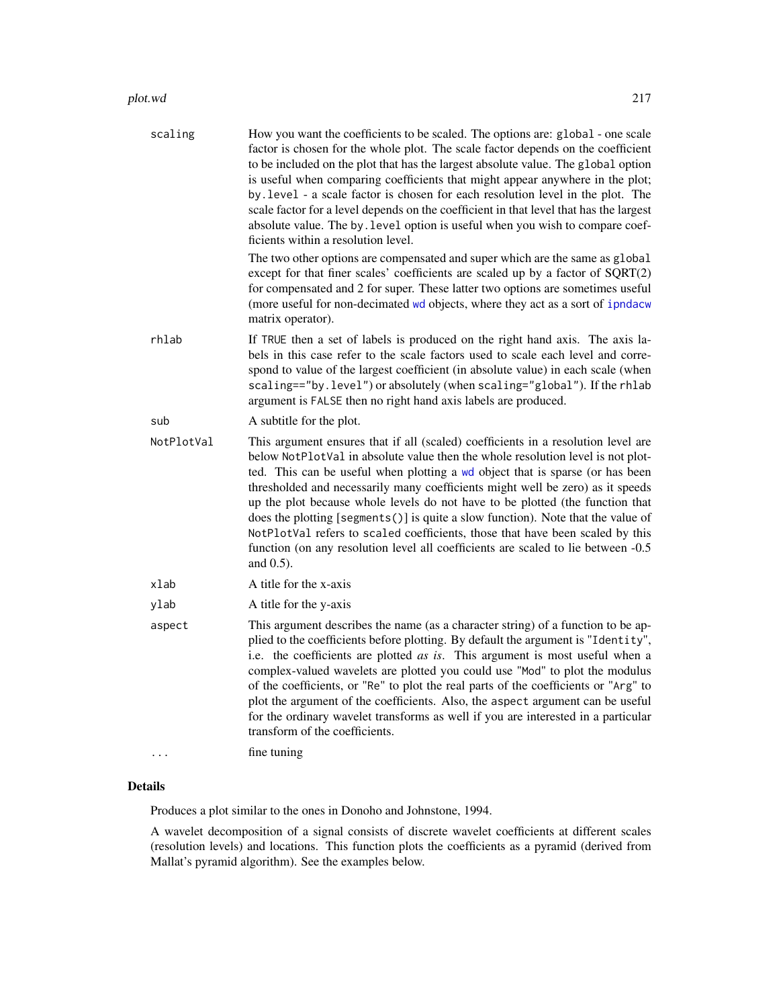| scaling    | How you want the coefficients to be scaled. The options are: global - one scale<br>factor is chosen for the whole plot. The scale factor depends on the coefficient<br>to be included on the plot that has the largest absolute value. The global option<br>is useful when comparing coefficients that might appear anywhere in the plot;<br>by . level - a scale factor is chosen for each resolution level in the plot. The<br>scale factor for a level depends on the coefficient in that level that has the largest<br>absolute value. The by . level option is useful when you wish to compare coef-<br>ficients within a resolution level.                                                   |
|------------|----------------------------------------------------------------------------------------------------------------------------------------------------------------------------------------------------------------------------------------------------------------------------------------------------------------------------------------------------------------------------------------------------------------------------------------------------------------------------------------------------------------------------------------------------------------------------------------------------------------------------------------------------------------------------------------------------|
|            | The two other options are compensated and super which are the same as global<br>except for that finer scales' coefficients are scaled up by a factor of SQRT(2)<br>for compensated and 2 for super. These latter two options are sometimes useful<br>(more useful for non-decimated wd objects, where they act as a sort of ipndacw<br>matrix operator).                                                                                                                                                                                                                                                                                                                                           |
| rhlab      | If TRUE then a set of labels is produced on the right hand axis. The axis la-<br>bels in this case refer to the scale factors used to scale each level and corre-<br>spond to value of the largest coefficient (in absolute value) in each scale (when<br>scaling == "by. level") or absolutely (when scaling = "global"). If the rhlab<br>argument is FALSE then no right hand axis labels are produced.                                                                                                                                                                                                                                                                                          |
| sub        | A subtitle for the plot.                                                                                                                                                                                                                                                                                                                                                                                                                                                                                                                                                                                                                                                                           |
| NotPlotVal | This argument ensures that if all (scaled) coefficients in a resolution level are<br>below NotPlotVal in absolute value then the whole resolution level is not plot-<br>ted. This can be useful when plotting a wd object that is sparse (or has been<br>thresholded and necessarily many coefficients might well be zero) as it speeds<br>up the plot because whole levels do not have to be plotted (the function that<br>does the plotting [segments()] is quite a slow function). Note that the value of<br>NotPlotVal refers to scaled coefficients, those that have been scaled by this<br>function (on any resolution level all coefficients are scaled to lie between -0.5<br>and $0.5$ ). |
| xlab       | A title for the x-axis                                                                                                                                                                                                                                                                                                                                                                                                                                                                                                                                                                                                                                                                             |
| ylab       | A title for the y-axis                                                                                                                                                                                                                                                                                                                                                                                                                                                                                                                                                                                                                                                                             |
| aspect     | This argument describes the name (as a character string) of a function to be ap-<br>plied to the coefficients before plotting. By default the argument is "Identity",<br>i.e. the coefficients are plotted as is. This argument is most useful when a<br>complex-valued wavelets are plotted you could use "Mod" to plot the modulus<br>of the coefficients, or "Re" to plot the real parts of the coefficients or "Arg" to<br>plot the argument of the coefficients. Also, the aspect argument can be useful<br>for the ordinary wavelet transforms as well if you are interested in a particular<br>transform of the coefficients.                                                               |
|            | fine tuning                                                                                                                                                                                                                                                                                                                                                                                                                                                                                                                                                                                                                                                                                        |

# Details

Produces a plot similar to the ones in Donoho and Johnstone, 1994.

A wavelet decomposition of a signal consists of discrete wavelet coefficients at different scales (resolution levels) and locations. This function plots the coefficients as a pyramid (derived from Mallat's pyramid algorithm). See the examples below.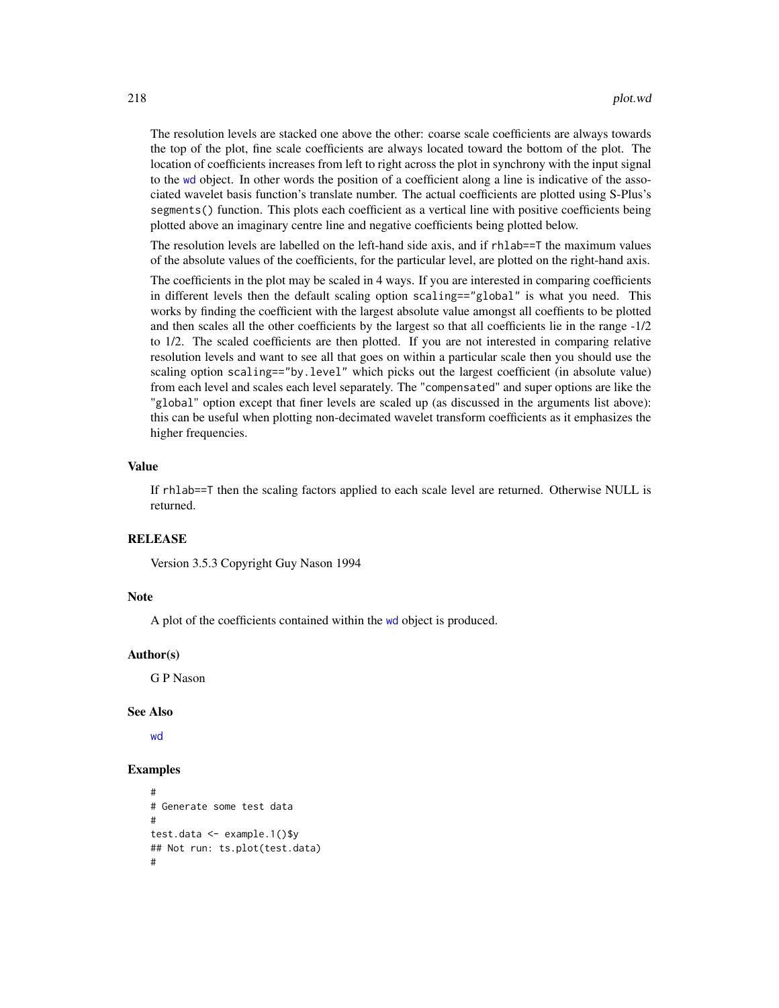The resolution levels are stacked one above the other: coarse scale coefficients are always towards the top of the plot, fine scale coefficients are always located toward the bottom of the plot. The location of coefficients increases from left to right across the plot in synchrony with the input signal to the [wd](#page-344-0) object. In other words the position of a coefficient along a line is indicative of the associated wavelet basis function's translate number. The actual coefficients are plotted using S-Plus's segments() function. This plots each coefficient as a vertical line with positive coefficients being plotted above an imaginary centre line and negative coefficients being plotted below.

The resolution levels are labelled on the left-hand side axis, and if rhlab==T the maximum values of the absolute values of the coefficients, for the particular level, are plotted on the right-hand axis.

The coefficients in the plot may be scaled in 4 ways. If you are interested in comparing coefficients in different levels then the default scaling option scaling=="global" is what you need. This works by finding the coefficient with the largest absolute value amongst all coeffients to be plotted and then scales all the other coefficients by the largest so that all coefficients lie in the range -1/2 to 1/2. The scaled coefficients are then plotted. If you are not interested in comparing relative resolution levels and want to see all that goes on within a particular scale then you should use the scaling option scaling=="by.level" which picks out the largest coefficient (in absolute value) from each level and scales each level separately. The "compensated" and super options are like the "global" option except that finer levels are scaled up (as discussed in the arguments list above): this can be useful when plotting non-decimated wavelet transform coefficients as it emphasizes the higher frequencies.

#### Value

If rhlab==T then the scaling factors applied to each scale level are returned. Otherwise NULL is returned.

## RELEASE

Version 3.5.3 Copyright Guy Nason 1994

#### Note

A plot of the coefficients contained within the [wd](#page-344-0) object is produced.

#### Author(s)

G P Nason

#### See Also

[wd](#page-344-0)

```
#
# Generate some test data
#
test.data <- example.1()$y
## Not run: ts.plot(test.data)
#
```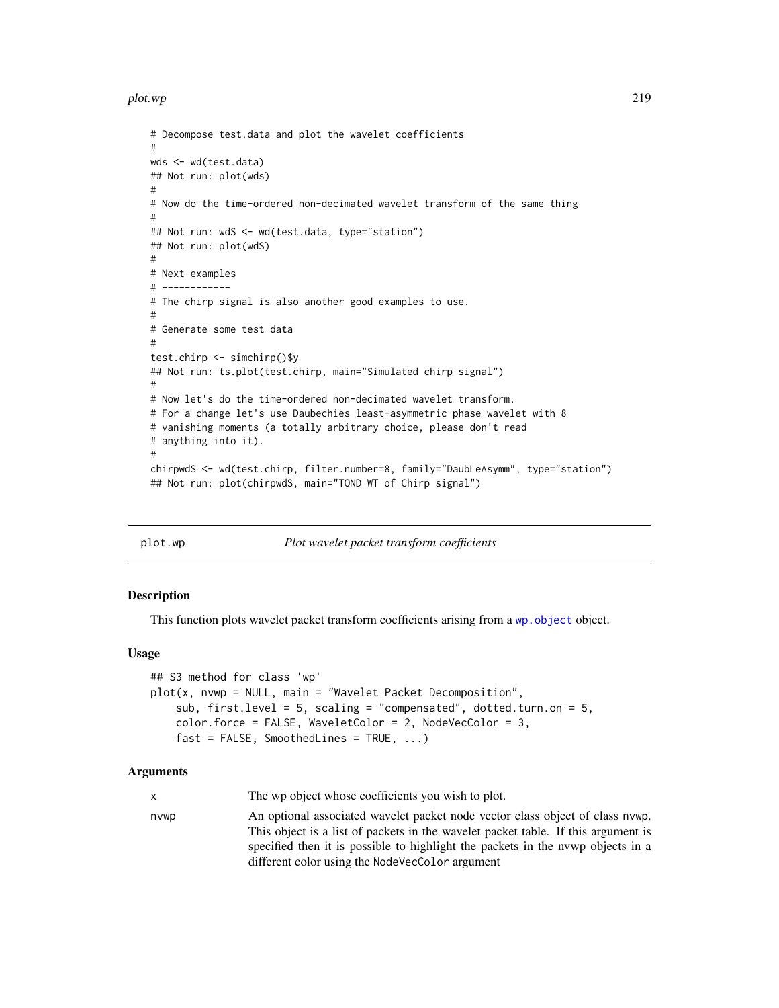plot.wp 219

```
# Decompose test.data and plot the wavelet coefficients
#
wds <- wd(test.data)
## Not run: plot(wds)
#
# Now do the time-ordered non-decimated wavelet transform of the same thing
#
## Not run: wdS <- wd(test.data, type="station")
## Not run: plot(wdS)
#
# Next examples
# ------------
# The chirp signal is also another good examples to use.
#
# Generate some test data
#
test.chirp <- simchirp()$y
## Not run: ts.plot(test.chirp, main="Simulated chirp signal")
#
# Now let's do the time-ordered non-decimated wavelet transform.
# For a change let's use Daubechies least-asymmetric phase wavelet with 8
# vanishing moments (a totally arbitrary choice, please don't read
# anything into it).
#
chirpwdS <- wd(test.chirp, filter.number=8, family="DaubLeAsymm", type="station")
## Not run: plot(chirpwdS, main="TOND WT of Chirp signal")
```
<span id="page-218-0"></span>

plot.wp *Plot wavelet packet transform coefficients*

## Description

This function plots wavelet packet transform coefficients arising from a wp. object object.

#### Usage

```
## S3 method for class 'wp'
plot(x, nvwp = NULL, main = "Wavelet Packet Decomposition",
   sub, first.level = 5, scaling = "compensated", dotted.turn.on = 5,
   color.force = FALSE, WaveletColor = 2, NodeVecColor = 3,
   fast = FALSE, SmoothedLines = TRUE, ...)
```
#### Arguments

|      | The wp object whose coefficients you wish to plot.                                |
|------|-----------------------------------------------------------------------------------|
| nvwp | An optional associated wavelet packet node vector class object of class nywp.     |
|      | This object is a list of packets in the wavelet packet table. If this argument is |
|      | specified then it is possible to highlight the packets in the nywp objects in a   |
|      | different color using the NodeVecColor argument                                   |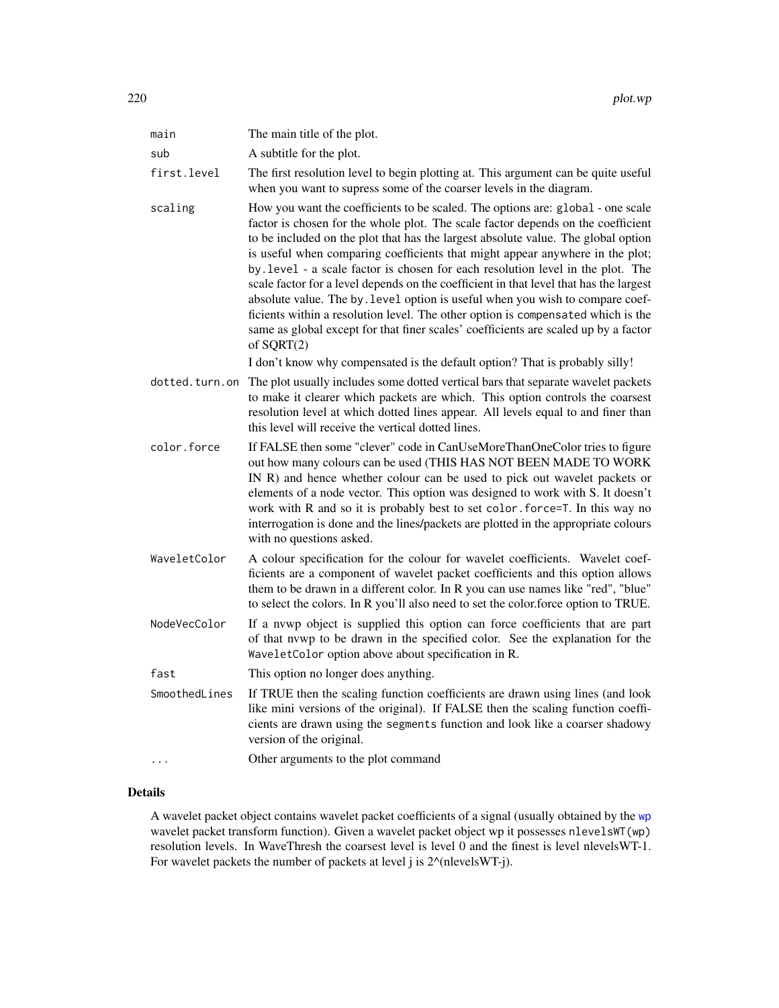| main           | The main title of the plot.                                                                                                                                                                                                                                                                                                                                                                                                                                                                                                                                                                                                                                                                                                                                                                          |
|----------------|------------------------------------------------------------------------------------------------------------------------------------------------------------------------------------------------------------------------------------------------------------------------------------------------------------------------------------------------------------------------------------------------------------------------------------------------------------------------------------------------------------------------------------------------------------------------------------------------------------------------------------------------------------------------------------------------------------------------------------------------------------------------------------------------------|
| sub            | A subtitle for the plot.                                                                                                                                                                                                                                                                                                                                                                                                                                                                                                                                                                                                                                                                                                                                                                             |
| first.level    | The first resolution level to begin plotting at. This argument can be quite useful<br>when you want to supress some of the coarser levels in the diagram.                                                                                                                                                                                                                                                                                                                                                                                                                                                                                                                                                                                                                                            |
| scaling        | How you want the coefficients to be scaled. The options are: global - one scale<br>factor is chosen for the whole plot. The scale factor depends on the coefficient<br>to be included on the plot that has the largest absolute value. The global option<br>is useful when comparing coefficients that might appear anywhere in the plot;<br>by . level - a scale factor is chosen for each resolution level in the plot. The<br>scale factor for a level depends on the coefficient in that level that has the largest<br>absolute value. The by . level option is useful when you wish to compare coef-<br>ficients within a resolution level. The other option is compensated which is the<br>same as global except for that finer scales' coefficients are scaled up by a factor<br>of $SQRT(2)$ |
|                | I don't know why compensated is the default option? That is probably silly!                                                                                                                                                                                                                                                                                                                                                                                                                                                                                                                                                                                                                                                                                                                          |
| dotted.turn.on | The plot usually includes some dotted vertical bars that separate wavelet packets<br>to make it clearer which packets are which. This option controls the coarsest<br>resolution level at which dotted lines appear. All levels equal to and finer than<br>this level will receive the vertical dotted lines.                                                                                                                                                                                                                                                                                                                                                                                                                                                                                        |
| color.force    | If FALSE then some "clever" code in CanUseMoreThanOneColor tries to figure<br>out how many colours can be used (THIS HAS NOT BEEN MADE TO WORK<br>IN R) and hence whether colour can be used to pick out wavelet packets or<br>elements of a node vector. This option was designed to work with S. It doesn't<br>work with R and so it is probably best to set color. force=T. In this way no<br>interrogation is done and the lines/packets are plotted in the appropriate colours<br>with no questions asked.                                                                                                                                                                                                                                                                                      |
| WaveletColor   | A colour specification for the colour for wavelet coefficients. Wavelet coef-<br>ficients are a component of wavelet packet coefficients and this option allows<br>them to be drawn in a different color. In R you can use names like "red", "blue"<br>to select the colors. In R you'll also need to set the color.force option to TRUE.                                                                                                                                                                                                                                                                                                                                                                                                                                                            |
| NodeVecColor   | If a nvwp object is supplied this option can force coefficients that are part<br>of that nywp to be drawn in the specified color. See the explanation for the<br>WaveletColor option above about specification in R.                                                                                                                                                                                                                                                                                                                                                                                                                                                                                                                                                                                 |
| fast           | This option no longer does anything.                                                                                                                                                                                                                                                                                                                                                                                                                                                                                                                                                                                                                                                                                                                                                                 |
| SmoothedLines  | If TRUE then the scaling function coefficients are drawn using lines (and look<br>like mini versions of the original). If FALSE then the scaling function coeffi-<br>cients are drawn using the segments function and look like a coarser shadowy<br>version of the original.                                                                                                                                                                                                                                                                                                                                                                                                                                                                                                                        |
| .              | Other arguments to the plot command                                                                                                                                                                                                                                                                                                                                                                                                                                                                                                                                                                                                                                                                                                                                                                  |
|                |                                                                                                                                                                                                                                                                                                                                                                                                                                                                                                                                                                                                                                                                                                                                                                                                      |

# Details

A wavelet packet object contains wavelet packet coefficients of a signal (usually obtained by the [wp](#page-357-0) wavelet packet transform function). Given a wavelet packet object wp it possesses nlevelsWT(wp) resolution levels. In WaveThresh the coarsest level is level 0 and the finest is level nlevelsWT-1. For wavelet packets the number of packets at level j is  $2^{\wedge}$ (nlevelsWT-j).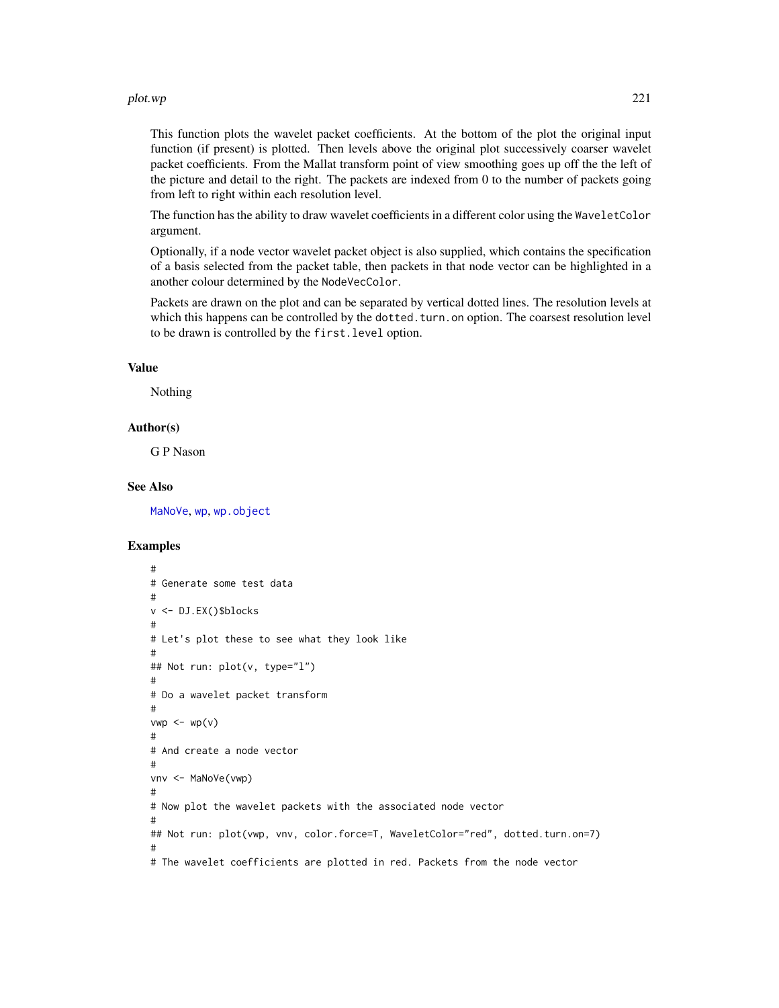#### plot.wp 221

This function plots the wavelet packet coefficients. At the bottom of the plot the original input function (if present) is plotted. Then levels above the original plot successively coarser wavelet packet coefficients. From the Mallat transform point of view smoothing goes up off the the left of the picture and detail to the right. The packets are indexed from 0 to the number of packets going from left to right within each resolution level.

The function has the ability to draw wavelet coefficients in a different color using the WaveletColor argument.

Optionally, if a node vector wavelet packet object is also supplied, which contains the specification of a basis selected from the packet table, then packets in that node vector can be highlighted in a another colour determined by the NodeVecColor.

Packets are drawn on the plot and can be separated by vertical dotted lines. The resolution levels at which this happens can be controlled by the dotted.turn.on option. The coarsest resolution level to be drawn is controlled by the first.level option.

## Value

Nothing

## Author(s)

G P Nason

#### See Also

[MaNoVe](#page-181-0), [wp](#page-357-0), [wp.object](#page-358-0)

```
#
# Generate some test data
#
v <- DJ.EX()$blocks
#
# Let's plot these to see what they look like
#
## Not run: plot(v, type="l")
#
# Do a wavelet packet transform
#
vwp \leftarrow wp(v)#
# And create a node vector
#
vnv <- MaNoVe(vwp)
#
# Now plot the wavelet packets with the associated node vector
#
## Not run: plot(vwp, vnv, color.force=T, WaveletColor="red", dotted.turn.on=7)
#
# The wavelet coefficients are plotted in red. Packets from the node vector
```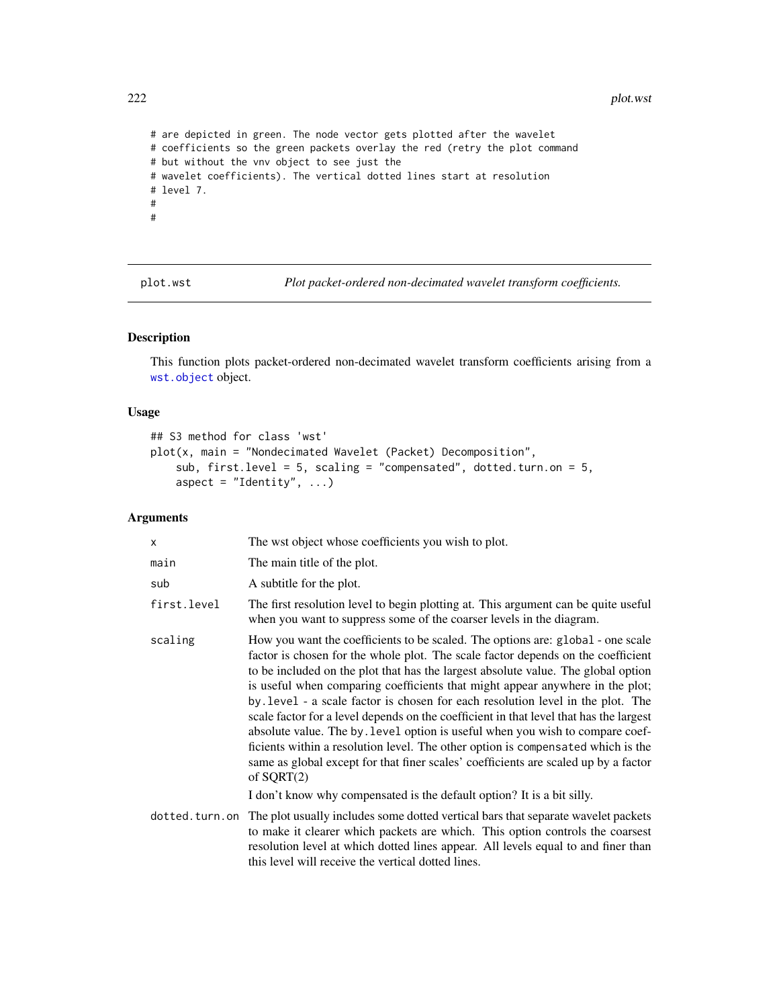```
# are depicted in green. The node vector gets plotted after the wavelet
# coefficients so the green packets overlay the red (retry the plot command
# but without the vnv object to see just the
# wavelet coefficients). The vertical dotted lines start at resolution
# level 7.
#
#
```
plot.wst *Plot packet-ordered non-decimated wavelet transform coefficients.*

# Description

This function plots packet-ordered non-decimated wavelet transform coefficients arising from a [wst.object](#page-373-0) object.

## Usage

```
## S3 method for class 'wst'
plot(x, main = "Nondecimated Wavelet (Packet) Decomposition",
    sub, first.level = 5, scaling = "compensated", dotted.turn.on = 5,
    aspect = "Identity", ...)
```
# Arguments

| X              | The wst object whose coefficients you wish to plot.                                                                                                                                                                                                                                                                                                                                                                                                                                                                                                                                                                                                                                                                                                                                              |
|----------------|--------------------------------------------------------------------------------------------------------------------------------------------------------------------------------------------------------------------------------------------------------------------------------------------------------------------------------------------------------------------------------------------------------------------------------------------------------------------------------------------------------------------------------------------------------------------------------------------------------------------------------------------------------------------------------------------------------------------------------------------------------------------------------------------------|
| main           | The main title of the plot.                                                                                                                                                                                                                                                                                                                                                                                                                                                                                                                                                                                                                                                                                                                                                                      |
| sub            | A subtitle for the plot.                                                                                                                                                                                                                                                                                                                                                                                                                                                                                                                                                                                                                                                                                                                                                                         |
| first.level    | The first resolution level to begin plotting at. This argument can be quite useful<br>when you want to suppress some of the coarser levels in the diagram.                                                                                                                                                                                                                                                                                                                                                                                                                                                                                                                                                                                                                                       |
| scaling        | How you want the coefficients to be scaled. The options are: global - one scale<br>factor is chosen for the whole plot. The scale factor depends on the coefficient<br>to be included on the plot that has the largest absolute value. The global option<br>is useful when comparing coefficients that might appear anywhere in the plot;<br>by level - a scale factor is chosen for each resolution level in the plot. The<br>scale factor for a level depends on the coefficient in that level that has the largest<br>absolute value. The by level option is useful when you wish to compare coef-<br>ficients within a resolution level. The other option is compensated which is the<br>same as global except for that finer scales' coefficients are scaled up by a factor<br>of $SQRT(2)$ |
|                | I don't know why compensated is the default option? It is a bit silly.                                                                                                                                                                                                                                                                                                                                                                                                                                                                                                                                                                                                                                                                                                                           |
| dotted.turn.on | The plot usually includes some dotted vertical bars that separate wavelet packets<br>to make it clearer which packets are which. This option controls the coarsest<br>resolution level at which dotted lines appear. All levels equal to and finer than<br>this level will receive the vertical dotted lines.                                                                                                                                                                                                                                                                                                                                                                                                                                                                                    |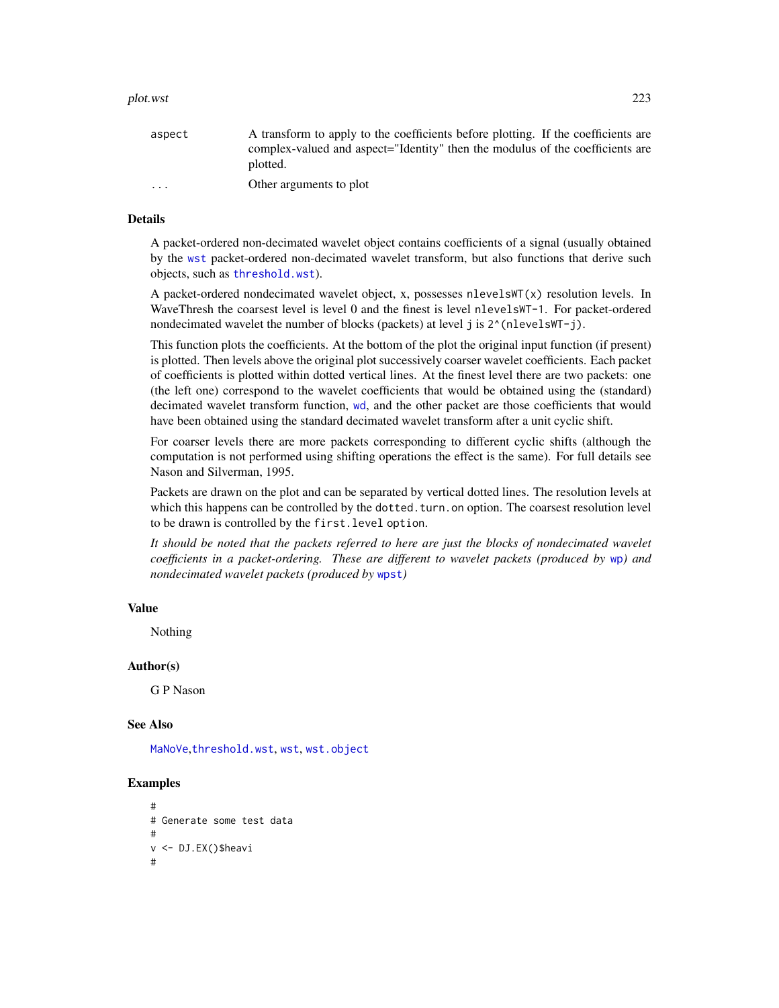#### plot.wst 223

#### Details

A packet-ordered non-decimated wavelet object contains coefficients of a signal (usually obtained by the [wst](#page-371-0) packet-ordered non-decimated wavelet transform, but also functions that derive such objects, such as [threshold.wst](#page-329-0)).

A packet-ordered nondecimated wavelet object, x, possesses nlevelsWT( $x$ ) resolution levels. In WaveThresh the coarsest level is level 0 and the finest is level nlevelsWT-1. For packet-ordered nondecimated wavelet the number of blocks (packets) at level j is  $2^{\lambda}$ (nlevelsWT-j).

This function plots the coefficients. At the bottom of the plot the original input function (if present) is plotted. Then levels above the original plot successively coarser wavelet coefficients. Each packet of coefficients is plotted within dotted vertical lines. At the finest level there are two packets: one (the left one) correspond to the wavelet coefficients that would be obtained using the (standard) decimated wavelet transform function, [wd](#page-344-0), and the other packet are those coefficients that would have been obtained using the standard decimated wavelet transform after a unit cyclic shift.

For coarser levels there are more packets corresponding to different cyclic shifts (although the computation is not performed using shifting operations the effect is the same). For full details see Nason and Silverman, 1995.

Packets are drawn on the plot and can be separated by vertical dotted lines. The resolution levels at which this happens can be controlled by the dotted.turn.on option. The coarsest resolution level to be drawn is controlled by the first.level option.

*It should be noted that the packets referred to here are just the blocks of nondecimated wavelet coefficients in a packet-ordering. These are different to wavelet packets (produced by* [wp](#page-357-0)*) and nondecimated wavelet packets (produced by* [wpst](#page-359-0)*)*

#### Value

Nothing

#### Author(s)

G P Nason

#### See Also

[MaNoVe](#page-181-0),[threshold.wst](#page-329-0), [wst](#page-371-0), [wst.object](#page-373-0)

```
#
# Generate some test data
#
v <- DJ.EX()$heavi
#
```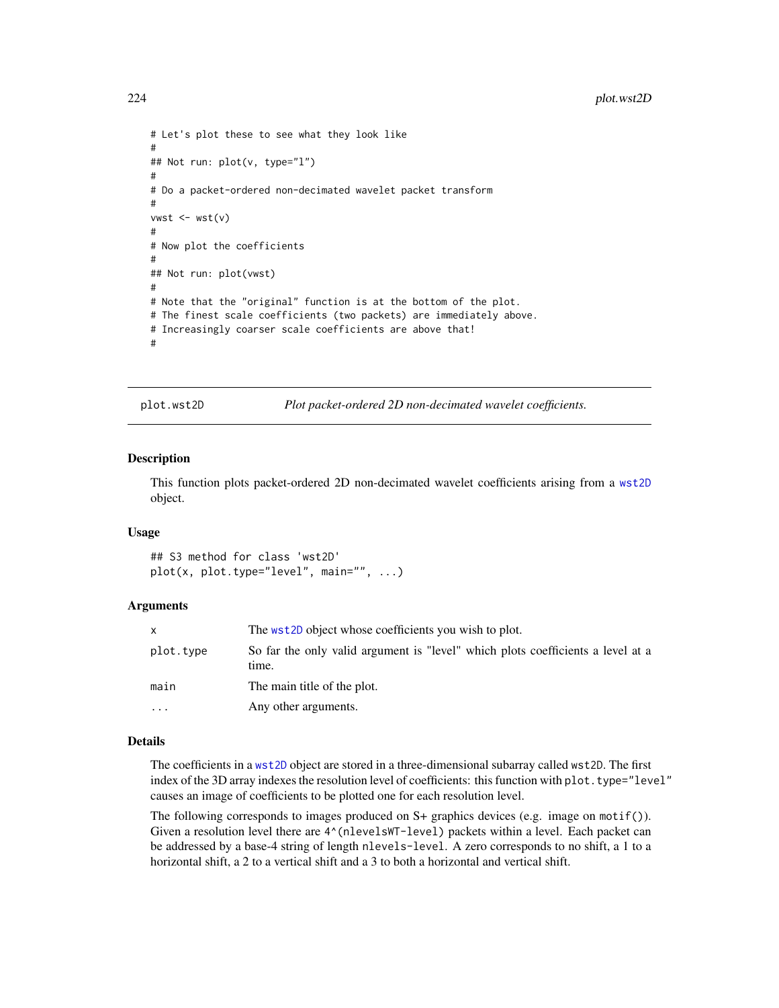```
# Let's plot these to see what they look like
#
## Not run: plot(v, type="l")
#
# Do a packet-ordered non-decimated wavelet packet transform
#
vwst \leftarrow wst(v)#
# Now plot the coefficients
#
## Not run: plot(vwst)
#
# Note that the "original" function is at the bottom of the plot.
# The finest scale coefficients (two packets) are immediately above.
# Increasingly coarser scale coefficients are above that!
#
```
plot.wst2D *Plot packet-ordered 2D non-decimated wavelet coefficients.*

#### Description

This function plots packet-ordered 2D non-decimated wavelet coefficients arising from a [wst2D](#page-374-0) object.

#### Usage

```
## S3 method for class 'wst2D'
plot(x, plot-type='level", main='", ...)
```
#### Arguments

|           | The wst2D object whose coefficients you wish to plot.                                    |
|-----------|------------------------------------------------------------------------------------------|
| plot.tvpe | So far the only valid argument is "level" which plots coefficients a level at a<br>time. |
| main      | The main title of the plot.                                                              |
| .         | Any other arguments.                                                                     |

## Details

The coefficients in a [wst2D](#page-374-0) object are stored in a three-dimensional subarray called wst2D. The first index of the 3D array indexes the resolution level of coefficients: this function with plot.type="level" causes an image of coefficients to be plotted one for each resolution level.

The following corresponds to images produced on  $S$ + graphics devices (e.g. image on motif()). Given a resolution level there are  $4^(nlevelswT-level)$  packets within a level. Each packet can be addressed by a base-4 string of length nlevels-level. A zero corresponds to no shift, a 1 to a horizontal shift, a 2 to a vertical shift and a 3 to both a horizontal and vertical shift.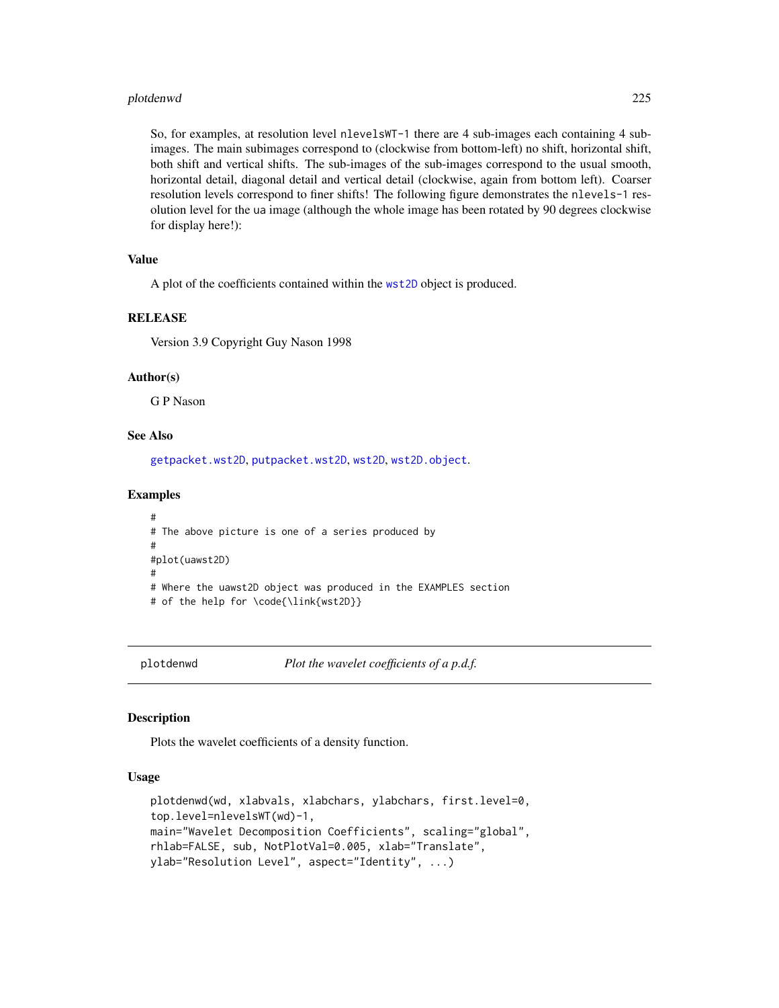#### plotdenwd 225

So, for examples, at resolution level nlevelsWT-1 there are 4 sub-images each containing 4 subimages. The main subimages correspond to (clockwise from bottom-left) no shift, horizontal shift, both shift and vertical shifts. The sub-images of the sub-images correspond to the usual smooth, horizontal detail, diagonal detail and vertical detail (clockwise, again from bottom left). Coarser resolution levels correspond to finer shifts! The following figure demonstrates the nlevels-1 resolution level for the ua image (although the whole image has been rotated by 90 degrees clockwise for display here!):

# Value

A plot of the coefficients contained within the [wst2D](#page-374-0) object is produced.

#### RELEASE

Version 3.9 Copyright Guy Nason 1998

## Author(s)

G P Nason

# See Also

[getpacket.wst2D](#page-119-0), [putpacket.wst2D](#page-278-0), [wst2D](#page-374-0), [wst2D.object](#page-376-0).

#### Examples

```
#
# The above picture is one of a series produced by
#
#plot(uawst2D)
#
# Where the uawst2D object was produced in the EXAMPLES section
# of the help for \code{\link{wst2D}}
```
plotdenwd *Plot the wavelet coefficients of a p.d.f.*

## Description

Plots the wavelet coefficients of a density function.

#### Usage

```
plotdenwd(wd, xlabvals, xlabchars, ylabchars, first.level=0,
top.level=nlevelsWT(wd)-1,
main="Wavelet Decomposition Coefficients", scaling="global",
rhlab=FALSE, sub, NotPlotVal=0.005, xlab="Translate",
ylab="Resolution Level", aspect="Identity", ...)
```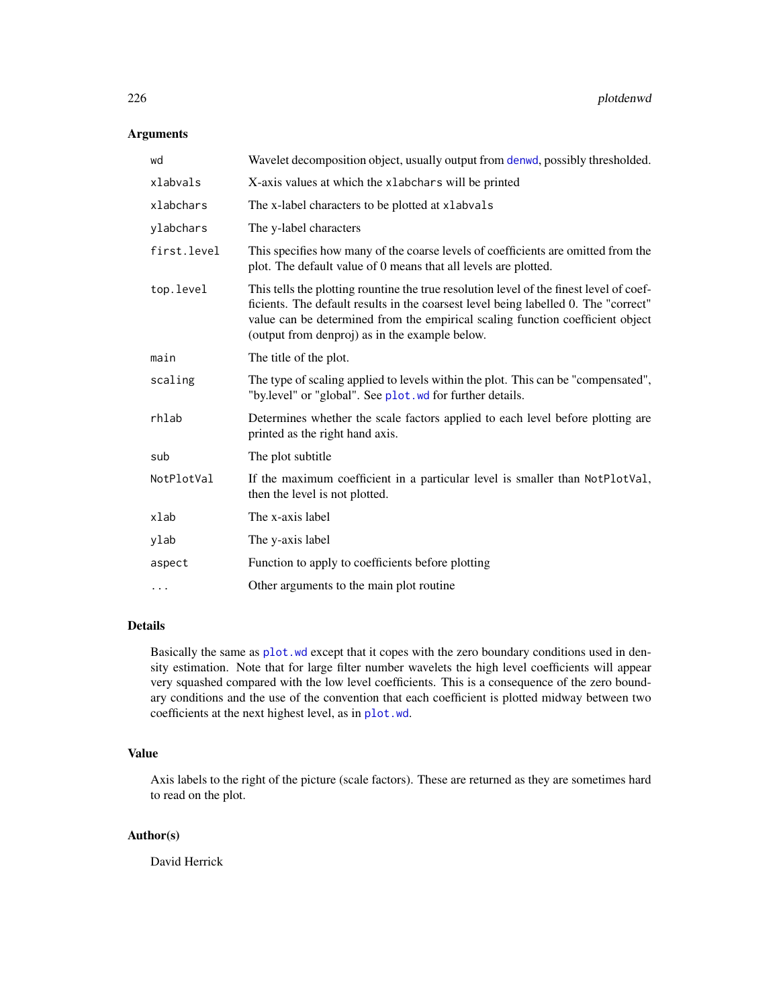# Arguments

| Wavelet decomposition object, usually output from denwd, possibly thresholded.                                                                                                                                                                                                                                     |
|--------------------------------------------------------------------------------------------------------------------------------------------------------------------------------------------------------------------------------------------------------------------------------------------------------------------|
| X-axis values at which the xlabchars will be printed                                                                                                                                                                                                                                                               |
| The x-label characters to be plotted at xlabvals                                                                                                                                                                                                                                                                   |
| The y-label characters                                                                                                                                                                                                                                                                                             |
| This specifies how many of the coarse levels of coefficients are omitted from the<br>plot. The default value of 0 means that all levels are plotted.                                                                                                                                                               |
| This tells the plotting rountine the true resolution level of the finest level of coef-<br>ficients. The default results in the coarsest level being labelled 0. The "correct"<br>value can be determined from the empirical scaling function coefficient object<br>(output from denproj) as in the example below. |
| The title of the plot.                                                                                                                                                                                                                                                                                             |
| The type of scaling applied to levels within the plot. This can be "compensated",<br>"by.level" or "global". See plot. wd for further details.                                                                                                                                                                     |
| Determines whether the scale factors applied to each level before plotting are<br>printed as the right hand axis.                                                                                                                                                                                                  |
| The plot subtitle                                                                                                                                                                                                                                                                                                  |
| If the maximum coefficient in a particular level is smaller than NotPlotVal,<br>then the level is not plotted.                                                                                                                                                                                                     |
| The x-axis label                                                                                                                                                                                                                                                                                                   |
| The y-axis label                                                                                                                                                                                                                                                                                                   |
| Function to apply to coefficients before plotting                                                                                                                                                                                                                                                                  |
| Other arguments to the main plot routine                                                                                                                                                                                                                                                                           |
|                                                                                                                                                                                                                                                                                                                    |

## Details

Basically the same as [plot.wd](#page-215-0) except that it copes with the zero boundary conditions used in density estimation. Note that for large filter number wavelets the high level coefficients will appear very squashed compared with the low level coefficients. This is a consequence of the zero boundary conditions and the use of the convention that each coefficient is plotted midway between two coefficients at the next highest level, as in [plot.wd](#page-215-0).

## Value

Axis labels to the right of the picture (scale factors). These are returned as they are sometimes hard to read on the plot.

## Author(s)

David Herrick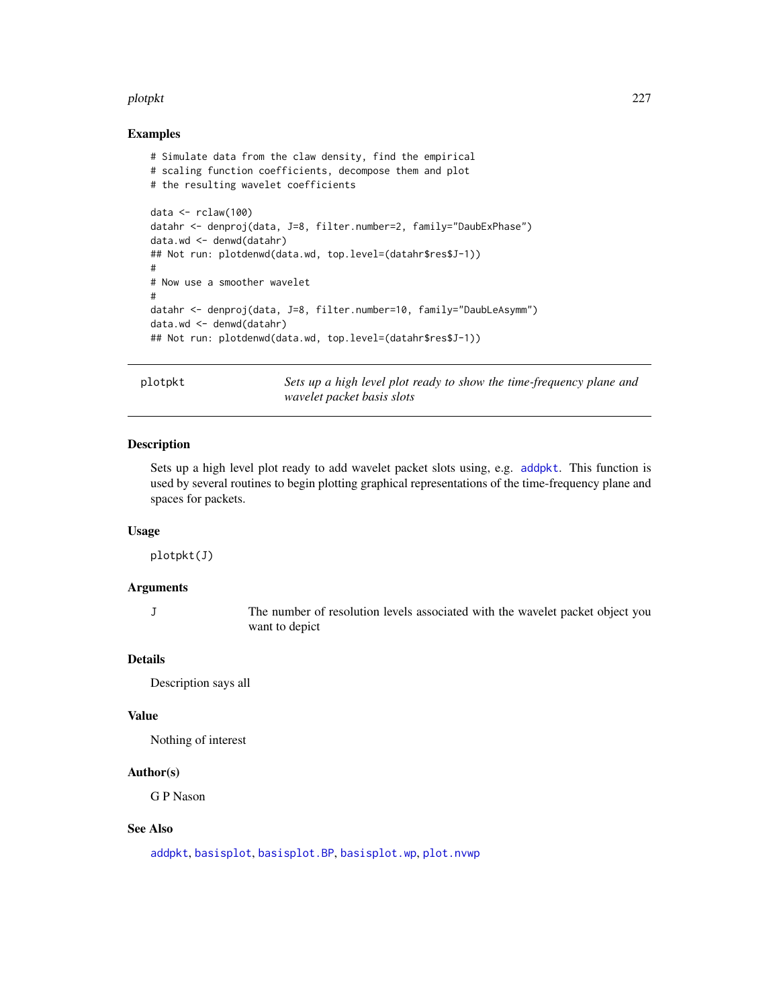#### plotpkt 227

## Examples

```
# Simulate data from the claw density, find the empirical
# scaling function coefficients, decompose them and plot
# the resulting wavelet coefficients
data <- rclaw(100)
datahr <- denproj(data, J=8, filter.number=2, family="DaubExPhase")
data.wd <- denwd(datahr)
## Not run: plotdenwd(data.wd, top.level=(datahr$res$J-1))
#
# Now use a smoother wavelet
#
datahr <- denproj(data, J=8, filter.number=10, family="DaubLeAsymm")
data.wd <- denwd(datahr)
## Not run: plotdenwd(data.wd, top.level=(datahr$res$J-1))
```
plotpkt *Sets up a high level plot ready to show the time-frequency plane and wavelet packet basis slots*

## Description

Sets up a high level plot ready to add wavelet packet slots using, e.g. [addpkt](#page-24-0). This function is used by several routines to begin plotting graphical representations of the time-frequency plane and spaces for packets.

## Usage

plotpkt(J)

## Arguments

J The number of resolution levels associated with the wavelet packet object you want to depict

## Details

Description says all

#### Value

Nothing of interest

#### Author(s)

G P Nason

#### See Also

[addpkt](#page-24-0), [basisplot](#page-35-0), [basisplot.BP](#page-36-0), [basisplot.wp](#page-37-0), [plot.nvwp](#page-214-0)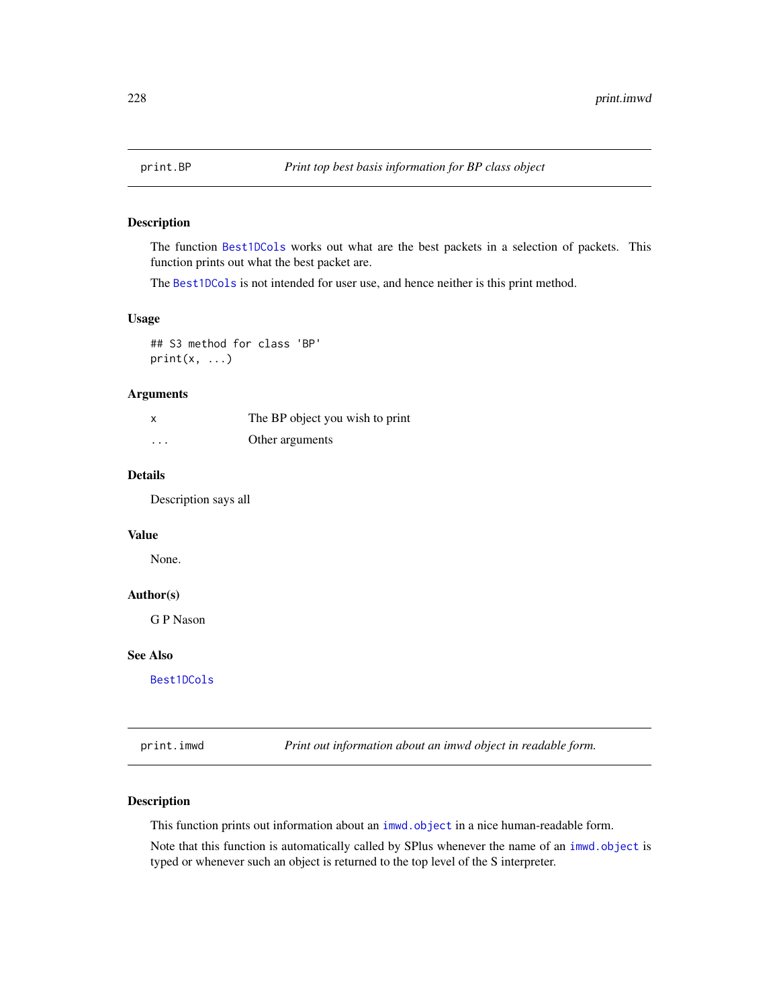<span id="page-227-0"></span>

# Description

The function [Best1DCols](#page-40-0) works out what are the best packets in a selection of packets. This function prints out what the best packet are.

The [Best1DCols](#page-40-0) is not intended for user use, and hence neither is this print method.

#### Usage

## S3 method for class 'BP'  $print(x, \ldots)$ 

## Arguments

| x        | The BP object you wish to print |
|----------|---------------------------------|
| $\cdots$ | Other arguments                 |

## Details

Description says all

# Value

None.

# Author(s)

G P Nason

#### See Also

[Best1DCols](#page-40-0)

print.imwd *Print out information about an imwd object in readable form.*

## Description

This function prints out information about an [imwd.object](#page-133-0) in a nice human-readable form.

Note that this function is automatically called by SPlus whenever the name of an [imwd.object](#page-133-0) is typed or whenever such an object is returned to the top level of the S interpreter.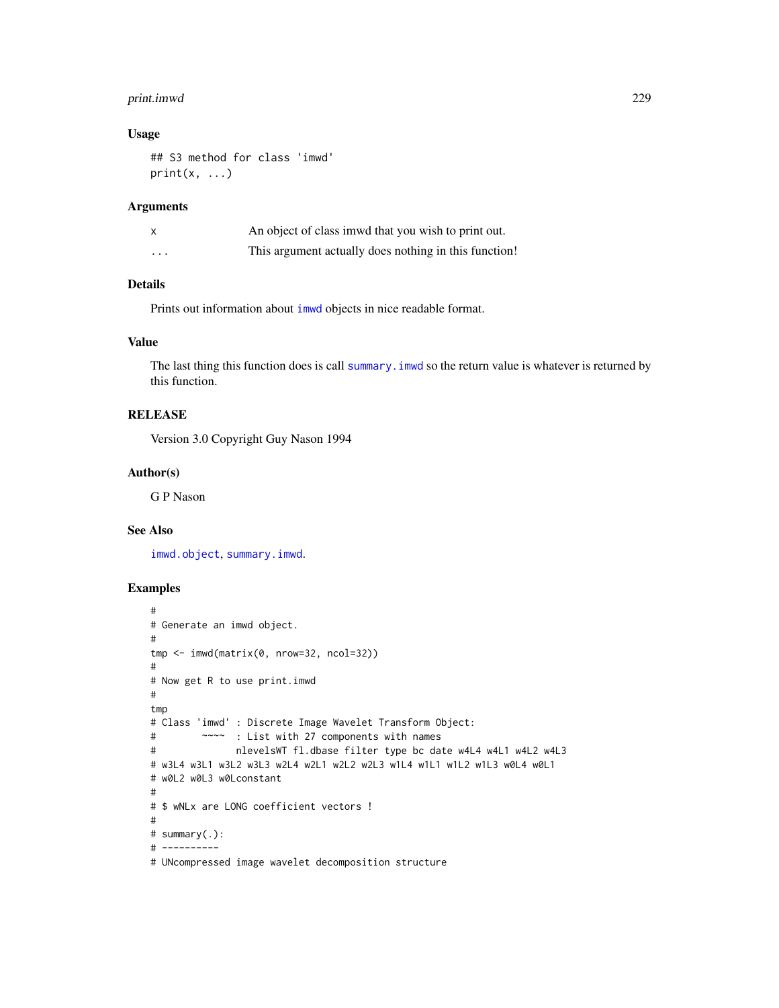# print.imwd 229

## Usage

```
## S3 method for class 'imwd'
print(x, \ldots)
```
# Arguments

|          | An object of class immed that you wish to print out.  |
|----------|-------------------------------------------------------|
| $\cdots$ | This argument actually does nothing in this function! |

# Details

Prints out information about [imwd](#page-131-0) objects in nice readable format.

# Value

The last thing this function does is call summary. imwd so the return value is whatever is returned by this function.

# RELEASE

Version 3.0 Copyright Guy Nason 1994

#### Author(s)

G P Nason

## See Also

[imwd.object](#page-133-0), [summary.imwd](#page-294-0).

```
#
# Generate an imwd object.
#
tmp <- imwd(matrix(0, nrow=32, ncol=32))
#
# Now get R to use print.imwd
#
tmp
# Class 'imwd' : Discrete Image Wavelet Transform Object:
# ~~~~ : List with 27 components with names
# nlevelsWT fl.dbase filter type bc date w4L4 w4L1 w4L2 w4L3
# w3L4 w3L1 w3L2 w3L3 w2L4 w2L1 w2L2 w2L3 w1L4 w1L1 w1L2 w1L3 w0L4 w0L1
# w0L2 w0L3 w0Lconstant
#
# $ wNLx are LONG coefficient vectors !
#
# summary(.):
# ----------
# UNcompressed image wavelet decomposition structure
```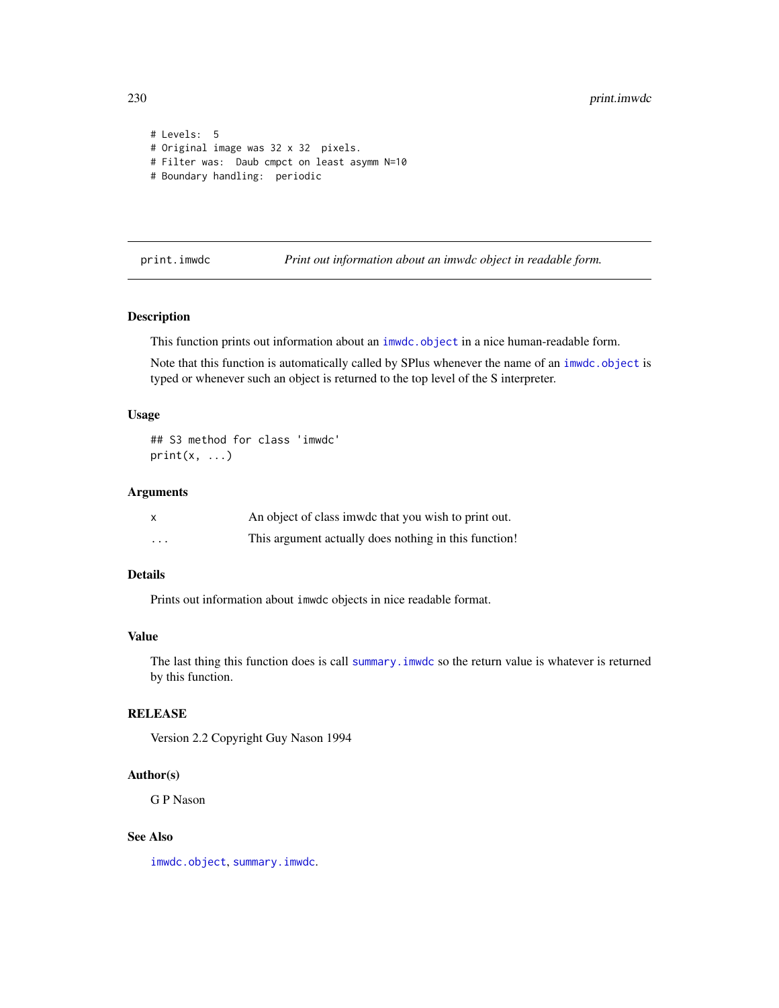```
# Levels: 5
# Original image was 32 x 32 pixels.
# Filter was: Daub cmpct on least asymm N=10
# Boundary handling: periodic
```
print.imwdc *Print out information about an imwdc object in readable form.*

## Description

This function prints out information about an [imwdc.object](#page-134-0) in a nice human-readable form.

Note that this function is automatically called by SPlus whenever the name of an [imwdc.object](#page-134-0) is typed or whenever such an object is returned to the top level of the S interpreter.

## Usage

## S3 method for class 'imwdc'  $print(x, \ldots)$ 

#### Arguments

|          | An object of class imwde that you wish to print out.  |
|----------|-------------------------------------------------------|
| $\cdots$ | This argument actually does nothing in this function! |

## Details

Prints out information about imwdc objects in nice readable format.

## Value

The last thing this function does is call [summary.imwdc](#page-295-0) so the return value is whatever is returned by this function.

## RELEASE

Version 2.2 Copyright Guy Nason 1994

#### Author(s)

G P Nason

#### See Also

[imwdc.object](#page-134-0), [summary.imwdc](#page-295-0).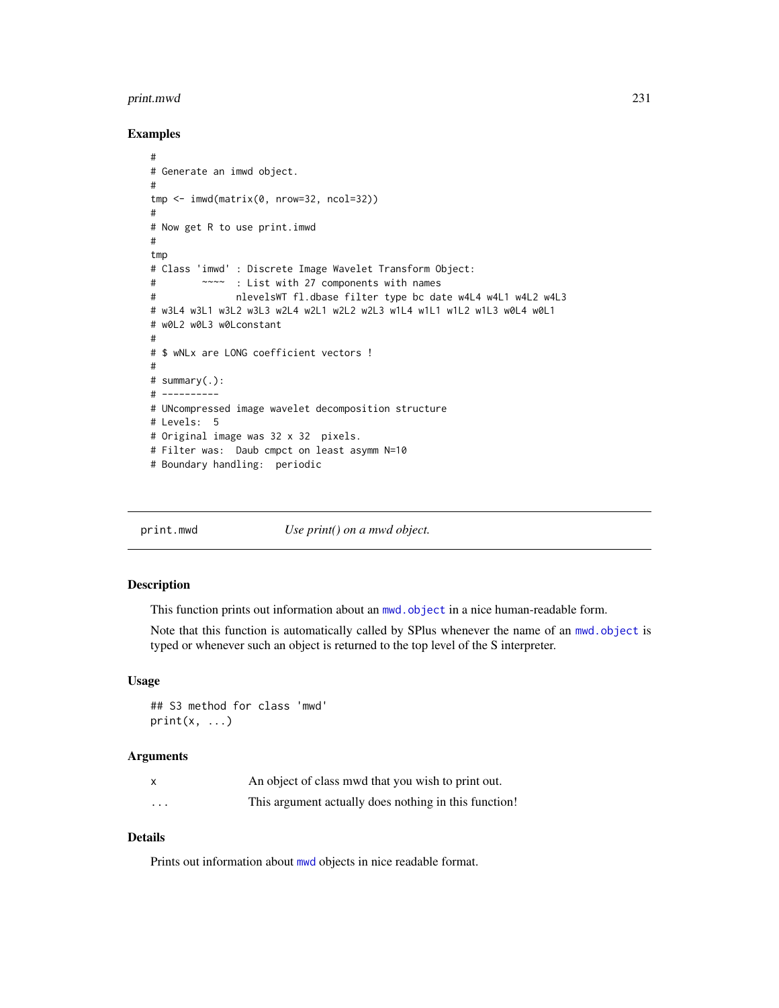#### print.mwd 231

## Examples

```
#
# Generate an imwd object.
#
tmp <- imwd(matrix(0, nrow=32, ncol=32))
#
# Now get R to use print.imwd
#
tmp
# Class 'imwd' : Discrete Image Wavelet Transform Object:
# ~~~~ : List with 27 components with names
# nlevelsWT fl.dbase filter type bc date w4L4 w4L1 w4L2 w4L3
# w3L4 w3L1 w3L2 w3L3 w2L4 w2L1 w2L2 w2L3 w1L4 w1L1 w1L2 w1L3 w0L4 w0L1
# w0L2 w0L3 w0Lconstant
#
# $ wNLx are LONG coefficient vectors !
#
# summary(.):
# ----------
# UNcompressed image wavelet decomposition structure
# Levels: 5
# Original image was 32 x 32 pixels.
# Filter was: Daub cmpct on least asymm N=10
# Boundary handling: periodic
```
print.mwd *Use print() on a mwd object.*

#### Description

This function prints out information about an [mwd.object](#page-195-0) in a nice human-readable form.

Note that this function is automatically called by SPlus whenever the name of an [mwd.object](#page-195-0) is typed or whenever such an object is returned to the top level of the S interpreter.

#### Usage

## S3 method for class 'mwd'  $print(x, \ldots)$ 

## Arguments

|          | An object of class mwd that you wish to print out.    |
|----------|-------------------------------------------------------|
| $\cdots$ | This argument actually does nothing in this function! |

# Details

Prints out information about [mwd](#page-193-0) objects in nice readable format.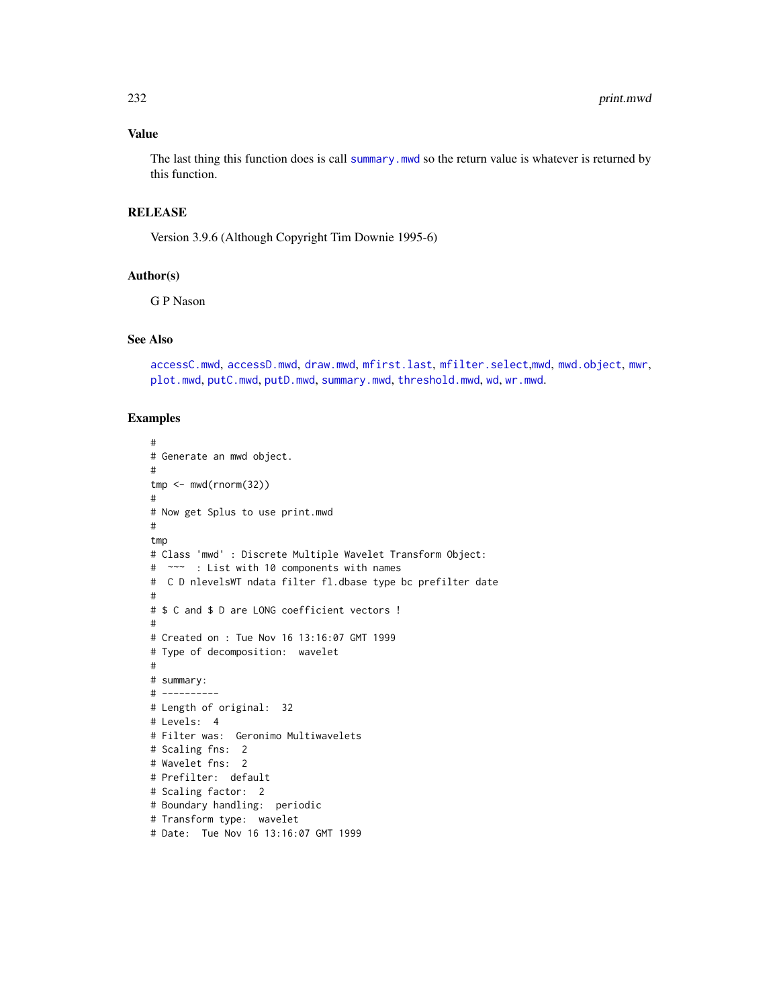## Value

The last thing this function does is call [summary.mwd](#page-296-0) so the return value is whatever is returned by this function.

## **RELEASE**

Version 3.9.6 (Although Copyright Tim Downie 1995-6)

#### Author(s)

G P Nason

#### See Also

[accessC.mwd](#page-9-0), [accessD.mwd](#page-15-0), [draw.mwd](#page-87-0), [mfirst.last](#page-188-0), [mfilter.select](#page-186-0),[mwd](#page-193-0), [mwd.object](#page-195-0), [mwr](#page-197-0), [plot.mwd](#page-212-0), [putC.mwd](#page-256-0), [putD.mwd](#page-264-0), [summary.mwd](#page-296-0), [threshold.mwd](#page-315-0), [wd](#page-344-0), [wr.mwd](#page-367-0).

```
#
# Generate an mwd object.
#
tmp < - mwd(rnorm(32))
#
# Now get Splus to use print.mwd
#
tmp
# Class 'mwd' : Discrete Multiple Wavelet Transform Object:
# ~~~ : List with 10 components with names
# C D nlevelsWT ndata filter fl.dbase type bc prefilter date
#
# $ C and $ D are LONG coefficient vectors !
#
# Created on : Tue Nov 16 13:16:07 GMT 1999
# Type of decomposition: wavelet
#
# summary:
# ----------
# Length of original: 32
# Levels: 4
# Filter was: Geronimo Multiwavelets
# Scaling fns: 2
# Wavelet fns: 2
# Prefilter: default
# Scaling factor: 2
# Boundary handling: periodic
# Transform type: wavelet
# Date: Tue Nov 16 13:16:07 GMT 1999
```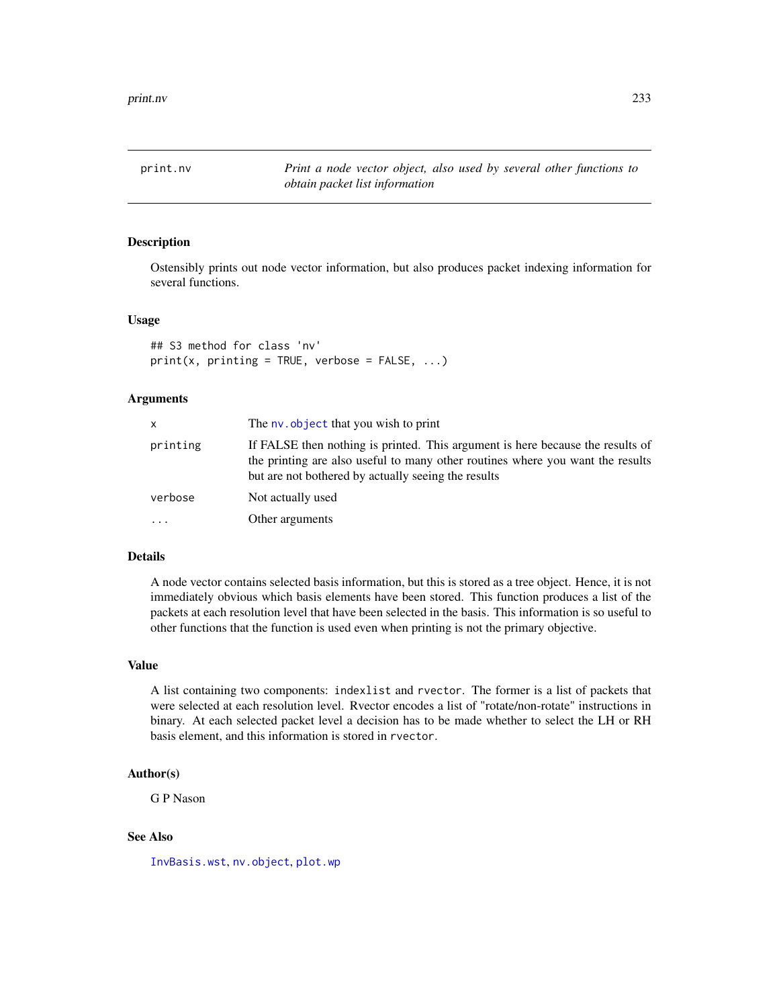print.nv *Print a node vector object, also used by several other functions to obtain packet list information*

#### Description

Ostensibly prints out node vector information, but also produces packet indexing information for several functions.

#### Usage

```
## S3 method for class 'nv'
print(x, printing = TRUE, verbose = FALSE, ...)
```
#### Arguments

| x        | The ny, object that you wish to print                                                                                                                                                                                   |
|----------|-------------------------------------------------------------------------------------------------------------------------------------------------------------------------------------------------------------------------|
| printing | If FALSE then nothing is printed. This argument is here because the results of<br>the printing are also useful to many other routines where you want the results<br>but are not bothered by actually seeing the results |
| verbose  | Not actually used                                                                                                                                                                                                       |
| .        | Other arguments                                                                                                                                                                                                         |

#### Details

A node vector contains selected basis information, but this is stored as a tree object. Hence, it is not immediately obvious which basis elements have been stored. This function produces a list of the packets at each resolution level that have been selected in the basis. This information is so useful to other functions that the function is used even when printing is not the primary objective.

#### Value

A list containing two components: indexlist and rvector. The former is a list of packets that were selected at each resolution level. Rvector encodes a list of "rotate/non-rotate" instructions in binary. At each selected packet level a decision has to be made whether to select the LH or RH basis element, and this information is stored in rvector.

#### Author(s)

G P Nason

#### See Also

[InvBasis.wst](#page-143-0), [nv.object](#page-208-0), [plot.wp](#page-218-0)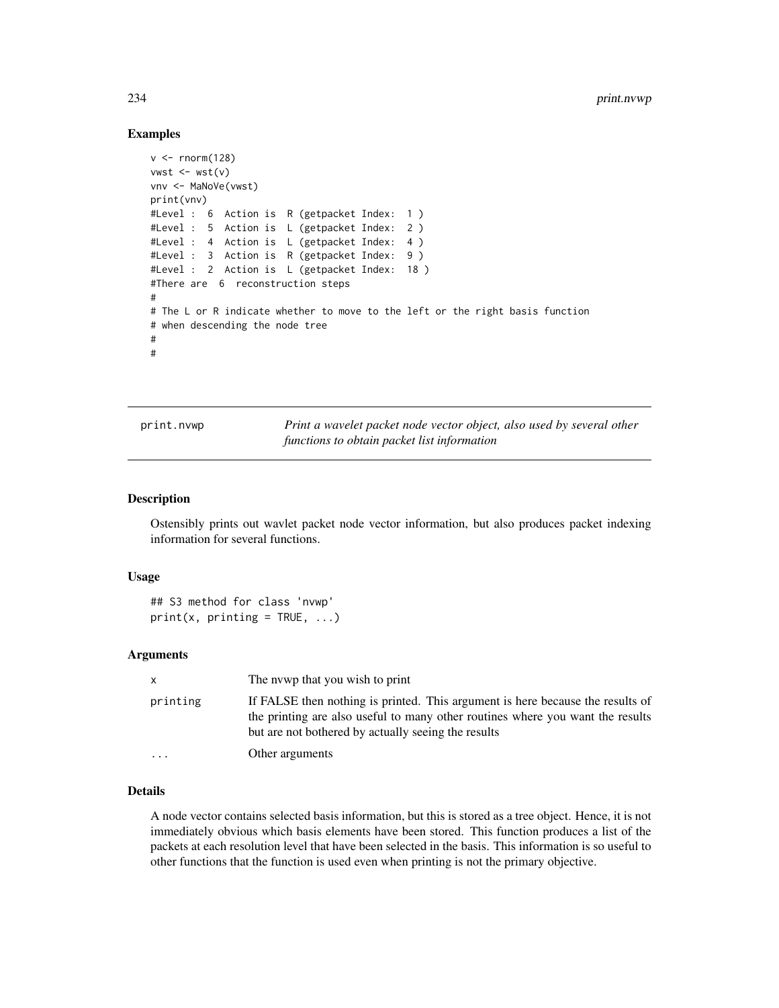#### Examples

```
v < - rnorm(128)
vwst \leftarrow wst(v)vnv <- MaNoVe(vwst)
print(vnv)
#Level : 6 Action is R (getpacket Index: 1 )
#Level : 5 Action is L (getpacket Index: 2 )
#Level : 4 Action is L (getpacket Index: 4 )
#Level : 3 Action is R (getpacket Index: 9 )
#Level : 2 Action is L (getpacket Index: 18 )
#There are 6 reconstruction steps
#
# The L or R indicate whether to move to the left or the right basis function
# when descending the node tree
#
#
```
print.nvwp *Print a wavelet packet node vector object, also used by several other functions to obtain packet list information*

## Description

Ostensibly prints out wavlet packet node vector information, but also produces packet indexing information for several functions.

#### Usage

```
## S3 method for class 'nvwp'
print(x, printing = TRUE, ...)
```
#### Arguments

| X        | The nywp that you wish to print                                                                                                                                                                                         |
|----------|-------------------------------------------------------------------------------------------------------------------------------------------------------------------------------------------------------------------------|
| printing | If FALSE then nothing is printed. This argument is here because the results of<br>the printing are also useful to many other routines where you want the results<br>but are not bothered by actually seeing the results |
| $\cdot$  | Other arguments                                                                                                                                                                                                         |

## Details

A node vector contains selected basis information, but this is stored as a tree object. Hence, it is not immediately obvious which basis elements have been stored. This function produces a list of the packets at each resolution level that have been selected in the basis. This information is so useful to other functions that the function is used even when printing is not the primary objective.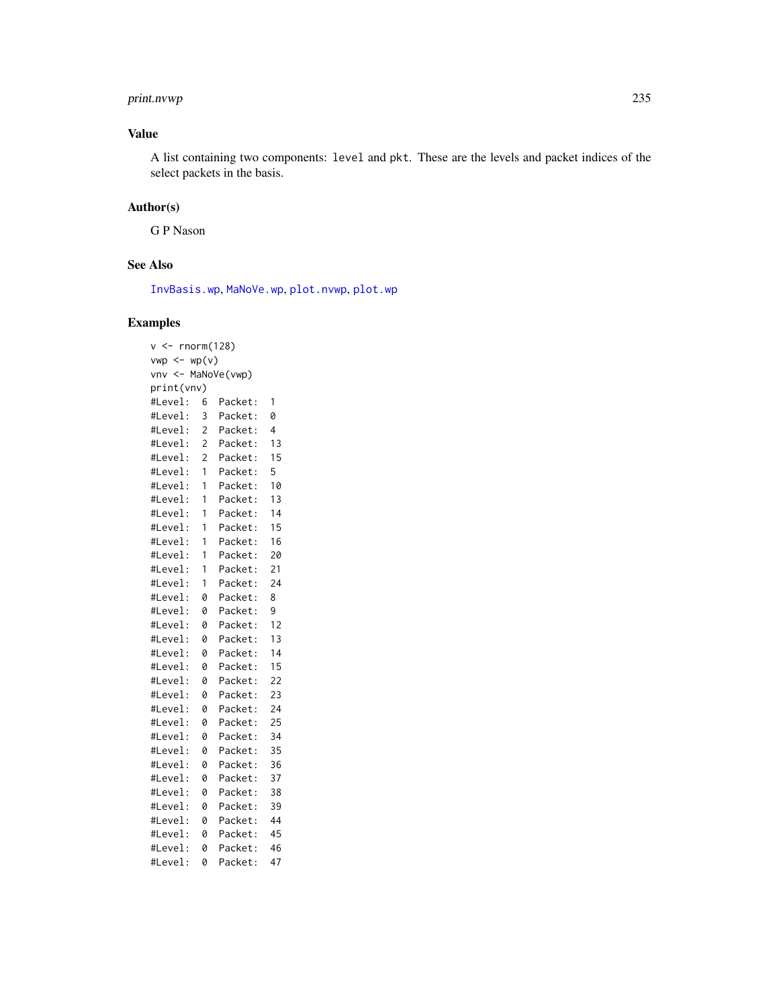# print.nvwp 235

## Value

A list containing two components: level and pkt. These are the levels and packet indices of the select packets in the basis.

#### Author(s)

G P Nason

## See Also

[InvBasis.wp](#page-142-0), [MaNoVe.wp](#page-182-0), [plot.nvwp](#page-214-0), [plot.wp](#page-218-0)

```
v \le- rnorm(128)
vwp \leftarrow wp(v)vnv <- MaNoVe(vwp)
print(vnv)
#Level: 6 Packet: 1
#Level: 3 Packet: 0
#Level: 2 Packet: 4
#Level: 2 Packet: 13
#Level: 2 Packet: 15
#Level: 1 Packet: 5
#Level: 1 Packet: 10
#Level: 1 Packet: 13
#Level: 1 Packet: 14
#Level: 1 Packet: 15
#Level: 1 Packet: 16
#Level: 1 Packet: 20
#Level: 1 Packet: 21
#Level: 1 Packet: 24
#Level: 0 Packet: 8
#Level: 0 Packet: 9
#Level: 0 Packet: 12
#Level: 0 Packet: 13
#Level: 0 Packet: 14
#Level: 0 Packet: 15
#Level: 0 Packet: 22
#Level: 0 Packet: 23
#Level: 0 Packet: 24
#Level: 0 Packet: 25
#Level: 0 Packet: 34
#Level: 0 Packet: 35
#Level: 0 Packet: 36
#Level: 0 Packet: 37
#Level: 0 Packet: 38
#Level: 0 Packet: 39
#Level: 0 Packet: 44
#Level: 0 Packet: 45
#Level: 0 Packet: 46
#Level: 0 Packet: 47
```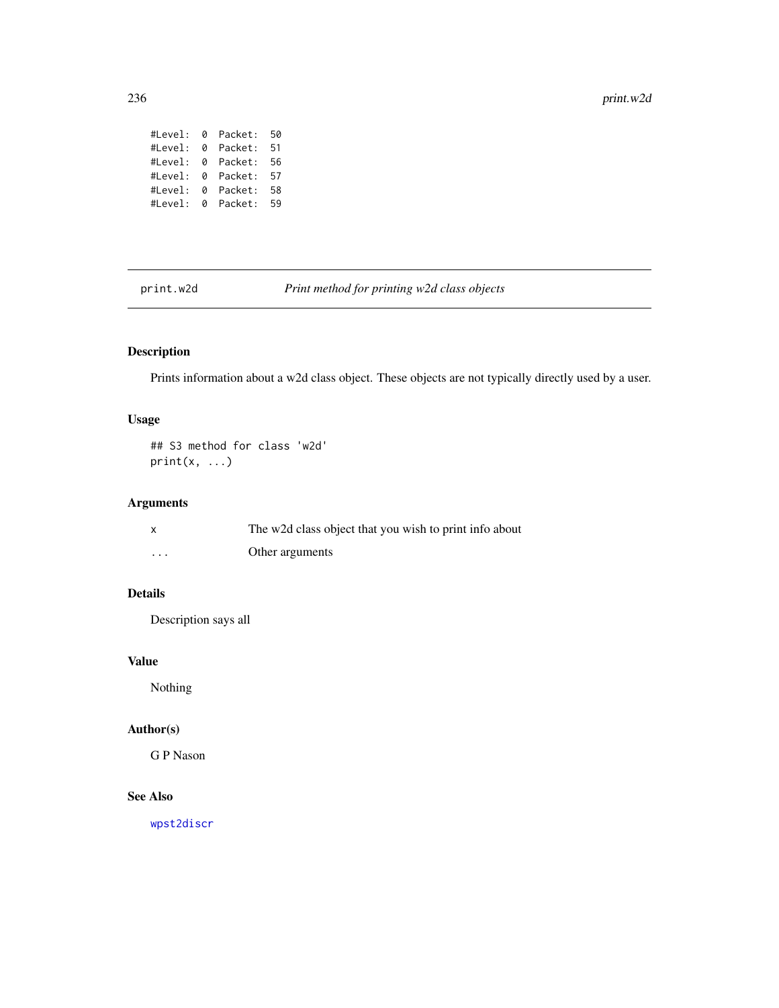#Level: 0 Packet: 50 #Level: 0 Packet: 51 #Level: 0 Packet: 56 #Level: 0 Packet: 57 #Level: 0 Packet: 58 #Level: 0 Packet: 59

print.w2d *Print method for printing w2d class objects*

# Description

Prints information about a w2d class object. These objects are not typically directly used by a user.

## Usage

## S3 method for class 'w2d'  $print(x, \ldots)$ 

# Arguments

|                   | The w2d class object that you wish to print info about |
|-------------------|--------------------------------------------------------|
| $\cdot\cdot\cdot$ | Other arguments                                        |

# Details

Description says all

## Value

Nothing

# Author(s)

G P Nason

# See Also

[wpst2discr](#page-361-0)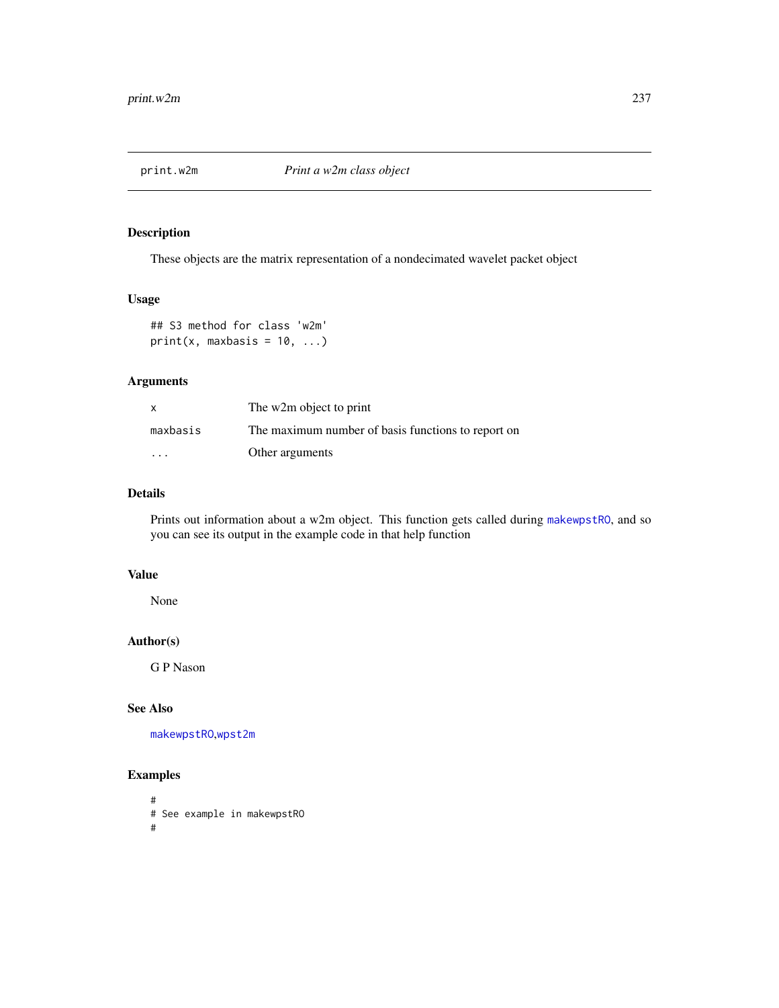# Description

These objects are the matrix representation of a nondecimated wavelet packet object

#### Usage

```
## S3 method for class 'w2m'
print(x, maxbasis = 10, ...)
```
# Arguments

| X                       | The w2m object to print                            |
|-------------------------|----------------------------------------------------|
| maxbasis                | The maximum number of basis functions to report on |
| $\cdot$ $\cdot$ $\cdot$ | Other arguments                                    |

# Details

Prints out information about a w2m object. This function gets called during [makewpstRO](#page-176-0), and so you can see its output in the example code in that help function

# Value

None

## Author(s)

G P Nason

# See Also

[makewpstRO](#page-176-0),[wpst2m](#page-362-0)

```
#
# See example in makewpstRO
#
```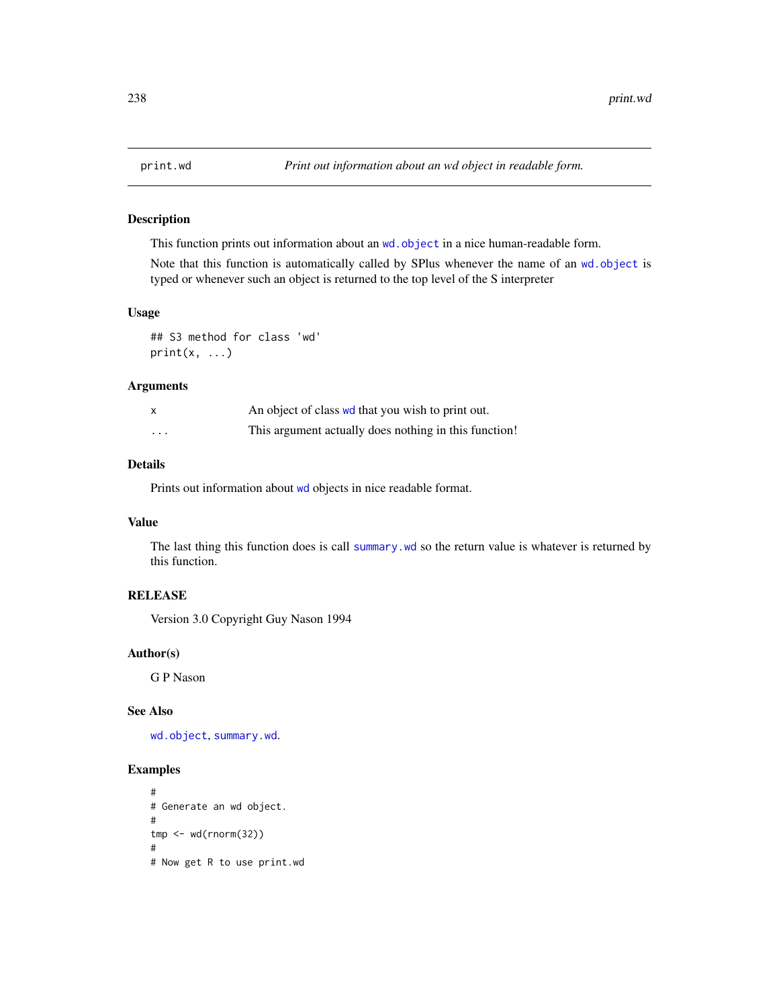#### Description

This function prints out information about an wd. object in a nice human-readable form.

Note that this function is automatically called by SPlus whenever the name of an [wd.object](#page-351-0) is typed or whenever such an object is returned to the top level of the S interpreter

#### Usage

## S3 method for class 'wd'  $print(x, \ldots)$ 

## Arguments

|   | An object of class we that you wish to print out.     |
|---|-------------------------------------------------------|
| . | This argument actually does nothing in this function! |

## Details

Prints out information about [wd](#page-344-0) objects in nice readable format.

## Value

The last thing this function does is call [summary.wd](#page-297-0) so the return value is whatever is returned by this function.

# **RELEASE**

Version 3.0 Copyright Guy Nason 1994

#### Author(s)

G P Nason

#### See Also

[wd.object](#page-351-0), [summary.wd](#page-297-0).

```
#
# Generate an wd object.
#
tmp <- wd(rnorm(32))
#
# Now get R to use print.wd
```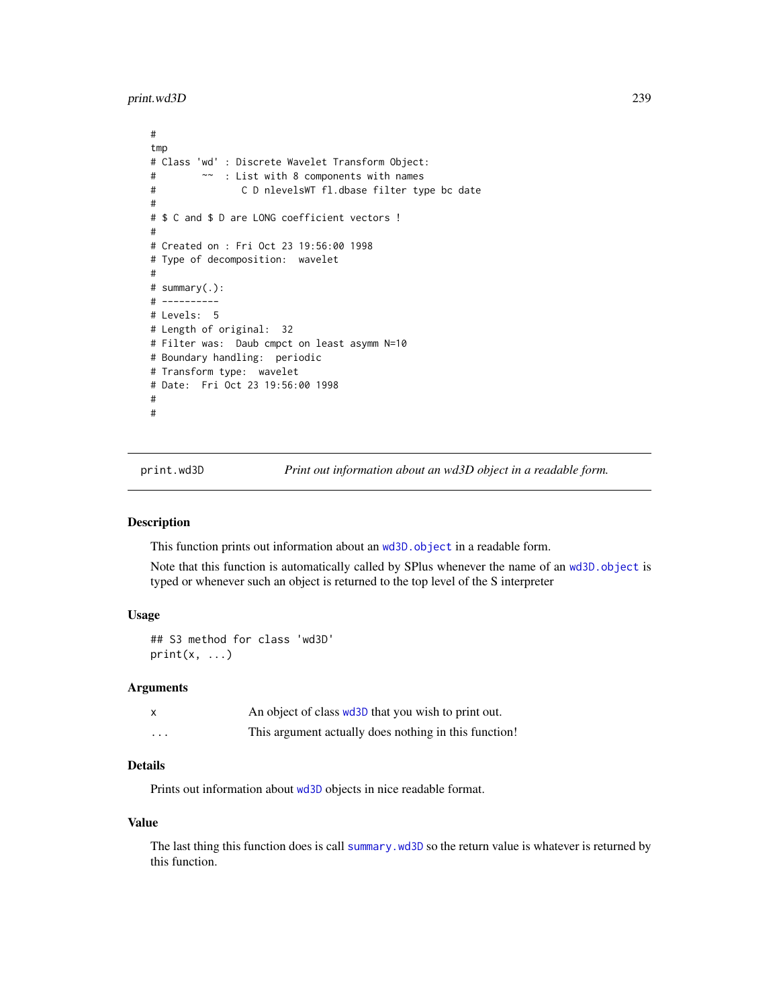print.wd3D 239

```
#
tmp
# Class 'wd' : Discrete Wavelet Transform Object:
# ~~ : List with 8 components with names
# C D nlevelsWT fl.dbase filter type bc date
#
# $ C and $ D are LONG coefficient vectors !
#
# Created on : Fri Oct 23 19:56:00 1998
# Type of decomposition: wavelet
#
# summary(.):
# ----------
# Levels: 5
# Length of original: 32
# Filter was: Daub cmpct on least asymm N=10
# Boundary handling: periodic
# Transform type: wavelet
# Date: Fri Oct 23 19:56:00 1998
#
#
```
<span id="page-238-0"></span>

print.wd3D *Print out information about an wd3D object in a readable form.*

#### Description

This function prints out information about an [wd3D.object](#page-354-0) in a readable form.

Note that this function is automatically called by SPlus whenever the name of an [wd3D.object](#page-354-0) is typed or whenever such an object is returned to the top level of the S interpreter

# Usage

```
## S3 method for class 'wd3D'
print(x, \ldots)
```
#### Arguments

|          | An object of class wd3D that you wish to print out.   |
|----------|-------------------------------------------------------|
| $\cdots$ | This argument actually does nothing in this function! |

# Details

Prints out information about [wd3D](#page-353-0) objects in nice readable format.

#### Value

The last thing this function does is call [summary.wd3D](#page-298-0) so the return value is whatever is returned by this function.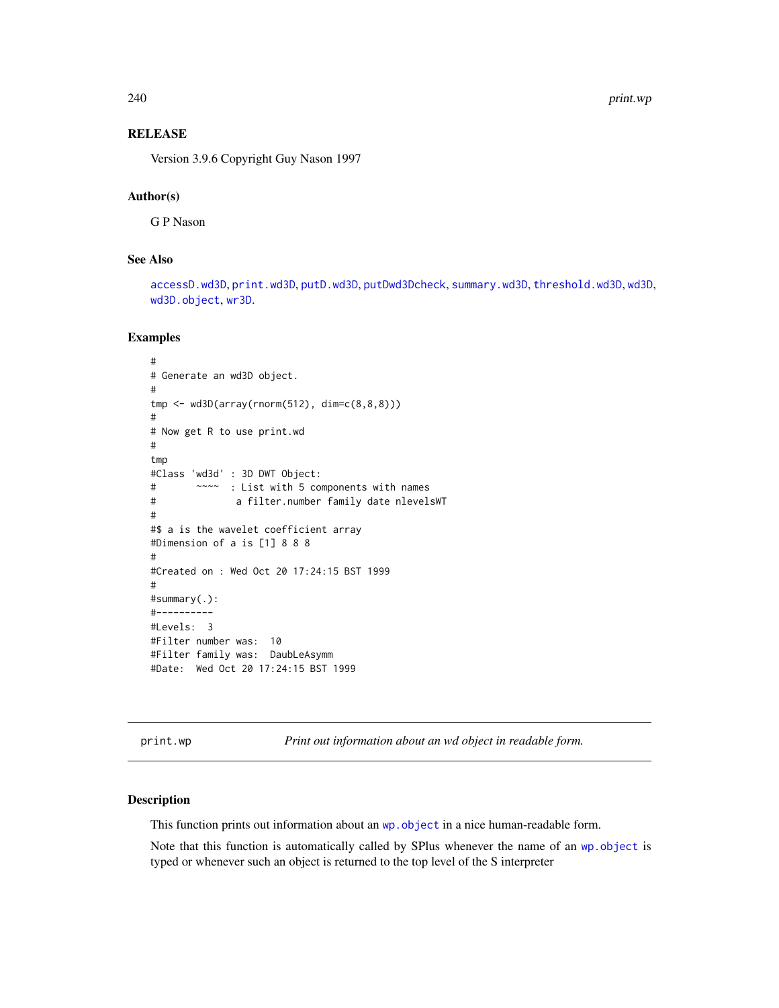240 print.wp

## RELEASE

Version 3.9.6 Copyright Guy Nason 1997

# Author(s)

G P Nason

# See Also

[accessD.wd3D](#page-18-0), [print.wd3D](#page-238-0), [putD.wd3D](#page-268-0), [putDwd3Dcheck](#page-272-0), [summary.wd3D](#page-298-0), [threshold.wd3D](#page-323-0), [wd3D](#page-353-0), [wd3D.object](#page-354-0), [wr3D](#page-370-0).

## Examples

```
#
# Generate an wd3D object.
#
tmp <- wd3D(array(rnorm(512), dim=c(8,8,8)))
#
# Now get R to use print.wd
#
tmp
#Class 'wd3d' : 3D DWT Object:
# ~~~~ : List with 5 components with names
# a filter.number family date nlevelsWT
#
#$ a is the wavelet coefficient array
#Dimension of a is [1] 8 8 8
#
#Created on : Wed Oct 20 17:24:15 BST 1999
#
#summary(.):
#----------
#Levels: 3
#Filter number was: 10
#Filter family was: DaubLeAsymm
#Date: Wed Oct 20 17:24:15 BST 1999
```
print.wp *Print out information about an wd object in readable form.*

#### Description

This function prints out information about an wp. object in a nice human-readable form.

Note that this function is automatically called by SPlus whenever the name of an [wp.object](#page-358-0) is typed or whenever such an object is returned to the top level of the S interpreter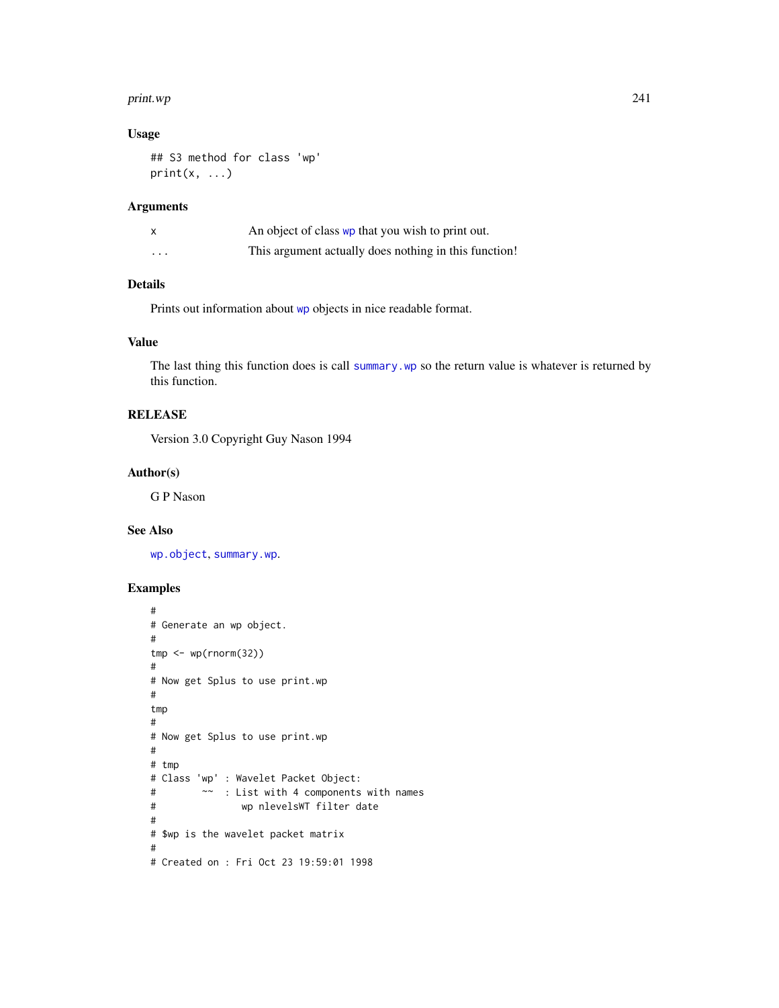#### print.wp 241

# Usage

```
## S3 method for class 'wp'
print(x, \ldots)
```
# Arguments

|          | An object of class wp that you wish to print out.     |
|----------|-------------------------------------------------------|
| $\cdots$ | This argument actually does nothing in this function! |

# Details

Prints out information about [wp](#page-357-0) objects in nice readable format.

# Value

The last thing this function does is call [summary.wp](#page-299-0) so the return value is whatever is returned by this function.

# RELEASE

Version 3.0 Copyright Guy Nason 1994

#### Author(s)

G P Nason

## See Also

[wp.object](#page-358-0), [summary.wp](#page-299-0).

```
#
# Generate an wp object.
#
tmp < -wp(rnorm(32))#
# Now get Splus to use print.wp
#
tmp
#
# Now get Splus to use print.wp
#
# tmp
# Class 'wp' : Wavelet Packet Object:
# ~~ : List with 4 components with names
# wp nlevelsWT filter date
#
# $wp is the wavelet packet matrix
#
# Created on : Fri Oct 23 19:59:01 1998
```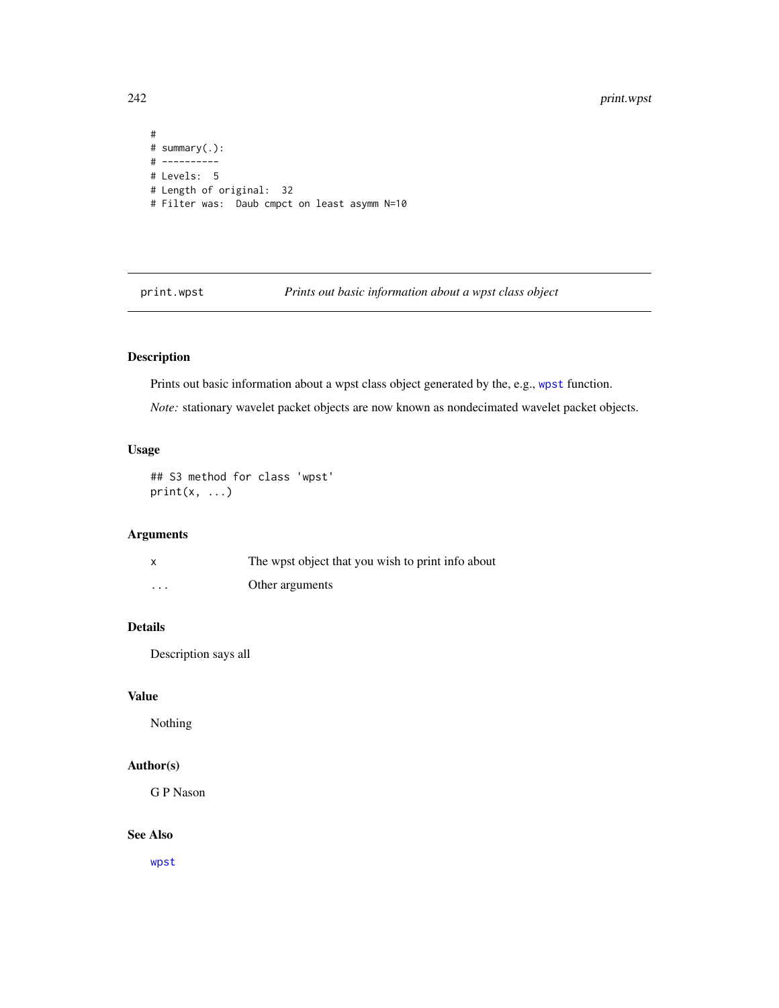```
#
# summary(.):
# ----------
# Levels: 5
# Length of original: 32
# Filter was: Daub cmpct on least asymm N=10
```
print.wpst *Prints out basic information about a wpst class object*

# Description

Prints out basic information about a wpst class object generated by the, e.g., [wpst](#page-359-0) function.

*Note:* stationary wavelet packet objects are now known as nondecimated wavelet packet objects.

## Usage

```
## S3 method for class 'wpst'
print(x, \ldots)
```
# Arguments

|          | The wpst object that you wish to print info about |
|----------|---------------------------------------------------|
| $\cdots$ | Other arguments                                   |

# Details

Description says all

## Value

Nothing

## Author(s)

G P Nason

# See Also

[wpst](#page-359-0)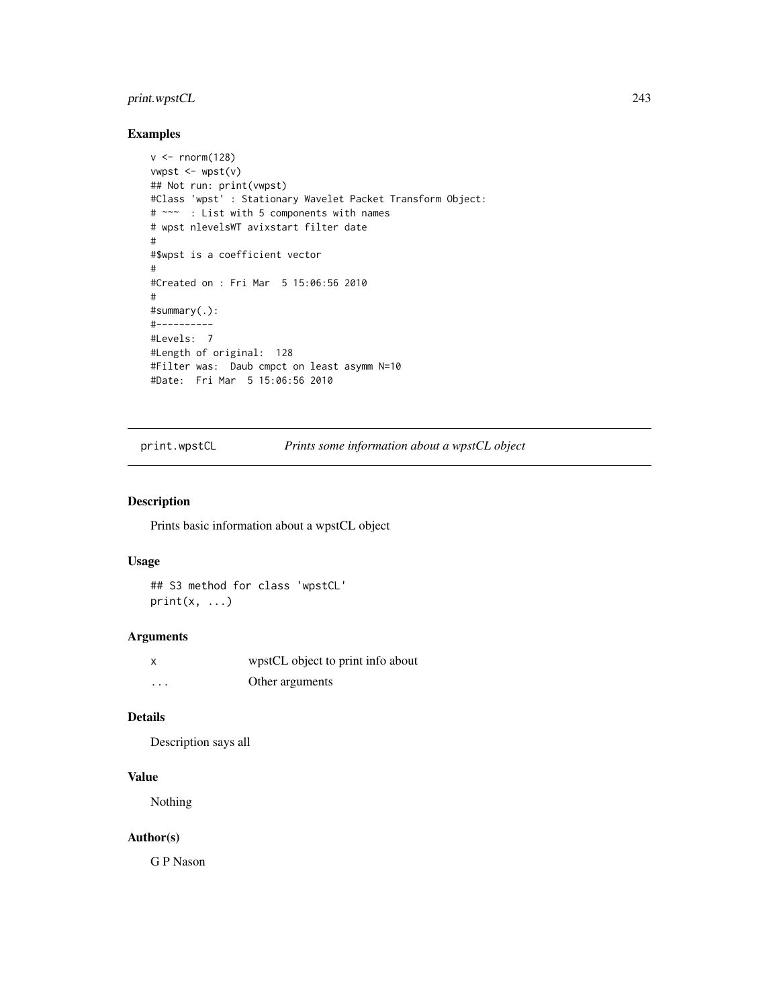# print.wpstCL 243

## Examples

```
v < - rnorm(128)
vwpst < -wpst(v)## Not run: print(vwpst)
#Class 'wpst' : Stationary Wavelet Packet Transform Object:
# ~~~ : List with 5 components with names
# wpst nlevelsWT avixstart filter date
#
#$wpst is a coefficient vector
#
#Created on : Fri Mar 5 15:06:56 2010
#
#summary(.):
#----------
#Levels: 7
#Length of original: 128
#Filter was: Daub cmpct on least asymm N=10
#Date: Fri Mar 5 15:06:56 2010
```
print.wpstCL *Prints some information about a wpstCL object*

## Description

Prints basic information about a wpstCL object

# Usage

## S3 method for class 'wpstCL'  $print(x, \ldots)$ 

# Arguments

|   | wpstCL object to print info about |
|---|-----------------------------------|
| . | Other arguments                   |

## Details

Description says all

# Value

Nothing

# Author(s)

G P Nason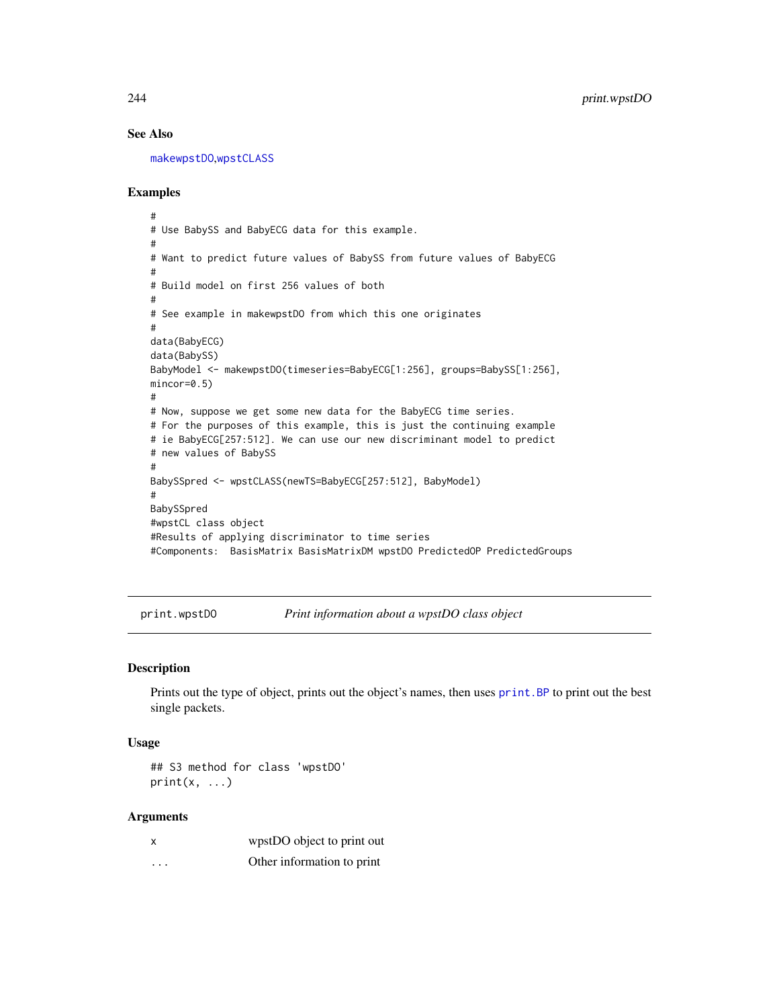## See Also

[makewpstDO](#page-173-0),[wpstCLASS](#page-363-0)

## Examples

```
#
# Use BabySS and BabyECG data for this example.
#
# Want to predict future values of BabySS from future values of BabyECG
#
# Build model on first 256 values of both
#
# See example in makewpstDO from which this one originates
#
data(BabyECG)
data(BabySS)
BabyModel <- makewpstDO(timeseries=BabyECG[1:256], groups=BabySS[1:256],
mincor=0.5)
#
# Now, suppose we get some new data for the BabyECG time series.
# For the purposes of this example, this is just the continuing example
# ie BabyECG[257:512]. We can use our new discriminant model to predict
# new values of BabySS
#
BabySSpred <- wpstCLASS(newTS=BabyECG[257:512], BabyModel)
#
BabySSpred
#wpstCL class object
#Results of applying discriminator to time series
#Components: BasisMatrix BasisMatrixDM wpstDO PredictedOP PredictedGroups
```
print.wpstDO *Print information about a wpstDO class object*

#### Description

Prints out the type of object, prints out the object's names, then uses print. BP to print out the best single packets.

#### Usage

## S3 method for class 'wpstDO'  $print(x, \ldots)$ 

#### Arguments

| x        | wpstDO object to print out |
|----------|----------------------------|
| $\cdots$ | Other information to print |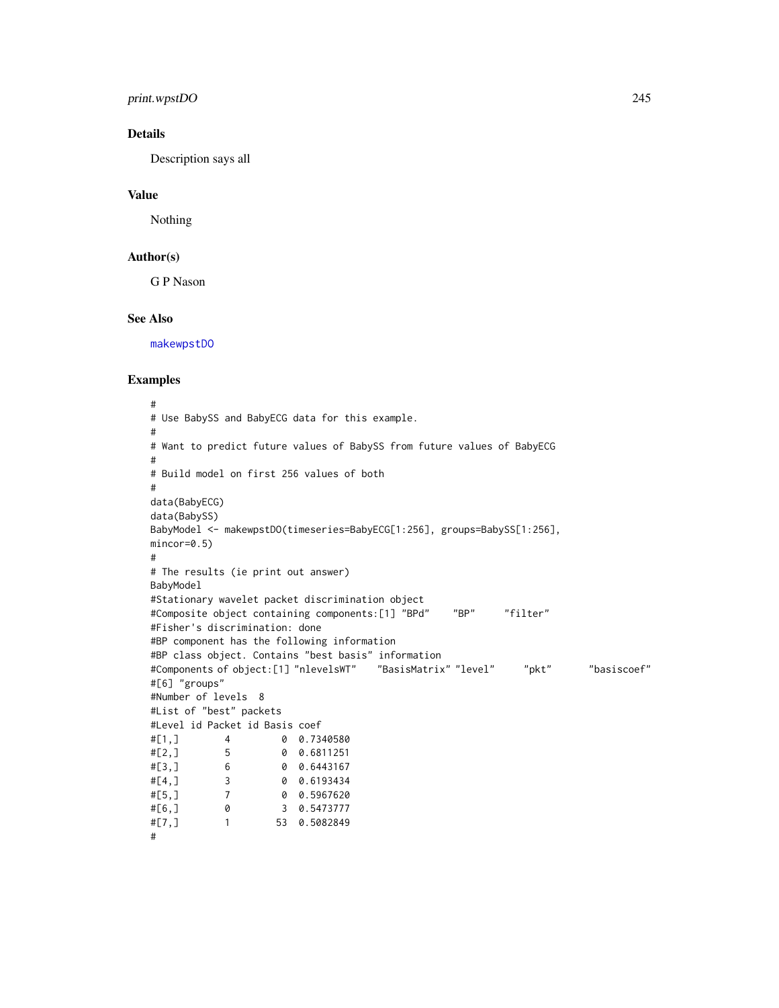# print.wpstDO 245

# Details

Description says all

# Value

Nothing

#### Author(s)

G P Nason

#### See Also

[makewpstDO](#page-173-0)

```
#
# Use BabySS and BabyECG data for this example.
#
# Want to predict future values of BabySS from future values of BabyECG
#
# Build model on first 256 values of both
#
data(BabyECG)
data(BabySS)
BabyModel <- makewpstDO(timeseries=BabyECG[1:256], groups=BabySS[1:256],
mincor=0.5)
#
# The results (ie print out answer)
BabyModel
#Stationary wavelet packet discrimination object
#Composite object containing components:[1] "BPd" "BP" "filter"
#Fisher's discrimination: done
#BP component has the following information
#BP class object. Contains "best basis" information
#Components of object:[1] "nlevelsWT" "BasisMatrix" "level" "pkt" "basiscoef"
#[6] "groups"
#Number of levels 8
#List of "best" packets
#Level id Packet id Basis coef
#[1,] 4 0 0.7340580
#[2, 1<br>
#[3, 1<br>
4 [3, 1<br>
4 [3, 1]<br>
4 [3, 1]<br>
4 [3, 1]<br>
4 [3, 1]<br>
4 [3, 1]#[3,] 6 0 0.6443167
#[4,] 3 0 0.6193434
#[5,] 7 0 0.5967620
#[6,] 0 3 0.5473777
#[7,] 1 53 0.5082849
#
```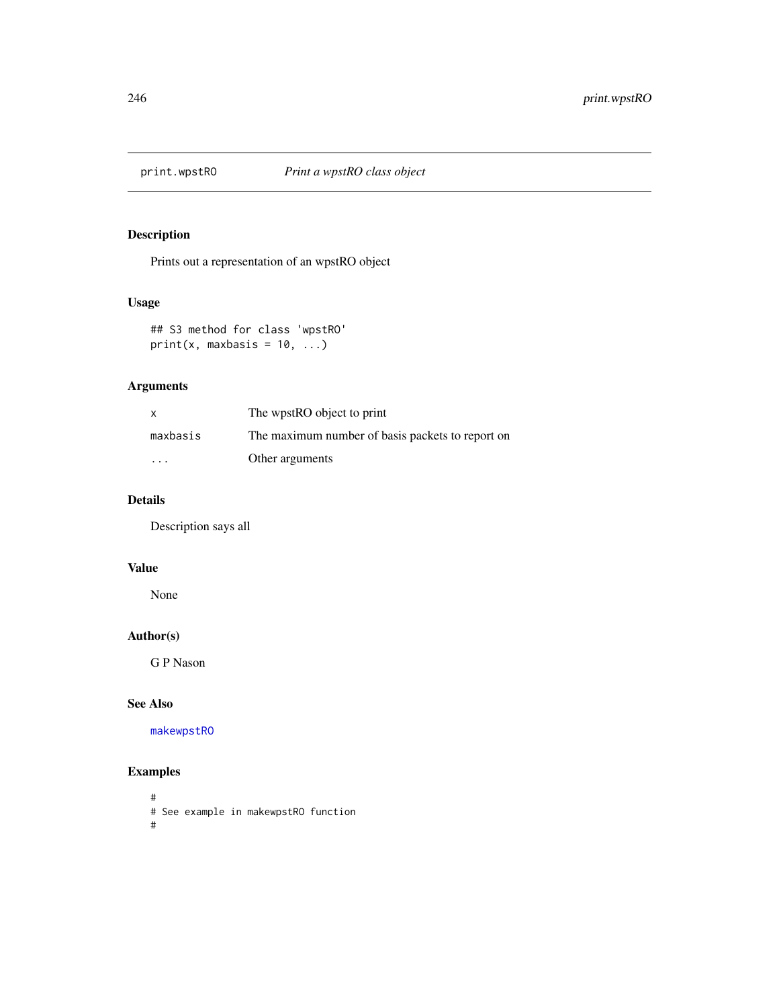# Description

Prints out a representation of an wpstRO object

# Usage

## S3 method for class 'wpstRO' print(x, maxbasis =  $10, ...$ )

# Arguments

| $\mathsf{x}$ | The wpstRO object to print                       |
|--------------|--------------------------------------------------|
| maxbasis     | The maximum number of basis packets to report on |
| $\cdot$      | Other arguments                                  |

# Details

Description says all

# Value

None

# Author(s)

G P Nason

# See Also

[makewpstRO](#page-176-0)

# Examples

# # See example in makewpstRO function #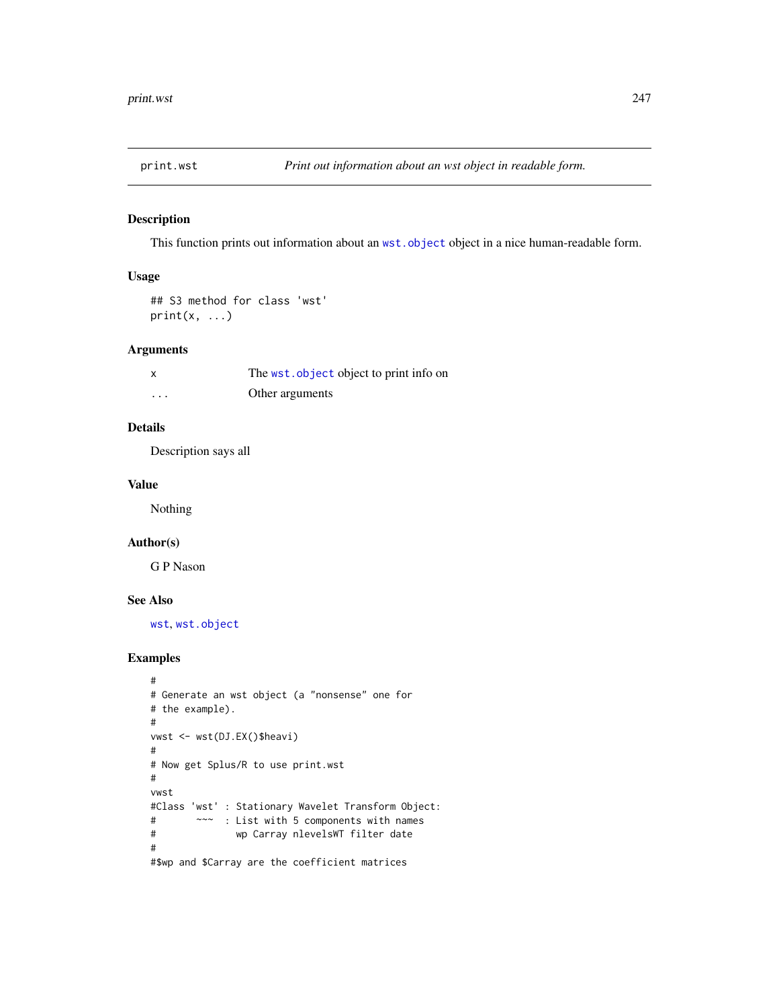# Description

This function prints out information about an [wst.object](#page-373-0) object in a nice human-readable form.

## Usage

```
## S3 method for class 'wst'
print(x, \ldots)
```
## Arguments

| x        | The wst. object object to print info on |
|----------|-----------------------------------------|
| $\cdots$ | Other arguments                         |

# Details

Description says all

## Value

Nothing

# Author(s)

G P Nason

# See Also

[wst](#page-371-0), [wst.object](#page-373-0)

```
#
# Generate an wst object (a "nonsense" one for
# the example).
#
vwst <- wst(DJ.EX()$heavi)
#
# Now get Splus/R to use print.wst
#
vwst
#Class 'wst' : Stationary Wavelet Transform Object:
# ~~~ : List with 5 components with names
# wp Carray nlevelsWT filter date
#
#$wp and $Carray are the coefficient matrices
```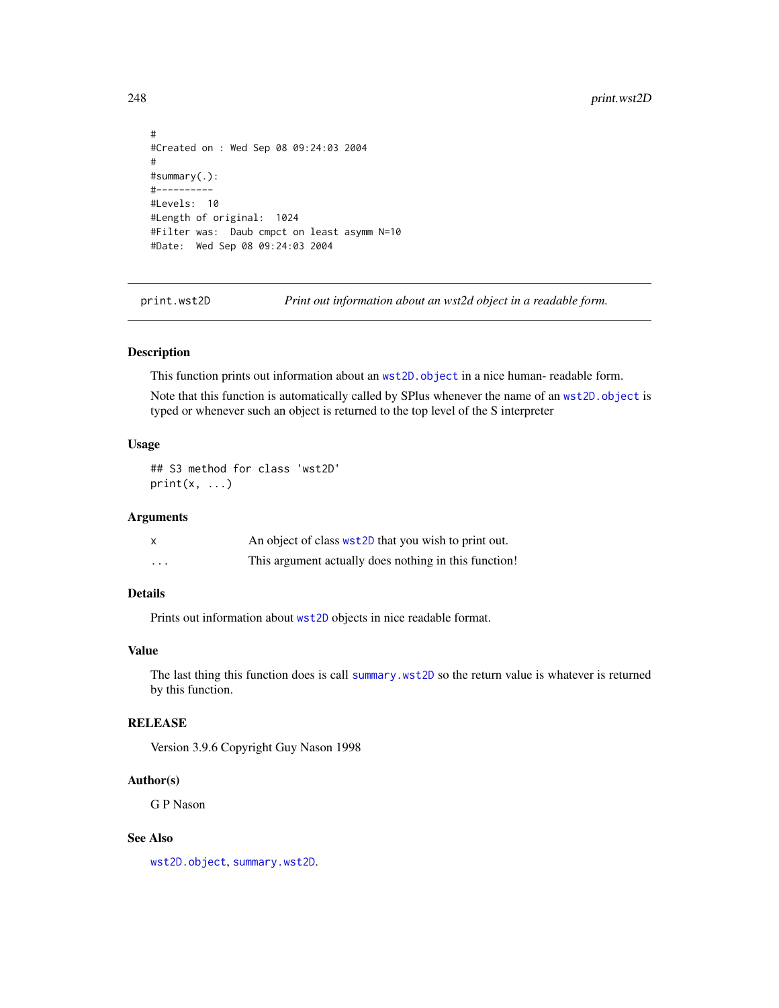```
#
#Created on : Wed Sep 08 09:24:03 2004
#
#summary(.):
#----------
#Levels: 10
#Length of original: 1024
#Filter was: Daub cmpct on least asymm N=10
#Date: Wed Sep 08 09:24:03 2004
```
print.wst2D *Print out information about an wst2d object in a readable form.*

#### Description

This function prints out information about an [wst2D.object](#page-376-0) in a nice human- readable form.

Note that this function is automatically called by SPlus whenever the name of an [wst2D.object](#page-376-0) is typed or whenever such an object is returned to the top level of the S interpreter

#### Usage

## S3 method for class 'wst2D'  $print(x, \ldots)$ 

#### Arguments

|          | An object of class wst2D that you wish to print out.  |
|----------|-------------------------------------------------------|
| $\cdots$ | This argument actually does nothing in this function! |

# Details

Prints out information about [wst2D](#page-374-0) objects in nice readable format.

## Value

The last thing this function does is call [summary.wst2D](#page-302-0) so the return value is whatever is returned by this function.

## **RELEASE**

Version 3.9.6 Copyright Guy Nason 1998

## Author(s)

G P Nason

## See Also

[wst2D.object](#page-376-0), [summary.wst2D](#page-302-0).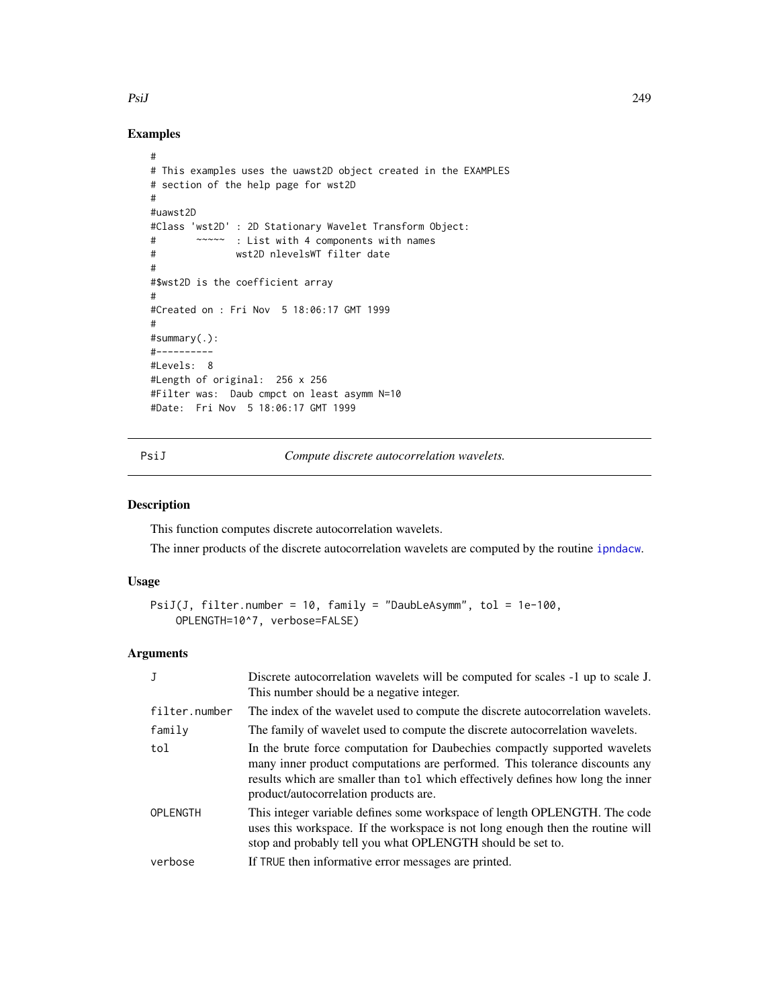#### PsiJ 249

# Examples

```
#
# This examples uses the uawst2D object created in the EXAMPLES
# section of the help page for wst2D
#
#uawst2D
#Class 'wst2D' : 2D Stationary Wavelet Transform Object:
# ~~~~~ : List with 4 components with names
# wst2D nlevelsWT filter date
#
#$wst2D is the coefficient array
#
#Created on : Fri Nov 5 18:06:17 GMT 1999
#
#summary(.):
#----------
#Levels: 8
#Length of original: 256 x 256
#Filter was: Daub cmpct on least asymm N=10
#Date: Fri Nov 5 18:06:17 GMT 1999
```
<span id="page-248-0"></span>PsiJ *Compute discrete autocorrelation wavelets.*

# Description

This function computes discrete autocorrelation wavelets.

The inner products of the discrete autocorrelation wavelets are computed by the routine [ipndacw](#page-145-0).

#### Usage

```
PsiJ(J, filter.number = 10, family = "DaubLeAsymm", tol = 1e-100,
   OPLENGTH=10^7, verbose=FALSE)
```
# Arguments

| J               | Discrete autocorrelation wavelets will be computed for scales -1 up to scale J.<br>This number should be a negative integer.                                                                                                                                                          |
|-----------------|---------------------------------------------------------------------------------------------------------------------------------------------------------------------------------------------------------------------------------------------------------------------------------------|
| filter.number   | The index of the wavelet used to compute the discrete autocorrelation wavelets.                                                                                                                                                                                                       |
| family          | The family of wavelet used to compute the discrete autocorrelation wavelets.                                                                                                                                                                                                          |
| tol             | In the brute force computation for Daubechies compactly supported wavelets<br>many inner product computations are performed. This tolerance discounts any<br>results which are smaller than tol which effectively defines how long the inner<br>product/autocorrelation products are. |
| <b>OPLENGTH</b> | This integer variable defines some workspace of length OPLENGTH. The code<br>uses this workspace. If the workspace is not long enough then the routine will<br>stop and probably tell you what OPLENGTH should be set to.                                                             |
| verbose         | If TRUE then informative error messages are printed.                                                                                                                                                                                                                                  |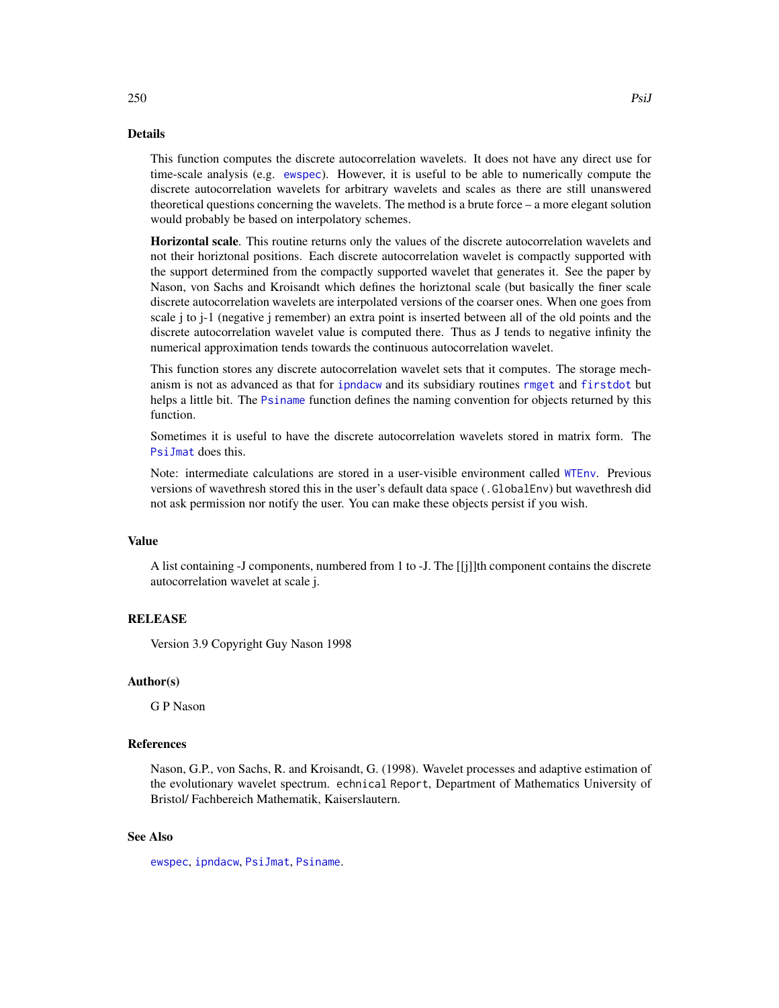# Details

This function computes the discrete autocorrelation wavelets. It does not have any direct use for time-scale analysis (e.g. [ewspec](#page-94-0)). However, it is useful to be able to numerically compute the discrete autocorrelation wavelets for arbitrary wavelets and scales as there are still unanswered theoretical questions concerning the wavelets. The method is a brute force – a more elegant solution would probably be based on interpolatory schemes.

Horizontal scale. This routine returns only the values of the discrete autocorrelation wavelets and not their horiztonal positions. Each discrete autocorrelation wavelet is compactly supported with the support determined from the compactly supported wavelet that generates it. See the paper by Nason, von Sachs and Kroisandt which defines the horiztonal scale (but basically the finer scale discrete autocorrelation wavelets are interpolated versions of the coarser ones. When one goes from scale j to j-1 (negative j remember) an extra point is inserted between all of the old points and the discrete autocorrelation wavelet value is computed there. Thus as J tends to negative infinity the numerical approximation tends towards the continuous autocorrelation wavelet.

This function stores any discrete autocorrelation wavelet sets that it computes. The storage mechanism is not as advanced as that for [ipndacw](#page-145-0) and its subsidiary routines [rmget](#page-284-0) and [firstdot](#page-106-0) but helps a little bit. The [Psiname](#page-254-0) function defines the naming convention for objects returned by this function.

Sometimes it is useful to have the discrete autocorrelation wavelets stored in matrix form. The [PsiJmat](#page-251-0) does this.

Note: intermediate calculations are stored in a user-visible environment called [WTEnv](#page-383-0). Previous versions of wavethresh stored this in the user's default data space (.GlobalEnv) but wavethresh did not ask permission nor notify the user. You can make these objects persist if you wish.

#### Value

A list containing -J components, numbered from 1 to -J. The [[j]]th component contains the discrete autocorrelation wavelet at scale j.

#### **RELEASE**

Version 3.9 Copyright Guy Nason 1998

#### Author(s)

G P Nason

#### References

Nason, G.P., von Sachs, R. and Kroisandt, G. (1998). Wavelet processes and adaptive estimation of the evolutionary wavelet spectrum. echnical Report, Department of Mathematics University of Bristol/ Fachbereich Mathematik, Kaiserslautern.

## See Also

[ewspec](#page-94-0), [ipndacw](#page-145-0), [PsiJmat](#page-251-0), [Psiname](#page-254-0).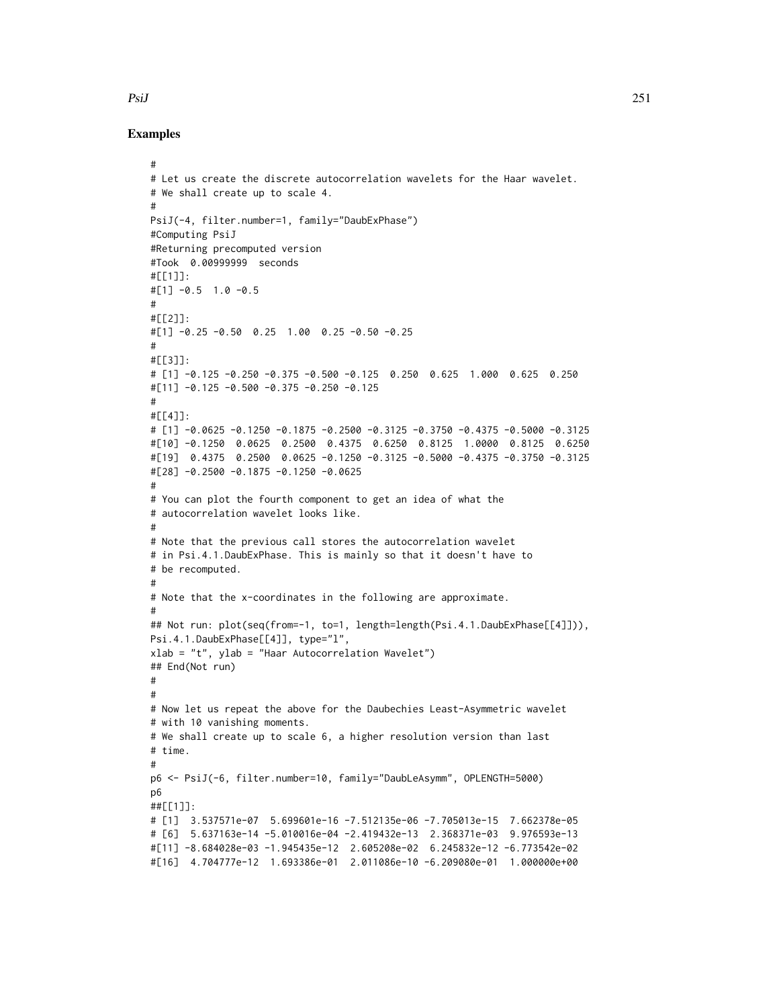#### Examples

```
#
# Let us create the discrete autocorrelation wavelets for the Haar wavelet.
# We shall create up to scale 4.
#
PsiJ(-4, filter.number=1, family="DaubExPhase")
#Computing PsiJ
#Returning precomputed version
#Took 0.00999999 seconds
#[[1]]:
#[1] -0.5 1.0 -0.5
#
#[[2]]:
#[1] -0.25 -0.50 0.25 1.00 0.25 -0.50 -0.25
#
#[[3]]:
# [1] -0.125 -0.250 -0.375 -0.500 -0.125 0.250 0.625 1.000 0.625 0.250
#[11] -0.125 -0.500 -0.375 -0.250 -0.125
#
#[[4]]:
# [1] -0.0625 -0.1250 -0.1875 -0.2500 -0.3125 -0.3750 -0.4375 -0.5000 -0.3125
#[10] -0.1250 0.0625 0.2500 0.4375 0.6250 0.8125 1.0000 0.8125 0.6250
#[19] 0.4375 0.2500 0.0625 -0.1250 -0.3125 -0.5000 -0.4375 -0.3750 -0.3125
#[28] -0.2500 -0.1875 -0.1250 -0.0625
#
# You can plot the fourth component to get an idea of what the
# autocorrelation wavelet looks like.
#
# Note that the previous call stores the autocorrelation wavelet
# in Psi.4.1.DaubExPhase. This is mainly so that it doesn't have to
# be recomputed.
#
# Note that the x-coordinates in the following are approximate.
#
## Not run: plot(seq(from=-1, to=1, length=length(Psi.4.1.DaubExPhase[[4]])),
Psi.4.1.DaubExPhase[[4]], type="l",
xlab = "t", ylab = "Haar Autocorrelation Wavelet")
## End(Not run)
#
#
# Now let us repeat the above for the Daubechies Least-Asymmetric wavelet
# with 10 vanishing moments.
# We shall create up to scale 6, a higher resolution version than last
# time.
#
p6 <- PsiJ(-6, filter.number=10, family="DaubLeAsymm", OPLENGTH=5000)
p6
##[[1]]:
# [1] 3.537571e-07 5.699601e-16 -7.512135e-06 -7.705013e-15 7.662378e-05
# [6] 5.637163e-14 -5.010016e-04 -2.419432e-13 2.368371e-03 9.976593e-13
#[11] -8.684028e-03 -1.945435e-12 2.605208e-02 6.245832e-12 -6.773542e-02
#[16] 4.704777e-12 1.693386e-01 2.011086e-10 -6.209080e-01 1.000000e+00
```
PsiJ 251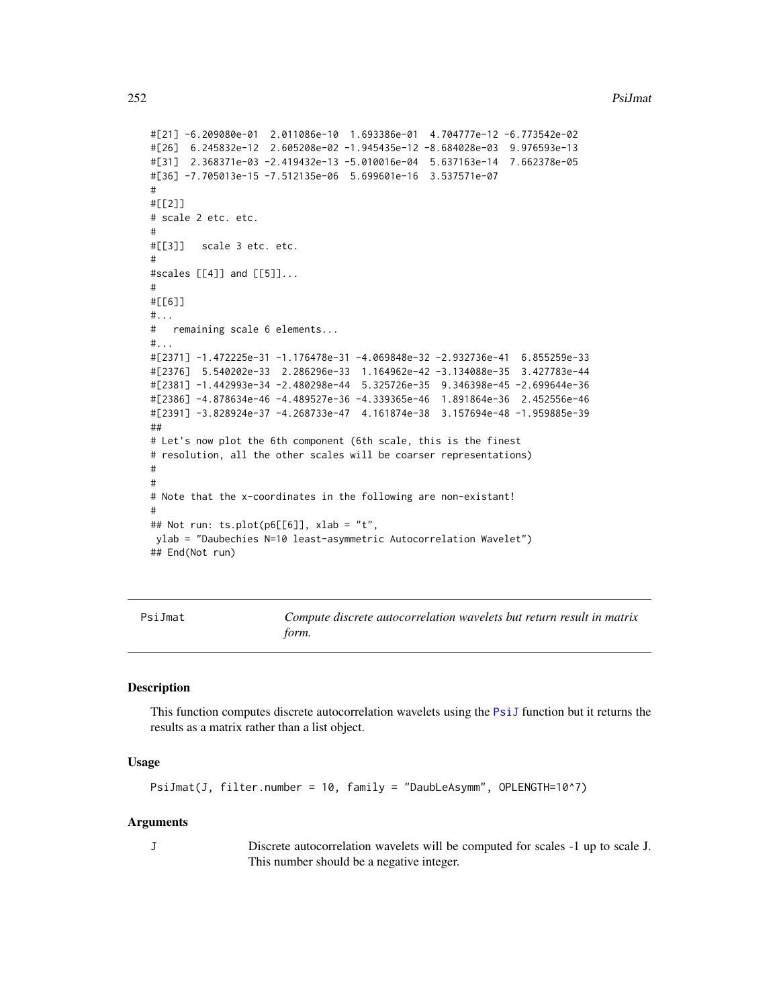#### 252 **PsiJmat**

```
#[21] -6.209080e-01 2.011086e-10 1.693386e-01 4.704777e-12 -6.773542e-02
#[26] 6.245832e-12 2.605208e-02 -1.945435e-12 -8.684028e-03 9.976593e-13
#[31] 2.368371e-03 -2.419432e-13 -5.010016e-04 5.637163e-14 7.662378e-05
#[36] -7.705013e-15 -7.512135e-06 5.699601e-16 3.537571e-07
#
#[[2]]
# scale 2 etc. etc.
#
#[[3]] scale 3 etc. etc.
#
#scales [[4]] and [[5]]...
#
#[[6]]
#...
# remaining scale 6 elements...
#...#[2371] -1.472225e-31 -1.176478e-31 -4.069848e-32 -2.932736e-41 6.855259e-33
#[2376] 5.540202e-33 2.286296e-33 1.164962e-42 -3.134088e-35 3.427783e-44
#[2381] -1.442993e-34 -2.480298e-44 5.325726e-35 9.346398e-45 -2.699644e-36
#[2386] -4.878634e-46 -4.489527e-36 -4.339365e-46 1.891864e-36 2.452556e-46
#[2391] -3.828924e-37 -4.268733e-47 4.161874e-38 3.157694e-48 -1.959885e-39
##
# Let's now plot the 6th component (6th scale, this is the finest
# resolution, all the other scales will be coarser representations)
#
#
# Note that the x-coordinates in the following are non-existant!
#
## Not run: ts.plot(p6[[6]], xlab = "t",
ylab = "Daubechies N=10 least-asymmetric Autocorrelation Wavelet")
## End(Not run)
```
<span id="page-251-0"></span>PsiJmat *Compute discrete autocorrelation wavelets but return result in matrix form.*

#### **Description**

This function computes discrete autocorrelation wavelets using the [PsiJ](#page-248-0) function but it returns the results as a matrix rather than a list object.

#### Usage

```
PsiJmat(J, filter.number = 10, family = "DaubLeAsymm", OPLENGTH=10^7)
```
#### Arguments

J Discrete autocorrelation wavelets will be computed for scales -1 up to scale J. This number should be a negative integer.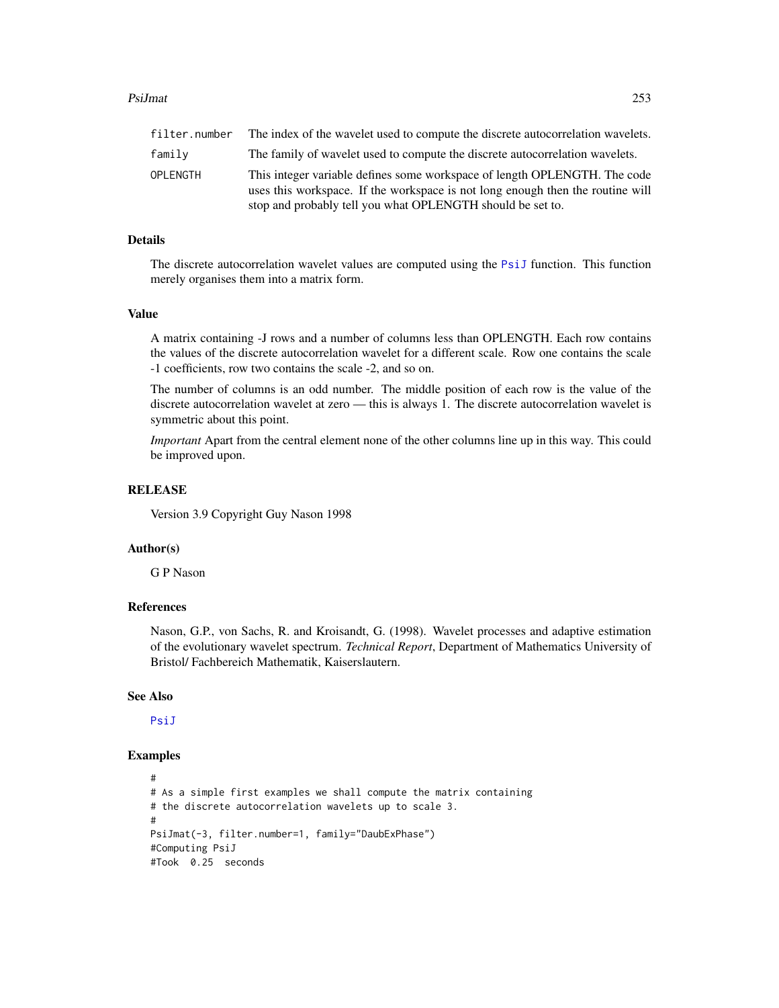#### PsiJmat 253

OPLENGTH This integer variable defines some workspace of length OPLENGTH. The code uses this workspace. If the workspace is not long enough then the routine will stop and probably tell you what OPLENGTH should be set to.

# Details

The discrete autocorrelation wavelet values are computed using the [PsiJ](#page-248-0) function. This function merely organises them into a matrix form.

## Value

A matrix containing -J rows and a number of columns less than OPLENGTH. Each row contains the values of the discrete autocorrelation wavelet for a different scale. Row one contains the scale -1 coefficients, row two contains the scale -2, and so on.

The number of columns is an odd number. The middle position of each row is the value of the discrete autocorrelation wavelet at zero — this is always 1. The discrete autocorrelation wavelet is symmetric about this point.

*Important* Apart from the central element none of the other columns line up in this way. This could be improved upon.

#### RELEASE

Version 3.9 Copyright Guy Nason 1998

#### Author(s)

G P Nason

#### References

Nason, G.P., von Sachs, R. and Kroisandt, G. (1998). Wavelet processes and adaptive estimation of the evolutionary wavelet spectrum. *Technical Report*, Department of Mathematics University of Bristol/ Fachbereich Mathematik, Kaiserslautern.

#### See Also

[PsiJ](#page-248-0)

```
#
# As a simple first examples we shall compute the matrix containing
# the discrete autocorrelation wavelets up to scale 3.
#
PsiJmat(-3, filter.number=1, family="DaubExPhase")
#Computing PsiJ
#Took 0.25 seconds
```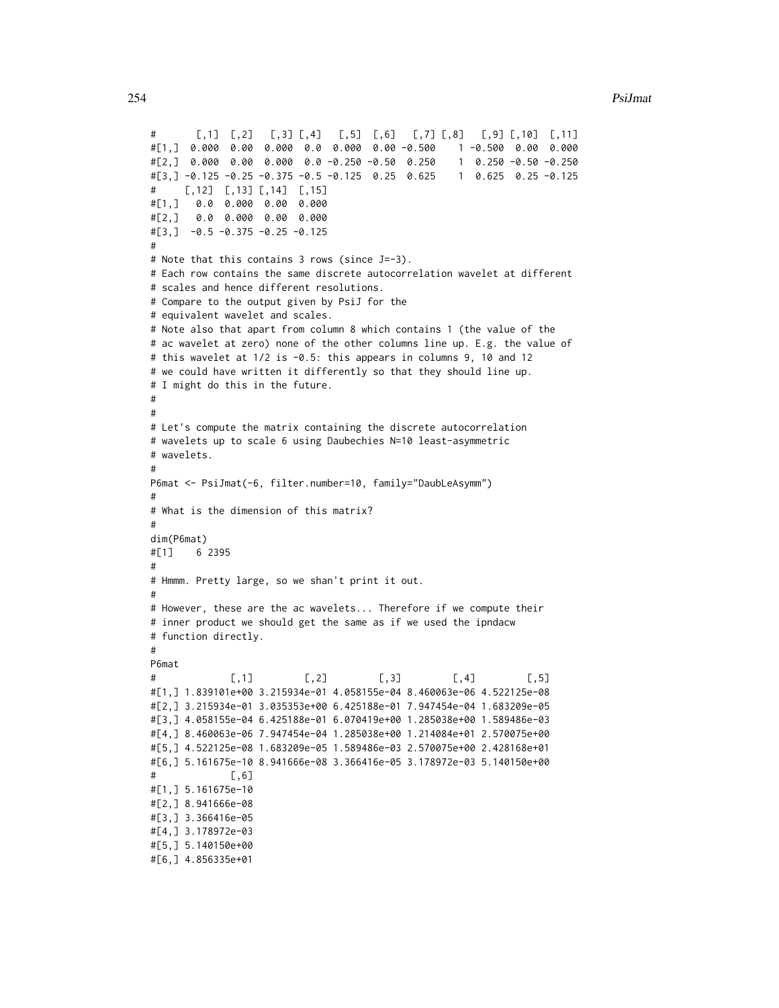```
# [,1] [,2] [,3] [,4] [,5] [,6] [,7] [,8] [,9] [,10] [,11]
#[1,] 0.000 0.00 0.000 0.0 0.000 0.00 -0.500 1 -0.500 0.00 0.000
#[2,] 0.000 0.00 0.000 0.0 -0.250 -0.50 0.250 1 0.250 -0.50 -0.250
#[3,] -0.125 -0.25 -0.375 -0.5 -0.125 0.25 0.625 1 0.625 0.25 -0.125
# [,12] [,13] [,14] [,15]
#[1,] 0.0 0.000 0.00 0.000
#[2,] 0.0 0.000 0.00 0.000
#[3,] -0.5 -0.375 -0.25 -0.125
#
# Note that this contains 3 rows (since J=-3).
# Each row contains the same discrete autocorrelation wavelet at different
# scales and hence different resolutions.
# Compare to the output given by PsiJ for the
# equivalent wavelet and scales.
# Note also that apart from column 8 which contains 1 (the value of the
# ac wavelet at zero) none of the other columns line up. E.g. the value of
# this wavelet at 1/2 is -0.5: this appears in columns 9, 10 and 12
# we could have written it differently so that they should line up.
# I might do this in the future.
#
#
# Let's compute the matrix containing the discrete autocorrelation
# wavelets up to scale 6 using Daubechies N=10 least-asymmetric
# wavelets.
#
P6mat <- PsiJmat(-6, filter.number=10, family="DaubLeAsymm")
#
# What is the dimension of this matrix?
#
dim(P6mat)
#[1] 6 2395
#
# Hmmm. Pretty large, so we shan't print it out.
#
# However, these are the ac wavelets... Therefore if we compute their
# inner product we should get the same as if we used the ipndacw
# function directly.
#
P6mat
# [,1] [,2] [,3] [,4] [,5]
#[1,] 1.839101e+00 3.215934e-01 4.058155e-04 8.460063e-06 4.522125e-08
#[2,] 3.215934e-01 3.035353e+00 6.425188e-01 7.947454e-04 1.683209e-05
#[3,] 4.058155e-04 6.425188e-01 6.070419e+00 1.285038e+00 1.589486e-03
#[4,] 8.460063e-06 7.947454e-04 1.285038e+00 1.214084e+01 2.570075e+00
#[5,] 4.522125e-08 1.683209e-05 1.589486e-03 2.570075e+00 2.428168e+01
#[6,] 5.161675e-10 8.941666e-08 3.366416e-05 3.178972e-03 5.140150e+00
# [,6]
#[1,] 5.161675e-10
#[2,] 8.941666e-08
#[3,] 3.366416e-05
#[4,] 3.178972e-03
#[5,] 5.140150e+00
#[6,] 4.856335e+01
```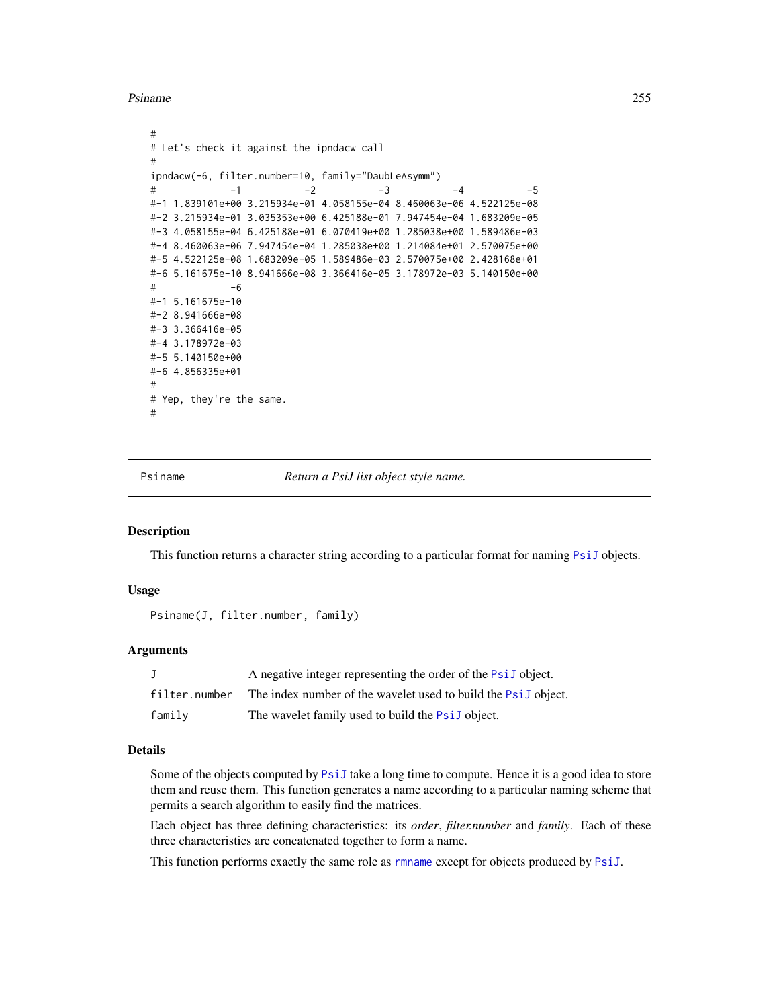Psiname 255

```
#
# Let's check it against the ipndacw call
#
ipndacw(-6, filter.number=10, family="DaubLeAsymm")
# -1 -2 -3 -4 -5
#-1 1.839101e+00 3.215934e-01 4.058155e-04 8.460063e-06 4.522125e-08
#-2 3.215934e-01 3.035353e+00 6.425188e-01 7.947454e-04 1.683209e-05
#-3 4.058155e-04 6.425188e-01 6.070419e+00 1.285038e+00 1.589486e-03
#-4 8.460063e-06 7.947454e-04 1.285038e+00 1.214084e+01 2.570075e+00
#-5 4.522125e-08 1.683209e-05 1.589486e-03 2.570075e+00 2.428168e+01
#-6 5.161675e-10 8.941666e-08 3.366416e-05 3.178972e-03 5.140150e+00
# -6
#-1 5.161675e-10
#-2 8.941666e-08
#-3 3.366416e-05
#-4 3.178972e-03
#-5 5.140150e+00
#-6 4.856335e+01
#
# Yep, they're the same.
#
```
Psiname *Return a PsiJ list object style name.*

# Description

This function returns a character string according to a particular format for naming [PsiJ](#page-248-0) objects.

#### Usage

Psiname(J, filter.number, family)

## Arguments

|               | A negative integer representing the order of the PsiJ object.  |
|---------------|----------------------------------------------------------------|
| filter.number | The index number of the wavelet used to build the PsiJ object. |
| family        | The wavelet family used to build the <b>PsiJ</b> object.       |

## Details

Some of the objects computed by [PsiJ](#page-248-0) take a long time to compute. Hence it is a good idea to store them and reuse them. This function generates a name according to a particular naming scheme that permits a search algorithm to easily find the matrices.

Each object has three defining characteristics: its *order*, *filter.number* and *family*. Each of these three characteristics are concatenated together to form a name.

This function performs exactly the same role as [rmname](#page-286-0) except for objects produced by [PsiJ](#page-248-0).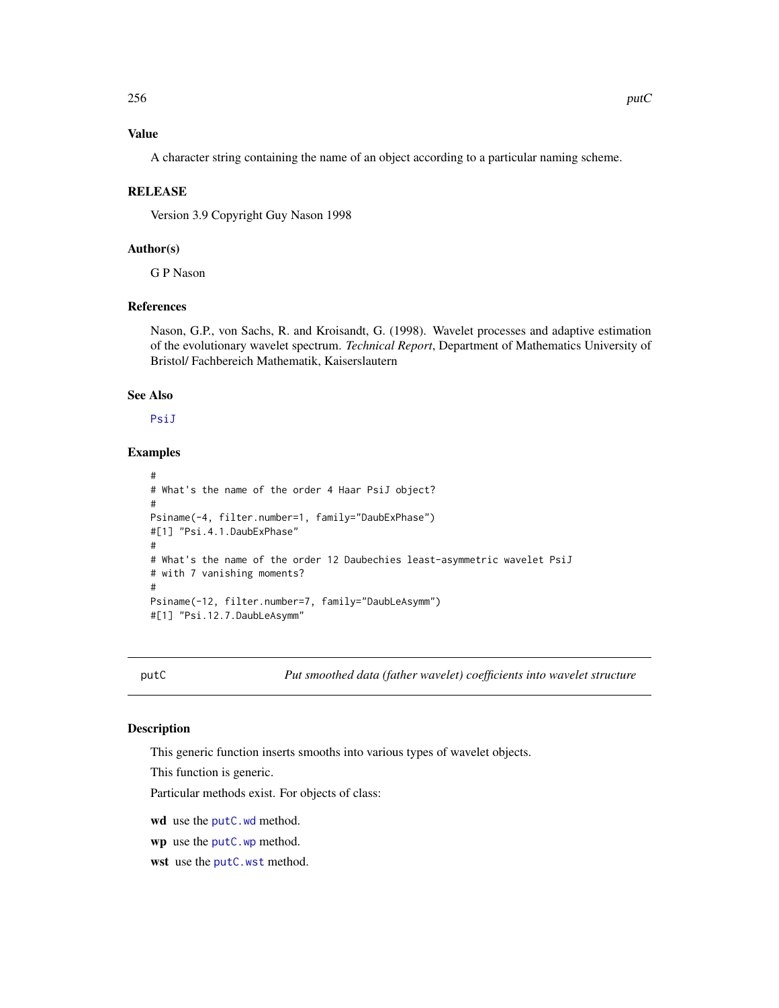A character string containing the name of an object according to a particular naming scheme.

#### RELEASE

Version 3.9 Copyright Guy Nason 1998

# Author(s)

G P Nason

# References

Nason, G.P., von Sachs, R. and Kroisandt, G. (1998). Wavelet processes and adaptive estimation of the evolutionary wavelet spectrum. *Technical Report*, Department of Mathematics University of Bristol/ Fachbereich Mathematik, Kaiserslautern

# See Also

[PsiJ](#page-248-0)

# Examples

```
#
# What's the name of the order 4 Haar PsiJ object?
#
Psiname(-4, filter.number=1, family="DaubExPhase")
#[1] "Psi.4.1.DaubExPhase"
#
# What's the name of the order 12 Daubechies least-asymmetric wavelet PsiJ
# with 7 vanishing moments?
#
Psiname(-12, filter.number=7, family="DaubLeAsymm")
#[1] "Psi.12.7.DaubLeAsymm"
```
<span id="page-255-0"></span>putC *Put smoothed data (father wavelet) coefficients into wavelet structure*

## Description

This generic function inserts smooths into various types of wavelet objects.

This function is generic.

Particular methods exist. For objects of class:

wd use the [putC.wd](#page-258-0) method.

wp use the [putC.wp](#page-260-0) method.

wst use the [putC.wst](#page-261-0) method.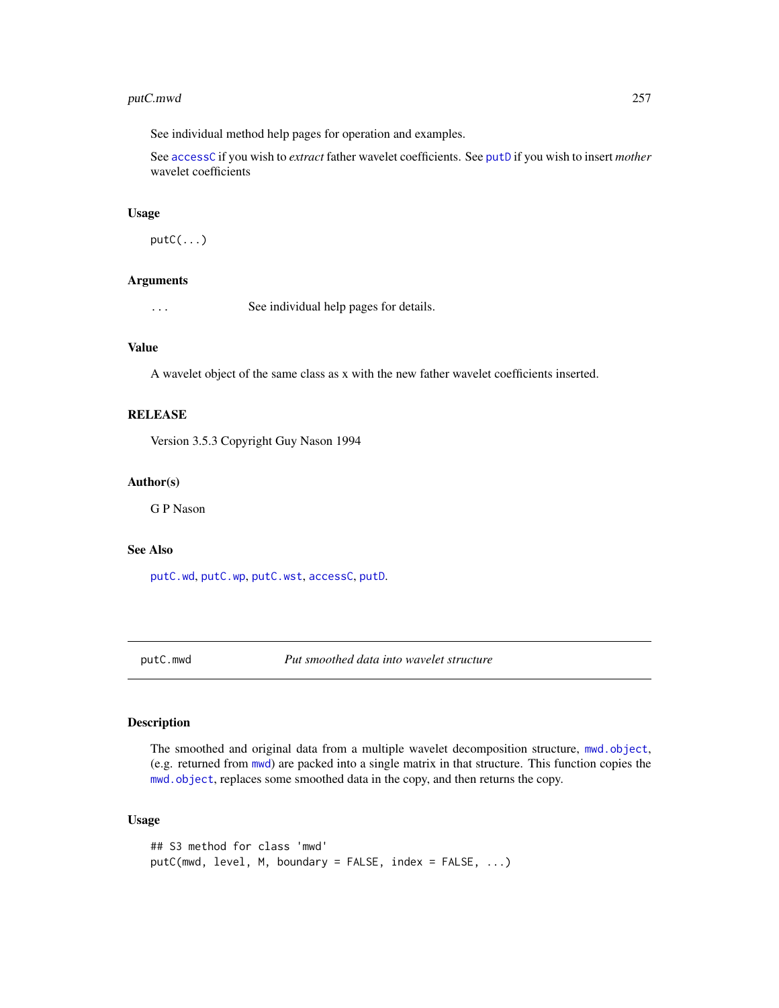# putC.mwd 257

See individual method help pages for operation and examples.

See [accessC](#page-7-0) if you wish to *extract* father wavelet coefficients. See [putD](#page-263-0) if you wish to insert *mother* wavelet coefficients

## Usage

 $putC(\ldots)$ 

# Arguments

... See individual help pages for details.

## Value

A wavelet object of the same class as x with the new father wavelet coefficients inserted.

# RELEASE

Version 3.5.3 Copyright Guy Nason 1994

## Author(s)

G P Nason

## See Also

[putC.wd](#page-258-0), [putC.wp](#page-260-0), [putC.wst](#page-261-0), [accessC](#page-7-0), [putD](#page-263-0).

<span id="page-256-0"></span>putC.mwd *Put smoothed data into wavelet structure*

# Description

The smoothed and original data from a multiple wavelet decomposition structure, [mwd.object](#page-195-0), (e.g. returned from [mwd](#page-193-0)) are packed into a single matrix in that structure. This function copies the [mwd.object](#page-195-0), replaces some smoothed data in the copy, and then returns the copy.

# Usage

```
## S3 method for class 'mwd'
putC(mwd, level, M, boundary = FALSE, index = FALSE, ...)
```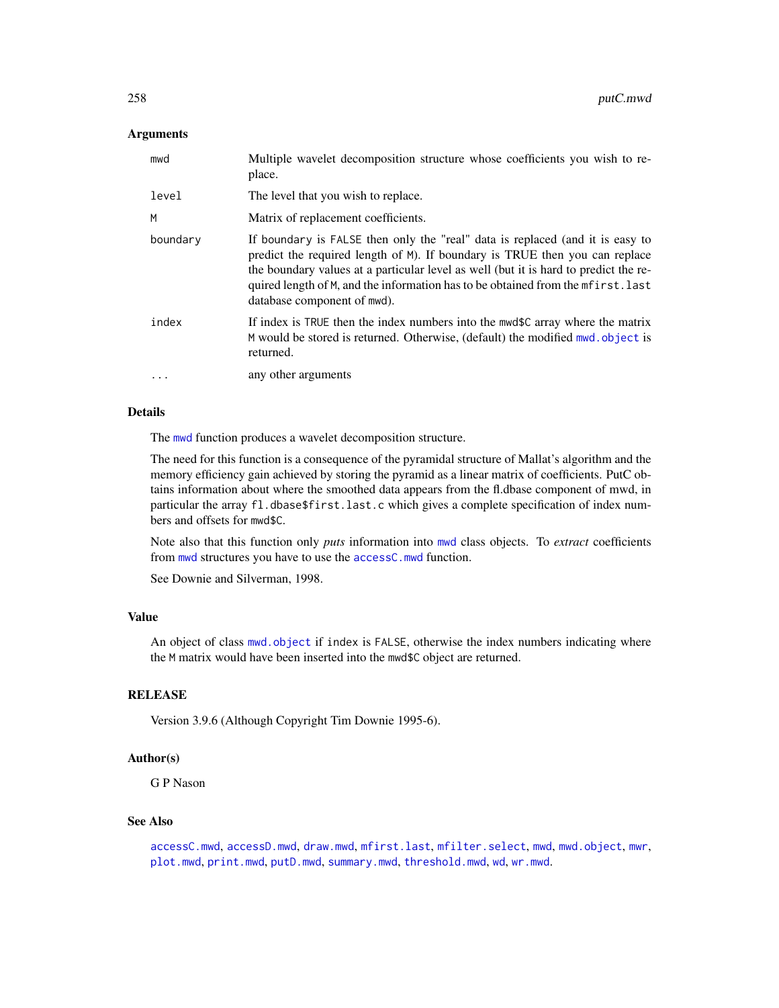## **Arguments**

| mwd       | Multiple wavelet decomposition structure whose coefficients you wish to re-<br>place.                                                                                                                                                                                                                                                                                   |
|-----------|-------------------------------------------------------------------------------------------------------------------------------------------------------------------------------------------------------------------------------------------------------------------------------------------------------------------------------------------------------------------------|
| level     | The level that you wish to replace.                                                                                                                                                                                                                                                                                                                                     |
| M         | Matrix of replacement coefficients.                                                                                                                                                                                                                                                                                                                                     |
| boundary  | If boundary is FALSE then only the "real" data is replaced (and it is easy to<br>predict the required length of M). If boundary is TRUE then you can replace<br>the boundary values at a particular level as well (but it is hard to predict the re-<br>quired length of M, and the information has to be obtained from the mfirst. last<br>database component of mwd). |
| index     | If index is TRUE then the index numbers into the mwd\$C array where the matrix<br>M would be stored is returned. Otherwise, (default) the modified mwd. object is<br>returned.                                                                                                                                                                                          |
| $\ddotsc$ | any other arguments                                                                                                                                                                                                                                                                                                                                                     |

## Details

The [mwd](#page-193-0) function produces a wavelet decomposition structure.

The need for this function is a consequence of the pyramidal structure of Mallat's algorithm and the memory efficiency gain achieved by storing the pyramid as a linear matrix of coefficients. PutC obtains information about where the smoothed data appears from the fl.dbase component of mwd, in particular the array fl.dbase\$first.last.c which gives a complete specification of index numbers and offsets for mwd\$C.

Note also that this function only *puts* information into [mwd](#page-193-0) class objects. To *extract* coefficients from [mwd](#page-193-0) structures you have to use the [accessC.mwd](#page-9-0) function.

See Downie and Silverman, 1998.

# Value

An object of class [mwd.object](#page-195-0) if index is FALSE, otherwise the index numbers indicating where the M matrix would have been inserted into the mwd\$C object are returned.

## **RELEASE**

Version 3.9.6 (Although Copyright Tim Downie 1995-6).

## Author(s)

G P Nason

## See Also

[accessC.mwd](#page-9-0), [accessD.mwd](#page-15-0), [draw.mwd](#page-87-0), [mfirst.last](#page-188-0), [mfilter.select](#page-186-0), [mwd](#page-193-0), [mwd.object](#page-195-0), [mwr](#page-197-0), [plot.mwd](#page-212-0), [print.mwd](#page-230-0), [putD.mwd](#page-264-0), [summary.mwd](#page-296-0), [threshold.mwd](#page-315-0), [wd](#page-344-0), [wr.mwd](#page-367-0).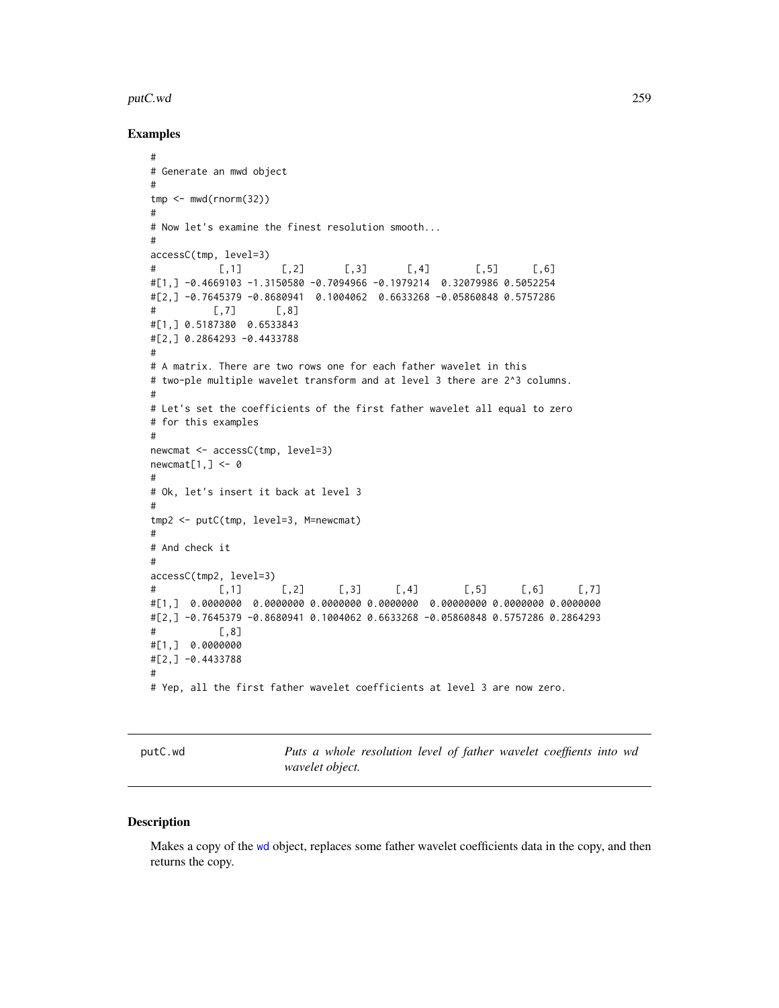#### putC.wd 259

## Examples

```
#
# Generate an mwd object
#
tmp < - mwd(rnorm(32))
#
# Now let's examine the finest resolution smooth...
#
accessC(tmp, level=3)
# [,1] [,2] [,3] [,4] [,5] [,6]
#[1,] -0.4669103 -1.3150580 -0.7094966 -0.1979214 0.32079986 0.5052254
#[2,] -0.7645379 -0.8680941 0.1004062 0.6633268 -0.05860848 0.5757286
# [,7] [,8]
#[1,] 0.5187380 0.6533843
#[2,] 0.2864293 -0.4433788
#
# A matrix. There are two rows one for each father wavelet in this
# two-ple multiple wavelet transform and at level 3 there are 2^3 columns.
#
# Let's set the coefficients of the first father wavelet all equal to zero
# for this examples
#
newcmat <- accessC(tmp, level=3)
newcmat[1,] < -0#
# Ok, let's insert it back at level 3
#
tmp2 <- putC(tmp, level=3, M=newcmat)
#
# And check it
#
accessC(tmp2, level=3)
# [,1] [,2] [,3] [,4] [,5] [,6] [,7]
#[1,] 0.0000000 0.0000000 0.0000000 0.0000000 0.00000000 0.0000000 0.0000000
#[2,] -0.7645379 -0.8680941 0.1004062 0.6633268 -0.05860848 0.5757286 0.2864293
           [,8]#[1,] 0.0000000
#[2,] -0.4433788
#
# Yep, all the first father wavelet coefficients at level 3 are now zero.
```
<span id="page-258-0"></span>putC.wd *Puts a whole resolution level of father wavelet coeffients into wd wavelet object.*

## Description

Makes a copy of the [wd](#page-344-0) object, replaces some father wavelet coefficients data in the copy, and then returns the copy.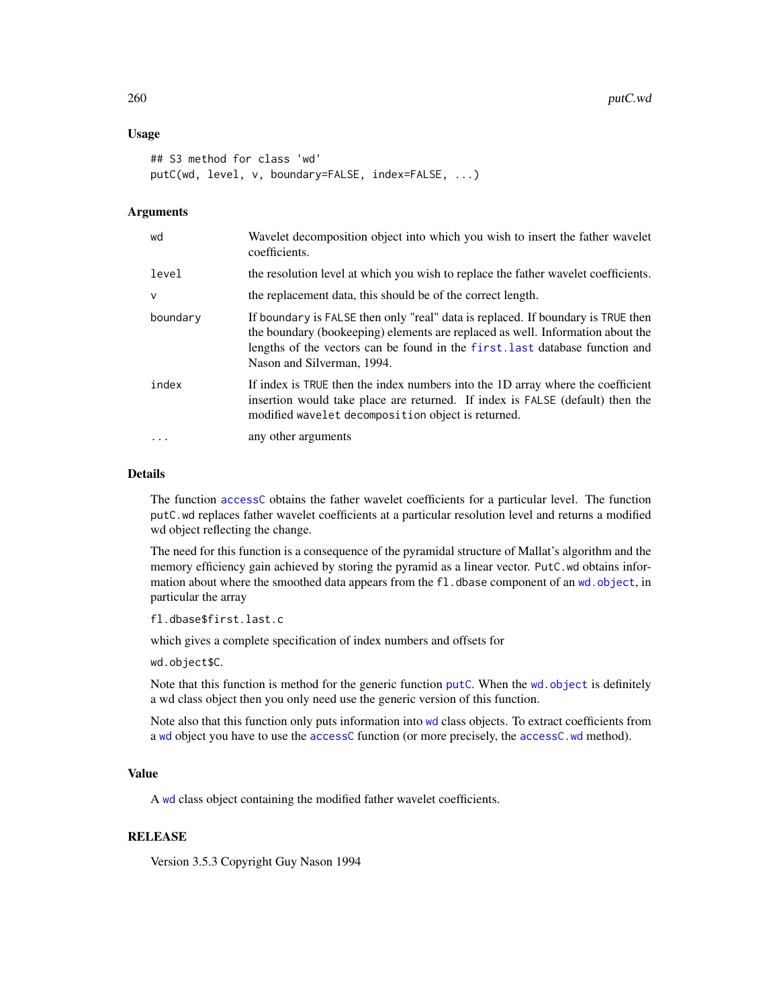## Usage

```
## S3 method for class 'wd'
putC(wd, level, v, boundary=FALSE, index=FALSE, ...)
```
## Arguments

| wd           | Wavelet decomposition object into which you wish to insert the father wavelet<br>coefficients.                                                                                                                                                                                   |
|--------------|----------------------------------------------------------------------------------------------------------------------------------------------------------------------------------------------------------------------------------------------------------------------------------|
| level        | the resolution level at which you wish to replace the father wavelet coefficients.                                                                                                                                                                                               |
| $\mathsf{V}$ | the replacement data, this should be of the correct length.                                                                                                                                                                                                                      |
| boundary     | If boundary is FALSE then only "real" data is replaced. If boundary is TRUE then<br>the boundary (bookeeping) elements are replaced as well. Information about the<br>lengths of the vectors can be found in the first. Last database function and<br>Nason and Silverman, 1994. |
| index        | If index is TRUE then the index numbers into the 1D array where the coefficient<br>insertion would take place are returned. If index is FALSE (default) then the<br>modified wavelet decomposition object is returned.                                                           |
| $\ddotsc$    | any other arguments                                                                                                                                                                                                                                                              |

## Details

The function [accessC](#page-7-0) obtains the father wavelet coefficients for a particular level. The function putC.wd replaces father wavelet coefficients at a particular resolution level and returns a modified wd object reflecting the change.

The need for this function is a consequence of the pyramidal structure of Mallat's algorithm and the memory efficiency gain achieved by storing the pyramid as a linear vector. PutC. wd obtains information about where the smoothed data appears from the fl.dbase component of an [wd.object](#page-351-0), in particular the array

fl.dbase\$first.last.c

which gives a complete specification of index numbers and offsets for

wd.object\$C.

Note that this function is method for the generic function [putC](#page-255-0). When the wd. object is definitely a wd class object then you only need use the generic version of this function.

Note also that this function only puts information into [wd](#page-344-0) class objects. To extract coefficients from a [wd](#page-344-0) object you have to use the [accessC](#page-7-0) function (or more precisely, the [accessC.wd](#page-10-0) method).

## Value

A [wd](#page-344-0) class object containing the modified father wavelet coefficients.

## RELEASE

Version 3.5.3 Copyright Guy Nason 1994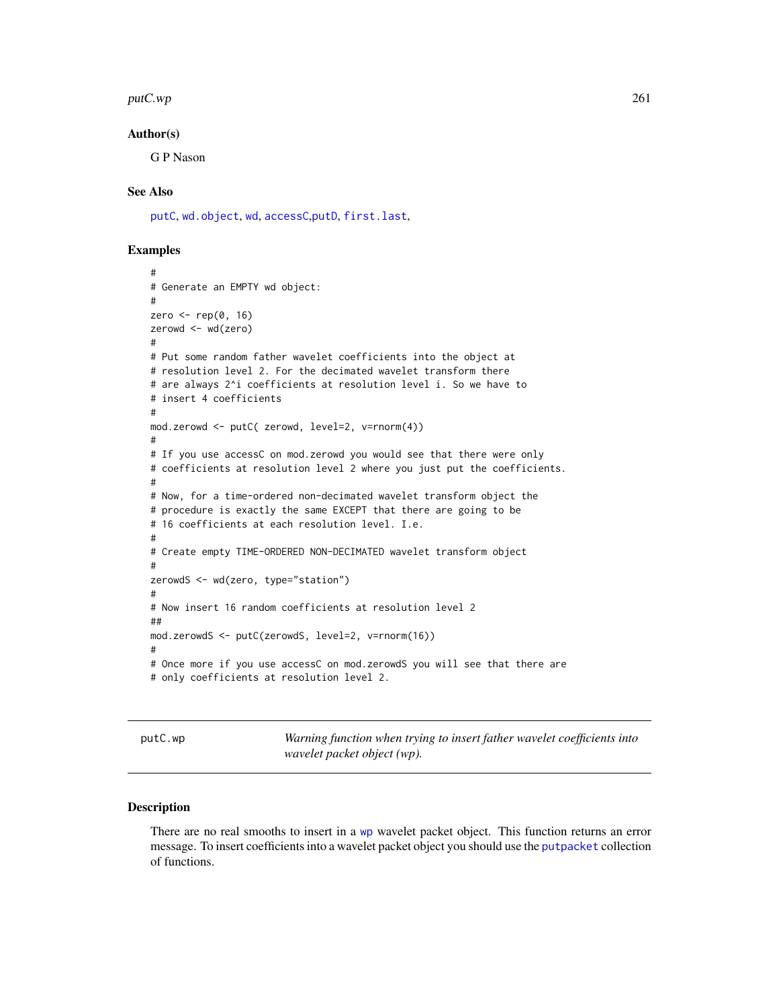#### $p$ utC.wp  $261$

## Author(s)

G P Nason

## See Also

[putC](#page-255-0), [wd.object](#page-351-0), [wd](#page-344-0), [accessC](#page-7-0),[putD](#page-263-0), [first.last](#page-102-0),

## Examples

```
#
# Generate an EMPTY wd object:
#
zero \leq rep(0, 16)
zerowd <- wd(zero)
#
# Put some random father wavelet coefficients into the object at
# resolution level 2. For the decimated wavelet transform there
# are always 2^i coefficients at resolution level i. So we have to
# insert 4 coefficients
#
mod.zerowd <- putC( zerowd, level=2, v=rnorm(4))
#
# If you use accessC on mod.zerowd you would see that there were only
# coefficients at resolution level 2 where you just put the coefficients.
#
# Now, for a time-ordered non-decimated wavelet transform object the
# procedure is exactly the same EXCEPT that there are going to be
# 16 coefficients at each resolution level. I.e.
#
# Create empty TIME-ORDERED NON-DECIMATED wavelet transform object
#
zerowdS <- wd(zero, type="station")
#
# Now insert 16 random coefficients at resolution level 2
##
mod.zerowdS <- putC(zerowdS, level=2, v=rnorm(16))
#
# Once more if you use accessC on mod.zerowdS you will see that there are
# only coefficients at resolution level 2.
```
<span id="page-260-0"></span>putC.wp *Warning function when trying to insert father wavelet coefficients into wavelet packet object (wp).*

## **Description**

There are no real smooths to insert in a [wp](#page-357-0) wavelet packet object. This function returns an error message. To insert coefficients into a wavelet packet object you should use the [putpacket](#page-273-0) collection of functions.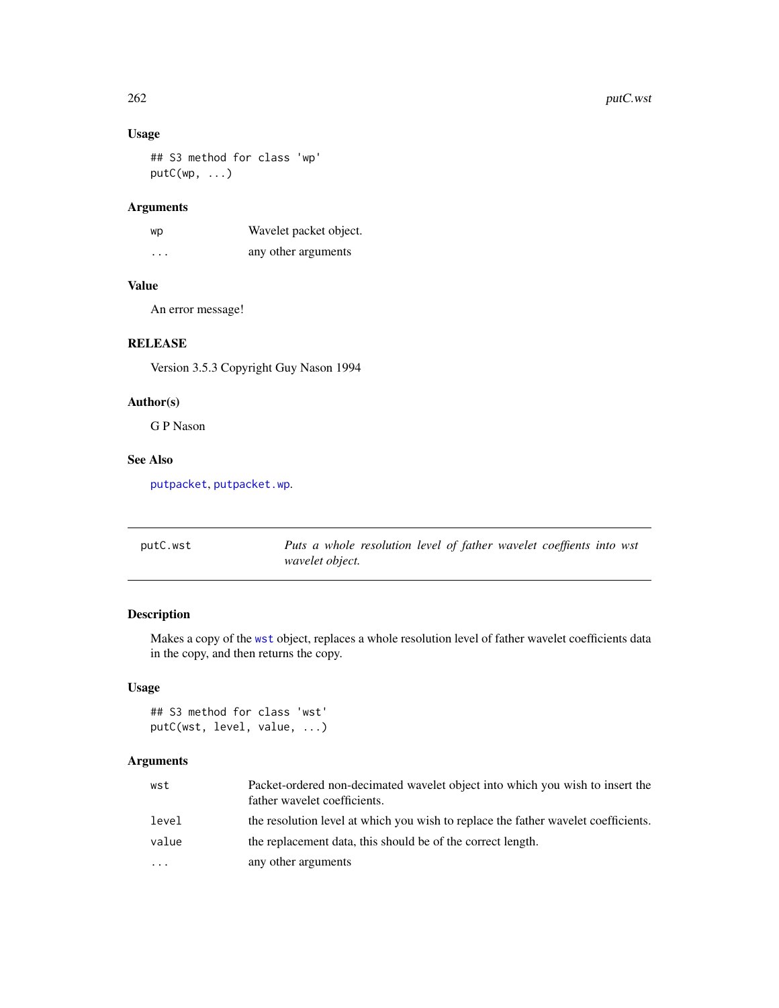# Usage

## S3 method for class 'wp' putC(wp, ...)

# Arguments

| wp                   | Wavelet packet object. |
|----------------------|------------------------|
| $\ddot{\phantom{0}}$ | any other arguments    |

## Value

An error message!

# RELEASE

Version 3.5.3 Copyright Guy Nason 1994

# Author(s)

G P Nason

# See Also

[putpacket](#page-273-0), [putpacket.wp](#page-274-0).

<span id="page-261-0"></span>

| putC.wst | Puts a whole resolution level of father wavelet coeffients into wst |  |  |
|----------|---------------------------------------------------------------------|--|--|
|          | wavelet object.                                                     |  |  |

# Description

Makes a copy of the [wst](#page-371-0) object, replaces a whole resolution level of father wavelet coefficients data in the copy, and then returns the copy.

# Usage

```
## S3 method for class 'wst'
putC(wst, level, value, ...)
```
# Arguments

| wst      | Packet-ordered non-decimated wavelet object into which you wish to insert the<br>father wavelet coefficients. |
|----------|---------------------------------------------------------------------------------------------------------------|
| level    | the resolution level at which you wish to replace the father wavelet coefficients.                            |
| value    | the replacement data, this should be of the correct length.                                                   |
| $\cdots$ | any other arguments                                                                                           |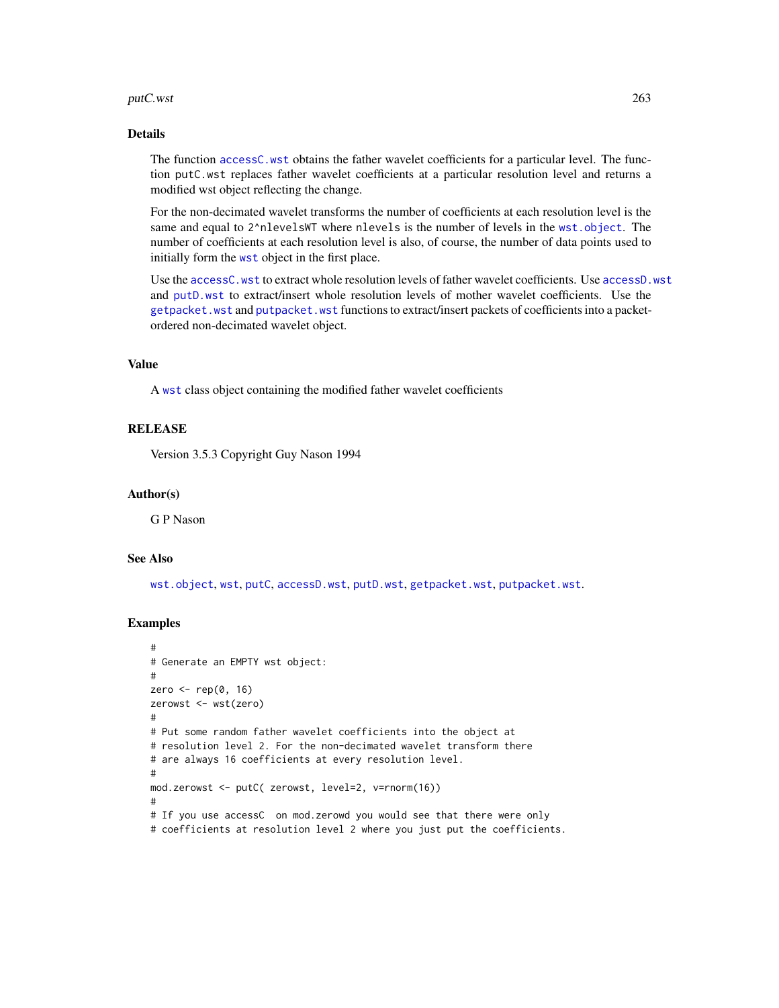#### putC.wst 263

## Details

The function [accessC.wst](#page-13-0) obtains the father wavelet coefficients for a particular level. The function putC.wst replaces father wavelet coefficients at a particular resolution level and returns a modified wst object reflecting the change.

For the non-decimated wavelet transforms the number of coefficients at each resolution level is the same and equal to 2^nlevelsWT where nlevels is the number of levels in the [wst.object](#page-373-0). The number of coefficients at each resolution level is also, of course, the number of data points used to initially form the [wst](#page-371-0) object in the first place.

Use the [accessC.wst](#page-13-0) to extract whole resolution levels of father wavelet coefficients. Use [accessD.wst](#page-23-0) and [putD.wst](#page-271-0) to extract/insert whole resolution levels of mother wavelet coefficients. Use the [getpacket.wst](#page-117-0) and [putpacket.wst](#page-276-0) functions to extract/insert packets of coefficients into a packetordered non-decimated wavelet object.

# Value

A [wst](#page-371-0) class object containing the modified father wavelet coefficients

## RELEASE

Version 3.5.3 Copyright Guy Nason 1994

#### Author(s)

G P Nason

#### See Also

[wst.object](#page-373-0), [wst](#page-371-0), [putC](#page-255-0), [accessD.wst](#page-23-0), [putD.wst](#page-271-0), [getpacket.wst](#page-117-0), [putpacket.wst](#page-276-0).

```
#
# Generate an EMPTY wst object:
#
zero <- rep(0, 16)
zerowst <- wst(zero)
#
# Put some random father wavelet coefficients into the object at
# resolution level 2. For the non-decimated wavelet transform there
# are always 16 coefficients at every resolution level.
#
mod.zerowst <- putC( zerowst, level=2, v=rnorm(16))
#
# If you use accessC on mod.zerowd you would see that there were only
# coefficients at resolution level 2 where you just put the coefficients.
```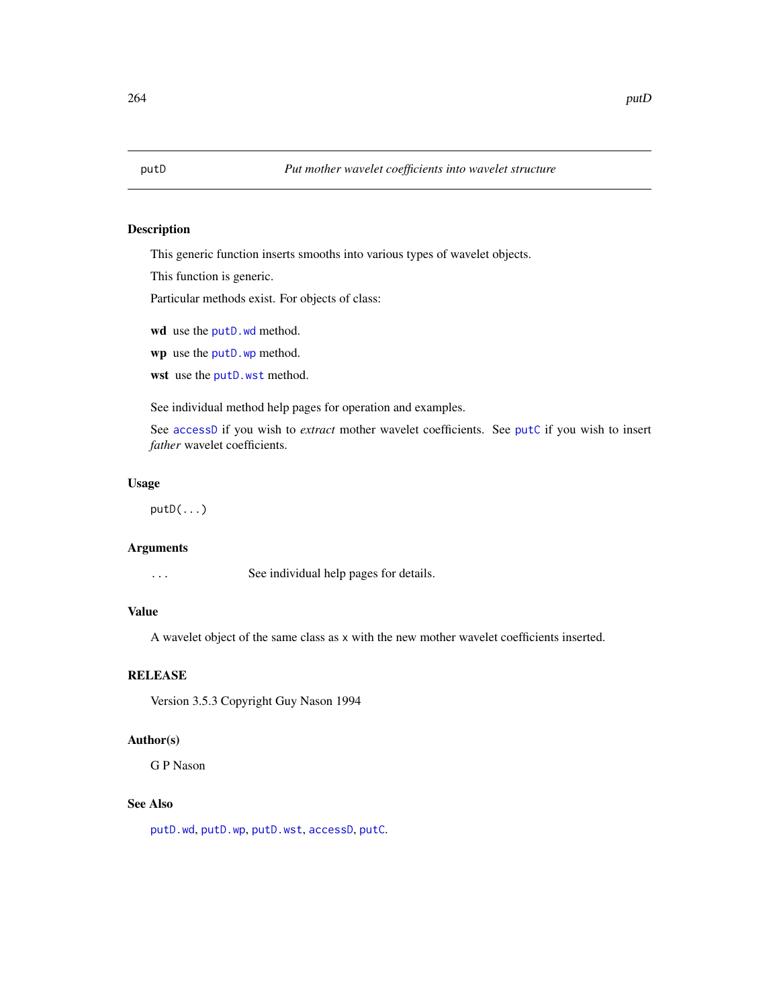<span id="page-263-0"></span>

## Description

This generic function inserts smooths into various types of wavelet objects.

This function is generic.

Particular methods exist. For objects of class:

wd use the [putD.wd](#page-266-0) method.

wp use the [putD.wp](#page-269-0) method.

wst use the [putD.wst](#page-271-0) method.

See individual method help pages for operation and examples.

See [accessD](#page-14-0) if you wish to *extract* mother wavelet coefficients. See [putC](#page-255-0) if you wish to insert *father* wavelet coefficients.

# Usage

putD(...)

#### Arguments

... See individual help pages for details.

#### Value

A wavelet object of the same class as x with the new mother wavelet coefficients inserted.

## RELEASE

Version 3.5.3 Copyright Guy Nason 1994

#### Author(s)

G P Nason

# See Also

[putD.wd](#page-266-0), [putD.wp](#page-269-0), [putD.wst](#page-271-0), [accessD](#page-14-0), [putC](#page-255-0).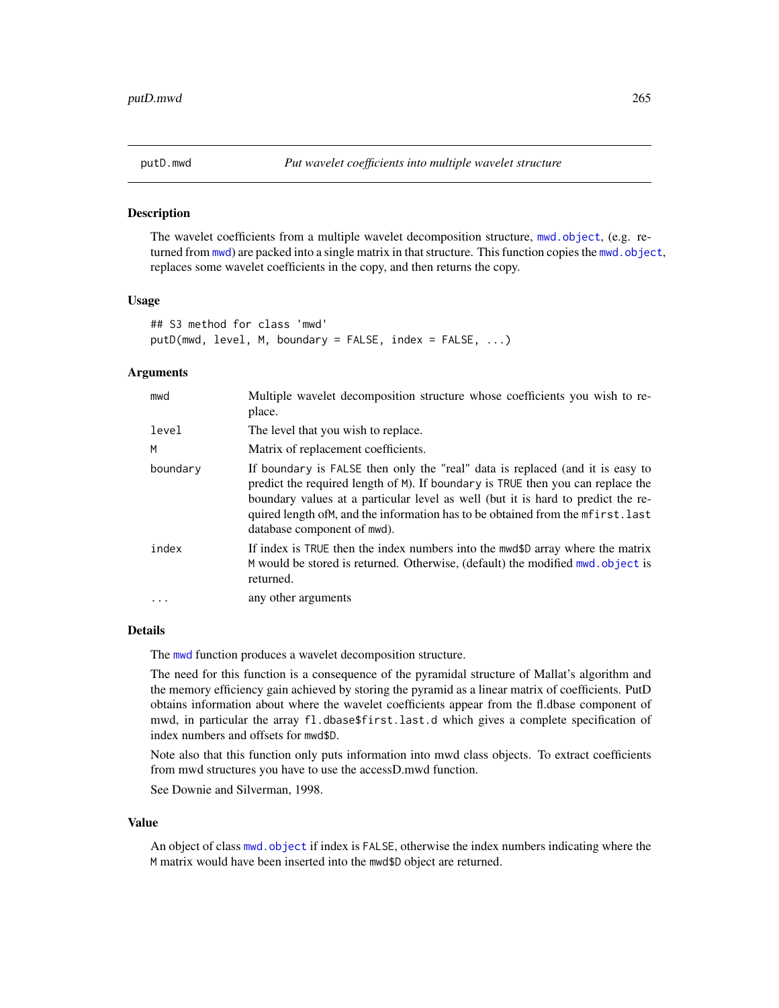<span id="page-264-0"></span>

#### Description

The wavelet coefficients from a multiple wavelet decomposition structure, [mwd.object](#page-195-0), (e.g. returned from  $mwd$ ) are packed into a single matrix in that structure. This function copies the  $mwd$ . object, replaces some wavelet coefficients in the copy, and then returns the copy.

## Usage

```
## S3 method for class 'mwd'
putD(mwd, level, M, boundary = FALSE, index = FALSE, ...)
```
## Arguments

| mwd       | Multiple wavelet decomposition structure whose coefficients you wish to re-<br>place.                                                                                                                                                                                                                                                                                     |
|-----------|---------------------------------------------------------------------------------------------------------------------------------------------------------------------------------------------------------------------------------------------------------------------------------------------------------------------------------------------------------------------------|
| level     | The level that you wish to replace.                                                                                                                                                                                                                                                                                                                                       |
| M         | Matrix of replacement coefficients.                                                                                                                                                                                                                                                                                                                                       |
| boundary  | If boundary is FALSE then only the "real" data is replaced (and it is easy to<br>predict the required length of M). If boundary is TRUE then you can replace the<br>boundary values at a particular level as well (but it is hard to predict the re-<br>quired length of M, and the information has to be obtained from the meters t. last<br>database component of mwd). |
| index     | If index is TRUE then the index numbers into the mwd\$D array where the matrix<br>M would be stored is returned. Otherwise, (default) the modified mwd. object is<br>returned.                                                                                                                                                                                            |
| $\ddotsc$ | any other arguments                                                                                                                                                                                                                                                                                                                                                       |

# Details

The [mwd](#page-193-0) function produces a wavelet decomposition structure.

The need for this function is a consequence of the pyramidal structure of Mallat's algorithm and the memory efficiency gain achieved by storing the pyramid as a linear matrix of coefficients. PutD obtains information about where the wavelet coefficients appear from the fl.dbase component of mwd, in particular the array fl.dbase\$first.last.d which gives a complete specification of index numbers and offsets for mwd\$D.

Note also that this function only puts information into mwd class objects. To extract coefficients from mwd structures you have to use the accessD.mwd function.

See Downie and Silverman, 1998.

#### Value

An object of class [mwd.object](#page-195-0) if index is FALSE, otherwise the index numbers indicating where the M matrix would have been inserted into the mwd\$D object are returned.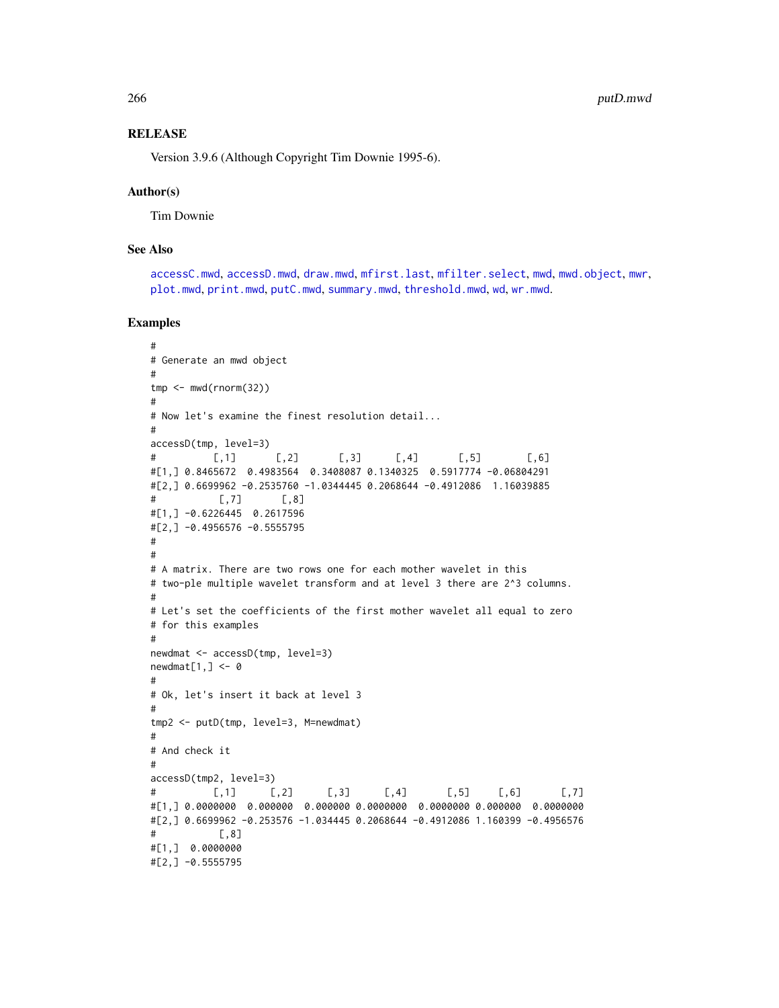## **RELEASE**

Version 3.9.6 (Although Copyright Tim Downie 1995-6).

#### Author(s)

Tim Downie

## See Also

[accessC.mwd](#page-9-0), [accessD.mwd](#page-15-0), [draw.mwd](#page-87-0), [mfirst.last](#page-188-0), [mfilter.select](#page-186-0), [mwd](#page-193-0), [mwd.object](#page-195-0), [mwr](#page-197-0), [plot.mwd](#page-212-0), [print.mwd](#page-230-0), [putC.mwd](#page-256-0), [summary.mwd](#page-296-0), [threshold.mwd](#page-315-0), [wd](#page-344-0), [wr.mwd](#page-367-0).

```
#
# Generate an mwd object
#
tmp <- mwd(rnorm(32))
#
# Now let's examine the finest resolution detail...
#
accessD(tmp, level=3)
# [,1] [,2] [,3] [,4] [,5] [,6]
#[1,] 0.8465672 0.4983564 0.3408087 0.1340325 0.5917774 -0.06804291
#[2,] 0.6699962 -0.2535760 -1.0344445 0.2068644 -0.4912086 1.16039885
\# [,7] [,8]
#[1,] -0.6226445 0.2617596
#[2,] -0.4956576 -0.5555795
#
#
# A matrix. There are two rows one for each mother wavelet in this
# two-ple multiple wavelet transform and at level 3 there are 2^3 columns.
#
# Let's set the coefficients of the first mother wavelet all equal to zero
# for this examples
#
newdmat <- accessD(tmp, level=3)
newdmat[1, ] < - \emptyset#
# Ok, let's insert it back at level 3
#
tmp2 <- putD(tmp, level=3, M=newdmat)
#
# And check it
#
accessD(tmp2, level=3)
# [,1] [,2] [,3] [,4] [,5] [,6] [,7]
#[1,] 0.0000000 0.000000 0.000000 0.0000000 0.0000000 0.000000 0.0000000
#[2,] 0.6699962 -0.253576 -1.034445 0.2068644 -0.4912086 1.160399 -0.4956576
# [,8]
#[1,] 0.0000000
#[2,] -0.5555795
```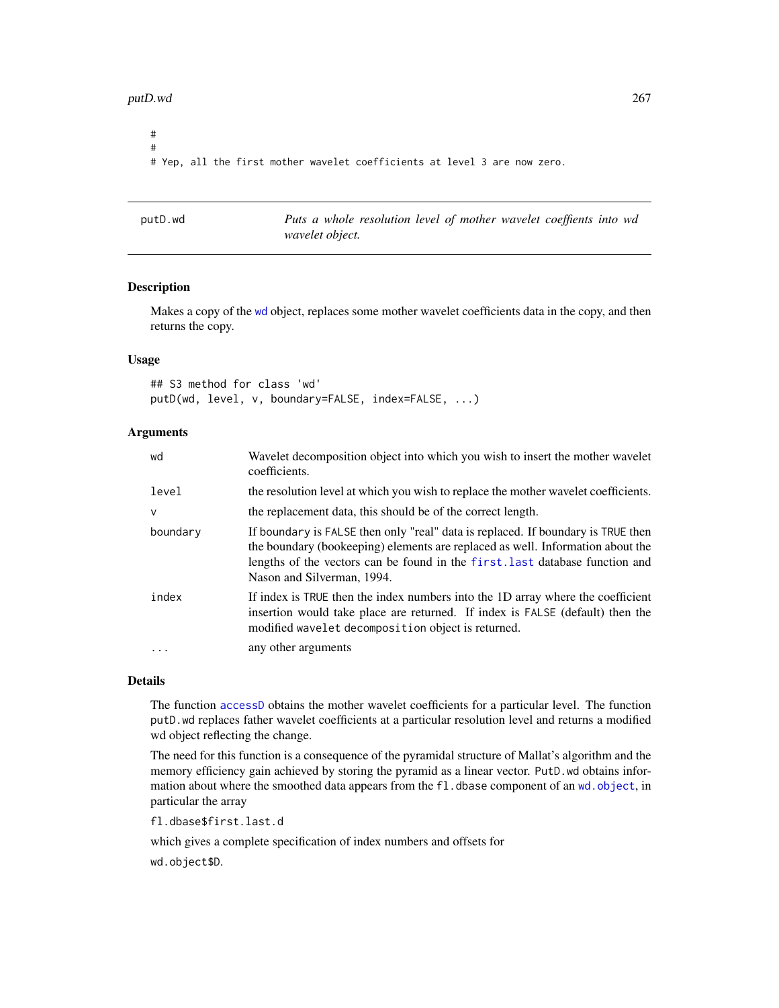#### putD.wd 267

# # # Yep, all the first mother wavelet coefficients at level 3 are now zero.

<span id="page-266-0"></span>

| putD.wd |  |
|---------|--|
|---------|--|

Puts a whole resolution level of mother wavelet coeffients into wd *wavelet object.*

# Description

Makes a copy of the [wd](#page-344-0) object, replaces some mother wavelet coefficients data in the copy, and then returns the copy.

#### Usage

## S3 method for class 'wd' putD(wd, level, v, boundary=FALSE, index=FALSE, ...)

## **Arguments**

| wd       | Wavelet decomposition object into which you wish to insert the mother wavelet<br>coefficients.                                                                                                                                                                                   |
|----------|----------------------------------------------------------------------------------------------------------------------------------------------------------------------------------------------------------------------------------------------------------------------------------|
| level    | the resolution level at which you wish to replace the mother wavelet coefficients.                                                                                                                                                                                               |
| $\vee$   | the replacement data, this should be of the correct length.                                                                                                                                                                                                                      |
| boundary | If boundary is FALSE then only "real" data is replaced. If boundary is TRUE then<br>the boundary (bookeeping) elements are replaced as well. Information about the<br>lengths of the vectors can be found in the first. last database function and<br>Nason and Silverman, 1994. |
| index    | If index is TRUE then the index numbers into the 1D array where the coefficient<br>insertion would take place are returned. If index is FALSE (default) then the<br>modified wavelet decomposition object is returned.                                                           |
|          | any other arguments                                                                                                                                                                                                                                                              |

# Details

The function [accessD](#page-14-0) obtains the mother wavelet coefficients for a particular level. The function putD.wd replaces father wavelet coefficients at a particular resolution level and returns a modified wd object reflecting the change.

The need for this function is a consequence of the pyramidal structure of Mallat's algorithm and the memory efficiency gain achieved by storing the pyramid as a linear vector. PutD.wd obtains information about where the smoothed data appears from the fl. dbase component of an wd. object, in particular the array

fl.dbase\$first.last.d

which gives a complete specification of index numbers and offsets for wd.object\$D.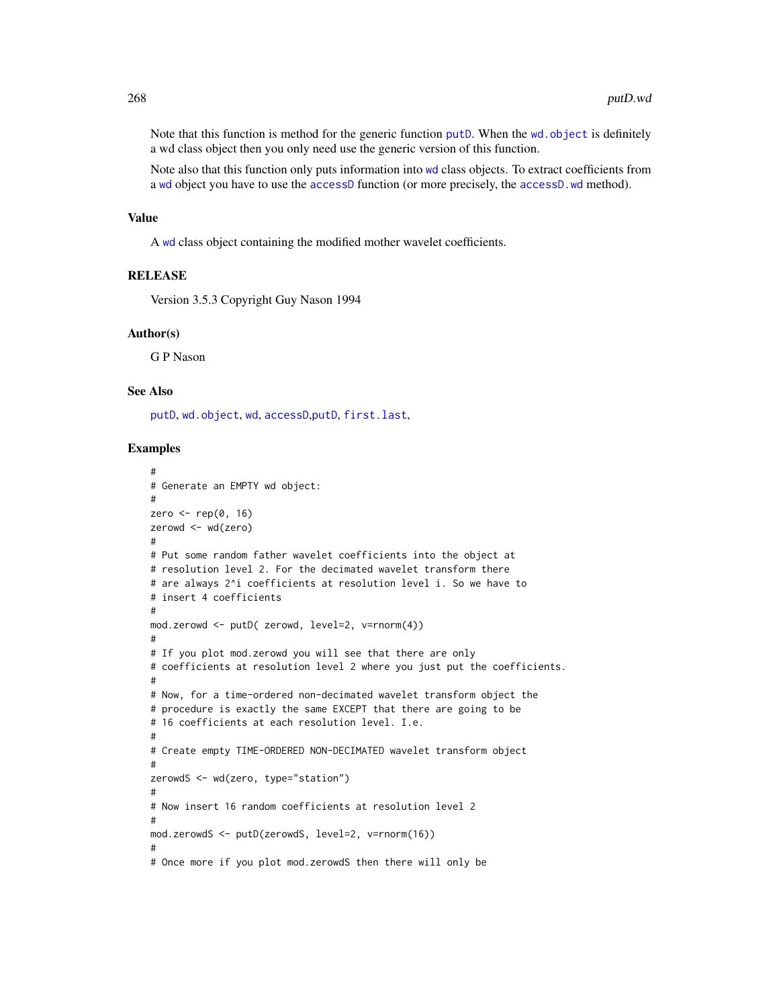Note that this function is method for the generic function [putD](#page-263-0). When the wd. object is definitely a wd class object then you only need use the generic version of this function.

Note also that this function only puts information into [wd](#page-344-0) class objects. To extract coefficients from a [wd](#page-344-0) object you have to use the [accessD](#page-14-0) function (or more precisely, the [accessD.wd](#page-16-0) method).

#### Value

A [wd](#page-344-0) class object containing the modified mother wavelet coefficients.

#### **RELEASE**

Version 3.5.3 Copyright Guy Nason 1994

# Author(s)

G P Nason

# See Also

[putD](#page-263-0), [wd.object](#page-351-0), [wd](#page-344-0), [accessD](#page-14-0),[putD](#page-263-0), [first.last](#page-102-0),

```
#
# Generate an EMPTY wd object:
#
zero \leq rep(0, 16)
zerowd <- wd(zero)
#
# Put some random father wavelet coefficients into the object at
# resolution level 2. For the decimated wavelet transform there
# are always 2^i coefficients at resolution level i. So we have to
# insert 4 coefficients
#
mod.zerowd <- putD( zerowd, level=2, v=rnorm(4))
#
# If you plot mod.zerowd you will see that there are only
# coefficients at resolution level 2 where you just put the coefficients.
#
# Now, for a time-ordered non-decimated wavelet transform object the
# procedure is exactly the same EXCEPT that there are going to be
# 16 coefficients at each resolution level. I.e.
#
# Create empty TIME-ORDERED NON-DECIMATED wavelet transform object
#
zerowdS <- wd(zero, type="station")
#
# Now insert 16 random coefficients at resolution level 2
#
mod.zerowdS <- putD(zerowdS, level=2, v=rnorm(16))
#
# Once more if you plot mod.zerowdS then there will only be
```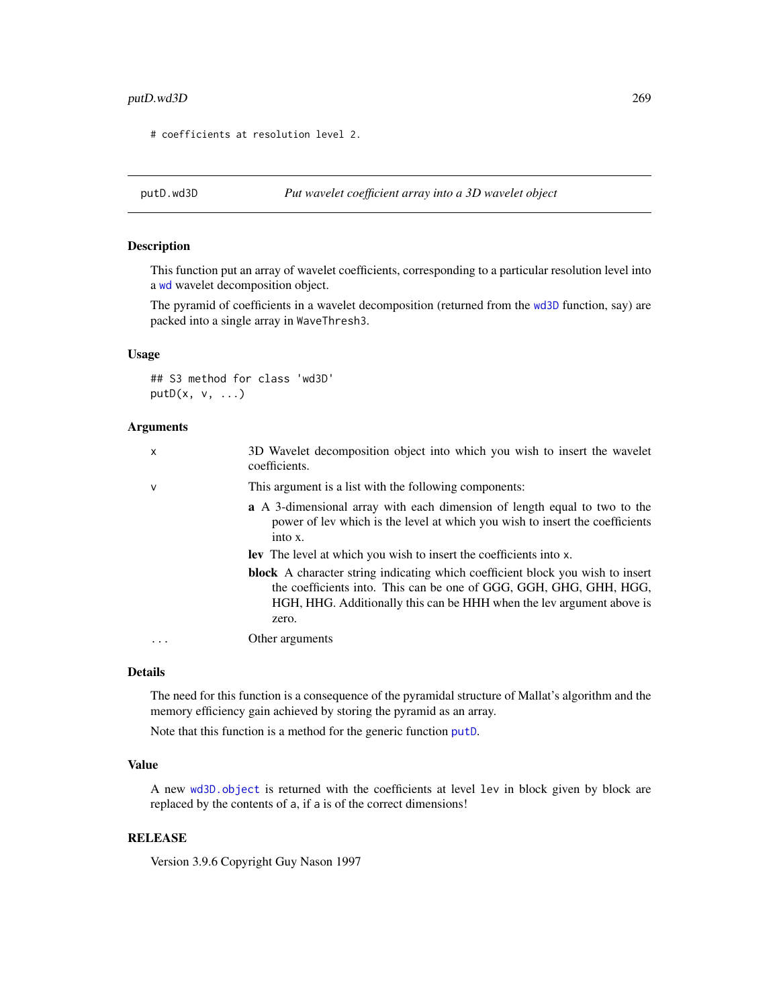# putD.wd3D 269

# coefficients at resolution level 2.

<span id="page-268-0"></span>

# Description

This function put an array of wavelet coefficients, corresponding to a particular resolution level into a [wd](#page-344-0) wavelet decomposition object.

The pyramid of coefficients in a wavelet decomposition (returned from the [wd3D](#page-353-0) function, say) are packed into a single array in WaveThresh3.

## Usage

## S3 method for class 'wd3D'  $putD(x, v, ...)$ 

## Arguments

| X | 3D Wavelet decomposition object into which you wish to insert the wavelet<br>coefficients.                                                                                                                                                    |
|---|-----------------------------------------------------------------------------------------------------------------------------------------------------------------------------------------------------------------------------------------------|
| v | This argument is a list with the following components:                                                                                                                                                                                        |
|   | <b>a</b> A 3-dimensional array with each dimension of length equal to two to the<br>power of lev which is the level at which you wish to insert the coefficients<br>into x.                                                                   |
|   | <b>Lev</b> The level at which you wish to insert the coefficients into x.                                                                                                                                                                     |
|   | <b>block</b> A character string indicating which coefficient block you wish to insert<br>the coefficients into. This can be one of GGG, GGH, GHG, GHH, HGG,<br>HGH, HHG. Additionally this can be HHH when the lev argument above is<br>zero. |
|   | Other arguments                                                                                                                                                                                                                               |

# Details

The need for this function is a consequence of the pyramidal structure of Mallat's algorithm and the memory efficiency gain achieved by storing the pyramid as an array.

Note that this function is a method for the generic function [putD](#page-263-0).

## Value

A new [wd3D.object](#page-354-0) is returned with the coefficients at level lev in block given by block are replaced by the contents of a, if a is of the correct dimensions!

# **RELEASE**

Version 3.9.6 Copyright Guy Nason 1997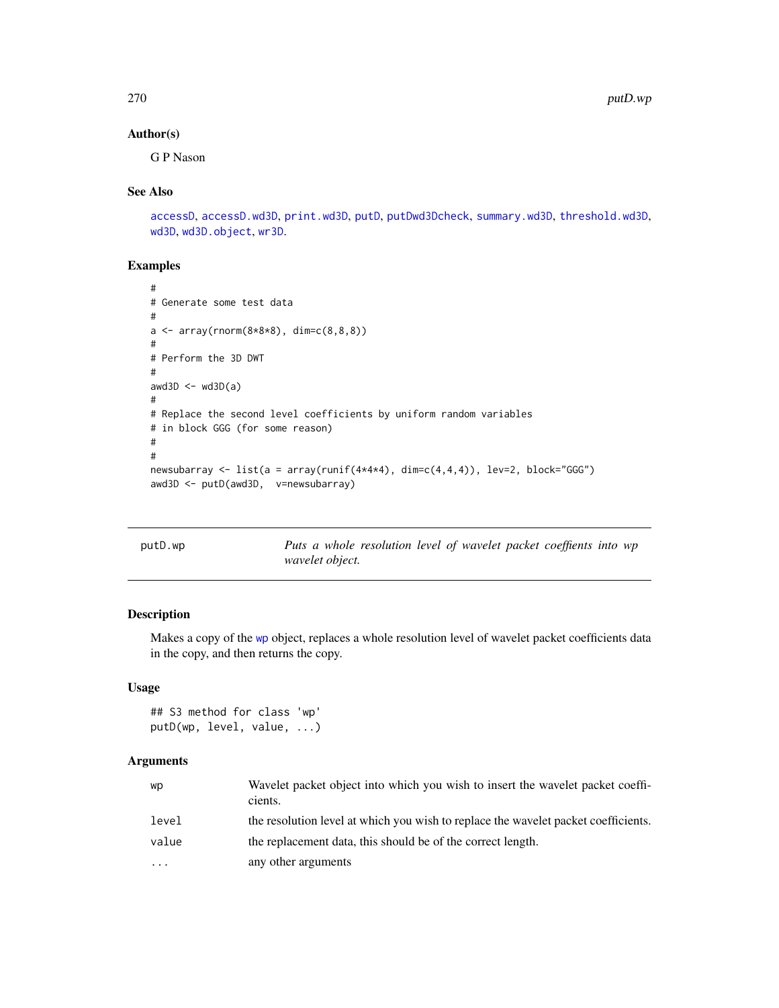# Author(s)

G P Nason

## See Also

```
accessD, accessD.wd3D, print.wd3D, putD, putDwd3Dcheck, summary.wd3D, threshold.wd3D,
wd3D, wd3D.object, wr3D.
```
# Examples

```
#
# Generate some test data
#
a \leq -\arctan((\text{norm}(8*8*8), \text{dim}=(8,8,8)))#
# Perform the 3D DWT
#
awd3D \leftarrow wd3D(a)
#
# Replace the second level coefficients by uniform random variables
# in block GGG (for some reason)
#
#
newsubarray <- list(a = array(runif(4*4*4), dim=c(4,4,4)), lev=2, block="GGG")
awd3D <- putD(awd3D, v=newsubarray)
```
<span id="page-269-0"></span>

| putD.wp |                 | Puts a whole resolution level of wavelet packet coeffients into wp |  |  |  |  |
|---------|-----------------|--------------------------------------------------------------------|--|--|--|--|
|         | wavelet object. |                                                                    |  |  |  |  |

# Description

Makes a copy of the [wp](#page-357-0) object, replaces a whole resolution level of wavelet packet coefficients data in the copy, and then returns the copy.

## Usage

```
## S3 method for class 'wp'
putD(wp, level, value, ...)
```
# Arguments

| WD                      | Wavelet packet object into which you wish to insert the wavelet packet coeffi-<br>cients. |
|-------------------------|-------------------------------------------------------------------------------------------|
| level                   | the resolution level at which you wish to replace the wavelet packet coefficients.        |
| value                   | the replacement data, this should be of the correct length.                               |
| $\cdot$ $\cdot$ $\cdot$ | any other arguments                                                                       |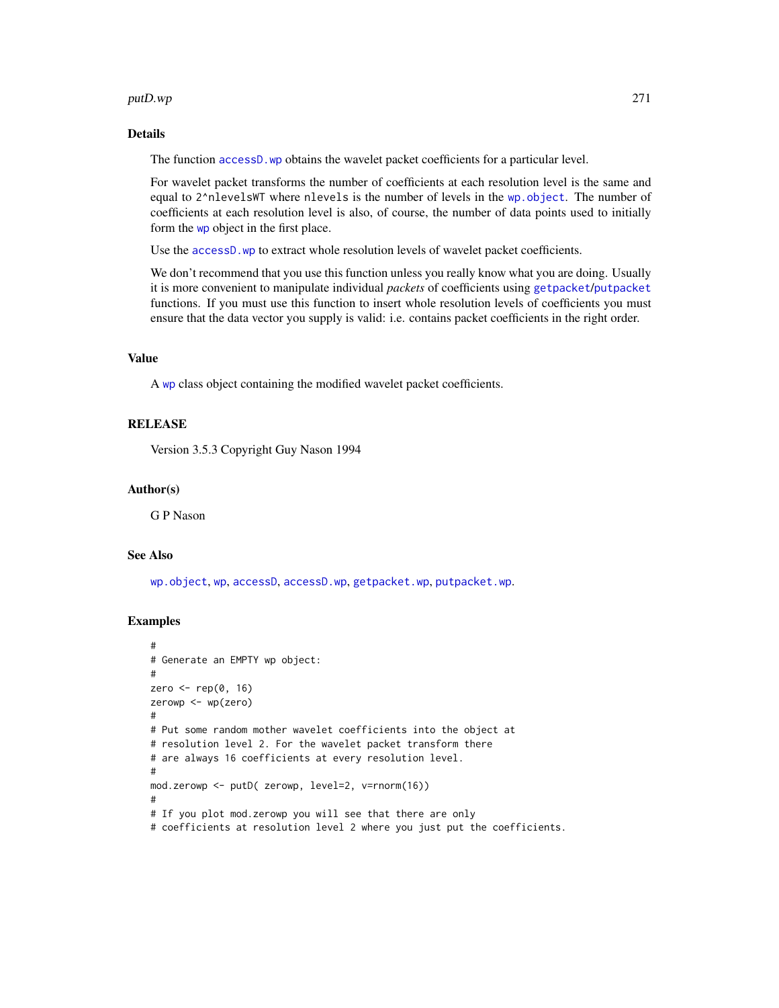#### putD.wp 271

# Details

The function [accessD.wp](#page-20-0) obtains the wavelet packet coefficients for a particular level.

For wavelet packet transforms the number of coefficients at each resolution level is the same and equal to 2^nlevelsWT where nlevels is the number of levels in the [wp.object](#page-358-0). The number of coefficients at each resolution level is also, of course, the number of data points used to initially form the [wp](#page-357-0) object in the first place.

Use the accessD. wp to extract whole resolution levels of wavelet packet coefficients.

We don't recommend that you use this function unless you really know what you are doing. Usually it is more convenient to manipulate individual *packets* of coefficients using [getpacket](#page-112-0)/[putpacket](#page-273-0) functions. If you must use this function to insert whole resolution levels of coefficients you must ensure that the data vector you supply is valid: i.e. contains packet coefficients in the right order.

# Value

A [wp](#page-357-0) class object containing the modified wavelet packet coefficients.

#### **RELEASE**

Version 3.5.3 Copyright Guy Nason 1994

#### Author(s)

G P Nason

#### See Also

[wp.object](#page-358-0), [wp](#page-357-0), [accessD](#page-14-0), [accessD.wp](#page-20-0), [getpacket.wp](#page-113-0), [putpacket.wp](#page-274-0).

```
#
# Generate an EMPTY wp object:
#
zero \leq rep(0, 16)
zerowp <- wp(zero)
#
# Put some random mother wavelet coefficients into the object at
# resolution level 2. For the wavelet packet transform there
# are always 16 coefficients at every resolution level.
#
mod.zerowp <- putD( zerowp, level=2, v=rnorm(16))
#
# If you plot mod.zerowp you will see that there are only
# coefficients at resolution level 2 where you just put the coefficients.
```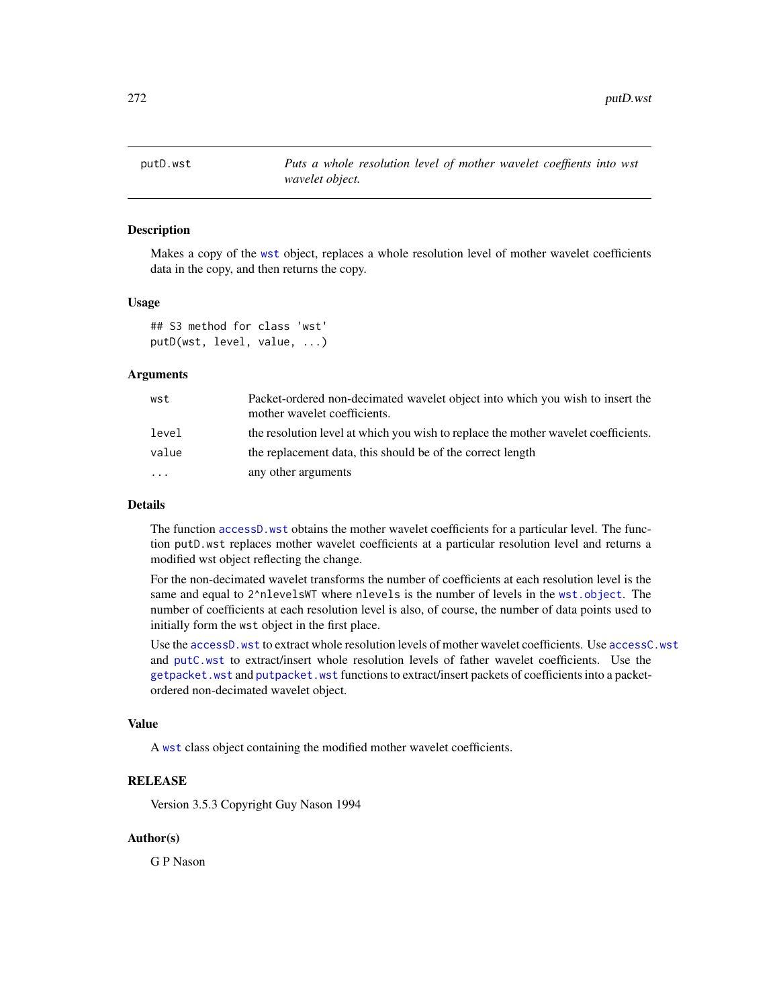<span id="page-271-0"></span>

# Description

Makes a copy of the [wst](#page-371-0) object, replaces a whole resolution level of mother wavelet coefficients data in the copy, and then returns the copy.

#### Usage

```
## S3 method for class 'wst'
putD(wst, level, value, ...)
```
#### Arguments

| wst   | Packet-ordered non-decimated wavelet object into which you wish to insert the<br>mother wavelet coefficients. |
|-------|---------------------------------------------------------------------------------------------------------------|
| level | the resolution level at which you wish to replace the mother wavelet coefficients.                            |
| value | the replacement data, this should be of the correct length                                                    |
| .     | any other arguments                                                                                           |

## Details

The function [accessD.wst](#page-23-0) obtains the mother wavelet coefficients for a particular level. The function putD.wst replaces mother wavelet coefficients at a particular resolution level and returns a modified wst object reflecting the change.

For the non-decimated wavelet transforms the number of coefficients at each resolution level is the same and equal to 2^nlevelsWT where nlevels is the number of levels in the [wst.object](#page-373-0). The number of coefficients at each resolution level is also, of course, the number of data points used to initially form the wst object in the first place.

Use the [accessD.wst](#page-23-0) to extract whole resolution levels of mother wavelet coefficients. Use [accessC.wst](#page-13-0) and [putC.wst](#page-261-0) to extract/insert whole resolution levels of father wavelet coefficients. Use the [getpacket.wst](#page-117-0) and [putpacket.wst](#page-276-0) functions to extract/insert packets of coefficients into a packetordered non-decimated wavelet object.

## Value

A [wst](#page-371-0) class object containing the modified mother wavelet coefficients.

# RELEASE

Version 3.5.3 Copyright Guy Nason 1994

## Author(s)

G P Nason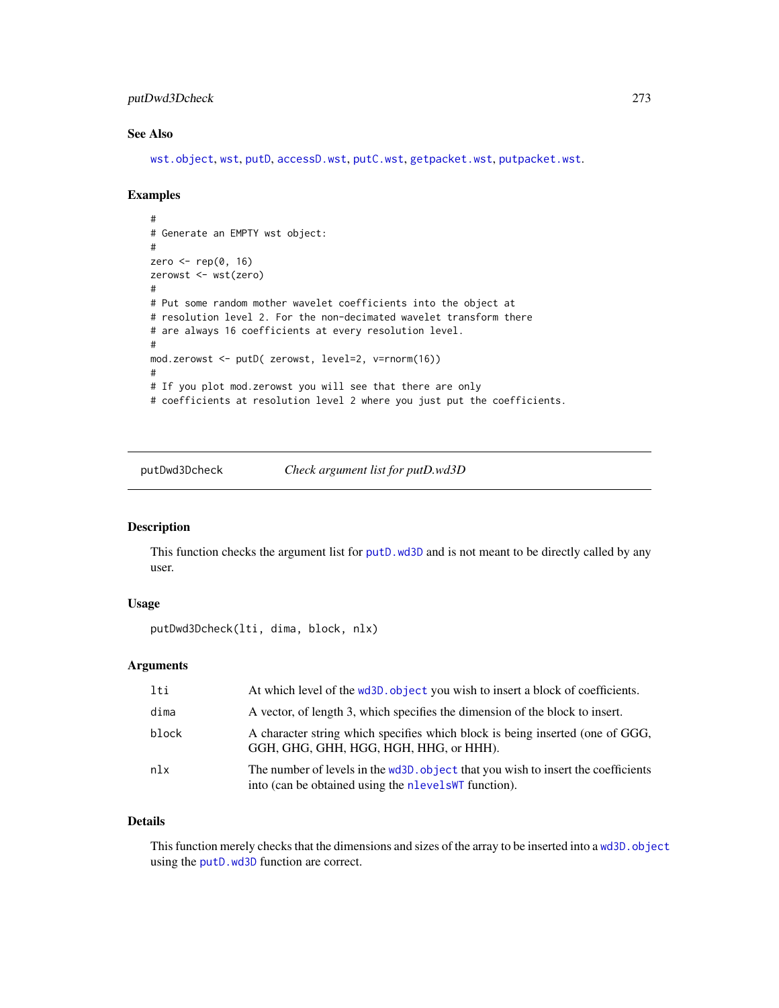# putDwd3Dcheck 273

# See Also

[wst.object](#page-373-0), [wst](#page-371-0), [putD](#page-263-0), [accessD.wst](#page-23-0), [putC.wst](#page-261-0), [getpacket.wst](#page-117-0), [putpacket.wst](#page-276-0).

# Examples

```
#
# Generate an EMPTY wst object:
#
zero \leq rep(0, 16)
zerowst <- wst(zero)
#
# Put some random mother wavelet coefficients into the object at
# resolution level 2. For the non-decimated wavelet transform there
# are always 16 coefficients at every resolution level.
#
mod.zerowst <- putD( zerowst, level=2, v=rnorm(16))
#
# If you plot mod.zerowst you will see that there are only
# coefficients at resolution level 2 where you just put the coefficients.
```
<span id="page-272-0"></span>putDwd3Dcheck *Check argument list for putD.wd3D*

#### Description

This function checks the argument list for [putD.wd3D](#page-268-0) and is not meant to be directly called by any user.

## Usage

putDwd3Dcheck(lti, dima, block, nlx)

# Arguments

| lti   | At which level of the wd3D. object you wish to insert a block of coefficients.                                                             |
|-------|--------------------------------------------------------------------------------------------------------------------------------------------|
| dima  | A vector, of length 3, which specifies the dimension of the block to insert.                                                               |
| block | A character string which specifies which block is being inserted (one of GGG,<br>GGH, GHG, GHH, HGG, HGH, HHG, or HHH).                    |
| nlx   | The number of levels in the wd3D, object that you wish to insert the coefficients<br>into (can be obtained using the nlevels WT function). |

# Details

This function merely checks that the dimensions and sizes of the array to be inserted into a wd3D. object using the [putD.wd3D](#page-268-0) function are correct.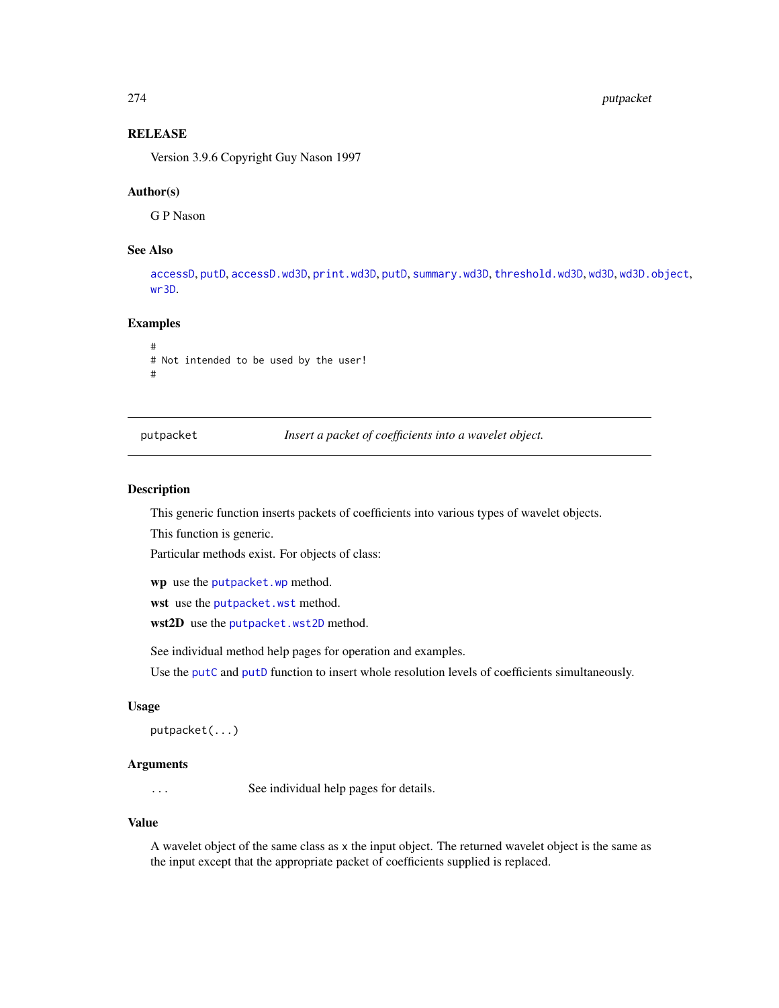#### 274 putpacket

# **RELEASE**

Version 3.9.6 Copyright Guy Nason 1997

#### Author(s)

G P Nason

# See Also

[accessD](#page-14-0), [putD](#page-263-0), [accessD.wd3D](#page-18-0), [print.wd3D](#page-238-0), [putD](#page-263-0), [summary.wd3D](#page-298-0), [threshold.wd3D](#page-323-0), [wd3D](#page-353-0), [wd3D.object](#page-354-0), [wr3D](#page-370-0).

## Examples

# # Not intended to be used by the user! #

<span id="page-273-0"></span>putpacket *Insert a packet of coefficients into a wavelet object.*

# Description

This generic function inserts packets of coefficients into various types of wavelet objects.

This function is generic.

Particular methods exist. For objects of class:

wp use the [putpacket.wp](#page-274-0) method.

wst use the [putpacket.wst](#page-276-0) method.

wst2D use the [putpacket.wst2D](#page-278-0) method.

See individual method help pages for operation and examples.

Use the [putC](#page-255-0) and [putD](#page-263-0) function to insert whole resolution levels of coefficients simultaneously.

# Usage

```
putpacket(...)
```
## **Arguments**

... See individual help pages for details.

## Value

A wavelet object of the same class as x the input object. The returned wavelet object is the same as the input except that the appropriate packet of coefficients supplied is replaced.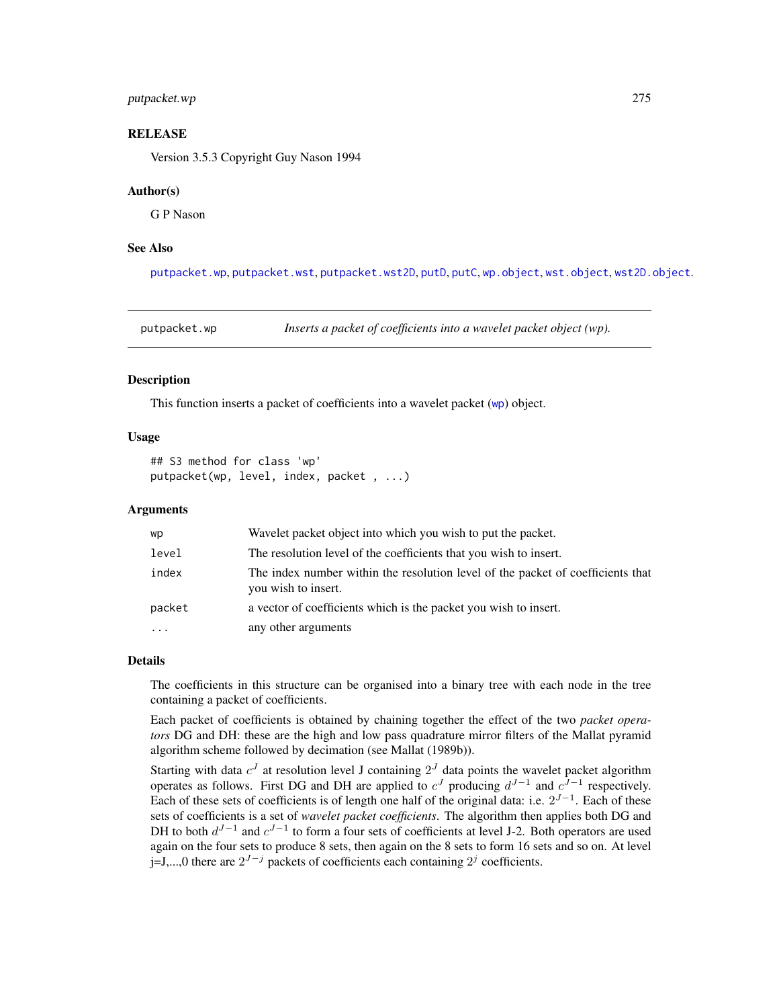# putpacket.wp 275

# **RELEASE**

Version 3.5.3 Copyright Guy Nason 1994

#### Author(s)

G P Nason

## See Also

[putpacket.wp](#page-274-0), [putpacket.wst](#page-276-0), [putpacket.wst2D](#page-278-0), [putD](#page-263-0), [putC](#page-255-0), [wp.object](#page-358-0), [wst.object](#page-373-0), [wst2D.object](#page-376-0).

<span id="page-274-0"></span>putpacket.wp *Inserts a packet of coefficients into a wavelet packet object (wp).*

#### **Description**

This function inserts a packet of coefficients into a wavelet packet ([wp](#page-357-0)) object.

## Usage

```
## S3 method for class 'wp'
putpacket(wp, level, index, packet , ...)
```
#### Arguments

| wp        | Wavelet packet object into which you wish to put the packet.                                           |
|-----------|--------------------------------------------------------------------------------------------------------|
| level     | The resolution level of the coefficients that you wish to insert.                                      |
| index     | The index number within the resolution level of the packet of coefficients that<br>you wish to insert. |
| packet    | a vector of coefficients which is the packet you wish to insert.                                       |
| $\ddotsc$ | any other arguments                                                                                    |

#### Details

The coefficients in this structure can be organised into a binary tree with each node in the tree containing a packet of coefficients.

Each packet of coefficients is obtained by chaining together the effect of the two *packet operators* DG and DH: these are the high and low pass quadrature mirror filters of the Mallat pyramid algorithm scheme followed by decimation (see Mallat (1989b)).

Starting with data  $c^{J}$  at resolution level J containing  $2^{J}$  data points the wavelet packet algorithm operates as follows. First DG and DH are applied to  $c<sup>J</sup>$  producing  $d<sup>J-1</sup>$  and  $c<sup>J-1</sup>$  respectively. Each of these sets of coefficients is of length one half of the original data: i.e.  $2^{J-1}$ . Each of these sets of coefficients is a set of *wavelet packet coefficients*. The algorithm then applies both DG and DH to both  $d^{J-1}$  and  $c^{J-1}$  to form a four sets of coefficients at level J-2. Both operators are used again on the four sets to produce 8 sets, then again on the 8 sets to form 16 sets and so on. At level j=J,...,0 there are  $2^{J-j}$  packets of coefficients each containing  $2^j$  coefficients.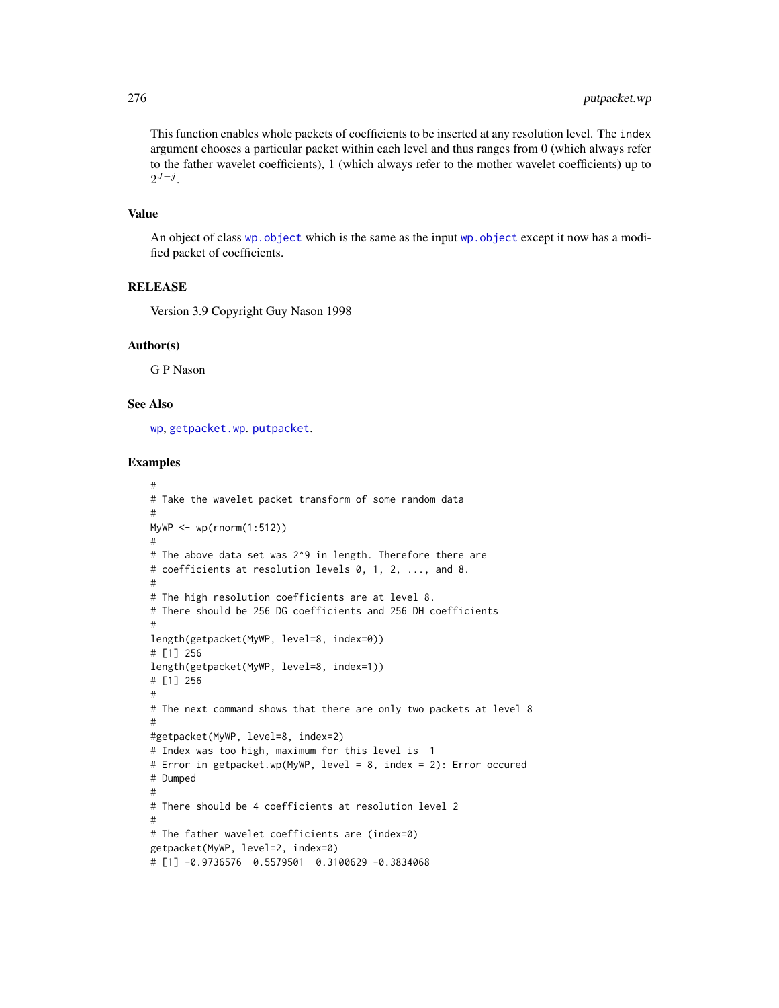This function enables whole packets of coefficients to be inserted at any resolution level. The index argument chooses a particular packet within each level and thus ranges from 0 (which always refer to the father wavelet coefficients), 1 (which always refer to the mother wavelet coefficients) up to  $2^{J-j}$ .

# Value

An object of class [wp.object](#page-358-0) which is the same as the input [wp.object](#page-358-0) except it now has a modified packet of coefficients.

# **RELEASE**

Version 3.9 Copyright Guy Nason 1998

#### Author(s)

G P Nason

## See Also

[wp](#page-357-0), [getpacket.wp](#page-113-0). [putpacket](#page-273-0).

```
#
# Take the wavelet packet transform of some random data
#
MyWP \leq wp(rnorm(1:512))
#
# The above data set was 2^9 in length. Therefore there are
# coefficients at resolution levels 0, 1, 2, ..., and 8.
#
# The high resolution coefficients are at level 8.
# There should be 256 DG coefficients and 256 DH coefficients
#
length(getpacket(MyWP, level=8, index=0))
# [1] 256
length(getpacket(MyWP, level=8, index=1))
# [1] 256
#
# The next command shows that there are only two packets at level 8
#
#getpacket(MyWP, level=8, index=2)
# Index was too high, maximum for this level is 1
# Error in getpacket.wp(MyWP, level = 8, index = 2): Error occured
# Dumped
#
# There should be 4 coefficients at resolution level 2
#
# The father wavelet coefficients are (index=0)
getpacket(MyWP, level=2, index=0)
# [1] -0.9736576 0.5579501 0.3100629 -0.3834068
```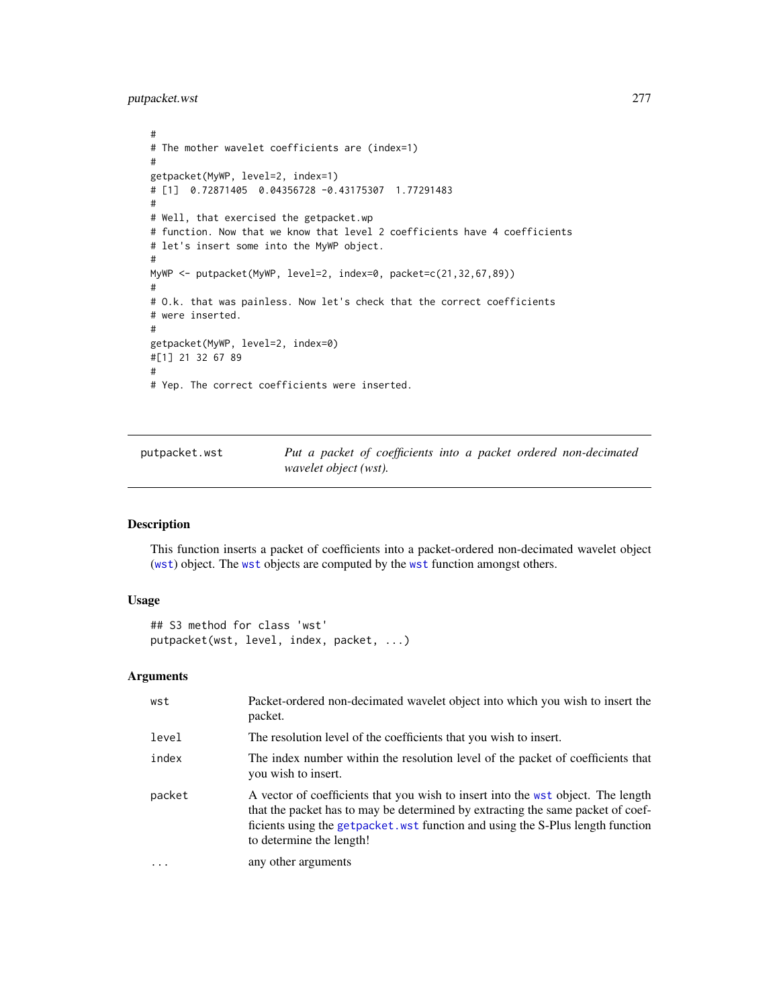putpacket.wst 277

```
#
# The mother wavelet coefficients are (index=1)
#
getpacket(MyWP, level=2, index=1)
# [1] 0.72871405 0.04356728 -0.43175307 1.77291483
#
# Well, that exercised the getpacket.wp
# function. Now that we know that level 2 coefficients have 4 coefficients
# let's insert some into the MyWP object.
#
MyWP <- putpacket(MyWP, level=2, index=0, packet=c(21,32,67,89))
#
# O.k. that was painless. Now let's check that the correct coefficients
# were inserted.
#
getpacket(MyWP, level=2, index=0)
#[1] 21 32 67 89
#
# Yep. The correct coefficients were inserted.
```
<span id="page-276-0"></span>putpacket.wst *Put a packet of coefficients into a packet ordered non-decimated wavelet object (wst).*

# Description

This function inserts a packet of coefficients into a packet-ordered non-decimated wavelet object ([wst](#page-371-0)) object. The [wst](#page-371-0) objects are computed by the [wst](#page-371-0) function amongst others.

## Usage

```
## S3 method for class 'wst'
putpacket(wst, level, index, packet, ...)
```
## Arguments

| wst      | Packet-ordered non-decimated wavelet object into which you wish to insert the<br>packet.                                                                                                                                                                                           |
|----------|------------------------------------------------------------------------------------------------------------------------------------------------------------------------------------------------------------------------------------------------------------------------------------|
| level    | The resolution level of the coefficients that you wish to insert.                                                                                                                                                                                                                  |
| index    | The index number within the resolution level of the packet of coefficients that<br>you wish to insert.                                                                                                                                                                             |
| packet   | A vector of coefficients that you wish to insert into the wst object. The length<br>that the packet has to may be determined by extracting the same packet of coef-<br>ficients using the getpacket. wst function and using the S-Plus length function<br>to determine the length! |
| $\ddots$ | any other arguments                                                                                                                                                                                                                                                                |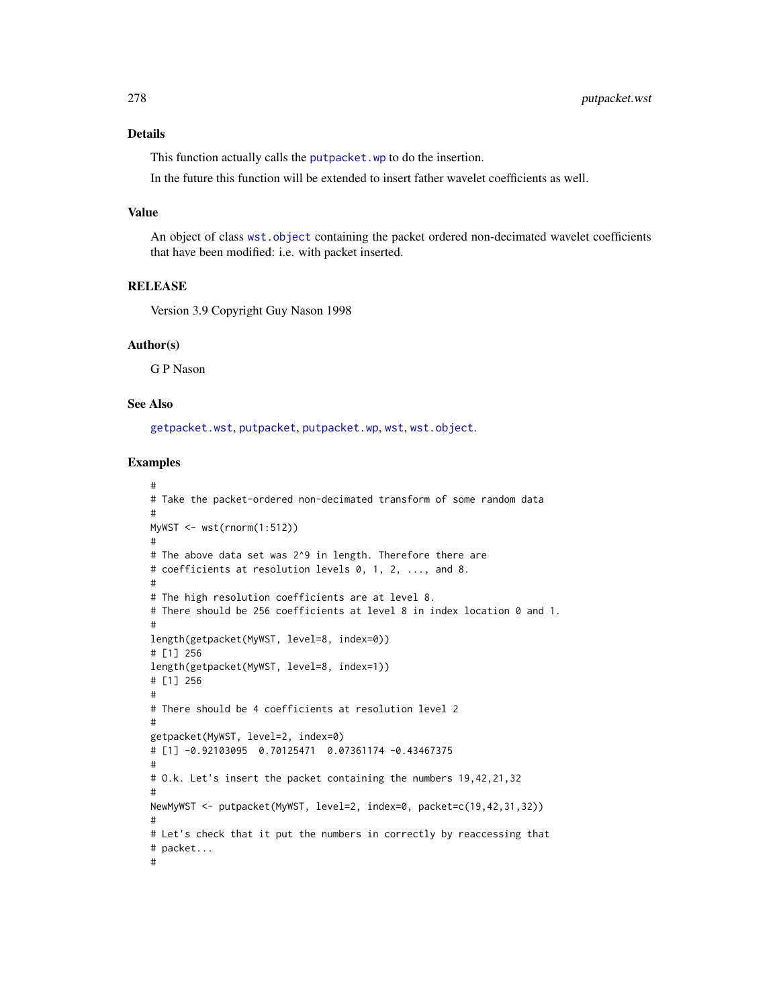## Details

This function actually calls the [putpacket.wp](#page-274-0) to do the insertion.

In the future this function will be extended to insert father wavelet coefficients as well.

## Value

An object of class [wst.object](#page-373-0) containing the packet ordered non-decimated wavelet coefficients that have been modified: i.e. with packet inserted.

# **RELEASE**

Version 3.9 Copyright Guy Nason 1998

#### Author(s)

G P Nason

## See Also

[getpacket.wst](#page-117-0), [putpacket](#page-273-0), [putpacket.wp](#page-274-0), [wst](#page-371-0), [wst.object](#page-373-0).

```
#
# Take the packet-ordered non-decimated transform of some random data
#
MyWST \leq wst(rnorm(1:512))
#
# The above data set was 2^9 in length. Therefore there are
# coefficients at resolution levels 0, 1, 2, ..., and 8.
#
# The high resolution coefficients are at level 8.
# There should be 256 coefficients at level 8 in index location 0 and 1.
#
length(getpacket(MyWST, level=8, index=0))
# [1] 256
length(getpacket(MyWST, level=8, index=1))
# [1] 256
#
# There should be 4 coefficients at resolution level 2
#
getpacket(MyWST, level=2, index=0)
# [1] -0.92103095 0.70125471 0.07361174 -0.43467375
#
# O.k. Let's insert the packet containing the numbers 19,42,21,32
#
NewMyWST <- putpacket(MyWST, level=2, index=0, packet=c(19,42,31,32))
#
# Let's check that it put the numbers in correctly by reaccessing that
# packet...
#
```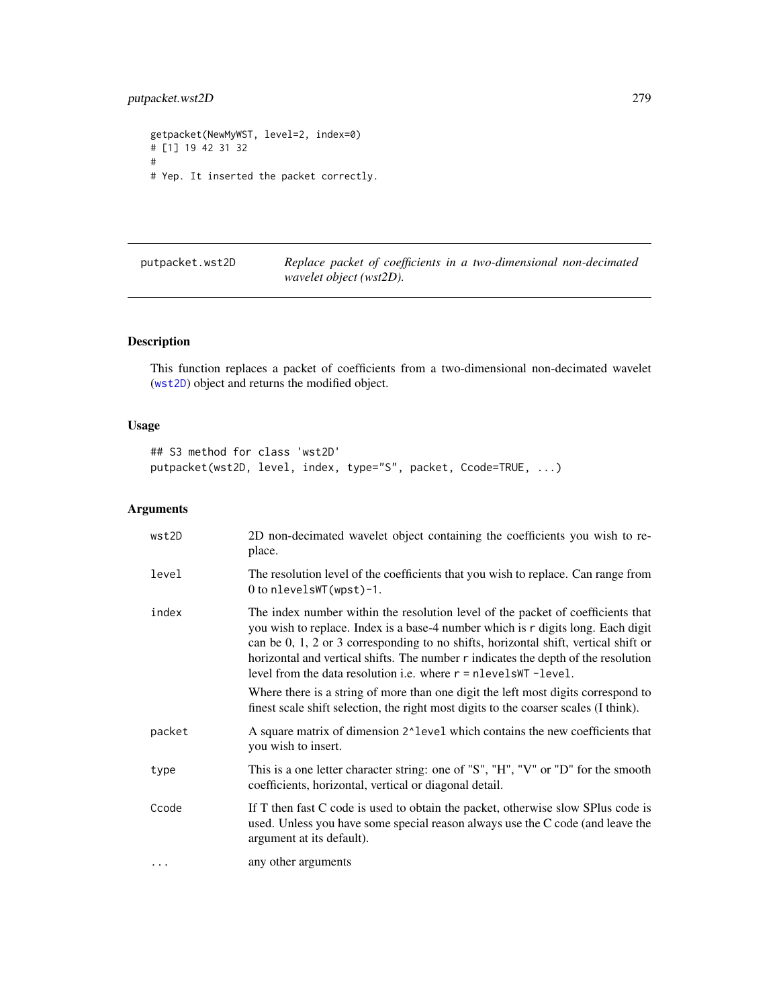```
getpacket(NewMyWST, level=2, index=0)
# [1] 19 42 31 32
#
# Yep. It inserted the packet correctly.
```
<span id="page-278-0"></span>

| putpacket.wst2D | Replace packet of coefficients in a two-dimensional non-decimated |
|-----------------|-------------------------------------------------------------------|
|                 | wavelet object (wst2D).                                           |

# Description

This function replaces a packet of coefficients from a two-dimensional non-decimated wavelet ([wst2D](#page-374-0)) object and returns the modified object.

# Usage

## S3 method for class 'wst2D' putpacket(wst2D, level, index, type="S", packet, Ccode=TRUE, ...)

# Arguments

| wst2D     | 2D non-decimated wavelet object containing the coefficients you wish to re-<br>place.                                                                                                                                                                                                                                                                                                                                                                                                                                                                                                               |
|-----------|-----------------------------------------------------------------------------------------------------------------------------------------------------------------------------------------------------------------------------------------------------------------------------------------------------------------------------------------------------------------------------------------------------------------------------------------------------------------------------------------------------------------------------------------------------------------------------------------------------|
| level     | The resolution level of the coefficients that you wish to replace. Can range from<br>$0$ to nlevelsWT(wpst)-1.                                                                                                                                                                                                                                                                                                                                                                                                                                                                                      |
| index     | The index number within the resolution level of the packet of coefficients that<br>you wish to replace. Index is a base-4 number which is r digits long. Each digit<br>can be 0, 1, 2 or 3 corresponding to no shifts, horizontal shift, vertical shift or<br>horizontal and vertical shifts. The number r indicates the depth of the resolution<br>level from the data resolution i.e. where $r =$ nlevels WT -level.<br>Where there is a string of more than one digit the left most digits correspond to<br>finest scale shift selection, the right most digits to the coarser scales (I think). |
| packet    | A square matrix of dimension 2^level which contains the new coefficients that<br>you wish to insert.                                                                                                                                                                                                                                                                                                                                                                                                                                                                                                |
| type      | This is a one letter character string: one of "S", "H", "V" or "D" for the smooth<br>coefficients, horizontal, vertical or diagonal detail.                                                                                                                                                                                                                                                                                                                                                                                                                                                         |
| Ccode     | If T then fast C code is used to obtain the packet, otherwise slow SPlus code is<br>used. Unless you have some special reason always use the C code (and leave the<br>argument at its default).                                                                                                                                                                                                                                                                                                                                                                                                     |
| $\ddotsc$ | any other arguments                                                                                                                                                                                                                                                                                                                                                                                                                                                                                                                                                                                 |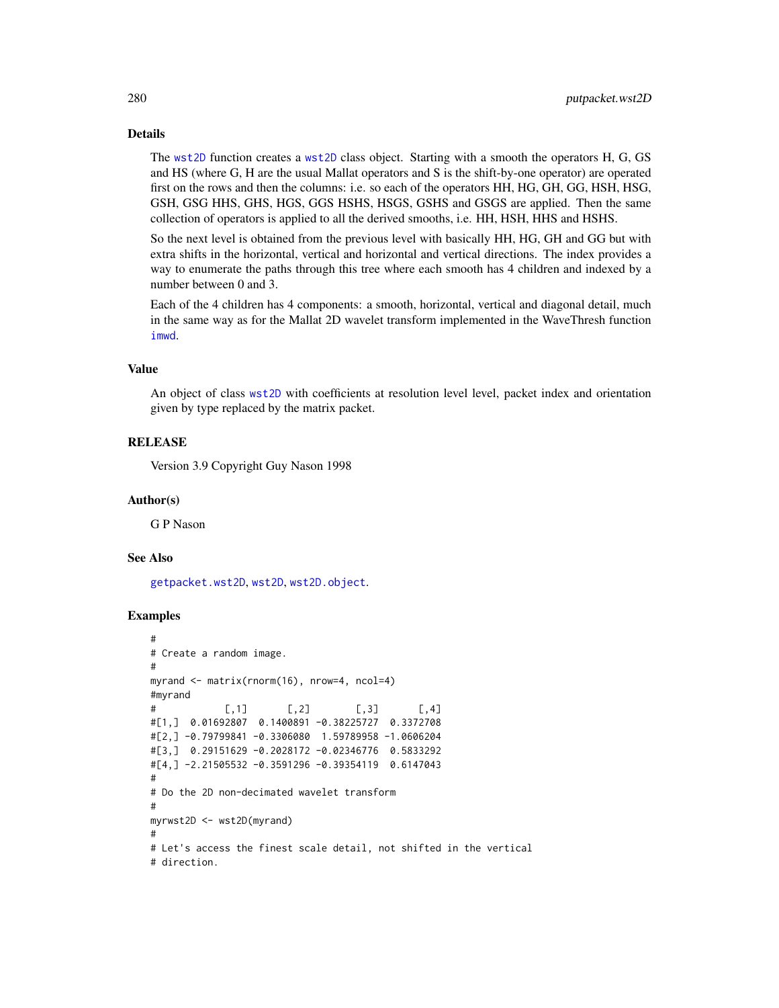### Details

The [wst2D](#page-374-0) function creates a [wst2D](#page-374-0) class object. Starting with a smooth the operators H, G, GS and HS (where G, H are the usual Mallat operators and S is the shift-by-one operator) are operated first on the rows and then the columns: i.e. so each of the operators HH, HG, GH, GG, HSH, HSG, GSH, GSG HHS, GHS, HGS, GGS HSHS, HSGS, GSHS and GSGS are applied. Then the same collection of operators is applied to all the derived smooths, i.e. HH, HSH, HHS and HSHS.

So the next level is obtained from the previous level with basically HH, HG, GH and GG but with extra shifts in the horizontal, vertical and horizontal and vertical directions. The index provides a way to enumerate the paths through this tree where each smooth has 4 children and indexed by a number between 0 and 3.

Each of the 4 children has 4 components: a smooth, horizontal, vertical and diagonal detail, much in the same way as for the Mallat 2D wavelet transform implemented in the WaveThresh function [imwd](#page-131-0).

## Value

An object of class [wst2D](#page-374-0) with coefficients at resolution level level, packet index and orientation given by type replaced by the matrix packet.

# RELEASE

Version 3.9 Copyright Guy Nason 1998

#### Author(s)

G P Nason

#### See Also

[getpacket.wst2D](#page-119-0), [wst2D](#page-374-0), [wst2D.object](#page-376-0).

```
#
# Create a random image.
#
myrand <- matrix(rnorm(16), nrow=4, ncol=4)
#myrand
# [,1] [,2] [,3] [,4]
#[1,] 0.01692807 0.1400891 -0.38225727 0.3372708
#[2,] -0.79799841 -0.3306080 1.59789958 -1.0606204
#[3,] 0.29151629 -0.2028172 -0.02346776 0.5833292
#[4,] -2.21505532 -0.3591296 -0.39354119 0.6147043
#
# Do the 2D non-decimated wavelet transform
#
myrwst2D <- wst2D(myrand)
#
# Let's access the finest scale detail, not shifted in the vertical
# direction.
```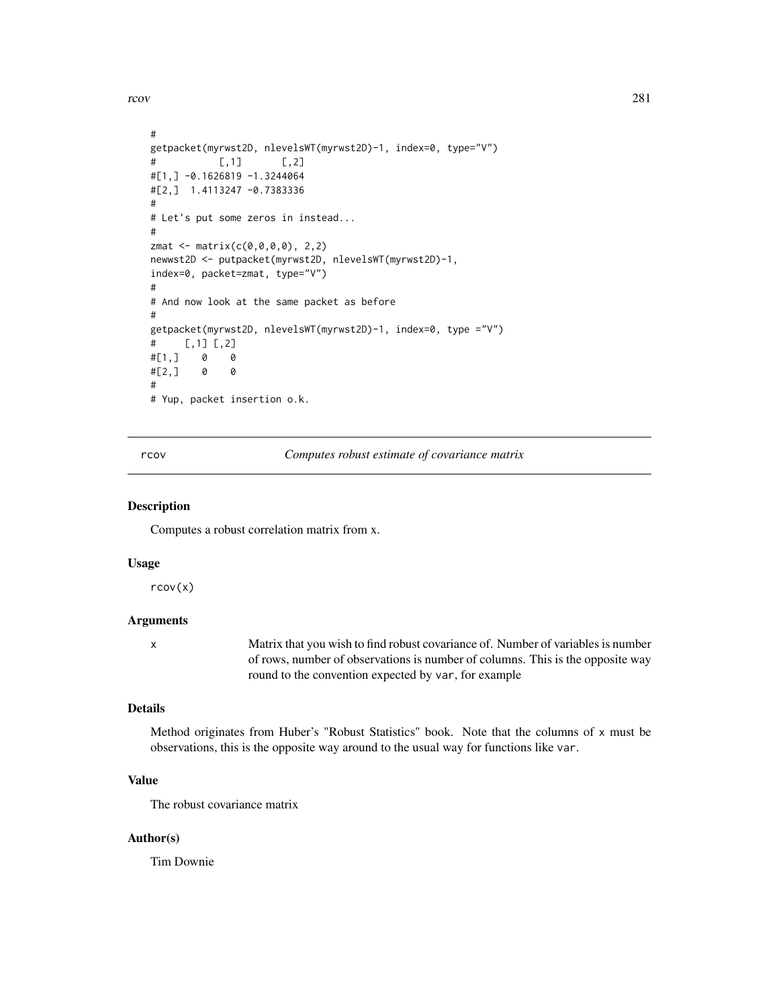rcov 281

```
#
getpacket(myrwst2D, nlevelsWT(myrwst2D)-1, index=0, type="V")
# [,1] [,2]
#[1,] -0.1626819 -1.3244064
#[2,] 1.4113247 -0.7383336
#
# Let's put some zeros in instead...
#
zmat \leq matrix(c(0,0,0,0), 2,2)
newwst2D <- putpacket(myrwst2D, nlevelsWT(myrwst2D)-1,
index=0, packet=zmat, type="V")
#
# And now look at the same packet as before
#
getpacket(myrwst2D, nlevelsWT(myrwst2D)-1, index=0, type ="V")
# [,1] [,2]
#[1,] 0 0
#[2,] 0 0
#
# Yup, packet insertion o.k.
```
rcov *Computes robust estimate of covariance matrix*

## Description

Computes a robust correlation matrix from x.

#### Usage

rcov(x)

# Arguments

x Matrix that you wish to find robust covariance of. Number of variables is number of rows, number of observations is number of columns. This is the opposite way round to the convention expected by var, for example

# Details

Method originates from Huber's "Robust Statistics" book. Note that the columns of x must be observations, this is the opposite way around to the usual way for functions like var.

# Value

The robust covariance matrix

## Author(s)

Tim Downie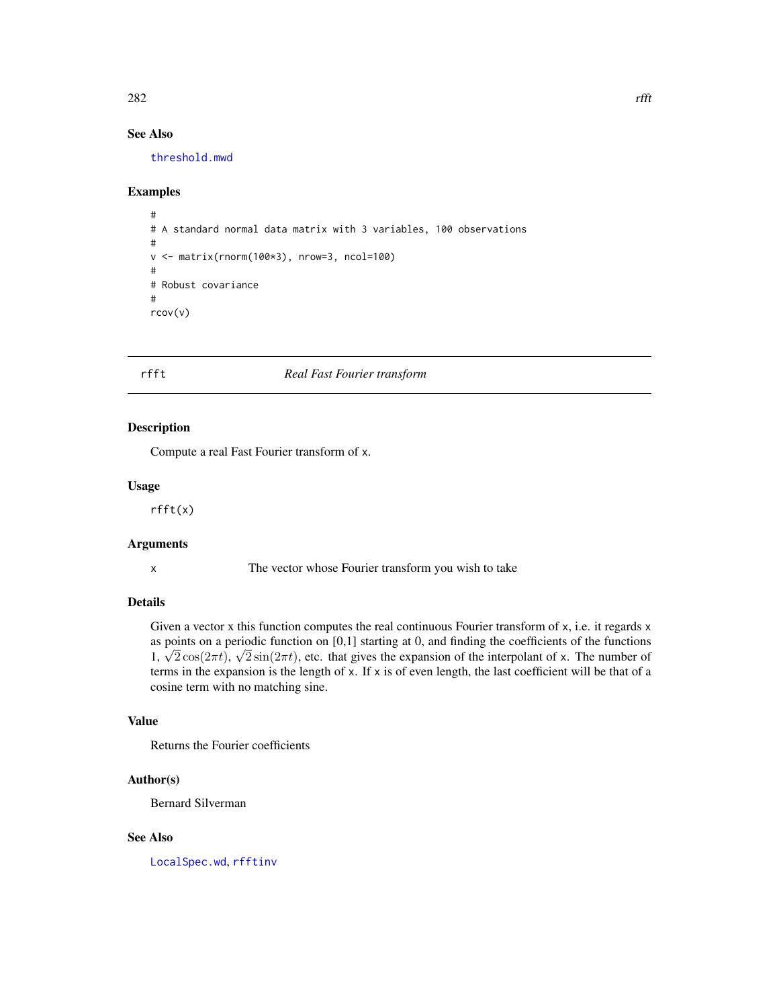# See Also

[threshold.mwd](#page-315-0)

#### Examples

```
#
# A standard normal data matrix with 3 variables, 100 observations
#
v <- matrix(rnorm(100*3), nrow=3, ncol=100)
#
# Robust covariance
#
rcov(v)
```
# <span id="page-281-0"></span>rfft *Real Fast Fourier transform*

# Description

Compute a real Fast Fourier transform of x.

#### Usage

rfft(x)

## Arguments

x The vector whose Fourier transform you wish to take

# Details

Given a vector x this function computes the real continuous Fourier transform of x, i.e. it regards x as points on a periodic function on [0,1] starting at 0, and finding the coefficients of the functions as points on a periodic function on [0,1] starting at 0, and finding the coefficients of the functions  $1, \sqrt{2} \cos(2\pi t), \sqrt{2} \sin(2\pi t)$ , etc. that gives the expansion of the interpolant of x. The number of terms in the expansion is the length of x. If x is of even length, the last coefficient will be that of a cosine term with no matching sine.

# Value

Returns the Fourier coefficients

## Author(s)

Bernard Silverman

# See Also

[LocalSpec.wd](#page-159-0), [rfftinv](#page-282-0)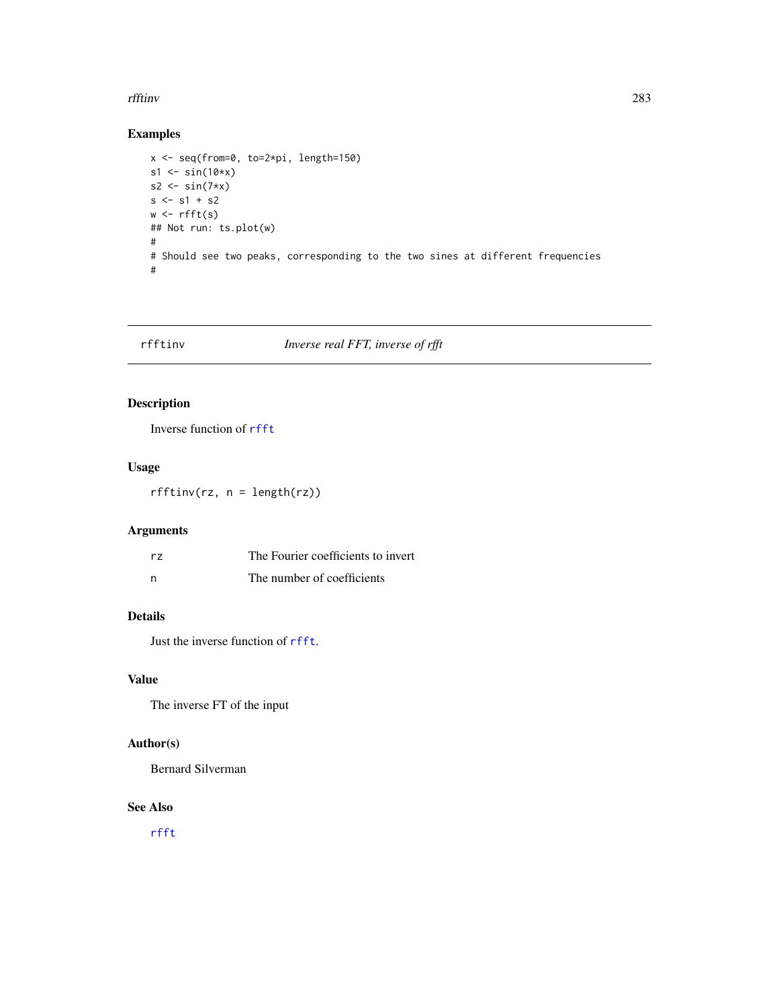#### rfftinv 283

# Examples

```
x <- seq(from=0, to=2*pi, length=150)
s1 \leftarrow \sin(10*x)s2 <- sin(7*x)s \leq -s1 + s2w \leftarrow \text{rfft}(s)## Not run: ts.plot(w)
#
# Should see two peaks, corresponding to the two sines at different frequencies
#
```
# <span id="page-282-0"></span>rfftinv *Inverse real FFT, inverse of rfft*

# Description

Inverse function of [rfft](#page-281-0)

# Usage

 $rfftinv(rz, n = length(rz))$ 

# Arguments

| rz | The Fourier coefficients to invert |
|----|------------------------------------|
| n  | The number of coefficients         |

# Details

Just the inverse function of [rfft](#page-281-0).

# Value

The inverse FT of the input

# Author(s)

Bernard Silverman

## See Also

[rfft](#page-281-0)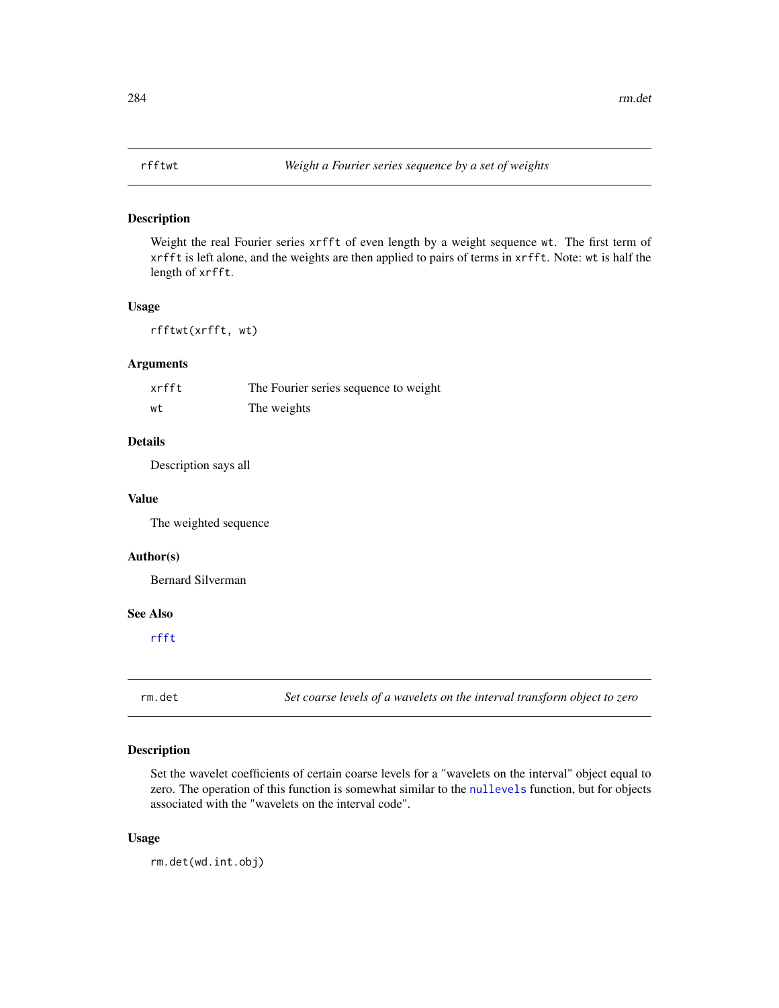# Description

Weight the real Fourier series xrfft of even length by a weight sequence wt. The first term of xrfft is left alone, and the weights are then applied to pairs of terms in xrfft. Note: wt is half the length of xrfft.

#### Usage

rfftwt(xrfft, wt)

# Arguments

| xrfft | The Fourier series sequence to weight |
|-------|---------------------------------------|
| wt    | The weights                           |

# Details

Description says all

## Value

The weighted sequence

## Author(s)

Bernard Silverman

#### See Also

[rfft](#page-281-0)

rm.det *Set coarse levels of a wavelets on the interval transform object to zero*

# Description

Set the wavelet coefficients of certain coarse levels for a "wavelets on the interval" object equal to zero. The operation of this function is somewhat similar to the [nullevels](#page-201-0) function, but for objects associated with the "wavelets on the interval code".

## Usage

rm.det(wd.int.obj)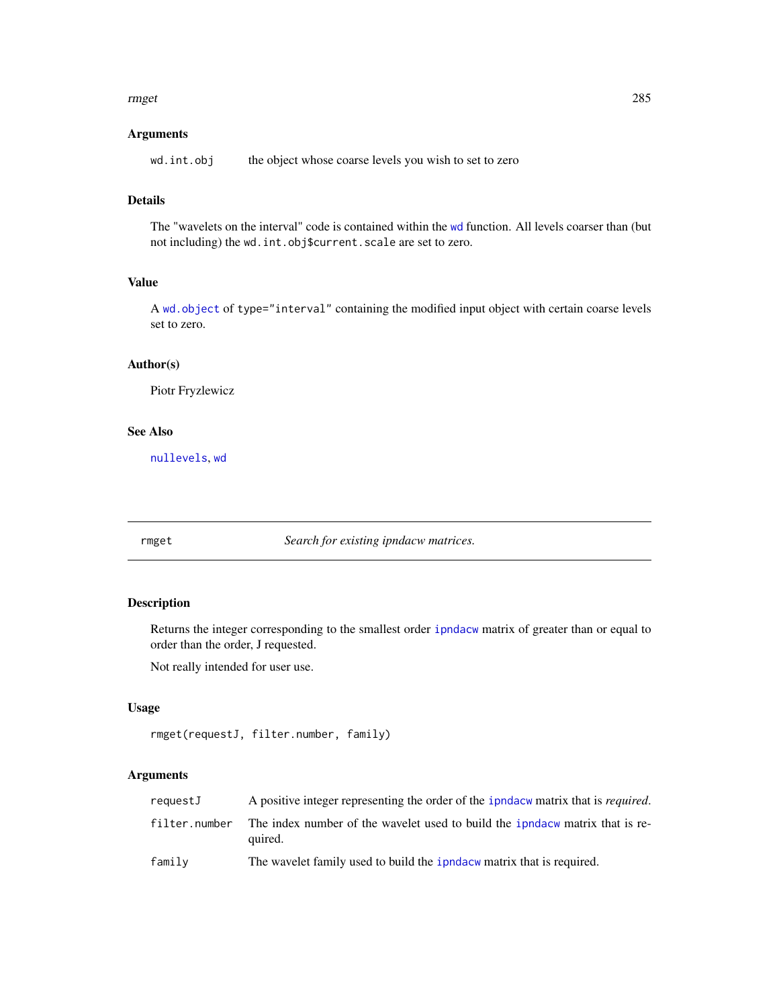#### rmget 285

# Arguments

wd.int.obj the object whose coarse levels you wish to set to zero

# Details

The "wavelets on the interval" code is contained within the [wd](#page-344-0) function. All levels coarser than (but not including) the wd.int.obj\$current.scale are set to zero.

# Value

A [wd.object](#page-351-0) of type="interval" containing the modified input object with certain coarse levels set to zero.

## Author(s)

Piotr Fryzlewicz

## See Also

[nullevels](#page-201-0), [wd](#page-344-0)

rmget *Search for existing ipndacw matrices.*

# Description

Returns the integer corresponding to the smallest order [ipndacw](#page-145-0) matrix of greater than or equal to order than the order, J requested.

Not really intended for user use.

# Usage

```
rmget(requestJ, filter.number, family)
```
## Arguments

| requestJ      | A positive integer representing the order of the ipndacw matrix that is <i>required</i> . |
|---------------|-------------------------------------------------------------------------------------------|
| filter.number | The index number of the wavelet used to build the ipndacw matrix that is re-<br>quired.   |
| family        | The wavelet family used to build the ipndacw matrix that is required.                     |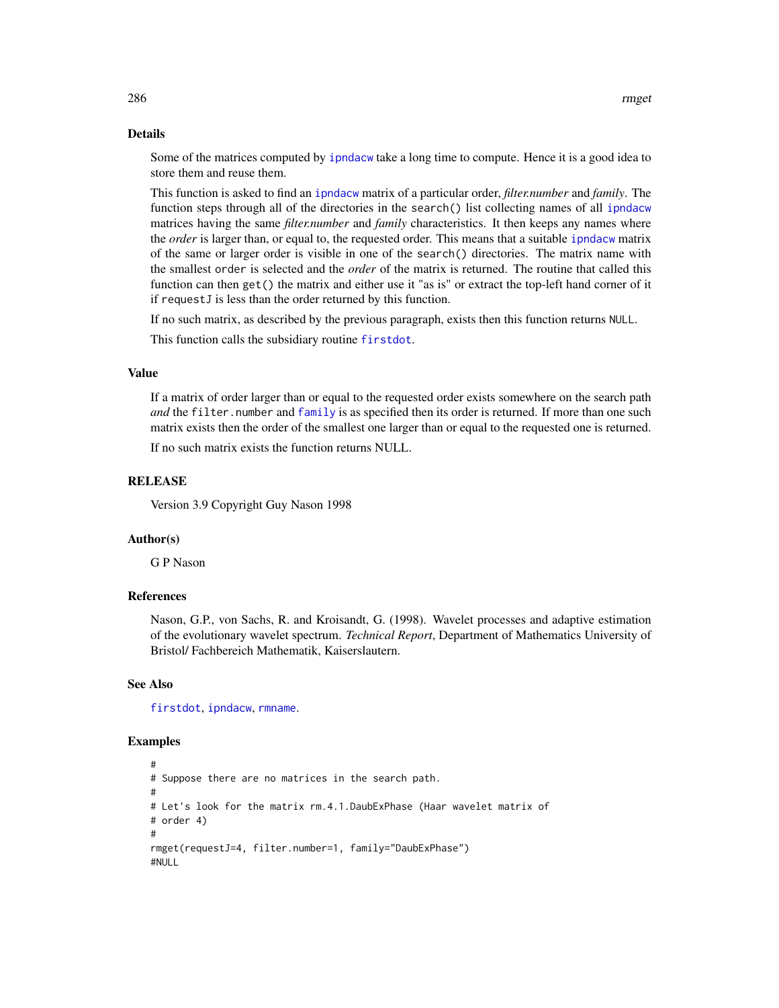#### Details

Some of the matrices computed by [ipndacw](#page-145-0) take a long time to compute. Hence it is a good idea to store them and reuse them.

This function is asked to find an [ipndacw](#page-145-0) matrix of a particular order, *filter.number* and *family*. The function steps through all of the directories in the search() list collecting names of all [ipndacw](#page-145-0) matrices having the same *filter.number* and *family* characteristics. It then keeps any names where the *order* is larger than, or equal to, the requested order. This means that a suitable [ipndacw](#page-145-0) matrix of the same or larger order is visible in one of the search() directories. The matrix name with the smallest order is selected and the *order* of the matrix is returned. The routine that called this function can then get() the matrix and either use it "as is" or extract the top-left hand corner of it if requestJ is less than the order returned by this function.

If no such matrix, as described by the previous paragraph, exists then this function returns NULL.

This function calls the subsidiary routine [firstdot](#page-106-0).

#### Value

If a matrix of order larger than or equal to the requested order exists somewhere on the search path *and* the filter.number and [family](#page-0-0) is as specified then its order is returned. If more than one such matrix exists then the order of the smallest one larger than or equal to the requested one is returned.

If no such matrix exists the function returns NULL.

# **RELEASE**

Version 3.9 Copyright Guy Nason 1998

## Author(s)

G P Nason

# References

Nason, G.P., von Sachs, R. and Kroisandt, G. (1998). Wavelet processes and adaptive estimation of the evolutionary wavelet spectrum. *Technical Report*, Department of Mathematics University of Bristol/ Fachbereich Mathematik, Kaiserslautern.

#### See Also

[firstdot](#page-106-0), [ipndacw](#page-145-0), [rmname](#page-286-0).

```
#
# Suppose there are no matrices in the search path.
#
# Let's look for the matrix rm.4.1.DaubExPhase (Haar wavelet matrix of
# order 4)
#
rmget(requestJ=4, filter.number=1, family="DaubExPhase")
#NULL
```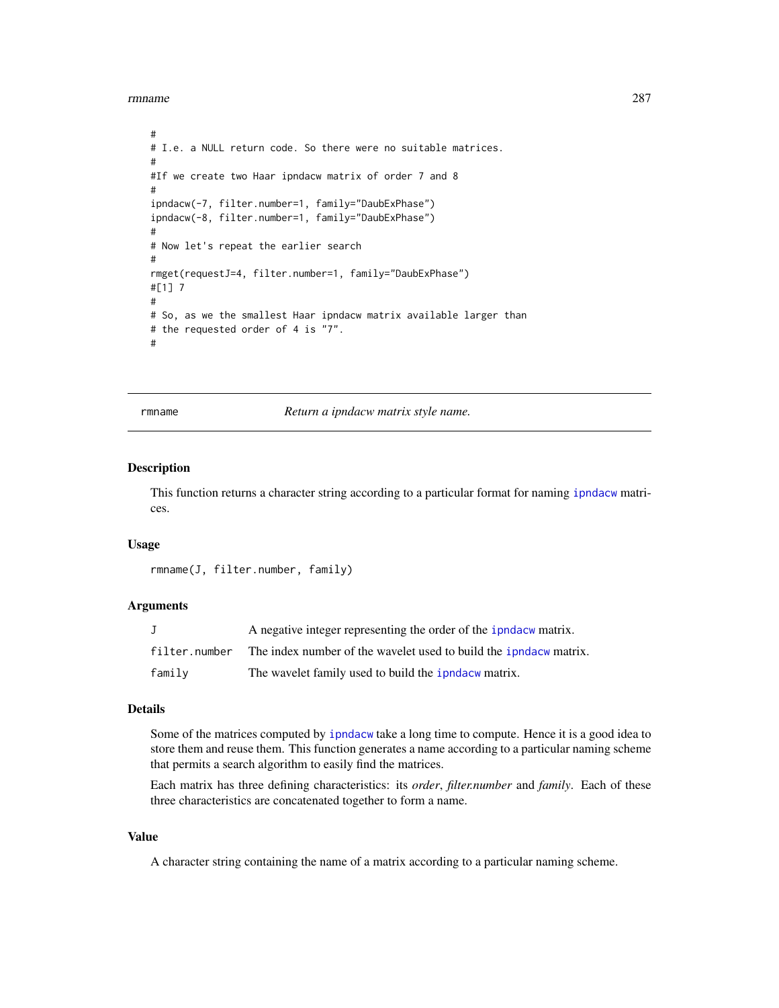rmname 287

```
#
# I.e. a NULL return code. So there were no suitable matrices.
#
#If we create two Haar ipndacw matrix of order 7 and 8
#
ipndacw(-7, filter.number=1, family="DaubExPhase")
ipndacw(-8, filter.number=1, family="DaubExPhase")
#
# Now let's repeat the earlier search
#
rmget(requestJ=4, filter.number=1, family="DaubExPhase")
#[1] 7
#
# So, as we the smallest Haar ipndacw matrix available larger than
# the requested order of 4 is "7".
#
```
rmname *Return a ipndacw matrix style name.*

## Description

This function returns a character string according to a particular format for naming [ipndacw](#page-145-0) matrices.

## Usage

```
rmname(J, filter.number, family)
```
## Arguments

|               | A negative integer representing the order of the ipndacw matrix.         |
|---------------|--------------------------------------------------------------------------|
| filter.number | The index number of the wavelet used to build the <i>ipndacw</i> matrix. |
| family        | The wavelet family used to build the <i>i</i> pndacw matrix.             |

## Details

Some of the matrices computed by [ipndacw](#page-145-0) take a long time to compute. Hence it is a good idea to store them and reuse them. This function generates a name according to a particular naming scheme that permits a search algorithm to easily find the matrices.

Each matrix has three defining characteristics: its *order*, *filter.number* and *family*. Each of these three characteristics are concatenated together to form a name.

#### Value

A character string containing the name of a matrix according to a particular naming scheme.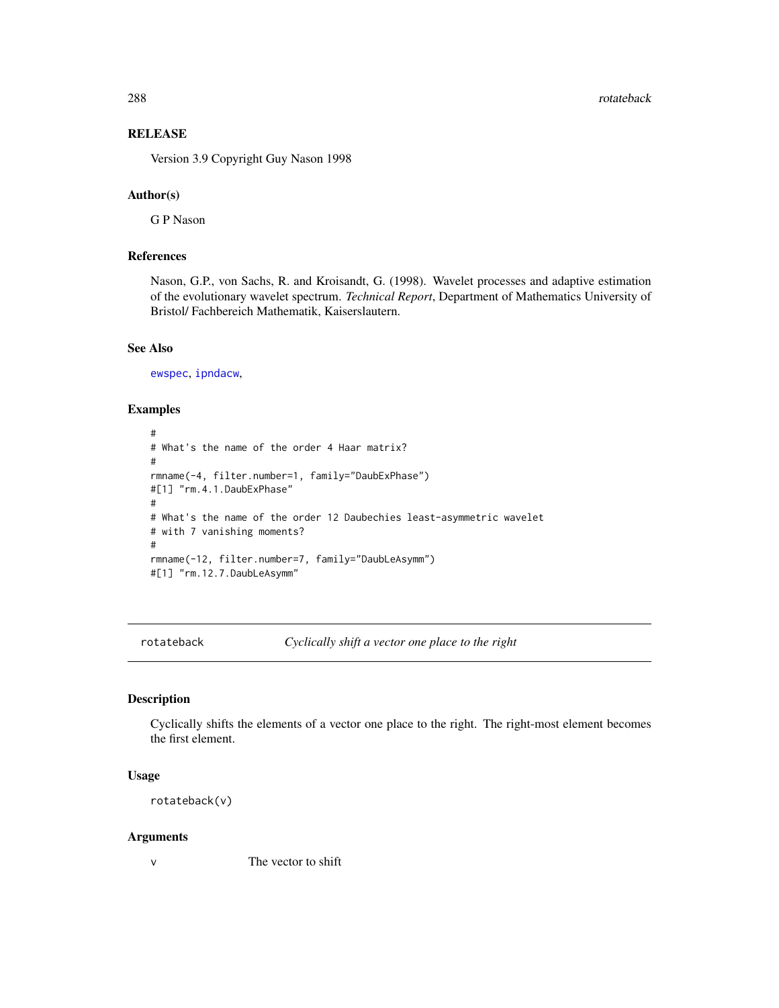288 rotateback and the control of the control of the control of the control of the control of the control of the control of the control of the control of the control of the control of the control of the control of the cont

# **RELEASE**

Version 3.9 Copyright Guy Nason 1998

# Author(s)

G P Nason

# References

Nason, G.P., von Sachs, R. and Kroisandt, G. (1998). Wavelet processes and adaptive estimation of the evolutionary wavelet spectrum. *Technical Report*, Department of Mathematics University of Bristol/ Fachbereich Mathematik, Kaiserslautern.

#### See Also

[ewspec](#page-94-0), [ipndacw](#page-145-0),

## Examples

```
#
# What's the name of the order 4 Haar matrix?
#
rmname(-4, filter.number=1, family="DaubExPhase")
#[1] "rm.4.1.DaubExPhase"
#
# What's the name of the order 12 Daubechies least-asymmetric wavelet
# with 7 vanishing moments?
#
rmname(-12, filter.number=7, family="DaubLeAsymm")
#[1] "rm.12.7.DaubLeAsymm"
```
rotateback *Cyclically shift a vector one place to the right*

# Description

Cyclically shifts the elements of a vector one place to the right. The right-most element becomes the first element.

#### Usage

rotateback(v)

#### Arguments

v The vector to shift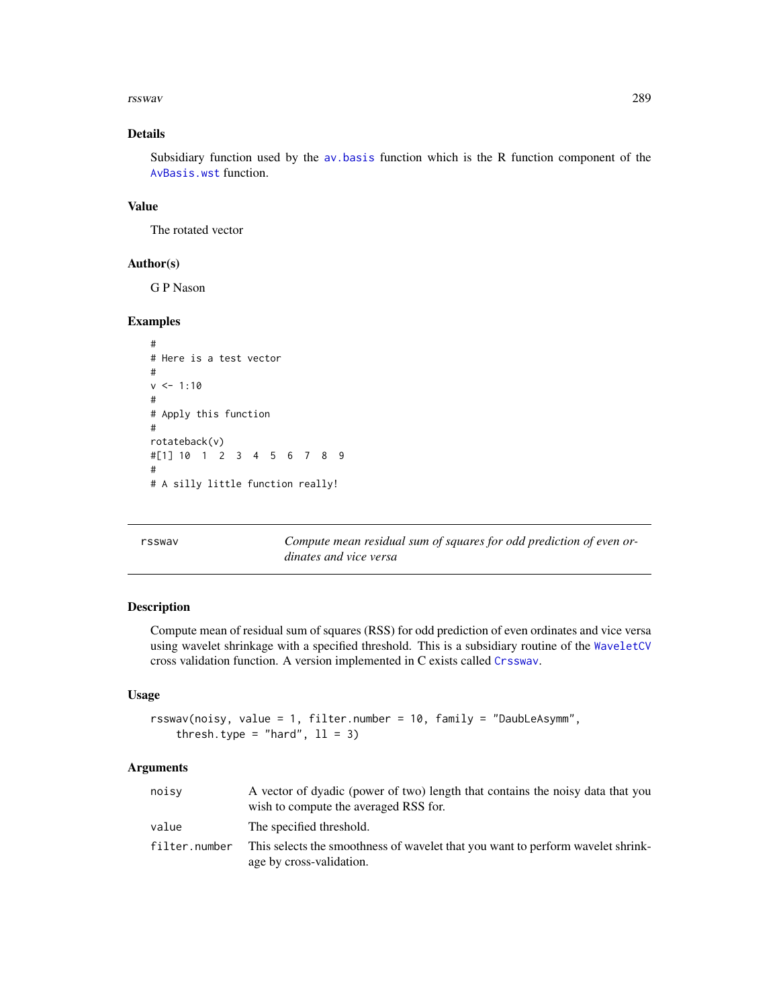#### rsswav 289

## Details

Subsidiary function used by the [av.basis](#page-25-0) function which is the R function component of the [AvBasis.wst](#page-27-0) function.

## Value

The rotated vector

### Author(s)

G P Nason

## Examples

```
#
# Here is a test vector
#
v <- 1:10
#
# Apply this function
#
rotateback(v)
#[1] 10 1 2 3 4 5 6 7 8 9
#
# A silly little function really!
```
rsswav *Compute mean residual sum of squares for odd prediction of even ordinates and vice versa*

### Description

Compute mean of residual sum of squares (RSS) for odd prediction of even ordinates and vice versa using wavelet shrinkage with a specified threshold. This is a subsidiary routine of the [WaveletCV](#page-343-0) cross validation function. A version implemented in C exists called [Crsswav](#page-62-0).

### Usage

```
rsswav(noisy, value = 1, filter.number = 10, family = "DaubLeAsymm",
   thresh.type = "hard", 11 = 3)
```
### Arguments

| noisy         | A vector of dyadic (power of two) length that contains the noisy data that you<br>wish to compute the averaged RSS for. |
|---------------|-------------------------------------------------------------------------------------------------------------------------|
| value         | The specified threshold.                                                                                                |
| filter.number | This selects the smoothness of wavelet that you want to perform wavelet shrink-<br>age by cross-validation.             |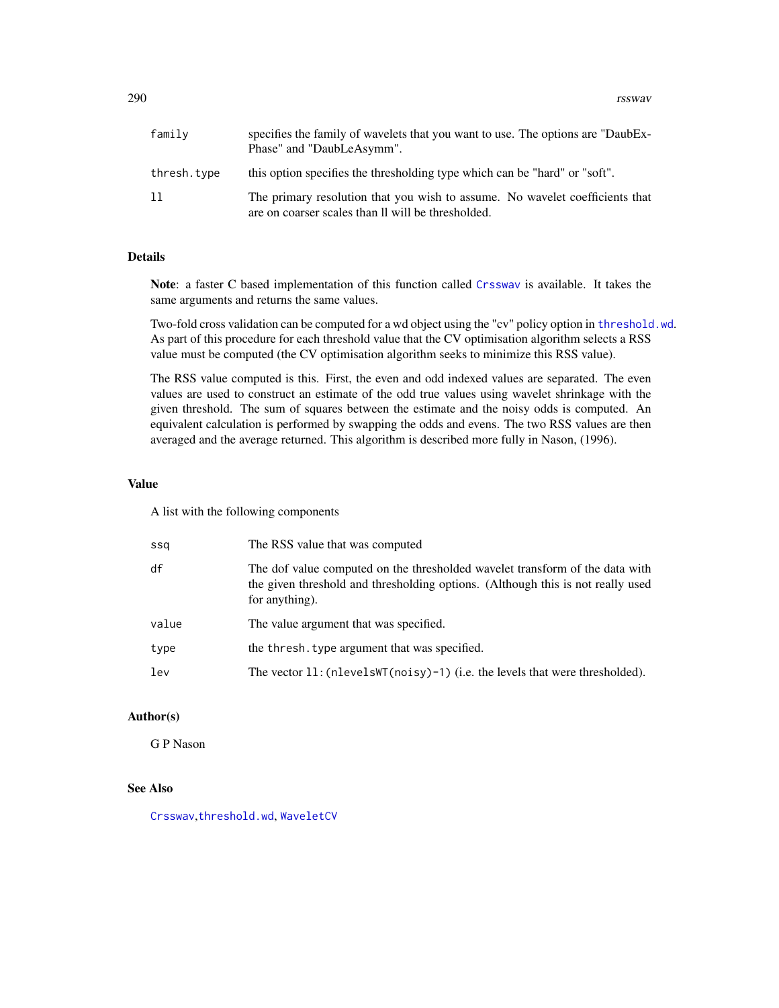290 rsswav

| family      | specifies the family of wavelets that you want to use. The options are "DaubEx-<br>Phase" and "DaubLeAsymm".                       |
|-------------|------------------------------------------------------------------------------------------------------------------------------------|
| thresh.type | this option specifies the thresholding type which can be "hard" or "soft".                                                         |
| 11          | The primary resolution that you wish to assume. No wavelet coefficients that<br>are on coarser scales than II will be thresholded. |

## Details

Note: a faster C based implementation of this function called [Crsswav](#page-62-0) is available. It takes the same arguments and returns the same values.

Two-fold cross validation can be computed for a wd object using the "cv" policy option in [threshold.wd](#page-318-0). As part of this procedure for each threshold value that the CV optimisation algorithm selects a RSS value must be computed (the CV optimisation algorithm seeks to minimize this RSS value).

The RSS value computed is this. First, the even and odd indexed values are separated. The even values are used to construct an estimate of the odd true values using wavelet shrinkage with the given threshold. The sum of squares between the estimate and the noisy odds is computed. An equivalent calculation is performed by swapping the odds and evens. The two RSS values are then averaged and the average returned. This algorithm is described more fully in Nason, (1996).

#### Value

A list with the following components

| ssa   | The RSS value that was computed                                                                                                                                                   |
|-------|-----------------------------------------------------------------------------------------------------------------------------------------------------------------------------------|
| df    | The dof value computed on the thresholded wavelet transform of the data with<br>the given threshold and thresholding options. (Although this is not really used<br>for anything). |
| value | The value argument that was specified.                                                                                                                                            |
| type  | the thresh, type argument that was specified.                                                                                                                                     |
| lev   | The vector $11$ : (nlevelsWT(noisy)-1) (i.e. the levels that were thresholded).                                                                                                   |

### Author(s)

G P Nason

## See Also

[Crsswav](#page-62-0),[threshold.wd](#page-318-0), [WaveletCV](#page-343-0)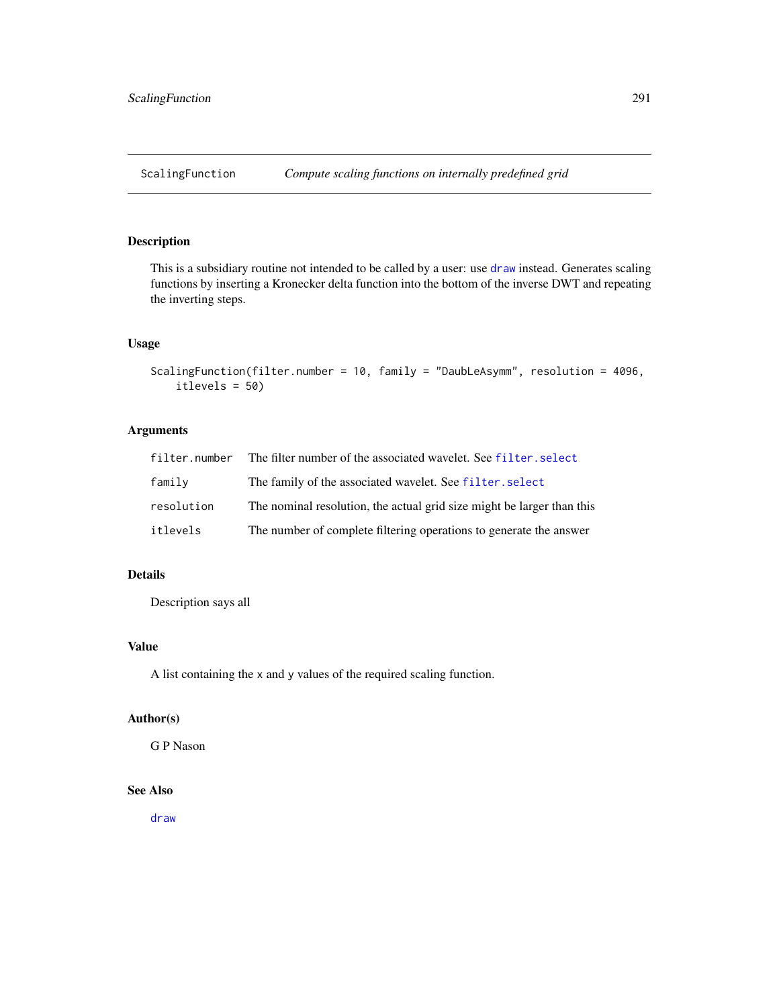This is a subsidiary routine not intended to be called by a user: use [draw](#page-80-0) instead. Generates scaling functions by inserting a Kronecker delta function into the bottom of the inverse DWT and repeating the inverting steps.

## Usage

```
ScalingFunction(filter.number = 10, family = "DaubLeAsymm", resolution = 4096,
    itlevels = 50)
```
# Arguments

| filter.number | The filter number of the associated wavelet. See filter, select        |
|---------------|------------------------------------------------------------------------|
| family        | The family of the associated wavelet. See filter. select               |
| resolution    | The nominal resolution, the actual grid size might be larger than this |
| itlevels      | The number of complete filtering operations to generate the answer     |

# Details

Description says all

# Value

A list containing the x and y values of the required scaling function.

#### Author(s)

G P Nason

# See Also

[draw](#page-80-0)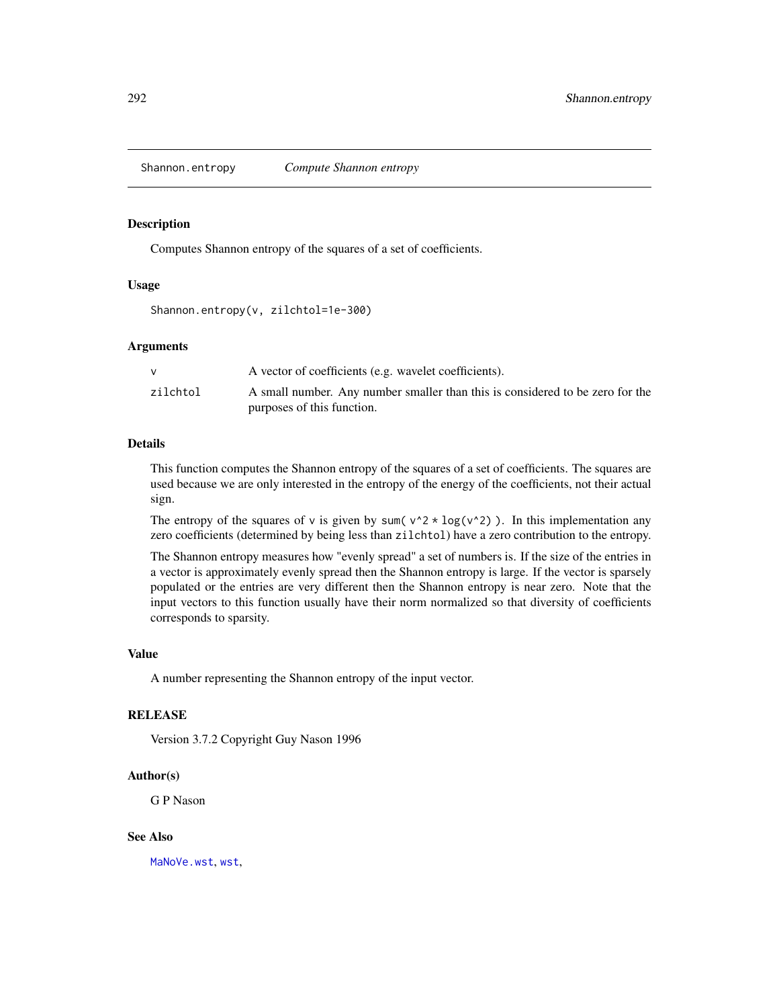Shannon.entropy *Compute Shannon entropy*

## Description

Computes Shannon entropy of the squares of a set of coefficients.

### Usage

```
Shannon.entropy(v, zilchtol=1e-300)
```
### Arguments

|          | A vector of coefficients (e.g. wavelet coefficients).                         |
|----------|-------------------------------------------------------------------------------|
| zilchtol | A small number. Any number smaller than this is considered to be zero for the |
|          | purposes of this function.                                                    |

### Details

This function computes the Shannon entropy of the squares of a set of coefficients. The squares are used because we are only interested in the entropy of the energy of the coefficients, not their actual sign.

The entropy of the squares of v is given by sum( $v^2 \times \log(v^2)$ ). In this implementation any zero coefficients (determined by being less than zilchtol) have a zero contribution to the entropy.

The Shannon entropy measures how "evenly spread" a set of numbers is. If the size of the entries in a vector is approximately evenly spread then the Shannon entropy is large. If the vector is sparsely populated or the entries are very different then the Shannon entropy is near zero. Note that the input vectors to this function usually have their norm normalized so that diversity of coefficients corresponds to sparsity.

### Value

A number representing the Shannon entropy of the input vector.

### **RELEASE**

Version 3.7.2 Copyright Guy Nason 1996

#### Author(s)

G P Nason

### See Also

[MaNoVe.wst](#page-183-0), [wst](#page-371-0),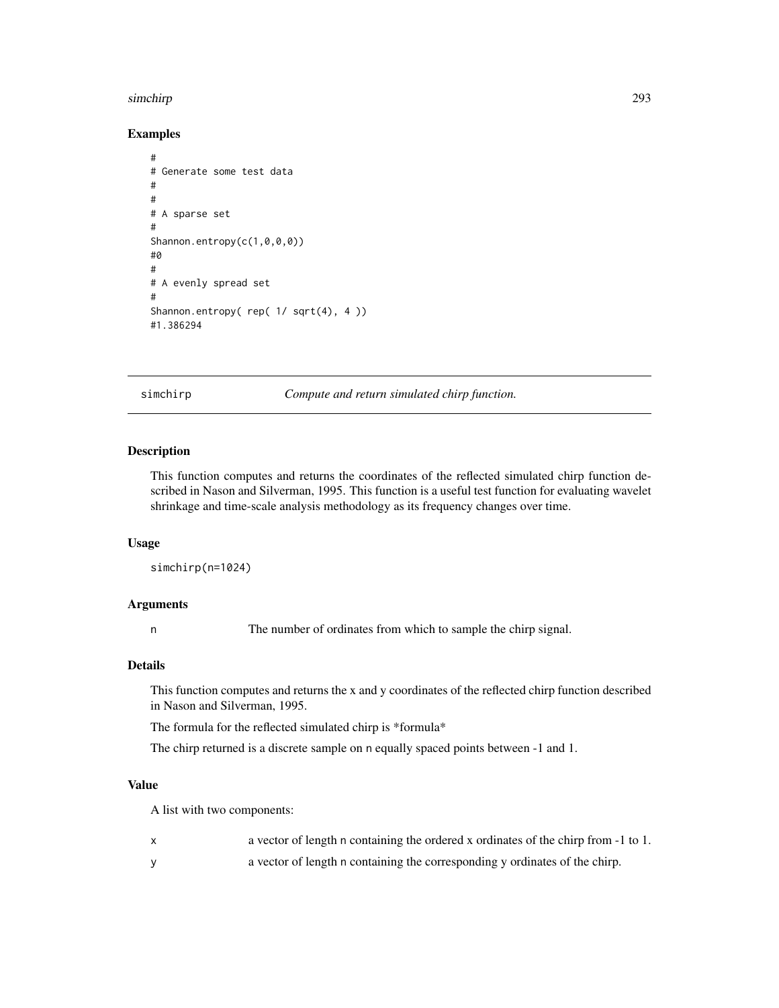#### simchirp 293

# Examples

```
#
# Generate some test data
#
#
# A sparse set
#
Shannon.entropy(c(1,0,0,0))
#0
#
# A evenly spread set
#
Shannon.entropy( rep( 1/ sqrt(4), 4 ))
#1.386294
```
simchirp *Compute and return simulated chirp function.*

## Description

This function computes and returns the coordinates of the reflected simulated chirp function described in Nason and Silverman, 1995. This function is a useful test function for evaluating wavelet shrinkage and time-scale analysis methodology as its frequency changes over time.

#### Usage

```
simchirp(n=1024)
```
### Arguments

n The number of ordinates from which to sample the chirp signal.

### Details

This function computes and returns the x and y coordinates of the reflected chirp function described in Nason and Silverman, 1995.

The formula for the reflected simulated chirp is \*formula\*

The chirp returned is a discrete sample on n equally spaced points between -1 and 1.

## Value

A list with two components:

- x a vector of length n containing the ordered x ordinates of the chirp from -1 to 1.
- y a vector of length n containing the corresponding y ordinates of the chirp.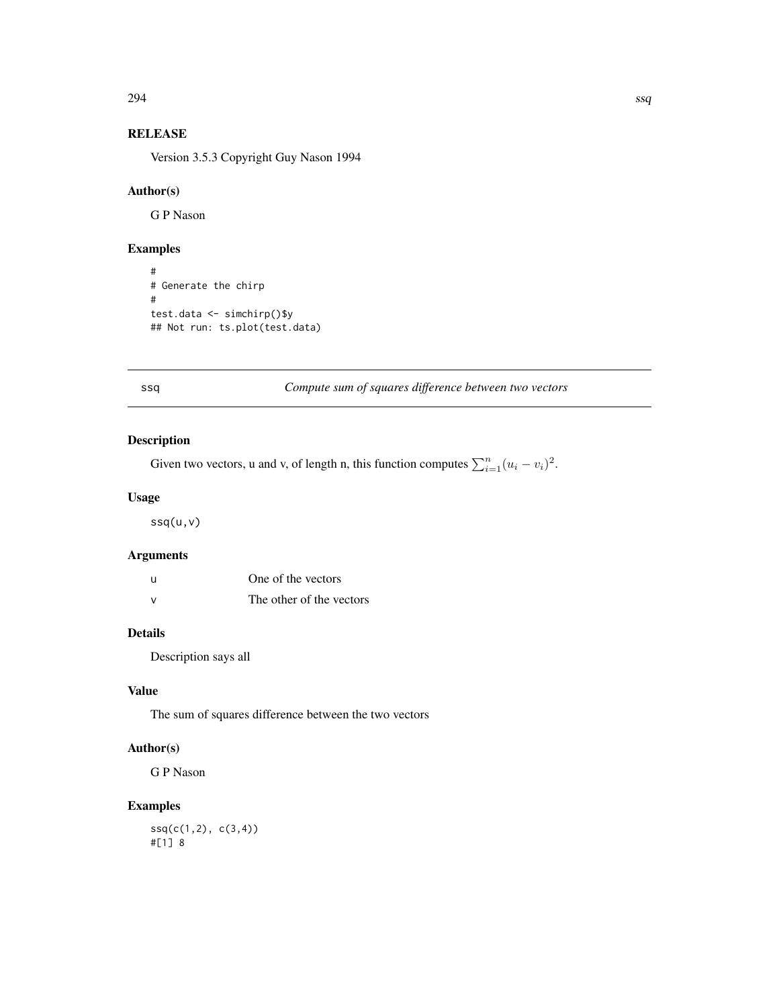$294$  ssq

# RELEASE

Version 3.5.3 Copyright Guy Nason 1994

## Author(s)

G P Nason

## Examples

```
#
# Generate the chirp
#
test.data <- simchirp()$y
## Not run: ts.plot(test.data)
```
## ssq *Compute sum of squares difference between two vectors*

# Description

Given two vectors, u and v, of length n, this function computes  $\sum_{i=1}^{n} (u_i - v_i)^2$ .

## Usage

ssq(u,v)

## Arguments

| - u           | One of the vectors       |
|---------------|--------------------------|
| $\mathcal{N}$ | The other of the vectors |

## Details

Description says all

## Value

The sum of squares difference between the two vectors

# Author(s)

G P Nason

## Examples

 $ssq(c(1,2), c(3,4))$ #[1] 8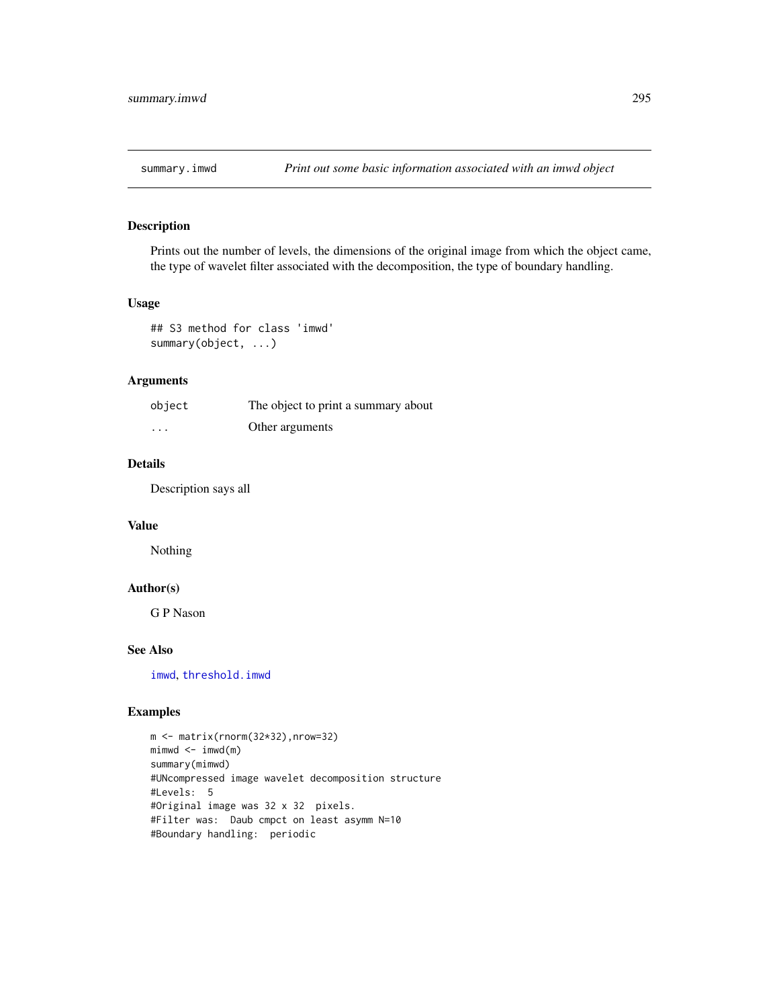Prints out the number of levels, the dimensions of the original image from which the object came, the type of wavelet filter associated with the decomposition, the type of boundary handling.

### Usage

```
## S3 method for class 'imwd'
summary(object, ...)
```
## Arguments

| object   | The object to print a summary about |
|----------|-------------------------------------|
| $\cdots$ | Other arguments                     |

## Details

Description says all

## Value

Nothing

## Author(s)

G P Nason

## See Also

[imwd](#page-131-0), [threshold.imwd](#page-308-0)

```
m <- matrix(rnorm(32*32),nrow=32)
mimwd < - imwd(m)summary(mimwd)
#UNcompressed image wavelet decomposition structure
#Levels: 5
#Original image was 32 x 32 pixels.
#Filter was: Daub cmpct on least asymm N=10
#Boundary handling: periodic
```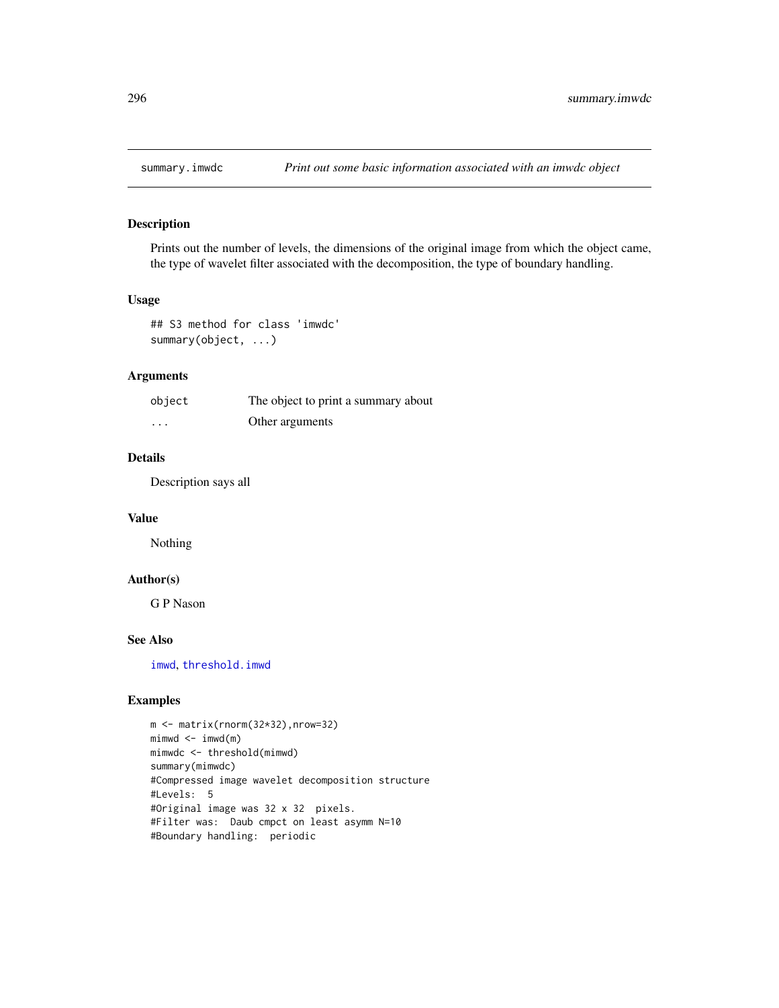Prints out the number of levels, the dimensions of the original image from which the object came, the type of wavelet filter associated with the decomposition, the type of boundary handling.

### Usage

```
## S3 method for class 'imwdc'
summary(object, ...)
```
#### Arguments

| object   | The object to print a summary about |
|----------|-------------------------------------|
| $\cdots$ | Other arguments                     |

### Details

Description says all

## Value

Nothing

## Author(s)

G P Nason

## See Also

[imwd](#page-131-0), [threshold.imwd](#page-308-0)

```
m <- matrix(rnorm(32*32),nrow=32)
mimwd < - imwd(m)mimwdc <- threshold(mimwd)
summary(mimwdc)
#Compressed image wavelet decomposition structure
#Levels: 5
#Original image was 32 x 32 pixels.
#Filter was: Daub cmpct on least asymm N=10
#Boundary handling: periodic
```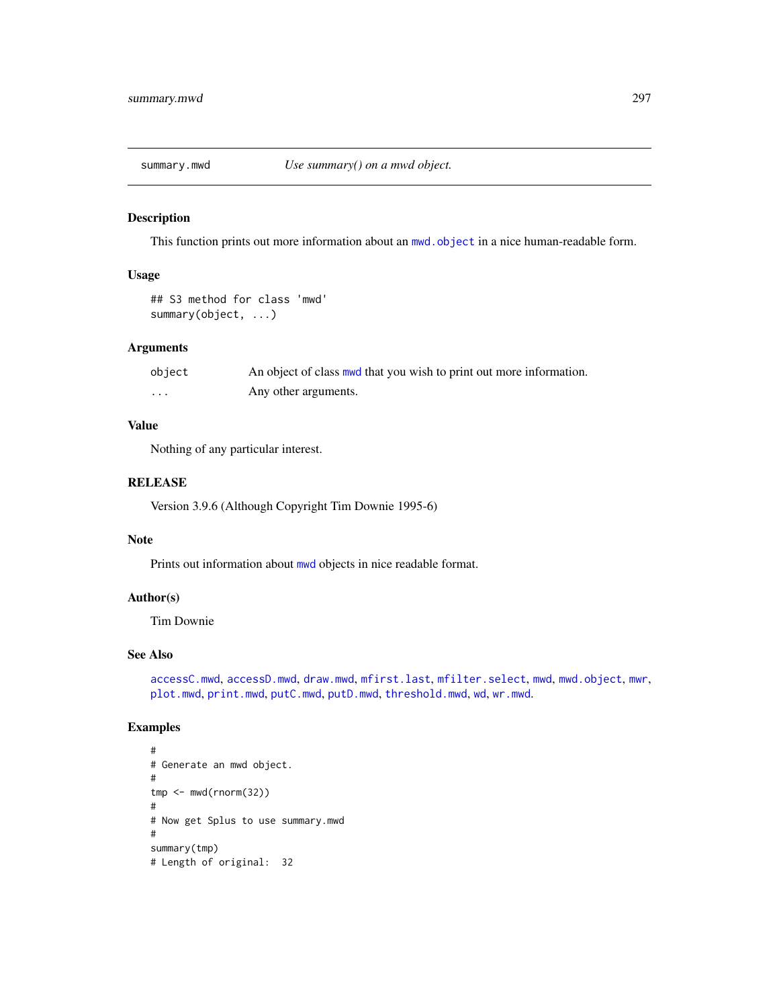<span id="page-296-0"></span>

This function prints out more information about an [mwd.object](#page-195-0) in a nice human-readable form.

### Usage

```
## S3 method for class 'mwd'
summary(object, ...)
```
### Arguments

| object | An object of class mud that you wish to print out more information. |
|--------|---------------------------------------------------------------------|
| .      | Any other arguments.                                                |

### Value

Nothing of any particular interest.

## RELEASE

Version 3.9.6 (Although Copyright Tim Downie 1995-6)

## Note

Prints out information about [mwd](#page-193-0) objects in nice readable format.

#### Author(s)

Tim Downie

#### See Also

[accessC.mwd](#page-9-0), [accessD.mwd](#page-15-0), [draw.mwd](#page-87-0), [mfirst.last](#page-188-0), [mfilter.select](#page-186-0), [mwd](#page-193-0), [mwd.object](#page-195-0), [mwr](#page-197-0), [plot.mwd](#page-212-0), [print.mwd](#page-230-0), [putC.mwd](#page-256-0), [putD.mwd](#page-264-0), [threshold.mwd](#page-315-0), [wd](#page-344-0), [wr.mwd](#page-367-0).

```
#
# Generate an mwd object.
#
tmp <- mwd(rnorm(32))
#
# Now get Splus to use summary.mwd
#
summary(tmp)
# Length of original: 32
```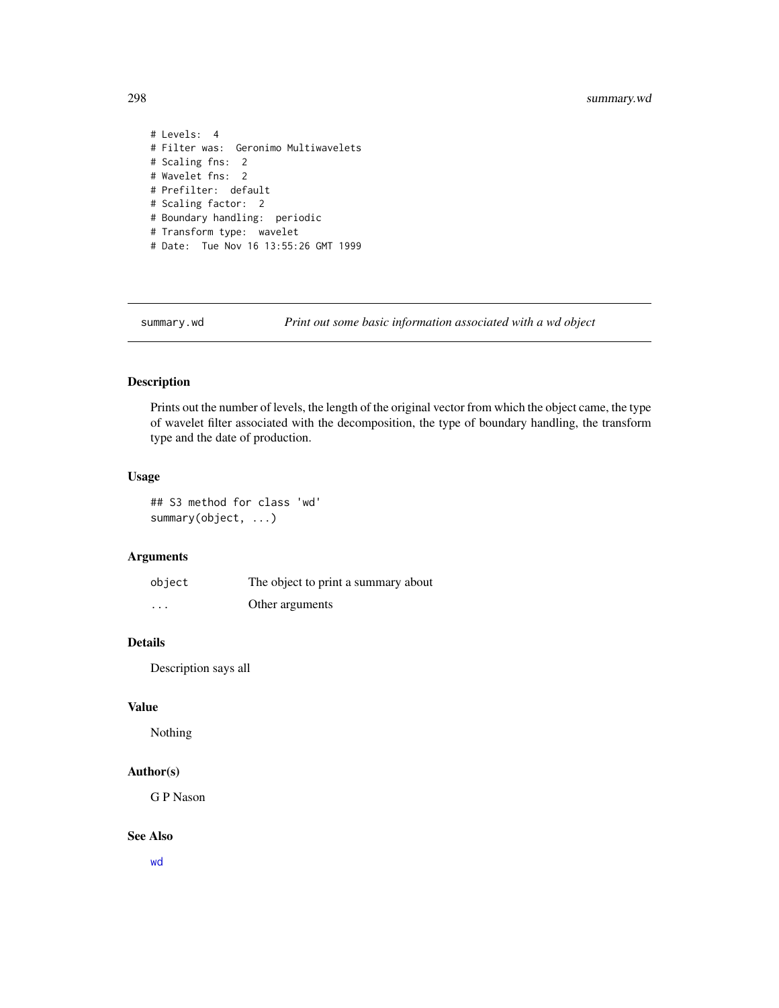```
# Levels: 4
# Filter was: Geronimo Multiwavelets
# Scaling fns: 2
# Wavelet fns: 2
# Prefilter: default
# Scaling factor: 2
# Boundary handling: periodic
# Transform type: wavelet
# Date: Tue Nov 16 13:55:26 GMT 1999
```
summary.wd *Print out some basic information associated with a wd object*

# Description

Prints out the number of levels, the length of the original vector from which the object came, the type of wavelet filter associated with the decomposition, the type of boundary handling, the transform type and the date of production.

### Usage

## S3 method for class 'wd' summary(object, ...)

## Arguments

| object   | The object to print a summary about |
|----------|-------------------------------------|
| $\cdots$ | Other arguments                     |

## Details

Description says all

# Value

Nothing

### Author(s)

G P Nason

### See Also

[wd](#page-344-0)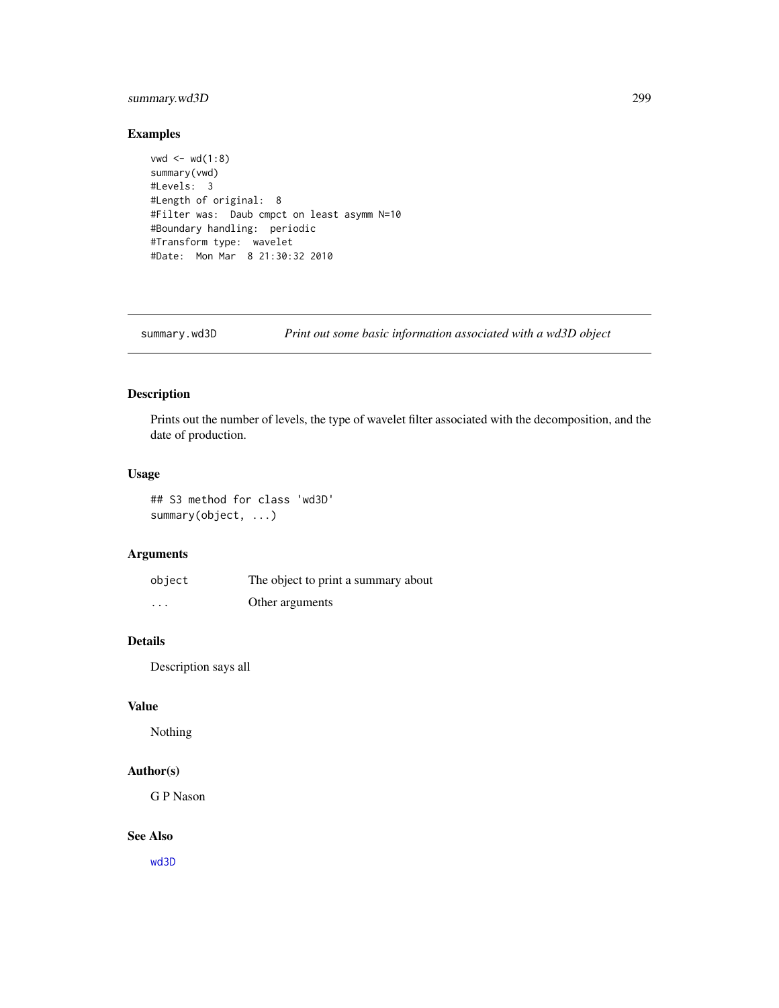## summary.wd3D 299

### Examples

```
vwd \leftarrow wd(1:8)summary(vwd)
#Levels: 3
#Length of original: 8
#Filter was: Daub cmpct on least asymm N=10
#Boundary handling: periodic
#Transform type: wavelet
#Date: Mon Mar 8 21:30:32 2010
```
summary.wd3D *Print out some basic information associated with a wd3D object*

### Description

Prints out the number of levels, the type of wavelet filter associated with the decomposition, and the date of production.

#### Usage

## S3 method for class 'wd3D' summary(object, ...)

### Arguments

| object   | The object to print a summary about |
|----------|-------------------------------------|
| $\cdots$ | Other arguments                     |

## Details

Description says all

## Value

Nothing

## Author(s)

G P Nason

### See Also

[wd3D](#page-353-0)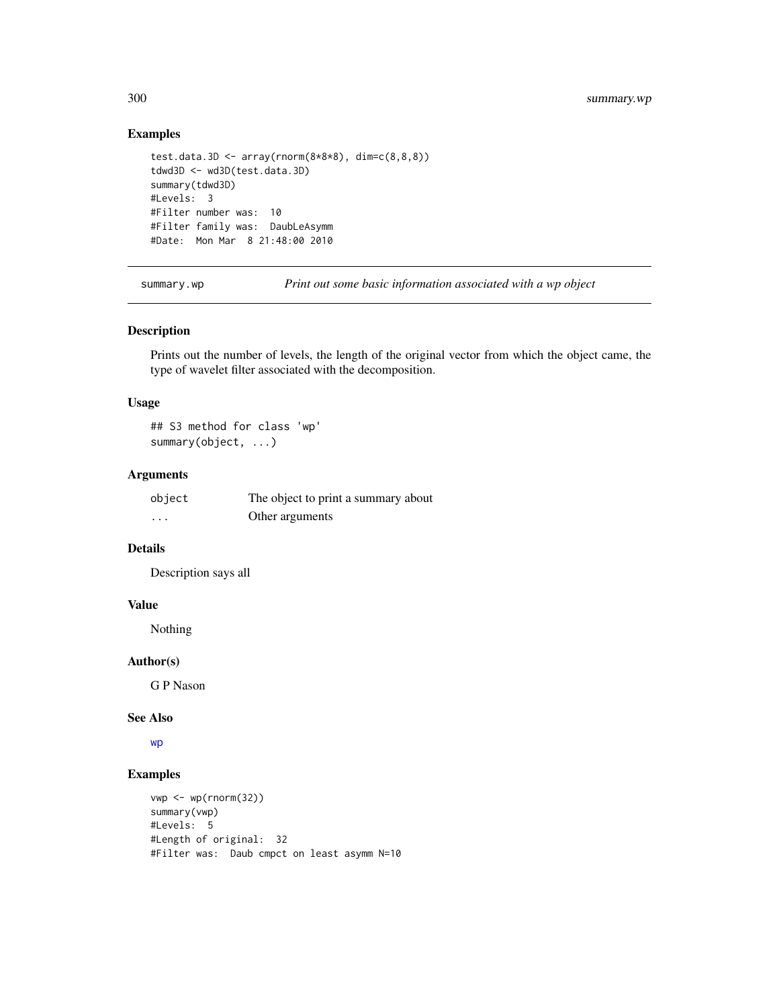## Examples

```
test.data.3D <- array(rnorm(8*8*8), dim=c(8,8,8))tdwd3D <- wd3D(test.data.3D)
summary(tdwd3D)
#Levels: 3
#Filter number was: 10
#Filter family was: DaubLeAsymm
#Date: Mon Mar 8 21:48:00 2010
```
summary.wp *Print out some basic information associated with a wp object*

### Description

Prints out the number of levels, the length of the original vector from which the object came, the type of wavelet filter associated with the decomposition.

#### Usage

## S3 method for class 'wp' summary(object, ...)

### Arguments

| object | The object to print a summary about |
|--------|-------------------------------------|
| .      | Other arguments                     |

### Details

Description says all

#### Value

Nothing

### Author(s)

G P Nason

#### See Also

[wp](#page-357-0)

```
vwp <- wp(rnorm(32))
summary(vwp)
#Levels: 5
#Length of original: 32
#Filter was: Daub cmpct on least asymm N=10
```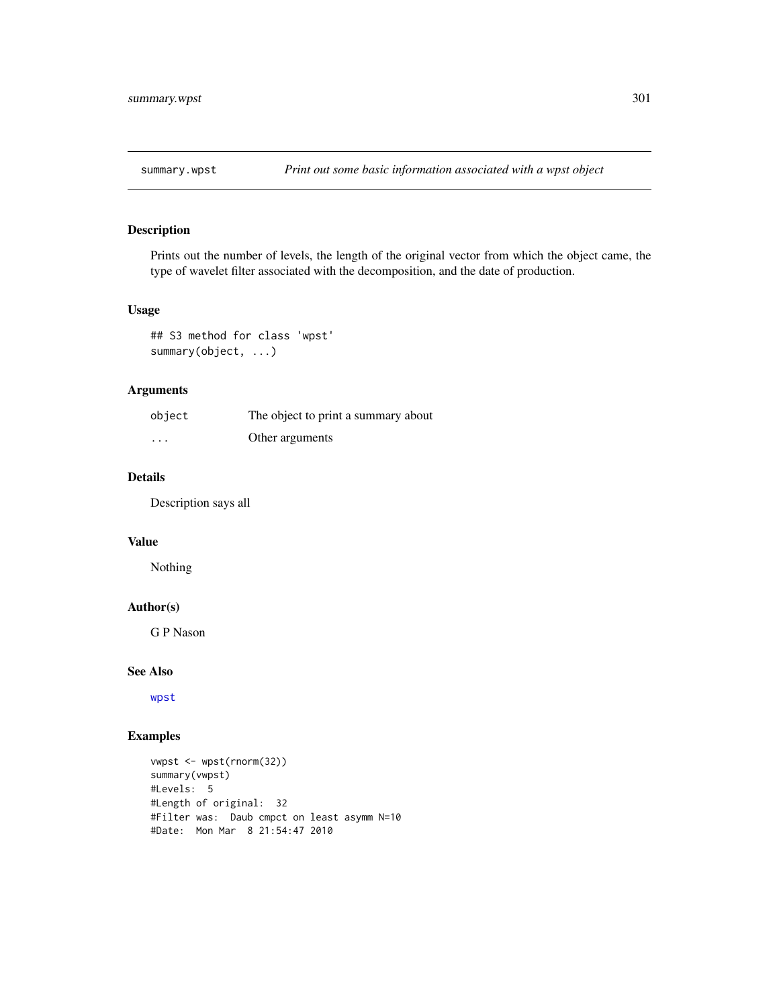Prints out the number of levels, the length of the original vector from which the object came, the type of wavelet filter associated with the decomposition, and the date of production.

## Usage

## S3 method for class 'wpst' summary(object, ...)

## Arguments

| object | The object to print a summary about |
|--------|-------------------------------------|
| .      | Other arguments                     |

## Details

Description says all

### Value

Nothing

### Author(s)

G P Nason

### See Also

[wpst](#page-359-0)

```
vwpst <- wpst(rnorm(32))
summary(vwpst)
#Levels: 5
#Length of original: 32
#Filter was: Daub cmpct on least asymm N=10
#Date: Mon Mar 8 21:54:47 2010
```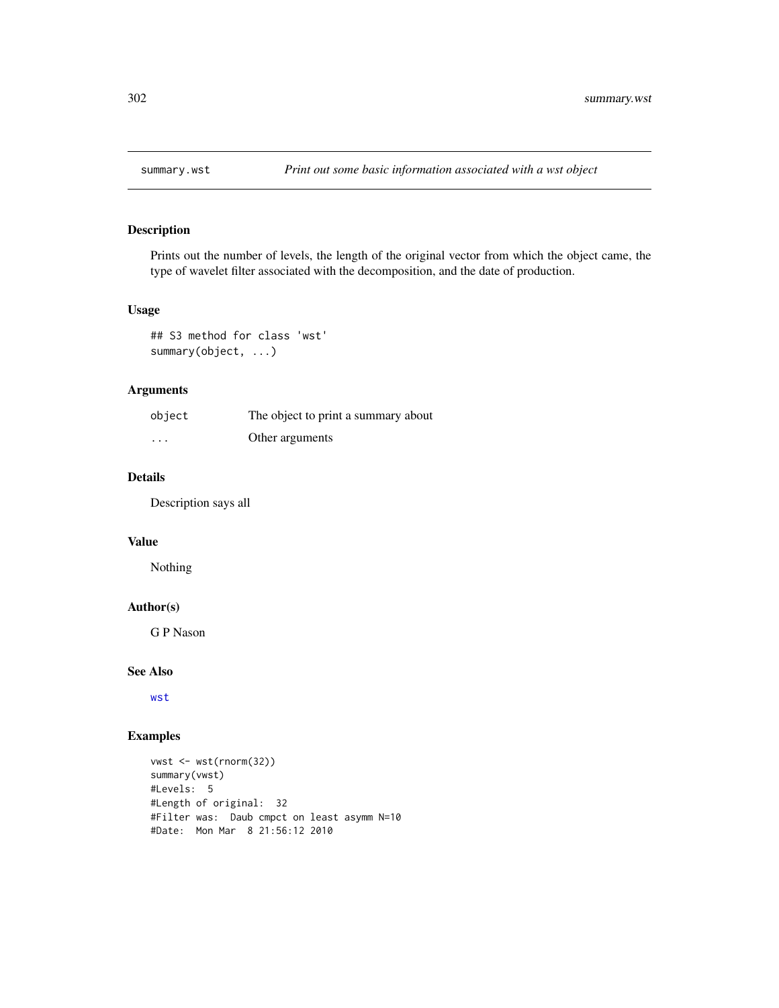Prints out the number of levels, the length of the original vector from which the object came, the type of wavelet filter associated with the decomposition, and the date of production.

### Usage

## S3 method for class 'wst' summary(object, ...)

## Arguments

| object   | The object to print a summary about |
|----------|-------------------------------------|
| $\cdots$ | Other arguments                     |

## Details

Description says all

### Value

Nothing

## Author(s)

G P Nason

### See Also

[wst](#page-371-0)

```
vwst <- wst(rnorm(32))
summary(vwst)
#Levels: 5
#Length of original: 32
#Filter was: Daub cmpct on least asymm N=10
#Date: Mon Mar 8 21:56:12 2010
```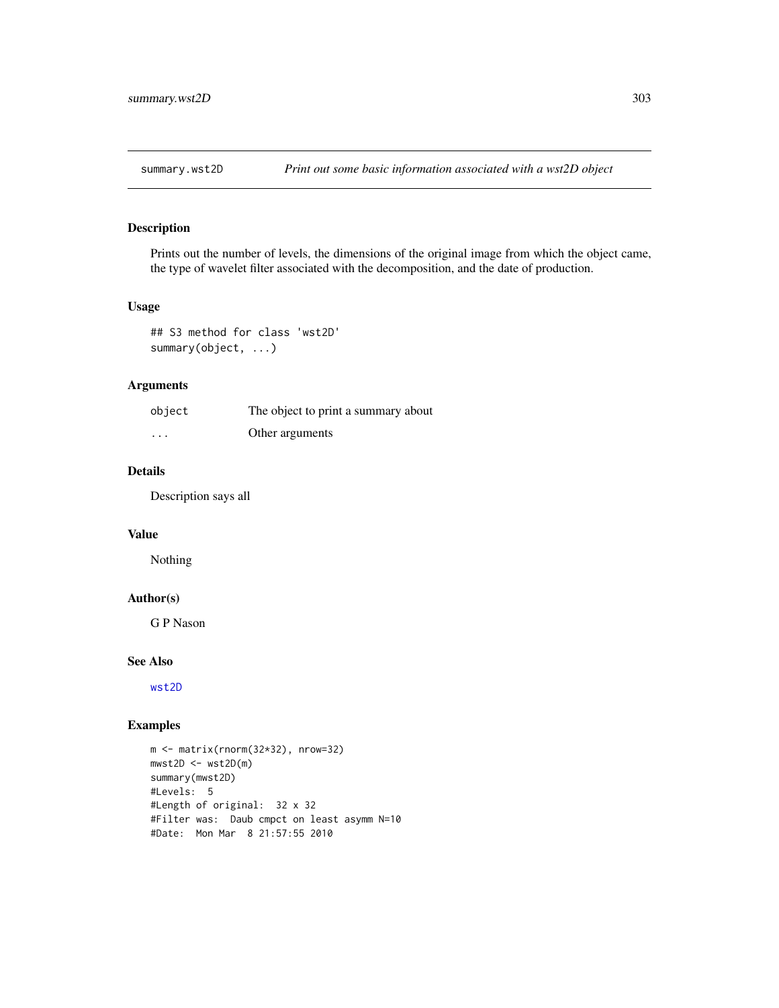Prints out the number of levels, the dimensions of the original image from which the object came, the type of wavelet filter associated with the decomposition, and the date of production.

### Usage

## S3 method for class 'wst2D' summary(object, ...)

## Arguments

| object   | The object to print a summary about |
|----------|-------------------------------------|
| $\cdots$ | Other arguments                     |

## Details

Description says all

## Value

Nothing

## Author(s)

G P Nason

#### See Also

[wst2D](#page-374-0)

```
m <- matrix(rnorm(32*32), nrow=32)
mwst2D \leftarrow wst2D(m)summary(mwst2D)
#Levels: 5
#Length of original: 32 x 32
#Filter was: Daub cmpct on least asymm N=10
#Date: Mon Mar 8 21:57:55 2010
```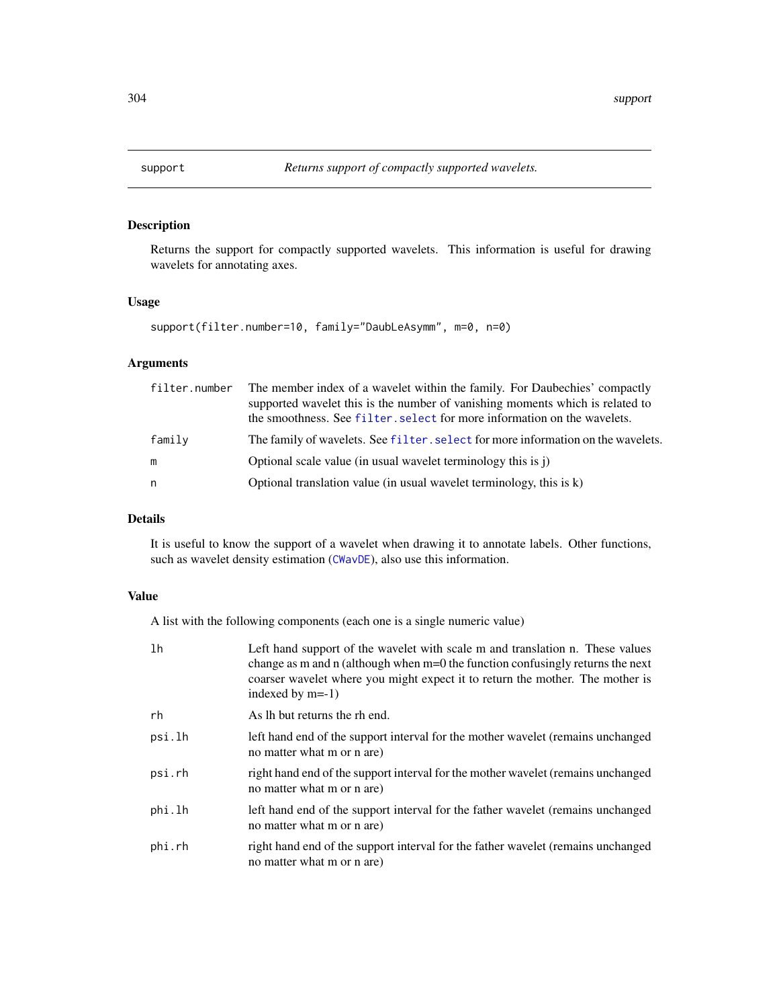Returns the support for compactly supported wavelets. This information is useful for drawing wavelets for annotating axes.

### Usage

```
support(filter.number=10, family="DaubLeAsymm", m=0, n=0)
```
## Arguments

|        | filter.number The member index of a wavelet within the family. For Daubechies' compactly<br>supported wavelet this is the number of vanishing moments which is related to<br>the smoothness. See filter, select for more information on the wavelets. |
|--------|-------------------------------------------------------------------------------------------------------------------------------------------------------------------------------------------------------------------------------------------------------|
| family | The family of wavelets. See filter, select for more information on the wavelets.                                                                                                                                                                      |
| m      | Optional scale value (in usual wavelet terminology this is j)                                                                                                                                                                                         |
| n      | Optional translation value (in usual wavelet terminology, this is $k$ )                                                                                                                                                                               |

# Details

It is useful to know the support of a wavelet when drawing it to annotate labels. Other functions, such as wavelet density estimation ([CWavDE](#page-66-0)), also use this information.

# Value

A list with the following components (each one is a single numeric value)

| lh     | Left hand support of the wavelet with scale m and translation n. These values<br>change as m and n (although when $m=0$ the function confusingly returns the next<br>coarser wavelet where you might expect it to return the mother. The mother is<br>indexed by $m=-1$ ) |
|--------|---------------------------------------------------------------------------------------------------------------------------------------------------------------------------------------------------------------------------------------------------------------------------|
| rh     | As lh but returns the rh end.                                                                                                                                                                                                                                             |
| psi.lh | left hand end of the support interval for the mother wavelet (remains unchanged<br>no matter what m or n are)                                                                                                                                                             |
| psi.rh | right hand end of the support interval for the mother wavelet (remains unchanged<br>no matter what m or n are)                                                                                                                                                            |
| phi.lh | left hand end of the support interval for the father wavelet (remains unchanged<br>no matter what m or n are)                                                                                                                                                             |
| phi.rh | right hand end of the support interval for the father wavelet (remains unchanged<br>no matter what m or n are)                                                                                                                                                            |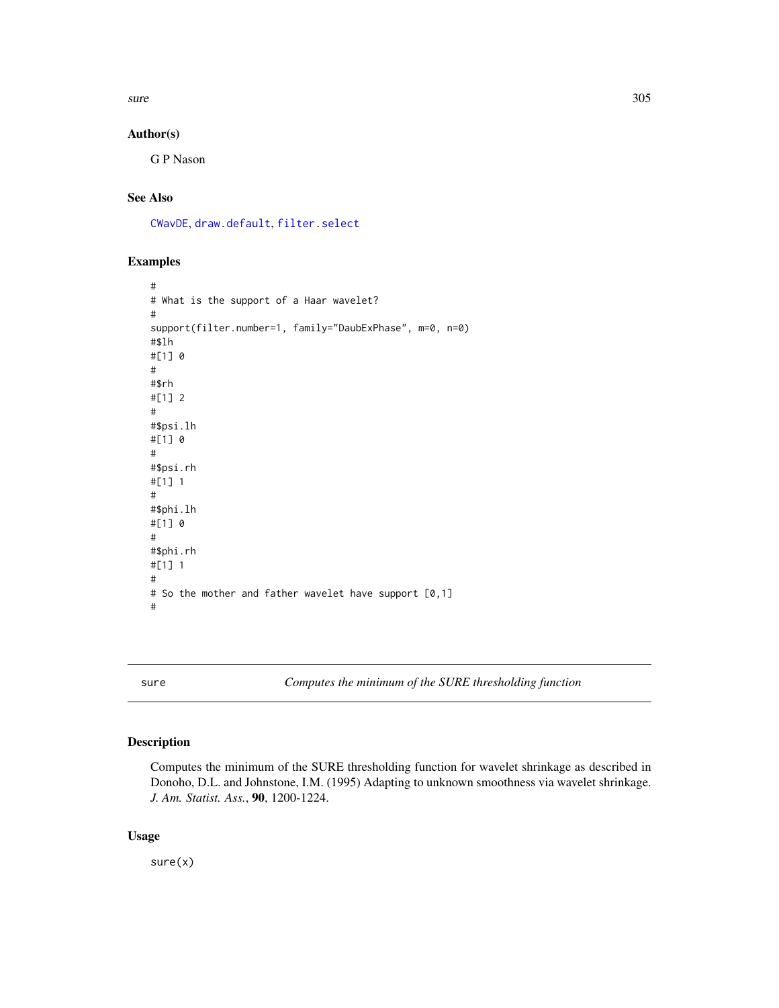$sure$  305

## Author(s)

G P Nason

# See Also

[CWavDE](#page-66-0), [draw.default](#page-81-0), [filter.select](#page-98-0)

### Examples

```
#
# What is the support of a Haar wavelet?
#
support(filter.number=1, family="DaubExPhase", m=0, n=0)
#$lh
#[1] 0
#
#$rh
#[1] 2
#
#$psi.lh
#[1] 0
#
#$psi.rh
#[1] 1
#
#$phi.lh
#[1] 0
#
#$phi.rh
#[1] 1
#
# So the mother and father wavelet have support [0,1]
#
```
<span id="page-304-0"></span>sure *Computes the minimum of the SURE thresholding function*

### Description

Computes the minimum of the SURE thresholding function for wavelet shrinkage as described in Donoho, D.L. and Johnstone, I.M. (1995) Adapting to unknown smoothness via wavelet shrinkage. *J. Am. Statist. Ass.*, 90, 1200-1224.

### Usage

sure(x)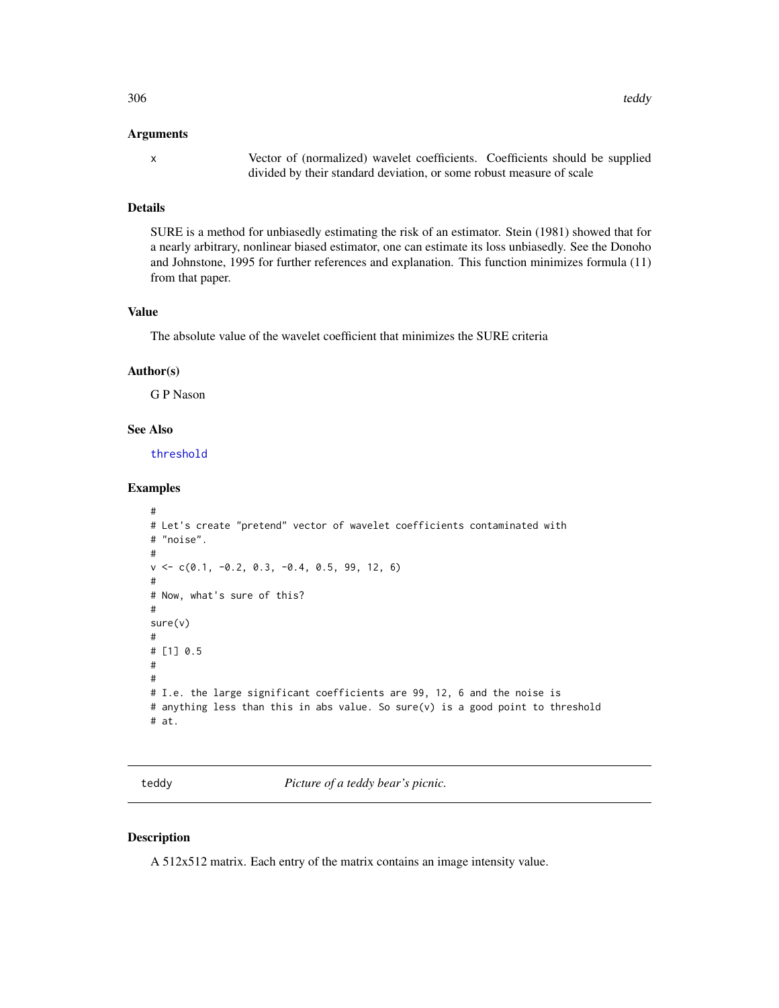### Arguments

x Vector of (normalized) wavelet coefficients. Coefficients should be supplied divided by their standard deviation, or some robust measure of scale

### Details

SURE is a method for unbiasedly estimating the risk of an estimator. Stein (1981) showed that for a nearly arbitrary, nonlinear biased estimator, one can estimate its loss unbiasedly. See the Donoho and Johnstone, 1995 for further references and explanation. This function minimizes formula (11) from that paper.

#### Value

The absolute value of the wavelet coefficient that minimizes the SURE criteria

## Author(s)

G P Nason

### See Also

[threshold](#page-307-0)

### Examples

```
#
# Let's create "pretend" vector of wavelet coefficients contaminated with
# "noise".
#
v \leq c(0.1, -0.2, 0.3, -0.4, 0.5, 99, 12, 6)#
# Now, what's sure of this?
#
sure(v)
#
# [1] 0.5
#
#
# I.e. the large significant coefficients are 99, 12, 6 and the noise is
# anything less than this in abs value. So sure(v) is a good point to threshold
# at.
```
teddy *Picture of a teddy bear's picnic.*

### Description

A 512x512 matrix. Each entry of the matrix contains an image intensity value.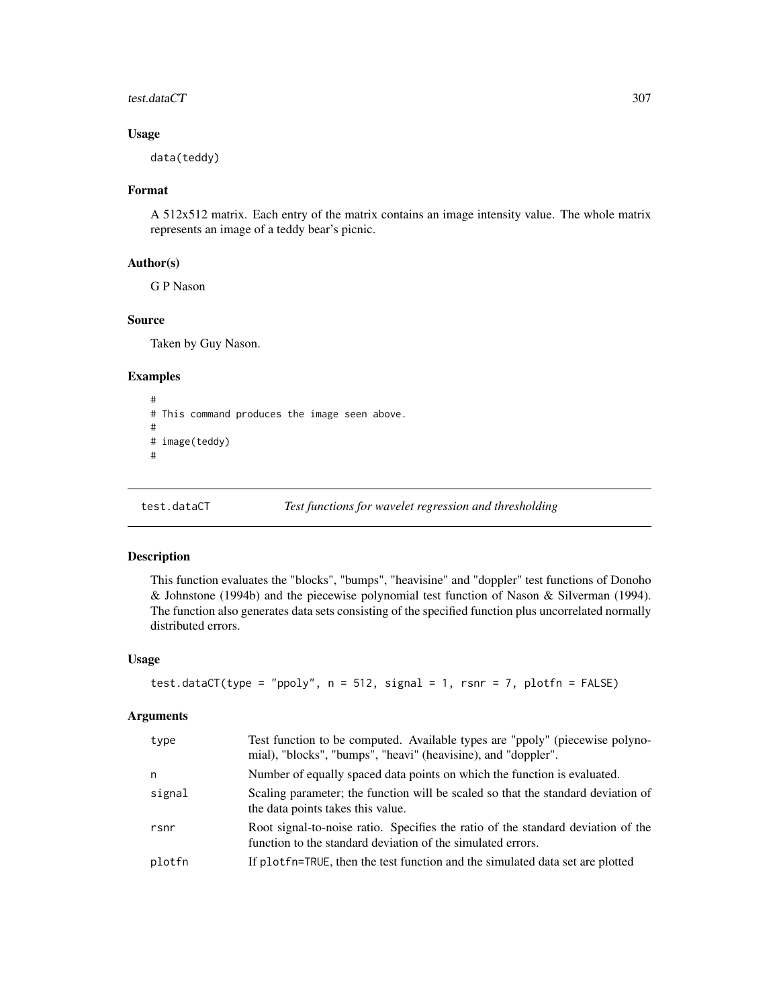### test.dataCT 307

## Usage

data(teddy)

## Format

A 512x512 matrix. Each entry of the matrix contains an image intensity value. The whole matrix represents an image of a teddy bear's picnic.

## Author(s)

G P Nason

### Source

Taken by Guy Nason.

### Examples

```
#
# This command produces the image seen above.
#
# image(teddy)
#
```

```
test.dataCT Test functions for wavelet regression and thresholding
```
### Description

This function evaluates the "blocks", "bumps", "heavisine" and "doppler" test functions of Donoho & Johnstone (1994b) and the piecewise polynomial test function of Nason & Silverman (1994). The function also generates data sets consisting of the specified function plus uncorrelated normally distributed errors.

## Usage

```
test.dataCT(type = "ppoly", n = 512, signal = 1, rsnr = 7, plotfn = FALSE)
```
### Arguments

| type   | Test function to be computed. Available types are "ppoly" (piecewise polyno-<br>mial), "blocks", "bumps", "heavi" (heavisine), and "doppler".   |
|--------|-------------------------------------------------------------------------------------------------------------------------------------------------|
| n      | Number of equally spaced data points on which the function is evaluated.                                                                        |
| signal | Scaling parameter; the function will be scaled so that the standard deviation of<br>the data points takes this value.                           |
| rsnr   | Root signal-to-noise ratio. Specifies the ratio of the standard deviation of the<br>function to the standard deviation of the simulated errors. |
| plotfn | If plotfn=TRUE, then the test function and the simulated data set are plotted                                                                   |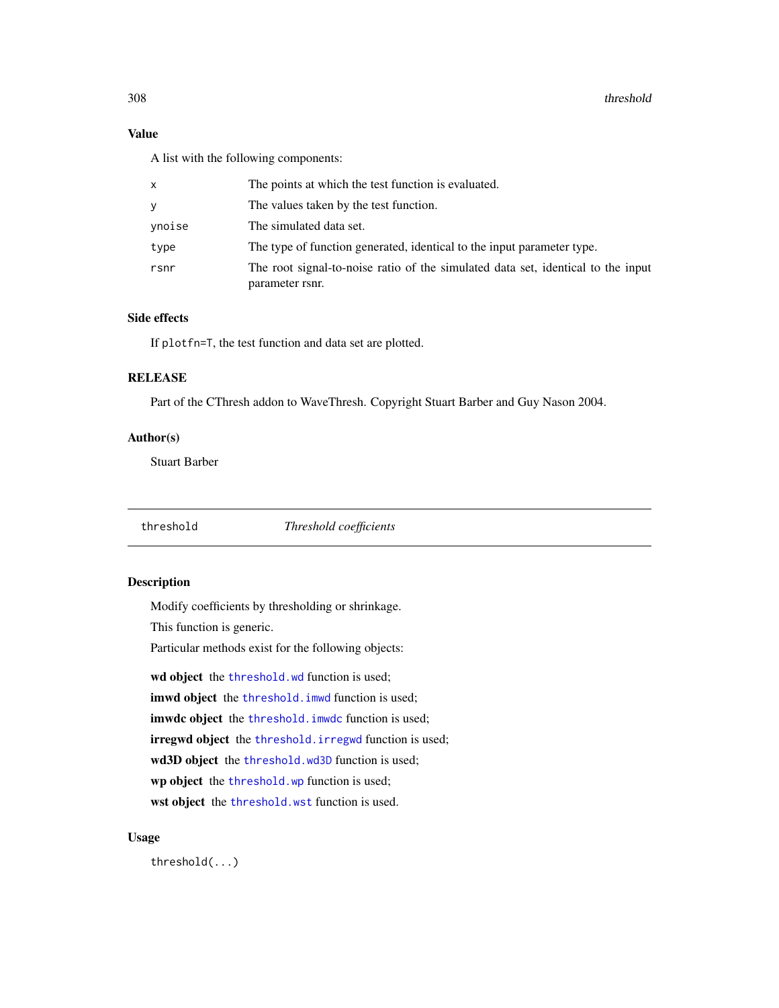## Value

A list with the following components:

| x      | The points at which the test function is evaluated.                                                 |
|--------|-----------------------------------------------------------------------------------------------------|
| ٧      | The values taken by the test function.                                                              |
| vnoise | The simulated data set.                                                                             |
| type   | The type of function generated, identical to the input parameter type.                              |
| rsnr   | The root signal-to-noise ratio of the simulated data set, identical to the input<br>parameter rsnr. |

## Side effects

If plotfn=T, the test function and data set are plotted.

# RELEASE

Part of the CThresh addon to WaveThresh. Copyright Stuart Barber and Guy Nason 2004.

## Author(s)

Stuart Barber

<span id="page-307-0"></span>threshold *Threshold coefficients*

## Description

Modify coefficients by thresholding or shrinkage.

This function is generic.

Particular methods exist for the following objects:

wd object the [threshold.wd](#page-318-0) function is used;

imwd object the threshold. imwd function is used;

imwdc object the threshold. imwdc function is used;

irregwd object the [threshold.irregwd](#page-313-0) function is used;

wd3D object the [threshold.wd3D](#page-323-0) function is used;

wp object the [threshold.wp](#page-326-0) function is used;

wst object the [threshold.wst](#page-329-0) function is used.

### Usage

threshold(...)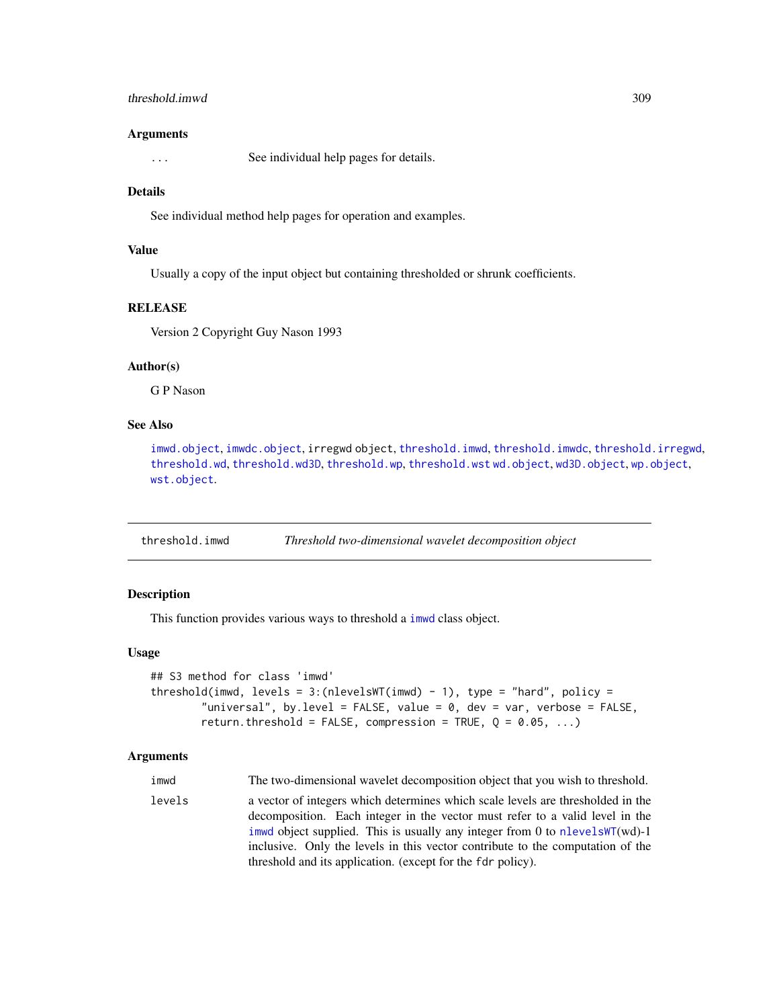## threshold.imwd 309

#### Arguments

... See individual help pages for details.

#### Details

See individual method help pages for operation and examples.

### Value

Usually a copy of the input object but containing thresholded or shrunk coefficients.

### **RELEASE**

Version 2 Copyright Guy Nason 1993

### Author(s)

G P Nason

### See Also

[imwd.object](#page-133-0), [imwdc.object](#page-134-0), irregwd object, [threshold.imwd](#page-308-0), [threshold.imwdc](#page-312-0), [threshold.irregwd](#page-313-0), [threshold.wd](#page-318-0), [threshold.wd3D](#page-323-0), [threshold.wp](#page-326-0), [threshold.wst](#page-329-0) [wd.object](#page-351-0), [wd3D.object](#page-354-0), [wp.object](#page-358-0), [wst.object](#page-373-0).

<span id="page-308-0"></span>threshold.imwd *Threshold two-dimensional wavelet decomposition object*

## **Description**

This function provides various ways to threshold a [imwd](#page-131-0) class object.

#### Usage

```
## S3 method for class 'imwd'
threshold(imwd, levels = 3:(nlevelsWT(imwd) - 1), type = "hard", policy =
        "universal", by.level = FALSE, value = 0, dev = var, verbose = FALSE,
        return.threshold = FALSE, compression = TRUE, Q = 0.05, ...)
```
### Arguments

imwd The two-dimensional wavelet decomposition object that you wish to threshold. levels a vector of integers which determines which scale levels are thresholded in the decomposition. Each integer in the vector must refer to a valid level in the [imwd](#page-131-0) object supplied. This is usually any integer from 0 to [nlevelsWT](#page-199-0)(wd)-1 inclusive. Only the levels in this vector contribute to the computation of the threshold and its application. (except for the fdr policy).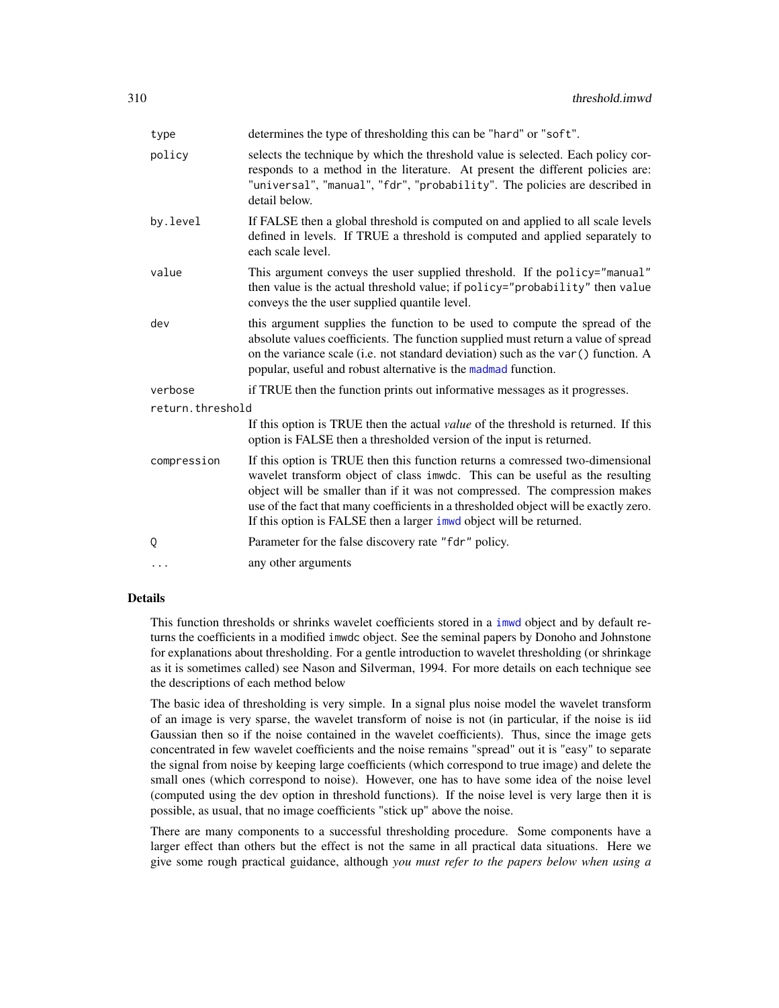| type             | determines the type of thresholding this can be "hard" or "soft".                                                                                                                                                                                                                                                                                                                                           |  |
|------------------|-------------------------------------------------------------------------------------------------------------------------------------------------------------------------------------------------------------------------------------------------------------------------------------------------------------------------------------------------------------------------------------------------------------|--|
| policy           | selects the technique by which the threshold value is selected. Each policy cor-<br>responds to a method in the literature. At present the different policies are:<br>"universal", "manual", "fdr", "probability". The policies are described in<br>detail below.                                                                                                                                           |  |
| by.level         | If FALSE then a global threshold is computed on and applied to all scale levels<br>defined in levels. If TRUE a threshold is computed and applied separately to<br>each scale level.                                                                                                                                                                                                                        |  |
| value            | This argument conveys the user supplied threshold. If the policy="manual"<br>then value is the actual threshold value; if policy="probability" then value<br>conveys the the user supplied quantile level.                                                                                                                                                                                                  |  |
| dev              | this argument supplies the function to be used to compute the spread of the<br>absolute values coefficients. The function supplied must return a value of spread<br>on the variance scale (i.e. not standard deviation) such as the var () function. A<br>popular, useful and robust alternative is the madmad function.                                                                                    |  |
| verbose          | if TRUE then the function prints out informative messages as it progresses.                                                                                                                                                                                                                                                                                                                                 |  |
| return.threshold |                                                                                                                                                                                                                                                                                                                                                                                                             |  |
|                  | If this option is TRUE then the actual value of the threshold is returned. If this<br>option is FALSE then a thresholded version of the input is returned.                                                                                                                                                                                                                                                  |  |
| compression      | If this option is TRUE then this function returns a comressed two-dimensional<br>wavelet transform object of class imwdc. This can be useful as the resulting<br>object will be smaller than if it was not compressed. The compression makes<br>use of the fact that many coefficients in a thresholded object will be exactly zero.<br>If this option is FALSE then a larger inwo object will be returned. |  |
| Q                | Parameter for the false discovery rate "fdr" policy.                                                                                                                                                                                                                                                                                                                                                        |  |
| $\ddots$         | any other arguments                                                                                                                                                                                                                                                                                                                                                                                         |  |
|                  |                                                                                                                                                                                                                                                                                                                                                                                                             |  |

### Details

This function thresholds or shrinks wavelet coefficients stored in a [imwd](#page-131-0) object and by default returns the coefficients in a modified imwdc object. See the seminal papers by Donoho and Johnstone for explanations about thresholding. For a gentle introduction to wavelet thresholding (or shrinkage as it is sometimes called) see Nason and Silverman, 1994. For more details on each technique see the descriptions of each method below

The basic idea of thresholding is very simple. In a signal plus noise model the wavelet transform of an image is very sparse, the wavelet transform of noise is not (in particular, if the noise is iid Gaussian then so if the noise contained in the wavelet coefficients). Thus, since the image gets concentrated in few wavelet coefficients and the noise remains "spread" out it is "easy" to separate the signal from noise by keeping large coefficients (which correspond to true image) and delete the small ones (which correspond to noise). However, one has to have some idea of the noise level (computed using the dev option in threshold functions). If the noise level is very large then it is possible, as usual, that no image coefficients "stick up" above the noise.

There are many components to a successful thresholding procedure. Some components have a larger effect than others but the effect is not the same in all practical data situations. Here we give some rough practical guidance, although *you must refer to the papers below when using a*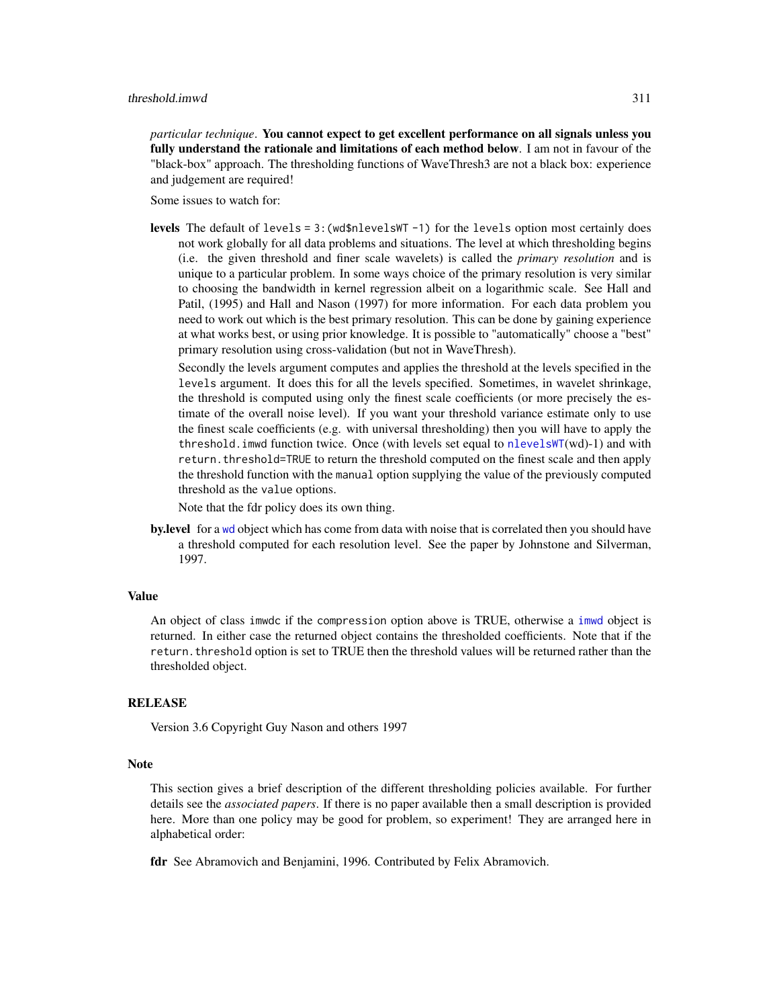#### threshold.imwd 311

*particular technique*. You cannot expect to get excellent performance on all signals unless you fully understand the rationale and limitations of each method below. I am not in favour of the "black-box" approach. The thresholding functions of WaveThresh3 are not a black box: experience and judgement are required!

Some issues to watch for:

**levels** The default of levels =  $3$ : (wd\$nlevelsWT  $-1$ ) for the levels option most certainly does not work globally for all data problems and situations. The level at which thresholding begins (i.e. the given threshold and finer scale wavelets) is called the *primary resolution* and is unique to a particular problem. In some ways choice of the primary resolution is very similar to choosing the bandwidth in kernel regression albeit on a logarithmic scale. See Hall and Patil, (1995) and Hall and Nason (1997) for more information. For each data problem you need to work out which is the best primary resolution. This can be done by gaining experience at what works best, or using prior knowledge. It is possible to "automatically" choose a "best" primary resolution using cross-validation (but not in WaveThresh).

Secondly the levels argument computes and applies the threshold at the levels specified in the levels argument. It does this for all the levels specified. Sometimes, in wavelet shrinkage, the threshold is computed using only the finest scale coefficients (or more precisely the estimate of the overall noise level). If you want your threshold variance estimate only to use the finest scale coefficients (e.g. with universal thresholding) then you will have to apply the threshold. imwd function twice. Once (with levels set equal to  $nlevelswT(wd)-1$ ) and with return.threshold=TRUE to return the threshold computed on the finest scale and then apply the threshold function with the manual option supplying the value of the previously computed threshold as the value options.

Note that the fdr policy does its own thing.

**by.level** for a [wd](#page-344-0) object which has come from data with noise that is correlated then you should have a threshold computed for each resolution level. See the paper by Johnstone and Silverman, 1997.

#### Value

An object of class imwdc if the compression option above is TRUE, otherwise a [imwd](#page-131-0) object is returned. In either case the returned object contains the thresholded coefficients. Note that if the return.threshold option is set to TRUE then the threshold values will be returned rather than the thresholded object.

#### RELEASE

Version 3.6 Copyright Guy Nason and others 1997

### **Note**

This section gives a brief description of the different thresholding policies available. For further details see the *associated papers*. If there is no paper available then a small description is provided here. More than one policy may be good for problem, so experiment! They are arranged here in alphabetical order:

fdr See Abramovich and Benjamini, 1996. Contributed by Felix Abramovich.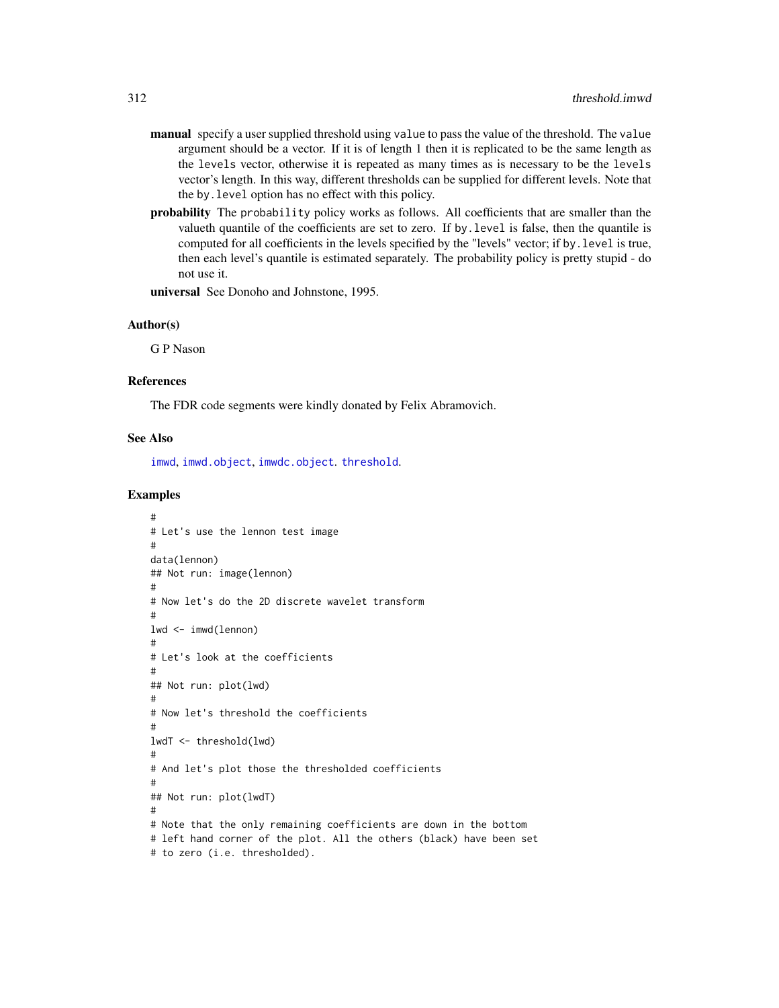- manual specify a user supplied threshold using value to pass the value of the threshold. The value argument should be a vector. If it is of length 1 then it is replicated to be the same length as the levels vector, otherwise it is repeated as many times as is necessary to be the levels vector's length. In this way, different thresholds can be supplied for different levels. Note that the by.level option has no effect with this policy.
- probability The probability policy works as follows. All coefficients that are smaller than the valueth quantile of the coefficients are set to zero. If by.level is false, then the quantile is computed for all coefficients in the levels specified by the "levels" vector; if by.level is true, then each level's quantile is estimated separately. The probability policy is pretty stupid - do not use it.

universal See Donoho and Johnstone, 1995.

#### Author(s)

G P Nason

#### References

The FDR code segments were kindly donated by Felix Abramovich.

#### See Also

[imwd](#page-131-0), [imwd.object](#page-133-0), [imwdc.object](#page-134-0). [threshold](#page-307-0).

```
#
# Let's use the lennon test image
#
data(lennon)
## Not run: image(lennon)
#
# Now let's do the 2D discrete wavelet transform
#
lwd <- imwd(lennon)
#
# Let's look at the coefficients
#
## Not run: plot(lwd)
#
# Now let's threshold the coefficients
#
lwdT <- threshold(lwd)
#
# And let's plot those the thresholded coefficients
#
## Not run: plot(lwdT)
#
# Note that the only remaining coefficients are down in the bottom
# left hand corner of the plot. All the others (black) have been set
# to zero (i.e. thresholded).
```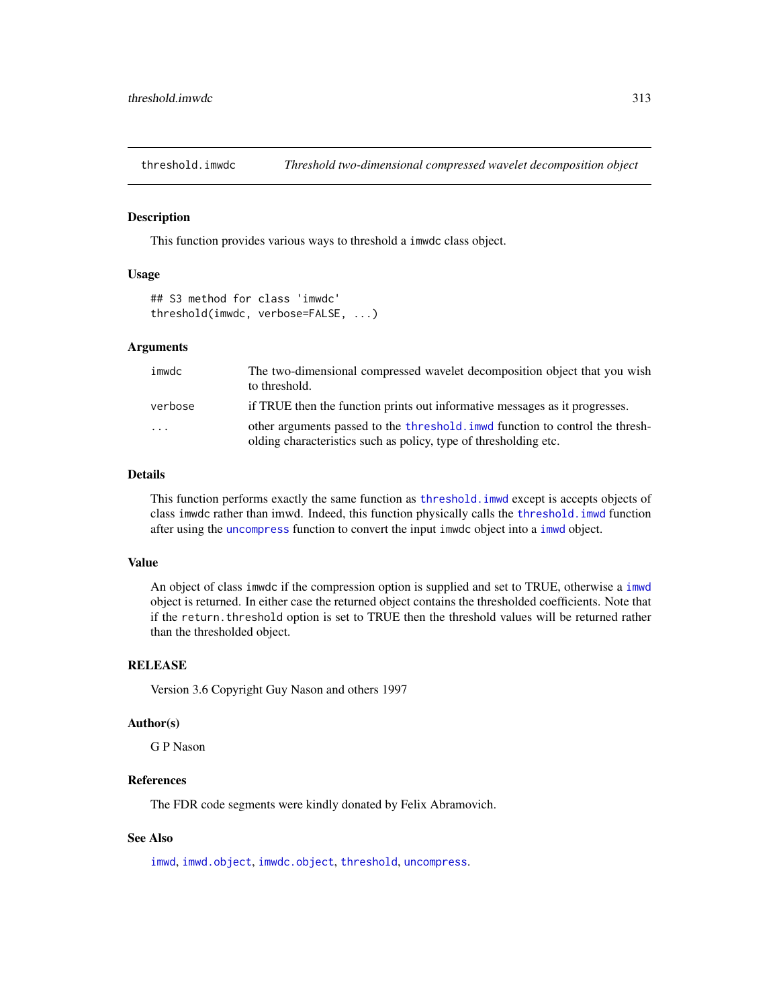<span id="page-312-0"></span>

This function provides various ways to threshold a imwdc class object.

### Usage

```
## S3 method for class 'imwdc'
threshold(imwdc, verbose=FALSE, ...)
```
### Arguments

| imwdc   | The two-dimensional compressed wavelet decomposition object that you wish<br>to threshold.                                                         |
|---------|----------------------------------------------------------------------------------------------------------------------------------------------------|
| verbose | if TRUE then the function prints out informative messages as it progresses.                                                                        |
| .       | other arguments passed to the threshold, immed function to control the thresh-<br>olding characteristics such as policy, type of thresholding etc. |

### Details

This function performs exactly the same function as threshold. imwd except is accepts objects of class imwdc rather than imwd. Indeed, this function physically calls the [threshold.imwd](#page-308-0) function after using the [uncompress](#page-338-0) function to convert the input imwdc object into a [imwd](#page-131-0) object.

### Value

An object of class imwdc if the compression option is supplied and set to TRUE, otherwise a [imwd](#page-131-0) object is returned. In either case the returned object contains the thresholded coefficients. Note that if the return.threshold option is set to TRUE then the threshold values will be returned rather than the thresholded object.

### **RELEASE**

Version 3.6 Copyright Guy Nason and others 1997

#### Author(s)

G P Nason

## References

The FDR code segments were kindly donated by Felix Abramovich.

### See Also

[imwd](#page-131-0), [imwd.object](#page-133-0), [imwdc.object](#page-134-0), [threshold](#page-307-0), [uncompress](#page-338-0).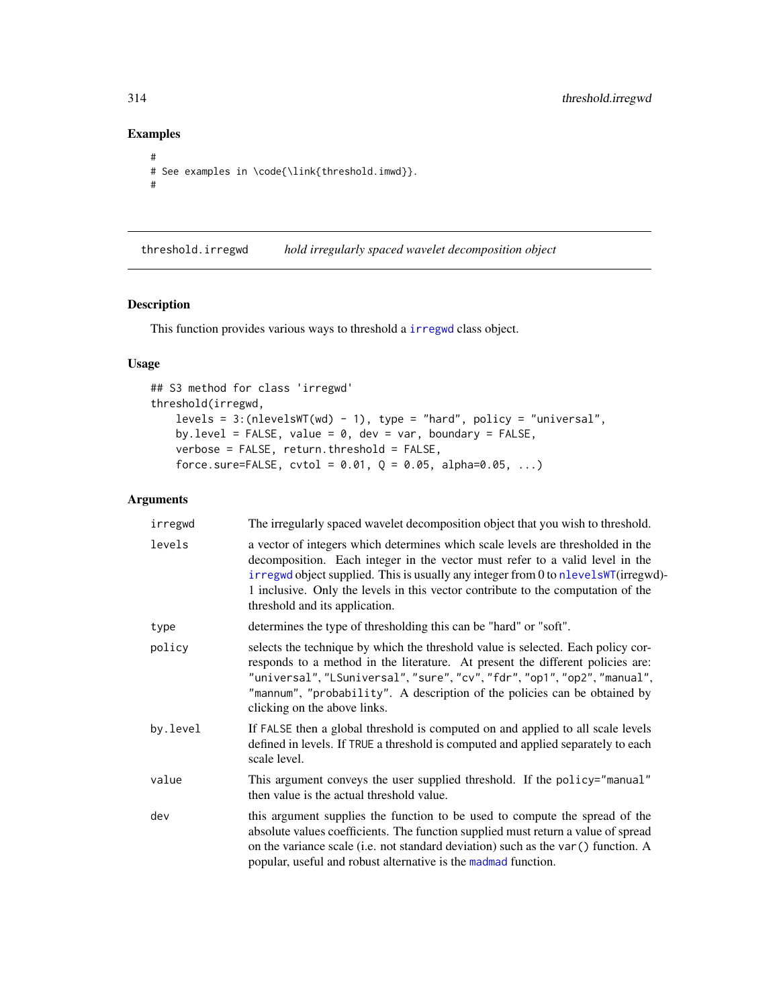# Examples

```
#
# See examples in \code{\link{threshold.imwd}}.
#
```
<span id="page-313-0"></span>threshold.irregwd *hold irregularly spaced wavelet decomposition object*

## Description

This function provides various ways to threshold a [irregwd](#page-148-0) class object.

## Usage

```
## S3 method for class 'irregwd'
threshold(irregwd,
   levels = 3:(nlevelsWT(wd) - 1), type = "hard", policy = "universal",
   by.level = FALSE, value = 0, dev = var, boundary = FALSE,
   verbose = FALSE, return.threshold = FALSE,
   force.sure=FALSE, cvtol = 0.01, Q = 0.05, alpha=0.05, ...)
```
## Arguments

| irregwd  | The irregularly spaced wavelet decomposition object that you wish to threshold.                                                                                                                                                                                                                                                                                             |
|----------|-----------------------------------------------------------------------------------------------------------------------------------------------------------------------------------------------------------------------------------------------------------------------------------------------------------------------------------------------------------------------------|
| levels   | a vector of integers which determines which scale levels are thresholded in the<br>decomposition. Each integer in the vector must refer to a valid level in the<br>irregwd object supplied. This is usually any integer from 0 to nlevelsWT(irregwd)-<br>1 inclusive. Only the levels in this vector contribute to the computation of the<br>threshold and its application. |
| type     | determines the type of thresholding this can be "hard" or "soft".                                                                                                                                                                                                                                                                                                           |
| policy   | selects the technique by which the threshold value is selected. Each policy cor-<br>responds to a method in the literature. At present the different policies are:<br>"universal", "LSuniversal", "sure", "cv", "fdr", "op1", "op2", "manual",<br>"mannum", "probability". A description of the policies can be obtained by<br>clicking on the above links.                 |
| by.level | If FALSE then a global threshold is computed on and applied to all scale levels<br>defined in levels. If TRUE a threshold is computed and applied separately to each<br>scale level.                                                                                                                                                                                        |
| value    | This argument conveys the user supplied threshold. If the policy="manual"<br>then value is the actual threshold value.                                                                                                                                                                                                                                                      |
| dev      | this argument supplies the function to be used to compute the spread of the<br>absolute values coefficients. The function supplied must return a value of spread<br>on the variance scale (i.e. not standard deviation) such as the var () function. A<br>popular, useful and robust alternative is the madmad function.                                                    |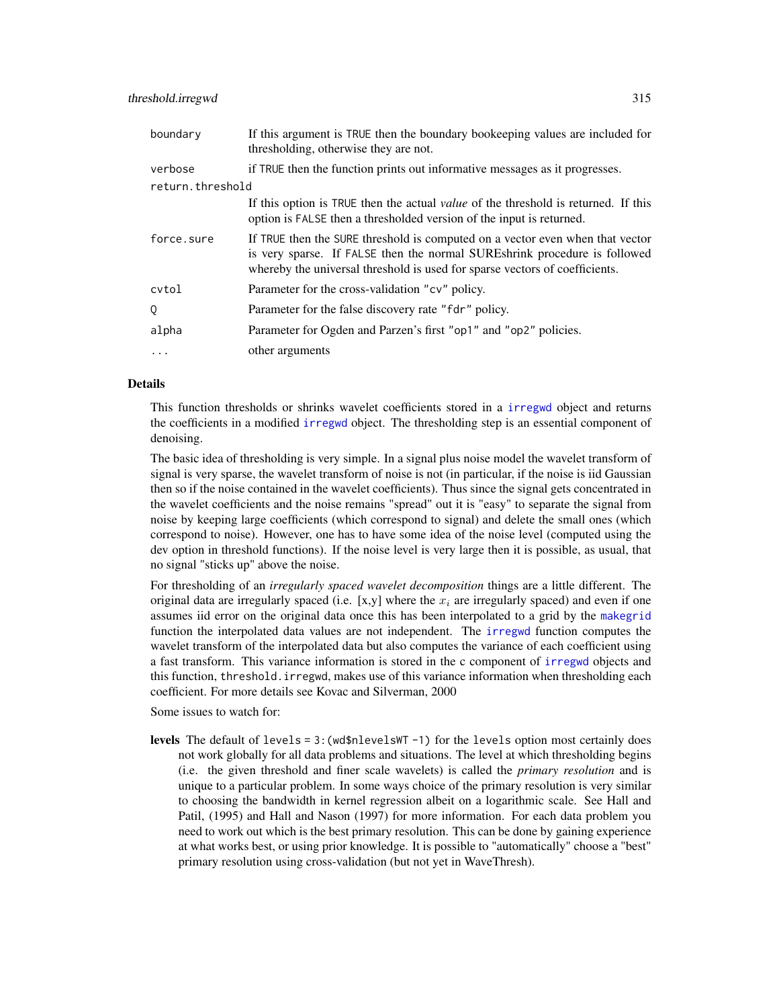| boundary         | If this argument is TRUE then the boundary bookeeping values are included for<br>thresholding, otherwise they are not.                                                                                                                    |
|------------------|-------------------------------------------------------------------------------------------------------------------------------------------------------------------------------------------------------------------------------------------|
| verbose          | if TRUE then the function prints out informative messages as it progresses.                                                                                                                                                               |
| return.threshold |                                                                                                                                                                                                                                           |
|                  | If this option is TRUE then the actual <i>value</i> of the threshold is returned. If this<br>option is FALSE then a thresholded version of the input is returned.                                                                         |
| force.sure       | If TRUE then the SURE threshold is computed on a vector even when that vector<br>is very sparse. If FALSE then the normal SUREshrink procedure is followed<br>whereby the universal threshold is used for sparse vectors of coefficients. |
| cvtol            | Parameter for the cross-validation "cv" policy.                                                                                                                                                                                           |
| Q                | Parameter for the false discovery rate "fdr" policy.                                                                                                                                                                                      |
| alpha            | Parameter for Ogden and Parzen's first "op1" and "op2" policies.                                                                                                                                                                          |
|                  | other arguments                                                                                                                                                                                                                           |

## Details

This function thresholds or shrinks wavelet coefficients stored in a [irregwd](#page-148-0) object and returns the coefficients in a modified [irregwd](#page-148-0) object. The thresholding step is an essential component of denoising.

The basic idea of thresholding is very simple. In a signal plus noise model the wavelet transform of signal is very sparse, the wavelet transform of noise is not (in particular, if the noise is iid Gaussian then so if the noise contained in the wavelet coefficients). Thus since the signal gets concentrated in the wavelet coefficients and the noise remains "spread" out it is "easy" to separate the signal from noise by keeping large coefficients (which correspond to signal) and delete the small ones (which correspond to noise). However, one has to have some idea of the noise level (computed using the dev option in threshold functions). If the noise level is very large then it is possible, as usual, that no signal "sticks up" above the noise.

For thresholding of an *irregularly spaced wavelet decomposition* things are a little different. The original data are irregularly spaced (i.e. [x,y] where the  $x_i$  are irregularly spaced) and even if one assumes iid error on the original data once this has been interpolated to a grid by the [makegrid](#page-171-0) function the interpolated data values are not independent. The [irregwd](#page-148-0) function computes the wavelet transform of the interpolated data but also computes the variance of each coefficient using a fast transform. This variance information is stored in the c component of [irregwd](#page-148-0) objects and this function, threshold.irregwd, makes use of this variance information when thresholding each coefficient. For more details see Kovac and Silverman, 2000

Some issues to watch for:

levels The default of levels =  $3$ : (wd\$nlevelsWT -1) for the levels option most certainly does not work globally for all data problems and situations. The level at which thresholding begins (i.e. the given threshold and finer scale wavelets) is called the *primary resolution* and is unique to a particular problem. In some ways choice of the primary resolution is very similar to choosing the bandwidth in kernel regression albeit on a logarithmic scale. See Hall and Patil, (1995) and Hall and Nason (1997) for more information. For each data problem you need to work out which is the best primary resolution. This can be done by gaining experience at what works best, or using prior knowledge. It is possible to "automatically" choose a "best" primary resolution using cross-validation (but not yet in WaveThresh).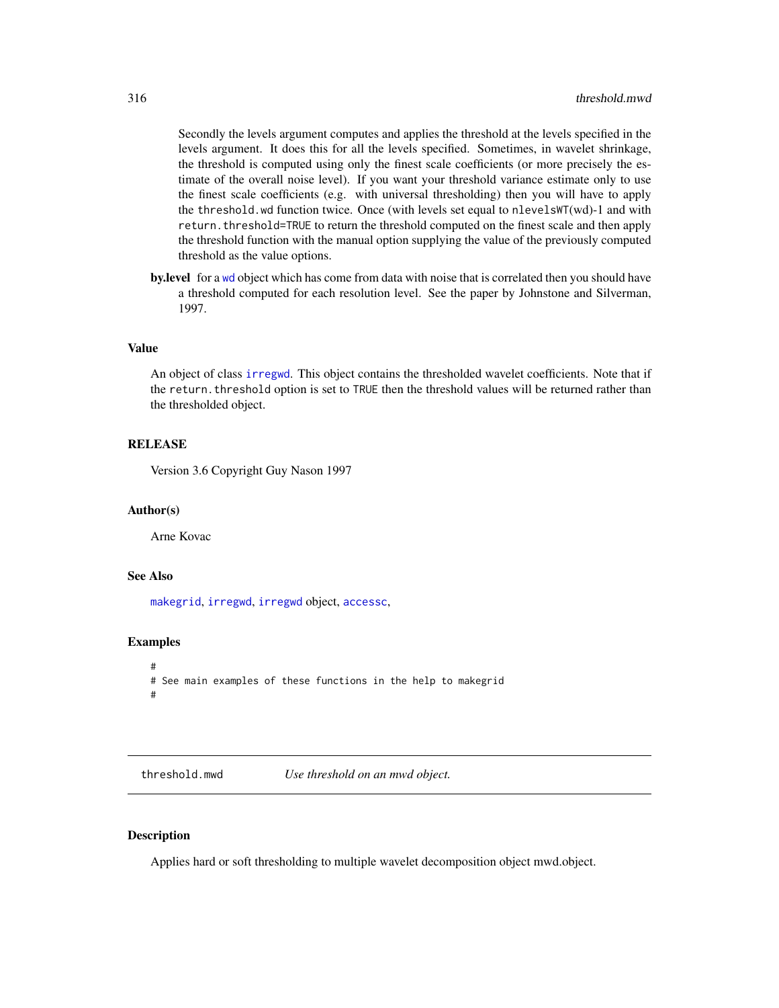Secondly the levels argument computes and applies the threshold at the levels specified in the levels argument. It does this for all the levels specified. Sometimes, in wavelet shrinkage, the threshold is computed using only the finest scale coefficients (or more precisely the estimate of the overall noise level). If you want your threshold variance estimate only to use the finest scale coefficients (e.g. with universal thresholding) then you will have to apply the threshold.wd function twice. Once (with levels set equal to nlevelsWT(wd)-1 and with return.threshold=TRUE to return the threshold computed on the finest scale and then apply the threshold function with the manual option supplying the value of the previously computed threshold as the value options.

by.level for a [wd](#page-344-0) object which has come from data with noise that is correlated then you should have a threshold computed for each resolution level. See the paper by Johnstone and Silverman, 1997.

#### Value

An object of class [irregwd](#page-148-0). This object contains the thresholded wavelet coefficients. Note that if the return.threshold option is set to TRUE then the threshold values will be returned rather than the thresholded object.

#### RELEASE

Version 3.6 Copyright Guy Nason 1997

#### Author(s)

Arne Kovac

### See Also

[makegrid](#page-171-0), [irregwd](#page-148-0), [irregwd](#page-148-0) object, [accessc](#page-8-0),

## Examples

```
#
# See main examples of these functions in the help to makegrid
#
```
<span id="page-315-0"></span>threshold.mwd *Use threshold on an mwd object.*

### **Description**

Applies hard or soft thresholding to multiple wavelet decomposition object mwd.object.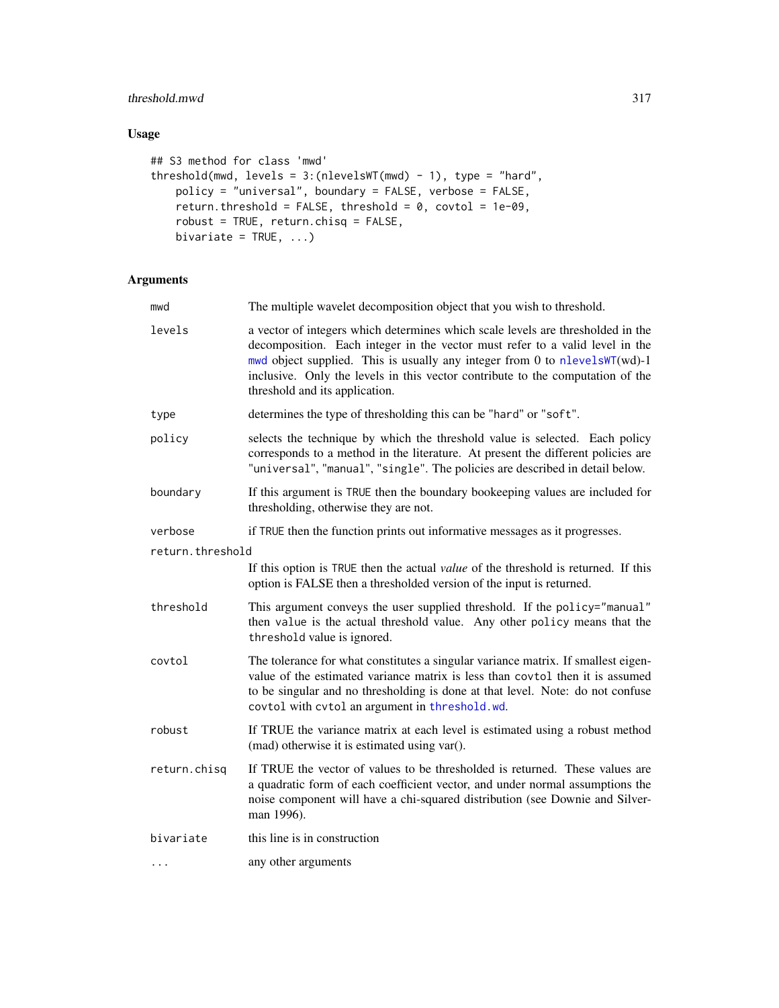# threshold.mwd 317

# Usage

```
## S3 method for class 'mwd'
threshold(mwd, levels = 3:(nlevelsWT(mwd) - 1), type = "hard",
   policy = "universal", boundary = FALSE, verbose = FALSE,
   return.threshold = FALSE, threshold = 0, covtol = 1e-09,
   robust = TRUE, return.chisq = FALSE,
   bivariate = TRUE, ...)
```
## Arguments

| mwd              | The multiple wavelet decomposition object that you wish to threshold.                                                                                                                                                                                                                                                                                             |
|------------------|-------------------------------------------------------------------------------------------------------------------------------------------------------------------------------------------------------------------------------------------------------------------------------------------------------------------------------------------------------------------|
| levels           | a vector of integers which determines which scale levels are thresholded in the<br>decomposition. Each integer in the vector must refer to a valid level in the<br>mwd object supplied. This is usually any integer from 0 to nlevelsWT(wd)-1<br>inclusive. Only the levels in this vector contribute to the computation of the<br>threshold and its application. |
| type             | determines the type of thresholding this can be "hard" or "soft".                                                                                                                                                                                                                                                                                                 |
| policy           | selects the technique by which the threshold value is selected. Each policy<br>corresponds to a method in the literature. At present the different policies are<br>"universal", "manual", "single". The policies are described in detail below.                                                                                                                   |
| boundary         | If this argument is TRUE then the boundary bookeeping values are included for<br>thresholding, otherwise they are not.                                                                                                                                                                                                                                            |
| verbose          | if TRUE then the function prints out informative messages as it progresses.                                                                                                                                                                                                                                                                                       |
| return.threshold |                                                                                                                                                                                                                                                                                                                                                                   |
|                  | If this option is TRUE then the actual value of the threshold is returned. If this<br>option is FALSE then a thresholded version of the input is returned.                                                                                                                                                                                                        |
| threshold        | This argument conveys the user supplied threshold. If the policy="manual"<br>then value is the actual threshold value. Any other policy means that the<br>threshold value is ignored.                                                                                                                                                                             |
| covtol           | The tolerance for what constitutes a singular variance matrix. If smallest eigen-<br>value of the estimated variance matrix is less than covtol then it is assumed<br>to be singular and no thresholding is done at that level. Note: do not confuse<br>covtol with cvtol an argument in threshold.wd.                                                            |
| robust           | If TRUE the variance matrix at each level is estimated using a robust method<br>(mad) otherwise it is estimated using var().                                                                                                                                                                                                                                      |
| return.chisq     | If TRUE the vector of values to be thresholded is returned. These values are<br>a quadratic form of each coefficient vector, and under normal assumptions the<br>noise component will have a chi-squared distribution (see Downie and Silver-<br>man 1996).                                                                                                       |
| bivariate        | this line is in construction                                                                                                                                                                                                                                                                                                                                      |
| $\cdots$         | any other arguments                                                                                                                                                                                                                                                                                                                                               |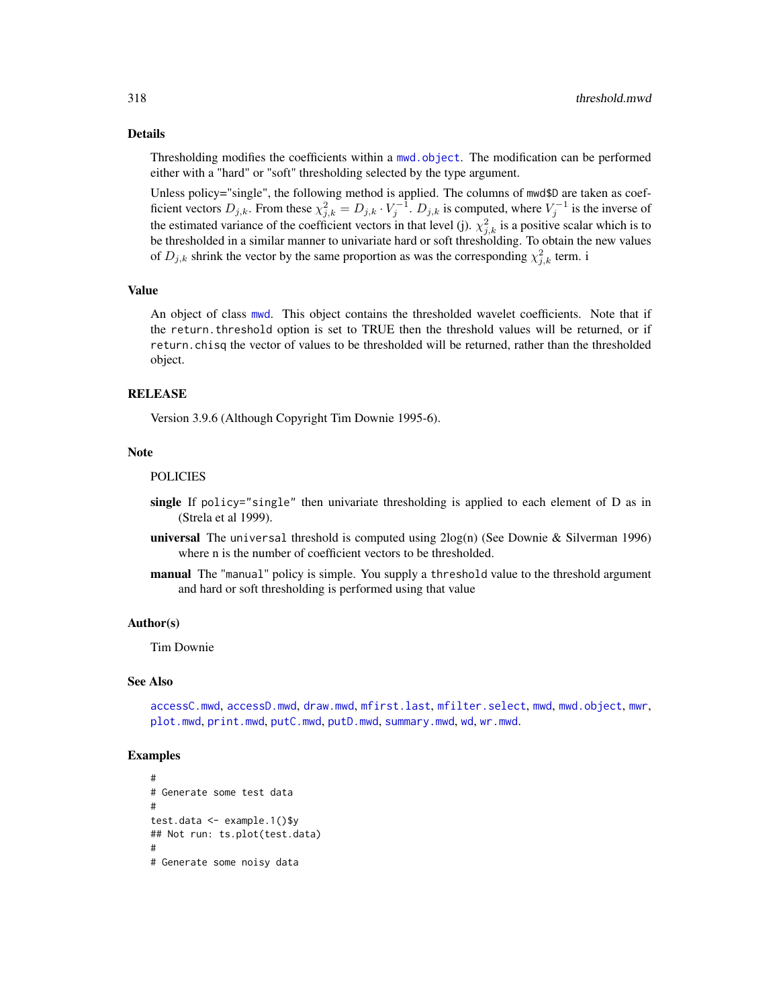#### Details

Thresholding modifies the coefficients within a mwd. object. The modification can be performed either with a "hard" or "soft" thresholding selected by the type argument.

Unless policy="single", the following method is applied. The columns of mwd\$D are taken as coefficient vectors  $D_{j,k}$ . From these  $\chi^2_{j,k} = D_{j,k} \cdot V_j^{-1}$ .  $D_{j,k}$  is computed, where  $V_j^{-1}$  is the inverse of the estimated variance of the coefficient vectors in that level (j).  $\chi^2_{j,k}$  is a positive scalar which is to be thresholded in a similar manner to univariate hard or soft thresholding. To obtain the new values of  $D_{j,k}$  shrink the vector by the same proportion as was the corresponding  $\chi^2_{j,k}$  term. i

#### Value

An object of class [mwd](#page-193-0). This object contains the thresholded wavelet coefficients. Note that if the return.threshold option is set to TRUE then the threshold values will be returned, or if return.chisq the vector of values to be thresholded will be returned, rather than the thresholded object.

#### RELEASE

Version 3.9.6 (Although Copyright Tim Downie 1995-6).

#### Note

#### POLICIES

- single If policy="single" then univariate thresholding is applied to each element of D as in (Strela et al 1999).
- universal The universal threshold is computed using 2log(n) (See Downie & Silverman 1996) where n is the number of coefficient vectors to be thresholded.
- manual The "manual" policy is simple. You supply a threshold value to the threshold argument and hard or soft thresholding is performed using that value

#### Author(s)

Tim Downie

### See Also

[accessC.mwd](#page-9-0), [accessD.mwd](#page-15-0), [draw.mwd](#page-87-0), [mfirst.last](#page-188-0), [mfilter.select](#page-186-0), [mwd](#page-193-0), [mwd.object](#page-195-0), [mwr](#page-197-0), [plot.mwd](#page-212-0), [print.mwd](#page-230-0), [putC.mwd](#page-256-0), [putD.mwd](#page-264-0), [summary.mwd](#page-296-0), [wd](#page-344-0), [wr.mwd](#page-367-0).

```
#
# Generate some test data
#
test.data <- example.1()$y
## Not run: ts.plot(test.data)
#
# Generate some noisy data
```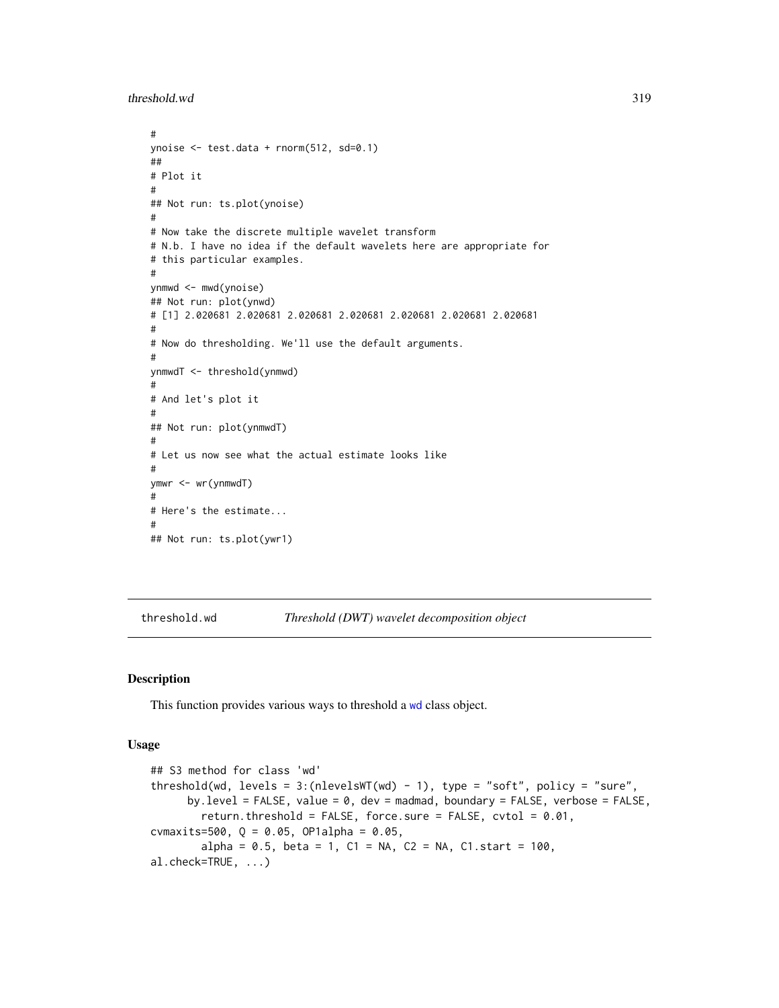threshold.wd 319

```
#
ynoise <- test.data + rnorm(512, sd=0.1)
##
# Plot it
#
## Not run: ts.plot(ynoise)
#
# Now take the discrete multiple wavelet transform
# N.b. I have no idea if the default wavelets here are appropriate for
# this particular examples.
#
ynmwd <- mwd(ynoise)
## Not run: plot(ynwd)
# [1] 2.020681 2.020681 2.020681 2.020681 2.020681 2.020681 2.020681
#
# Now do thresholding. We'll use the default arguments.
#
ynmwdT <- threshold(ynmwd)
#
# And let's plot it
#
## Not run: plot(ynmwdT)
#
# Let us now see what the actual estimate looks like
#
ymwr <- wr(ynmwdT)
#
# Here's the estimate...
#
## Not run: ts.plot(ywr1)
```
<span id="page-318-0"></span>threshold.wd *Threshold (DWT) wavelet decomposition object*

## Description

This function provides various ways to threshold a [wd](#page-344-0) class object.

#### Usage

```
## S3 method for class 'wd'
threshold(wd, levels = 3:(nlevelsWT(wd) - 1), type = "soft", policy = "sure",
     by.level = FALSE, value = 0, dev = madmad, boundary = FALSE, verbose = FALSE,
        return.threshold = FALSE, force.sure = FALSE, cvtol = 0.01,
cvmaxits=500, Q = 0.05, OP1alpha = 0.05,
        alpha = 0.5, beta = 1, C1 = NA, C2 = NA, C1.start = 100,
al.check=TRUE, ...)
```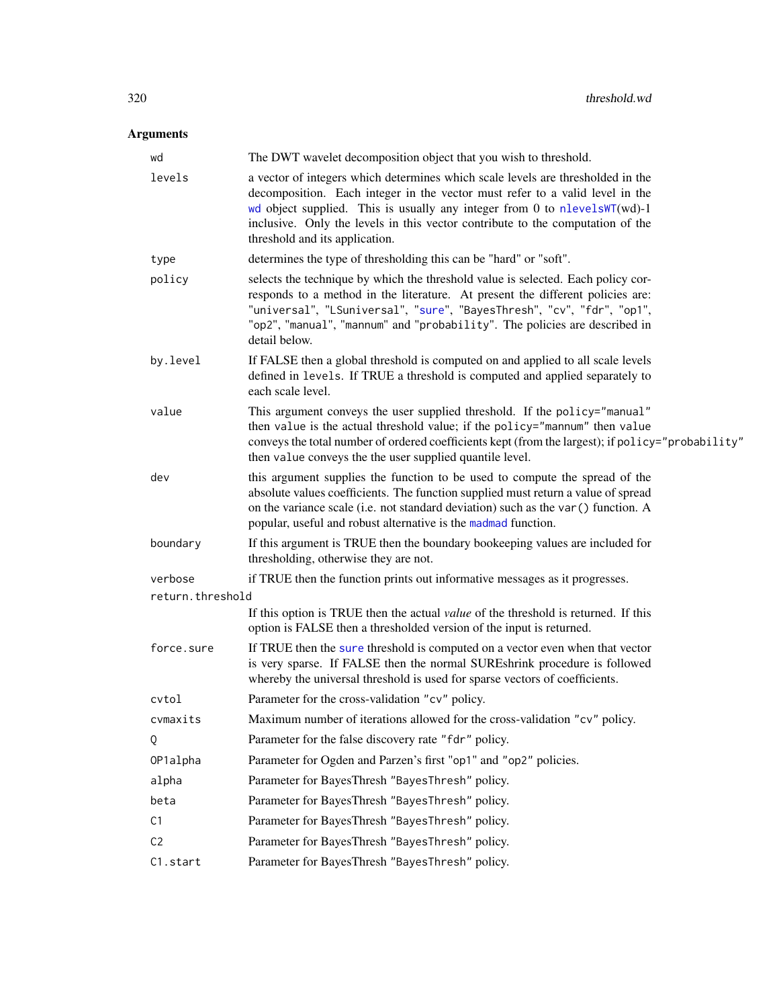# Arguments

| wd               | The DWT wavelet decomposition object that you wish to threshold.                                                                                                                                                                                                                                                                                                 |
|------------------|------------------------------------------------------------------------------------------------------------------------------------------------------------------------------------------------------------------------------------------------------------------------------------------------------------------------------------------------------------------|
| levels           | a vector of integers which determines which scale levels are thresholded in the<br>decomposition. Each integer in the vector must refer to a valid level in the<br>wd object supplied. This is usually any integer from 0 to nlevelsWT(wd)-1<br>inclusive. Only the levels in this vector contribute to the computation of the<br>threshold and its application. |
| type             | determines the type of thresholding this can be "hard" or "soft".                                                                                                                                                                                                                                                                                                |
| policy           | selects the technique by which the threshold value is selected. Each policy cor-<br>responds to a method in the literature. At present the different policies are:<br>"universal", "LSuniversal", "sure", "BayesThresh", "cv", "fdr", "op1",<br>"op2", "manual", "mannum" and "probability". The policies are described in<br>detail below.                      |
| by.level         | If FALSE then a global threshold is computed on and applied to all scale levels<br>defined in levels. If TRUE a threshold is computed and applied separately to<br>each scale level.                                                                                                                                                                             |
| value            | This argument conveys the user supplied threshold. If the policy="manual"<br>then value is the actual threshold value; if the policy="mannum" then value<br>conveys the total number of ordered coefficients kept (from the largest); if policy="probability"<br>then value conveys the the user supplied quantile level.                                        |
| dev              | this argument supplies the function to be used to compute the spread of the<br>absolute values coefficients. The function supplied must return a value of spread<br>on the variance scale (i.e. not standard deviation) such as the var () function. A<br>popular, useful and robust alternative is the madmad function.                                         |
| boundary         | If this argument is TRUE then the boundary bookeeping values are included for<br>thresholding, otherwise they are not.                                                                                                                                                                                                                                           |
| verbose          | if TRUE then the function prints out informative messages as it progresses.                                                                                                                                                                                                                                                                                      |
| return.threshold |                                                                                                                                                                                                                                                                                                                                                                  |
|                  | If this option is TRUE then the actual value of the threshold is returned. If this<br>option is FALSE then a thresholded version of the input is returned.                                                                                                                                                                                                       |
| force.sure       | If TRUE then the sure threshold is computed on a vector even when that vector<br>is very sparse. If FALSE then the normal SUREshrink procedure is followed<br>whereby the universal threshold is used for sparse vectors of coefficients.                                                                                                                        |
| cvtol            | Parameter for the cross-validation "cv" policy.                                                                                                                                                                                                                                                                                                                  |
| cvmaxits         | Maximum number of iterations allowed for the cross-validation "cv" policy.                                                                                                                                                                                                                                                                                       |
| Q                | Parameter for the false discovery rate "fdr" policy.                                                                                                                                                                                                                                                                                                             |
| OP1alpha         | Parameter for Ogden and Parzen's first "op1" and "op2" policies.                                                                                                                                                                                                                                                                                                 |
| alpha            | Parameter for BayesThresh "BayesThresh" policy.                                                                                                                                                                                                                                                                                                                  |
| beta             | Parameter for BayesThresh "BayesThresh" policy.                                                                                                                                                                                                                                                                                                                  |
| C1               | Parameter for BayesThresh "BayesThresh" policy.                                                                                                                                                                                                                                                                                                                  |
| C <sub>2</sub>   | Parameter for BayesThresh "BayesThresh" policy.                                                                                                                                                                                                                                                                                                                  |
| C1.start         | Parameter for BayesThresh "BayesThresh" policy.                                                                                                                                                                                                                                                                                                                  |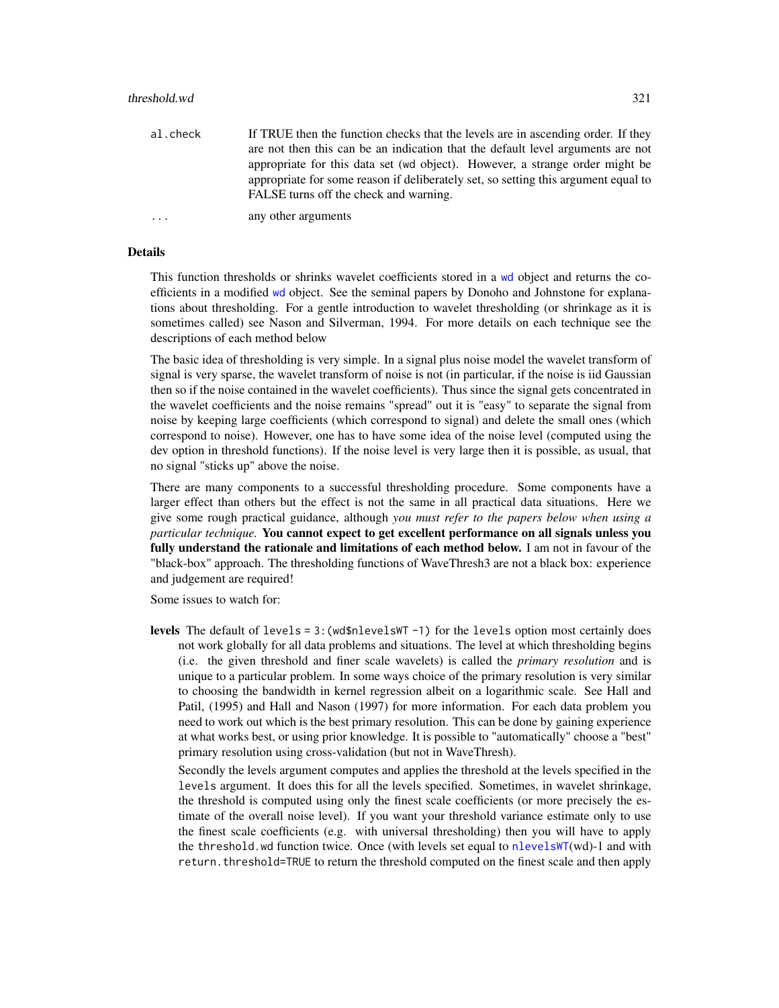al.check If TRUE then the function checks that the levels are in ascending order. If they are not then this can be an indication that the default level arguments are not appropriate for this data set (wd object). However, a strange order might be appropriate for some reason if deliberately set, so setting this argument equal to FALSE turns off the check and warning.

... any other arguments

### Details

This function thresholds or shrinks wavelet coefficients stored in a [wd](#page-344-0) object and returns the coefficients in a modified [wd](#page-344-0) object. See the seminal papers by Donoho and Johnstone for explanations about thresholding. For a gentle introduction to wavelet thresholding (or shrinkage as it is sometimes called) see Nason and Silverman, 1994. For more details on each technique see the descriptions of each method below

The basic idea of thresholding is very simple. In a signal plus noise model the wavelet transform of signal is very sparse, the wavelet transform of noise is not (in particular, if the noise is iid Gaussian then so if the noise contained in the wavelet coefficients). Thus since the signal gets concentrated in the wavelet coefficients and the noise remains "spread" out it is "easy" to separate the signal from noise by keeping large coefficients (which correspond to signal) and delete the small ones (which correspond to noise). However, one has to have some idea of the noise level (computed using the dev option in threshold functions). If the noise level is very large then it is possible, as usual, that no signal "sticks up" above the noise.

There are many components to a successful thresholding procedure. Some components have a larger effect than others but the effect is not the same in all practical data situations. Here we give some rough practical guidance, although *you must refer to the papers below when using a particular technique.* You cannot expect to get excellent performance on all signals unless you fully understand the rationale and limitations of each method below. I am not in favour of the "black-box" approach. The thresholding functions of WaveThresh3 are not a black box: experience and judgement are required!

Some issues to watch for:

levels The default of levels =  $3$ : (wd\$nlevelsWT -1) for the levels option most certainly does not work globally for all data problems and situations. The level at which thresholding begins (i.e. the given threshold and finer scale wavelets) is called the *primary resolution* and is unique to a particular problem. In some ways choice of the primary resolution is very similar to choosing the bandwidth in kernel regression albeit on a logarithmic scale. See Hall and Patil, (1995) and Hall and Nason (1997) for more information. For each data problem you need to work out which is the best primary resolution. This can be done by gaining experience at what works best, or using prior knowledge. It is possible to "automatically" choose a "best" primary resolution using cross-validation (but not in WaveThresh).

Secondly the levels argument computes and applies the threshold at the levels specified in the levels argument. It does this for all the levels specified. Sometimes, in wavelet shrinkage, the threshold is computed using only the finest scale coefficients (or more precisely the estimate of the overall noise level). If you want your threshold variance estimate only to use the finest scale coefficients (e.g. with universal thresholding) then you will have to apply the threshold.wd function twice. Once (with levels set equal to [nlevelsWT](#page-199-0)(wd)-1 and with return.threshold=TRUE to return the threshold computed on the finest scale and then apply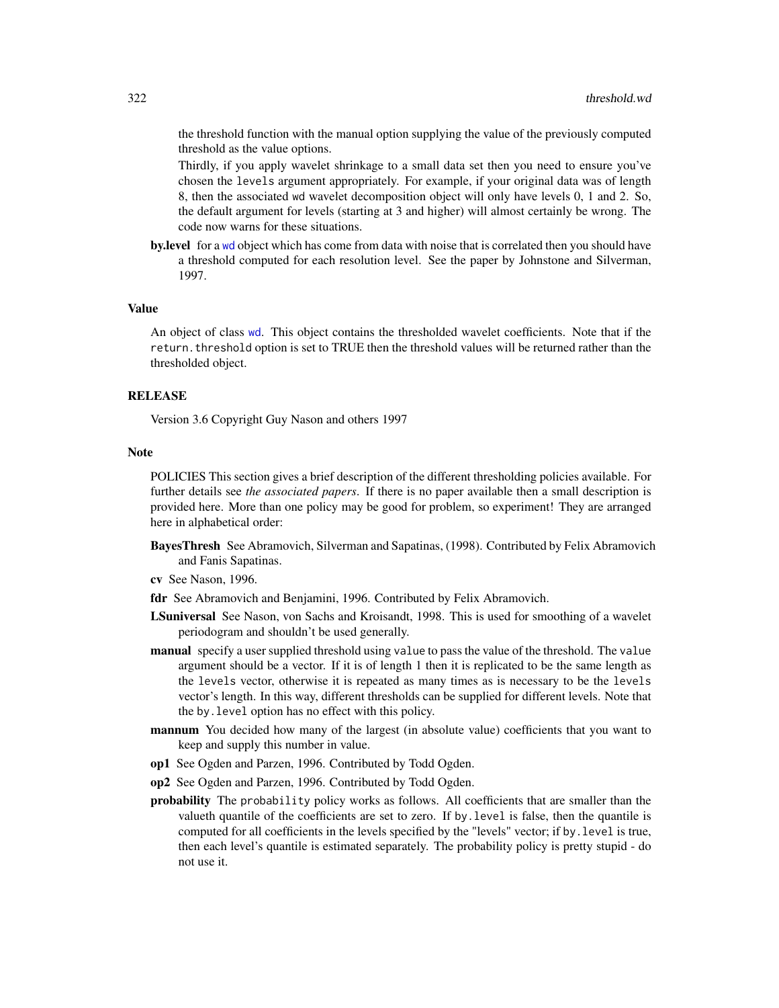the threshold function with the manual option supplying the value of the previously computed threshold as the value options.

Thirdly, if you apply wavelet shrinkage to a small data set then you need to ensure you've chosen the levels argument appropriately. For example, if your original data was of length 8, then the associated wd wavelet decomposition object will only have levels 0, 1 and 2. So, the default argument for levels (starting at 3 and higher) will almost certainly be wrong. The code now warns for these situations.

**by.level** for a [wd](#page-344-0) object which has come from data with noise that is correlated then you should have a threshold computed for each resolution level. See the paper by Johnstone and Silverman, 1997.

#### Value

An object of class [wd](#page-344-0). This object contains the thresholded wavelet coefficients. Note that if the return.threshold option is set to TRUE then the threshold values will be returned rather than the thresholded object.

#### RELEASE

Version 3.6 Copyright Guy Nason and others 1997

#### Note

POLICIES This section gives a brief description of the different thresholding policies available. For further details see *the associated papers*. If there is no paper available then a small description is provided here. More than one policy may be good for problem, so experiment! They are arranged here in alphabetical order:

BayesThresh See Abramovich, Silverman and Sapatinas, (1998). Contributed by Felix Abramovich and Fanis Sapatinas.

cv See Nason, 1996.

- fdr See Abramovich and Benjamini, 1996. Contributed by Felix Abramovich.
- LSuniversal See Nason, von Sachs and Kroisandt, 1998. This is used for smoothing of a wavelet periodogram and shouldn't be used generally.
- manual specify a user supplied threshold using value to pass the value of the threshold. The value argument should be a vector. If it is of length 1 then it is replicated to be the same length as the levels vector, otherwise it is repeated as many times as is necessary to be the levels vector's length. In this way, different thresholds can be supplied for different levels. Note that the by.level option has no effect with this policy.
- **mannum** You decided how many of the largest (in absolute value) coefficients that you want to keep and supply this number in value.
- op1 See Ogden and Parzen, 1996. Contributed by Todd Ogden.
- op2 See Ogden and Parzen, 1996. Contributed by Todd Ogden.
- **probability** The probability policy works as follows. All coefficients that are smaller than the valueth quantile of the coefficients are set to zero. If by.level is false, then the quantile is computed for all coefficients in the levels specified by the "levels" vector; if by.level is true, then each level's quantile is estimated separately. The probability policy is pretty stupid - do not use it.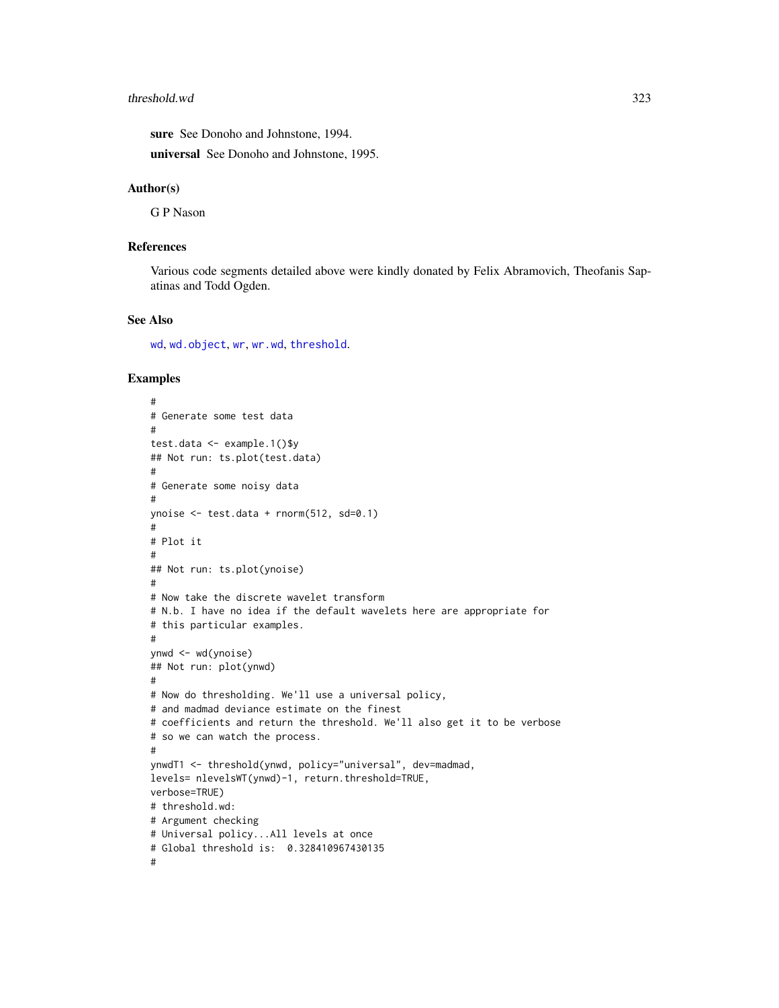#### threshold.wd 323

sure See Donoho and Johnstone, 1994.

universal See Donoho and Johnstone, 1995.

### Author(s)

G P Nason

## References

Various code segments detailed above were kindly donated by Felix Abramovich, Theofanis Sapatinas and Todd Ogden.

#### See Also

[wd](#page-344-0), [wd.object](#page-351-0), [wr](#page-365-0), [wr.wd](#page-368-0), [threshold](#page-307-0).

```
#
# Generate some test data
#
test.data <- example.1()$y
## Not run: ts.plot(test.data)
#
# Generate some noisy data
#
ynoise <- test.data + rnorm(512, sd=0.1)
#
# Plot it
#
## Not run: ts.plot(ynoise)
#
# Now take the discrete wavelet transform
# N.b. I have no idea if the default wavelets here are appropriate for
# this particular examples.
#
ynwd <- wd(ynoise)
## Not run: plot(ynwd)
#
# Now do thresholding. We'll use a universal policy,
# and madmad deviance estimate on the finest
# coefficients and return the threshold. We'll also get it to be verbose
# so we can watch the process.
#
ynwdT1 <- threshold(ynwd, policy="universal", dev=madmad,
levels= nlevelsWT(ynwd)-1, return.threshold=TRUE,
verbose=TRUE)
# threshold.wd:
# Argument checking
# Universal policy...All levels at once
# Global threshold is: 0.328410967430135
#
```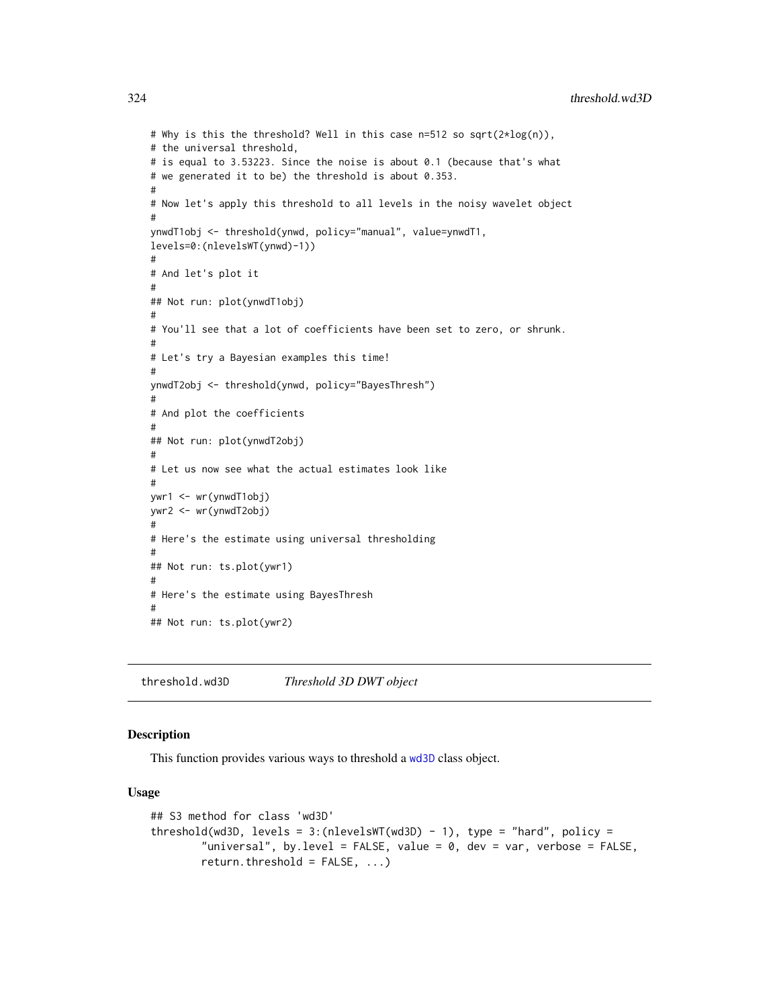# Why is this the threshold? Well in this case n=512 so sqrt(2\*log(n)), # the universal threshold, # is equal to 3.53223. Since the noise is about 0.1 (because that's what # we generated it to be) the threshold is about 0.353. # # Now let's apply this threshold to all levels in the noisy wavelet object # ynwdT1obj <- threshold(ynwd, policy="manual", value=ynwdT1, levels=0:(nlevelsWT(ynwd)-1)) # # And let's plot it # ## Not run: plot(ynwdT1obj) # # You'll see that a lot of coefficients have been set to zero, or shrunk. # # Let's try a Bayesian examples this time! # ynwdT2obj <- threshold(ynwd, policy="BayesThresh") # # And plot the coefficients # ## Not run: plot(ynwdT2obj) # # Let us now see what the actual estimates look like # ywr1 <- wr(ynwdT1obj) ywr2 <- wr(ynwdT2obj) # # Here's the estimate using universal thresholding # ## Not run: ts.plot(ywr1) # # Here's the estimate using BayesThresh # ## Not run: ts.plot(ywr2)

<span id="page-323-0"></span>threshold.wd3D *Threshold 3D DWT object*

## **Description**

This function provides various ways to threshold a [wd3D](#page-353-0) class object.

#### Usage

```
## S3 method for class 'wd3D'
threshold(wd3D, levels = 3:(nlevelswT(wd3D) - 1), type = "hard", policy =
        "universal", by.level = FALSE, value = 0, dev = var, verbose = FALSE,
       return.threshold = FALSE, ...)
```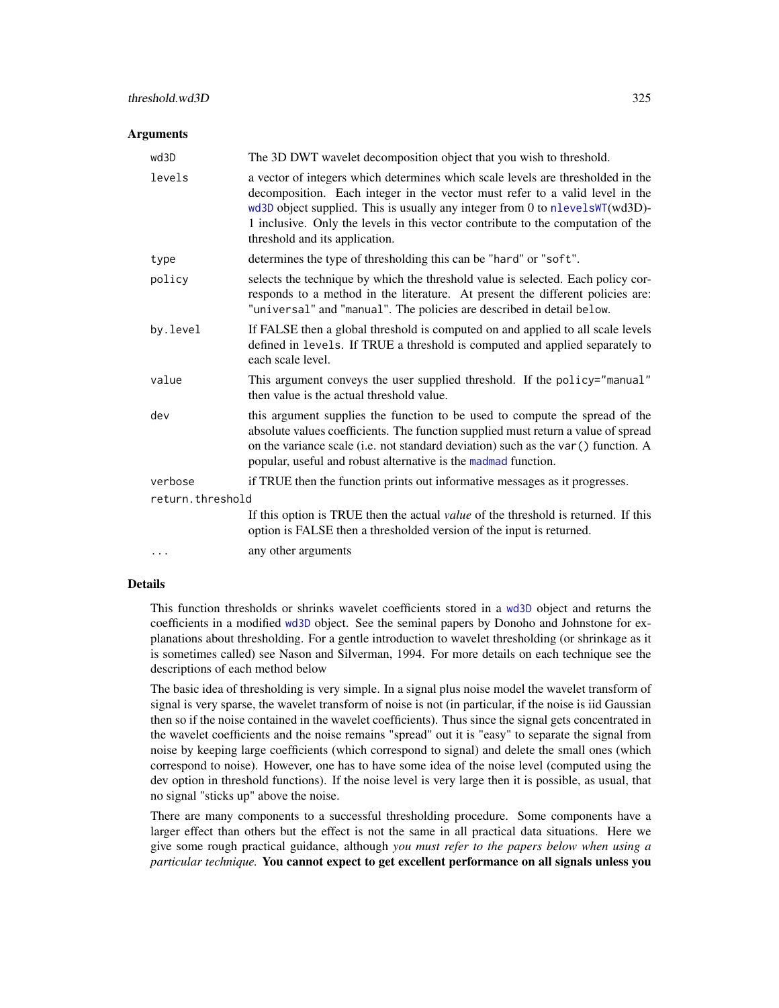#### **Arguments**

| wd3D             | The 3D DWT wavelet decomposition object that you wish to threshold.                                                                                                                                                                                                                                                                                                   |  |
|------------------|-----------------------------------------------------------------------------------------------------------------------------------------------------------------------------------------------------------------------------------------------------------------------------------------------------------------------------------------------------------------------|--|
| levels           | a vector of integers which determines which scale levels are thresholded in the<br>decomposition. Each integer in the vector must refer to a valid level in the<br>wd3D object supplied. This is usually any integer from 0 to nlevelsWT(wd3D)-<br>1 inclusive. Only the levels in this vector contribute to the computation of the<br>threshold and its application. |  |
| type             | determines the type of thresholding this can be "hard" or "soft".                                                                                                                                                                                                                                                                                                     |  |
| policy           | selects the technique by which the threshold value is selected. Each policy cor-<br>responds to a method in the literature. At present the different policies are:<br>"universal" and "manual". The policies are described in detail below.                                                                                                                           |  |
| by.level         | If FALSE then a global threshold is computed on and applied to all scale levels<br>defined in levels. If TRUE a threshold is computed and applied separately to<br>each scale level.                                                                                                                                                                                  |  |
| value            | This argument conveys the user supplied threshold. If the policy="manual"<br>then value is the actual threshold value.                                                                                                                                                                                                                                                |  |
| dev              | this argument supplies the function to be used to compute the spread of the<br>absolute values coefficients. The function supplied must return a value of spread<br>on the variance scale (i.e. not standard deviation) such as the var () function. A<br>popular, useful and robust alternative is the madmad function.                                              |  |
| verbose          | if TRUE then the function prints out informative messages as it progresses.                                                                                                                                                                                                                                                                                           |  |
| return.threshold |                                                                                                                                                                                                                                                                                                                                                                       |  |
|                  | If this option is TRUE then the actual <i>value</i> of the threshold is returned. If this<br>option is FALSE then a thresholded version of the input is returned.                                                                                                                                                                                                     |  |
| $\cdots$         | any other arguments                                                                                                                                                                                                                                                                                                                                                   |  |

#### Details

This function thresholds or shrinks wavelet coefficients stored in a [wd3D](#page-353-0) object and returns the coefficients in a modified [wd3D](#page-353-0) object. See the seminal papers by Donoho and Johnstone for explanations about thresholding. For a gentle introduction to wavelet thresholding (or shrinkage as it is sometimes called) see Nason and Silverman, 1994. For more details on each technique see the descriptions of each method below

The basic idea of thresholding is very simple. In a signal plus noise model the wavelet transform of signal is very sparse, the wavelet transform of noise is not (in particular, if the noise is iid Gaussian then so if the noise contained in the wavelet coefficients). Thus since the signal gets concentrated in the wavelet coefficients and the noise remains "spread" out it is "easy" to separate the signal from noise by keeping large coefficients (which correspond to signal) and delete the small ones (which correspond to noise). However, one has to have some idea of the noise level (computed using the dev option in threshold functions). If the noise level is very large then it is possible, as usual, that no signal "sticks up" above the noise.

There are many components to a successful thresholding procedure. Some components have a larger effect than others but the effect is not the same in all practical data situations. Here we give some rough practical guidance, although *you must refer to the papers below when using a particular technique.* You cannot expect to get excellent performance on all signals unless you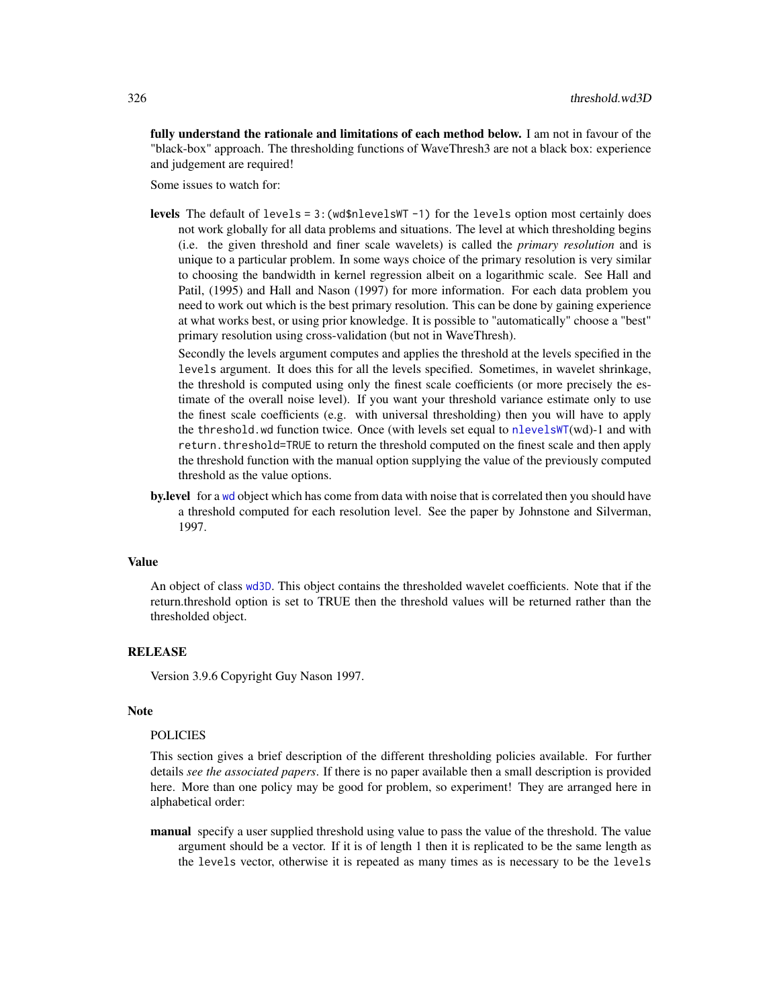fully understand the rationale and limitations of each method below. I am not in favour of the "black-box" approach. The thresholding functions of WaveThresh3 are not a black box: experience and judgement are required!

Some issues to watch for:

**levels** The default of levels =  $3$ : (wd\$nlevelsWT  $-1$ ) for the levels option most certainly does not work globally for all data problems and situations. The level at which thresholding begins (i.e. the given threshold and finer scale wavelets) is called the *primary resolution* and is unique to a particular problem. In some ways choice of the primary resolution is very similar to choosing the bandwidth in kernel regression albeit on a logarithmic scale. See Hall and Patil, (1995) and Hall and Nason (1997) for more information. For each data problem you need to work out which is the best primary resolution. This can be done by gaining experience at what works best, or using prior knowledge. It is possible to "automatically" choose a "best" primary resolution using cross-validation (but not in WaveThresh).

Secondly the levels argument computes and applies the threshold at the levels specified in the levels argument. It does this for all the levels specified. Sometimes, in wavelet shrinkage, the threshold is computed using only the finest scale coefficients (or more precisely the estimate of the overall noise level). If you want your threshold variance estimate only to use the finest scale coefficients (e.g. with universal thresholding) then you will have to apply the threshold.wd function twice. Once (with levels set equal to [nlevelsWT](#page-199-0)(wd)-1 and with return.threshold=TRUE to return the threshold computed on the finest scale and then apply the threshold function with the manual option supplying the value of the previously computed threshold as the value options.

by.level for a [wd](#page-344-0) object which has come from data with noise that is correlated then you should have a threshold computed for each resolution level. See the paper by Johnstone and Silverman, 1997.

## Value

An object of class [wd3D](#page-353-0). This object contains the thresholded wavelet coefficients. Note that if the return.threshold option is set to TRUE then the threshold values will be returned rather than the thresholded object.

## **RELEASE**

Version 3.9.6 Copyright Guy Nason 1997.

#### Note

### POLICIES

This section gives a brief description of the different thresholding policies available. For further details *see the associated papers*. If there is no paper available then a small description is provided here. More than one policy may be good for problem, so experiment! They are arranged here in alphabetical order:

manual specify a user supplied threshold using value to pass the value of the threshold. The value argument should be a vector. If it is of length 1 then it is replicated to be the same length as the levels vector, otherwise it is repeated as many times as is necessary to be the levels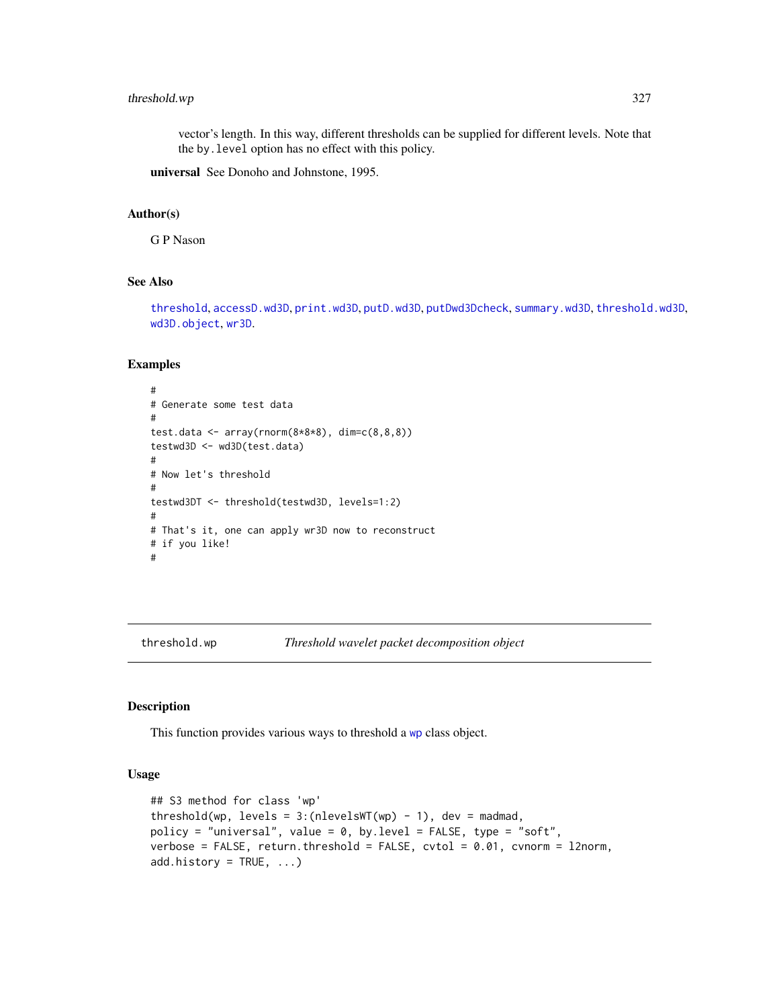## threshold.wp 327

vector's length. In this way, different thresholds can be supplied for different levels. Note that the by.level option has no effect with this policy.

universal See Donoho and Johnstone, 1995.

#### Author(s)

G P Nason

# See Also

[threshold](#page-307-0), [accessD.wd3D](#page-18-0), [print.wd3D](#page-238-0), [putD.wd3D](#page-268-0), [putDwd3Dcheck](#page-272-0), [summary.wd3D](#page-298-0), [threshold.wd3D](#page-323-0), [wd3D.object](#page-354-0), [wr3D](#page-370-0).

## Examples

```
#
# Generate some test data
#
test.data <- array(rnorm(8*8*8), dim=c(8,8,8))
testwd3D <- wd3D(test.data)
#
# Now let's threshold
#
testwd3DT <- threshold(testwd3D, levels=1:2)
#
# That's it, one can apply wr3D now to reconstruct
# if you like!
#
```
<span id="page-326-0"></span>threshold.wp *Threshold wavelet packet decomposition object*

## Description

This function provides various ways to threshold a [wp](#page-357-0) class object.

#### Usage

```
## S3 method for class 'wp'
threshold(wp, levels = 3:(nlevelswT(wp) - 1), dev = madmad,
policy = "universal", value = 0, by.level = FALSE, type = "soft",
verbose = FALSE, return.threshold = FALSE, cvtol = 0.01, cvnorm = l2norm,
add.history = TRUE, ...)
```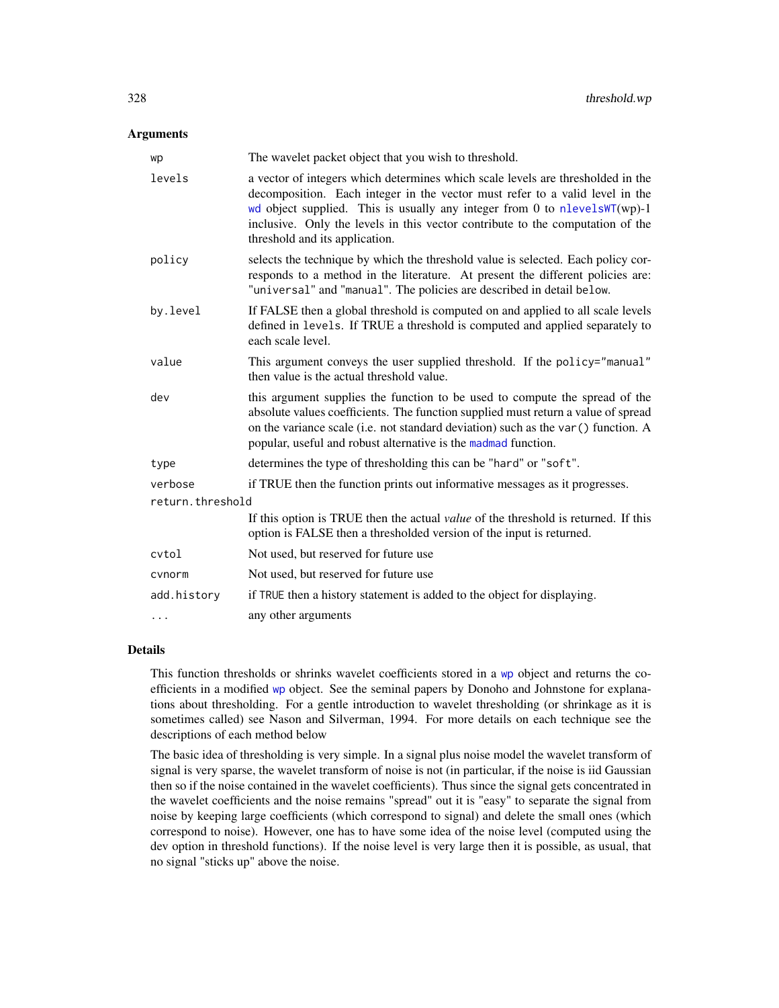#### **Arguments**

| wp               | The wavelet packet object that you wish to threshold.                                                                                                                                                                                                                                                                                                                 |  |
|------------------|-----------------------------------------------------------------------------------------------------------------------------------------------------------------------------------------------------------------------------------------------------------------------------------------------------------------------------------------------------------------------|--|
| levels           | a vector of integers which determines which scale levels are thresholded in the<br>decomposition. Each integer in the vector must refer to a valid level in the<br>wd object supplied. This is usually any integer from 0 to nlevels $WT(wp) - 1$<br>inclusive. Only the levels in this vector contribute to the computation of the<br>threshold and its application. |  |
| policy           | selects the technique by which the threshold value is selected. Each policy cor-<br>responds to a method in the literature. At present the different policies are:<br>"universal" and "manual". The policies are described in detail below.                                                                                                                           |  |
| by.level         | If FALSE then a global threshold is computed on and applied to all scale levels<br>defined in levels. If TRUE a threshold is computed and applied separately to<br>each scale level.                                                                                                                                                                                  |  |
| value            | This argument conveys the user supplied threshold. If the policy="manual"<br>then value is the actual threshold value.                                                                                                                                                                                                                                                |  |
| dev              | this argument supplies the function to be used to compute the spread of the<br>absolute values coefficients. The function supplied must return a value of spread<br>on the variance scale (i.e. not standard deviation) such as the var () function. A<br>popular, useful and robust alternative is the madmad function.                                              |  |
| type             | determines the type of thresholding this can be "hard" or "soft".                                                                                                                                                                                                                                                                                                     |  |
| verbose          | if TRUE then the function prints out informative messages as it progresses.                                                                                                                                                                                                                                                                                           |  |
| return.threshold |                                                                                                                                                                                                                                                                                                                                                                       |  |
|                  | If this option is TRUE then the actual <i>value</i> of the threshold is returned. If this<br>option is FALSE then a thresholded version of the input is returned.                                                                                                                                                                                                     |  |
| cvtol            | Not used, but reserved for future use                                                                                                                                                                                                                                                                                                                                 |  |
| cynorm           | Not used, but reserved for future use                                                                                                                                                                                                                                                                                                                                 |  |
| add.history      | if TRUE then a history statement is added to the object for displaying.                                                                                                                                                                                                                                                                                               |  |
| $\cdots$         | any other arguments                                                                                                                                                                                                                                                                                                                                                   |  |

## Details

This function thresholds or shrinks wavelet coefficients stored in a [wp](#page-357-0) object and returns the coefficients in a modified [wp](#page-357-0) object. See the seminal papers by Donoho and Johnstone for explanations about thresholding. For a gentle introduction to wavelet thresholding (or shrinkage as it is sometimes called) see Nason and Silverman, 1994. For more details on each technique see the descriptions of each method below

The basic idea of thresholding is very simple. In a signal plus noise model the wavelet transform of signal is very sparse, the wavelet transform of noise is not (in particular, if the noise is iid Gaussian then so if the noise contained in the wavelet coefficients). Thus since the signal gets concentrated in the wavelet coefficients and the noise remains "spread" out it is "easy" to separate the signal from noise by keeping large coefficients (which correspond to signal) and delete the small ones (which correspond to noise). However, one has to have some idea of the noise level (computed using the dev option in threshold functions). If the noise level is very large then it is possible, as usual, that no signal "sticks up" above the noise.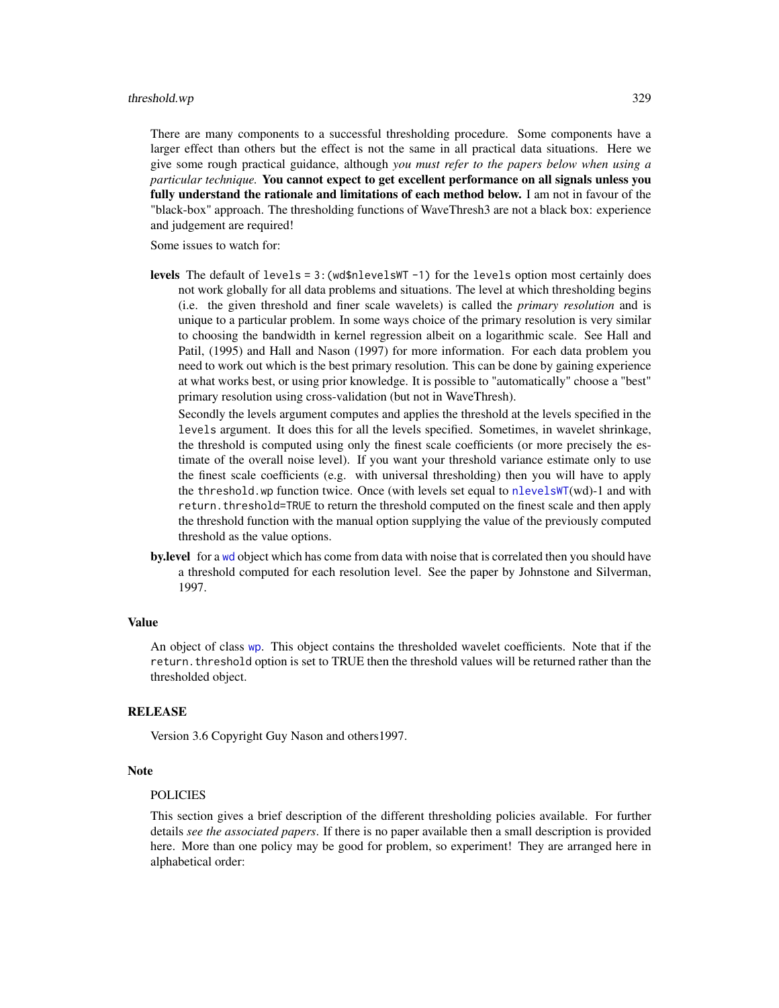There are many components to a successful thresholding procedure. Some components have a larger effect than others but the effect is not the same in all practical data situations. Here we give some rough practical guidance, although *you must refer to the papers below when using a particular technique.* You cannot expect to get excellent performance on all signals unless you fully understand the rationale and limitations of each method below. I am not in favour of the "black-box" approach. The thresholding functions of WaveThresh3 are not a black box: experience and judgement are required!

Some issues to watch for:

**levels** The default of levels =  $3$ : (wd\$nlevelsWT -1) for the levels option most certainly does not work globally for all data problems and situations. The level at which thresholding begins (i.e. the given threshold and finer scale wavelets) is called the *primary resolution* and is unique to a particular problem. In some ways choice of the primary resolution is very similar to choosing the bandwidth in kernel regression albeit on a logarithmic scale. See Hall and Patil, (1995) and Hall and Nason (1997) for more information. For each data problem you need to work out which is the best primary resolution. This can be done by gaining experience at what works best, or using prior knowledge. It is possible to "automatically" choose a "best" primary resolution using cross-validation (but not in WaveThresh).

Secondly the levels argument computes and applies the threshold at the levels specified in the levels argument. It does this for all the levels specified. Sometimes, in wavelet shrinkage, the threshold is computed using only the finest scale coefficients (or more precisely the estimate of the overall noise level). If you want your threshold variance estimate only to use the finest scale coefficients (e.g. with universal thresholding) then you will have to apply the threshold.wp function twice. Once (with levels set equal to [nlevelsWT](#page-199-0)(wd)-1 and with return. threshold=TRUE to return the threshold computed on the finest scale and then apply the threshold function with the manual option supplying the value of the previously computed threshold as the value options.

**by.level** for a [wd](#page-344-0) object which has come from data with noise that is correlated then you should have a threshold computed for each resolution level. See the paper by Johnstone and Silverman, 1997.

#### Value

An object of class [wp](#page-357-0). This object contains the thresholded wavelet coefficients. Note that if the return.threshold option is set to TRUE then the threshold values will be returned rather than the thresholded object.

#### RELEASE

Version 3.6 Copyright Guy Nason and others1997.

#### Note

#### POLICIES

This section gives a brief description of the different thresholding policies available. For further details *see the associated papers*. If there is no paper available then a small description is provided here. More than one policy may be good for problem, so experiment! They are arranged here in alphabetical order: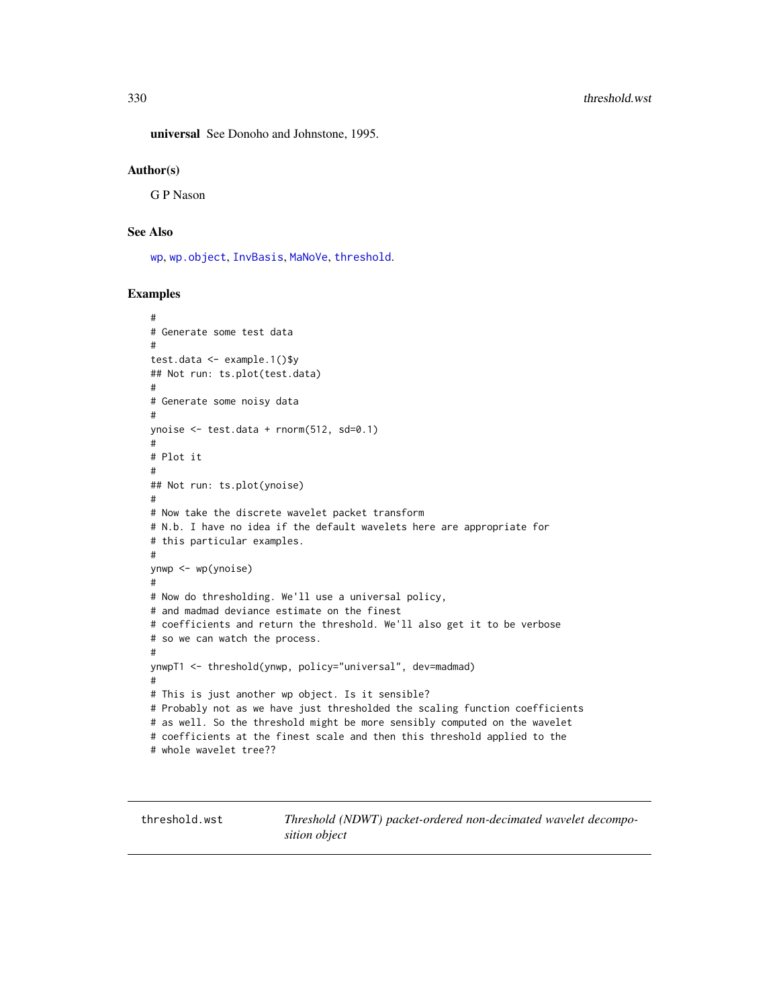universal See Donoho and Johnstone, 1995.

#### Author(s)

G P Nason

## See Also

[wp](#page-357-0), [wp.object](#page-358-0), [InvBasis](#page-141-0), [MaNoVe](#page-181-0), [threshold](#page-307-0).

## Examples

```
#
# Generate some test data
#
test.data <- example.1()$y
## Not run: ts.plot(test.data)
#
# Generate some noisy data
#
ynoise <- test.data + rnorm(512, sd=0.1)
#
# Plot it
#
## Not run: ts.plot(ynoise)
#
# Now take the discrete wavelet packet transform
# N.b. I have no idea if the default wavelets here are appropriate for
# this particular examples.
#
ynwp <- wp(ynoise)
#
# Now do thresholding. We'll use a universal policy,
# and madmad deviance estimate on the finest
# coefficients and return the threshold. We'll also get it to be verbose
# so we can watch the process.
#
ynwpT1 <- threshold(ynwp, policy="universal", dev=madmad)
#
# This is just another wp object. Is it sensible?
# Probably not as we have just thresholded the scaling function coefficients
# as well. So the threshold might be more sensibly computed on the wavelet
# coefficients at the finest scale and then this threshold applied to the
# whole wavelet tree??
```
threshold.wst *Threshold (NDWT) packet-ordered non-decimated wavelet decomposition object*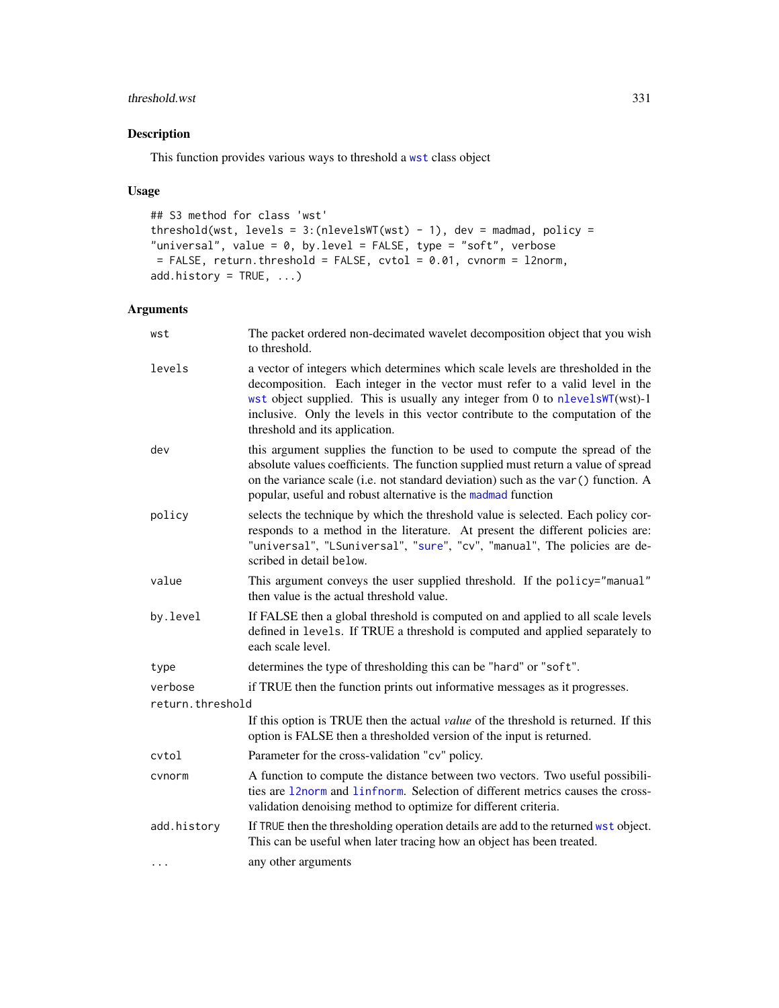## threshold.wst 331

# Description

This function provides various ways to threshold a [wst](#page-371-0) class object

## Usage

```
## S3 method for class 'wst'
threshold(wst, levels = 3:(nlevelswT(wst) - 1), dev = madmad, policy =
"universal", value = 0, by.level = FALSE, type = "soft", verbose
= FALSE, return.threshold = FALSE, cvtol = 0.01, cvnorm = l2norm,
add.history = TRUE, ...)
```
## Arguments

| wst              | The packet ordered non-decimated wavelet decomposition object that you wish<br>to threshold.                                                                                                                                                                                                                                                                       |
|------------------|--------------------------------------------------------------------------------------------------------------------------------------------------------------------------------------------------------------------------------------------------------------------------------------------------------------------------------------------------------------------|
| levels           | a vector of integers which determines which scale levels are thresholded in the<br>decomposition. Each integer in the vector must refer to a valid level in the<br>wst object supplied. This is usually any integer from 0 to nlevelsWT(wst)-1<br>inclusive. Only the levels in this vector contribute to the computation of the<br>threshold and its application. |
| dev              | this argument supplies the function to be used to compute the spread of the<br>absolute values coefficients. The function supplied must return a value of spread<br>on the variance scale (i.e. not standard deviation) such as the var () function. A<br>popular, useful and robust alternative is the madmad function                                            |
| policy           | selects the technique by which the threshold value is selected. Each policy cor-<br>responds to a method in the literature. At present the different policies are:<br>"universal", "LSuniversal", "sure", "cv", "manual", The policies are de-<br>scribed in detail below.                                                                                         |
| value            | This argument conveys the user supplied threshold. If the policy="manual"<br>then value is the actual threshold value.                                                                                                                                                                                                                                             |
| by.level         | If FALSE then a global threshold is computed on and applied to all scale levels<br>defined in levels. If TRUE a threshold is computed and applied separately to<br>each scale level.                                                                                                                                                                               |
| type             | determines the type of thresholding this can be "hard" or "soft".                                                                                                                                                                                                                                                                                                  |
| verbose          | if TRUE then the function prints out informative messages as it progresses.                                                                                                                                                                                                                                                                                        |
| return.threshold |                                                                                                                                                                                                                                                                                                                                                                    |
|                  | If this option is TRUE then the actual <i>value</i> of the threshold is returned. If this<br>option is FALSE then a thresholded version of the input is returned.                                                                                                                                                                                                  |
| cvtol            | Parameter for the cross-validation "cv" policy.                                                                                                                                                                                                                                                                                                                    |
| cvnorm           | A function to compute the distance between two vectors. Two useful possibili-<br>ties are 12norm and 1infnorm. Selection of different metrics causes the cross-<br>validation denoising method to optimize for different criteria.                                                                                                                                 |
| add.history      | If TRUE then the thresholding operation details are add to the returned wst object.<br>This can be useful when later tracing how an object has been treated.                                                                                                                                                                                                       |
| .                | any other arguments                                                                                                                                                                                                                                                                                                                                                |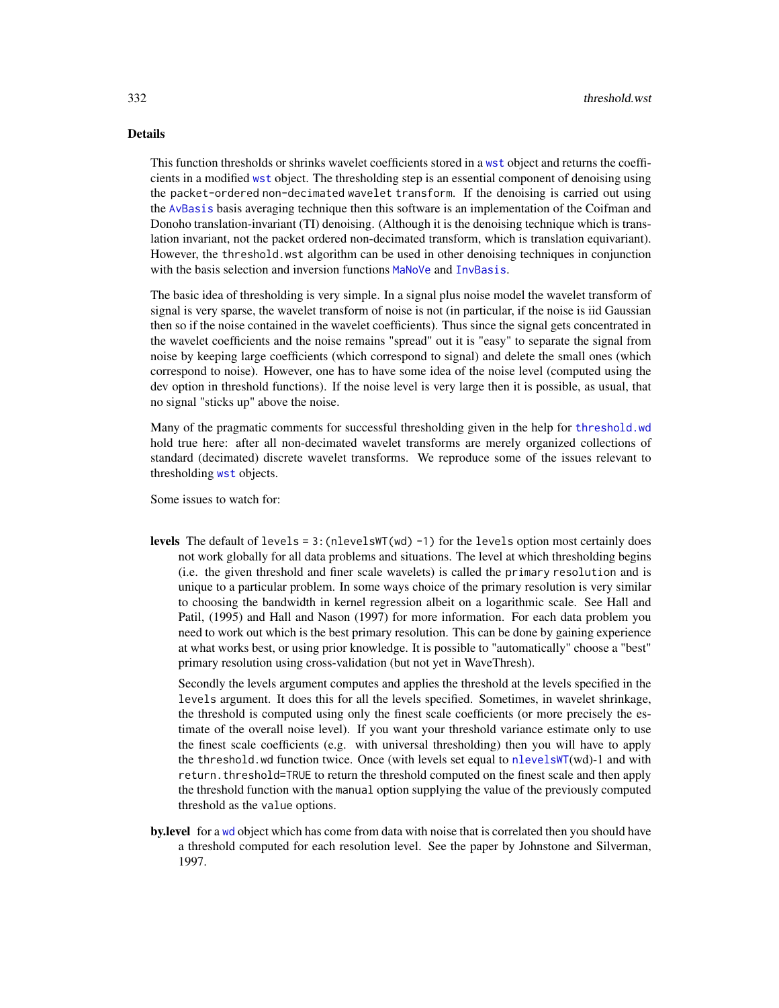## Details

This function thresholds or shrinks wavelet coefficients stored in a [wst](#page-371-0) object and returns the coefficients in a modified [wst](#page-371-0) object. The thresholding step is an essential component of denoising using the packet-ordered non-decimated wavelet transform. If the denoising is carried out using the [AvBasis](#page-26-0) basis averaging technique then this software is an implementation of the Coifman and Donoho translation-invariant (TI) denoising. (Although it is the denoising technique which is translation invariant, not the packet ordered non-decimated transform, which is translation equivariant). However, the threshold.wst algorithm can be used in other denoising techniques in conjunction with the basis selection and inversion functions [MaNoVe](#page-181-0) and [InvBasis](#page-141-0).

The basic idea of thresholding is very simple. In a signal plus noise model the wavelet transform of signal is very sparse, the wavelet transform of noise is not (in particular, if the noise is iid Gaussian then so if the noise contained in the wavelet coefficients). Thus since the signal gets concentrated in the wavelet coefficients and the noise remains "spread" out it is "easy" to separate the signal from noise by keeping large coefficients (which correspond to signal) and delete the small ones (which correspond to noise). However, one has to have some idea of the noise level (computed using the dev option in threshold functions). If the noise level is very large then it is possible, as usual, that no signal "sticks up" above the noise.

Many of the pragmatic comments for successful thresholding given in the help for [threshold.wd](#page-318-0) hold true here: after all non-decimated wavelet transforms are merely organized collections of standard (decimated) discrete wavelet transforms. We reproduce some of the issues relevant to thresholding [wst](#page-371-0) objects.

Some issues to watch for:

**levels** The default of levels = 3: (nlevelsWT(wd) -1) for the levels option most certainly does not work globally for all data problems and situations. The level at which thresholding begins (i.e. the given threshold and finer scale wavelets) is called the primary resolution and is unique to a particular problem. In some ways choice of the primary resolution is very similar to choosing the bandwidth in kernel regression albeit on a logarithmic scale. See Hall and Patil, (1995) and Hall and Nason (1997) for more information. For each data problem you need to work out which is the best primary resolution. This can be done by gaining experience at what works best, or using prior knowledge. It is possible to "automatically" choose a "best" primary resolution using cross-validation (but not yet in WaveThresh).

Secondly the levels argument computes and applies the threshold at the levels specified in the levels argument. It does this for all the levels specified. Sometimes, in wavelet shrinkage, the threshold is computed using only the finest scale coefficients (or more precisely the estimate of the overall noise level). If you want your threshold variance estimate only to use the finest scale coefficients (e.g. with universal thresholding) then you will have to apply the threshold.wd function twice. Once (with levels set equal to [nlevelsWT](#page-199-0)(wd)-1 and with return. threshold=TRUE to return the threshold computed on the finest scale and then apply the threshold function with the manual option supplying the value of the previously computed threshold as the value options.

by.level for a [wd](#page-344-0) object which has come from data with noise that is correlated then you should have a threshold computed for each resolution level. See the paper by Johnstone and Silverman, 1997.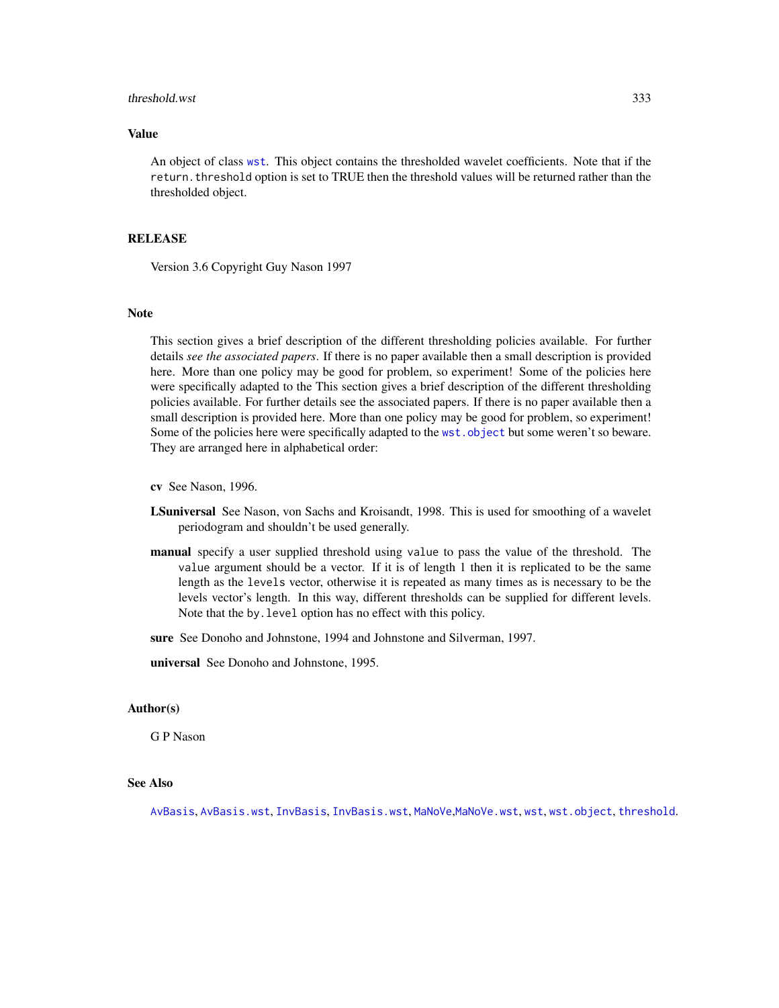#### threshold.wst 333

## Value

An object of class [wst](#page-371-0). This object contains the thresholded wavelet coefficients. Note that if the return. threshold option is set to TRUE then the threshold values will be returned rather than the thresholded object.

#### **RELEASE**

Version 3.6 Copyright Guy Nason 1997

#### **Note**

This section gives a brief description of the different thresholding policies available. For further details *see the associated papers*. If there is no paper available then a small description is provided here. More than one policy may be good for problem, so experiment! Some of the policies here were specifically adapted to the This section gives a brief description of the different thresholding policies available. For further details see the associated papers. If there is no paper available then a small description is provided here. More than one policy may be good for problem, so experiment! Some of the policies here were specifically adapted to the [wst.object](#page-373-0) but some weren't so beware. They are arranged here in alphabetical order:

cv See Nason, 1996.

- LSuniversal See Nason, von Sachs and Kroisandt, 1998. This is used for smoothing of a wavelet periodogram and shouldn't be used generally.
- manual specify a user supplied threshold using value to pass the value of the threshold. The value argument should be a vector. If it is of length 1 then it is replicated to be the same length as the levels vector, otherwise it is repeated as many times as is necessary to be the levels vector's length. In this way, different thresholds can be supplied for different levels. Note that the by.level option has no effect with this policy.
- sure See Donoho and Johnstone, 1994 and Johnstone and Silverman, 1997.

universal See Donoho and Johnstone, 1995.

#### Author(s)

G P Nason

## See Also

[AvBasis](#page-26-0), [AvBasis.wst](#page-27-0), [InvBasis](#page-141-0), [InvBasis.wst](#page-143-0), [MaNoVe](#page-181-0),[MaNoVe.wst](#page-183-0), [wst](#page-371-0), [wst.object](#page-373-0), [threshold](#page-307-0).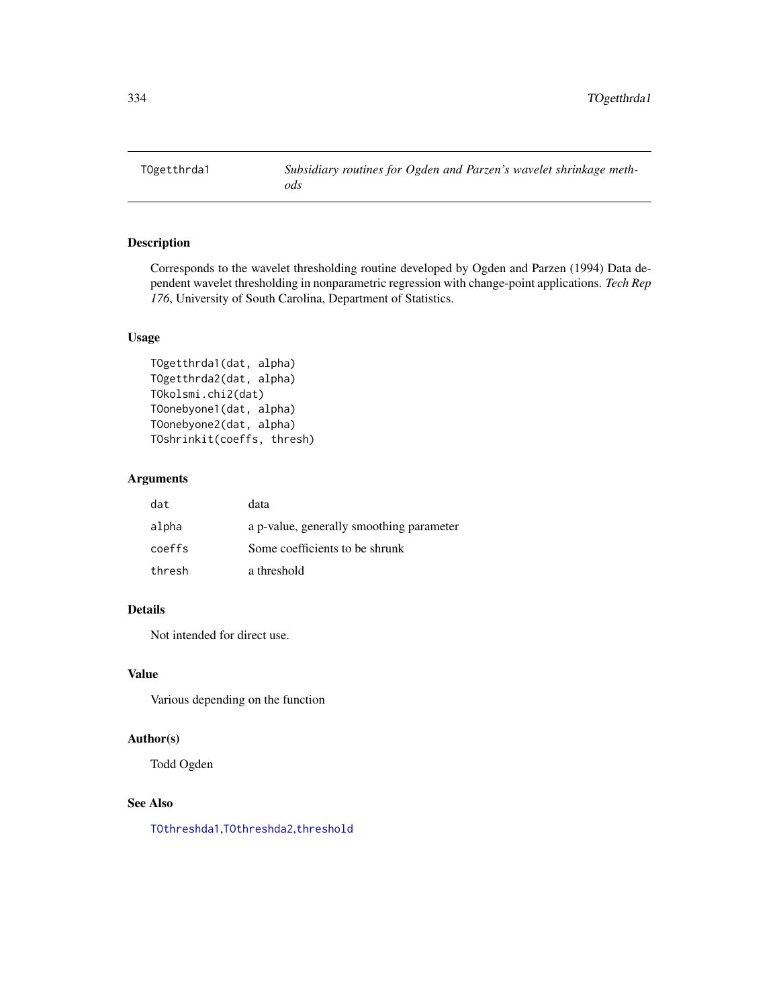TOgetthrda1 *Subsidiary routines for Ogden and Parzen's wavelet shrinkage methods*

# Description

Corresponds to the wavelet thresholding routine developed by Ogden and Parzen (1994) Data dependent wavelet thresholding in nonparametric regression with change-point applications. *Tech Rep 176*, University of South Carolina, Department of Statistics.

# Usage

```
TOgetthrda1(dat, alpha)
TOgetthrda2(dat, alpha)
TOkolsmi.chi2(dat)
TOonebyone1(dat, alpha)
TOonebyone2(dat, alpha)
TOshrinkit(coeffs, thresh)
```
#### Arguments

| dat    | data                                     |
|--------|------------------------------------------|
| alpha  | a p-value, generally smoothing parameter |
| coeffs | Some coefficients to be shrunk           |
| thresh | a threshold                              |

# Details

Not intended for direct use.

## Value

Various depending on the function

#### Author(s)

Todd Ogden

#### See Also

[TOthreshda1](#page-334-0),[TOthreshda2](#page-335-0),[threshold](#page-307-0)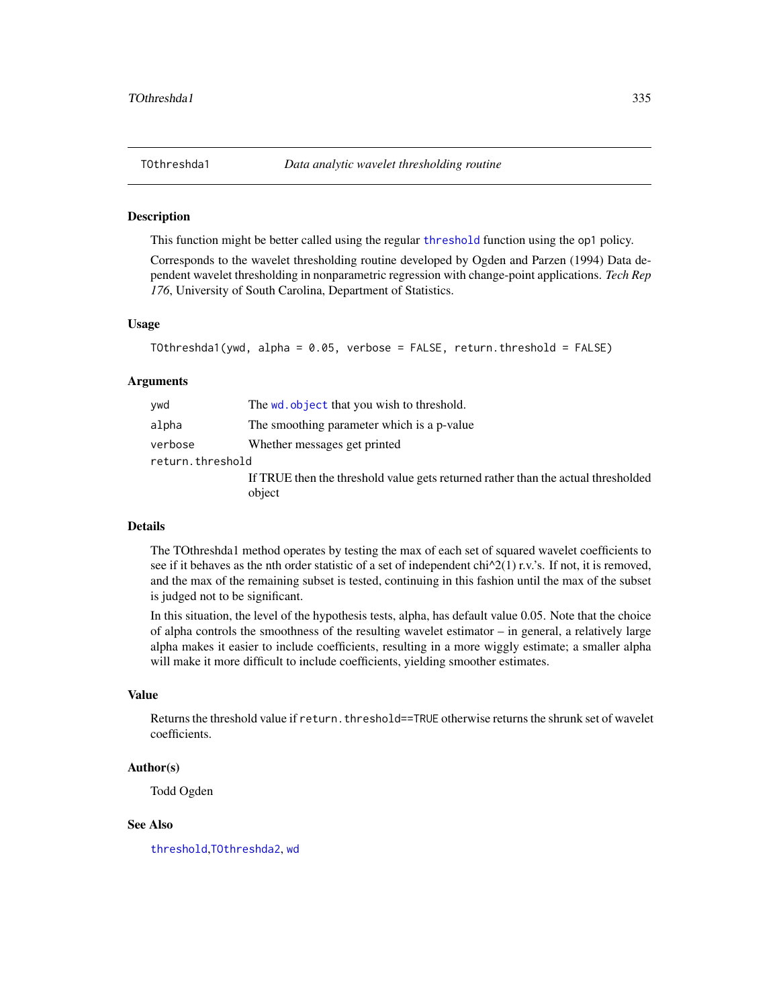<span id="page-334-0"></span>

This function might be better called using the regular [threshold](#page-307-0) function using the op1 policy.

Corresponds to the wavelet thresholding routine developed by Ogden and Parzen (1994) Data dependent wavelet thresholding in nonparametric regression with change-point applications. *Tech Rep 176*, University of South Carolina, Department of Statistics.

#### Usage

```
TOthreshda1(ywd, alpha = 0.05, verbose = FALSE, return.threshold = FALSE)
```
#### Arguments

| alpha<br>The smoothing parameter which is a p-value<br>Whether messages get printed<br>verbose<br>return.threshold<br>object | ywd | The wd. object that you wish to threshold.                                        |  |
|------------------------------------------------------------------------------------------------------------------------------|-----|-----------------------------------------------------------------------------------|--|
|                                                                                                                              |     |                                                                                   |  |
|                                                                                                                              |     |                                                                                   |  |
|                                                                                                                              |     |                                                                                   |  |
|                                                                                                                              |     | If TRUE then the threshold value gets returned rather than the actual thresholded |  |

#### Details

The TOthreshda1 method operates by testing the max of each set of squared wavelet coefficients to see if it behaves as the nth order statistic of a set of independent  $\text{chi}^2(1)$  r.v.'s. If not, it is removed, and the max of the remaining subset is tested, continuing in this fashion until the max of the subset is judged not to be significant.

In this situation, the level of the hypothesis tests, alpha, has default value 0.05. Note that the choice of alpha controls the smoothness of the resulting wavelet estimator – in general, a relatively large alpha makes it easier to include coefficients, resulting in a more wiggly estimate; a smaller alpha will make it more difficult to include coefficients, yielding smoother estimates.

#### Value

Returns the threshold value if return, threshold==TRUE otherwise returns the shrunk set of wavelet coefficients.

### Author(s)

Todd Ogden

#### See Also

[threshold](#page-307-0),[TOthreshda2](#page-335-0), [wd](#page-344-0)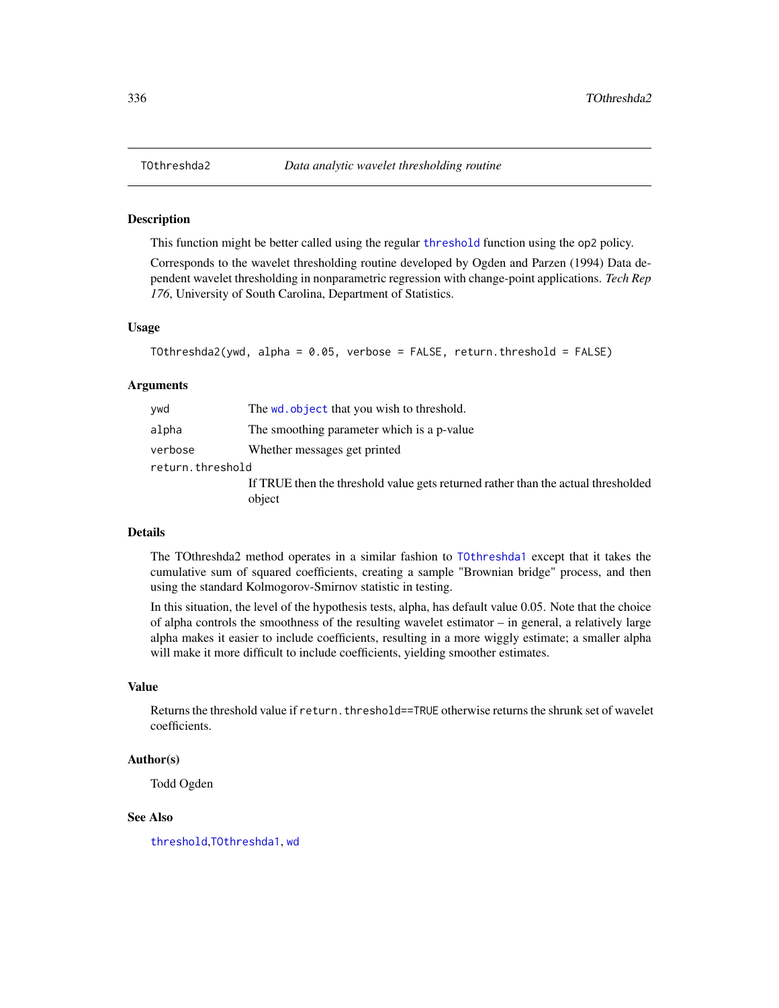This function might be better called using the regular [threshold](#page-307-0) function using the op2 policy.

Corresponds to the wavelet thresholding routine developed by Ogden and Parzen (1994) Data dependent wavelet thresholding in nonparametric regression with change-point applications. *Tech Rep 176*, University of South Carolina, Department of Statistics.

#### Usage

```
TOthreshda2(ywd, alpha = 0.05, verbose = FALSE, return.threshold = FALSE)
```
#### Arguments

| ywd              | The wd. object that you wish to threshold.                                                  |  |
|------------------|---------------------------------------------------------------------------------------------|--|
| alpha            | The smoothing parameter which is a p-value                                                  |  |
| verbose          | Whether messages get printed                                                                |  |
| return.threshold |                                                                                             |  |
|                  | If TRUE then the threshold value gets returned rather than the actual thresholded<br>object |  |

## Details

The TOthreshda2 method operates in a similar fashion to [TOthreshda1](#page-334-0) except that it takes the cumulative sum of squared coefficients, creating a sample "Brownian bridge" process, and then using the standard Kolmogorov-Smirnov statistic in testing.

In this situation, the level of the hypothesis tests, alpha, has default value 0.05. Note that the choice of alpha controls the smoothness of the resulting wavelet estimator – in general, a relatively large alpha makes it easier to include coefficients, resulting in a more wiggly estimate; a smaller alpha will make it more difficult to include coefficients, yielding smoother estimates.

## Value

Returns the threshold value if return.threshold==TRUE otherwise returns the shrunk set of wavelet coefficients.

## Author(s)

Todd Ogden

# See Also

[threshold](#page-307-0),[TOthreshda1](#page-334-0), [wd](#page-344-0)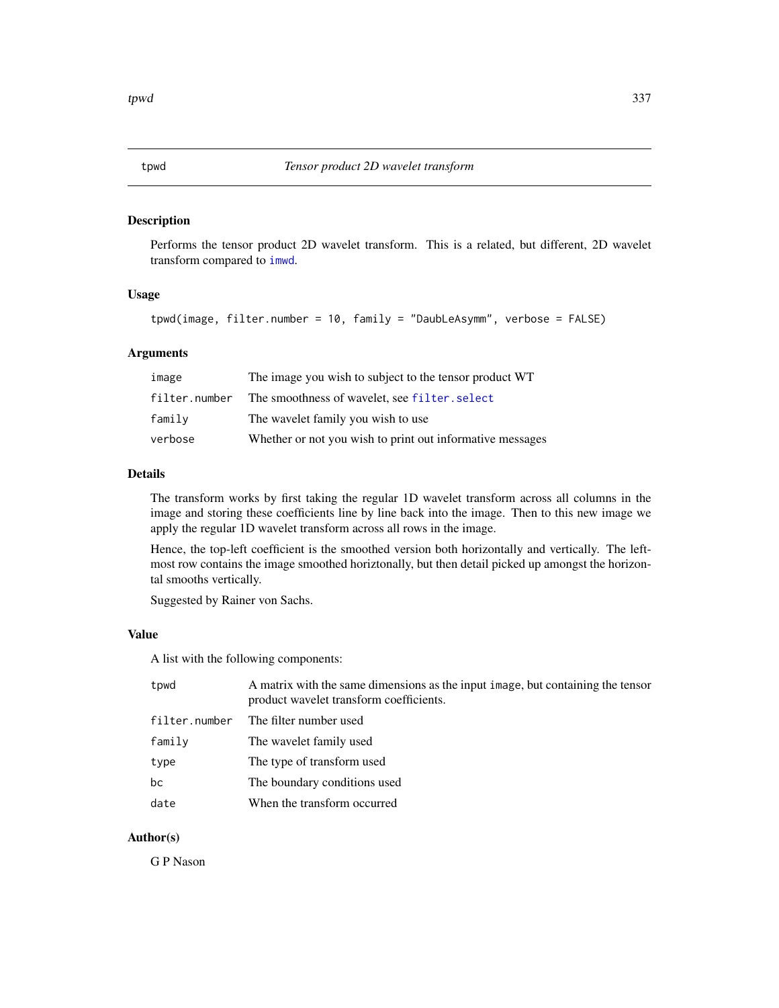<span id="page-336-0"></span>Performs the tensor product 2D wavelet transform. This is a related, but different, 2D wavelet transform compared to [imwd](#page-131-0).

#### Usage

```
tpwd(image, filter.number = 10, family = "DaubLeAsymm", verbose = FALSE)
```
# Arguments

| image         | The image you wish to subject to the tensor product WT    |
|---------------|-----------------------------------------------------------|
| filter.number | The smoothness of wavelet, see filter, select             |
| family        | The wavelet family you wish to use                        |
| verbose       | Whether or not you wish to print out informative messages |

#### Details

The transform works by first taking the regular 1D wavelet transform across all columns in the image and storing these coefficients line by line back into the image. Then to this new image we apply the regular 1D wavelet transform across all rows in the image.

Hence, the top-left coefficient is the smoothed version both horizontally and vertically. The leftmost row contains the image smoothed horiztonally, but then detail picked up amongst the horizontal smooths vertically.

Suggested by Rainer von Sachs.

#### Value

A list with the following components:

| tpwd          | A matrix with the same dimensions as the input image, but containing the tensor<br>product wavelet transform coefficients. |
|---------------|----------------------------------------------------------------------------------------------------------------------------|
| filter.number | The filter number used                                                                                                     |
| family        | The wavelet family used                                                                                                    |
| type          | The type of transform used                                                                                                 |
| bc            | The boundary conditions used                                                                                               |
| date          | When the transform occurred                                                                                                |

## Author(s)

G P Nason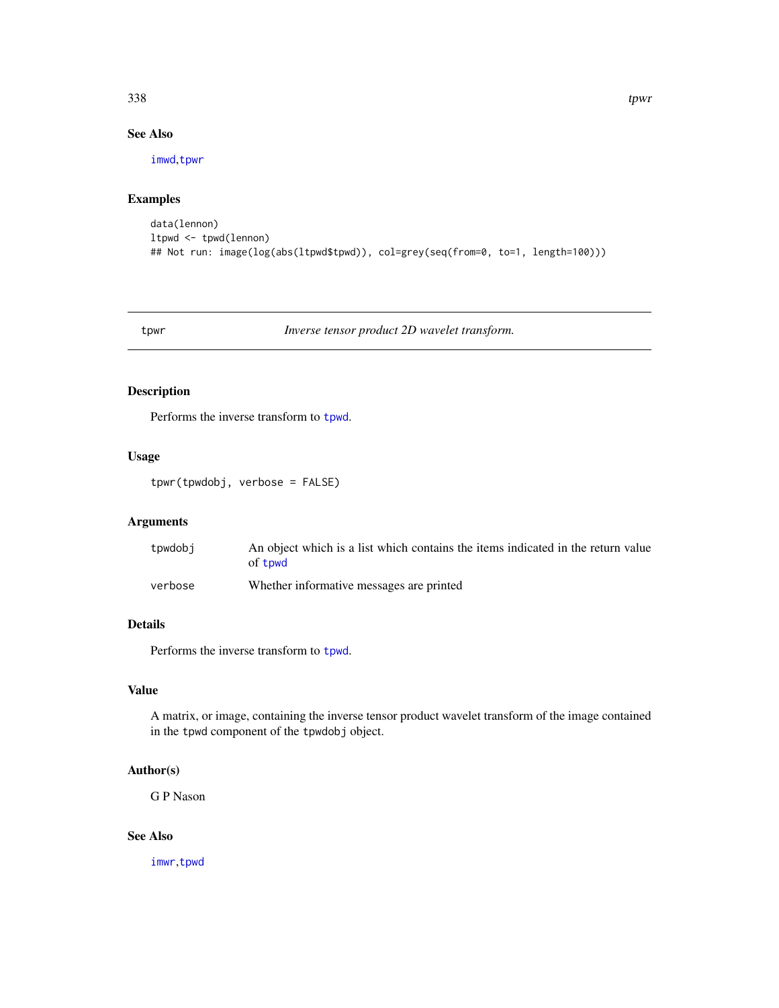# See Also

[imwd](#page-131-0),[tpwr](#page-337-0)

## Examples

```
data(lennon)
ltpwd <- tpwd(lennon)
## Not run: image(log(abs(ltpwd$tpwd)), col=grey(seq(from=0, to=1, length=100)))
```
<span id="page-337-0"></span>tpwr *Inverse tensor product 2D wavelet transform.*

## Description

Performs the inverse transform to [tpwd](#page-336-0).

## Usage

tpwr(tpwdobj, verbose = FALSE)

## Arguments

| tpwdobj | An object which is a list which contains the items indicated in the return value<br>of towd |
|---------|---------------------------------------------------------------------------------------------|
| verbose | Whether informative messages are printed                                                    |

## Details

Performs the inverse transform to [tpwd](#page-336-0).

## Value

A matrix, or image, containing the inverse tensor product wavelet transform of the image contained in the tpwd component of the tpwdobj object.

# Author(s)

G P Nason

## See Also

[imwr](#page-137-0),[tpwd](#page-336-0)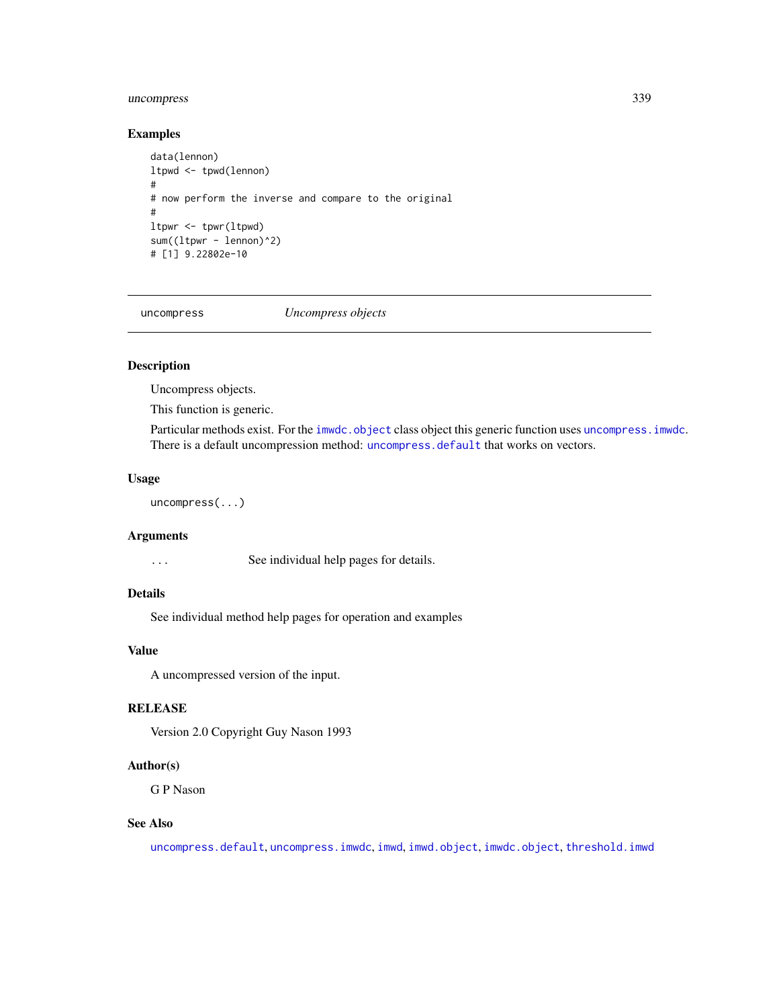## uncompress 339

## Examples

```
data(lennon)
ltpwd <- tpwd(lennon)
#
# now perform the inverse and compare to the original
#
ltpwr <- tpwr(ltpwd)
sum((ltpwr - lennon)^2)
# [1] 9.22802e-10
```
<span id="page-338-0"></span>

uncompress *Uncompress objects*

## Description

Uncompress objects.

This function is generic.

Particular methods exist. For the [imwdc.object](#page-134-0) class object this generic function uses [uncompress.imwdc](#page-340-0). There is a default uncompression method: [uncompress.default](#page-339-0) that works on vectors.

#### Usage

uncompress(...)

#### Arguments

... See individual help pages for details.

# Details

See individual method help pages for operation and examples

# Value

A uncompressed version of the input.

## RELEASE

Version 2.0 Copyright Guy Nason 1993

#### Author(s)

G P Nason

#### See Also

[uncompress.default](#page-339-0), [uncompress.imwdc](#page-340-0), [imwd](#page-131-0), [imwd.object](#page-133-0), [imwdc.object](#page-134-0), [threshold.imwd](#page-308-0)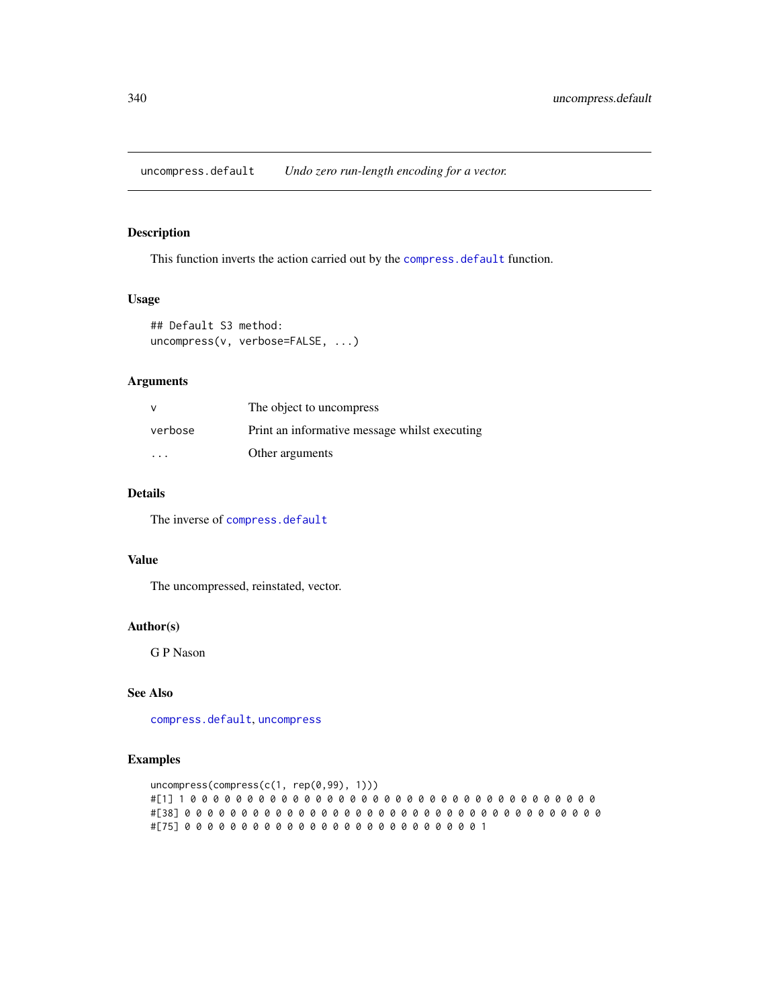<span id="page-339-0"></span>uncompress.default *Undo zero run-length encoding for a vector.*

## Description

This function inverts the action carried out by the [compress.default](#page-52-0) function.

#### Usage

```
## Default S3 method:
uncompress(v, verbose=FALSE, ...)
```
## Arguments

| v       | The object to uncompress                      |
|---------|-----------------------------------------------|
| verbose | Print an informative message whilst executing |
| .       | Other arguments                               |

# Details

The inverse of [compress.default](#page-52-0)

# Value

The uncompressed, reinstated, vector.

## Author(s)

G P Nason

# See Also

[compress.default](#page-52-0), [uncompress](#page-338-0)

## Examples

```
uncompress(compress(c(1, rep(0,99), 1)))
#[1] 1 0 0 0 0 0 0 0 0 0 0 0 0 0 0 0 0 0 0 0 0 0 0 0 0 0 0 0 0 0 0 0 0 0 0 0 0
#[38] 0 0 0 0 0 0 0 0 0 0 0 0 0 0 0 0 0 0 0 0 0 0 0 0 0 0 0 0 0 0 0 0 0 0 0 0 0
#[75] 0 0 0 0 0 0 0 0 0 0 0 0 0 0 0 0 0 0 0 0 0 0 0 0 0 0 1
```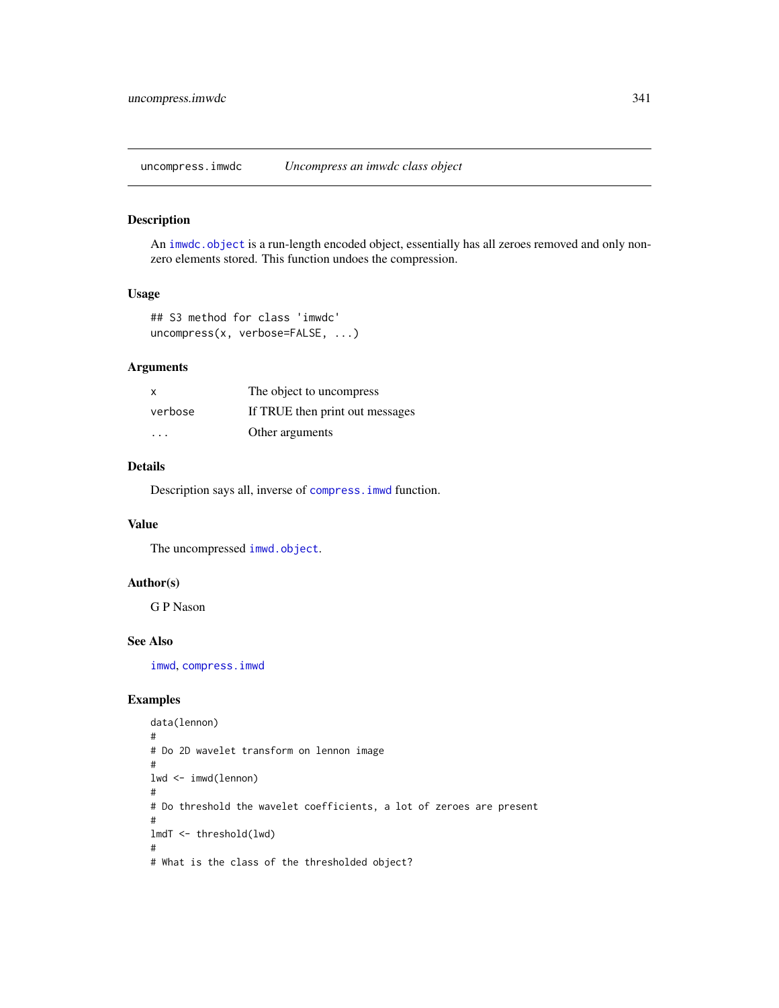<span id="page-340-0"></span>uncompress.imwdc *Uncompress an imwdc class object*

## Description

An [imwdc.object](#page-134-0) is a run-length encoded object, essentially has all zeroes removed and only nonzero elements stored. This function undoes the compression.

## Usage

```
## S3 method for class 'imwdc'
uncompress(x, verbose=FALSE, ...)
```
## Arguments

| х                       | The object to uncompress        |
|-------------------------|---------------------------------|
| verbose                 | If TRUE then print out messages |
| $\cdot$ $\cdot$ $\cdot$ | Other arguments                 |

## Details

Description says all, inverse of [compress.imwd](#page-53-0) function.

## Value

The uncompressed [imwd.object](#page-133-0).

# Author(s)

G P Nason

## See Also

[imwd](#page-131-0), [compress.imwd](#page-53-0)

## Examples

```
data(lennon)
#
# Do 2D wavelet transform on lennon image
#
lwd <- imwd(lennon)
#
# Do threshold the wavelet coefficients, a lot of zeroes are present
#
lmdT <- threshold(lwd)
#
# What is the class of the thresholded object?
```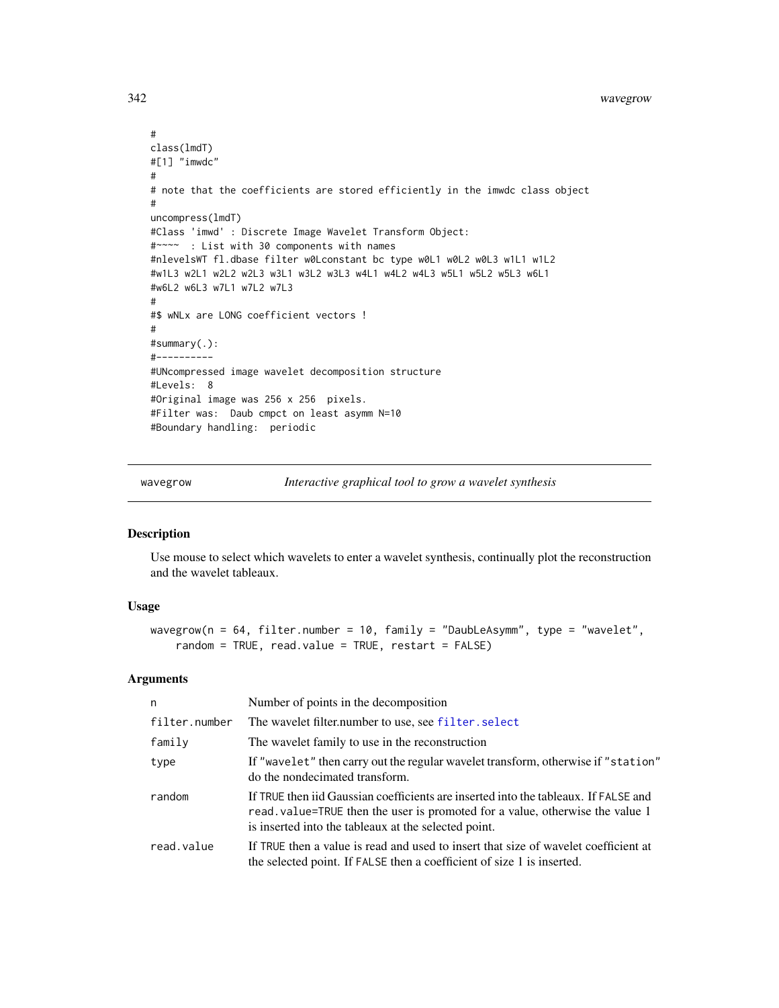```
#
class(lmdT)
#[1] "imwdc"
#
# note that the coefficients are stored efficiently in the imwdc class object
#
uncompress(lmdT)
#Class 'imwd' : Discrete Image Wavelet Transform Object:
#~~~~ : List with 30 components with names
#nlevelsWT fl.dbase filter w0Lconstant bc type w0L1 w0L2 w0L3 w1L1 w1L2
#w1L3 w2L1 w2L2 w2L3 w3L1 w3L2 w3L3 w4L1 w4L2 w4L3 w5L1 w5L2 w5L3 w6L1
#w6L2 w6L3 w7L1 w7L2 w7L3
#
#$ wNLx are LONG coefficient vectors !
#
#summary(.):
#----------
#UNcompressed image wavelet decomposition structure
#Levels: 8
#Original image was 256 x 256 pixels.
#Filter was: Daub cmpct on least asymm N=10
#Boundary handling: periodic
```
<span id="page-341-0"></span>wavegrow *Interactive graphical tool to grow a wavelet synthesis*

## Description

Use mouse to select which wavelets to enter a wavelet synthesis, continually plot the reconstruction and the wavelet tableaux.

#### Usage

```
wavegrow(n = 64, filter.number = 10, family = "DaubLeAsymm", type = "wavelet",
   random = TRUE, read.value = TRUE, restart = FALSE)
```
## Arguments

| n             | Number of points in the decomposition                                                                                                                                                                                        |
|---------------|------------------------------------------------------------------------------------------------------------------------------------------------------------------------------------------------------------------------------|
| filter.number | The wavelet filter.number to use, see filter.select                                                                                                                                                                          |
| family        | The wavelet family to use in the reconstruction                                                                                                                                                                              |
| type          | If "wavelet" then carry out the regular wavelet transform, otherwise if "station"<br>do the nondecimated transform.                                                                                                          |
| random        | If TRUE then iid Gaussian coefficients are inserted into the tableaux. If FALSE and<br>read. value=TRUE then the user is promoted for a value, otherwise the value 1<br>is inserted into the tableaux at the selected point. |
| read.value    | If TRUE then a value is read and used to insert that size of wavelet coefficient at<br>the selected point. If FALSE then a coefficient of size 1 is inserted.                                                                |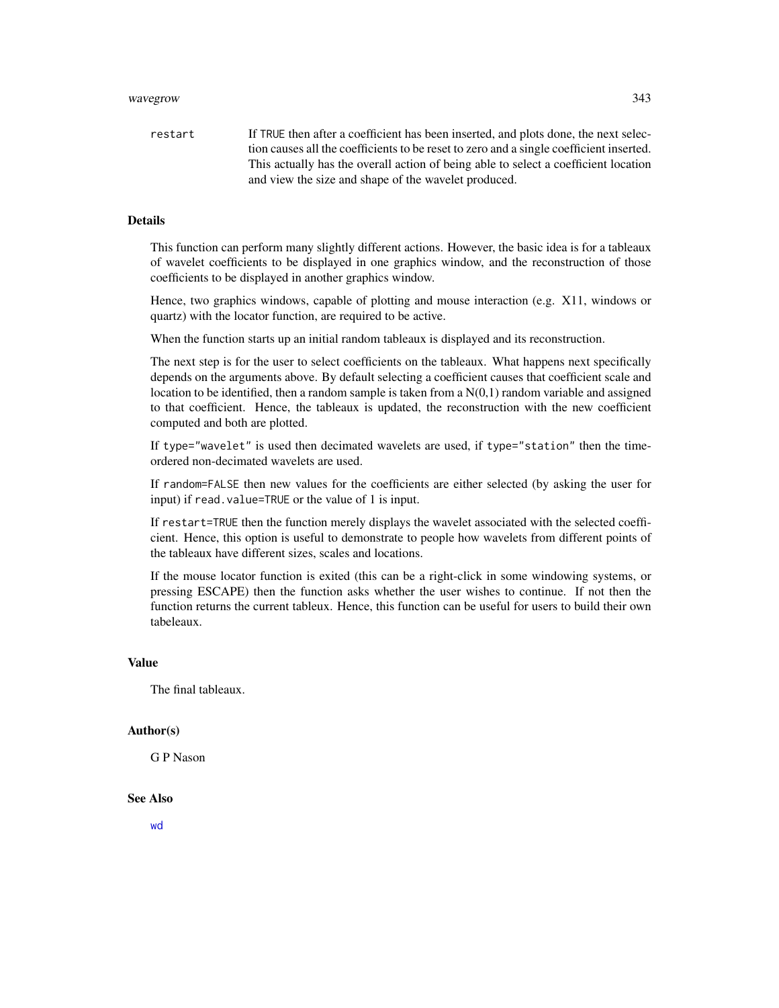#### wavegrow 343

restart If TRUE then after a coefficient has been inserted, and plots done, the next selection causes all the coefficients to be reset to zero and a single coefficient inserted. This actually has the overall action of being able to select a coefficient location and view the size and shape of the wavelet produced.

#### Details

This function can perform many slightly different actions. However, the basic idea is for a tableaux of wavelet coefficients to be displayed in one graphics window, and the reconstruction of those coefficients to be displayed in another graphics window.

Hence, two graphics windows, capable of plotting and mouse interaction (e.g. X11, windows or quartz) with the locator function, are required to be active.

When the function starts up an initial random tableaux is displayed and its reconstruction.

The next step is for the user to select coefficients on the tableaux. What happens next specifically depends on the arguments above. By default selecting a coefficient causes that coefficient scale and location to be identified, then a random sample is taken from a  $N(0,1)$  random variable and assigned to that coefficient. Hence, the tableaux is updated, the reconstruction with the new coefficient computed and both are plotted.

If type="wavelet" is used then decimated wavelets are used, if type="station" then the timeordered non-decimated wavelets are used.

If random=FALSE then new values for the coefficients are either selected (by asking the user for input) if read.value=TRUE or the value of 1 is input.

If restart=TRUE then the function merely displays the wavelet associated with the selected coefficient. Hence, this option is useful to demonstrate to people how wavelets from different points of the tableaux have different sizes, scales and locations.

If the mouse locator function is exited (this can be a right-click in some windowing systems, or pressing ESCAPE) then the function asks whether the user wishes to continue. If not then the function returns the current tableux. Hence, this function can be useful for users to build their own tabeleaux.

#### Value

The final tableaux.

#### Author(s)

G P Nason

## See Also

[wd](#page-344-0)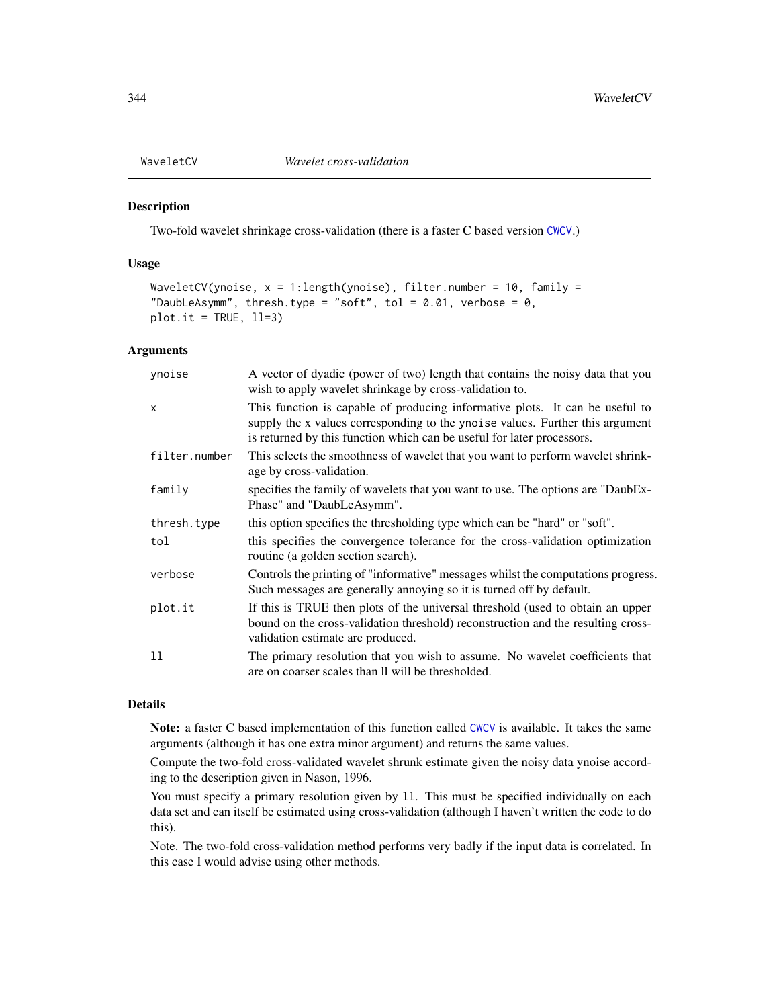Two-fold wavelet shrinkage cross-validation (there is a faster C based version [CWCV](#page-68-0).)

### Usage

```
WaveletCV(ynoise, x = 1:length(ynoise), filter.number = 10, family =
"DaubLeAsymm", thresh.type = "soft", tol = 0.01, verbose = 0,
plot.it = TRUE, 11=3)
```
### Arguments

| ynoise        | A vector of dyadic (power of two) length that contains the noisy data that you<br>wish to apply wavelet shrinkage by cross-validation to.                                                                                               |
|---------------|-----------------------------------------------------------------------------------------------------------------------------------------------------------------------------------------------------------------------------------------|
| $\mathsf{x}$  | This function is capable of producing informative plots. It can be useful to<br>supply the x values corresponding to the ynoise values. Further this argument<br>is returned by this function which can be useful for later processors. |
| filter.number | This selects the smoothness of wavelet that you want to perform wavelet shrink-<br>age by cross-validation.                                                                                                                             |
| family        | specifies the family of wavelets that you want to use. The options are "DaubEx-<br>Phase" and "DaubLeAsymm".                                                                                                                            |
| thresh.type   | this option specifies the thresholding type which can be "hard" or "soft".                                                                                                                                                              |
| tol           | this specifies the convergence tolerance for the cross-validation optimization<br>routine (a golden section search).                                                                                                                    |
| verbose       | Controls the printing of "informative" messages whilst the computations progress.<br>Such messages are generally annoying so it is turned off by default.                                                                               |
| plot.it       | If this is TRUE then plots of the universal threshold (used to obtain an upper<br>bound on the cross-validation threshold) reconstruction and the resulting cross-<br>validation estimate are produced.                                 |
| 11            | The primary resolution that you wish to assume. No wavelet coefficients that<br>are on coarser scales than Il will be thresholded.                                                                                                      |

### Details

Note: a faster C based implementation of this function called [CWCV](#page-68-0) is available. It takes the same arguments (although it has one extra minor argument) and returns the same values.

Compute the two-fold cross-validated wavelet shrunk estimate given the noisy data ynoise according to the description given in Nason, 1996.

You must specify a primary resolution given by ll. This must be specified individually on each data set and can itself be estimated using cross-validation (although I haven't written the code to do this).

Note. The two-fold cross-validation method performs very badly if the input data is correlated. In this case I would advise using other methods.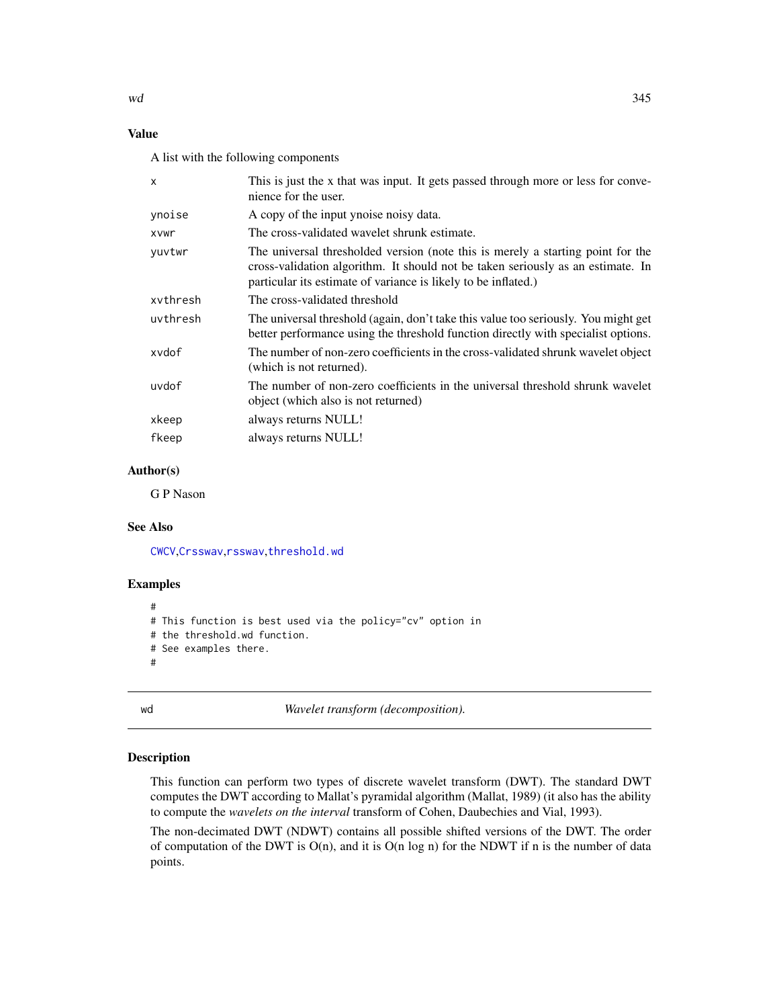## Value

A list with the following components

| X        | This is just the x that was input. It gets passed through more or less for conve-<br>nience for the user.                                                                                                                            |
|----------|--------------------------------------------------------------------------------------------------------------------------------------------------------------------------------------------------------------------------------------|
| ynoise   | A copy of the input ynoise noisy data.                                                                                                                                                                                               |
| xvwr     | The cross-validated wavelet shrunk estimate.                                                                                                                                                                                         |
| vuvtwr   | The universal thresholded version (note this is merely a starting point for the<br>cross-validation algorithm. It should not be taken seriously as an estimate. In<br>particular its estimate of variance is likely to be inflated.) |
| xvthresh | The cross-validated threshold                                                                                                                                                                                                        |
| uvthresh | The universal threshold (again, don't take this value too seriously. You might get<br>better performance using the threshold function directly with specialist options.                                                              |
| xvdof    | The number of non-zero coefficients in the cross-validated shrunk wavelet object<br>(which is not returned).                                                                                                                         |
| uvdof    | The number of non-zero coefficients in the universal threshold shrunk wavelet<br>object (which also is not returned)                                                                                                                 |
| xkeep    | always returns NULL!                                                                                                                                                                                                                 |
| fkeep    | always returns NULL!                                                                                                                                                                                                                 |
|          |                                                                                                                                                                                                                                      |

# Author(s)

G P Nason

#### See Also

[CWCV](#page-68-0),[Crsswav](#page-62-0),[rsswav](#page-288-0),[threshold.wd](#page-318-0)

#### Examples

```
#
# This function is best used via the policy="cv" option in
# the threshold.wd function.
# See examples there.
#
```
wd *Wavelet transform (decomposition).*

#### Description

This function can perform two types of discrete wavelet transform (DWT). The standard DWT computes the DWT according to Mallat's pyramidal algorithm (Mallat, 1989) (it also has the ability to compute the *wavelets on the interval* transform of Cohen, Daubechies and Vial, 1993).

The non-decimated DWT (NDWT) contains all possible shifted versions of the DWT. The order of computation of the DWT is  $O(n)$ , and it is  $O(n \log n)$  for the NDWT if n is the number of data points.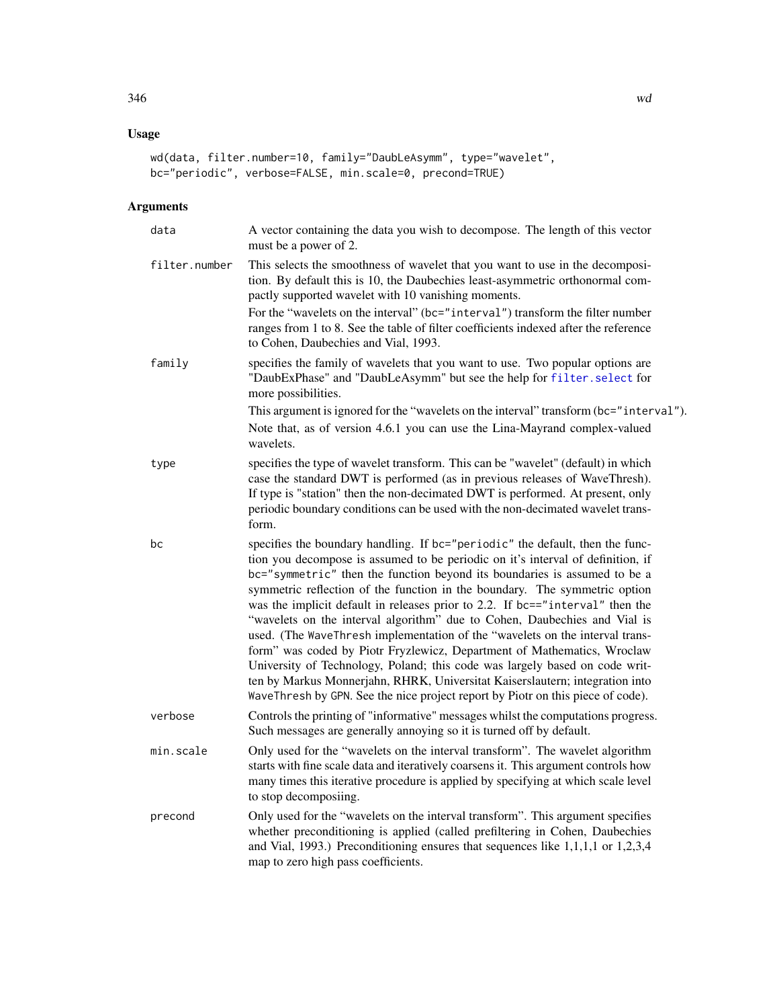# Usage

```
wd(data, filter.number=10, family="DaubLeAsymm", type="wavelet",
bc="periodic", verbose=FALSE, min.scale=0, precond=TRUE)
```
# Arguments

| data          | A vector containing the data you wish to decompose. The length of this vector<br>must be a power of 2.                                                                                                                                                                                                                                                                                                                                                                                                                                                                                                                                                                                                                                                                                                                                                                                                 |  |
|---------------|--------------------------------------------------------------------------------------------------------------------------------------------------------------------------------------------------------------------------------------------------------------------------------------------------------------------------------------------------------------------------------------------------------------------------------------------------------------------------------------------------------------------------------------------------------------------------------------------------------------------------------------------------------------------------------------------------------------------------------------------------------------------------------------------------------------------------------------------------------------------------------------------------------|--|
| filter.number | This selects the smoothness of wavelet that you want to use in the decomposi-<br>tion. By default this is 10, the Daubechies least-asymmetric orthonormal com-<br>pactly supported wavelet with 10 vanishing moments.<br>For the "wavelets on the interval" (bc="interval") transform the filter number                                                                                                                                                                                                                                                                                                                                                                                                                                                                                                                                                                                                |  |
|               | ranges from 1 to 8. See the table of filter coefficients indexed after the reference<br>to Cohen, Daubechies and Vial, 1993.                                                                                                                                                                                                                                                                                                                                                                                                                                                                                                                                                                                                                                                                                                                                                                           |  |
| family        | specifies the family of wavelets that you want to use. Two popular options are<br>"DaubExPhase" and "DaubLeAsymm" but see the help for filter. select for<br>more possibilities.                                                                                                                                                                                                                                                                                                                                                                                                                                                                                                                                                                                                                                                                                                                       |  |
|               | This argument is ignored for the "wavelets on the interval" transform (bc="interval").<br>Note that, as of version 4.6.1 you can use the Lina-Mayrand complex-valued<br>wavelets.                                                                                                                                                                                                                                                                                                                                                                                                                                                                                                                                                                                                                                                                                                                      |  |
| type          | specifies the type of wavelet transform. This can be "wavelet" (default) in which<br>case the standard DWT is performed (as in previous releases of WaveThresh).<br>If type is "station" then the non-decimated DWT is performed. At present, only<br>periodic boundary conditions can be used with the non-decimated wavelet trans-<br>form.                                                                                                                                                                                                                                                                                                                                                                                                                                                                                                                                                          |  |
| bc            | specifies the boundary handling. If bc="periodic" the default, then the func-<br>tion you decompose is assumed to be periodic on it's interval of definition, if<br>bc="symmetric" then the function beyond its boundaries is assumed to be a<br>symmetric reflection of the function in the boundary. The symmetric option<br>was the implicit default in releases prior to 2.2. If bc=="interval" then the<br>"wavelets on the interval algorithm" due to Cohen, Daubechies and Vial is<br>used. (The WaveThresh implementation of the "wavelets on the interval trans-<br>form" was coded by Piotr Fryzlewicz, Department of Mathematics, Wroclaw<br>University of Technology, Poland; this code was largely based on code writ-<br>ten by Markus Monnerjahn, RHRK, Universitat Kaiserslautern; integration into<br>WaveThresh by GPN. See the nice project report by Piotr on this piece of code). |  |
| verbose       | Controls the printing of "informative" messages whilst the computations progress.<br>Such messages are generally annoying so it is turned off by default.                                                                                                                                                                                                                                                                                                                                                                                                                                                                                                                                                                                                                                                                                                                                              |  |
| min.scale     | Only used for the "wavelets on the interval transform". The wavelet algorithm<br>starts with fine scale data and iteratively coarsens it. This argument controls how<br>many times this iterative procedure is applied by specifying at which scale level<br>to stop decomposiing.                                                                                                                                                                                                                                                                                                                                                                                                                                                                                                                                                                                                                     |  |
| precond       | Only used for the "wavelets on the interval transform". This argument specifies<br>whether preconditioning is applied (called prefiltering in Cohen, Daubechies<br>and Vial, 1993.) Preconditioning ensures that sequences like 1,1,1,1 or 1,2,3,4<br>map to zero high pass coefficients.                                                                                                                                                                                                                                                                                                                                                                                                                                                                                                                                                                                                              |  |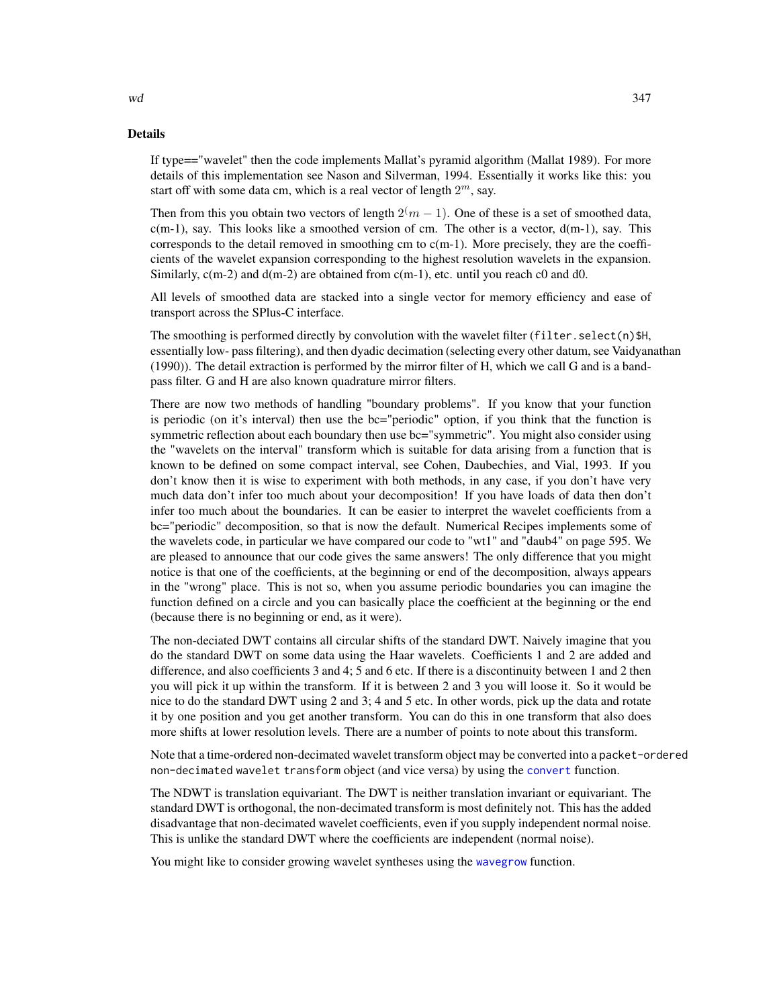#### Details

If type=="wavelet" then the code implements Mallat's pyramid algorithm (Mallat 1989). For more details of this implementation see Nason and Silverman, 1994. Essentially it works like this: you start off with some data cm, which is a real vector of length  $2^m$ , say.

Then from this you obtain two vectors of length  $2(m - 1)$ . One of these is a set of smoothed data,  $c(m-1)$ , say. This looks like a smoothed version of cm. The other is a vector,  $d(m-1)$ , say. This corresponds to the detail removed in smoothing cm to c(m-1). More precisely, they are the coefficients of the wavelet expansion corresponding to the highest resolution wavelets in the expansion. Similarly,  $c(m-2)$  and  $d(m-2)$  are obtained from  $c(m-1)$ , etc. until you reach c0 and d0.

All levels of smoothed data are stacked into a single vector for memory efficiency and ease of transport across the SPlus-C interface.

The smoothing is performed directly by convolution with the wavelet filter (filter.select(n) $$H$ , essentially low- pass filtering), and then dyadic decimation (selecting every other datum, see Vaidyanathan (1990)). The detail extraction is performed by the mirror filter of H, which we call G and is a bandpass filter. G and H are also known quadrature mirror filters.

There are now two methods of handling "boundary problems". If you know that your function is periodic (on it's interval) then use the bc="periodic" option, if you think that the function is symmetric reflection about each boundary then use bc="symmetric". You might also consider using the "wavelets on the interval" transform which is suitable for data arising from a function that is known to be defined on some compact interval, see Cohen, Daubechies, and Vial, 1993. If you don't know then it is wise to experiment with both methods, in any case, if you don't have very much data don't infer too much about your decomposition! If you have loads of data then don't infer too much about the boundaries. It can be easier to interpret the wavelet coefficients from a bc="periodic" decomposition, so that is now the default. Numerical Recipes implements some of the wavelets code, in particular we have compared our code to "wt1" and "daub4" on page 595. We are pleased to announce that our code gives the same answers! The only difference that you might notice is that one of the coefficients, at the beginning or end of the decomposition, always appears in the "wrong" place. This is not so, when you assume periodic boundaries you can imagine the function defined on a circle and you can basically place the coefficient at the beginning or the end (because there is no beginning or end, as it were).

The non-deciated DWT contains all circular shifts of the standard DWT. Naively imagine that you do the standard DWT on some data using the Haar wavelets. Coefficients 1 and 2 are added and difference, and also coefficients 3 and 4; 5 and 6 etc. If there is a discontinuity between 1 and 2 then you will pick it up within the transform. If it is between 2 and 3 you will loose it. So it would be nice to do the standard DWT using 2 and 3; 4 and 5 etc. In other words, pick up the data and rotate it by one position and you get another transform. You can do this in one transform that also does more shifts at lower resolution levels. There are a number of points to note about this transform.

Note that a time-ordered non-decimated wavelet transform object may be converted into a packet-ordered non-decimated wavelet transform object (and vice versa) by using the [convert](#page-56-0) function.

The NDWT is translation equivariant. The DWT is neither translation invariant or equivariant. The standard DWT is orthogonal, the non-decimated transform is most definitely not. This has the added disadvantage that non-decimated wavelet coefficients, even if you supply independent normal noise. This is unlike the standard DWT where the coefficients are independent (normal noise).

You might like to consider growing wavelet syntheses using the [wavegrow](#page-341-0) function.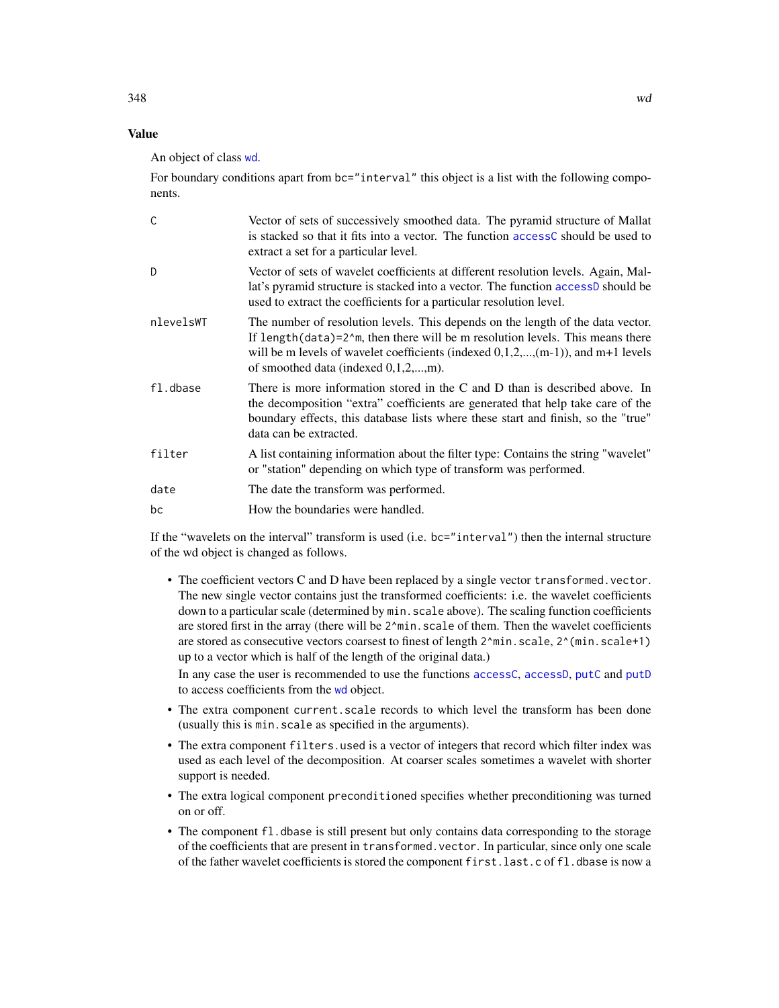## Value

An object of class [wd](#page-344-0).

For boundary conditions apart from  $bc="interval"$  this object is a list with the following components.

| C         | Vector of sets of successively smoothed data. The pyramid structure of Mallat<br>is stacked so that it fits into a vector. The function access C should be used to<br>extract a set for a particular level.                                                                                               |
|-----------|-----------------------------------------------------------------------------------------------------------------------------------------------------------------------------------------------------------------------------------------------------------------------------------------------------------|
| D.        | Vector of sets of wavelet coefficients at different resolution levels. Again, Mal-<br>lat's pyramid structure is stacked into a vector. The function accessD should be<br>used to extract the coefficients for a particular resolution level.                                                             |
| nlevelsWT | The number of resolution levels. This depends on the length of the data vector.<br>If length $(data)=2^m$ , then there will be m resolution levels. This means there<br>will be m levels of wavelet coefficients (indexed $(0,1,2,,(m-1))$ ), and $m+1$ levels<br>of smoothed data (indexed $0,1,2,,m$ ). |
| fl.dbase  | There is more information stored in the C and D than is described above. In<br>the decomposition "extra" coefficients are generated that help take care of the<br>boundary effects, this database lists where these start and finish, so the "true"<br>data can be extracted.                             |
| filter    | A list containing information about the filter type: Contains the string "wavelet"<br>or "station" depending on which type of transform was performed.                                                                                                                                                    |
| date      | The date the transform was performed.                                                                                                                                                                                                                                                                     |
| bc        | How the boundaries were handled.                                                                                                                                                                                                                                                                          |

If the "wavelets on the interval" transform is used (i.e. bc="interval") then the internal structure of the wd object is changed as follows.

• The coefficient vectors C and D have been replaced by a single vector transformed.vector. The new single vector contains just the transformed coefficients: i.e. the wavelet coefficients down to a particular scale (determined by min.scale above). The scaling function coefficients are stored first in the array (there will be 2^min. scale of them. Then the wavelet coefficients are stored as consecutive vectors coarsest to finest of length 2^min.scale, 2^(min.scale+1) up to a vector which is half of the length of the original data.)

In any case the user is recommended to use the functions [accessC](#page-7-0), [accessD](#page-14-0), [putC](#page-255-0) and [putD](#page-263-0) to access coefficients from the [wd](#page-344-0) object.

- The extra component current. scale records to which level the transform has been done (usually this is min.scale as specified in the arguments).
- The extra component filters.used is a vector of integers that record which filter index was used as each level of the decomposition. At coarser scales sometimes a wavelet with shorter support is needed.
- The extra logical component preconditioned specifies whether preconditioning was turned on or off.
- The component fl.dbase is still present but only contains data corresponding to the storage of the coefficients that are present in transformed.vector. In particular, since only one scale of the father wavelet coefficients is stored the component first.last.c of fl.dbase is now a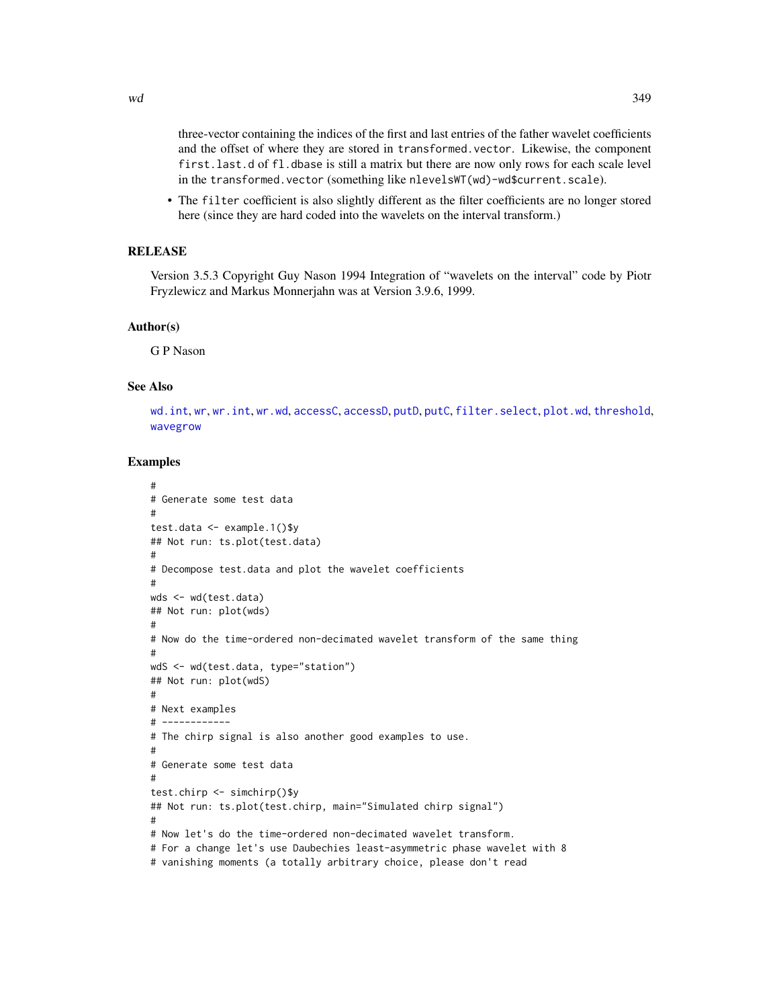$wd$  349

three-vector containing the indices of the first and last entries of the father wavelet coefficients and the offset of where they are stored in transformed.vector. Likewise, the component first.last.d of fl.dbase is still a matrix but there are now only rows for each scale level in the transformed.vector (something like nlevelsWT(wd)-wd\$current.scale).

• The filter coefficient is also slightly different as the filter coefficients are no longer stored here (since they are hard coded into the wavelets on the interval transform.)

# RELEASE

Version 3.5.3 Copyright Guy Nason 1994 Integration of "wavelets on the interval" code by Piotr Fryzlewicz and Markus Monnerjahn was at Version 3.9.6, 1999.

### Author(s)

G P Nason

## See Also

[wd.int](#page-350-0), [wr](#page-365-0), [wr.int](#page-366-0), [wr.wd](#page-368-0), [accessC](#page-7-0), [accessD](#page-14-0), [putD](#page-263-0), [putC](#page-255-0), [filter.select](#page-98-0), [plot.wd](#page-215-0), [threshold](#page-307-0), [wavegrow](#page-341-0)

## Examples

```
#
# Generate some test data
#
test.data <- example.1()$y
## Not run: ts.plot(test.data)
#
# Decompose test.data and plot the wavelet coefficients
#
wds <- wd(test.data)
## Not run: plot(wds)
#
# Now do the time-ordered non-decimated wavelet transform of the same thing
#
wdS <- wd(test.data, type="station")
## Not run: plot(wdS)
#
# Next examples
# ------------
# The chirp signal is also another good examples to use.
#
# Generate some test data
#
test.chirp <- simchirp()$y
## Not run: ts.plot(test.chirp, main="Simulated chirp signal")
#
# Now let's do the time-ordered non-decimated wavelet transform.
# For a change let's use Daubechies least-asymmetric phase wavelet with 8
# vanishing moments (a totally arbitrary choice, please don't read
```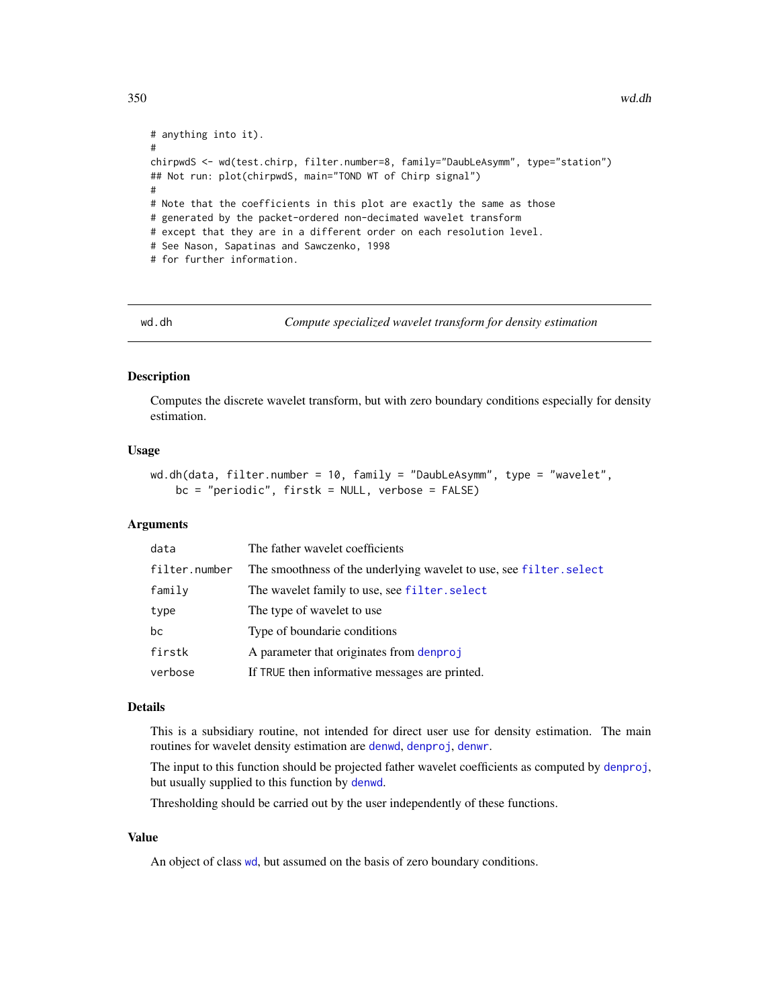```
# anything into it).
#
chirpwdS <- wd(test.chirp, filter.number=8, family="DaubLeAsymm", type="station")
## Not run: plot(chirpwdS, main="TOND WT of Chirp signal")
#
# Note that the coefficients in this plot are exactly the same as those
# generated by the packet-ordered non-decimated wavelet transform
# except that they are in a different order on each resolution level.
# See Nason, Sapatinas and Sawczenko, 1998
# for further information.
```
wd.dh *Compute specialized wavelet transform for density estimation*

## **Description**

Computes the discrete wavelet transform, but with zero boundary conditions especially for density estimation.

#### Usage

```
wd.dh(data, filter.number = 10, family = "DaubLeAsymm", type = "wavelet",
   bc = "periodic", firstk = NULL, verbose = FALSE)
```
## Arguments

| data          | The father wavelet coefficients                                     |
|---------------|---------------------------------------------------------------------|
| filter.number | The smoothness of the underlying wavelet to use, see filter. select |
| family        | The wavelet family to use, see filter. select                       |
| type          | The type of wavelet to use                                          |
| bc            | Type of boundarie conditions                                        |
| firstk        | A parameter that originates from denproj                            |
| verbose       | If TRUE then informative messages are printed.                      |

## Details

This is a subsidiary routine, not intended for direct user use for density estimation. The main routines for wavelet density estimation are [denwd](#page-75-0), [denproj](#page-73-0), [denwr](#page-76-0).

The input to this function should be projected father wavelet coefficients as computed by [denproj](#page-73-0), but usually supplied to this function by [denwd](#page-75-0).

Thresholding should be carried out by the user independently of these functions.

#### Value

An object of class [wd](#page-344-0), but assumed on the basis of zero boundary conditions.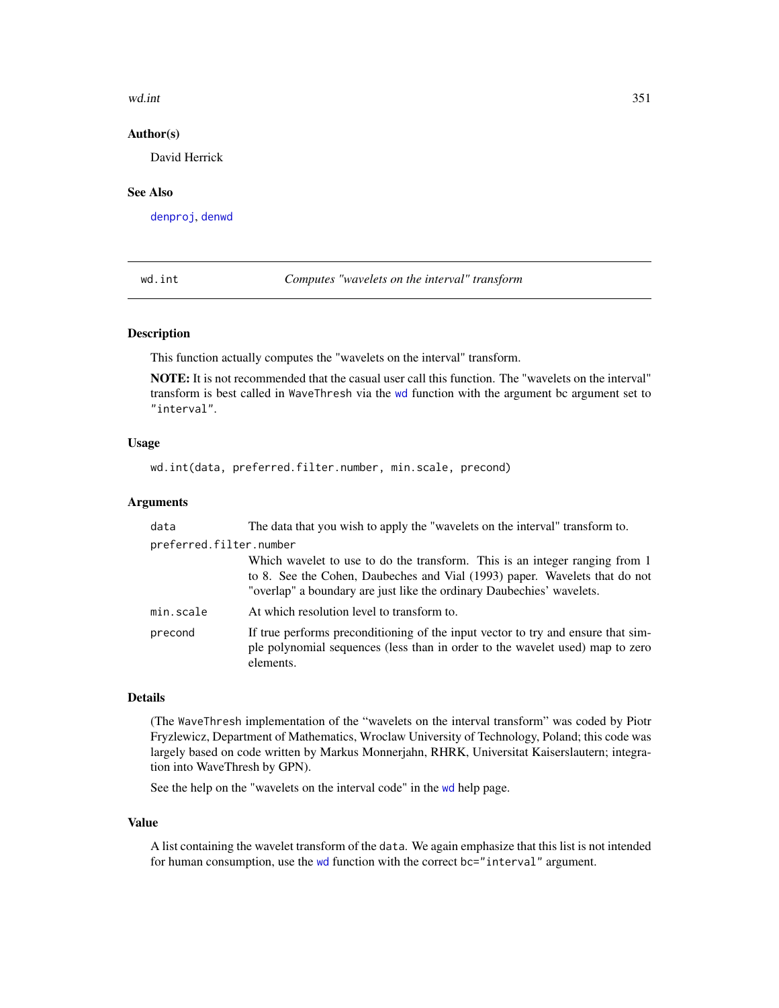#### wd.int 351

### Author(s)

David Herrick

# See Also

[denproj](#page-73-0), [denwd](#page-75-0)

<span id="page-350-0"></span>wd.int *Computes "wavelets on the interval" transform*

#### Description

This function actually computes the "wavelets on the interval" transform.

NOTE: It is not recommended that the casual user call this function. The "wavelets on the interval" transform is best called in WaveThresh via the [wd](#page-344-0) function with the argument bc argument set to "interval".

### Usage

```
wd.int(data, preferred.filter.number, min.scale, precond)
```
## **Arguments**

| data                    | The data that you wish to apply the "wavelets on the interval" transform to.                                                                                                                                                       |  |
|-------------------------|------------------------------------------------------------------------------------------------------------------------------------------------------------------------------------------------------------------------------------|--|
| preferred.filter.number |                                                                                                                                                                                                                                    |  |
|                         | Which wavelet to use to do the transform. This is an integer ranging from 1<br>to 8. See the Cohen, Daubeches and Vial (1993) paper. Wavelets that do not<br>"overlap" a boundary are just like the ordinary Daubechies' wavelets. |  |
| min.scale               | At which resolution level to transform to.                                                                                                                                                                                         |  |
| precond                 | If true performs preconditioning of the input vector to try and ensure that sim-<br>ple polynomial sequences (less than in order to the wavelet used) map to zero<br>elements.                                                     |  |

# Details

(The WaveThresh implementation of the "wavelets on the interval transform" was coded by Piotr Fryzlewicz, Department of Mathematics, Wroclaw University of Technology, Poland; this code was largely based on code written by Markus Monnerjahn, RHRK, Universitat Kaiserslautern; integration into WaveThresh by GPN).

See the help on the "wavelets on the interval code" in the [wd](#page-344-0) help page.

#### Value

A list containing the wavelet transform of the data. We again emphasize that this list is not intended for human consumption, use the [wd](#page-344-0) function with the correct bc="interval" argument.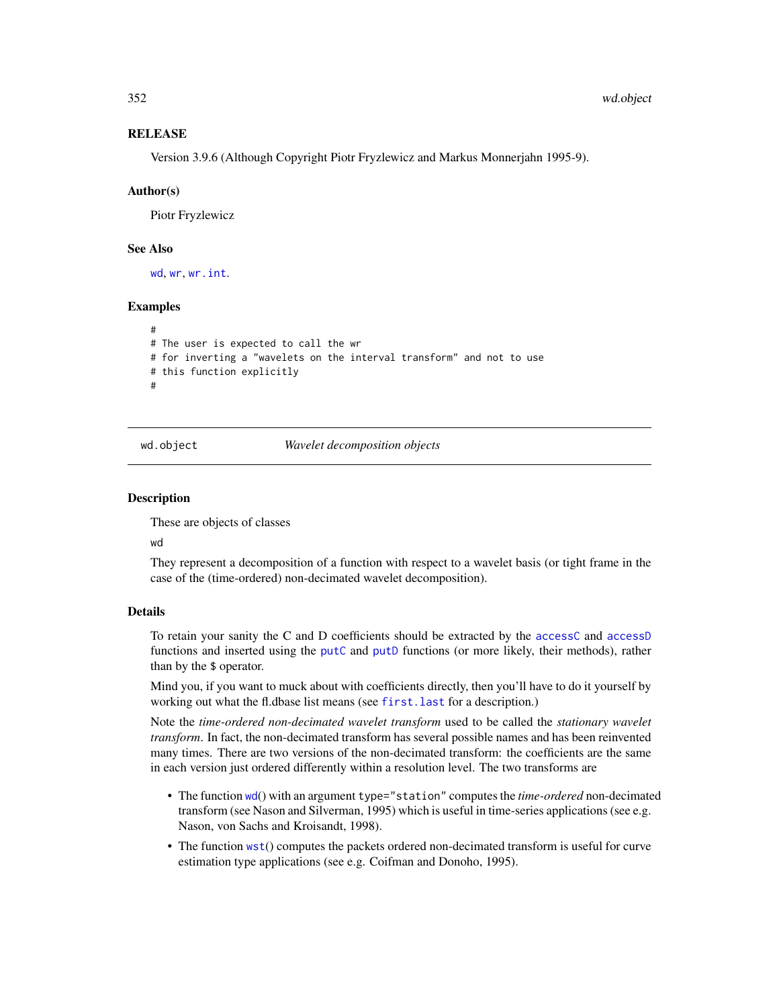## **RELEASE**

Version 3.9.6 (Although Copyright Piotr Fryzlewicz and Markus Monnerjahn 1995-9).

#### Author(s)

Piotr Fryzlewicz

## See Also

[wd](#page-344-0), [wr](#page-365-0), [wr.int](#page-366-0).

## Examples

```
#
# The user is expected to call the wr
# for inverting a "wavelets on the interval transform" and not to use
# this function explicitly
#
```
<span id="page-351-0"></span>

#### wd.object *Wavelet decomposition objects*

#### Description

These are objects of classes

wd

They represent a decomposition of a function with respect to a wavelet basis (or tight frame in the case of the (time-ordered) non-decimated wavelet decomposition).

#### Details

To retain your sanity the C and D coefficients should be extracted by the [accessC](#page-7-0) and [accessD](#page-14-0) functions and inserted using the [putC](#page-255-0) and [putD](#page-263-0) functions (or more likely, their methods), rather than by the \$ operator.

Mind you, if you want to muck about with coefficients directly, then you'll have to do it yourself by working out what the fl.dbase list means (see first. last for a description.)

Note the *time-ordered non-decimated wavelet transform* used to be called the *stationary wavelet transform*. In fact, the non-decimated transform has several possible names and has been reinvented many times. There are two versions of the non-decimated transform: the coefficients are the same in each version just ordered differently within a resolution level. The two transforms are

- The function [wd](#page-344-0)() with an argument type="station" computes the *time-ordered* non-decimated transform (see Nason and Silverman, 1995) which is useful in time-series applications (see e.g. Nason, von Sachs and Kroisandt, 1998).
- The function [wst](#page-371-0)() computes the packets ordered non-decimated transform is useful for curve estimation type applications (see e.g. Coifman and Donoho, 1995).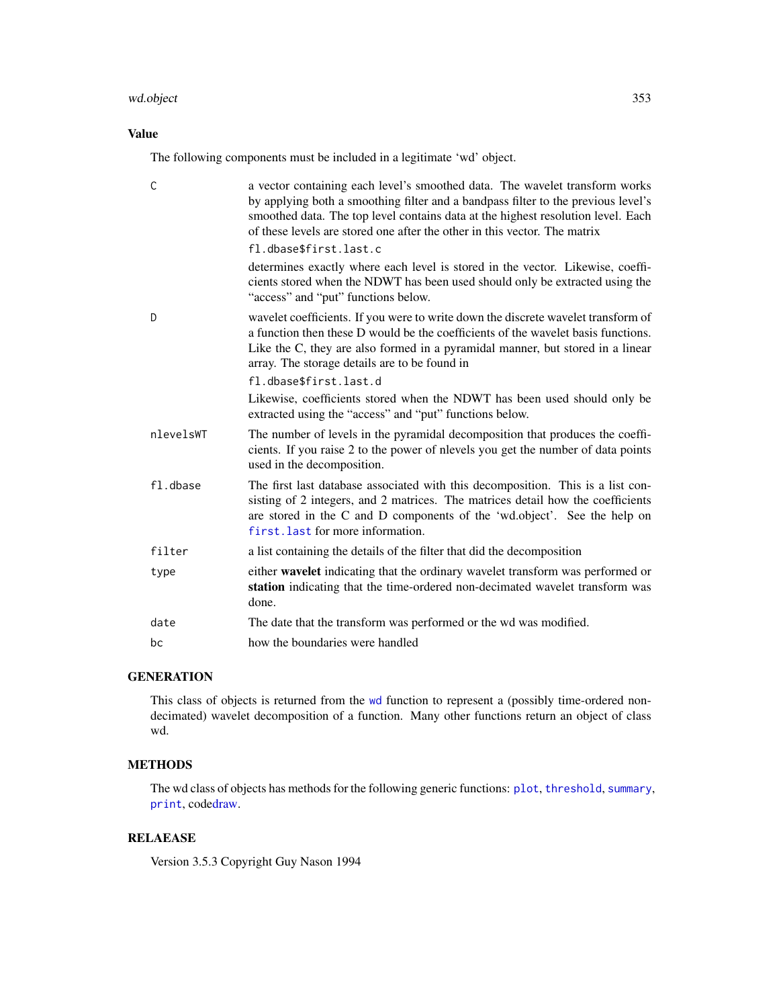#### wd.object 353

## Value

The following components must be included in a legitimate 'wd' object.

| $\mathsf{C}$ | a vector containing each level's smoothed data. The wavelet transform works<br>by applying both a smoothing filter and a bandpass filter to the previous level's<br>smoothed data. The top level contains data at the highest resolution level. Each<br>of these levels are stored one after the other in this vector. The matrix   |
|--------------|-------------------------------------------------------------------------------------------------------------------------------------------------------------------------------------------------------------------------------------------------------------------------------------------------------------------------------------|
|              | fl.dbase\$first.last.c                                                                                                                                                                                                                                                                                                              |
|              | determines exactly where each level is stored in the vector. Likewise, coeffi-<br>cients stored when the NDWT has been used should only be extracted using the<br>"access" and "put" functions below.                                                                                                                               |
| D            | wavelet coefficients. If you were to write down the discrete wavelet transform of<br>a function then these D would be the coefficients of the wavelet basis functions.<br>Like the C, they are also formed in a pyramidal manner, but stored in a linear<br>array. The storage details are to be found in<br>fl.dbase\$first.last.d |
|              | Likewise, coefficients stored when the NDWT has been used should only be<br>extracted using the "access" and "put" functions below.                                                                                                                                                                                                 |
| nlevelsWT    | The number of levels in the pyramidal decomposition that produces the coeffi-<br>cients. If you raise 2 to the power of nlevels you get the number of data points<br>used in the decomposition.                                                                                                                                     |
| fl.dbase     | The first last database associated with this decomposition. This is a list con-<br>sisting of 2 integers, and 2 matrices. The matrices detail how the coefficients<br>are stored in the C and D components of the 'wd.object'. See the help on<br>first. last for more information.                                                 |
| filter       | a list containing the details of the filter that did the decomposition                                                                                                                                                                                                                                                              |
| type         | either wavelet indicating that the ordinary wavelet transform was performed or<br>station indicating that the time-ordered non-decimated wavelet transform was<br>done.                                                                                                                                                             |
| date         | The date that the transform was performed or the wd was modified.                                                                                                                                                                                                                                                                   |
| bc           | how the boundaries were handled                                                                                                                                                                                                                                                                                                     |

# **GENERATION**

This class of objects is returned from the [wd](#page-344-0) function to represent a (possibly time-ordered nondecimated) wavelet decomposition of a function. Many other functions return an object of class wd.

# METHODS

The wd class of objects has methods for the following generic functions: [plot](#page-0-0), [threshold](#page-307-0), [summary](#page-0-0), [print](#page-0-0), cod[edraw.](#page-80-0)

## RELAEASE

Version 3.5.3 Copyright Guy Nason 1994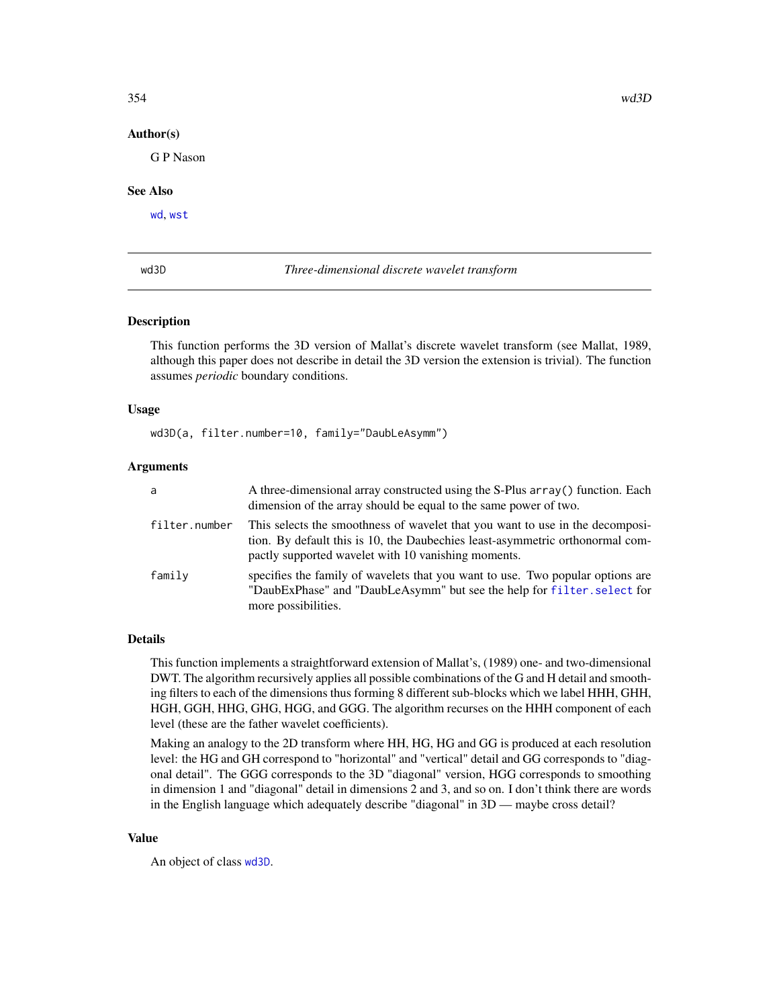## Author(s)

G P Nason

## See Also

[wd](#page-344-0), [wst](#page-371-0)

<span id="page-353-0"></span>wd3D *Three-dimensional discrete wavelet transform*

#### Description

This function performs the 3D version of Mallat's discrete wavelet transform (see Mallat, 1989, although this paper does not describe in detail the 3D version the extension is trivial). The function assumes *periodic* boundary conditions.

#### Usage

wd3D(a, filter.number=10, family="DaubLeAsymm")

#### Arguments

| a             | A three-dimensional array constructed using the S-Plus array () function. Each<br>dimension of the array should be equal to the same power of two.                                                                    |
|---------------|-----------------------------------------------------------------------------------------------------------------------------------------------------------------------------------------------------------------------|
| filter.number | This selects the smoothness of wavelet that you want to use in the decomposi-<br>tion. By default this is 10, the Daubechies least-asymmetric orthonormal com-<br>pactly supported wavelet with 10 vanishing moments. |
| family        | specifies the family of wavelets that you want to use. Two popular options are<br>"DaubExPhase" and "DaubLeAsymm" but see the help for filter, select for<br>more possibilities.                                      |

## Details

This function implements a straightforward extension of Mallat's, (1989) one- and two-dimensional DWT. The algorithm recursively applies all possible combinations of the G and H detail and smoothing filters to each of the dimensions thus forming 8 different sub-blocks which we label HHH, GHH, HGH, GGH, HHG, GHG, HGG, and GGG. The algorithm recurses on the HHH component of each level (these are the father wavelet coefficients).

Making an analogy to the 2D transform where HH, HG, HG and GG is produced at each resolution level: the HG and GH correspond to "horizontal" and "vertical" detail and GG corresponds to "diagonal detail". The GGG corresponds to the 3D "diagonal" version, HGG corresponds to smoothing in dimension 1 and "diagonal" detail in dimensions 2 and 3, and so on. I don't think there are words in the English language which adequately describe "diagonal" in 3D — maybe cross detail?

#### Value

An object of class [wd3D](#page-353-0).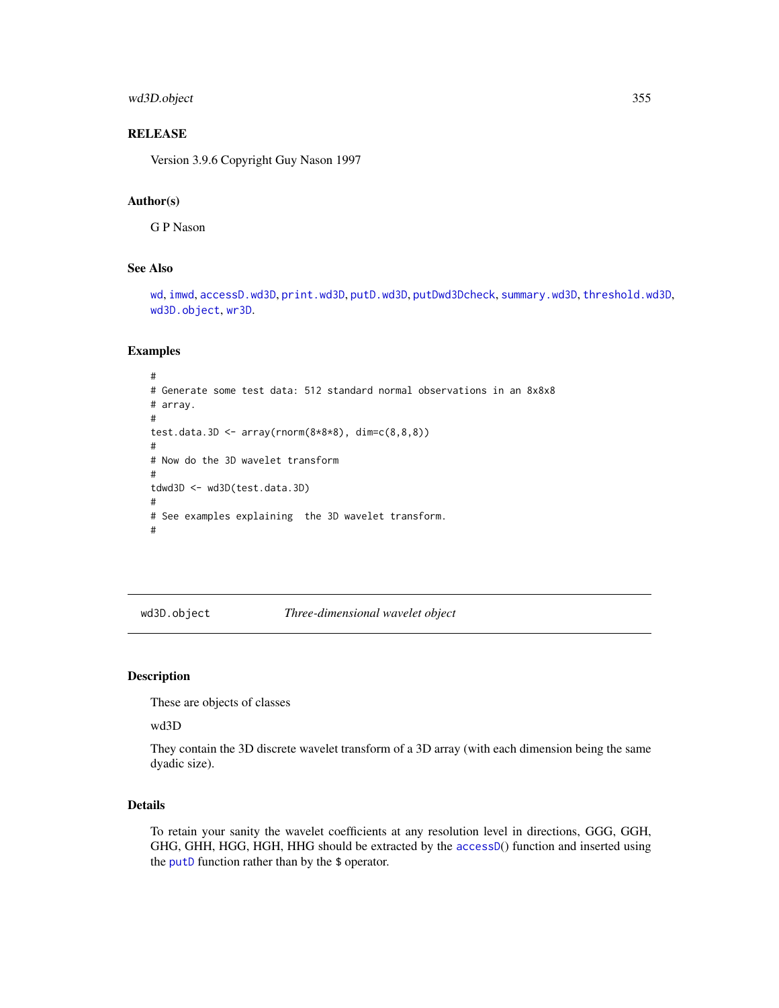## wd3D.object 355

## **RELEASE**

Version 3.9.6 Copyright Guy Nason 1997

#### Author(s)

G P Nason

#### See Also

[wd](#page-344-0), [imwd](#page-131-0), [accessD.wd3D](#page-18-0), [print.wd3D](#page-238-0), [putD.wd3D](#page-268-0), [putDwd3Dcheck](#page-272-0), [summary.wd3D](#page-298-0), [threshold.wd3D](#page-323-0), [wd3D.object](#page-354-0), [wr3D](#page-370-0).

## Examples

```
#
# Generate some test data: 512 standard normal observations in an 8x8x8
# array.
#
test.data.3D <- array(rnorm(8*8*8), dim=c(8,8,8))#
# Now do the 3D wavelet transform
#
tdwd3D <- wd3D(test.data.3D)
#
# See examples explaining the 3D wavelet transform.
#
```
<span id="page-354-0"></span>wd3D.object *Three-dimensional wavelet object*

#### Description

These are objects of classes

wd3D

They contain the 3D discrete wavelet transform of a 3D array (with each dimension being the same dyadic size).

# Details

To retain your sanity the wavelet coefficients at any resolution level in directions, GGG, GGH, GHG, GHH, HGG, HGH, HHG should be extracted by the [accessD](#page-14-0)() function and inserted using the [putD](#page-263-0) function rather than by the \$ operator.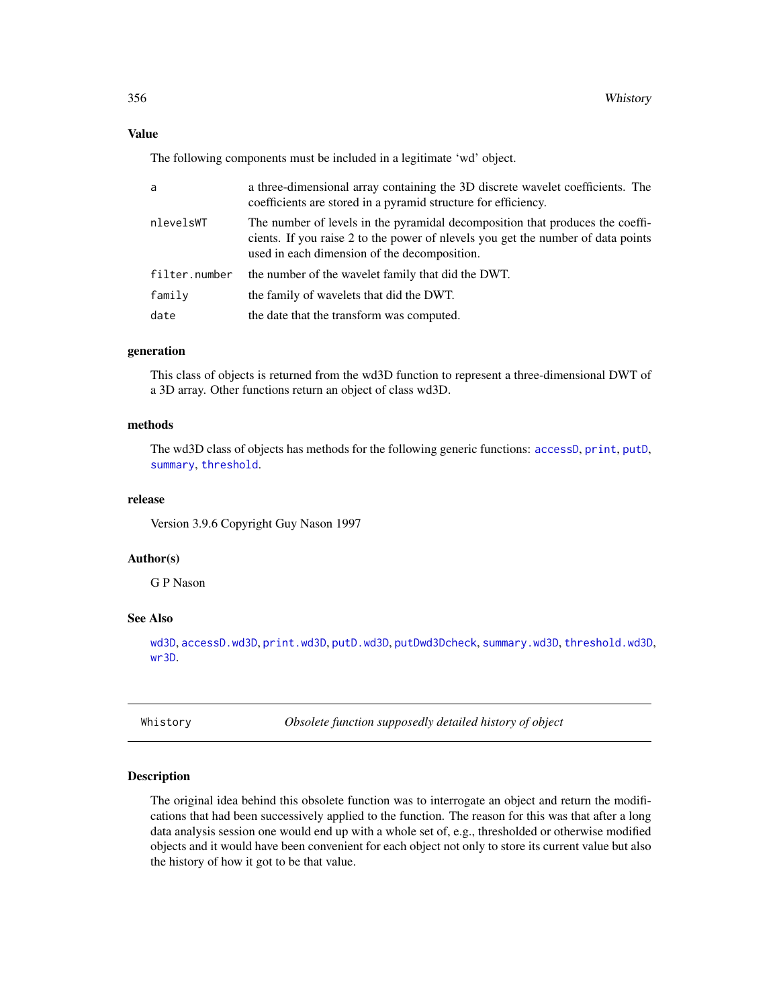## Value

The following components must be included in a legitimate 'wd' object.

| a             | a three-dimensional array containing the 3D discrete wavelet coefficients. The<br>coefficients are stored in a pyramid structure for efficiency.                                                                 |
|---------------|------------------------------------------------------------------------------------------------------------------------------------------------------------------------------------------------------------------|
| nlevelsWT     | The number of levels in the pyramidal decomposition that produces the coeffi-<br>cients. If you raise 2 to the power of nevels you get the number of data points<br>used in each dimension of the decomposition. |
| filter.number | the number of the wavelet family that did the DWT.                                                                                                                                                               |
| family        | the family of wavelets that did the DWT.                                                                                                                                                                         |
| date          | the date that the transform was computed.                                                                                                                                                                        |

#### generation

This class of objects is returned from the wd3D function to represent a three-dimensional DWT of a 3D array. Other functions return an object of class wd3D.

#### methods

The wd3D class of objects has methods for the following generic functions: [accessD](#page-14-0), [print](#page-0-0), [putD](#page-263-0), [summary](#page-0-0), [threshold](#page-307-0).

#### release

Version 3.9.6 Copyright Guy Nason 1997

## Author(s)

G P Nason

#### See Also

[wd3D](#page-353-0), [accessD.wd3D](#page-18-0), [print.wd3D](#page-238-0), [putD.wd3D](#page-268-0), [putDwd3Dcheck](#page-272-0), [summary.wd3D](#page-298-0), [threshold.wd3D](#page-323-0), [wr3D](#page-370-0).

<span id="page-355-0"></span>Whistory *Obsolete function supposedly detailed history of object*

## Description

The original idea behind this obsolete function was to interrogate an object and return the modifications that had been successively applied to the function. The reason for this was that after a long data analysis session one would end up with a whole set of, e.g., thresholded or otherwise modified objects and it would have been convenient for each object not only to store its current value but also the history of how it got to be that value.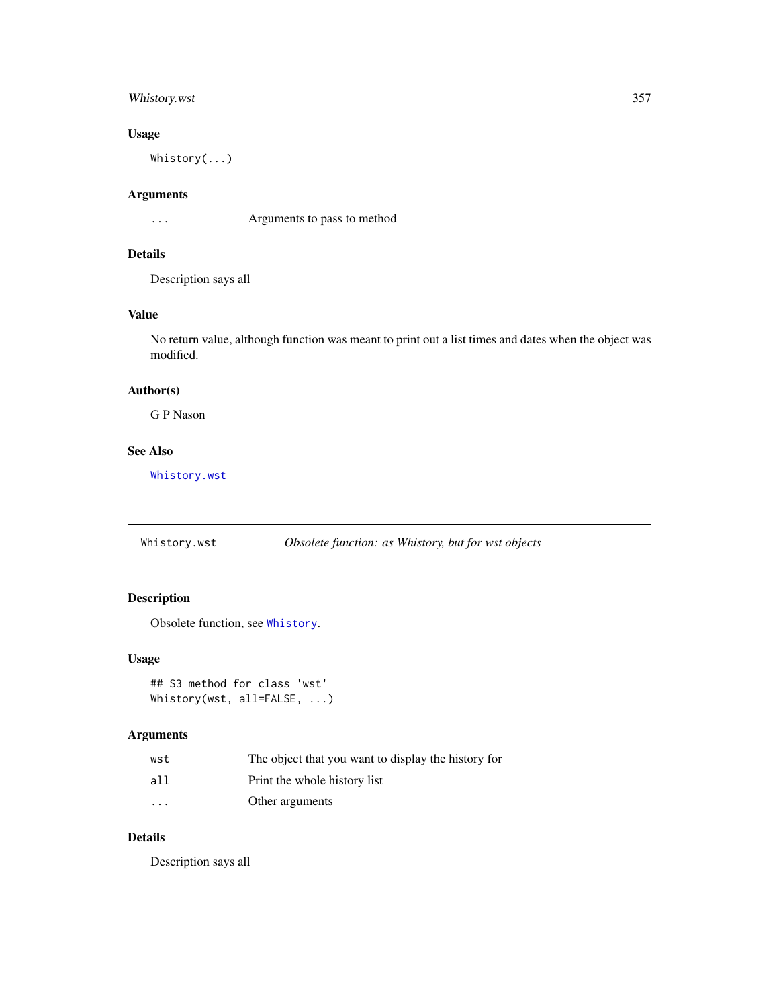## Whistory.wst 357

## Usage

Whistory(...)

#### Arguments

... Arguments to pass to method

# Details

Description says all

# Value

No return value, although function was meant to print out a list times and dates when the object was modified.

## Author(s)

G P Nason

## See Also

[Whistory.wst](#page-356-0)

<span id="page-356-0"></span>Whistory.wst *Obsolete function: as Whistory, but for wst objects*

# Description

Obsolete function, see [Whistory](#page-355-0).

## Usage

```
## S3 method for class 'wst'
Whistory(wst, all=FALSE, ...)
```
# Arguments

| wst                     | The object that you want to display the history for |
|-------------------------|-----------------------------------------------------|
| all                     | Print the whole history list                        |
| $\cdot$ $\cdot$ $\cdot$ | Other arguments                                     |

## Details

Description says all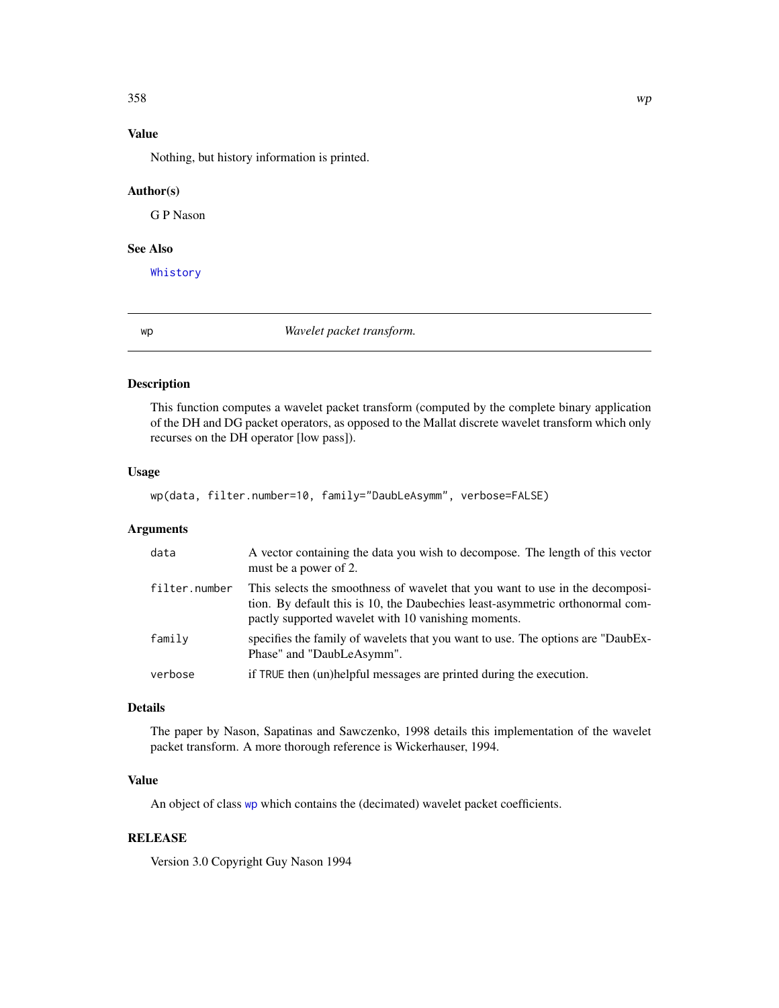# Value

Nothing, but history information is printed.

#### Author(s)

G P Nason

## See Also

[Whistory](#page-355-0)

<span id="page-357-0"></span>wp *Wavelet packet transform.*

## Description

This function computes a wavelet packet transform (computed by the complete binary application of the DH and DG packet operators, as opposed to the Mallat discrete wavelet transform which only recurses on the DH operator [low pass]).

## Usage

```
wp(data, filter.number=10, family="DaubLeAsymm", verbose=FALSE)
```
### Arguments

| data          | A vector containing the data you wish to decompose. The length of this vector<br>must be a power of 2.                                                                                                                |
|---------------|-----------------------------------------------------------------------------------------------------------------------------------------------------------------------------------------------------------------------|
| filter.number | This selects the smoothness of wavelet that you want to use in the decomposi-<br>tion. By default this is 10, the Daubechies least-asymmetric orthonormal com-<br>pactly supported wavelet with 10 vanishing moments. |
| family        | specifies the family of wavelets that you want to use. The options are "DaubEx-<br>Phase" and "DaubLeAsymm".                                                                                                          |
| verbose       | if TRUE then (un)helpful messages are printed during the execution.                                                                                                                                                   |

# Details

The paper by Nason, Sapatinas and Sawczenko, 1998 details this implementation of the wavelet packet transform. A more thorough reference is Wickerhauser, 1994.

## Value

An object of class [wp](#page-357-0) which contains the (decimated) wavelet packet coefficients.

## RELEASE

Version 3.0 Copyright Guy Nason 1994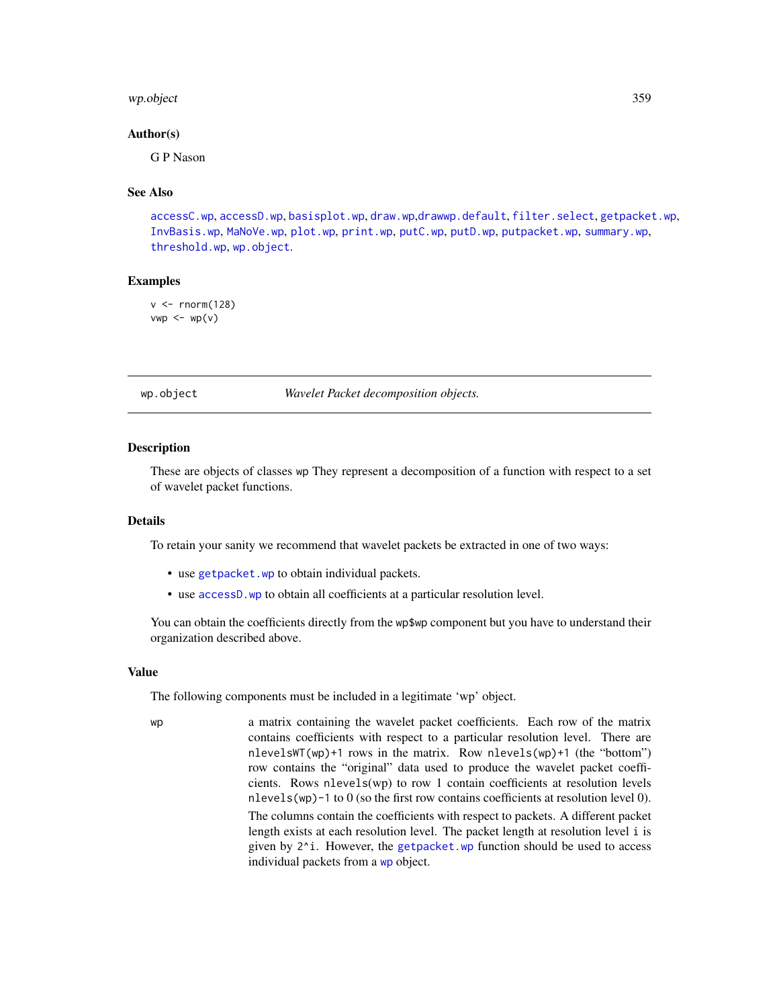#### wp.object 359

#### Author(s)

G P Nason

### See Also

[accessC.wp](#page-12-0), [accessD.wp](#page-20-0), [basisplot.wp](#page-37-0), [draw.wp](#page-89-0),[drawwp.default](#page-93-0), [filter.select](#page-98-0), [getpacket.wp](#page-113-0), [InvBasis.wp](#page-142-0), [MaNoVe.wp](#page-182-0), [plot.wp](#page-218-0), [print.wp](#page-239-0), [putC.wp](#page-260-0), [putD.wp](#page-269-0), [putpacket.wp](#page-274-0), [summary.wp](#page-299-0), [threshold.wp](#page-326-0), [wp.object](#page-358-0).

#### Examples

 $v < -$  rnorm(128)  $vwp \leftarrow wp(v)$ 

<span id="page-358-0"></span>wp.object *Wavelet Packet decomposition objects.*

#### Description

These are objects of classes wp They represent a decomposition of a function with respect to a set of wavelet packet functions.

#### Details

To retain your sanity we recommend that wavelet packets be extracted in one of two ways:

- use [getpacket.wp](#page-113-0) to obtain individual packets.
- use [accessD.wp](#page-20-0) to obtain all coefficients at a particular resolution level.

You can obtain the coefficients directly from the wp\$wp component but you have to understand their organization described above.

## Value

The following components must be included in a legitimate 'wp' object.

wp a matrix containing the wavelet packet coefficients. Each row of the matrix contains coefficients with respect to a particular resolution level. There are nlevelsWT(wp)+1 rows in the matrix. Row nlevels(wp)+1 (the "bottom") row contains the "original" data used to produce the wavelet packet coefficients. Rows nlevels(wp) to row 1 contain coefficients at resolution levels nlevels(wp)-1 to 0 (so the first row contains coefficients at resolution level 0). The columns contain the coefficients with respect to packets. A different packet length exists at each resolution level. The packet length at resolution level i is given by  $2^i$ . However, the [getpacket.wp](#page-113-0) function should be used to access individual packets from a [wp](#page-357-0) object.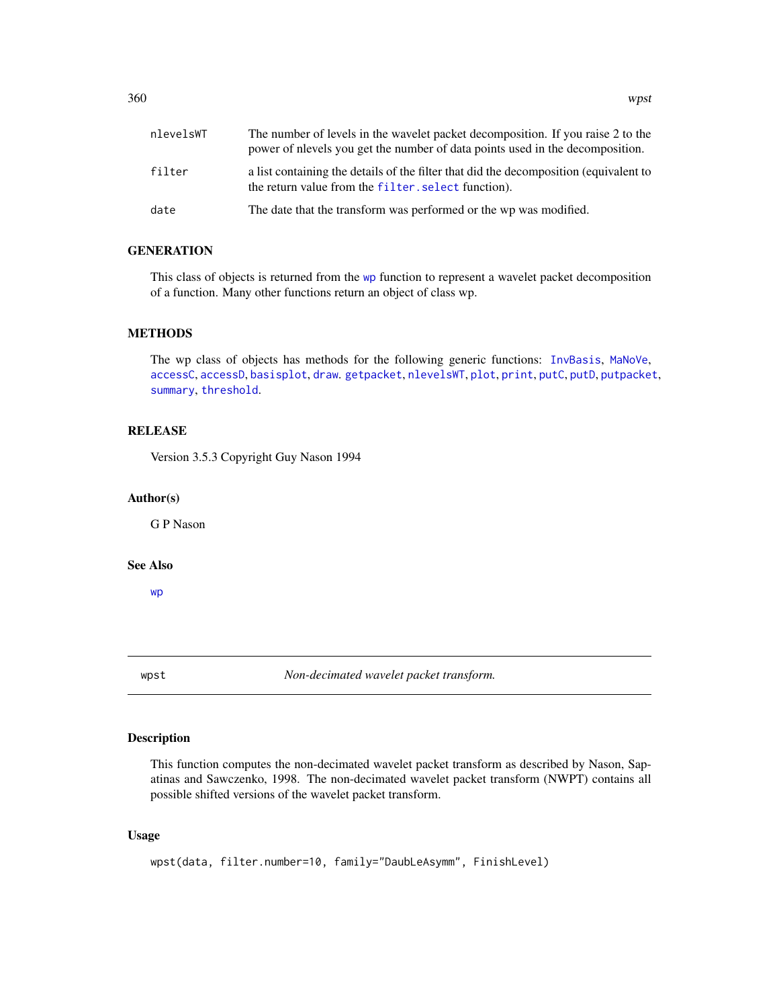| nlevelsWT | The number of levels in the wavelet packet decomposition. If you raise 2 to the<br>power of nevels you get the number of data points used in the decomposition. |
|-----------|-----------------------------------------------------------------------------------------------------------------------------------------------------------------|
| filter    | a list containing the details of the filter that did the decomposition (equivalent to<br>the return value from the filter, select function).                    |
| date      | The date that the transform was performed or the wp was modified.                                                                                               |

# **GENERATION**

This class of objects is returned from the [wp](#page-357-0) function to represent a wavelet packet decomposition of a function. Many other functions return an object of class wp.

## METHODS

The wp class of objects has methods for the following generic functions: [InvBasis](#page-141-0), [MaNoVe](#page-181-0), [accessC](#page-7-0), [accessD](#page-14-0), [basisplot](#page-35-0), [draw](#page-80-0). [getpacket](#page-112-0), [nlevelsWT](#page-199-0), [plot](#page-0-0), [print](#page-0-0), [putC](#page-255-0), [putD](#page-263-0), [putpacket](#page-273-0), [summary](#page-0-0), [threshold](#page-307-0).

## **RELEASE**

Version 3.5.3 Copyright Guy Nason 1994

## Author(s)

G P Nason

## See Also

[wp](#page-357-0)

wpst *Non-decimated wavelet packet transform.*

# Description

This function computes the non-decimated wavelet packet transform as described by Nason, Sapatinas and Sawczenko, 1998. The non-decimated wavelet packet transform (NWPT) contains all possible shifted versions of the wavelet packet transform.

#### Usage

```
wpst(data, filter.number=10, family="DaubLeAsymm", FinishLevel)
```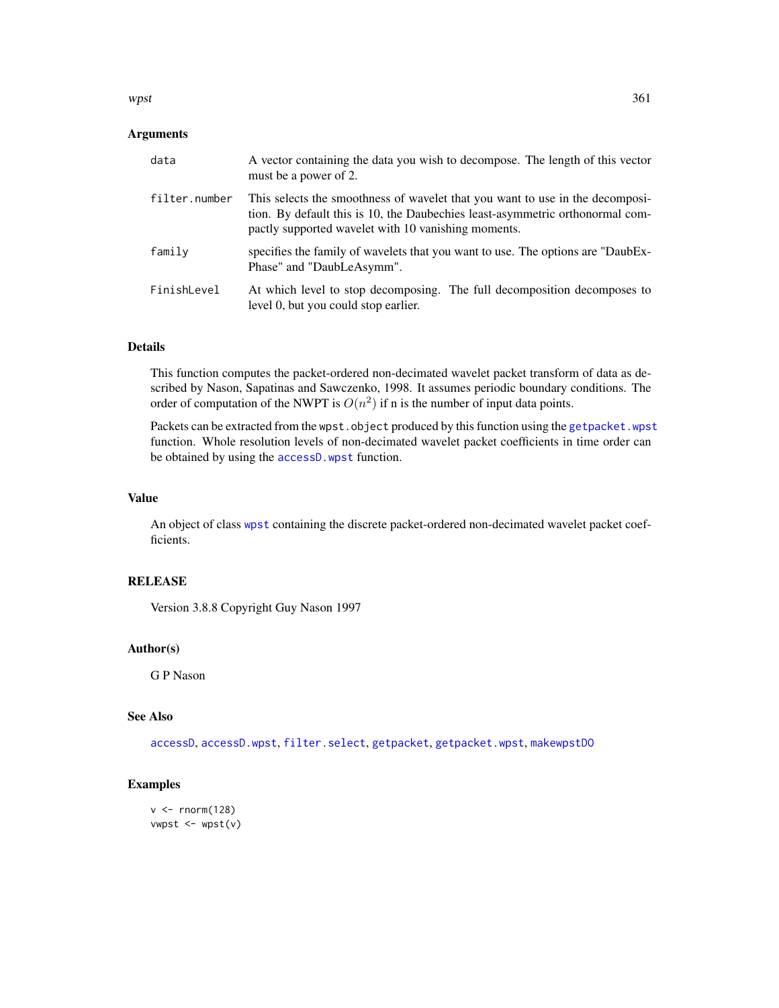#### <span id="page-360-0"></span>wpst 361

#### Arguments

| data          | A vector containing the data you wish to decompose. The length of this vector<br>must be a power of 2.                                                                                                                |
|---------------|-----------------------------------------------------------------------------------------------------------------------------------------------------------------------------------------------------------------------|
| filter.number | This selects the smoothness of wavelet that you want to use in the decomposi-<br>tion. By default this is 10, the Daubechies least-asymmetric orthonormal com-<br>pactly supported wavelet with 10 vanishing moments. |
| family        | specifies the family of wavelets that you want to use. The options are "DaubEx-<br>Phase" and "DaubLeAsymm".                                                                                                          |
| FinishLevel   | At which level to stop decomposing. The full decomposition decomposes to<br>level 0, but you could stop earlier.                                                                                                      |

# Details

This function computes the packet-ordered non-decimated wavelet packet transform of data as described by Nason, Sapatinas and Sawczenko, 1998. It assumes periodic boundary conditions. The order of computation of the NWPT is  $O(n^2)$  if n is the number of input data points.

Packets can be extracted from the wpst.object produced by this function using the [getpacket.wpst](#page-115-0) function. Whole resolution levels of non-decimated wavelet packet coefficients in time order can be obtained by using the [accessD.wpst](#page-21-0) function.

# Value

An object of class [wpst](#page-359-0) containing the discrete packet-ordered non-decimated wavelet packet coefficients.

# RELEASE

Version 3.8.8 Copyright Guy Nason 1997

### Author(s)

G P Nason

# See Also

[accessD](#page-14-0), [accessD.wpst](#page-21-0), [filter.select](#page-98-0), [getpacket](#page-112-0), [getpacket.wpst](#page-115-0), [makewpstDO](#page-173-0)

# Examples

```
v < - rnorm(128)
vwpst <- wpst(v)
```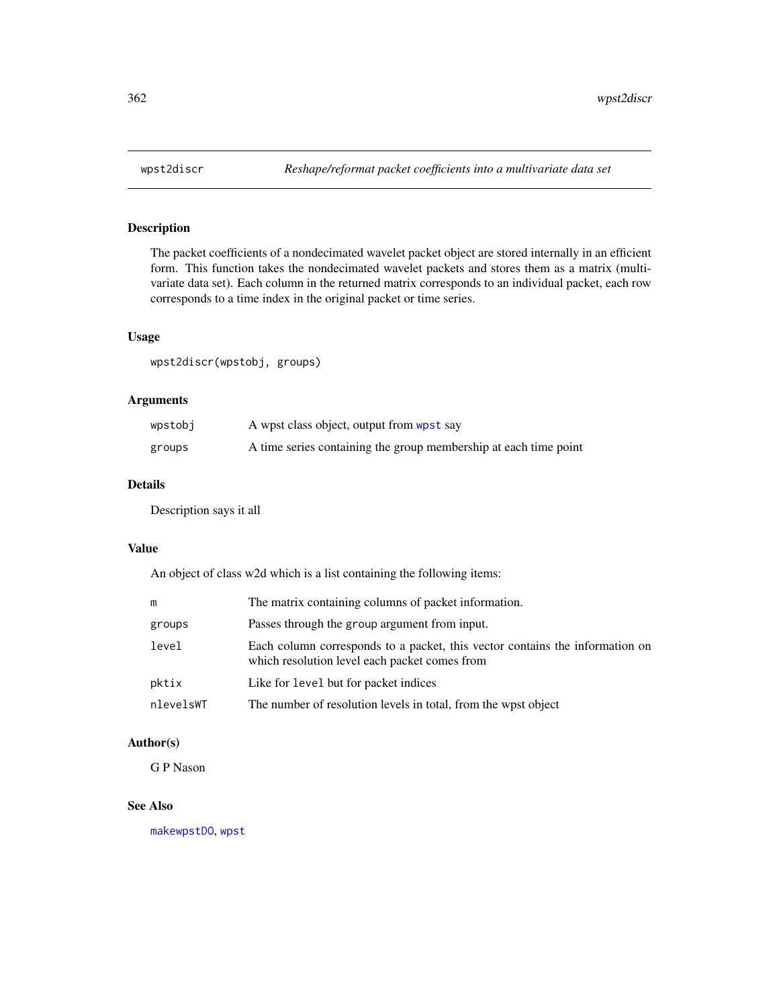<span id="page-361-0"></span>

# Description

The packet coefficients of a nondecimated wavelet packet object are stored internally in an efficient form. This function takes the nondecimated wavelet packets and stores them as a matrix (multivariate data set). Each column in the returned matrix corresponds to an individual packet, each row corresponds to a time index in the original packet or time series.

# Usage

wpst2discr(wpstobj, groups)

# Arguments

| wpstobj | A wpst class object, output from wpst say                        |
|---------|------------------------------------------------------------------|
| groups  | A time series containing the group membership at each time point |

# Details

Description says it all

#### Value

An object of class w2d which is a list containing the following items:

|           | The matrix containing columns of packet information.                                                                          |
|-----------|-------------------------------------------------------------------------------------------------------------------------------|
| groups    | Passes through the group argument from input.                                                                                 |
| level     | Each column corresponds to a packet, this vector contains the information on<br>which resolution level each packet comes from |
| pktix     | Like for level but for packet indices                                                                                         |
| nlevelsWT | The number of resolution levels in total, from the wpst object                                                                |

# Author(s)

G P Nason

#### See Also

[makewpstDO](#page-173-0), [wpst](#page-359-0)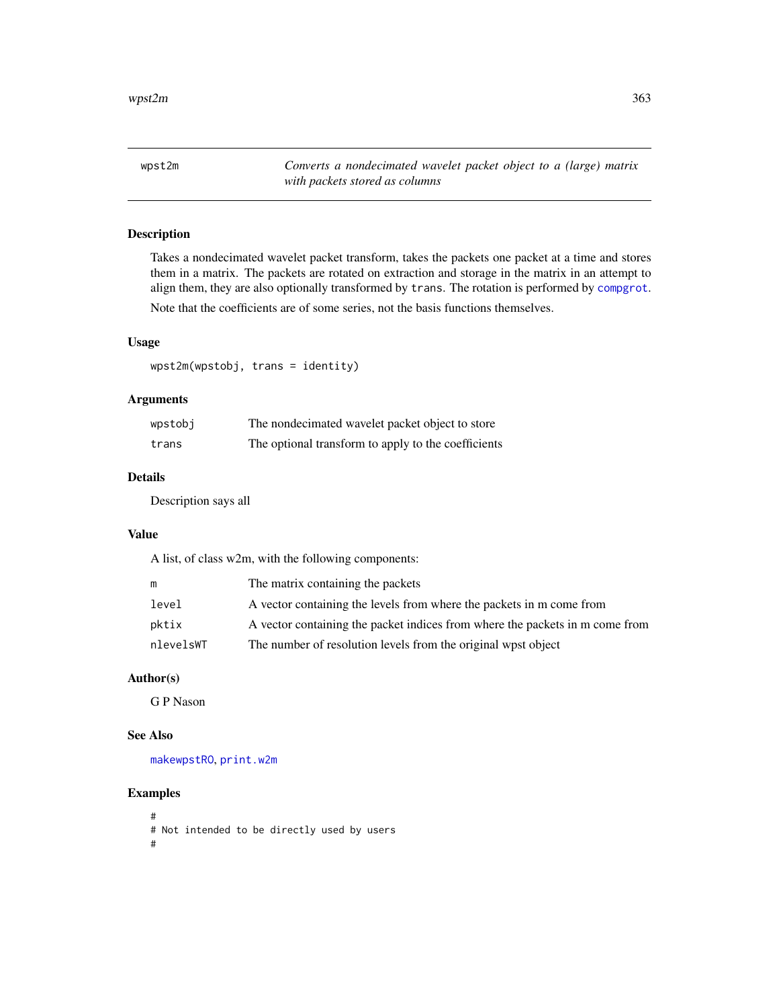<span id="page-362-0"></span>wpst2m *Converts a nondecimated wavelet packet object to a (large) matrix with packets stored as columns*

# Description

Takes a nondecimated wavelet packet transform, takes the packets one packet at a time and stores them in a matrix. The packets are rotated on extraction and storage in the matrix in an attempt to align them, they are also optionally transformed by trans. The rotation is performed by [compgrot](#page-49-0).

Note that the coefficients are of some series, not the basis functions themselves.

# Usage

wpst2m(wpstobj, trans = identity)

# Arguments

| wpstobj | The nondecimated wavelet packet object to store     |
|---------|-----------------------------------------------------|
| trans   | The optional transform to apply to the coefficients |

# Details

Description says all

# Value

A list, of class w2m, with the following components:

|           | The matrix containing the packets                                            |
|-----------|------------------------------------------------------------------------------|
| level     | A vector containing the levels from where the packets in m come from         |
| pktix     | A vector containing the packet indices from where the packets in m come from |
| nlevelsWT | The number of resolution levels from the original wpst object                |

# Author(s)

G P Nason

# See Also

[makewpstRO](#page-176-0), [print.w2m](#page-236-0)

# Examples

```
#
# Not intended to be directly used by users
#
```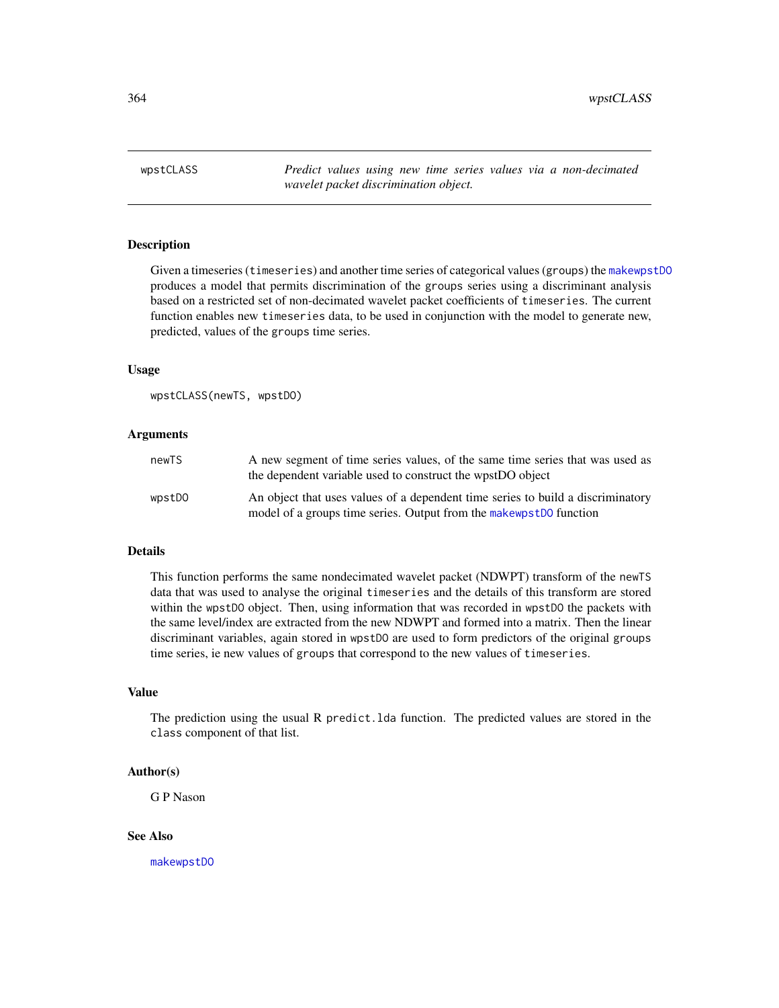<span id="page-363-0"></span>364 wpstCLASS

wpstCLASS *Predict values using new time series values via a non-decimated wavelet packet discrimination object.*

#### Description

Given a timeseries (timeseries) and another time series of categorical values (groups) the [makewpstDO](#page-173-0) produces a model that permits discrimination of the groups series using a discriminant analysis based on a restricted set of non-decimated wavelet packet coefficients of timeseries. The current function enables new timeseries data, to be used in conjunction with the model to generate new, predicted, values of the groups time series.

# Usage

```
wpstCLASS(newTS, wpstDO)
```
#### Arguments

| newTS  | A new segment of time series values, of the same time series that was used as<br>the dependent variable used to construct the wpstDO object           |
|--------|-------------------------------------------------------------------------------------------------------------------------------------------------------|
| wpstDO | An object that uses values of a dependent time series to build a discriminatory<br>model of a groups time series. Output from the makewpstD0 function |

#### Details

This function performs the same nondecimated wavelet packet (NDWPT) transform of the newTS data that was used to analyse the original timeseries and the details of this transform are stored within the wpstDO object. Then, using information that was recorded in wpstDO the packets with the same level/index are extracted from the new NDWPT and formed into a matrix. Then the linear discriminant variables, again stored in wpstDO are used to form predictors of the original groups time series, ie new values of groups that correspond to the new values of timeseries.

#### Value

The prediction using the usual R predict.lda function. The predicted values are stored in the class component of that list.

#### Author(s)

G P Nason

#### See Also

[makewpstDO](#page-173-0)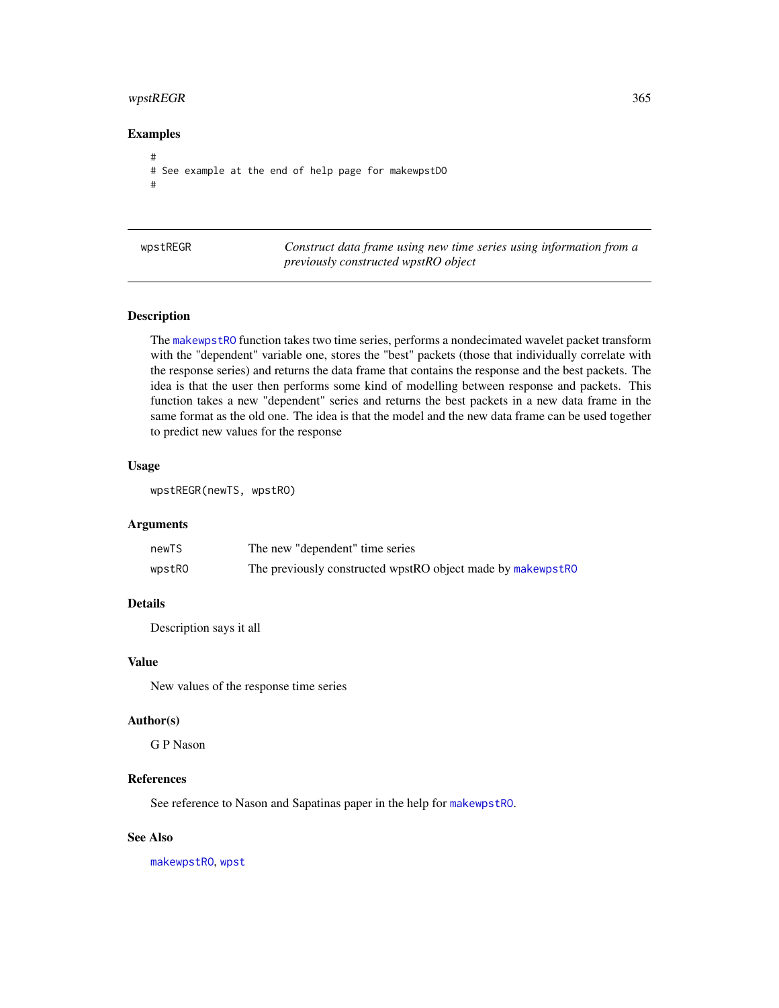# <span id="page-364-0"></span>wpstREGR 365

# Examples

```
#
# See example at the end of help page for makewpstDO
#
```

| wpstREGR |
|----------|
|----------|

Construct data frame using new time series using information from a *previously constructed wpstRO object*

# Description

The [makewpstRO](#page-176-0) function takes two time series, performs a nondecimated wavelet packet transform with the "dependent" variable one, stores the "best" packets (those that individually correlate with the response series) and returns the data frame that contains the response and the best packets. The idea is that the user then performs some kind of modelling between response and packets. This function takes a new "dependent" series and returns the best packets in a new data frame in the same format as the old one. The idea is that the model and the new data frame can be used together to predict new values for the response

#### Usage

```
wpstREGR(newTS, wpstRO)
```
# Arguments

| newTS  | The new "dependent" time series                             |
|--------|-------------------------------------------------------------|
| wpstRO | The previously constructed wpstRO object made by makewpstRO |

# Details

Description says it all

#### Value

New values of the response time series

#### Author(s)

G P Nason

#### References

See reference to Nason and Sapatinas paper in the help for [makewpstRO](#page-176-0).

# See Also

[makewpstRO](#page-176-0), [wpst](#page-359-0)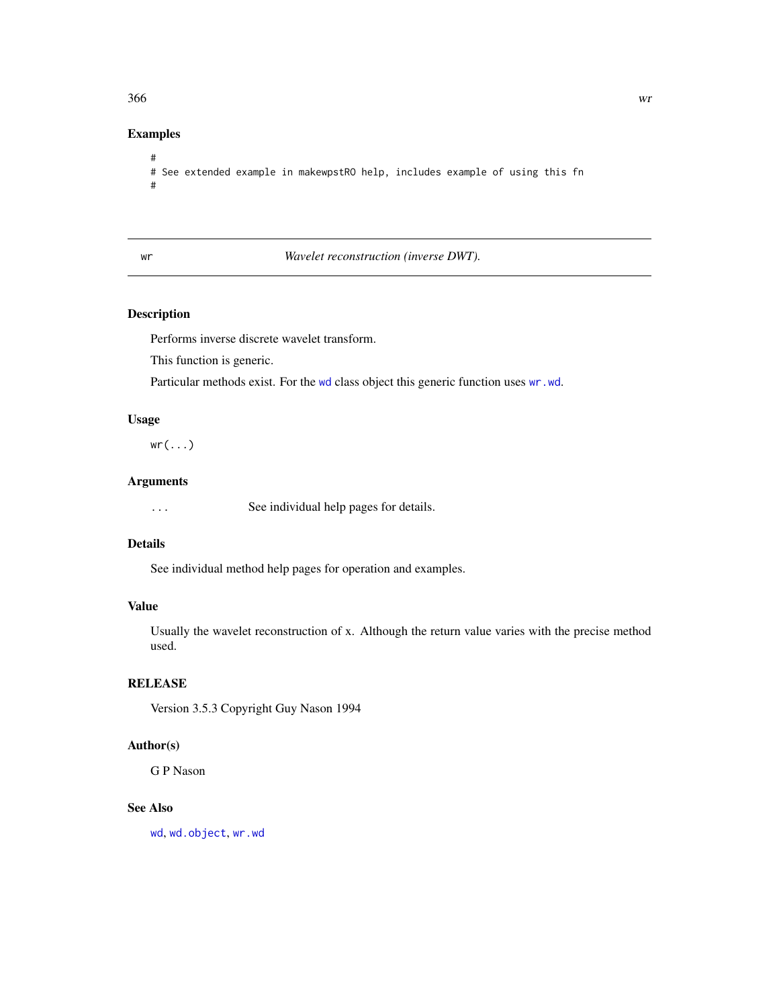#### <span id="page-365-1"></span> $366$  write  $\frac{1}{2}$  write  $\frac{1}{2}$  write  $\frac{1}{2}$  write  $\frac{1}{2}$  write  $\frac{1}{2}$  write  $\frac{1}{2}$  write  $\frac{1}{2}$  write  $\frac{1}{2}$  write  $\frac{1}{2}$  write  $\frac{1}{2}$  write  $\frac{1}{2}$  write  $\frac{1}{2}$  write  $\frac{1}{2}$  write

# Examples

```
#
# See extended example in makewpstRO help, includes example of using this fn
#
```
<span id="page-365-0"></span>

# wr *Wavelet reconstruction (inverse DWT).*

# Description

Performs inverse discrete wavelet transform.

This function is generic.

Particular methods exist. For the [wd](#page-344-0) class object this generic function uses [wr.wd](#page-368-0).

# Usage

 $wr(...)$ 

# Arguments

... See individual help pages for details.

# Details

See individual method help pages for operation and examples.

# Value

Usually the wavelet reconstruction of x. Although the return value varies with the precise method used.

# **RELEASE**

Version 3.5.3 Copyright Guy Nason 1994

# Author(s)

G P Nason

# See Also

[wd](#page-344-0), [wd.object](#page-351-0), [wr.wd](#page-368-0)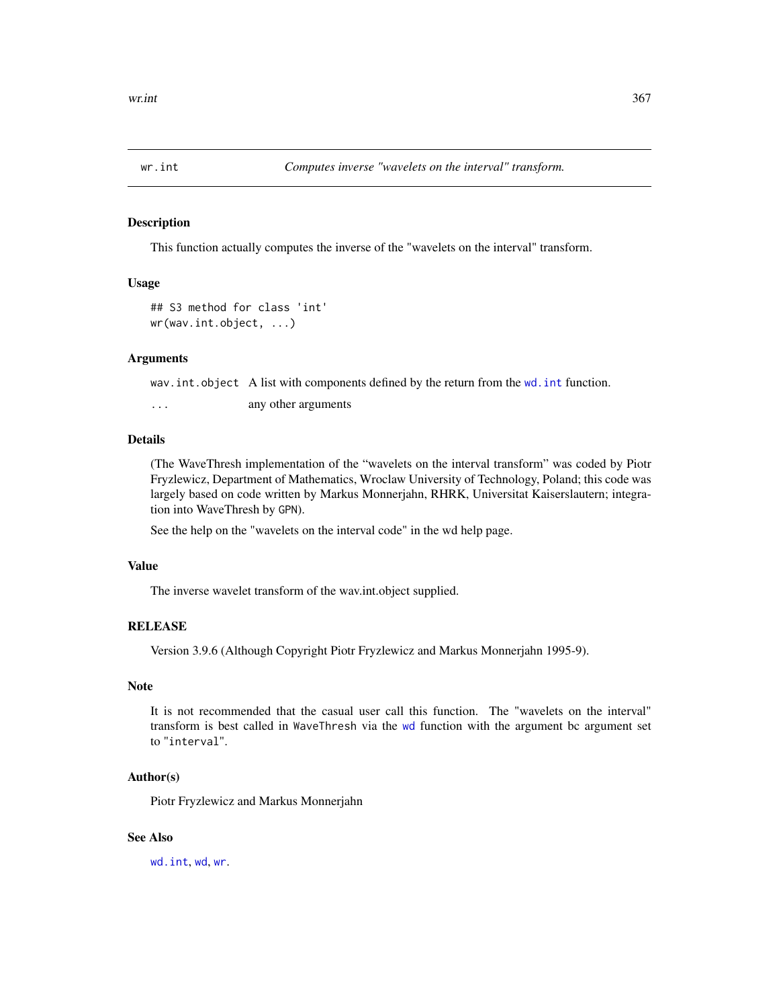<span id="page-366-1"></span><span id="page-366-0"></span>

# **Description**

This function actually computes the inverse of the "wavelets on the interval" transform.

#### Usage

```
## S3 method for class 'int'
wr(wav.int.object, ...)
```
#### **Arguments**

wav.int.object A list with components defined by the return from the [wd.int](#page-350-0) function.

... any other arguments

#### Details

(The WaveThresh implementation of the "wavelets on the interval transform" was coded by Piotr Fryzlewicz, Department of Mathematics, Wroclaw University of Technology, Poland; this code was largely based on code written by Markus Monnerjahn, RHRK, Universitat Kaiserslautern; integration into WaveThresh by GPN).

See the help on the "wavelets on the interval code" in the wd help page.

#### Value

The inverse wavelet transform of the wav.int.object supplied.

# **RELEASE**

Version 3.9.6 (Although Copyright Piotr Fryzlewicz and Markus Monnerjahn 1995-9).

# Note

It is not recommended that the casual user call this function. The "wavelets on the interval" transform is best called in WaveThresh via the [wd](#page-344-0) function with the argument bc argument set to "interval".

# Author(s)

Piotr Fryzlewicz and Markus Monnerjahn

#### See Also

[wd.int](#page-350-0), [wd](#page-344-0), [wr](#page-365-0).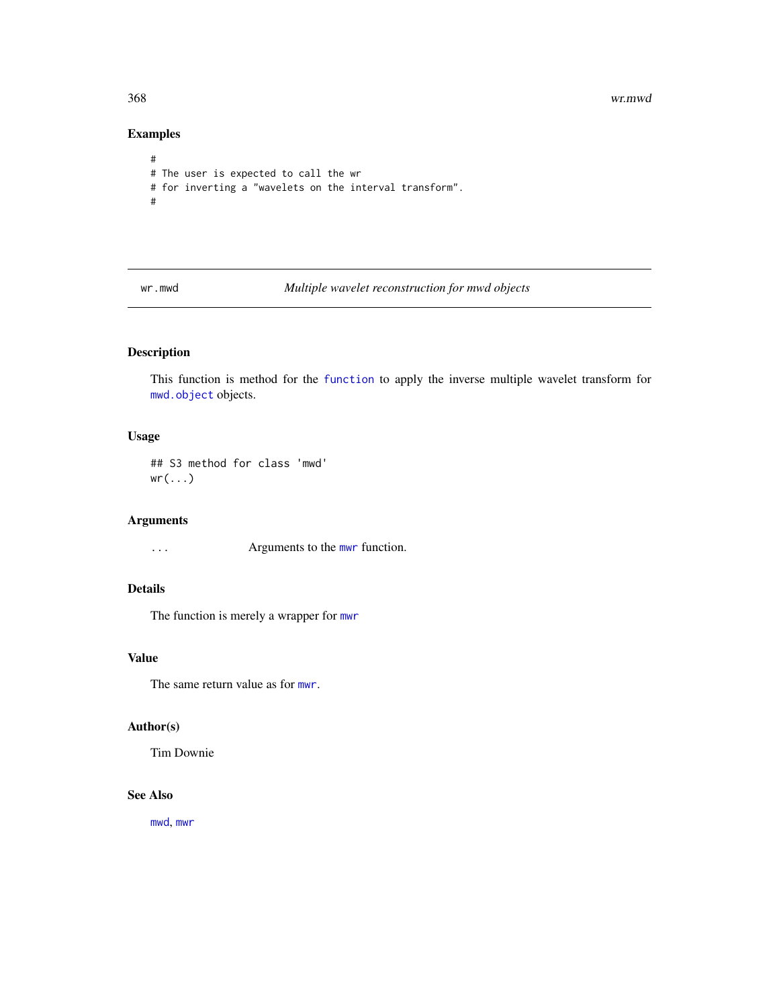368 wr.mwd

# Examples

```
#
# The user is expected to call the wr
# for inverting a "wavelets on the interval transform".
#
```
wr.mwd *Multiple wavelet reconstruction for mwd objects*

# Description

This function is method for the [function](#page-0-0) to apply the inverse multiple wavelet transform for [mwd.object](#page-195-0) objects.

# Usage

## S3 method for class 'mwd'  $wr(....)$ 

#### Arguments

... Arguments to the [mwr](#page-197-0) function.

# Details

The function is merely a wrapper for [mwr](#page-197-0)

# Value

The same return value as for [mwr](#page-197-0).

# Author(s)

Tim Downie

# See Also

[mwd](#page-193-0), [mwr](#page-197-0)

<span id="page-367-0"></span>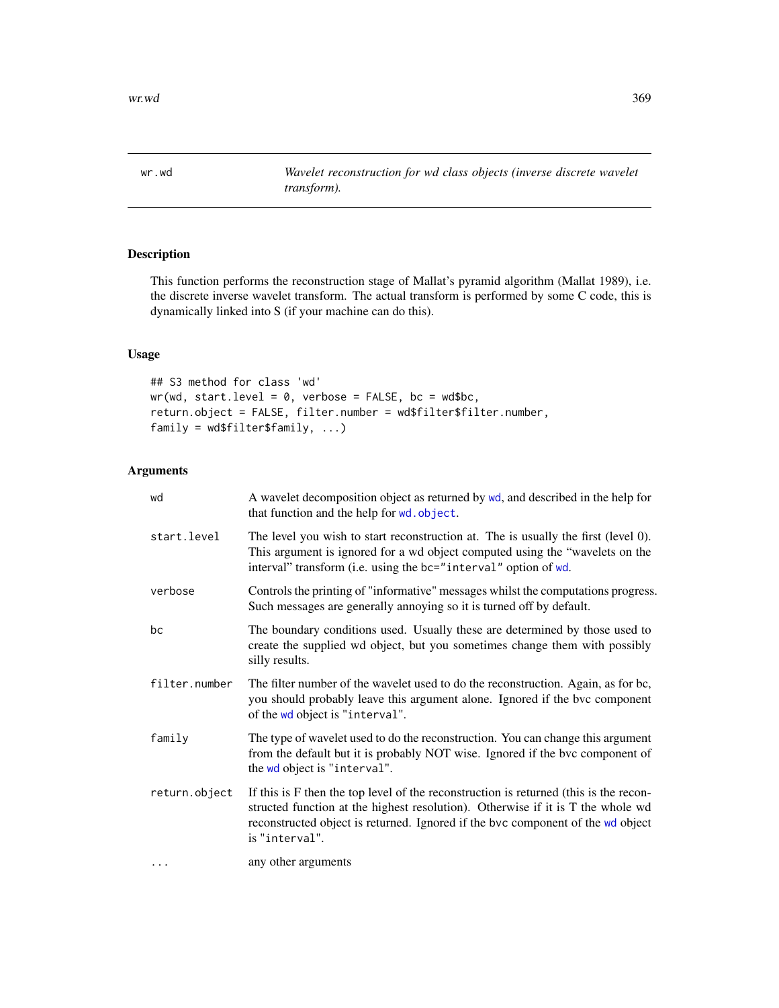<span id="page-368-1"></span><span id="page-368-0"></span>

# Description

This function performs the reconstruction stage of Mallat's pyramid algorithm (Mallat 1989), i.e. the discrete inverse wavelet transform. The actual transform is performed by some C code, this is dynamically linked into S (if your machine can do this).

# Usage

```
## S3 method for class 'wd'
wr(wd, start.level = 0, verbose = FALSE, bc = wd$bc,return.object = FALSE, filter.number = wd$filter$filter.number,
family = wd$filter$family, ...)
```
# Arguments

| wd            | A wavelet decomposition object as returned by wd, and described in the help for<br>that function and the help for wd. object.                                                                                                                                                 |
|---------------|-------------------------------------------------------------------------------------------------------------------------------------------------------------------------------------------------------------------------------------------------------------------------------|
| start.level   | The level you wish to start reconstruction at. The is usually the first (level 0).<br>This argument is ignored for a wd object computed using the "wavelets on the<br>interval" transform (i.e. using the bc="interval" option of wd.                                         |
| verbose       | Controls the printing of "informative" messages whilst the computations progress.<br>Such messages are generally annoying so it is turned off by default.                                                                                                                     |
| bc            | The boundary conditions used. Usually these are determined by those used to<br>create the supplied wd object, but you sometimes change them with possibly<br>silly results.                                                                                                   |
| filter.number | The filter number of the wavelet used to do the reconstruction. Again, as for bc,<br>you should probably leave this argument alone. Ignored if the bvc component<br>of the wd object is "interval".                                                                           |
| family        | The type of wavelet used to do the reconstruction. You can change this argument<br>from the default but it is probably NOT wise. Ignored if the bvc component of<br>the wd object is "interval".                                                                              |
| return.object | If this is F then the top level of the reconstruction is returned (this is the recon-<br>structed function at the highest resolution). Otherwise if it is T the whole wd<br>reconstructed object is returned. Ignored if the bvc component of the wd object<br>is "interval". |
| $\cdots$      | any other arguments                                                                                                                                                                                                                                                           |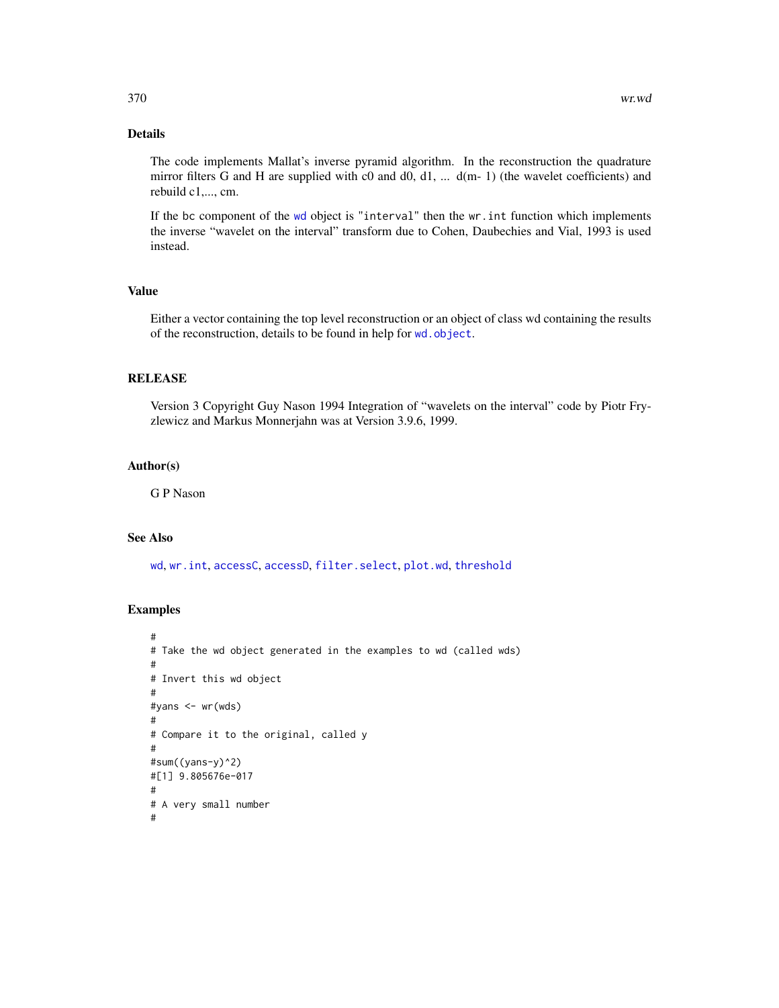# <span id="page-369-0"></span>Details

The code implements Mallat's inverse pyramid algorithm. In the reconstruction the quadrature mirror filters G and H are supplied with c0 and d0, d1, ... d(m- 1) (the wavelet coefficients) and rebuild c1,..., cm.

If the bc component of the [wd](#page-344-0) object is "interval" then the wr.int function which implements the inverse "wavelet on the interval" transform due to Cohen, Daubechies and Vial, 1993 is used instead.

# Value

Either a vector containing the top level reconstruction or an object of class wd containing the results of the reconstruction, details to be found in help for [wd.object](#page-351-0).

# RELEASE

Version 3 Copyright Guy Nason 1994 Integration of "wavelets on the interval" code by Piotr Fryzlewicz and Markus Monnerjahn was at Version 3.9.6, 1999.

#### Author(s)

G P Nason

# See Also

[wd](#page-344-0), [wr.int](#page-366-0), [accessC](#page-7-0), [accessD](#page-14-0), [filter.select](#page-98-0), [plot.wd](#page-215-0), [threshold](#page-307-0)

#### Examples

```
#
# Take the wd object generated in the examples to wd (called wds)
#
# Invert this wd object
#
#yans <- wr(wds)
#
# Compare it to the original, called y
#
#sum((yans-y)^2)
#[1] 9.805676e-017
#
# A very small number
#
```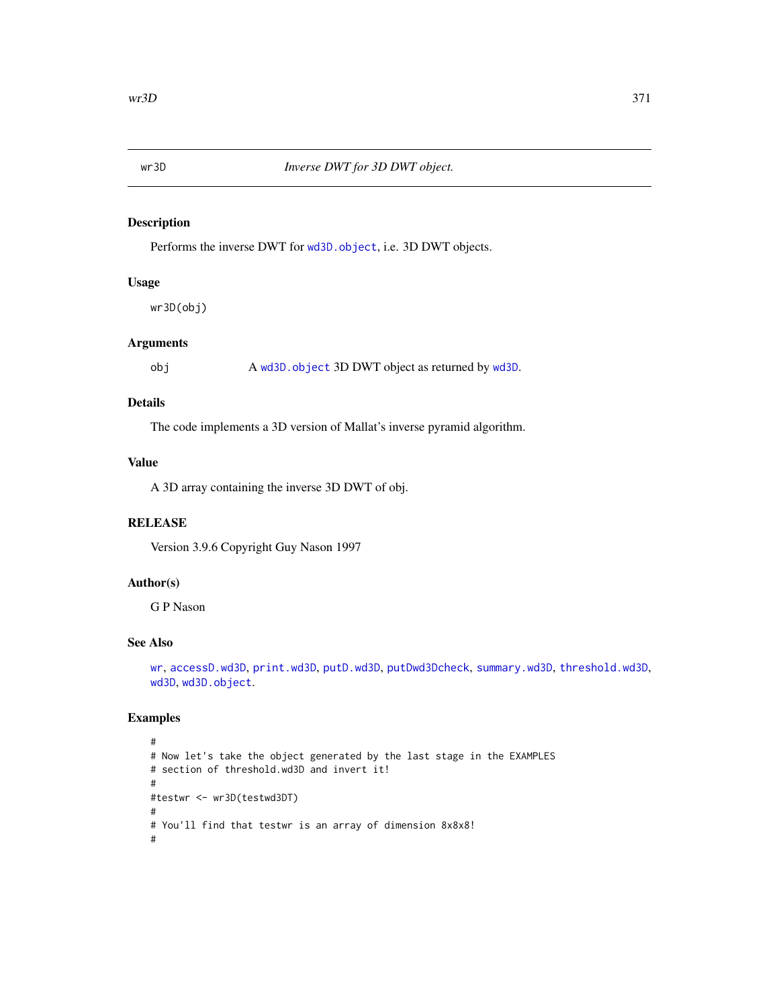<span id="page-370-0"></span>

# Description

Performs the inverse DWT for [wd3D.object](#page-354-0), i.e. 3D DWT objects.

# Usage

wr3D(obj)

# Arguments

obj A [wd3D.object](#page-354-0) 3D DWT object as returned by [wd3D](#page-353-0).

# Details

The code implements a 3D version of Mallat's inverse pyramid algorithm.

# Value

A 3D array containing the inverse 3D DWT of obj.

# RELEASE

Version 3.9.6 Copyright Guy Nason 1997

# Author(s)

G P Nason

# See Also

[wr](#page-365-0), [accessD.wd3D](#page-18-0), [print.wd3D](#page-238-0), [putD.wd3D](#page-268-0), [putDwd3Dcheck](#page-272-0), [summary.wd3D](#page-298-0), [threshold.wd3D](#page-323-0), [wd3D](#page-353-0), [wd3D.object](#page-354-0).

#### Examples

```
#
# Now let's take the object generated by the last stage in the EXAMPLES
# section of threshold.wd3D and invert it!
#
#testwr <- wr3D(testwd3DT)
#
# You'll find that testwr is an array of dimension 8x8x8!
#
```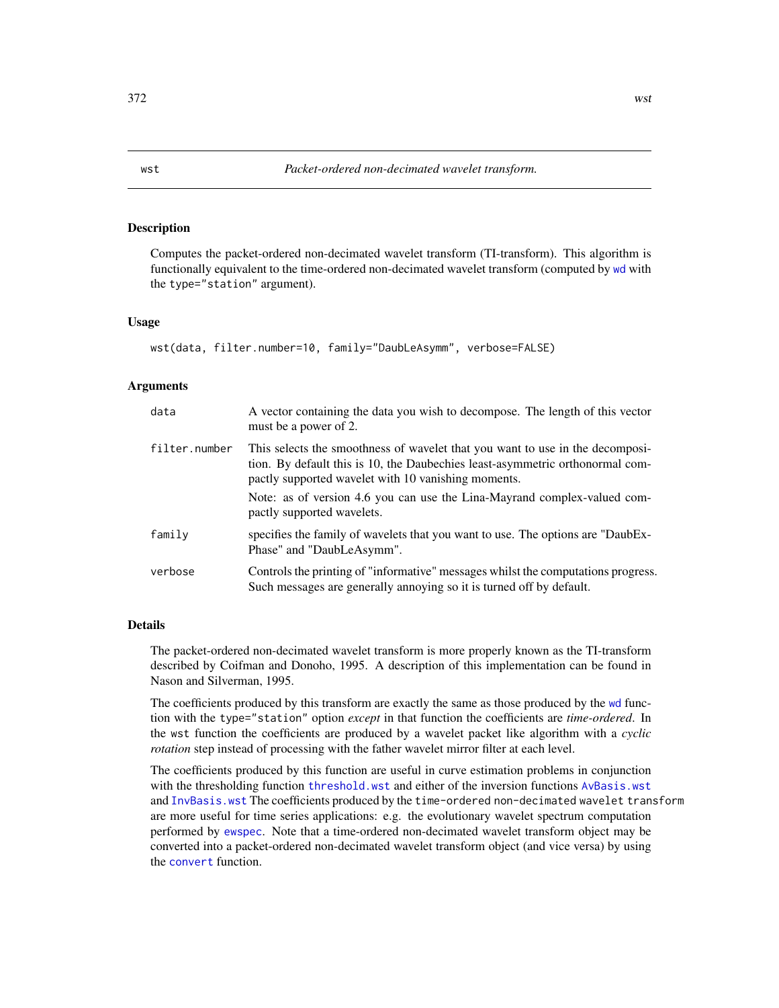#### <span id="page-371-1"></span><span id="page-371-0"></span>Description

Computes the packet-ordered non-decimated wavelet transform (TI-transform). This algorithm is functionally equivalent to the time-ordered non-decimated wavelet transform (computed by [wd](#page-344-0) with the type="station" argument).

#### Usage

```
wst(data, filter.number=10, family="DaubLeAsymm", verbose=FALSE)
```
#### Arguments

| data          | A vector containing the data you wish to decompose. The length of this vector<br>must be a power of 2.                                                                                                                                                                                                                          |
|---------------|---------------------------------------------------------------------------------------------------------------------------------------------------------------------------------------------------------------------------------------------------------------------------------------------------------------------------------|
| filter.number | This selects the smoothness of wavelet that you want to use in the decomposi-<br>tion. By default this is 10, the Daubechies least-asymmetric orthonormal com-<br>pactly supported wavelet with 10 vanishing moments.<br>Note: as of version 4.6 you can use the Lina-Mayrand complex-valued com-<br>pactly supported wavelets. |
| family        | specifies the family of wavelets that you want to use. The options are "DaubEx-<br>Phase" and "DaubLeAsymm".                                                                                                                                                                                                                    |
| verbose       | Controls the printing of "informative" messages whilst the computations progress.<br>Such messages are generally annoying so it is turned off by default.                                                                                                                                                                       |

#### Details

The packet-ordered non-decimated wavelet transform is more properly known as the TI-transform described by Coifman and Donoho, 1995. A description of this implementation can be found in Nason and Silverman, 1995.

The coefficients produced by this transform are exactly the same as those produced by the [wd](#page-344-0) function with the type="station" option *except* in that function the coefficients are *time-ordered*. In the wst function the coefficients are produced by a wavelet packet like algorithm with a *cyclic rotation* step instead of processing with the father wavelet mirror filter at each level.

The coefficients produced by this function are useful in curve estimation problems in conjunction with the thresholding function threshold, wst and either of the inversion functions [AvBasis.wst](#page-27-0) and [InvBasis.wst](#page-143-0) The coefficients produced by the time-ordered non-decimated wavelet transform are more useful for time series applications: e.g. the evolutionary wavelet spectrum computation performed by [ewspec](#page-94-0). Note that a time-ordered non-decimated wavelet transform object may be converted into a packet-ordered non-decimated wavelet transform object (and vice versa) by using the [convert](#page-56-0) function.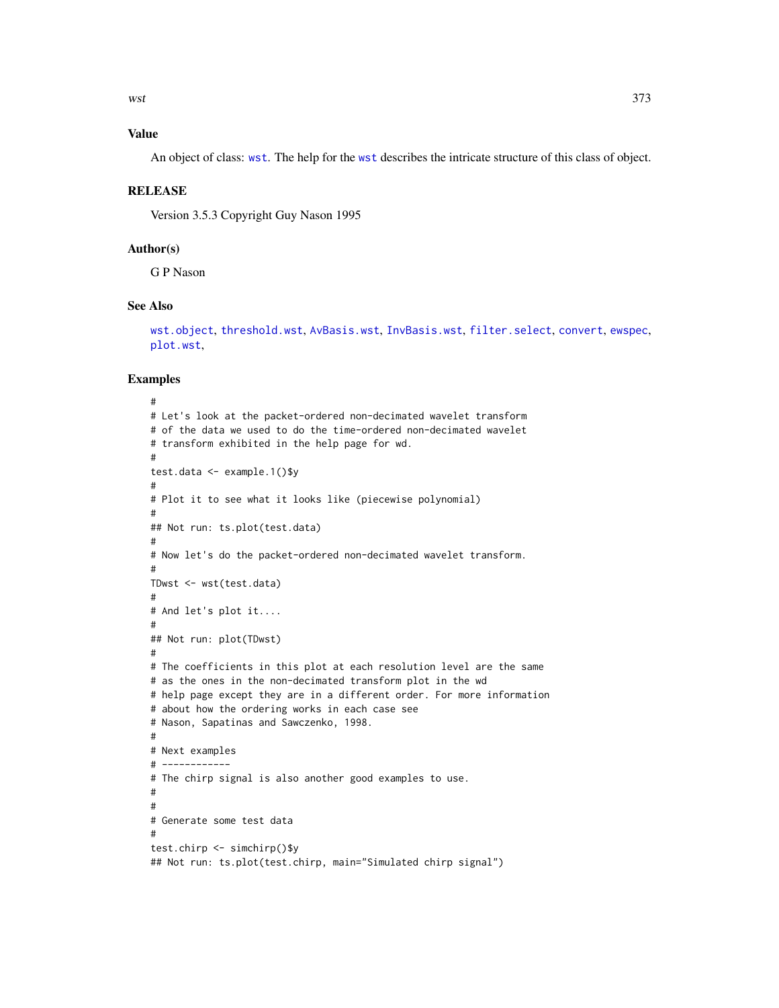<span id="page-372-0"></span>

# Value

An object of class: [wst](#page-371-0). The help for the [wst](#page-371-0) describes the intricate structure of this class of object.

#### RELEASE

Version 3.5.3 Copyright Guy Nason 1995

# Author(s)

G P Nason

# See Also

```
wst.object, threshold.wst, AvBasis.wst, InvBasis.wst, filter.select, convert, ewspec,
plot.wst,
```
#### Examples

```
#
# Let's look at the packet-ordered non-decimated wavelet transform
# of the data we used to do the time-ordered non-decimated wavelet
# transform exhibited in the help page for wd.
#
test.data <- example.1()$y
#
# Plot it to see what it looks like (piecewise polynomial)
#
## Not run: ts.plot(test.data)
#
# Now let's do the packet-ordered non-decimated wavelet transform.
#
TDwst <- wst(test.data)
#
# And let's plot it....
#
## Not run: plot(TDwst)
#
# The coefficients in this plot at each resolution level are the same
# as the ones in the non-decimated transform plot in the wd
# help page except they are in a different order. For more information
# about how the ordering works in each case see
# Nason, Sapatinas and Sawczenko, 1998.
#
# Next examples
# ------------
# The chirp signal is also another good examples to use.
#
#
# Generate some test data
#
test.chirp <- simchirp()$y
## Not run: ts.plot(test.chirp, main="Simulated chirp signal")
```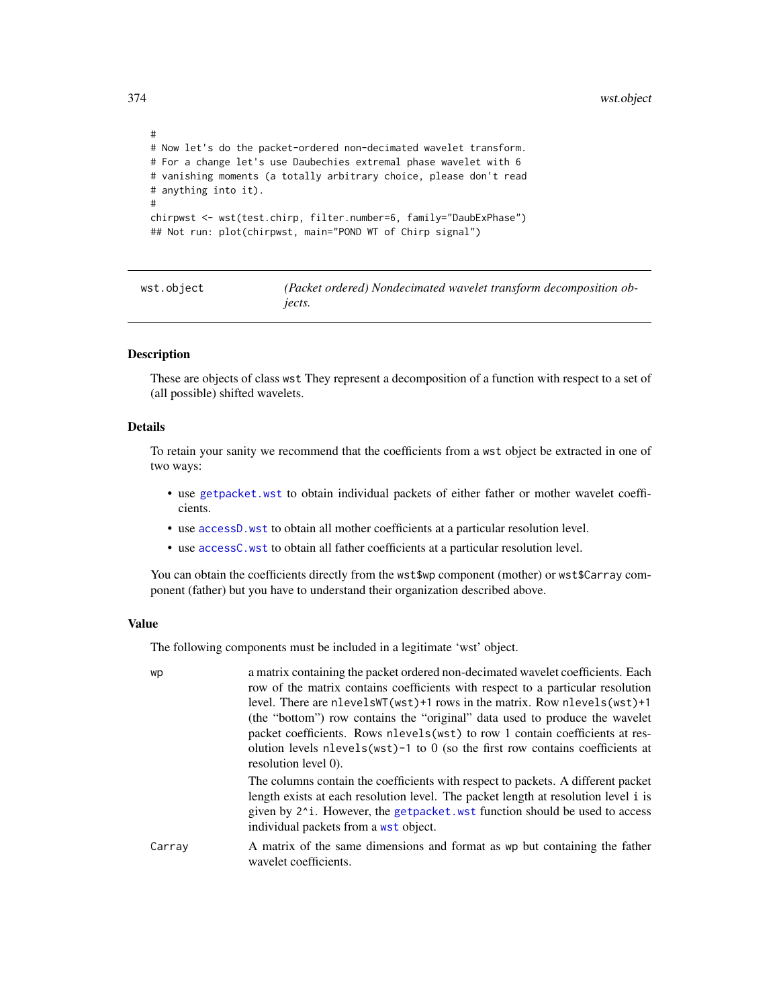```
#
# Now let's do the packet-ordered non-decimated wavelet transform.
# For a change let's use Daubechies extremal phase wavelet with 6
# vanishing moments (a totally arbitrary choice, please don't read
# anything into it).
#
chirpwst <- wst(test.chirp, filter.number=6, family="DaubExPhase")
## Not run: plot(chirpwst, main="POND WT of Chirp signal")
```
<span id="page-373-0"></span>

| wst.object | (Packet ordered) Nondecimated wavelet transform decomposition ob- |
|------------|-------------------------------------------------------------------|
|            | <i>jects.</i>                                                     |

#### Description

These are objects of class wst They represent a decomposition of a function with respect to a set of (all possible) shifted wavelets.

# Details

To retain your sanity we recommend that the coefficients from a wst object be extracted in one of two ways:

- use [getpacket.wst](#page-117-0) to obtain individual packets of either father or mother wavelet coefficients.
- use [accessD.wst](#page-23-0) to obtain all mother coefficients at a particular resolution level.
- use [accessC.wst](#page-13-0) to obtain all father coefficients at a particular resolution level.

You can obtain the coefficients directly from the wst\$wp component (mother) or wst\$Carray component (father) but you have to understand their organization described above.

#### Value

The following components must be included in a legitimate 'wst' object.

| wp     | a matrix containing the packet ordered non-decimated wavelet coefficients. Each<br>row of the matrix contains coefficients with respect to a particular resolution<br>level. There are nlevelsWT(wst)+1 rows in the matrix. Row nlevels(wst)+1<br>(the "bottom") row contains the "original" data used to produce the wavelet<br>packet coefficients. Rows nlevels (wst) to row 1 contain coefficients at res-<br>olution levels $nleves( wst)-1$ to 0 (so the first row contains coefficients at |
|--------|---------------------------------------------------------------------------------------------------------------------------------------------------------------------------------------------------------------------------------------------------------------------------------------------------------------------------------------------------------------------------------------------------------------------------------------------------------------------------------------------------|
|        | resolution level 0).<br>The columns contain the coefficients with respect to packets. A different packet<br>length exists at each resolution level. The packet length at resolution level i is<br>given by 2 <sup>1</sup> . However, the get packet with function should be used to access<br>individual packets from a wst object.                                                                                                                                                               |
| Carray | A matrix of the same dimensions and format as wp but containing the father<br>wavelet coefficients.                                                                                                                                                                                                                                                                                                                                                                                               |

<span id="page-373-1"></span>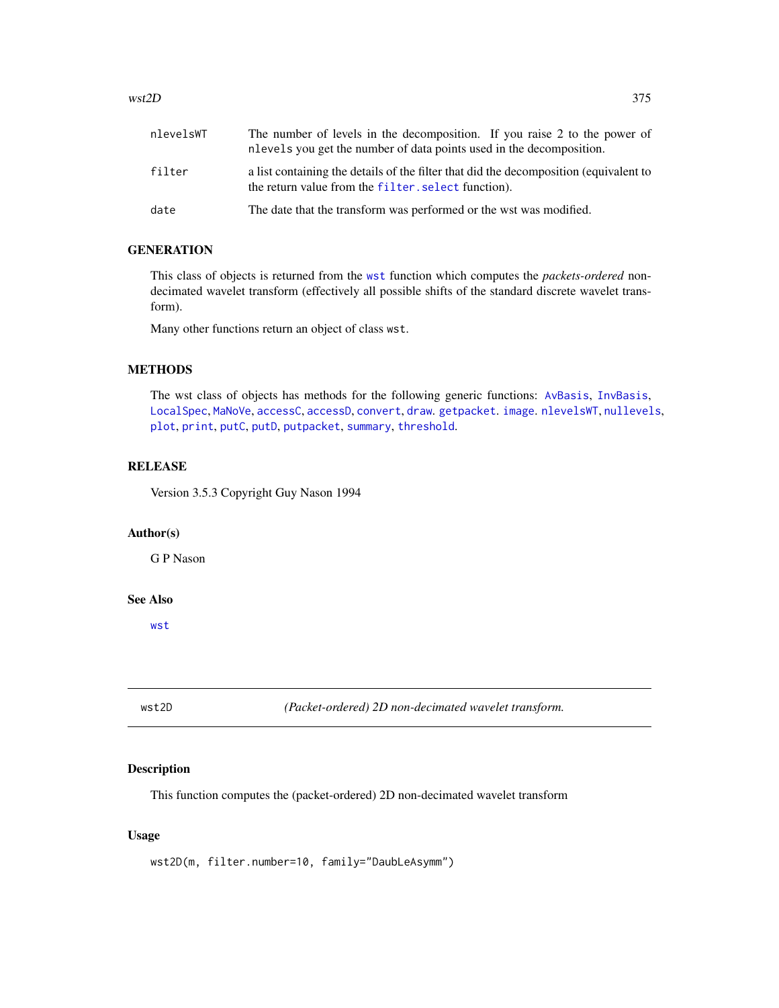#### <span id="page-374-1"></span> $wst2D$  375

| nlevelsWT | The number of levels in the decomposition. If you raise 2 to the power of<br>nlevels you get the number of data points used in the decomposition. |
|-----------|---------------------------------------------------------------------------------------------------------------------------------------------------|
| filter    | a list containing the details of the filter that did the decomposition (equivalent to<br>the return value from the filter, select function).      |
| date      | The date that the transform was performed or the wst was modified.                                                                                |

# **GENERATION**

This class of objects is returned from the [wst](#page-371-0) function which computes the *packets-ordered* nondecimated wavelet transform (effectively all possible shifts of the standard discrete wavelet transform).

Many other functions return an object of class wst.

# **METHODS**

The wst class of objects has methods for the following generic functions: [AvBasis](#page-26-0), [InvBasis](#page-141-0), [LocalSpec](#page-158-0), [MaNoVe](#page-181-0), [accessC](#page-7-0), [accessD](#page-14-0), [convert](#page-56-0), [draw](#page-80-0). [getpacket](#page-112-0). [image](#page-0-0). [nlevelsWT](#page-199-0), [nullevels](#page-201-0), [plot](#page-0-0), [print](#page-0-0), [putC](#page-255-0), [putD](#page-263-0), [putpacket](#page-273-0), [summary](#page-0-0), [threshold](#page-307-0).

#### RELEASE

Version 3.5.3 Copyright Guy Nason 1994

# Author(s)

G P Nason

# See Also

[wst](#page-371-0)

<span id="page-374-0"></span>wst2D *(Packet-ordered) 2D non-decimated wavelet transform.*

# Description

This function computes the (packet-ordered) 2D non-decimated wavelet transform

#### Usage

wst2D(m, filter.number=10, family="DaubLeAsymm")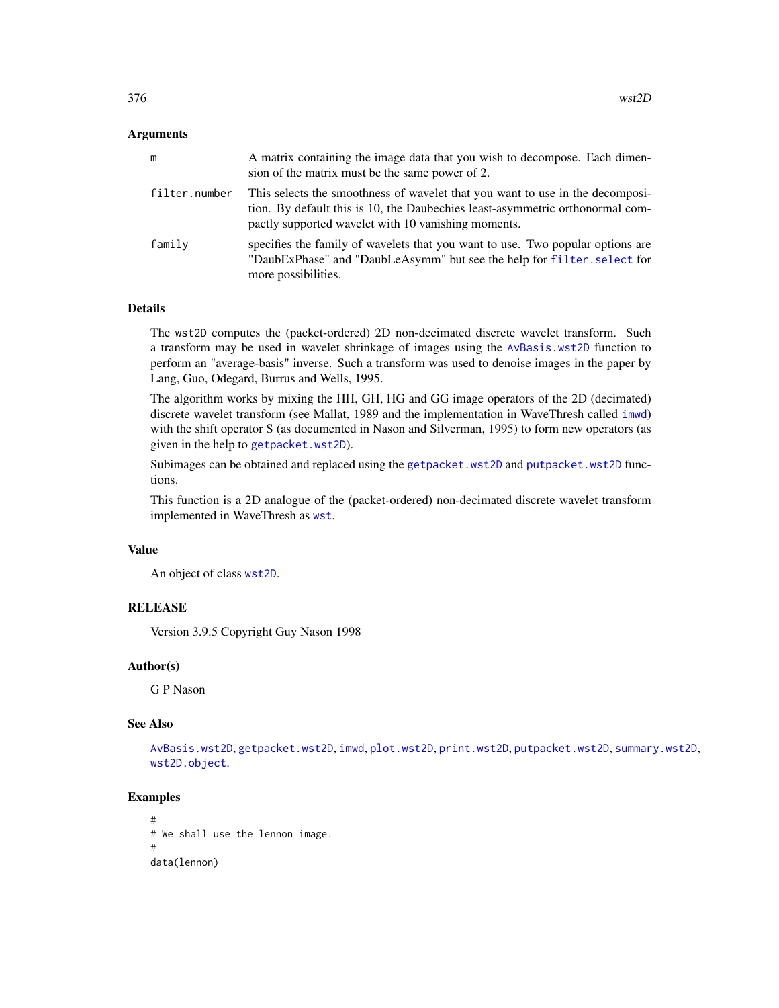#### <span id="page-375-0"></span>**Arguments**

| m             | A matrix containing the image data that you wish to decompose. Each dimen-<br>sion of the matrix must be the same power of 2.                                                                                         |
|---------------|-----------------------------------------------------------------------------------------------------------------------------------------------------------------------------------------------------------------------|
| filter.number | This selects the smoothness of wavelet that you want to use in the decomposi-<br>tion. By default this is 10, the Daubechies least-asymmetric orthonormal com-<br>pactly supported wavelet with 10 vanishing moments. |
| family        | specifies the family of wavelets that you want to use. Two popular options are<br>"DaubExPhase" and "DaubLeAsymm" but see the help for filter. select for<br>more possibilities.                                      |

# Details

The wst2D computes the (packet-ordered) 2D non-decimated discrete wavelet transform. Such a transform may be used in wavelet shrinkage of images using the [AvBasis.wst2D](#page-29-0) function to perform an "average-basis" inverse. Such a transform was used to denoise images in the paper by Lang, Guo, Odegard, Burrus and Wells, 1995.

The algorithm works by mixing the HH, GH, HG and GG image operators of the 2D (decimated) discrete wavelet transform (see Mallat, 1989 and the implementation in WaveThresh called [imwd](#page-131-0)) with the shift operator S (as documented in Nason and Silverman, 1995) to form new operators (as given in the help to [getpacket.wst2D](#page-119-0)).

Subimages can be obtained and replaced using the [getpacket.wst2D](#page-119-0) and [putpacket.wst2D](#page-278-0) functions.

This function is a 2D analogue of the (packet-ordered) non-decimated discrete wavelet transform implemented in WaveThresh as [wst](#page-371-0).

#### Value

An object of class [wst2D](#page-374-0).

# RELEASE

Version 3.9.5 Copyright Guy Nason 1998

# Author(s)

G P Nason

#### See Also

[AvBasis.wst2D](#page-29-0), [getpacket.wst2D](#page-119-0), [imwd](#page-131-0), [plot.wst2D](#page-223-0), [print.wst2D](#page-247-0), [putpacket.wst2D](#page-278-0), [summary.wst2D](#page-302-0), [wst2D.object](#page-376-0).

#### Examples

```
#
# We shall use the lennon image.
#
data(lennon)
```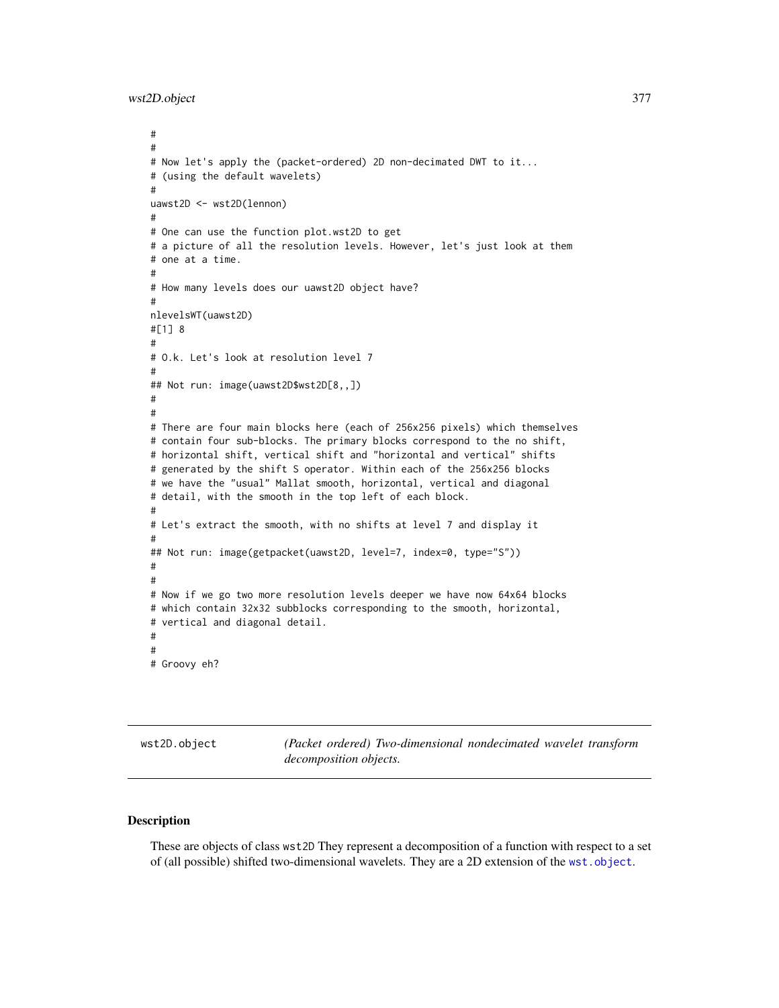<span id="page-376-1"></span>wst2D.object 377

```
#
#
# Now let's apply the (packet-ordered) 2D non-decimated DWT to it...
# (using the default wavelets)
#
uawst2D <- wst2D(lennon)
#
# One can use the function plot.wst2D to get
# a picture of all the resolution levels. However, let's just look at them
# one at a time.
#
# How many levels does our uawst2D object have?
#
nlevelsWT(uawst2D)
#[1] 8
#
# O.k. Let's look at resolution level 7
#
## Not run: image(uawst2D$wst2D[8,,])
#
#
# There are four main blocks here (each of 256x256 pixels) which themselves
# contain four sub-blocks. The primary blocks correspond to the no shift,
# horizontal shift, vertical shift and "horizontal and vertical" shifts
# generated by the shift S operator. Within each of the 256x256 blocks
# we have the "usual" Mallat smooth, horizontal, vertical and diagonal
# detail, with the smooth in the top left of each block.
#
# Let's extract the smooth, with no shifts at level 7 and display it
#
## Not run: image(getpacket(uawst2D, level=7, index=0, type="S"))
#
#
# Now if we go two more resolution levels deeper we have now 64x64 blocks
# which contain 32x32 subblocks corresponding to the smooth, horizontal,
# vertical and diagonal detail.
#
#
# Groovy eh?
```
<span id="page-376-0"></span>wst2D.object *(Packet ordered) Two-dimensional nondecimated wavelet transform decomposition objects.*

#### **Description**

These are objects of class wst2D They represent a decomposition of a function with respect to a set of (all possible) shifted two-dimensional wavelets. They are a 2D extension of the [wst.object](#page-373-0).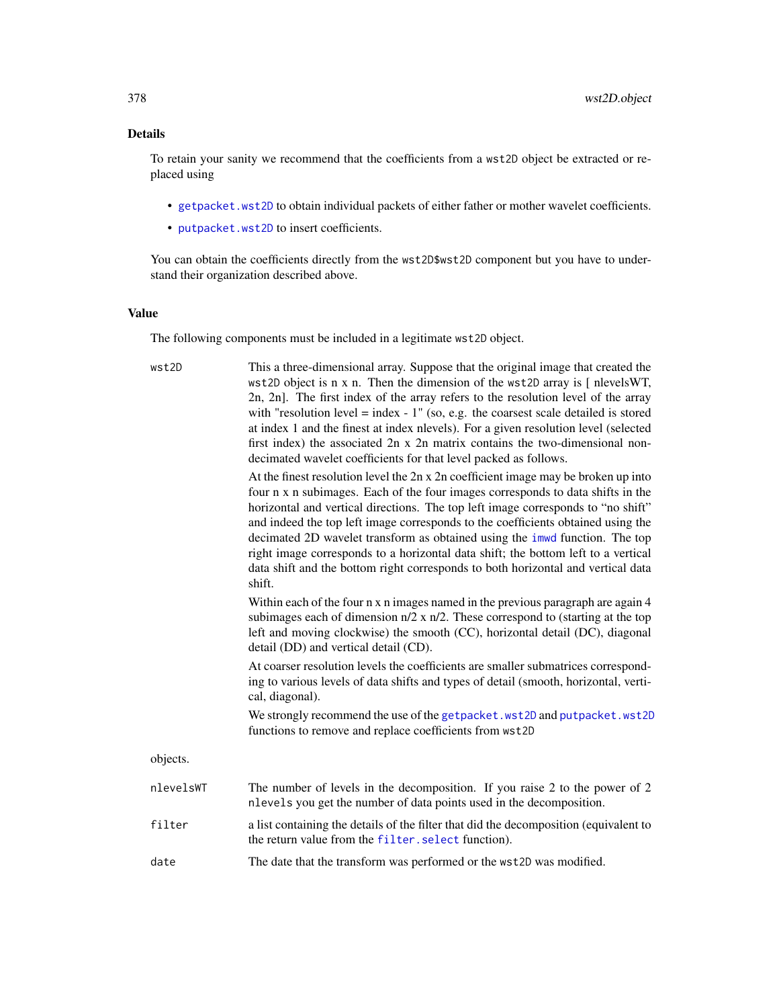# <span id="page-377-0"></span>Details

To retain your sanity we recommend that the coefficients from a wst2D object be extracted or replaced using

- [getpacket.wst2D](#page-119-0) to obtain individual packets of either father or mother wavelet coefficients.
- [putpacket.wst2D](#page-278-0) to insert coefficients.

You can obtain the coefficients directly from the wst2D\$wst2D component but you have to understand their organization described above.

#### Value

The following components must be included in a legitimate wst2D object.

| wst2D     | This a three-dimensional array. Suppose that the original image that created the<br>wst2D object is $n \times n$ . Then the dimension of the wst2D array is $\lceil$ nlevels WT,<br>2n, 2n]. The first index of the array refers to the resolution level of the array<br>with "resolution level = index - $1$ " (so, e.g. the coarsest scale detailed is stored<br>at index 1 and the finest at index nlevels). For a given resolution level (selected<br>first index) the associated $2n \times 2n$ matrix contains the two-dimensional non-<br>decimated wavelet coefficients for that level packed as follows. |
|-----------|-------------------------------------------------------------------------------------------------------------------------------------------------------------------------------------------------------------------------------------------------------------------------------------------------------------------------------------------------------------------------------------------------------------------------------------------------------------------------------------------------------------------------------------------------------------------------------------------------------------------|
|           | At the finest resolution level the 2n x 2n coefficient image may be broken up into<br>four n x n subimages. Each of the four images corresponds to data shifts in the<br>horizontal and vertical directions. The top left image corresponds to "no shift"<br>and indeed the top left image corresponds to the coefficients obtained using the<br>decimated 2D wavelet transform as obtained using the imwd function. The top<br>right image corresponds to a horizontal data shift; the bottom left to a vertical<br>data shift and the bottom right corresponds to both horizontal and vertical data<br>shift.   |
|           | Within each of the four n x n images named in the previous paragraph are again 4<br>subimages each of dimension $n/2$ x $n/2$ . These correspond to (starting at the top<br>left and moving clockwise) the smooth (CC), horizontal detail (DC), diagonal<br>detail (DD) and vertical detail (CD).                                                                                                                                                                                                                                                                                                                 |
|           | At coarser resolution levels the coefficients are smaller submatrices correspond-<br>ing to various levels of data shifts and types of detail (smooth, horizontal, verti-<br>cal, diagonal).                                                                                                                                                                                                                                                                                                                                                                                                                      |
|           | We strongly recommend the use of the getpacket. wst2D and putpacket. wst2D<br>functions to remove and replace coefficients from wst2D                                                                                                                                                                                                                                                                                                                                                                                                                                                                             |
| objects.  |                                                                                                                                                                                                                                                                                                                                                                                                                                                                                                                                                                                                                   |
| nlevelsWT | The number of levels in the decomposition. If you raise 2 to the power of 2<br>nlevels you get the number of data points used in the decomposition.                                                                                                                                                                                                                                                                                                                                                                                                                                                               |
| filter    | a list containing the details of the filter that did the decomposition (equivalent to<br>the return value from the filter. select function).                                                                                                                                                                                                                                                                                                                                                                                                                                                                      |
| date      | The date that the transform was performed or the wst2D was modified.                                                                                                                                                                                                                                                                                                                                                                                                                                                                                                                                              |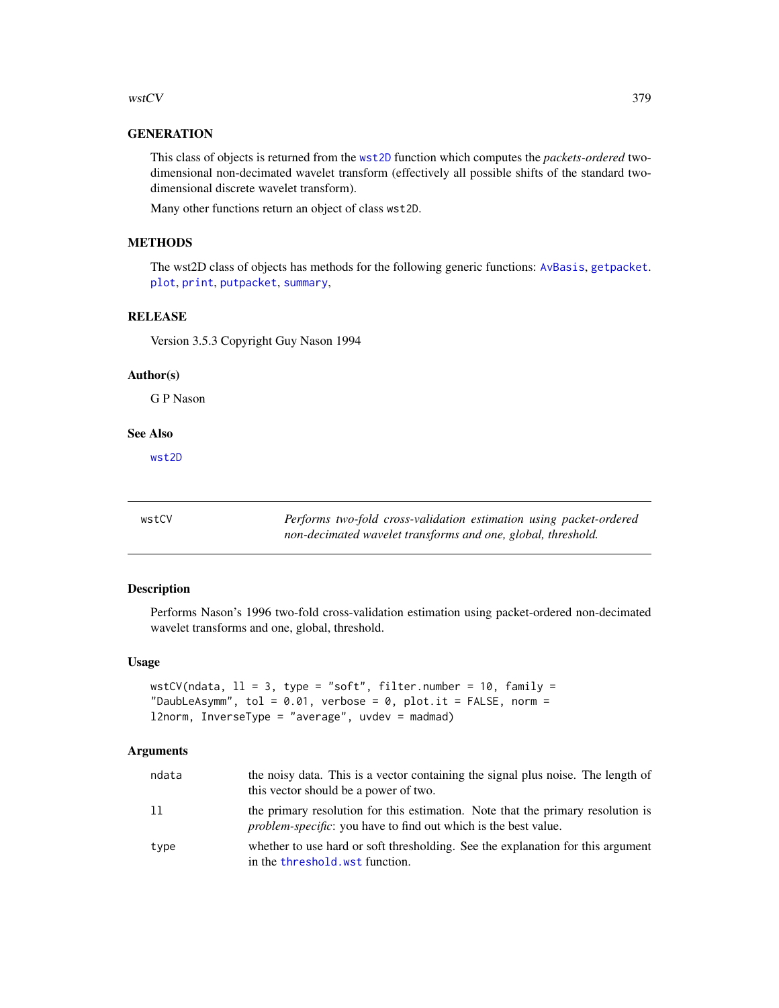<span id="page-378-1"></span>wstCV 379

# **GENERATION**

This class of objects is returned from the [wst2D](#page-374-0) function which computes the *packets-ordered* twodimensional non-decimated wavelet transform (effectively all possible shifts of the standard twodimensional discrete wavelet transform).

Many other functions return an object of class wst2D.

# **METHODS**

The wst2D class of objects has methods for the following generic functions: [AvBasis](#page-26-0), [getpacket](#page-112-0). [plot](#page-0-0), [print](#page-0-0), [putpacket](#page-273-0), [summary](#page-0-0),

# RELEASE

Version 3.5.3 Copyright Guy Nason 1994

#### Author(s)

G P Nason

#### See Also

[wst2D](#page-374-0)

<span id="page-378-0"></span>wstCV *Performs two-fold cross-validation estimation using packet-ordered non-decimated wavelet transforms and one, global, threshold.*

# Description

Performs Nason's 1996 two-fold cross-validation estimation using packet-ordered non-decimated wavelet transforms and one, global, threshold.

#### Usage

```
wstCV(ndata, 11 = 3, type = "soft", filter.number = 10, family =
"DaubLeAsymm", tol = 0.01, verbose = 0, plot.it = FALSE, norm =
l2norm, InverseType = "average", uvdev = madmad)
```
#### Arguments

| ndata | the noisy data. This is a vector containing the signal plus noise. The length of<br>this vector should be a power of two.                                  |
|-------|------------------------------------------------------------------------------------------------------------------------------------------------------------|
| 11    | the primary resolution for this estimation. Note that the primary resolution is<br><i>problem-specific</i> : you have to find out which is the best value. |
| type  | whether to use hard or soft thresholding. See the explanation for this argument<br>in the threshold, wst function.                                         |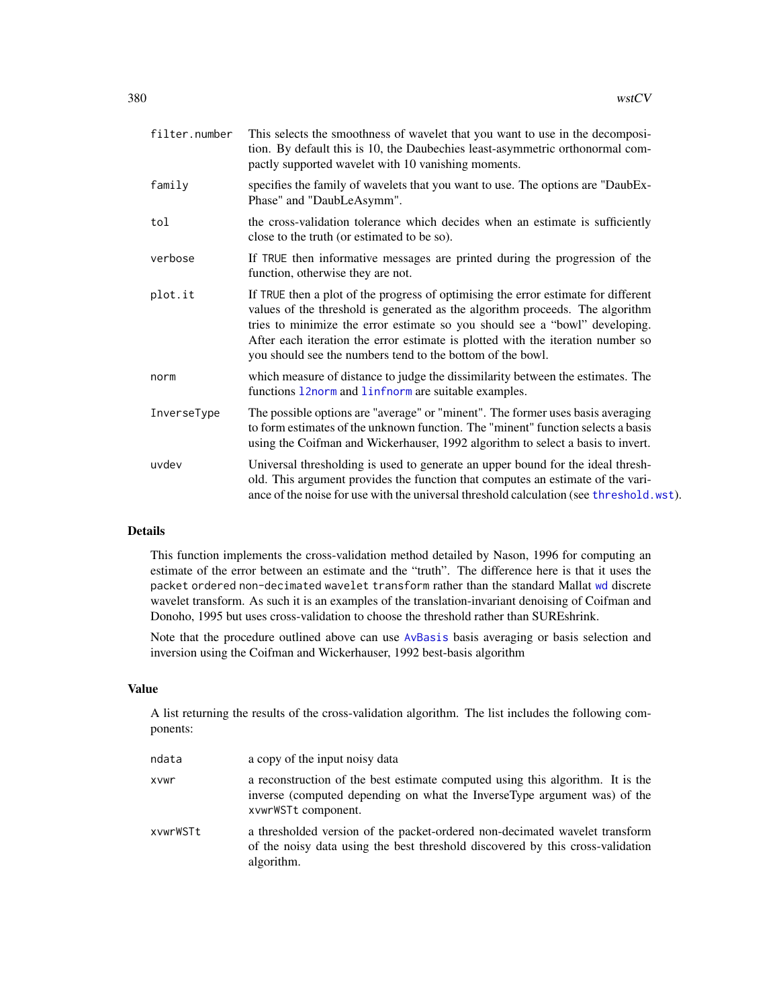<span id="page-379-0"></span>

| filter.number | This selects the smoothness of wavelet that you want to use in the decomposi-<br>tion. By default this is 10, the Daubechies least-asymmetric orthonormal com-<br>pactly supported wavelet with 10 vanishing moments.                                                                                                                                                                               |
|---------------|-----------------------------------------------------------------------------------------------------------------------------------------------------------------------------------------------------------------------------------------------------------------------------------------------------------------------------------------------------------------------------------------------------|
| family        | specifies the family of wavelets that you want to use. The options are "DaubEx-<br>Phase" and "DaubLeAsymm".                                                                                                                                                                                                                                                                                        |
| tol           | the cross-validation tolerance which decides when an estimate is sufficiently<br>close to the truth (or estimated to be so).                                                                                                                                                                                                                                                                        |
| verbose       | If TRUE then informative messages are printed during the progression of the<br>function, otherwise they are not.                                                                                                                                                                                                                                                                                    |
| plot.it       | If TRUE then a plot of the progress of optimising the error estimate for different<br>values of the threshold is generated as the algorithm proceeds. The algorithm<br>tries to minimize the error estimate so you should see a "bowl" developing.<br>After each iteration the error estimate is plotted with the iteration number so<br>you should see the numbers tend to the bottom of the bowl. |
| norm          | which measure of distance to judge the dissimilarity between the estimates. The<br>functions 12norm and 1infnorm are suitable examples.                                                                                                                                                                                                                                                             |
| InverseType   | The possible options are "average" or "minent". The former uses basis averaging<br>to form estimates of the unknown function. The "minent" function selects a basis<br>using the Coifman and Wickerhauser, 1992 algorithm to select a basis to invert.                                                                                                                                              |
| uvdev         | Universal thresholding is used to generate an upper bound for the ideal thresh-<br>old. This argument provides the function that computes an estimate of the vari-<br>ance of the noise for use with the universal threshold calculation (see threshold.wst).                                                                                                                                       |
|               |                                                                                                                                                                                                                                                                                                                                                                                                     |

#### Details

This function implements the cross-validation method detailed by Nason, 1996 for computing an estimate of the error between an estimate and the "truth". The difference here is that it uses the packet ordered non-decimated wavelet transform rather than the standard Mallat [wd](#page-344-0) discrete wavelet transform. As such it is an examples of the translation-invariant denoising of Coifman and Donoho, 1995 but uses cross-validation to choose the threshold rather than SUREshrink.

Note that the procedure outlined above can use [AvBasis](#page-26-0) basis averaging or basis selection and inversion using the Coifman and Wickerhauser, 1992 best-basis algorithm

#### Value

A list returning the results of the cross-validation algorithm. The list includes the following components:

| ndata    | a copy of the input noisy data                                                                                                                                                    |
|----------|-----------------------------------------------------------------------------------------------------------------------------------------------------------------------------------|
| xvwr     | a reconstruction of the best estimate computed using this algorithm. It is the<br>inverse (computed depending on what the InverseType argument was) of the<br>xvwrWSTt component. |
| xvwrWSTt | a thresholded version of the packet-ordered non-decimated wavelet transform<br>of the noisy data using the best threshold discovered by this cross-validation<br>algorithm.       |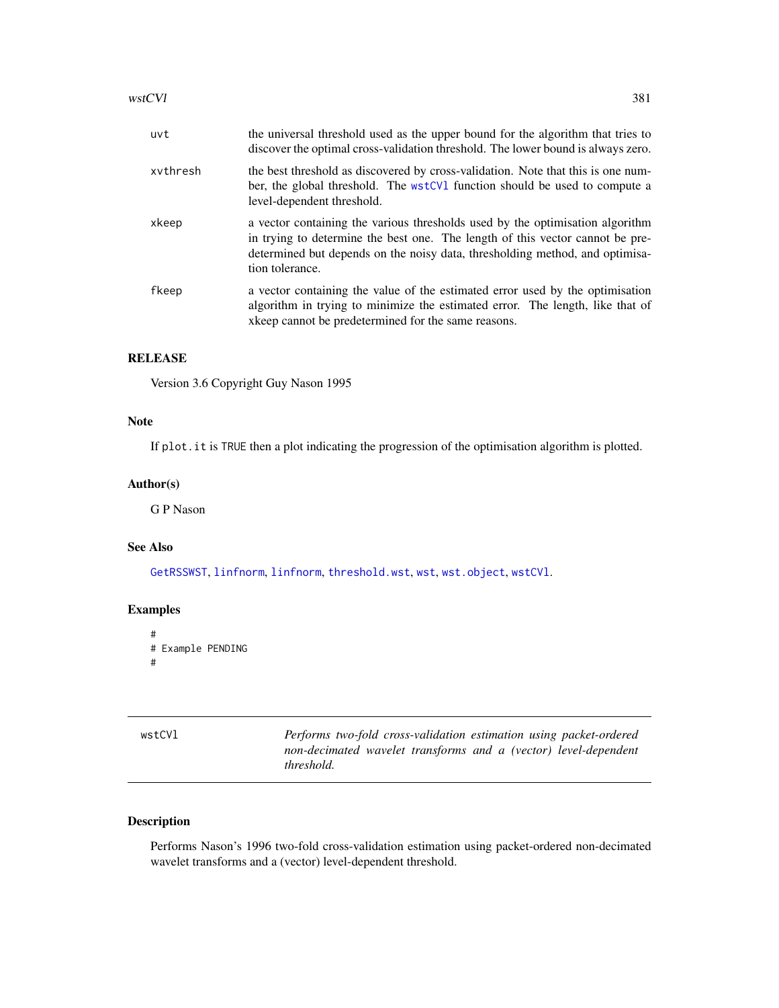<span id="page-380-1"></span>

| uvt      | the universal threshold used as the upper bound for the algorithm that tries to<br>discover the optimal cross-validation threshold. The lower bound is always zero.                                                                                               |
|----------|-------------------------------------------------------------------------------------------------------------------------------------------------------------------------------------------------------------------------------------------------------------------|
| xvthresh | the best threshold as discovered by cross-validation. Note that this is one num-<br>ber, the global threshold. The wstCV1 function should be used to compute a<br>level-dependent threshold.                                                                      |
| xkeep    | a vector containing the various thresholds used by the optimisation algorithm<br>in trying to determine the best one. The length of this vector cannot be pre-<br>determined but depends on the noisy data, thresholding method, and optimisa-<br>tion tolerance. |
| fkeep    | a vector containing the value of the estimated error used by the optimisation<br>algorithm in trying to minimize the estimated error. The length, like that of<br>xkeep cannot be predetermined for the same reasons.                                             |

# RELEASE

Version 3.6 Copyright Guy Nason 1995

# Note

If plot.it is TRUE then a plot indicating the progression of the optimisation algorithm is plotted.

#### Author(s)

G P Nason

# See Also

[GetRSSWST](#page-122-0), [linfnorm](#page-157-0), [linfnorm](#page-157-0), [threshold.wst](#page-329-0), [wst](#page-371-0), [wst.object](#page-373-0), [wstCVl](#page-380-0).

# Examples

```
#
# Example PENDING
#
```
<span id="page-380-0"></span>

| wstCVl | Performs two-fold cross-validation estimation using packet-ordered |
|--------|--------------------------------------------------------------------|
|        | non-decimated wavelet transforms and a (vector) level-dependent    |
|        | <i>threshold.</i>                                                  |

# Description

Performs Nason's 1996 two-fold cross-validation estimation using packet-ordered non-decimated wavelet transforms and a (vector) level-dependent threshold.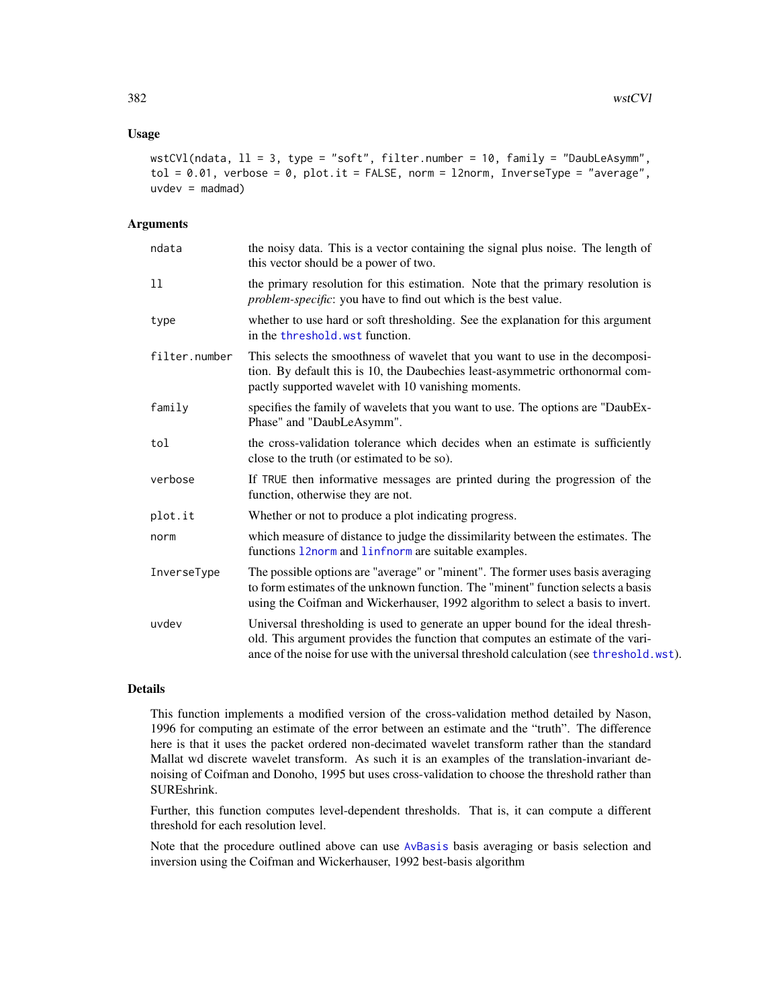#### <span id="page-381-0"></span>Usage

```
wstCVl(ndata, ll = 3, type = "soft", filter.number = 10, family = "DaubLeAsymm",
tol = 0.01, verbose = 0, plot.it = FALSE, norm = 12norm, InverseType = "average",
uvdev = madmad)
```
#### Arguments

| ndata         | the noisy data. This is a vector containing the signal plus noise. The length of<br>this vector should be a power of two.                                                                                                                                     |
|---------------|---------------------------------------------------------------------------------------------------------------------------------------------------------------------------------------------------------------------------------------------------------------|
| 11            | the primary resolution for this estimation. Note that the primary resolution is<br><i>problem-specific</i> : you have to find out which is the best value.                                                                                                    |
| type          | whether to use hard or soft thresholding. See the explanation for this argument<br>in the threshold, wst function.                                                                                                                                            |
| filter.number | This selects the smoothness of wavelet that you want to use in the decomposi-<br>tion. By default this is 10, the Daubechies least-asymmetric orthonormal com-<br>pactly supported wavelet with 10 vanishing moments.                                         |
| family        | specifies the family of wavelets that you want to use. The options are "DaubEx-<br>Phase" and "DaubLeAsymm".                                                                                                                                                  |
| tol           | the cross-validation tolerance which decides when an estimate is sufficiently<br>close to the truth (or estimated to be so).                                                                                                                                  |
| verbose       | If TRUE then informative messages are printed during the progression of the<br>function, otherwise they are not.                                                                                                                                              |
| plot.it       | Whether or not to produce a plot indicating progress.                                                                                                                                                                                                         |
| norm          | which measure of distance to judge the dissimilarity between the estimates. The<br>functions 12norm and 1infnorm are suitable examples.                                                                                                                       |
| InverseType   | The possible options are "average" or "minent". The former uses basis averaging<br>to form estimates of the unknown function. The "minent" function selects a basis<br>using the Coifman and Wickerhauser, 1992 algorithm to select a basis to invert.        |
| uvdev         | Universal thresholding is used to generate an upper bound for the ideal thresh-<br>old. This argument provides the function that computes an estimate of the vari-<br>ance of the noise for use with the universal threshold calculation (see threshold.wst). |

#### Details

This function implements a modified version of the cross-validation method detailed by Nason, 1996 for computing an estimate of the error between an estimate and the "truth". The difference here is that it uses the packet ordered non-decimated wavelet transform rather than the standard Mallat wd discrete wavelet transform. As such it is an examples of the translation-invariant denoising of Coifman and Donoho, 1995 but uses cross-validation to choose the threshold rather than SUREshrink.

Further, this function computes level-dependent thresholds. That is, it can compute a different threshold for each resolution level.

Note that the procedure outlined above can use [AvBasis](#page-26-0) basis averaging or basis selection and inversion using the Coifman and Wickerhauser, 1992 best-basis algorithm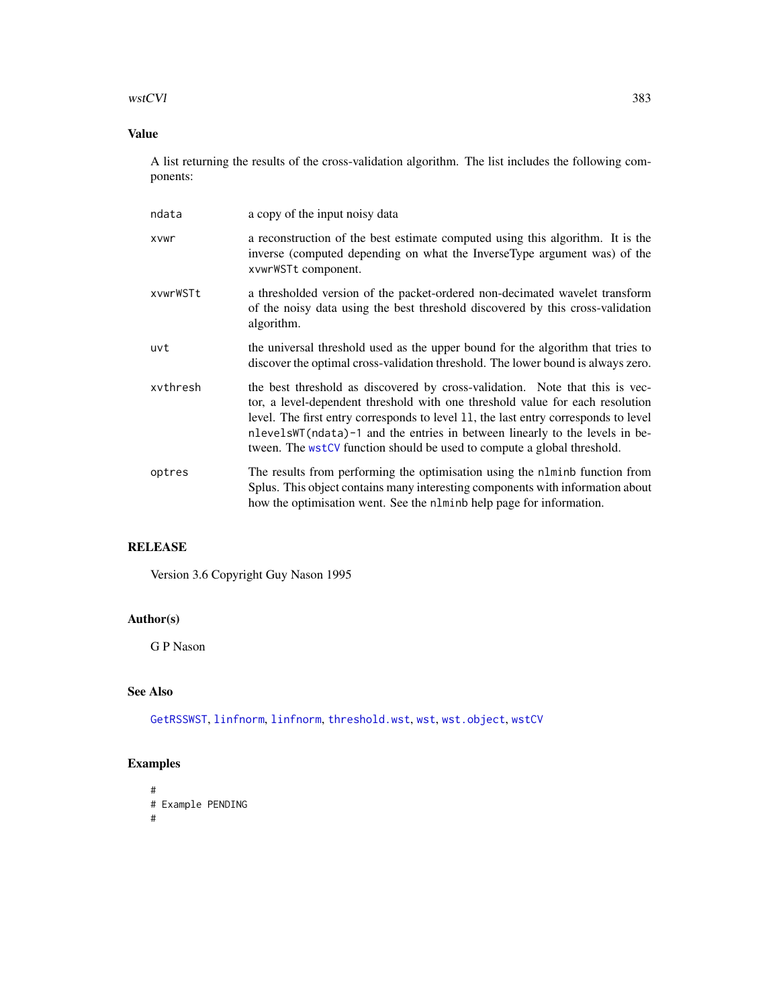# <span id="page-382-0"></span>wstCVl 383

# Value

A list returning the results of the cross-validation algorithm. The list includes the following components:

| ndata    | a copy of the input noisy data                                                                                                                                                                                                                                                                                                                                                                                    |
|----------|-------------------------------------------------------------------------------------------------------------------------------------------------------------------------------------------------------------------------------------------------------------------------------------------------------------------------------------------------------------------------------------------------------------------|
| xvwr     | a reconstruction of the best estimate computed using this algorithm. It is the<br>inverse (computed depending on what the InverseType argument was) of the<br>xvwrWSTt component.                                                                                                                                                                                                                                 |
| xvwrWSTt | a thresholded version of the packet-ordered non-decimated wavelet transform<br>of the noisy data using the best threshold discovered by this cross-validation<br>algorithm.                                                                                                                                                                                                                                       |
| uvt      | the universal threshold used as the upper bound for the algorithm that tries to<br>discover the optimal cross-validation threshold. The lower bound is always zero.                                                                                                                                                                                                                                               |
| xvthresh | the best threshold as discovered by cross-validation. Note that this is vec-<br>tor, a level-dependent threshold with one threshold value for each resolution<br>level. The first entry corresponds to level 11, the last entry corresponds to level<br>nlevelsWT (ndata)-1 and the entries in between linearly to the levels in be-<br>tween. The $wstCV$ function should be used to compute a global threshold. |
| optres   | The results from performing the optimisation using the n1minb function from<br>Splus. This object contains many interesting components with information about<br>how the optimisation went. See the nlminb help page for information.                                                                                                                                                                             |

# RELEASE

Version 3.6 Copyright Guy Nason 1995

# Author(s)

G P Nason

# See Also

[GetRSSWST](#page-122-0), [linfnorm](#page-157-0), [linfnorm](#page-157-0), [threshold.wst](#page-329-0), [wst](#page-371-0), [wst.object](#page-373-0), [wstCV](#page-378-0)

# Examples

# # Example PENDING #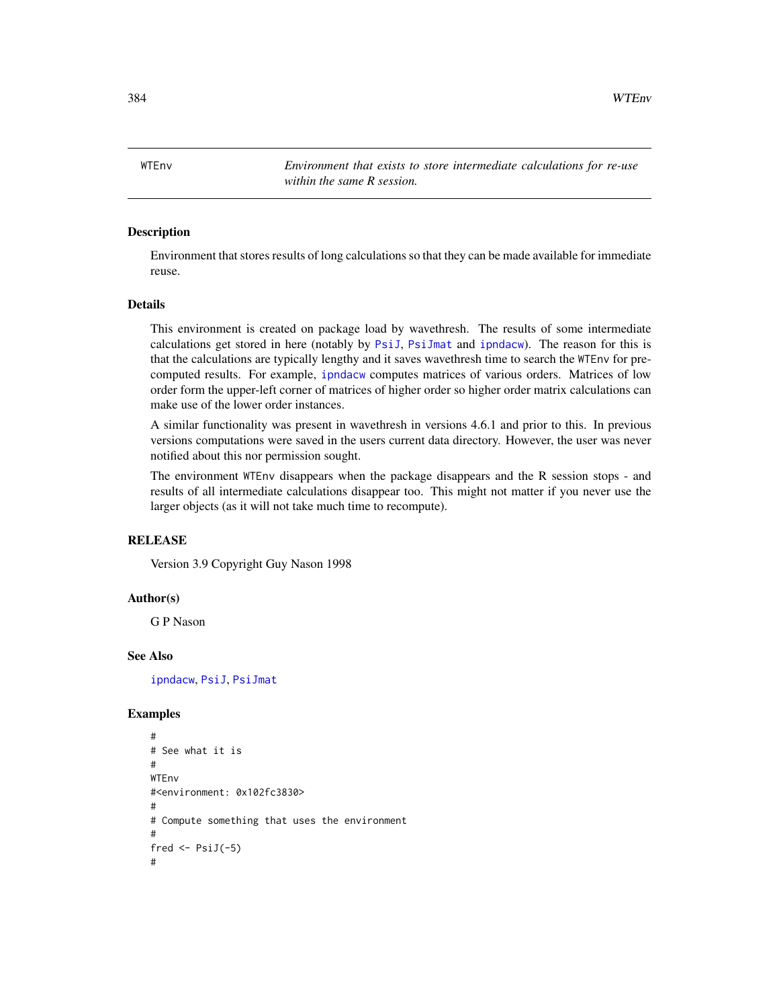<span id="page-383-0"></span>384 WTEnv

WTEnv *Environment that exists to store intermediate calculations for re-use within the same R session.*

#### Description

Environment that stores results of long calculations so that they can be made available for immediate reuse.

#### Details

This environment is created on package load by wavethresh. The results of some intermediate calculations get stored in here (notably by [PsiJ](#page-248-0), [PsiJmat](#page-251-0) and [ipndacw](#page-145-0)). The reason for this is that the calculations are typically lengthy and it saves wavethresh time to search the WTEnv for precomputed results. For example, [ipndacw](#page-145-0) computes matrices of various orders. Matrices of low order form the upper-left corner of matrices of higher order so higher order matrix calculations can make use of the lower order instances.

A similar functionality was present in wavethresh in versions 4.6.1 and prior to this. In previous versions computations were saved in the users current data directory. However, the user was never notified about this nor permission sought.

The environment WTEnv disappears when the package disappears and the R session stops - and results of all intermediate calculations disappear too. This might not matter if you never use the larger objects (as it will not take much time to recompute).

#### **RELEASE**

Version 3.9 Copyright Guy Nason 1998

#### Author(s)

G P Nason

#### See Also

[ipndacw](#page-145-0), [PsiJ](#page-248-0), [PsiJmat](#page-251-0)

#### Examples

```
#
# See what it is
#
WTEnv
#<environment: 0x102fc3830>
#
# Compute something that uses the environment
#
fred \leftarrow PsiJ(-5)
#
```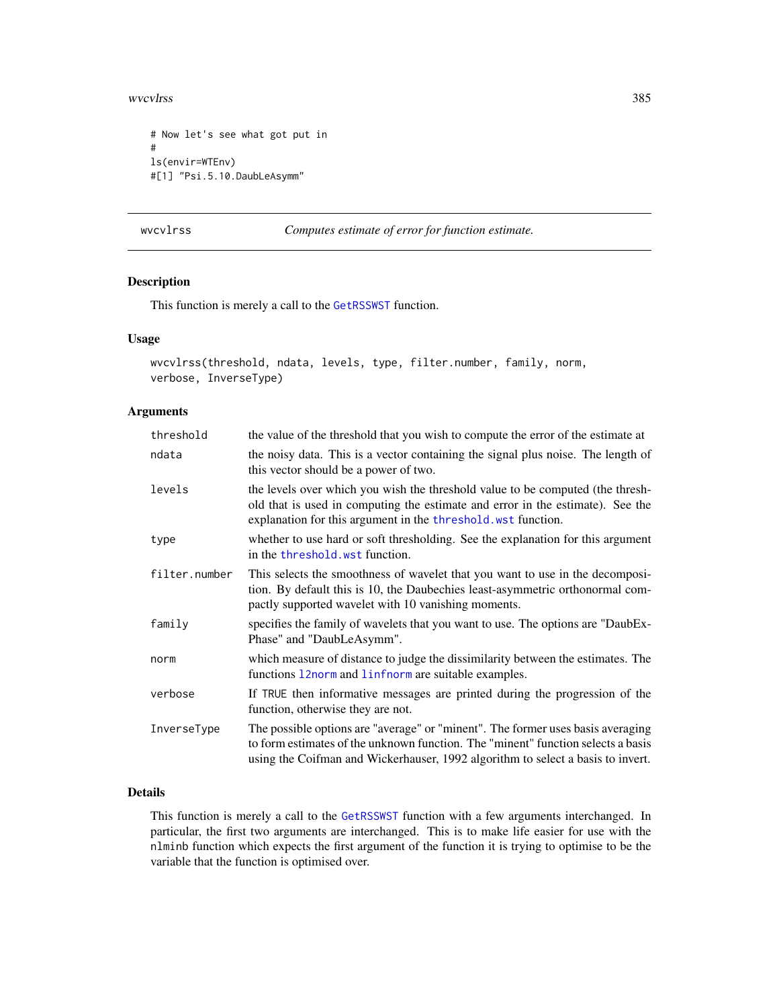<span id="page-384-0"></span>wvcvlrss 385

```
# Now let's see what got put in
#
ls(envir=WTEnv)
#[1] "Psi.5.10.DaubLeAsymm"
```
wvcvlrss *Computes estimate of error for function estimate.*

# Description

This function is merely a call to the [GetRSSWST](#page-122-0) function.

#### Usage

```
wvcvlrss(threshold, ndata, levels, type, filter.number, family, norm,
verbose, InverseType)
```
# Arguments

| threshold     | the value of the threshold that you wish to compute the error of the estimate at                                                                                                                                                                       |
|---------------|--------------------------------------------------------------------------------------------------------------------------------------------------------------------------------------------------------------------------------------------------------|
| ndata         | the noisy data. This is a vector containing the signal plus noise. The length of<br>this vector should be a power of two.                                                                                                                              |
| levels        | the levels over which you wish the threshold value to be computed (the thresh-<br>old that is used in computing the estimate and error in the estimate). See the<br>explanation for this argument in the threshold. wst function.                      |
| type          | whether to use hard or soft thresholding. See the explanation for this argument<br>in the threshold, wst function.                                                                                                                                     |
| filter.number | This selects the smoothness of wavelet that you want to use in the decomposi-<br>tion. By default this is 10, the Daubechies least-asymmetric orthonormal com-<br>pactly supported wavelet with 10 vanishing moments.                                  |
| family        | specifies the family of wavelets that you want to use. The options are "DaubEx-<br>Phase" and "DaubLeAsymm".                                                                                                                                           |
| norm          | which measure of distance to judge the dissimilarity between the estimates. The<br>functions 12norm and 1infnorm are suitable examples.                                                                                                                |
| verbose       | If TRUE then informative messages are printed during the progression of the<br>function, otherwise they are not.                                                                                                                                       |
| InverseType   | The possible options are "average" or "minent". The former uses basis averaging<br>to form estimates of the unknown function. The "minent" function selects a basis<br>using the Coifman and Wickerhauser, 1992 algorithm to select a basis to invert. |

# Details

This function is merely a call to the [GetRSSWST](#page-122-0) function with a few arguments interchanged. In particular, the first two arguments are interchanged. This is to make life easier for use with the nlminb function which expects the first argument of the function it is trying to optimise to be the variable that the function is optimised over.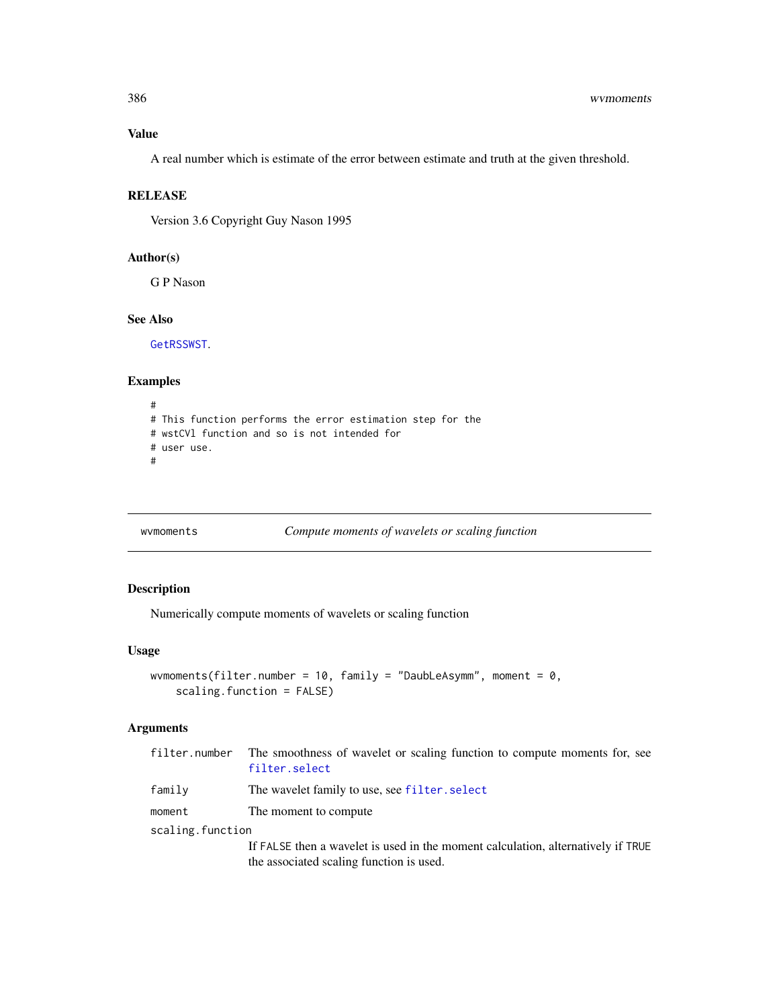#### Value

A real number which is estimate of the error between estimate and truth at the given threshold.

# **RELEASE**

Version 3.6 Copyright Guy Nason 1995

# Author(s)

G P Nason

#### See Also

[GetRSSWST](#page-122-0).

#### Examples

```
#
# This function performs the error estimation step for the
# wstCVl function and so is not intended for
# user use.
#
```
wvmoments *Compute moments of wavelets or scaling function*

# Description

Numerically compute moments of wavelets or scaling function

# Usage

```
wvmoments(filter.number = 10, family = "DaubLeAsymm", moment = 0,
    scaling.function = FALSE)
```
# Arguments

|                  | filter number The smoothness of wavelet or scaling function to compute moments for, see<br>filter.select                     |  |
|------------------|------------------------------------------------------------------------------------------------------------------------------|--|
| family           | The wavelet family to use, see filter. select                                                                                |  |
| moment           | The moment to compute                                                                                                        |  |
| scaling.function |                                                                                                                              |  |
|                  | If FALSE then a wavelet is used in the moment calculation, alternatively if TRUE<br>the associated scaling function is used. |  |

<span id="page-385-0"></span>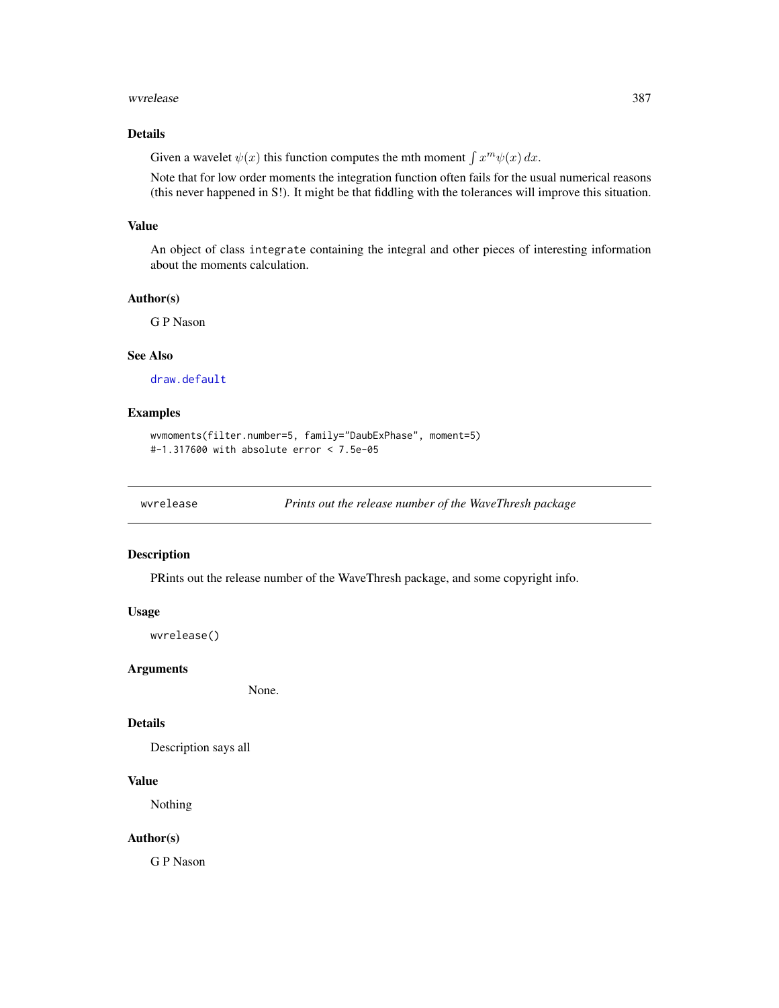#### <span id="page-386-0"></span>wwrelease 387

# Details

Given a wavelet  $\psi(x)$  this function computes the mth moment  $\int x^m \psi(x) dx$ .

Note that for low order moments the integration function often fails for the usual numerical reasons (this never happened in S!). It might be that fiddling with the tolerances will improve this situation.

# Value

An object of class integrate containing the integral and other pieces of interesting information about the moments calculation.

#### Author(s)

G P Nason

# See Also

[draw.default](#page-81-0)

# Examples

```
wvmoments(filter.number=5, family="DaubExPhase", moment=5)
#-1.317600 with absolute error < 7.5e-05
```
wvrelease *Prints out the release number of the WaveThresh package*

# Description

PRints out the release number of the WaveThresh package, and some copyright info.

#### Usage

wvrelease()

#### Arguments

None.

# Details

Description says all

# Value

Nothing

### Author(s)

G P Nason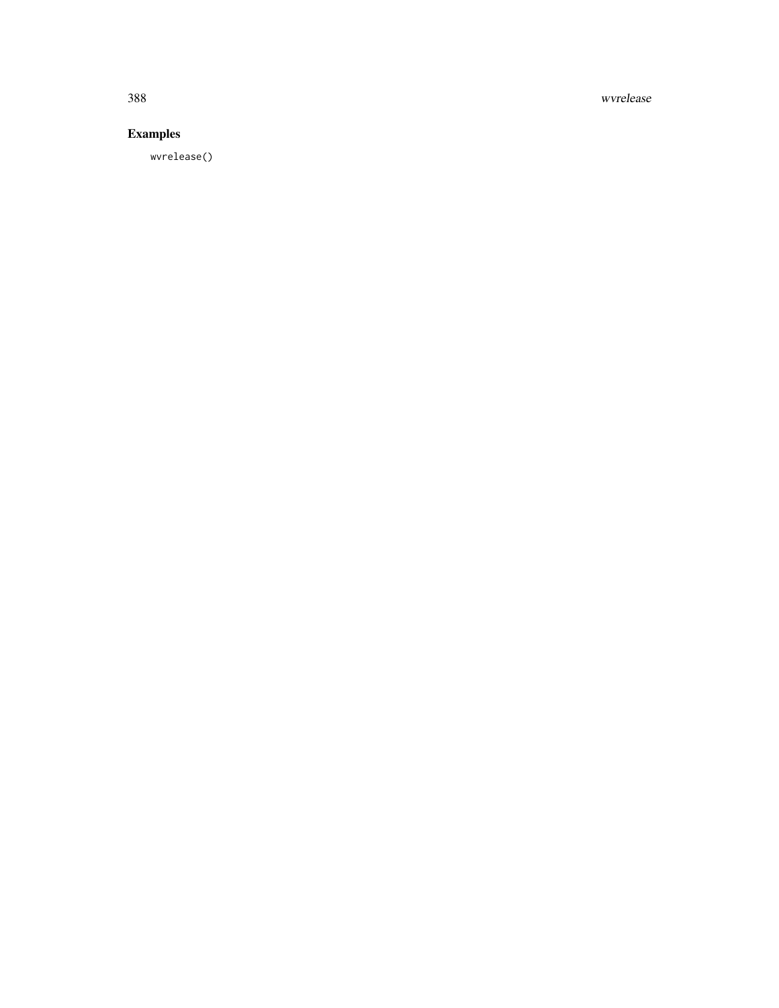388 wvrelease

# Examples

wvrelease()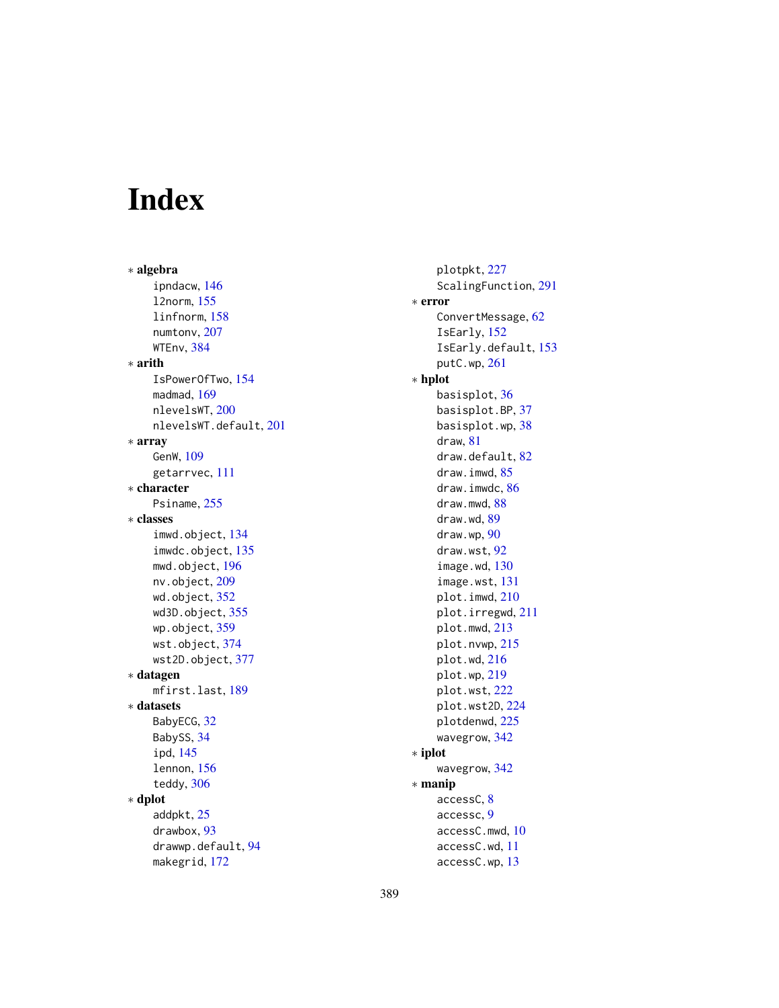# Index

∗ algebra ipndacw, [146](#page-145-1) l2norm, [155](#page-154-1) linfnorm, [158](#page-157-1) numtonv, [207](#page-206-0) WTEnv, [384](#page-383-0) ∗ arith IsPowerOfTwo, [154](#page-153-0) madmad, [169](#page-168-0) nlevelsWT, [200](#page-199-1) nlevelsWT.default, [201](#page-200-0) ∗ array GenW, [109](#page-108-0) getarrvec, [111](#page-110-0) ∗ character Psiname, [255](#page-254-0) ∗ classes imwd.object, [134](#page-133-0) imwdc.object, [135](#page-134-0) mwd.object, [196](#page-195-1) nv.object, [209](#page-208-0) wd.object, [352](#page-351-1) wd3D.object, [355](#page-354-1) wp.object, [359](#page-358-0) wst.object, [374](#page-373-1) wst2D.object, [377](#page-376-1) ∗ datagen mfirst.last, [189](#page-188-0) ∗ datasets BabyECG, [32](#page-31-0) BabySS, [34](#page-33-0) ipd, [145](#page-144-0) lennon, [156](#page-155-0) teddy, [306](#page-305-0) ∗ dplot addpkt, [25](#page-24-0) drawbox, [93](#page-92-0) drawwp.default, [94](#page-93-0) makegrid, [172](#page-171-0)

plotpkt, [227](#page-226-0) ScalingFunction, [291](#page-290-0) ∗ error ConvertMessage, [62](#page-61-0) IsEarly, [152](#page-151-0) IsEarly.default, [153](#page-152-0) putC.wp, [261](#page-260-0) ∗ hplot basisplot, [36](#page-35-0) basisplot.BP, [37](#page-36-0) basisplot.wp, [38](#page-37-0) draw, [81](#page-80-1) draw.default, [82](#page-81-1) draw.imwd, [85](#page-84-0) draw.imwdc, [86](#page-85-0) draw.mwd, [88](#page-87-0) draw.wd, [89](#page-88-0) draw.wp, [90](#page-89-0) draw.wst, [92](#page-91-0) image.wd, [130](#page-129-0) image.wst, [131](#page-130-0) plot.imwd, [210](#page-209-0) plot.irregwd, [211](#page-210-0) plot.mwd, [213](#page-212-0) plot.nvwp, [215](#page-214-0) plot.wd, [216](#page-215-1) plot.wp, [219](#page-218-0) plot.wst, [222](#page-221-1) plot.wst2D, [224](#page-223-1) plotdenwd, [225](#page-224-0) wavegrow, [342](#page-341-0) ∗ iplot wavegrow, [342](#page-341-0) ∗ manip accessC, [8](#page-7-1) accessc, [9](#page-8-0) accessC.mwd, [10](#page-9-0) accessC.wd, [11](#page-10-0) accessC.wp, [13](#page-12-0)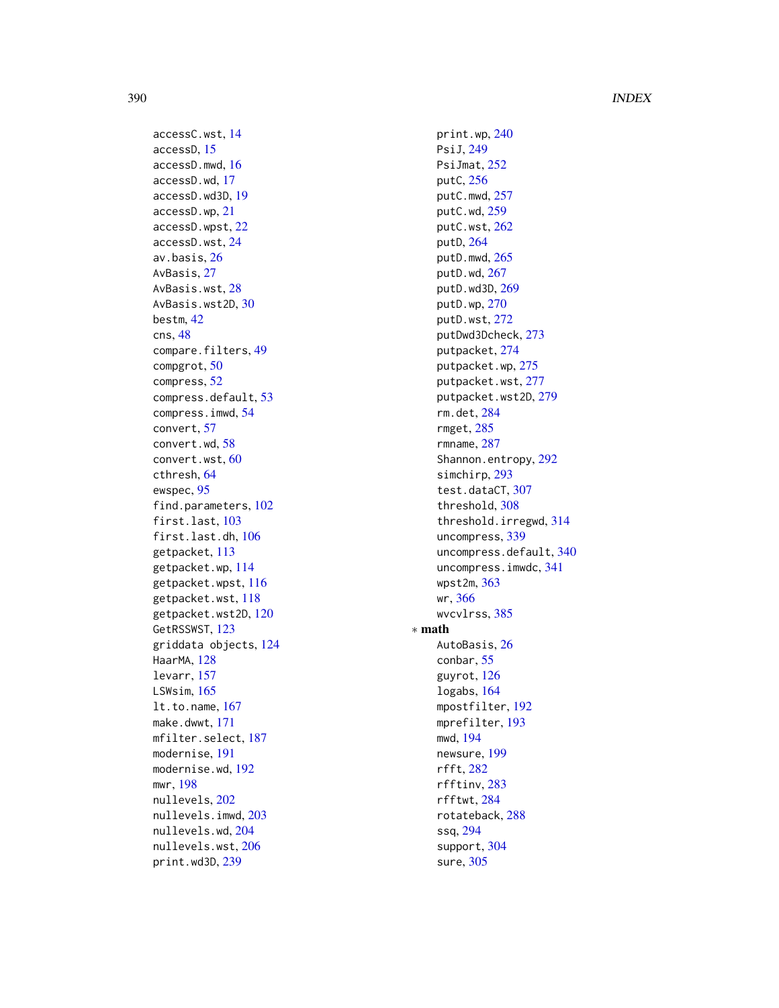390 INDEX

accessC.wst , [14](#page-13-1) accessD , [15](#page-14-1) accessD.mwd , [16](#page-15-0) accessD.wd , [17](#page-16-0) accessD.wd3D , [19](#page-18-1) accessD.wp , [21](#page-20-0) accessD.wpst , [22](#page-21-1) accessD.wst , [24](#page-23-1) av.basis, [26](#page-25-0) AvBasis, [27](#page-26-1) AvBasis.wst, 2<mark>8</mark> AvBasis.wst2D, [30](#page-29-1) bestm , [42](#page-41-0) cns , [48](#page-47-0) compare.filters , [49](#page-48-0) compgrot , [50](#page-49-1) compress , [52](#page-51-0) compress.default , [53](#page-52-0) compress.imwd , [54](#page-53-0) convert , [57](#page-56-1) convert.wd , [58](#page-57-0) convert.wst , [60](#page-59-0) cthresh , [64](#page-63-0) ewspec , [95](#page-94-1) find.parameters , [102](#page-101-0) first.last, [103](#page-102-0) first.last.dh , [106](#page-105-0) getpacket , [113](#page-112-1) getpacket.wp , [114](#page-113-0) getpacket.wpst, [116](#page-115-1) getpacket.wst , [118](#page-117-1) getpacket.wst2D , [120](#page-119-1) GetRSSWST, [123](#page-122-1) griddata objects , [124](#page-123-0) HaarMA, [128](#page-127-0) levarr , [157](#page-156-0) LSWsim , [165](#page-164-0) lt.to.name , [167](#page-166-0) make.dwwt , [171](#page-170-0) mfilter.select, [187](#page-186-0) modernise , [191](#page-190-0) modernise.wd , [192](#page-191-0) mwr , [198](#page-197-1) nullevels , [202](#page-201-1) nullevels.imwd , [203](#page-202-0) nullevels.wd , [204](#page-203-0) nullevels.wst , [206](#page-205-0) print.wd3D , [239](#page-238-1)

print.wp, [240](#page-239-0) PsiJ , [249](#page-248-1) PsiJmat, [252](#page-251-1) putC , [256](#page-255-1) putC.mwd, [257](#page-256-0) putC.wd , [259](#page-258-0) putC.wst , [262](#page-261-0) putD , [264](#page-263-1) putD.mwd , [265](#page-264-0) putD.wd , [267](#page-266-0) putD.wd3D , [269](#page-268-1) putD.wp , [270](#page-269-0) putD.wst , [272](#page-271-0) putDwd3Dcheck , [273](#page-272-1) putpacket , [274](#page-273-1) putpacket.wp , [275](#page-274-0) putpacket.wst , [277](#page-276-0) putpacket.wst2D , [279](#page-278-1) rm.det , [284](#page-283-0) rmget , [285](#page-284-0) rmname , [287](#page-286-0) Shannon.entropy , [292](#page-291-0) simchirp, [293](#page-292-0) test.dataCT , [307](#page-306-0) threshold , [308](#page-307-1) threshold.irregwd , [314](#page-313-0) uncompress , [339](#page-338-0) uncompress.default , [340](#page-339-0) uncompress.imwdc , [341](#page-340-0) wpst2m , [363](#page-362-0) wr , [366](#page-365-1) wvcvlrss , [385](#page-384-0) ∗ math AutoBasis, [26](#page-25-0) conbar , [55](#page-54-0) guyrot , [126](#page-125-0) logabs , [164](#page-163-0) mpostfilter , [192](#page-191-0) mprefilter , [193](#page-192-0) mwd , [194](#page-193-1) newsure , [199](#page-198-0) rfft , [282](#page-281-0) rfftinv , [283](#page-282-0) rfftwt , [284](#page-283-0) rotateback , [288](#page-287-0) ssq , [294](#page-293-0) support, [304](#page-303-0) sure , [305](#page-304-0)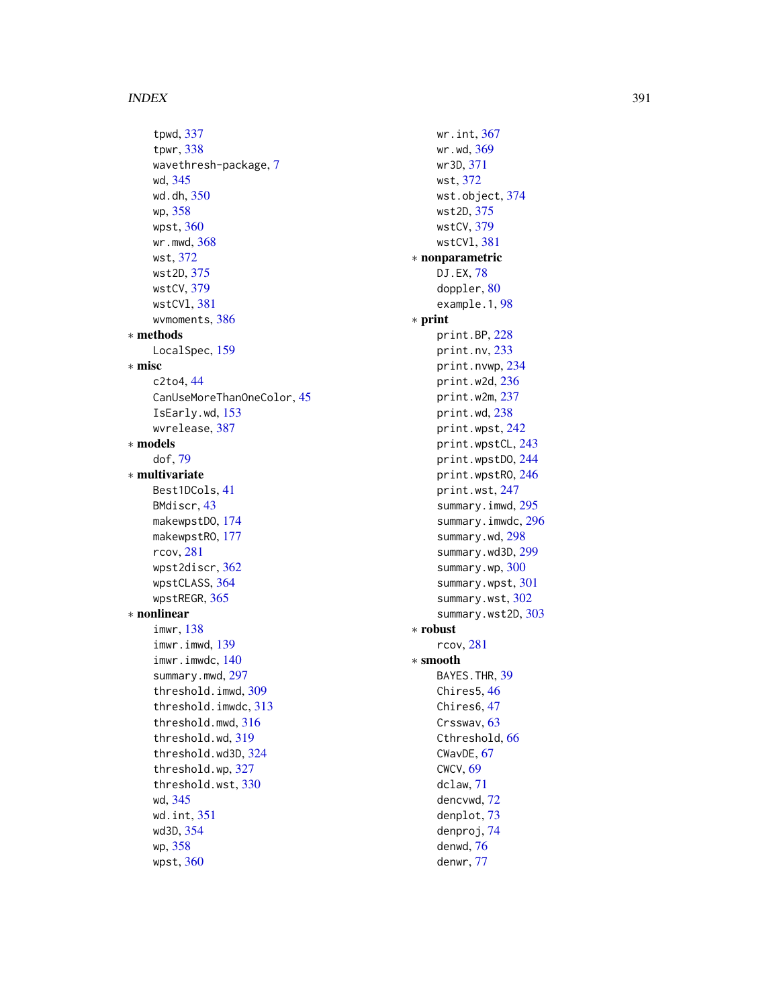tpwd , [337](#page-336-0) tpwr , [338](#page-337-0) wavethresh-package, [7](#page-6-0) wd , [345](#page-344-1) wd.dh , [350](#page-349-0) wp , [358](#page-357-0) wpst , [360](#page-359-1) wr.mwd , [368](#page-367-0) wst , [372](#page-371-1) wst2D , [375](#page-374-1) wstCV , [379](#page-378-1) wstCVl , [381](#page-380-1) wvmoments, [386](#page-385-0) ∗ methods LocalSpec, [159](#page-158-1) ∗ misc c2to4 , [44](#page-43-0) CanUseMoreThanOneColor , [45](#page-44-0) IsEarly.wd , [153](#page-152-0) wvrelease , [387](#page-386-0) ∗ models dof , [79](#page-78-0) ∗ multivariate Best1DCols , [41](#page-40-0) BMdiscr , [43](#page-42-0) makewpstDO , [174](#page-173-1) makewpstRO, [177](#page-176-1) rcov , [281](#page-280-0) wpst2discr , [362](#page-361-0) wpstCLASS , [364](#page-363-0) wpstREGR , [365](#page-364-0) ∗ nonlinear imwr , [138](#page-137-0) imwr.imwd , [139](#page-138-0) imwr.imwdc , [140](#page-139-0) summary.mwd, [297](#page-296-0) threshold.imwd , [309](#page-308-0) threshold.imwdc , [313](#page-312-0) threshold.mwd , [316](#page-315-0) threshold.wd , [319](#page-318-0) threshold.wd3D , [324](#page-323-1) threshold.wp , [327](#page-326-0) threshold.wst , [330](#page-329-1) wd , [345](#page-344-1) wd.int , [351](#page-350-1) wd3D , [354](#page-353-1) wp , [358](#page-357-0) wpst , [360](#page-359-1)

wr.int , [367](#page-366-1) wr.wd , [369](#page-368-1) wr3D , [371](#page-370-0) wst , [372](#page-371-1) wst.object , [374](#page-373-1) wst2D , [375](#page-374-1) wstCV , [379](#page-378-1) wstCVl , [381](#page-380-1) ∗ nonparametric DJ.EX, [78](#page-77-0) doppler,  $80$ example.1,[98](#page-97-0) ∗ print print.BP , [228](#page-227-0) print.nv , [233](#page-232-0) print.nvwp , [234](#page-233-0) print.w2d , [236](#page-235-0) print.w2m , [237](#page-236-1) print.wd , [238](#page-237-0) print.wpst , [242](#page-241-0) print.wpstCL , [243](#page-242-0) print.wpstDO , [244](#page-243-0) print.wpstRO, [246](#page-245-0) print.wst , [247](#page-246-0) summary.imwd, [295](#page-294-0) summary.imwdc, [296](#page-295-0) summary.wd, [298](#page-297-0) summary.wd3D, [299](#page-298-1) summary.wp, [300](#page-299-0) summary.wpst, [301](#page-300-0) summary.wst, [302](#page-301-0) summary.wst2D, [303](#page-302-1) ∗ robust rcov , [281](#page-280-0) ∗ smooth BAYES.THR, [39](#page-38-0) Chires5,[46](#page-45-0) Chires6, [47](#page-46-0) Crsswav, [63](#page-62-0) Cthreshold, [66](#page-65-0) CWavDE, [67](#page-66-0) CWCV , [69](#page-68-0) dclaw , [71](#page-70-0) dencvwd , [72](#page-71-0) denplot , [73](#page-72-0) denproj , [74](#page-73-0) denwd , [76](#page-75-0) denwr , [77](#page-76-0)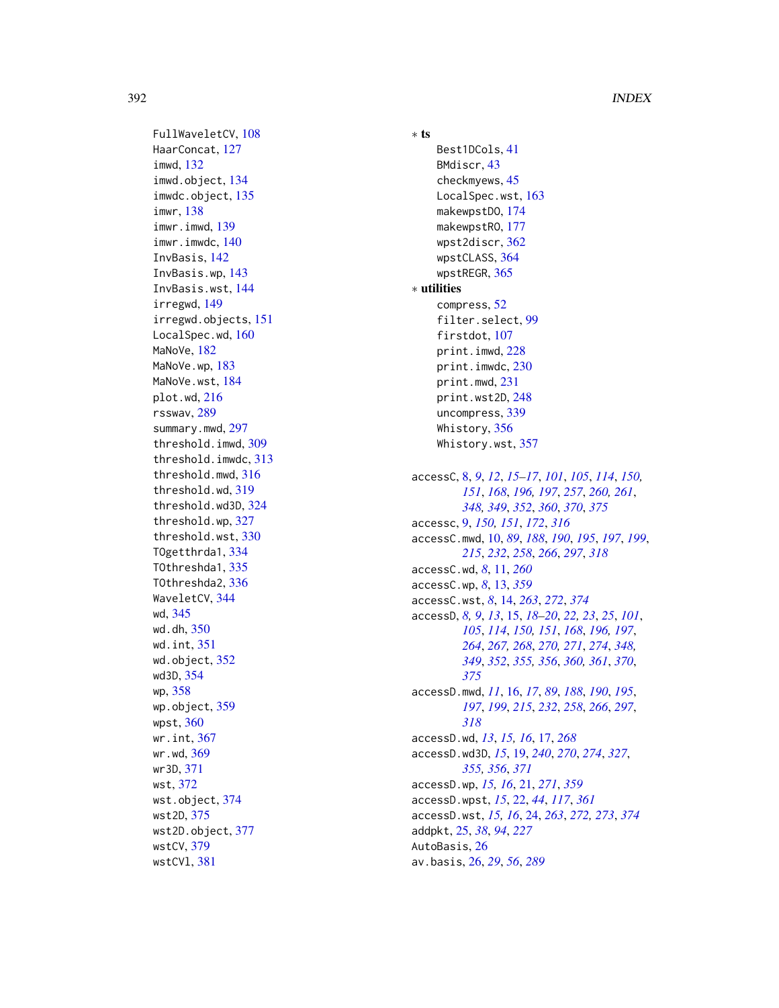FullWaveletCV, [108](#page-107-0) HaarConcat, [127](#page-126-0) imwd, [132](#page-131-1) imwd.object, [134](#page-133-0) imwdc.object, [135](#page-134-0) imwr, [138](#page-137-0) imwr.imwd, [139](#page-138-0) imwr.imwdc, [140](#page-139-0) InvBasis, [142](#page-141-1) InvBasis.wp, [143](#page-142-0) InvBasis.wst, [144](#page-143-1) irregwd, [149](#page-148-0) irregwd.objects, [151](#page-150-0) LocalSpec.wd, [160](#page-159-0) MaNoVe, [182](#page-181-1) MaNoVe.wp. [183](#page-182-0) MaNoVe.wst, [184](#page-183-0) plot.wd, [216](#page-215-1) rsswav, [289](#page-288-0) summary.mwd, [297](#page-296-0) threshold.imwd, [309](#page-308-0) threshold.imwdc, [313](#page-312-0) threshold.mwd, [316](#page-315-0) threshold.wd, [319](#page-318-0) threshold.wd3D, [324](#page-323-1) threshold.wp, [327](#page-326-0) threshold.wst, [330](#page-329-1) TOgetthrda1, [334](#page-333-0) TOthreshda1, [335](#page-334-0) TOthreshda2, [336](#page-335-0) WaveletCV, [344](#page-343-0) wd, [345](#page-344-1) wd.dh, [350](#page-349-0) wd.int, [351](#page-350-1) wd.object, [352](#page-351-1) wd3D, [354](#page-353-1) wp, [358](#page-357-0) wp.object, [359](#page-358-0) wpst, [360](#page-359-1) wr.int, [367](#page-366-1) wr.wd, [369](#page-368-1) wr3D, [371](#page-370-0) wst, [372](#page-371-1) wst.object, [374](#page-373-1) wst2D, [375](#page-374-1) wst2D.object, [377](#page-376-1) wstCV, [379](#page-378-1) wstCVl, [381](#page-380-1)

∗ ts Best1DCols, [41](#page-40-0) BMdiscr, [43](#page-42-0) checkmyews, [45](#page-44-0) LocalSpec.wst, [163](#page-162-0) makewpstDO, [174](#page-173-1) makewpstRO, [177](#page-176-1) wpst2discr, [362](#page-361-0) wpstCLASS, [364](#page-363-0) wpstREGR, [365](#page-364-0) ∗ utilities compress, [52](#page-51-0) filter.select, [99](#page-98-1) firstdot, [107](#page-106-0) print.imwd, [228](#page-227-0) print.imwdc, [230](#page-229-0) print.mwd, [231](#page-230-0) print.wst2D, [248](#page-247-1) uncompress, [339](#page-338-0) Whistory, [356](#page-355-0) Whistory.wst, [357](#page-356-0) accessC, [8,](#page-7-1) *[9](#page-8-0)*, *[12](#page-11-0)*, *[15](#page-14-1)[–17](#page-16-0)*, *[101](#page-100-0)*, *[105](#page-104-0)*, *[114](#page-113-0)*, *[150,](#page-149-0) [151](#page-150-0)*, *[168](#page-167-0)*, *[196,](#page-195-1) [197](#page-196-0)*, *[257](#page-256-0)*, *[260,](#page-259-0) [261](#page-260-0)*, *[348,](#page-347-0) [349](#page-348-0)*, *[352](#page-351-1)*, *[360](#page-359-1)*, *[370](#page-369-0)*, *[375](#page-374-1)* accessc, [9,](#page-8-0) *[150,](#page-149-0) [151](#page-150-0)*, *[172](#page-171-0)*, *[316](#page-315-0)* accessC.mwd, [10,](#page-9-0) *[89](#page-88-0)*, *[188](#page-187-0)*, *[190](#page-189-0)*, *[195](#page-194-0)*, *[197](#page-196-0)*, *[199](#page-198-0)*, *[215](#page-214-0)*, *[232](#page-231-0)*, *[258](#page-257-0)*, *[266](#page-265-0)*, *[297](#page-296-0)*, *[318](#page-317-0)* accessC.wd, *[8](#page-7-1)*, [11,](#page-10-0) *[260](#page-259-0)* accessC.wp, *[8](#page-7-1)*, [13,](#page-12-0) *[359](#page-358-0)* accessC.wst, *[8](#page-7-1)*, [14,](#page-13-1) *[263](#page-262-0)*, *[272](#page-271-0)*, *[374](#page-373-1)* accessD, *[8,](#page-7-1) [9](#page-8-0)*, *[13](#page-12-0)*, [15,](#page-14-1) *[18](#page-17-0)[–20](#page-19-0)*, *[22,](#page-21-1) [23](#page-22-0)*, *[25](#page-24-0)*, *[101](#page-100-0)*, *[105](#page-104-0)*, *[114](#page-113-0)*, *[150,](#page-149-0) [151](#page-150-0)*, *[168](#page-167-0)*, *[196,](#page-195-1) [197](#page-196-0)*, *[264](#page-263-1)*, *[267,](#page-266-0) [268](#page-267-0)*, *[270,](#page-269-0) [271](#page-270-0)*, *[274](#page-273-1)*, *[348,](#page-347-0) [349](#page-348-0)*, *[352](#page-351-1)*, *[355,](#page-354-1) [356](#page-355-0)*, *[360,](#page-359-1) [361](#page-360-0)*, *[370](#page-369-0)*, *[375](#page-374-1)* accessD.mwd, *[11](#page-10-0)*, [16,](#page-15-0) *[17](#page-16-0)*, *[89](#page-88-0)*, *[188](#page-187-0)*, *[190](#page-189-0)*, *[195](#page-194-0)*, *[197](#page-196-0)*, *[199](#page-198-0)*, *[215](#page-214-0)*, *[232](#page-231-0)*, *[258](#page-257-0)*, *[266](#page-265-0)*, *[297](#page-296-0)*, *[318](#page-317-0)* accessD.wd, *[13](#page-12-0)*, *[15,](#page-14-1) [16](#page-15-0)*, [17,](#page-16-0) *[268](#page-267-0)* accessD.wd3D, *[15](#page-14-1)*, [19,](#page-18-1) *[240](#page-239-0)*, *[270](#page-269-0)*, *[274](#page-273-1)*, *[327](#page-326-0)*, *[355,](#page-354-1) [356](#page-355-0)*, *[371](#page-370-0)* accessD.wp, *[15,](#page-14-1) [16](#page-15-0)*, [21,](#page-20-0) *[271](#page-270-0)*, *[359](#page-358-0)* accessD.wpst, *[15](#page-14-1)*, [22,](#page-21-1) *[44](#page-43-0)*, *[117](#page-116-0)*, *[361](#page-360-0)* accessD.wst, *[15,](#page-14-1) [16](#page-15-0)*, [24,](#page-23-1) *[263](#page-262-0)*, *[272,](#page-271-0) [273](#page-272-1)*, *[374](#page-373-1)* addpkt, [25,](#page-24-0) *[38](#page-37-0)*, *[94](#page-93-0)*, *[227](#page-226-0)* AutoBasis, [26](#page-25-0) av.basis, [26,](#page-25-0) *[29](#page-28-0)*, *[56](#page-55-0)*, *[289](#page-288-0)*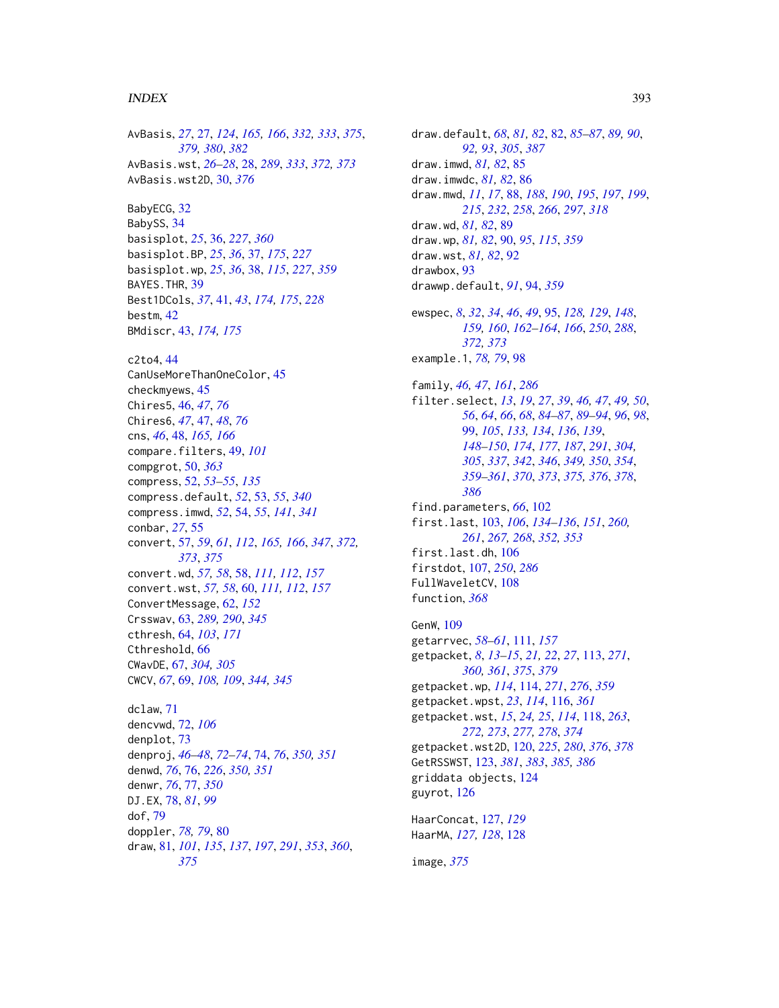#### $I$ NDEX 393

AvBasis, *[27](#page-26-1)*, [27,](#page-26-1) *[124](#page-123-0)*, *[165,](#page-164-0) [166](#page-165-0)*, *[332,](#page-331-0) [333](#page-332-0)*, *[375](#page-374-1)*, *[379,](#page-378-1) [380](#page-379-0)*, *[382](#page-381-0)* AvBasis.wst, *[26](#page-25-0)[–28](#page-27-1)*, [28,](#page-27-1) *[289](#page-288-0)*, *[333](#page-332-0)*, *[372,](#page-371-1) [373](#page-372-0)* AvBasis.wst2D, [30,](#page-29-1) *[376](#page-375-0)* BabyECG, [32](#page-31-0) BabySS, [34](#page-33-0) basisplot, *[25](#page-24-0)*, [36,](#page-35-0) *[227](#page-226-0)*, *[360](#page-359-1)* basisplot.BP, *[25](#page-24-0)*, *[36](#page-35-0)*, [37,](#page-36-0) *[175](#page-174-0)*, *[227](#page-226-0)* basisplot.wp, *[25](#page-24-0)*, *[36](#page-35-0)*, [38,](#page-37-0) *[115](#page-114-0)*, *[227](#page-226-0)*, *[359](#page-358-0)* BAYES.THR, [39](#page-38-0) Best1DCols, *[37](#page-36-0)*, [41,](#page-40-0) *[43](#page-42-0)*, *[174,](#page-173-1) [175](#page-174-0)*, *[228](#page-227-0)* bestm, [42](#page-41-0) BMdiscr, [43,](#page-42-0) *[174,](#page-173-1) [175](#page-174-0)* c2to4, [44](#page-43-0) CanUseMoreThanOneColor, [45](#page-44-0) checkmyews, [45](#page-44-0) Chires5, [46,](#page-45-0) *[47](#page-46-0)*, *[76](#page-75-0)* Chires6, *[47](#page-46-0)*, [47,](#page-46-0) *[48](#page-47-0)*, *[76](#page-75-0)* cns, *[46](#page-45-0)*, [48,](#page-47-0) *[165,](#page-164-0) [166](#page-165-0)* compare.filters, [49,](#page-48-0) *[101](#page-100-0)* compgrot, [50,](#page-49-1) *[363](#page-362-0)* compress, [52,](#page-51-0) *[53](#page-52-0)[–55](#page-54-0)*, *[135](#page-134-0)* compress.default, *[52](#page-51-0)*, [53,](#page-52-0) *[55](#page-54-0)*, *[340](#page-339-0)* compress.imwd, *[52](#page-51-0)*, [54,](#page-53-0) *[55](#page-54-0)*, *[141](#page-140-0)*, *[341](#page-340-0)* conbar, *[27](#page-26-1)*, [55](#page-54-0) convert, [57,](#page-56-1) *[59](#page-58-0)*, *[61](#page-60-0)*, *[112](#page-111-0)*, *[165,](#page-164-0) [166](#page-165-0)*, *[347](#page-346-0)*, *[372,](#page-371-1) [373](#page-372-0)*, *[375](#page-374-1)* convert.wd, *[57,](#page-56-1) [58](#page-57-0)*, [58,](#page-57-0) *[111,](#page-110-0) [112](#page-111-0)*, *[157](#page-156-0)* convert.wst, *[57,](#page-56-1) [58](#page-57-0)*, [60,](#page-59-0) *[111,](#page-110-0) [112](#page-111-0)*, *[157](#page-156-0)* ConvertMessage, [62,](#page-61-0) *[152](#page-151-0)* Crsswav, [63,](#page-62-0) *[289,](#page-288-0) [290](#page-289-0)*, *[345](#page-344-1)* cthresh, [64,](#page-63-0) *[103](#page-102-0)*, *[171](#page-170-0)* Cthreshold, [66](#page-65-0) CWavDE, [67,](#page-66-0) *[304,](#page-303-0) [305](#page-304-0)* CWCV, *[67](#page-66-0)*, [69,](#page-68-0) *[108,](#page-107-0) [109](#page-108-0)*, *[344,](#page-343-0) [345](#page-344-1)* dclaw, [71](#page-70-0) dencvwd, [72,](#page-71-0) *[106](#page-105-0)* denplot, [73](#page-72-0) denproj, *[46](#page-45-0)[–48](#page-47-0)*, *[72](#page-71-0)[–74](#page-73-0)*, [74,](#page-73-0) *[76](#page-75-0)*, *[350,](#page-349-0) [351](#page-350-1)* denwd, *[76](#page-75-0)*, [76,](#page-75-0) *[226](#page-225-0)*, *[350,](#page-349-0) [351](#page-350-1)* denwr, *[76](#page-75-0)*, [77,](#page-76-0) *[350](#page-349-0)* DJ.EX, [78,](#page-77-0) *[81](#page-80-1)*, *[99](#page-98-1)* dof, [79](#page-78-0) doppler, *[78,](#page-77-0) [79](#page-78-0)*, [80](#page-79-0) draw, [81,](#page-80-1) *[101](#page-100-0)*, *[135](#page-134-0)*, *[137](#page-136-0)*, *[197](#page-196-0)*, *[291](#page-290-0)*, *[353](#page-352-0)*, *[360](#page-359-1)*,

*[375](#page-374-1)*

draw.default, *[68](#page-67-0)*, *[81,](#page-80-1) [82](#page-81-1)*, [82,](#page-81-1) *[85](#page-84-0)[–87](#page-86-0)*, *[89,](#page-88-0) [90](#page-89-0)*, *[92,](#page-91-0) [93](#page-92-0)*, *[305](#page-304-0)*, *[387](#page-386-0)* draw.imwd, *[81,](#page-80-1) [82](#page-81-1)*, [85](#page-84-0) draw.imwdc, *[81,](#page-80-1) [82](#page-81-1)*, [86](#page-85-0) draw.mwd, *[11](#page-10-0)*, *[17](#page-16-0)*, [88,](#page-87-0) *[188](#page-187-0)*, *[190](#page-189-0)*, *[195](#page-194-0)*, *[197](#page-196-0)*, *[199](#page-198-0)*, *[215](#page-214-0)*, *[232](#page-231-0)*, *[258](#page-257-0)*, *[266](#page-265-0)*, *[297](#page-296-0)*, *[318](#page-317-0)* draw.wd, *[81,](#page-80-1) [82](#page-81-1)*, [89](#page-88-0) draw.wp, *[81,](#page-80-1) [82](#page-81-1)*, [90,](#page-89-0) *[95](#page-94-1)*, *[115](#page-114-0)*, *[359](#page-358-0)* draw.wst, *[81,](#page-80-1) [82](#page-81-1)*, [92](#page-91-0) drawbox, [93](#page-92-0) drawwp.default, *[91](#page-90-0)*, [94,](#page-93-0) *[359](#page-358-0)* ewspec, *[8](#page-7-1)*, *[32](#page-31-0)*, *[34](#page-33-0)*, *[46](#page-45-0)*, *[49](#page-48-0)*, [95,](#page-94-1) *[128,](#page-127-0) [129](#page-128-0)*, *[148](#page-147-0)*, *[159,](#page-158-1) [160](#page-159-0)*, *[162](#page-161-0)[–164](#page-163-0)*, *[166](#page-165-0)*, *[250](#page-249-0)*, *[288](#page-287-0)*, *[372,](#page-371-1) [373](#page-372-0)* example.1, *[78,](#page-77-0) [79](#page-78-0)*, [98](#page-97-0) family, *[46,](#page-45-0) [47](#page-46-0)*, *[161](#page-160-0)*, *[286](#page-285-0)* filter.select, *[13](#page-12-0)*, *[19](#page-18-1)*, *[27](#page-26-1)*, *[39](#page-38-0)*, *[46,](#page-45-0) [47](#page-46-0)*, *[49,](#page-48-0) [50](#page-49-1)*, *[56](#page-55-0)*, *[64](#page-63-0)*, *[66](#page-65-0)*, *[68](#page-67-0)*, *[84](#page-83-0)[–87](#page-86-0)*, *[89](#page-88-0)[–94](#page-93-0)*, *[96](#page-95-0)*, *[98](#page-97-0)*, [99,](#page-98-1) *[105](#page-104-0)*, *[133,](#page-132-0) [134](#page-133-0)*, *[136](#page-135-0)*, *[139](#page-138-0)*, *[148](#page-147-0)[–150](#page-149-0)*, *[174](#page-173-1)*, *[177](#page-176-1)*, *[187](#page-186-0)*, *[291](#page-290-0)*, *[304,](#page-303-0) [305](#page-304-0)*, *[337](#page-336-0)*, *[342](#page-341-0)*, *[346](#page-345-0)*, *[349,](#page-348-0) [350](#page-349-0)*, *[354](#page-353-1)*, *[359](#page-358-0)[–361](#page-360-0)*, *[370](#page-369-0)*, *[373](#page-372-0)*, *[375,](#page-374-1) [376](#page-375-0)*, *[378](#page-377-0)*, *[386](#page-385-0)* find.parameters, *[66](#page-65-0)*, [102](#page-101-0) first.last, [103,](#page-102-0) *[106](#page-105-0)*, *[134](#page-133-0)[–136](#page-135-0)*, *[151](#page-150-0)*, *[260,](#page-259-0) [261](#page-260-0)*, *[267,](#page-266-0) [268](#page-267-0)*, *[352,](#page-351-1) [353](#page-352-0)* first.last.dh, [106](#page-105-0) firstdot, [107,](#page-106-0) *[250](#page-249-0)*, *[286](#page-285-0)* FullWaveletCV, [108](#page-107-0) function, *[368](#page-367-0)*

GenW, [109](#page-108-0) getarrvec, *[58](#page-57-0)[–61](#page-60-0)*, [111,](#page-110-0) *[157](#page-156-0)* getpacket, *[8](#page-7-1)*, *[13](#page-12-0)[–15](#page-14-1)*, *[21,](#page-20-0) [22](#page-21-1)*, *[27](#page-26-1)*, [113,](#page-112-1) *[271](#page-270-0)*, *[360,](#page-359-1) [361](#page-360-0)*, *[375](#page-374-1)*, *[379](#page-378-1)* getpacket.wp, *[114](#page-113-0)*, [114,](#page-113-0) *[271](#page-270-0)*, *[276](#page-275-0)*, *[359](#page-358-0)* getpacket.wpst, *[23](#page-22-0)*, *[114](#page-113-0)*, [116,](#page-115-1) *[361](#page-360-0)* getpacket.wst, *[15](#page-14-1)*, *[24,](#page-23-1) [25](#page-24-0)*, *[114](#page-113-0)*, [118,](#page-117-1) *[263](#page-262-0)*, *[272,](#page-271-0) [273](#page-272-1)*, *[277,](#page-276-0) [278](#page-277-0)*, *[374](#page-373-1)* getpacket.wst2D, [120,](#page-119-1) *[225](#page-224-0)*, *[280](#page-279-0)*, *[376](#page-375-0)*, *[378](#page-377-0)* GetRSSWST, [123,](#page-122-1) *[381](#page-380-1)*, *[383](#page-382-0)*, *[385,](#page-384-0) [386](#page-385-0)* griddata objects, [124](#page-123-0) guyrot, [126](#page-125-0) HaarConcat, [127,](#page-126-0) *[129](#page-128-0)*

HaarMA, *[127,](#page-126-0) [128](#page-127-0)*, [128](#page-127-0)

image, *[375](#page-374-1)*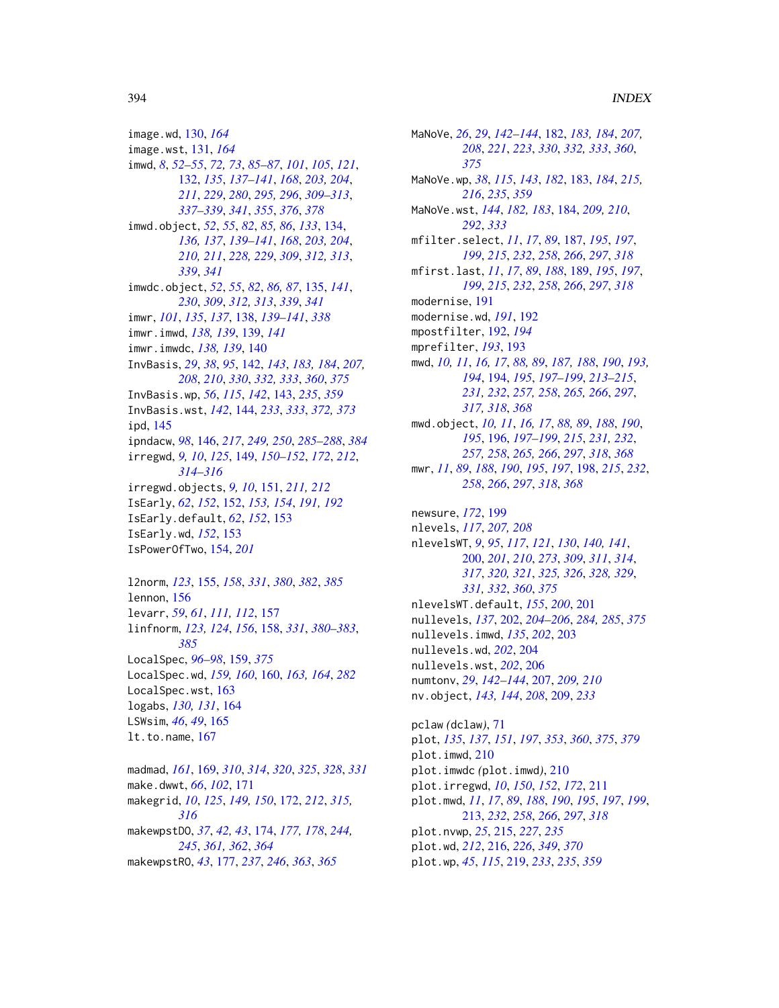image.wd, [130,](#page-129-0) *[164](#page-163-0)* image.wst, [131,](#page-130-0) *[164](#page-163-0)* imwd, *[8](#page-7-1)*, *[52](#page-51-0)[–55](#page-54-0)*, *[72,](#page-71-0) [73](#page-72-0)*, *[85–](#page-84-0)[87](#page-86-0)*, *[101](#page-100-0)*, *[105](#page-104-0)*, *[121](#page-120-0)*, [132,](#page-131-1) *[135](#page-134-0)*, *[137–](#page-136-0)[141](#page-140-0)*, *[168](#page-167-0)*, *[203,](#page-202-0) [204](#page-203-0)*, *[211](#page-210-0)*, *[229](#page-228-0)*, *[280](#page-279-0)*, *[295,](#page-294-0) [296](#page-295-0)*, *[309–](#page-308-0)[313](#page-312-0)*, *[337](#page-336-0)[–339](#page-338-0)*, *[341](#page-340-0)*, *[355](#page-354-1)*, *[376](#page-375-0)*, *[378](#page-377-0)* imwd.object, *[52](#page-51-0)*, *[55](#page-54-0)*, *[82](#page-81-1)*, *[85,](#page-84-0) [86](#page-85-0)*, *[133](#page-132-0)*, [134,](#page-133-0) *[136,](#page-135-0) [137](#page-136-0)*, *[139–](#page-138-0)[141](#page-140-0)*, *[168](#page-167-0)*, *[203,](#page-202-0) [204](#page-203-0)*, *[210,](#page-209-0) [211](#page-210-0)*, *[228,](#page-227-0) [229](#page-228-0)*, *[309](#page-308-0)*, *[312,](#page-311-0) [313](#page-312-0)*, *[339](#page-338-0)*, *[341](#page-340-0)* imwdc.object, *[52](#page-51-0)*, *[55](#page-54-0)*, *[82](#page-81-1)*, *[86,](#page-85-0) [87](#page-86-0)*, [135,](#page-134-0) *[141](#page-140-0)*, *[230](#page-229-0)*, *[309](#page-308-0)*, *[312,](#page-311-0) [313](#page-312-0)*, *[339](#page-338-0)*, *[341](#page-340-0)* imwr, *[101](#page-100-0)*, *[135](#page-134-0)*, *[137](#page-136-0)*, [138,](#page-137-0) *[139–](#page-138-0)[141](#page-140-0)*, *[338](#page-337-0)* imwr.imwd, *[138,](#page-137-0) [139](#page-138-0)*, [139,](#page-138-0) *[141](#page-140-0)* imwr.imwdc, *[138,](#page-137-0) [139](#page-138-0)*, [140](#page-139-0) InvBasis, *[29](#page-28-0)*, *[38](#page-37-0)*, *[95](#page-94-1)*, [142,](#page-141-1) *[143](#page-142-0)*, *[183,](#page-182-0) [184](#page-183-0)*, *[207,](#page-206-0) [208](#page-207-0)*, *[210](#page-209-0)*, *[330](#page-329-1)*, *[332,](#page-331-0) [333](#page-332-0)*, *[360](#page-359-1)*, *[375](#page-374-1)* InvBasis.wp, *[56](#page-55-0)*, *[115](#page-114-0)*, *[142](#page-141-1)*, [143,](#page-142-0) *[235](#page-234-0)*, *[359](#page-358-0)* InvBasis.wst, *[142](#page-141-1)*, [144,](#page-143-1) *[233](#page-232-0)*, *[333](#page-332-0)*, *[372,](#page-371-1) [373](#page-372-0)* ipd, [145](#page-144-0) ipndacw, *[98](#page-97-0)*, [146,](#page-145-1) *[217](#page-216-0)*, *[249,](#page-248-1) [250](#page-249-0)*, *[285](#page-284-0)[–288](#page-287-0)*, *[384](#page-383-0)* irregwd, *[9,](#page-8-0) [10](#page-9-0)*, *[125](#page-124-0)*, [149,](#page-148-0) *[150–](#page-149-0)[152](#page-151-0)*, *[172](#page-171-0)*, *[212](#page-211-0)*, *[314](#page-313-0)[–316](#page-315-0)* irregwd.objects, *[9,](#page-8-0) [10](#page-9-0)*, [151,](#page-150-0) *[211,](#page-210-0) [212](#page-211-0)* IsEarly, *[62](#page-61-0)*, *[152](#page-151-0)*, [152,](#page-151-0) *[153,](#page-152-0) [154](#page-153-0)*, *[191,](#page-190-0) [192](#page-191-0)* IsEarly.default, *[62](#page-61-0)*, *[152](#page-151-0)*, [153](#page-152-0) IsEarly.wd, *[152](#page-151-0)*, [153](#page-152-0) IsPowerOfTwo, [154,](#page-153-0) *[201](#page-200-0)* l2norm, *[123](#page-122-1)*, [155,](#page-154-1) *[158](#page-157-1)*, *[331](#page-330-0)*, *[380](#page-379-0)*, *[382](#page-381-0)*, *[385](#page-384-0)* lennon, [156](#page-155-0) levarr, *[59](#page-58-0)*, *[61](#page-60-0)*, *[111,](#page-110-0) [112](#page-111-0)*, [157](#page-156-0) linfnorm, *[123,](#page-122-1) [124](#page-123-0)*, *[156](#page-155-0)*, [158,](#page-157-1) *[331](#page-330-0)*, *[380–](#page-379-0)[383](#page-382-0)*, *[385](#page-384-0)* LocalSpec, *[96](#page-95-0)[–98](#page-97-0)*, [159,](#page-158-1) *[375](#page-374-1)* LocalSpec.wd, *[159,](#page-158-1) [160](#page-159-0)*, [160,](#page-159-0) *[163,](#page-162-0) [164](#page-163-0)*, *[282](#page-281-0)* LocalSpec.wst, [163](#page-162-0) logabs, *[130,](#page-129-0) [131](#page-130-0)*, [164](#page-163-0) LSWsim, *[46](#page-45-0)*, *[49](#page-48-0)*, [165](#page-164-0) lt.to.name, [167](#page-166-0)

madmad, *[161](#page-160-0)*, [169,](#page-168-0) *[310](#page-309-0)*, *[314](#page-313-0)*, *[320](#page-319-0)*, *[325](#page-324-0)*, *[328](#page-327-0)*, *[331](#page-330-0)* make.dwwt, *[66](#page-65-0)*, *[102](#page-101-0)*, [171](#page-170-0) makegrid, *[10](#page-9-0)*, *[125](#page-124-0)*, *[149,](#page-148-0) [150](#page-149-0)*, [172,](#page-171-0) *[212](#page-211-0)*, *[315,](#page-314-0) [316](#page-315-0)* makewpstDO, *[37](#page-36-0)*, *[42,](#page-41-0) [43](#page-42-0)*, [174,](#page-173-1) *[177,](#page-176-1) [178](#page-177-0)*, *[244,](#page-243-0) [245](#page-244-0)*, *[361,](#page-360-0) [362](#page-361-0)*, *[364](#page-363-0)* makewpstRO, *[43](#page-42-0)*, [177,](#page-176-1) *[237](#page-236-1)*, *[246](#page-245-0)*, *[363](#page-362-0)*, *[365](#page-364-0)*

MaNoVe, *[26](#page-25-0)*, *[29](#page-28-0)*, *[142](#page-141-1)[–144](#page-143-1)*, [182,](#page-181-1) *[183,](#page-182-0) [184](#page-183-0)*, *[207,](#page-206-0) [208](#page-207-0)*, *[221](#page-220-0)*, *[223](#page-222-0)*, *[330](#page-329-1)*, *[332,](#page-331-0) [333](#page-332-0)*, *[360](#page-359-1)*, *[375](#page-374-1)* MaNoVe.wp, *[38](#page-37-0)*, *[115](#page-114-0)*, *[143](#page-142-0)*, *[182](#page-181-1)*, [183,](#page-182-0) *[184](#page-183-0)*, *[215,](#page-214-0) [216](#page-215-1)*, *[235](#page-234-0)*, *[359](#page-358-0)* MaNoVe.wst, *[144](#page-143-1)*, *[182,](#page-181-1) [183](#page-182-0)*, [184,](#page-183-0) *[209,](#page-208-0) [210](#page-209-0)*, *[292](#page-291-0)*, *[333](#page-332-0)* mfilter.select, *[11](#page-10-0)*, *[17](#page-16-0)*, *[89](#page-88-0)*, [187,](#page-186-0) *[195](#page-194-0)*, *[197](#page-196-0)*, *[199](#page-198-0)*, *[215](#page-214-0)*, *[232](#page-231-0)*, *[258](#page-257-0)*, *[266](#page-265-0)*, *[297](#page-296-0)*, *[318](#page-317-0)* mfirst.last, *[11](#page-10-0)*, *[17](#page-16-0)*, *[89](#page-88-0)*, *[188](#page-187-0)*, [189,](#page-188-0) *[195](#page-194-0)*, *[197](#page-196-0)*, *[199](#page-198-0)*, *[215](#page-214-0)*, *[232](#page-231-0)*, *[258](#page-257-0)*, *[266](#page-265-0)*, *[297](#page-296-0)*, *[318](#page-317-0)* modernise, [191](#page-190-0) modernise.wd, *[191](#page-190-0)*, [192](#page-191-0) mpostfilter, [192,](#page-191-0) *[194](#page-193-1)* mprefilter, *[193](#page-192-0)*, [193](#page-192-0) mwd, *[10,](#page-9-0) [11](#page-10-0)*, *[16,](#page-15-0) [17](#page-16-0)*, *[88,](#page-87-0) [89](#page-88-0)*, *[187,](#page-186-0) [188](#page-187-0)*, *[190](#page-189-0)*, *[193,](#page-192-0) [194](#page-193-1)*, [194,](#page-193-1) *[195](#page-194-0)*, *[197](#page-196-0)[–199](#page-198-0)*, *[213](#page-212-0)[–215](#page-214-0)*, *[231,](#page-230-0) [232](#page-231-0)*, *[257,](#page-256-0) [258](#page-257-0)*, *[265,](#page-264-0) [266](#page-265-0)*, *[297](#page-296-0)*, *[317,](#page-316-0) [318](#page-317-0)*, *[368](#page-367-0)* mwd.object, *[10,](#page-9-0) [11](#page-10-0)*, *[16,](#page-15-0) [17](#page-16-0)*, *[88,](#page-87-0) [89](#page-88-0)*, *[188](#page-187-0)*, *[190](#page-189-0)*, *[195](#page-194-0)*, [196,](#page-195-1) *[197](#page-196-0)[–199](#page-198-0)*, *[215](#page-214-0)*, *[231,](#page-230-0) [232](#page-231-0)*, *[257,](#page-256-0) [258](#page-257-0)*, *[265,](#page-264-0) [266](#page-265-0)*, *[297](#page-296-0)*, *[318](#page-317-0)*, *[368](#page-367-0)* mwr, *[11](#page-10-0)*, *[89](#page-88-0)*, *[188](#page-187-0)*, *[190](#page-189-0)*, *[195](#page-194-0)*, *[197](#page-196-0)*, [198,](#page-197-1) *[215](#page-214-0)*, *[232](#page-231-0)*, *[258](#page-257-0)*, *[266](#page-265-0)*, *[297](#page-296-0)*, *[318](#page-317-0)*, *[368](#page-367-0)* newsure, *[172](#page-171-0)*, [199](#page-198-0) nlevels, *[117](#page-116-0)*, *[207,](#page-206-0) [208](#page-207-0)* nlevelsWT, *[9](#page-8-0)*, *[95](#page-94-1)*, *[117](#page-116-0)*, *[121](#page-120-0)*, *[130](#page-129-0)*, *[140,](#page-139-0) [141](#page-140-0)*, [200,](#page-199-1) *[201](#page-200-0)*, *[210](#page-209-0)*, *[273](#page-272-1)*, *[309](#page-308-0)*, *[311](#page-310-0)*, *[314](#page-313-0)*, *[317](#page-316-0)*, *[320,](#page-319-0) [321](#page-320-0)*, *[325,](#page-324-0) [326](#page-325-0)*, *[328,](#page-327-0) [329](#page-328-0)*, *[331,](#page-330-0) [332](#page-331-0)*, *[360](#page-359-1)*, *[375](#page-374-1)* nlevelsWT.default, *[155](#page-154-1)*, *[200](#page-199-1)*, [201](#page-200-0) nullevels, *[137](#page-136-0)*, [202,](#page-201-1) *[204](#page-203-0)[–206](#page-205-0)*, *[284,](#page-283-0) [285](#page-284-0)*, *[375](#page-374-1)* nullevels.imwd, *[135](#page-134-0)*, *[202](#page-201-1)*, [203](#page-202-0) nullevels.wd, *[202](#page-201-1)*, [204](#page-203-0) nullevels.wst, *[202](#page-201-1)*, [206](#page-205-0) numtonv, *[29](#page-28-0)*, *[142](#page-141-1)[–144](#page-143-1)*, [207,](#page-206-0) *[209,](#page-208-0) [210](#page-209-0)* nv.object, *[143,](#page-142-0) [144](#page-143-1)*, *[208](#page-207-0)*, [209,](#page-208-0) *[233](#page-232-0)*

pclaw *(*dclaw*)*, [71](#page-70-0) plot, *[135](#page-134-0)*, *[137](#page-136-0)*, *[151](#page-150-0)*, *[197](#page-196-0)*, *[353](#page-352-0)*, *[360](#page-359-1)*, *[375](#page-374-1)*, *[379](#page-378-1)* plot.imwd, [210](#page-209-0) plot.imwdc *(*plot.imwd*)*, [210](#page-209-0) plot.irregwd, *[10](#page-9-0)*, *[150](#page-149-0)*, *[152](#page-151-0)*, *[172](#page-171-0)*, [211](#page-210-0) plot.mwd, *[11](#page-10-0)*, *[17](#page-16-0)*, *[89](#page-88-0)*, *[188](#page-187-0)*, *[190](#page-189-0)*, *[195](#page-194-0)*, *[197](#page-196-0)*, *[199](#page-198-0)*, [213,](#page-212-0) *[232](#page-231-0)*, *[258](#page-257-0)*, *[266](#page-265-0)*, *[297](#page-296-0)*, *[318](#page-317-0)* plot.nvwp, *[25](#page-24-0)*, [215,](#page-214-0) *[227](#page-226-0)*, *[235](#page-234-0)* plot.wd, *[212](#page-211-0)*, [216,](#page-215-1) *[226](#page-225-0)*, *[349](#page-348-0)*, *[370](#page-369-0)* plot.wp, *[45](#page-44-0)*, *[115](#page-114-0)*, [219,](#page-218-0) *[233](#page-232-0)*, *[235](#page-234-0)*, *[359](#page-358-0)*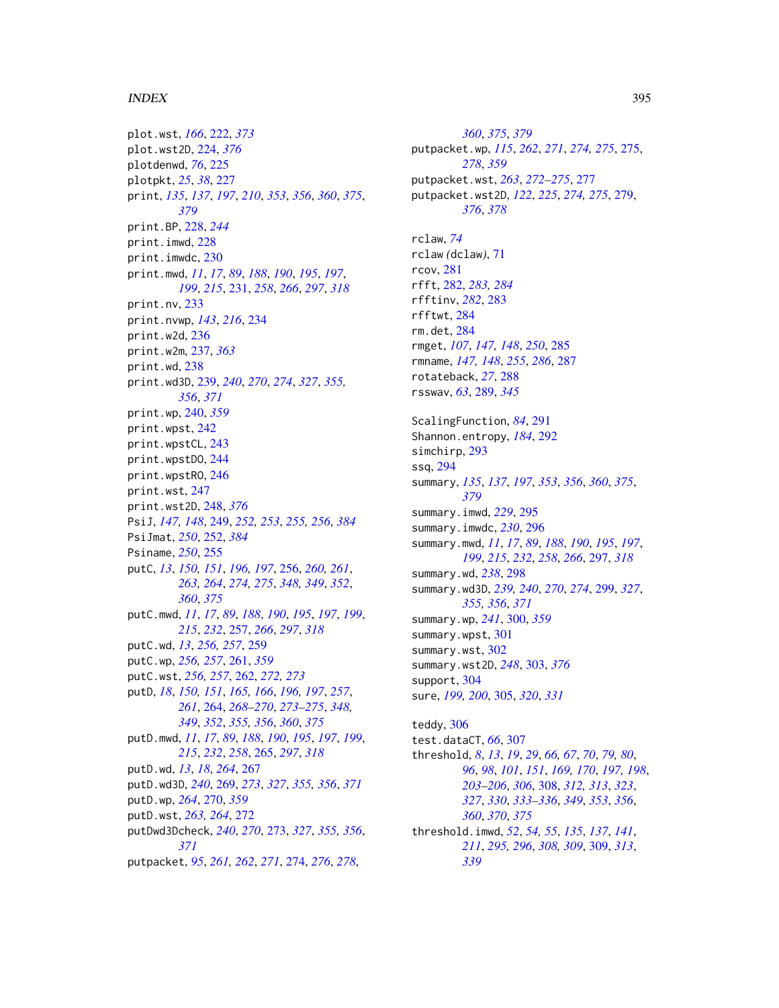#### $I<sub>N</sub>$  and  $I<sub>395</sub>$  395

plot.wst, *[166](#page-165-0)*, [222,](#page-221-1) *[373](#page-372-0)* plot.wst2D, [224,](#page-223-1) *[376](#page-375-0)* plotdenwd, *[76](#page-75-0)*, [225](#page-224-0) plotpkt, *[25](#page-24-0)*, *[38](#page-37-0)*, [227](#page-226-0) print, *[135](#page-134-0)*, *[137](#page-136-0)*, *[197](#page-196-0)*, *[210](#page-209-0)*, *[353](#page-352-0)*, *[356](#page-355-0)*, *[360](#page-359-1)*, *[375](#page-374-1)*, *[379](#page-378-1)* print.BP, [228,](#page-227-0) *[244](#page-243-0)* print.imwd, [228](#page-227-0) print.imwdc, [230](#page-229-0) print.mwd, *[11](#page-10-0)*, *[17](#page-16-0)*, *[89](#page-88-0)*, *[188](#page-187-0)*, *[190](#page-189-0)*, *[195](#page-194-0)*, *[197](#page-196-0)*, *[199](#page-198-0)*, *[215](#page-214-0)*, [231,](#page-230-0) *[258](#page-257-0)*, *[266](#page-265-0)*, *[297](#page-296-0)*, *[318](#page-317-0)* print.nv, [233](#page-232-0) print.nvwp, *[143](#page-142-0)*, *[216](#page-215-1)*, [234](#page-233-0) print.w2d, [236](#page-235-0) print.w2m, [237,](#page-236-1) *[363](#page-362-0)* print.wd, [238](#page-237-0) print.wd3D, [239,](#page-238-1) *[240](#page-239-0)*, *[270](#page-269-0)*, *[274](#page-273-1)*, *[327](#page-326-0)*, *[355,](#page-354-1) [356](#page-355-0)*, *[371](#page-370-0)* print.wp, [240,](#page-239-0) *[359](#page-358-0)* print.wpst, [242](#page-241-0) print.wpstCL, [243](#page-242-0) print.wpstDO, [244](#page-243-0) print.wpstRO, [246](#page-245-0) print.wst, [247](#page-246-0) print.wst2D, [248,](#page-247-1) *[376](#page-375-0)* PsiJ, *[147,](#page-146-0) [148](#page-147-0)*, [249,](#page-248-1) *[252,](#page-251-1) [253](#page-252-0)*, *[255,](#page-254-0) [256](#page-255-1)*, *[384](#page-383-0)* PsiJmat, *[250](#page-249-0)*, [252,](#page-251-1) *[384](#page-383-0)* Psiname, *[250](#page-249-0)*, [255](#page-254-0) putC, *[13](#page-12-0)*, *[150,](#page-149-0) [151](#page-150-0)*, *[196,](#page-195-1) [197](#page-196-0)*, [256,](#page-255-1) *[260,](#page-259-0) [261](#page-260-0)*, *[263,](#page-262-0) [264](#page-263-1)*, *[274,](#page-273-1) [275](#page-274-0)*, *[348,](#page-347-0) [349](#page-348-0)*, *[352](#page-351-1)*, *[360](#page-359-1)*, *[375](#page-374-1)* putC.mwd, *[11](#page-10-0)*, *[17](#page-16-0)*, *[89](#page-88-0)*, *[188](#page-187-0)*, *[190](#page-189-0)*, *[195](#page-194-0)*, *[197](#page-196-0)*, *[199](#page-198-0)*, *[215](#page-214-0)*, *[232](#page-231-0)*, [257,](#page-256-0) *[266](#page-265-0)*, *[297](#page-296-0)*, *[318](#page-317-0)* putC.wd, *[13](#page-12-0)*, *[256,](#page-255-1) [257](#page-256-0)*, [259](#page-258-0) putC.wp, *[256,](#page-255-1) [257](#page-256-0)*, [261,](#page-260-0) *[359](#page-358-0)* putC.wst, *[256,](#page-255-1) [257](#page-256-0)*, [262,](#page-261-0) *[272,](#page-271-0) [273](#page-272-1)* putD, *[18](#page-17-0)*, *[150,](#page-149-0) [151](#page-150-0)*, *[165,](#page-164-0) [166](#page-165-0)*, *[196,](#page-195-1) [197](#page-196-0)*, *[257](#page-256-0)*, *[261](#page-260-0)*, [264,](#page-263-1) *[268–](#page-267-0)[270](#page-269-0)*, *[273–](#page-272-1)[275](#page-274-0)*, *[348,](#page-347-0) [349](#page-348-0)*, *[352](#page-351-1)*, *[355,](#page-354-1) [356](#page-355-0)*, *[360](#page-359-1)*, *[375](#page-374-1)* putD.mwd, *[11](#page-10-0)*, *[17](#page-16-0)*, *[89](#page-88-0)*, *[188](#page-187-0)*, *[190](#page-189-0)*, *[195](#page-194-0)*, *[197](#page-196-0)*, *[199](#page-198-0)*, *[215](#page-214-0)*, *[232](#page-231-0)*, *[258](#page-257-0)*, [265,](#page-264-0) *[297](#page-296-0)*, *[318](#page-317-0)* putD.wd, *[13](#page-12-0)*, *[18](#page-17-0)*, *[264](#page-263-1)*, [267](#page-266-0) putD.wd3D, *[240](#page-239-0)*, [269,](#page-268-1) *[273](#page-272-1)*, *[327](#page-326-0)*, *[355,](#page-354-1) [356](#page-355-0)*, *[371](#page-370-0)* putD.wp, *[264](#page-263-1)*, [270,](#page-269-0) *[359](#page-358-0)* putD.wst, *[263,](#page-262-0) [264](#page-263-1)*, [272](#page-271-0) putDwd3Dcheck, *[240](#page-239-0)*, *[270](#page-269-0)*, [273,](#page-272-1) *[327](#page-326-0)*, *[355,](#page-354-1) [356](#page-355-0)*, *[371](#page-370-0)* putpacket, *[95](#page-94-1)*, *[261,](#page-260-0) [262](#page-261-0)*, *[271](#page-270-0)*, [274,](#page-273-1) *[276](#page-275-0)*, *[278](#page-277-0)*,

*[360](#page-359-1)*, *[375](#page-374-1)*, *[379](#page-378-1)* putpacket.wp, *[115](#page-114-0)*, *[262](#page-261-0)*, *[271](#page-270-0)*, *[274,](#page-273-1) [275](#page-274-0)*, [275,](#page-274-0) *[278](#page-277-0)*, *[359](#page-358-0)* putpacket.wst, *[263](#page-262-0)*, *[272](#page-271-0)[–275](#page-274-0)*, [277](#page-276-0) putpacket.wst2D, *[122](#page-121-0)*, *[225](#page-224-0)*, *[274,](#page-273-1) [275](#page-274-0)*, [279,](#page-278-1) *[376](#page-375-0)*, *[378](#page-377-0)* rclaw, *[74](#page-73-0)* rclaw *(*dclaw*)*, [71](#page-70-0) rcov, [281](#page-280-0) rfft, [282,](#page-281-0) *[283,](#page-282-0) [284](#page-283-0)* rfftinv, *[282](#page-281-0)*, [283](#page-282-0) rfftwt, [284](#page-283-0) rm.det, [284](#page-283-0) rmget, *[107](#page-106-0)*, *[147,](#page-146-0) [148](#page-147-0)*, *[250](#page-249-0)*, [285](#page-284-0) rmname, *[147,](#page-146-0) [148](#page-147-0)*, *[255](#page-254-0)*, *[286](#page-285-0)*, [287](#page-286-0) rotateback, *[27](#page-26-1)*, [288](#page-287-0) rsswav, *[63](#page-62-0)*, [289,](#page-288-0) *[345](#page-344-1)* ScalingFunction, *[84](#page-83-0)*, [291](#page-290-0) Shannon.entropy, *[184](#page-183-0)*, [292](#page-291-0) simchirp, [293](#page-292-0) ssq, [294](#page-293-0) summary, *[135](#page-134-0)*, *[137](#page-136-0)*, *[197](#page-196-0)*, *[353](#page-352-0)*, *[356](#page-355-0)*, *[360](#page-359-1)*, *[375](#page-374-1)*, *[379](#page-378-1)* summary.imwd, *[229](#page-228-0)*, [295](#page-294-0) summary.imwdc, *[230](#page-229-0)*, [296](#page-295-0) summary.mwd, *[11](#page-10-0)*, *[17](#page-16-0)*, *[89](#page-88-0)*, *[188](#page-187-0)*, *[190](#page-189-0)*, *[195](#page-194-0)*, *[197](#page-196-0)*, *[199](#page-198-0)*, *[215](#page-214-0)*, *[232](#page-231-0)*, *[258](#page-257-0)*, *[266](#page-265-0)*, [297,](#page-296-0) *[318](#page-317-0)* summary.wd, *[238](#page-237-0)*, [298](#page-297-0) summary.wd3D, *[239,](#page-238-1) [240](#page-239-0)*, *[270](#page-269-0)*, *[274](#page-273-1)*, [299,](#page-298-1) *[327](#page-326-0)*, *[355,](#page-354-1) [356](#page-355-0)*, *[371](#page-370-0)* summary.wp, *[241](#page-240-0)*, [300,](#page-299-0) *[359](#page-358-0)* summary.wpst, [301](#page-300-0) summary.wst, [302](#page-301-0) summary.wst2D, *[248](#page-247-1)*, [303,](#page-302-1) *[376](#page-375-0)* support, [304](#page-303-0) sure, *[199,](#page-198-0) [200](#page-199-1)*, [305,](#page-304-0) *[320](#page-319-0)*, *[331](#page-330-0)* teddy, [306](#page-305-0) test.dataCT, *[66](#page-65-0)*, [307](#page-306-0) threshold, *[8](#page-7-1)*, *[13](#page-12-0)*, *[19](#page-18-1)*, *[29](#page-28-0)*, *[66,](#page-65-0) [67](#page-66-0)*, *[70](#page-69-0)*, *[79,](#page-78-0) [80](#page-79-0)*, *[96](#page-95-0)*, *[98](#page-97-0)*, *[101](#page-100-0)*, *[151](#page-150-0)*, *[169,](#page-168-0) [170](#page-169-0)*, *[197,](#page-196-0) [198](#page-197-1)*, *[203](#page-202-0)[–206](#page-205-0)*, *[306](#page-305-0)*, [308,](#page-307-1) *[312,](#page-311-0) [313](#page-312-0)*, *[323](#page-322-0)*, *[327](#page-326-0)*, *[330](#page-329-1)*, *[333](#page-332-0)[–336](#page-335-0)*, *[349](#page-348-0)*, *[353](#page-352-0)*, *[356](#page-355-0)*, *[360](#page-359-1)*, *[370](#page-369-0)*, *[375](#page-374-1)* threshold.imwd, *[52](#page-51-0)*, *[54,](#page-53-0) [55](#page-54-0)*, *[135](#page-134-0)*, *[137](#page-136-0)*, *[141](#page-140-0)*, *[211](#page-210-0)*, *[295,](#page-294-0) [296](#page-295-0)*, *[308,](#page-307-1) [309](#page-308-0)*, [309,](#page-308-0) *[313](#page-312-0)*,

*[339](#page-338-0)*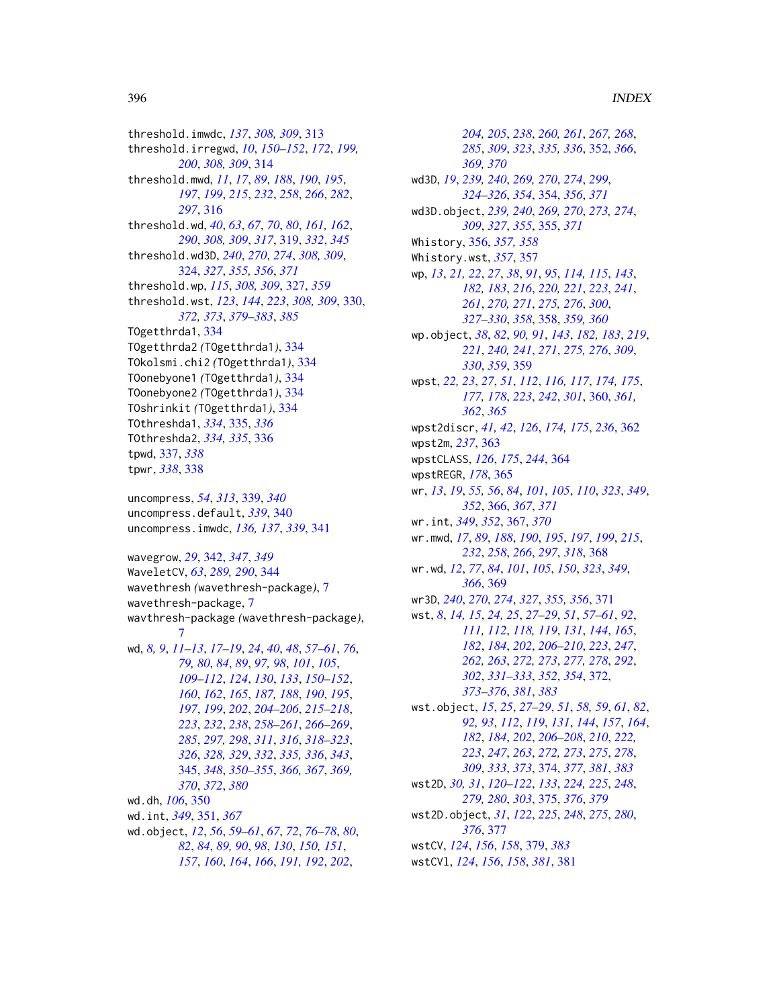threshold.imwdc, *[137](#page-136-0)*, *[308,](#page-307-1) [309](#page-308-0)*, [313](#page-312-0) threshold.irregwd, *[10](#page-9-0)*, *[150–](#page-149-0)[152](#page-151-0)*, *[172](#page-171-0)*, *[199,](#page-198-0) [200](#page-199-1)*, *[308,](#page-307-1) [309](#page-308-0)*, [314](#page-313-0) threshold.mwd, *[11](#page-10-0)*, *[17](#page-16-0)*, *[89](#page-88-0)*, *[188](#page-187-0)*, *[190](#page-189-0)*, *[195](#page-194-0)*, *[197](#page-196-0)*, *[199](#page-198-0)*, *[215](#page-214-0)*, *[232](#page-231-0)*, *[258](#page-257-0)*, *[266](#page-265-0)*, *[282](#page-281-0)*, *[297](#page-296-0)*, [316](#page-315-0) threshold.wd, *[40](#page-39-0)*, *[63](#page-62-0)*, *[67](#page-66-0)*, *[70](#page-69-0)*, *[80](#page-79-0)*, *[161,](#page-160-0) [162](#page-161-0)*, *[290](#page-289-0)*, *[308,](#page-307-1) [309](#page-308-0)*, *[317](#page-316-0)*, [319,](#page-318-0) *[332](#page-331-0)*, *[345](#page-344-1)* threshold.wd3D, *[240](#page-239-0)*, *[270](#page-269-0)*, *[274](#page-273-1)*, *[308,](#page-307-1) [309](#page-308-0)*, [324,](#page-323-1) *[327](#page-326-0)*, *[355,](#page-354-1) [356](#page-355-0)*, *[371](#page-370-0)* threshold.wp, *[115](#page-114-0)*, *[308,](#page-307-1) [309](#page-308-0)*, [327,](#page-326-0) *[359](#page-358-0)* threshold.wst, *[123](#page-122-1)*, *[144](#page-143-1)*, *[223](#page-222-0)*, *[308,](#page-307-1) [309](#page-308-0)*, [330,](#page-329-1) *[372,](#page-371-1) [373](#page-372-0)*, *[379–](#page-378-1)[383](#page-382-0)*, *[385](#page-384-0)* TOgetthrda1, [334](#page-333-0) TOgetthrda2 *(*TOgetthrda1*)*, [334](#page-333-0) TOkolsmi.chi2 *(*TOgetthrda1*)*, [334](#page-333-0) TOonebyone1 *(*TOgetthrda1*)*, [334](#page-333-0) TOonebyone2 *(*TOgetthrda1*)*, [334](#page-333-0) TOshrinkit *(*TOgetthrda1*)*, [334](#page-333-0) TOthreshda1, *[334](#page-333-0)*, [335,](#page-334-0) *[336](#page-335-0)* TOthreshda2, *[334,](#page-333-0) [335](#page-334-0)*, [336](#page-335-0) tpwd, [337,](#page-336-0) *[338](#page-337-0)* tpwr, *[338](#page-337-0)*, [338](#page-337-0)

uncompress, *[54](#page-53-0)*, *[313](#page-312-0)*, [339,](#page-338-0) *[340](#page-339-0)* uncompress.default, *[339](#page-338-0)*, [340](#page-339-0) uncompress.imwdc, *[136,](#page-135-0) [137](#page-136-0)*, *[339](#page-338-0)*, [341](#page-340-0)

wavegrow, *[29](#page-28-0)*, [342,](#page-341-0) *[347](#page-346-0)*, *[349](#page-348-0)* WaveletCV, *[63](#page-62-0)*, *[289,](#page-288-0) [290](#page-289-0)*, [344](#page-343-0) wavethresh *(*wavethresh-package*)*, [7](#page-6-0) wavethresh-package, [7](#page-6-0) wavthresh-package *(*wavethresh-package*)*, [7](#page-6-0) wd, *[8,](#page-7-1) [9](#page-8-0)*, *[11](#page-10-0)[–13](#page-12-0)*, *[17](#page-16-0)[–19](#page-18-1)*, *[24](#page-23-1)*, *[40](#page-39-0)*, *[48](#page-47-0)*, *[57–](#page-56-1)[61](#page-60-0)*, *[76](#page-75-0)*, *[79,](#page-78-0) [80](#page-79-0)*, *[84](#page-83-0)*, *[89](#page-88-0)*, *[97,](#page-96-0) [98](#page-97-0)*, *[101](#page-100-0)*, *[105](#page-104-0)*, *[109](#page-108-0)[–112](#page-111-0)*, *[124](#page-123-0)*, *[130](#page-129-0)*, *[133](#page-132-0)*, *[150–](#page-149-0)[152](#page-151-0)*, *[160](#page-159-0)*, *[162](#page-161-0)*, *[165](#page-164-0)*, *[187,](#page-186-0) [188](#page-187-0)*, *[190](#page-189-0)*, *[195](#page-194-0)*, *[197](#page-196-0)*, *[199](#page-198-0)*, *[202](#page-201-1)*, *[204–](#page-203-0)[206](#page-205-0)*, *[215–](#page-214-0)[218](#page-217-0)*, *[223](#page-222-0)*, *[232](#page-231-0)*, *[238](#page-237-0)*, *[258–](#page-257-0)[261](#page-260-0)*, *[266–](#page-265-0)[269](#page-268-1)*, *[285](#page-284-0)*, *[297,](#page-296-0) [298](#page-297-0)*, *[311](#page-310-0)*, *[316](#page-315-0)*, *[318–](#page-317-0)[323](#page-322-0)*, *[326](#page-325-0)*, *[328,](#page-327-0) [329](#page-328-0)*, *[332](#page-331-0)*, *[335,](#page-334-0) [336](#page-335-0)*, *[343](#page-342-0)*, [345,](#page-344-1) *[348](#page-347-0)*, *[350–](#page-349-0)[355](#page-354-1)*, *[366,](#page-365-1) [367](#page-366-1)*, *[369,](#page-368-1) [370](#page-369-0)*, *[372](#page-371-1)*, *[380](#page-379-0)* wd.dh, *[106](#page-105-0)*, [350](#page-349-0) wd.int, *[349](#page-348-0)*, [351,](#page-350-1) *[367](#page-366-1)* wd.object, *[12](#page-11-0)*, *[56](#page-55-0)*, *[59](#page-58-0)[–61](#page-60-0)*, *[67](#page-66-0)*, *[72](#page-71-0)*, *[76–](#page-75-0)[78](#page-77-0)*, *[80](#page-79-0)*, *[82](#page-81-1)*, *[84](#page-83-0)*, *[89,](#page-88-0) [90](#page-89-0)*, *[98](#page-97-0)*, *[130](#page-129-0)*, *[150,](#page-149-0) [151](#page-150-0)*,

*[157](#page-156-0)*, *[160](#page-159-0)*, *[164](#page-163-0)*, *[166](#page-165-0)*, *[191,](#page-190-0) [192](#page-191-0)*, *[202](#page-201-1)*,

*[204,](#page-203-0) [205](#page-204-0)*, *[238](#page-237-0)*, *[260,](#page-259-0) [261](#page-260-0)*, *[267,](#page-266-0) [268](#page-267-0)*, *[285](#page-284-0)*, *[309](#page-308-0)*, *[323](#page-322-0)*, *[335,](#page-334-0) [336](#page-335-0)*, [352,](#page-351-1) *[366](#page-365-1)*, *[369,](#page-368-1) [370](#page-369-0)* wd3D, *[19](#page-18-1)*, *[239,](#page-238-1) [240](#page-239-0)*, *[269,](#page-268-1) [270](#page-269-0)*, *[274](#page-273-1)*, *[299](#page-298-1)*, *[324](#page-323-1)[–326](#page-325-0)*, *[354](#page-353-1)*, [354,](#page-353-1) *[356](#page-355-0)*, *[371](#page-370-0)* wd3D.object, *[239,](#page-238-1) [240](#page-239-0)*, *[269,](#page-268-1) [270](#page-269-0)*, *[273,](#page-272-1) [274](#page-273-1)*, *[309](#page-308-0)*, *[327](#page-326-0)*, *[355](#page-354-1)*, [355,](#page-354-1) *[371](#page-370-0)* Whistory, [356,](#page-355-0) *[357,](#page-356-0) [358](#page-357-0)* Whistory.wst, *[357](#page-356-0)*, [357](#page-356-0) wp, *[13](#page-12-0)*, *[21,](#page-20-0) [22](#page-21-1)*, *[27](#page-26-1)*, *[38](#page-37-0)*, *[91](#page-90-0)*, *[95](#page-94-1)*, *[114,](#page-113-0) [115](#page-114-0)*, *[143](#page-142-0)*, *[182,](#page-181-1) [183](#page-182-0)*, *[216](#page-215-1)*, *[220,](#page-219-0) [221](#page-220-0)*, *[223](#page-222-0)*, *[241](#page-240-0)*, *[261](#page-260-0)*, *[270,](#page-269-0) [271](#page-270-0)*, *[275,](#page-274-0) [276](#page-275-0)*, *[300](#page-299-0)*, *[327](#page-326-0)[–330](#page-329-1)*, *[358](#page-357-0)*, [358,](#page-357-0) *[359,](#page-358-0) [360](#page-359-1)* wp.object, *[38](#page-37-0)*, *[82](#page-81-1)*, *[90,](#page-89-0) [91](#page-90-0)*, *[143](#page-142-0)*, *[182,](#page-181-1) [183](#page-182-0)*, *[219](#page-218-0)*, *[221](#page-220-0)*, *[240,](#page-239-0) [241](#page-240-0)*, *[271](#page-270-0)*, *[275,](#page-274-0) [276](#page-275-0)*, *[309](#page-308-0)*, *[330](#page-329-1)*, *[359](#page-358-0)*, [359](#page-358-0) wpst, *[22,](#page-21-1) [23](#page-22-0)*, *[27](#page-26-1)*, *[51](#page-50-0)*, *[112](#page-111-0)*, *[116,](#page-115-1) [117](#page-116-0)*, *[174,](#page-173-1) [175](#page-174-0)*, *[177,](#page-176-1) [178](#page-177-0)*, *[223](#page-222-0)*, *[242](#page-241-0)*, *[301](#page-300-0)*, [360,](#page-359-1) *[361,](#page-360-0) [362](#page-361-0)*, *[365](#page-364-0)* wpst2discr, *[41,](#page-40-0) [42](#page-41-0)*, *[126](#page-125-0)*, *[174,](#page-173-1) [175](#page-174-0)*, *[236](#page-235-0)*, [362](#page-361-0) wpst2m, *[237](#page-236-1)*, [363](#page-362-0) wpstCLASS, *[126](#page-125-0)*, *[175](#page-174-0)*, *[244](#page-243-0)*, [364](#page-363-0) wpstREGR, *[178](#page-177-0)*, [365](#page-364-0) wr, *[13](#page-12-0)*, *[19](#page-18-1)*, *[55,](#page-54-0) [56](#page-55-0)*, *[84](#page-83-0)*, *[101](#page-100-0)*, *[105](#page-104-0)*, *[110](#page-109-0)*, *[323](#page-322-0)*, *[349](#page-348-0)*, *[352](#page-351-1)*, [366,](#page-365-1) *[367](#page-366-1)*, *[371](#page-370-0)* wr.int, *[349](#page-348-0)*, *[352](#page-351-1)*, [367,](#page-366-1) *[370](#page-369-0)* wr.mwd, *[17](#page-16-0)*, *[89](#page-88-0)*, *[188](#page-187-0)*, *[190](#page-189-0)*, *[195](#page-194-0)*, *[197](#page-196-0)*, *[199](#page-198-0)*, *[215](#page-214-0)*, *[232](#page-231-0)*, *[258](#page-257-0)*, *[266](#page-265-0)*, *[297](#page-296-0)*, *[318](#page-317-0)*, [368](#page-367-0) wr.wd, *[12](#page-11-0)*, *[77](#page-76-0)*, *[84](#page-83-0)*, *[101](#page-100-0)*, *[105](#page-104-0)*, *[150](#page-149-0)*, *[323](#page-322-0)*, *[349](#page-348-0)*, *[366](#page-365-1)*, [369](#page-368-1) wr3D, *[240](#page-239-0)*, *[270](#page-269-0)*, *[274](#page-273-1)*, *[327](#page-326-0)*, *[355,](#page-354-1) [356](#page-355-0)*, [371](#page-370-0) wst, *[8](#page-7-1)*, *[14,](#page-13-1) [15](#page-14-1)*, *[24,](#page-23-1) [25](#page-24-0)*, *[27](#page-26-1)[–29](#page-28-0)*, *[51](#page-50-0)*, *[57](#page-56-1)[–61](#page-60-0)*, *[92](#page-91-0)*, *[111,](#page-110-0) [112](#page-111-0)*, *[118,](#page-117-1) [119](#page-118-0)*, *[131](#page-130-0)*, *[144](#page-143-1)*, *[165](#page-164-0)*, *[182](#page-181-1)*, *[184](#page-183-0)*, *[202](#page-201-1)*, *[206](#page-205-0)[–210](#page-209-0)*, *[223](#page-222-0)*, *[247](#page-246-0)*, *[262,](#page-261-0) [263](#page-262-0)*, *[272,](#page-271-0) [273](#page-272-1)*, *[277,](#page-276-0) [278](#page-277-0)*, *[292](#page-291-0)*, *[302](#page-301-0)*, *[331](#page-330-0)[–333](#page-332-0)*, *[352](#page-351-1)*, *[354](#page-353-1)*, [372,](#page-371-1) *[373](#page-372-0)[–376](#page-375-0)*, *[381](#page-380-1)*, *[383](#page-382-0)* wst.object, *[15](#page-14-1)*, *[25](#page-24-0)*, *[27](#page-26-1)[–29](#page-28-0)*, *[51](#page-50-0)*, *[58,](#page-57-0) [59](#page-58-0)*, *[61](#page-60-0)*, *[82](#page-81-1)*, *[92,](#page-91-0) [93](#page-92-0)*, *[112](#page-111-0)*, *[119](#page-118-0)*, *[131](#page-130-0)*, *[144](#page-143-1)*, *[157](#page-156-0)*, *[164](#page-163-0)*, *[182](#page-181-1)*, *[184](#page-183-0)*, *[202](#page-201-1)*, *[206](#page-205-0)[–208](#page-207-0)*, *[210](#page-209-0)*, *[222,](#page-221-1) [223](#page-222-0)*, *[247](#page-246-0)*, *[263](#page-262-0)*, *[272,](#page-271-0) [273](#page-272-1)*, *[275](#page-274-0)*, *[278](#page-277-0)*, *[309](#page-308-0)*, *[333](#page-332-0)*, *[373](#page-372-0)*, [374,](#page-373-1) *[377](#page-376-1)*, *[381](#page-380-1)*, *[383](#page-382-0)* wst2D, *[30,](#page-29-1) [31](#page-30-0)*, *[120](#page-119-1)[–122](#page-121-0)*, *[133](#page-132-0)*, *[224,](#page-223-1) [225](#page-224-0)*, *[248](#page-247-1)*, *[279,](#page-278-1) [280](#page-279-0)*, *[303](#page-302-1)*, [375,](#page-374-1) *[376](#page-375-0)*, *[379](#page-378-1)* wst2D.object, *[31](#page-30-0)*, *[122](#page-121-0)*, *[225](#page-224-0)*, *[248](#page-247-1)*, *[275](#page-274-0)*, *[280](#page-279-0)*, *[376](#page-375-0)*, [377](#page-376-1) wstCV, *[124](#page-123-0)*, *[156](#page-155-0)*, *[158](#page-157-1)*, [379,](#page-378-1) *[383](#page-382-0)* wstCVl, *[124](#page-123-0)*, *[156](#page-155-0)*, *[158](#page-157-1)*, *[381](#page-380-1)*, [381](#page-380-1)